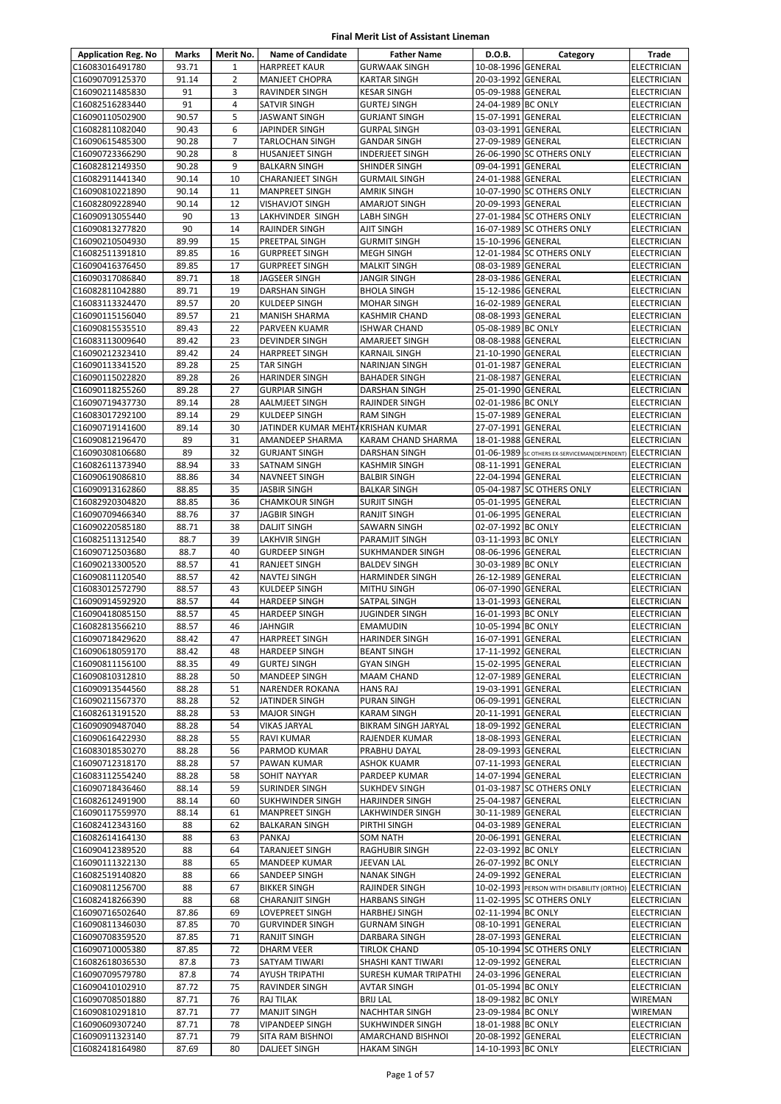| <b>Application Reg. No</b>         | Marks          | Merit No.      | <b>Name of Candidate</b>                       | <b>Father Name</b>                       | D.O.B.                                   | Category                                      | Trade                                    |
|------------------------------------|----------------|----------------|------------------------------------------------|------------------------------------------|------------------------------------------|-----------------------------------------------|------------------------------------------|
| C16083016491780                    | 93.71          | $\mathbf{1}$   | <b>HARPREET KAUR</b>                           | <b>GURWAAK SINGH</b>                     | 10-08-1996 GENERAL                       |                                               | <b>ELECTRICIAN</b>                       |
| C16090709125370                    | 91.14          | $\overline{2}$ | <b>MANJEET CHOPRA</b>                          | <b>KARTAR SINGH</b>                      | 20-03-1992 GENERAL                       |                                               | <b>ELECTRICIAN</b>                       |
| C16090211485830                    | 91             | 3              | RAVINDER SINGH                                 | <b>KESAR SINGH</b>                       | 05-09-1988 GENERAL                       |                                               | <b>ELECTRICIAN</b>                       |
| C16082516283440                    | 91             | 4              | SATVIR SINGH                                   | <b>GURTEJ SINGH</b>                      | 24-04-1989 BC ONLY                       |                                               | <b>ELECTRICIAN</b>                       |
| C16090110502900                    | 90.57          | 5              | JASWANT SINGH                                  | <b>GURJANT SINGH</b>                     | 15-07-1991 GENERAL                       |                                               | <b>ELECTRICIAN</b>                       |
| C16082811082040                    | 90.43          | 6              | JAPINDER SINGH                                 | <b>GURPAL SINGH</b>                      | 03-03-1991 GENERAL                       |                                               | <b>ELECTRICIAN</b>                       |
| C16090615485300                    | 90.28          | $\overline{7}$ | TARLOCHAN SINGH                                | <b>GANDAR SINGH</b>                      | 27-09-1989 GENERAL                       |                                               | <b>ELECTRICIAN</b>                       |
| C16090723366290                    | 90.28          | 8              | <b>HUSANJEET SINGH</b>                         | <b>INDERJEET SINGH</b>                   |                                          | 26-06-1990 SC OTHERS ONLY                     | <b>ELECTRICIAN</b>                       |
| C16082812149350                    | 90.28          | 9              | <b>BALKARN SINGH</b>                           | SHINDER SINGH                            | 09-04-1991 GENERAL                       |                                               | <b>ELECTRICIAN</b>                       |
| C16082911441340                    | 90.14          | 10             | <b>CHARANJEET SINGH</b>                        | <b>GURMAIL SINGH</b>                     | 24-01-1988 GENERAL                       |                                               | <b>ELECTRICIAN</b>                       |
| C16090810221890                    | 90.14          | 11             | <b>MANPREET SINGH</b>                          | <b>AMRIK SINGH</b>                       |                                          | 10-07-1990 SC OTHERS ONLY                     | <b>ELECTRICIAN</b>                       |
| C16082809228940                    | 90.14          | 12             | <b>VISHAVJOT SINGH</b>                         | AMARJOT SINGH                            | 20-09-1993 GENERAL                       |                                               | <b>ELECTRICIAN</b>                       |
| C16090913055440                    | 90             | 13             | LAKHVINDER SINGH                               | LABH SINGH                               |                                          | 27-01-1984 SC OTHERS ONLY                     | <b>ELECTRICIAN</b>                       |
| C16090813277820                    | 90             | 14             | RAJINDER SINGH                                 | <b>AJIT SINGH</b>                        |                                          | 16-07-1989 SC OTHERS ONLY                     | <b>ELECTRICIAN</b>                       |
| C16090210504930                    | 89.99<br>89.85 | 15<br>16       | PREETPAL SINGH                                 | GURMIT SINGH                             | 15-10-1996 GENERAL                       | 12-01-1984 SC OTHERS ONLY                     | <b>ELECTRICIAN</b>                       |
| C16082511391810<br>C16090416376450 | 89.85          | 17             | <b>GURPREET SINGH</b><br><b>GURPREET SINGH</b> | <b>MEGH SINGH</b><br><b>MALKIT SINGH</b> | 08-03-1989 GENERAL                       |                                               | <b>ELECTRICIAN</b>                       |
| C16090317086840                    | 89.71          | 18             | JAGSEER SINGH                                  | JANGIR SINGH                             | 28-03-1986 GENERAL                       |                                               | <b>ELECTRICIAN</b><br><b>ELECTRICIAN</b> |
| C16082811042880                    | 89.71          | 19             | DARSHAN SINGH                                  | <b>BHOLA SINGH</b>                       | 15-12-1986 GENERAL                       |                                               | <b>ELECTRICIAN</b>                       |
| C16083113324470                    | 89.57          | 20             | KULDEEP SINGH                                  | <b>MOHAR SINGH</b>                       | 16-02-1989 GENERAL                       |                                               | <b>ELECTRICIAN</b>                       |
| C16090115156040                    | 89.57          | 21             | MANISH SHARMA                                  | <b>KASHMIR CHAND</b>                     | 08-08-1993 GENERAL                       |                                               | <b>ELECTRICIAN</b>                       |
| C16090815535510                    | 89.43          | 22             | PARVEEN KUAMR                                  | <b>ISHWAR CHAND</b>                      | 05-08-1989 BC ONLY                       |                                               | <b>ELECTRICIAN</b>                       |
| C16083113009640                    | 89.42          | 23             | DEVINDER SINGH                                 | AMARJEET SINGH                           | 08-08-1988 GENERAL                       |                                               | <b>ELECTRICIAN</b>                       |
| C16090212323410                    | 89.42          | 24             | <b>HARPREET SINGH</b>                          | <b>KARNAIL SINGH</b>                     | 21-10-1990 GENERAL                       |                                               | <b>ELECTRICIAN</b>                       |
| C16090113341520                    | 89.28          | 25             | <b>TAR SINGH</b>                               | <b>NARINJAN SINGH</b>                    | 01-01-1987 GENERAL                       |                                               | <b>ELECTRICIAN</b>                       |
| C16090115022820                    | 89.28          | 26             | <b>HARINDER SINGH</b>                          | <b>BAHADER SINGH</b>                     | 21-08-1987                               | <b>GENERAL</b>                                | <b>ELECTRICIAN</b>                       |
| C16090118255260                    | 89.28          | 27             | <b>GURPIAR SINGH</b>                           | DARSHAN SINGH                            | 25-01-1990 GENERAL                       |                                               | <b>ELECTRICIAN</b>                       |
| C16090719437730                    | 89.14          | 28             | AALMJEET SINGH                                 | RAJINDER SINGH                           | 02-01-1986 BC ONLY                       |                                               | <b>ELECTRICIAN</b>                       |
| C16083017292100                    | 89.14          | 29             | KULDEEP SINGH                                  | <b>RAM SINGH</b>                         | 15-07-1989 GENERAL                       |                                               | <b>ELECTRICIAN</b>                       |
| C16090719141600                    | 89.14          | 30             | JATINDER KUMAR MEHTAKRISHAN KUMAR              |                                          | 27-07-1991 GENERAL                       |                                               | <b>ELECTRICIAN</b>                       |
| C16090812196470                    | 89             | 31             | AMANDEEP SHARMA                                | KARAM CHAND SHARMA                       | 18-01-1988 GENERAL                       |                                               | <b>ELECTRICIAN</b>                       |
| C16090308106680                    | 89             | 32             | <b>GURJANT SINGH</b>                           | <b>DARSHAN SINGH</b>                     |                                          | 01-06-1989 SC OTHERS EX-SERVICEMAN(DEPENDENT) | <b>ELECTRICIAN</b>                       |
| C16082611373940                    | 88.94          | 33             | SATNAM SINGH                                   | <b>KASHMIR SINGH</b>                     | 08-11-1991 GENERAL                       |                                               | <b>ELECTRICIAN</b>                       |
| C16090619086810                    | 88.86          | 34             | NAVNEET SINGH                                  | <b>BALBIR SINGH</b>                      | 22-04-1994 GENERAL                       |                                               | <b>ELECTRICIAN</b>                       |
| C16090913162860                    | 88.85          | 35             | JASBIR SINGH                                   | <b>BALKAR SINGH</b>                      | 05-04-1987                               | <b>SC OTHERS ONLY</b>                         | <b>ELECTRICIAN</b>                       |
| C16082920304820                    | 88.85          | 36             | CHAMKOUR SINGH                                 | SURJIT SINGH                             | 05-01-1995 GENERAL                       |                                               | <b>ELECTRICIAN</b>                       |
| C16090709466340                    | 88.76          | 37             | <b>JAGBIR SINGH</b>                            | RANJIT SINGH                             | 01-06-1995 GENERAL                       |                                               | <b>ELECTRICIAN</b>                       |
| C16090220585180                    | 88.71          | 38             | <b>DALJIT SINGH</b>                            | SAWARN SINGH                             | 02-07-1992 BC ONLY                       |                                               | <b>ELECTRICIAN</b>                       |
| C16082511312540                    | 88.7           | 39             | LAKHVIR SINGH                                  | PARAMJIT SINGH                           | 03-11-1993 BC ONLY                       |                                               | <b>ELECTRICIAN</b>                       |
| C16090712503680                    | 88.7           | 40             | <b>GURDEEP SINGH</b>                           | SUKHMANDER SINGH                         | 08-06-1996 GENERAL                       |                                               | <b>ELECTRICIAN</b>                       |
| C16090213300520                    | 88.57          | 41             | RANJEET SINGH                                  | <b>BALDEV SINGH</b>                      | 30-03-1989 BC ONLY                       |                                               | <b>ELECTRICIAN</b>                       |
| C16090811120540                    | 88.57          | 42             | NAVTEJ SINGH                                   | <b>HARMINDER SINGH</b>                   | 26-12-1989 GENERAL                       |                                               | <b>ELECTRICIAN</b>                       |
| C16083012572790                    | 88.57          | 43             | KULDEEP SINGH                                  | <b>MITHU SINGH</b>                       | 06-07-1990 GENERAL                       |                                               | <b>ELECTRICIAN</b>                       |
| C16090914592920                    | 88.57          | 44             | <b>HARDEEP SINGH</b>                           | SATPAL SINGH                             | 13-01-1993 GENERAL                       |                                               | <b>ELECTRICIAN</b>                       |
| C16090418085150<br>C16082813566210 | 88.57          | 45<br>46       | <b>HARDEEP SINGH</b>                           | <b>JUGINDER SINGH</b>                    | 16-01-1993 BC ONLY                       |                                               | <b>ELECTRICIAN</b>                       |
| C16090718429620                    | 88.57<br>88.42 | 47             | JAHNGIR<br><b>HARPREET SINGH</b>               | <b>EMAMUDIN</b><br><b>HARINDER SINGH</b> | 10-05-1994 BC ONLY<br>16-07-1991 GENERAL |                                               | <b>ELECTRICIAN</b><br>ELECTRICIAN        |
| C16090618059170                    | 88.42          | 48             | <b>HARDEEP SINGH</b>                           | <b>BEANT SINGH</b>                       | 17-11-1992 GENERAL                       |                                               | <b>ELECTRICIAN</b>                       |
| C16090811156100                    | 88.35          | 49             | <b>GURTEJ SINGH</b>                            | <b>GYAN SINGH</b>                        | 15-02-1995 GENERAL                       |                                               | <b>ELECTRICIAN</b>                       |
| C16090810312810                    | 88.28          | 50             | <b>MANDEEP SINGH</b>                           | <b>MAAM CHAND</b>                        | 12-07-1989 GENERAL                       |                                               | <b>ELECTRICIAN</b>                       |
| C16090913544560                    | 88.28          | 51             | NARENDER ROKANA                                | <b>HANS RAJ</b>                          | 19-03-1991 GENERAL                       |                                               | <b>ELECTRICIAN</b>                       |
| C16090211567370                    | 88.28          | 52             | JATINDER SINGH                                 | PURAN SINGH                              | 06-09-1991 GENERAL                       |                                               | <b>ELECTRICIAN</b>                       |
| C16082613191520                    | 88.28          | 53             | <b>MAJOR SINGH</b>                             | <b>KARAM SINGH</b>                       | 20-11-1991 GENERAL                       |                                               | <b>ELECTRICIAN</b>                       |
| C16090909487040                    | 88.28          | 54             | VIKAS JARYAL                                   | BIKRAM SINGH JARYAL                      | 18-09-1992 GENERAL                       |                                               | <b>ELECTRICIAN</b>                       |
| C16090616422930                    | 88.28          | 55             | RAVI KUMAR                                     | RAJENDER KUMAR                           | 18-08-1993 GENERAL                       |                                               | <b>ELECTRICIAN</b>                       |
| C16083018530270                    | 88.28          | 56             | PARMOD KUMAR                                   | PRABHU DAYAL                             | 28-09-1993 GENERAL                       |                                               | <b>ELECTRICIAN</b>                       |
| C16090712318170                    | 88.28          | 57             | PAWAN KUMAR                                    | ASHOK KUAMR                              | 07-11-1993 GENERAL                       |                                               | <b>ELECTRICIAN</b>                       |
| C16083112554240                    | 88.28          | 58             | SOHIT NAYYAR                                   | PARDEEP KUMAR                            | 14-07-1994 GENERAL                       |                                               | <b>ELECTRICIAN</b>                       |
| C16090718436460                    | 88.14          | 59             | SURINDER SINGH                                 | <b>SUKHDEV SINGH</b>                     |                                          | 01-03-1987 SC OTHERS ONLY                     | <b>ELECTRICIAN</b>                       |
| C16082612491900                    | 88.14          | 60             | SUKHWINDER SINGH                               | HARJINDER SINGH                          | 25-04-1987 GENERAL                       |                                               | <b>ELECTRICIAN</b>                       |
| C16090117559970                    | 88.14          | 61             | <b>MANPREET SINGH</b>                          | LAKHWINDER SINGH                         | 30-11-1989 GENERAL                       |                                               | <b>ELECTRICIAN</b>                       |
| C16082412343160                    | 88             | 62             | <b>BALKARAN SINGH</b>                          | PIRTHI SINGH                             | 04-03-1989 GENERAL                       |                                               | <b>ELECTRICIAN</b>                       |
| C16082614164130                    | 88             | 63             | PANKAJ                                         | <b>SOM NATH</b>                          | 20-06-1991 GENERAL                       |                                               | <b>ELECTRICIAN</b>                       |
| C16090412389520                    | 88             | 64             | TARANJEET SINGH                                | RAGHUBIR SINGH                           | 22-03-1992 BC ONLY                       |                                               | <b>ELECTRICIAN</b>                       |
| C16090111322130                    | 88             | 65             | MANDEEP KUMAR                                  | JEEVAN LAL                               | 26-07-1992 BC ONLY                       |                                               | <b>ELECTRICIAN</b>                       |
| C16082519140820                    | 88             | 66             | SANDEEP SINGH                                  | <b>NANAK SINGH</b>                       | 24-09-1992 GENERAL                       |                                               | <b>ELECTRICIAN</b>                       |
| C16090811256700                    | 88             | 67             | <b>BIKKER SINGH</b>                            | RAJINDER SINGH                           |                                          | 10-02-1993 PERSON WITH DISABILITY (ORTHO)     | <b>ELECTRICIAN</b>                       |
| C16082418266390                    | 88             | 68             | <b>CHARANJIT SINGH</b>                         | <b>HARBANS SINGH</b>                     |                                          | 11-02-1995 SC OTHERS ONLY                     | <b>ELECTRICIAN</b>                       |
| C16090716502640                    | 87.86          | 69             | LOVEPREET SINGH                                | HARBHEJ SINGH                            | 02-11-1994 BC ONLY                       |                                               | <b>ELECTRICIAN</b>                       |
| C16090811346030                    | 87.85          | 70             | <b>GURVINDER SINGH</b>                         | <b>GURNAM SINGH</b>                      | 08-10-1991 GENERAL                       |                                               | <b>ELECTRICIAN</b>                       |
| C16090708359520                    | 87.85          | 71             | RANJIT SINGH                                   | DARBARA SINGH                            | 28-07-1993 GENERAL                       |                                               | <b>ELECTRICIAN</b>                       |
| C16090710005380                    | 87.85          | 72             | DHARM VEER                                     | <b>TIRLOK CHAND</b>                      |                                          | 05-10-1994 SC OTHERS ONLY                     | <b>ELECTRICIAN</b>                       |
| C16082618036530                    | 87.8           | 73             | SATYAM TIWARI                                  | SHASHI KANT TIWARI                       | 12-09-1992 GENERAL                       |                                               | <b>ELECTRICIAN</b>                       |
| C16090709579780                    | 87.8           | 74             | AYUSH TRIPATHI                                 | SURESH KUMAR TRIPATHI                    | 24-03-1996 GENERAL                       |                                               | <b>ELECTRICIAN</b>                       |
| C16090410102910                    | 87.72          | 75             | RAVINDER SINGH                                 | <b>AVTAR SINGH</b>                       | 01-05-1994 BC ONLY                       |                                               | <b>ELECTRICIAN</b>                       |
| C16090708501880                    | 87.71          | 76             | RAJ TILAK                                      | <b>BRIJ LAL</b>                          | 18-09-1982 BC ONLY                       |                                               | WIREMAN                                  |
| C16090810291810                    | 87.71          | 77             | <b>MANJIT SINGH</b>                            | <b>NACHHTAR SINGH</b>                    | 23-09-1984 BC ONLY                       |                                               | WIREMAN                                  |
| C16090609307240                    | 87.71          | 78<br>79       | <b>VIPANDEEP SINGH</b>                         | SUKHWINDER SINGH                         | 18-01-1988 BC ONLY                       |                                               | <b>ELECTRICIAN</b>                       |
| C16090911323140<br>C16082418164980 | 87.71<br>87.69 | 80             | SITA RAM BISHNOI<br>DALJEET SINGH              | AMARCHAND BISHNOI<br><b>HAKAM SINGH</b>  | 20-08-1992 GENERAL<br>14-10-1993 BC ONLY |                                               | ELECTRICIAN<br><b>ELECTRICIAN</b>        |
|                                    |                |                |                                                |                                          |                                          |                                               |                                          |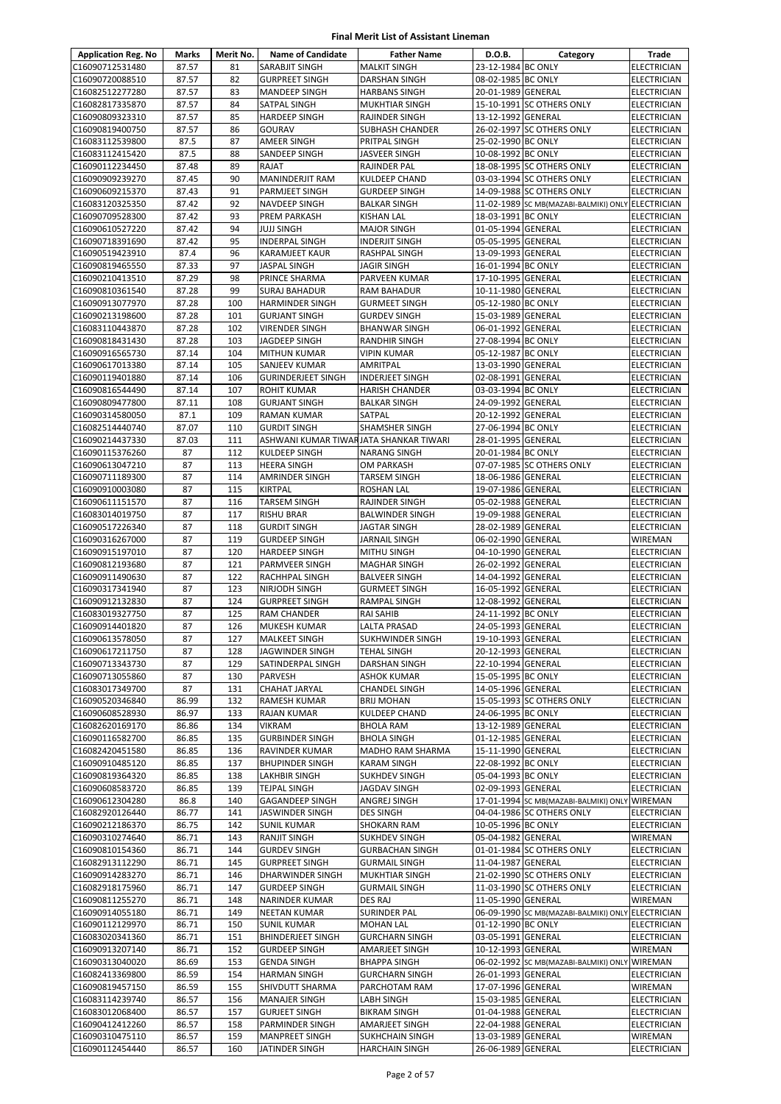| <b>Application Reg. No</b>         | Marks          | Merit No.  | <b>Name of Candidate</b>               | <b>Father Name</b>                          | D.O.B.                                   | Category                                          | Trade                                    |
|------------------------------------|----------------|------------|----------------------------------------|---------------------------------------------|------------------------------------------|---------------------------------------------------|------------------------------------------|
| C16090712531480                    | 87.57          | 81         | SARABJIT SINGH                         | <b>MALKIT SINGH</b>                         | 23-12-1984 BC ONLY                       |                                                   | <b>ELECTRICIAN</b>                       |
| C16090720088510                    | 87.57          | 82         | <b>GURPREET SINGH</b>                  | <b>DARSHAN SINGH</b>                        | 08-02-1985 BC ONLY                       |                                                   | <b>ELECTRICIAN</b>                       |
| C16082512277280                    | 87.57          | 83         | <b>MANDEEP SINGH</b>                   | <b>HARBANS SINGH</b>                        | 20-01-1989 GENERAL                       |                                                   | <b>ELECTRICIAN</b>                       |
| C16082817335870                    | 87.57          | 84         | SATPAL SINGH                           | <b>MUKHTIAR SINGH</b>                       |                                          | 15-10-1991 SC OTHERS ONLY                         | ELECTRICIAN                              |
| C16090809323310                    | 87.57          | 85         | <b>HARDEEP SINGH</b>                   | <b>RAJINDER SINGH</b>                       | 13-12-1992 GENERAL                       |                                                   | ELECTRICIAN                              |
| C16090819400750                    | 87.57          | 86         | GOURAV                                 | SUBHASH CHANDER                             |                                          | 26-02-1997 SC OTHERS ONLY                         | <b>ELECTRICIAN</b>                       |
| C16083112539800                    | 87.5           | 87         | <b>AMEER SINGH</b>                     | PRITPAL SINGH                               | 25-02-1990 BC ONLY                       |                                                   | <b>ELECTRICIAN</b>                       |
| C16083112415420                    | 87.5           | 88         | SANDEEP SINGH                          | <b>JASVEER SINGH</b>                        | 10-08-1992 BC ONLY                       |                                                   | <b>ELECTRICIAN</b>                       |
| C16090112234450                    | 87.48          | 89         | RAJAT                                  | <b>RAJINDER PAL</b>                         |                                          | 18-08-1995 SC OTHERS ONLY                         | ELECTRICIAN                              |
| C16090909239270                    | 87.45          | 90         | MANINDERJIT RAM                        | <b>KULDEEP CHAND</b>                        |                                          | 03-03-1994 SC OTHERS ONLY                         | ELECTRICIAN                              |
| C16090609215370                    | 87.43          | 91         | PARMJEET SINGH                         | <b>GURDEEP SINGH</b>                        |                                          | 14-09-1988 SC OTHERS ONLY                         | ELECTRICIAN                              |
| C16083120325350                    | 87.42          | 92         | <b>NAVDEEP SINGH</b>                   | <b>BALKAR SINGH</b>                         |                                          | 11-02-1989 SC MB(MAZABI-BALMIKI) ONLY ELECTRICIAN |                                          |
| C16090709528300<br>C16090610527220 | 87.42<br>87.42 | 93<br>94   | PREM PARKASH<br>JUJJ SINGH             | <b>KISHAN LAL</b><br><b>MAJOR SINGH</b>     | 18-03-1991 BC ONLY<br>01-05-1994 GENERAL |                                                   | <b>ELECTRICIAN</b><br><b>ELECTRICIAN</b> |
| C16090718391690                    | 87.42          | 95         | INDERPAL SINGH                         | <b>INDERJIT SINGH</b>                       | 05-05-1995 GENERAL                       |                                                   | <b>ELECTRICIAN</b>                       |
| C16090519423910                    | 87.4           | 96         | KARAMJEET KAUR                         | RASHPAL SINGH                               | 13-09-1993 GENERAL                       |                                                   | <b>ELECTRICIAN</b>                       |
| C16090819465550                    | 87.33          | 97         | JASPAL SINGH                           | <b>JAGIR SINGH</b>                          | 16-01-1994 BC ONLY                       |                                                   | <b>ELECTRICIAN</b>                       |
| C16090210413510                    | 87.29          | 98         | PRINCE SHARMA                          | PARVEEN KUMAR                               | 17-10-1995 GENERAL                       |                                                   | <b>ELECTRICIAN</b>                       |
| C16090810361540                    | 87.28          | 99         | <b>SURAJ BAHADUR</b>                   | <b>RAM BAHADUR</b>                          | 10-11-1980 GENERAL                       |                                                   | <b>ELECTRICIAN</b>                       |
| C16090913077970                    | 87.28          | 100        | <b>HARMINDER SINGH</b>                 | <b>GURMEET SINGH</b>                        | 05-12-1980 BC ONLY                       |                                                   | <b>ELECTRICIAN</b>                       |
| C16090213198600                    | 87.28          | 101        | <b>GURJANT SINGH</b>                   | <b>GURDEV SINGH</b>                         | 15-03-1989 GENERAL                       |                                                   | ELECTRICIAN                              |
| C16083110443870                    | 87.28          | 102        | <b>VIRENDER SINGH</b>                  | <b>BHANWAR SINGH</b>                        | 06-01-1992 GENERAL                       |                                                   | ELECTRICIAN                              |
| C16090818431430                    | 87.28          | 103        | JAGDEEP SINGH                          | <b>RANDHIR SINGH</b>                        | 27-08-1994 BC ONLY                       |                                                   | <b>ELECTRICIAN</b>                       |
| C16090916565730                    | 87.14          | 104        | <b>MITHUN KUMAR</b>                    | <b>VIPIN KUMAR</b>                          | 05-12-1987 BC ONLY                       |                                                   | <b>ELECTRICIAN</b>                       |
| C16090617013380                    | 87.14          | 105        | SANJEEV KUMAR                          | AMRITPAL                                    | 13-03-1990 GENERAL                       |                                                   | <b>ELECTRICIAN</b>                       |
| C16090119401880                    | 87.14          | 106        | <b>GURINDERJEET SINGH</b>              | <b>INDERJEET SINGH</b>                      | 02-08-1991 GENERAL                       |                                                   | ELECTRICIAN                              |
| C16090816544490                    | 87.14          | 107        | ROHIT KUMAR                            | <b>HARISH CHANDER</b>                       | 03-03-1994 BC ONLY                       |                                                   | <b>ELECTRICIAN</b>                       |
| C16090809477800                    | 87.11          | 108        | <b>GURJANT SINGH</b>                   | <b>BALKAR SINGH</b>                         | 24-09-1992 GENERAL                       |                                                   | <b>ELECTRICIAN</b>                       |
| C16090314580050                    | 87.1           | 109        | <b>RAMAN KUMAR</b>                     | SATPAL                                      | 20-12-1992 GENERAL                       |                                                   | <b>ELECTRICIAN</b>                       |
| C16082514440740                    | 87.07          | 110        | <b>GURDIT SINGH</b>                    | <b>SHAMSHER SINGH</b>                       | 27-06-1994 BC ONLY                       |                                                   | <b>ELECTRICIAN</b>                       |
| C16090214437330                    | 87.03          | 111        | ASHWANI KUMAR TIWARJATA SHANKAR TIWARI |                                             | 28-01-1995 GENERAL                       |                                                   | ELECTRICIAN                              |
| C16090115376260                    | 87             | 112        | KULDEEP SINGH                          | <b>NARANG SINGH</b>                         | 20-01-1984 BC ONLY                       |                                                   | ELECTRICIAN                              |
| C16090613047210                    | 87             | 113        | <b>HEERA SINGH</b>                     | <b>OM PARKASH</b>                           |                                          | 07-07-1985 SC OTHERS ONLY                         | <b>ELECTRICIAN</b>                       |
| C16090711189300                    | 87             | 114        | AMRINDER SINGH                         | <b>TARSEM SINGH</b>                         | 18-06-1986 GENERAL                       |                                                   | ELECTRICIAN                              |
| C16090910003080                    | 87             | 115        | KIRTPAL                                | <b>ROSHAN LAL</b>                           | 19-07-1986 GENERAL                       |                                                   | ELECTRICIAN                              |
| C16090611151570                    | 87             | 116        | <b>TARSEM SINGH</b>                    | RAJINDER SINGH                              | 05-02-1988 GENERAL                       |                                                   | ELECTRICIAN                              |
| C16083014019750                    | 87             | 117        | <b>RISHU BRAR</b>                      | <b>BALWINDER SINGH</b>                      | 19-09-1988 GENERAL                       |                                                   | <b>ELECTRICIAN</b>                       |
| C16090517226340                    | 87             | 118        | <b>GURDIT SINGH</b>                    | <b>JAGTAR SINGH</b>                         | 28-02-1989 GENERAL                       |                                                   | <b>ELECTRICIAN</b>                       |
| C16090316267000                    | 87             | 119        | <b>GURDEEP SINGH</b>                   | <b>JARNAIL SINGH</b>                        | 06-02-1990 GENERAL                       |                                                   | WIREMAN                                  |
| C16090915197010                    | 87             | 120        | <b>HARDEEP SINGH</b>                   | <b>MITHU SINGH</b>                          | 04-10-1990 GENERAL                       |                                                   | ELECTRICIAN                              |
| C16090812193680                    | 87<br>87       | 121<br>122 | PARMVEER SINGH                         | <b>MAGHAR SINGH</b><br><b>BALVEER SINGH</b> | 26-02-1992 GENERAL                       |                                                   | ELECTRICIAN                              |
| C16090911490630<br>C16090317341940 | 87             | 123        | RACHHPAL SINGH<br>NIRJODH SINGH        | <b>GURMEET SINGH</b>                        | 14-04-1992 GENERAL<br>16-05-1992 GENERAL |                                                   | <b>ELECTRICIAN</b><br><b>ELECTRICIAN</b> |
| C16090912132830                    | 87             | 124        | <b>GURPREET SINGH</b>                  | <b>RAMPAL SINGH</b>                         | 12-08-1992 GENERAL                       |                                                   | <b>ELECTRICIAN</b>                       |
| C16083019327750                    | 87             | 125        | <b>RAM CHANDER</b>                     | <b>RAI SAHIB</b>                            | 24-11-1992 BC ONLY                       |                                                   | <b>ELECTRICIAN</b>                       |
| C16090914401820                    | 87             | 126        | MUKESH KUMAR                           | LALTA PRASAD                                | 24-05-1993 GENERAL                       |                                                   | <b>ELECTRICIAN</b>                       |
| C16090613578050                    | 87             | 127        | <b>MALKEET SINGH</b>                   | SUKHWINDER SINGH                            | 19-10-1993 GENERAL                       |                                                   | <b>ELECTRICIAN</b>                       |
| C16090617211750                    | 87             | 128        | JAGWINDER SINGH                        | <b>TEHAL SINGH</b>                          | 20-12-1993 GENERAL                       |                                                   | <b>ELECTRICIAN</b>                       |
| C16090713343730                    | 87             | 129        | SATINDERPAL SINGH                      | <b>DARSHAN SINGH</b>                        | 22-10-1994 GENERAL                       |                                                   | <b>ELECTRICIAN</b>                       |
| C16090713055860                    | 87             | 130        | PARVESH                                | <b>ASHOK KUMAR</b>                          | 15-05-1995 BC ONLY                       |                                                   | <b>ELECTRICIAN</b>                       |
| C16083017349700                    | 87             | 131        | CHAHAT JARYAL                          | <b>CHANDEL SINGH</b>                        | 14-05-1996 GENERAL                       |                                                   | <b>ELECTRICIAN</b>                       |
| C16090520346840                    | 86.99          | 132        | RAMESH KUMAR                           | <b>BRIJ MOHAN</b>                           |                                          | 15-05-1993 SC OTHERS ONLY                         | ELECTRICIAN                              |
| C16090608528930                    | 86.97          | 133        | RAJAN KUMAR                            | <b>KULDEEP CHAND</b>                        | 24-06-1995 BC ONLY                       |                                                   | ELECTRICIAN                              |
| C16082620169170                    | 86.86          | 134        | VIKRAM                                 | <b>BHOLA RAM</b>                            | 13-12-1989 GENERAL                       |                                                   | ELECTRICIAN                              |
| C16090116582700                    | 86.85          | 135        | <b>GURBINDER SINGH</b>                 | <b>BHOLA SINGH</b>                          | 01-12-1985 GENERAL                       |                                                   | ELECTRICIAN                              |
| C16082420451580                    | 86.85          | 136        | RAVINDER KUMAR                         | MADHO RAM SHARMA                            | 15-11-1990 GENERAL                       |                                                   | <b>ELECTRICIAN</b>                       |
| C16090910485120                    | 86.85          | 137        | <b>BHUPINDER SINGH</b>                 | <b>KARAM SINGH</b>                          | 22-08-1992 BC ONLY                       |                                                   | ELECTRICIAN                              |
| C16090819364320                    | 86.85          | 138        | <b>LAKHBIR SINGH</b>                   | <b>SUKHDEV SINGH</b>                        | 05-04-1993 BC ONLY                       |                                                   | <b>ELECTRICIAN</b>                       |
| C16090608583720                    | 86.85          | 139        | <b>TEJPAL SINGH</b>                    | JAGDAV SINGH                                | 02-09-1993 GENERAL                       |                                                   | ELECTRICIAN                              |
| C16090612304280                    | 86.8           | 140        | GAGANDEEP SINGH                        | ANGREJ SINGH                                |                                          | 17-01-1994 SC MB(MAZABI-BALMIKI) ONLY WIREMAN     |                                          |
| C16082920126440                    | 86.77          | 141        | JASWINDER SINGH                        | <b>DES SINGH</b>                            |                                          | 04-04-1986 SC OTHERS ONLY                         | <b>ELECTRICIAN</b>                       |
| C16090212186370                    | 86.75          | 142        | <b>SUNIL KUMAR</b>                     | <b>SHOKARN RAM</b>                          | 10-05-1996 BC ONLY                       |                                                   | <b>ELECTRICIAN</b>                       |
| C16090310274640                    | 86.71          | 143        | RANJIT SINGH                           | <b>SUKHDEV SINGH</b>                        | 05-04-1982 GENERAL                       |                                                   | WIREMAN                                  |
| C16090810154360                    | 86.71          | 144        | <b>GURDEV SINGH</b>                    | <b>GURBACHAN SINGH</b>                      |                                          | 01-01-1984 SC OTHERS ONLY                         | ELECTRICIAN                              |
| C16082913112290                    | 86.71          | 145        | <b>GURPREET SINGH</b>                  | <b>GURMAIL SINGH</b>                        | 11-04-1987 GENERAL                       |                                                   | ELECTRICIAN                              |
| C16090914283270                    | 86.71          | 146        | DHARWINDER SINGH                       | <b>MUKHTIAR SINGH</b>                       |                                          | 21-02-1990 SC OTHERS ONLY                         | ELECTRICIAN                              |
| C16082918175960                    | 86.71          | 147        | <b>GURDEEP SINGH</b>                   | <b>GURMAIL SINGH</b>                        |                                          | 11-03-1990 SC OTHERS ONLY                         | ELECTRICIAN                              |
| C16090811255270<br>C16090914055180 | 86.71          | 148<br>149 | NARINDER KUMAR<br><b>NEETAN KUMAR</b>  | <b>DES RAJ</b><br><b>SURINDER PAL</b>       | 11-05-1990 GENERAL                       | 06-09-1990 SC MB(MAZABI-BALMIKI) ONLY ELECTRICIAN | WIREMAN                                  |
| C16090112129970                    | 86.71<br>86.71 | 150        | <b>SUNIL KUMAR</b>                     | <b>MOHAN LAL</b>                            | 01-12-1990 BC ONLY                       |                                                   | ELECTRICIAN                              |
| C16083020341360                    | 86.71          | 151        | <b>BHINDERJEET SINGH</b>               | <b>GURCHARN SINGH</b>                       | 03-05-1991 GENERAL                       |                                                   | <b>ELECTRICIAN</b>                       |
| C16090913207140                    | 86.71          | 152        | <b>GURDEEP SINGH</b>                   | AMARJEET SINGH                              | 10-12-1993 GENERAL                       |                                                   | WIREMAN                                  |
| C16090313040020                    | 86.69          | 153        | <b>GENDA SINGH</b>                     | <b>BHAPPA SINGH</b>                         |                                          | 06-02-1992 SC MB(MAZABI-BALMIKI) ONLY             | WIREMAN                                  |
| C16082413369800                    | 86.59          | 154        | HARMAN SINGH                           | <b>GURCHARN SINGH</b>                       | 26-01-1993 GENERAL                       |                                                   | <b>ELECTRICIAN</b>                       |
| C16090819457150                    | 86.59          | 155        | SHIVDUTT SHARMA                        | PARCHOTAM RAM                               | 17-07-1996 GENERAL                       |                                                   | WIREMAN                                  |
| C16083114239740                    | 86.57          | 156        | <b>MANAJER SINGH</b>                   | <b>LABH SINGH</b>                           | 15-03-1985 GENERAL                       |                                                   | ELECTRICIAN                              |
| C16083012068400                    | 86.57          | 157        | <b>GURJEET SINGH</b>                   | <b>BIKRAM SINGH</b>                         | 01-04-1988 GENERAL                       |                                                   | ELECTRICIAN                              |
| C16090412412260                    | 86.57          | 158        | PARMINDER SINGH                        | AMARJEET SINGH                              | 22-04-1988 GENERAL                       |                                                   | <b>ELECTRICIAN</b>                       |
| C16090310475110                    | 86.57          | 159        | MANPREET SINGH                         | <b>SUKHCHAIN SINGH</b>                      | 13-03-1989 GENERAL                       |                                                   | WIREMAN                                  |
| C16090112454440                    | 86.57          | 160        | JATINDER SINGH                         | <b>HARCHAIN SINGH</b>                       | 26-06-1989 GENERAL                       |                                                   | ELECTRICIAN                              |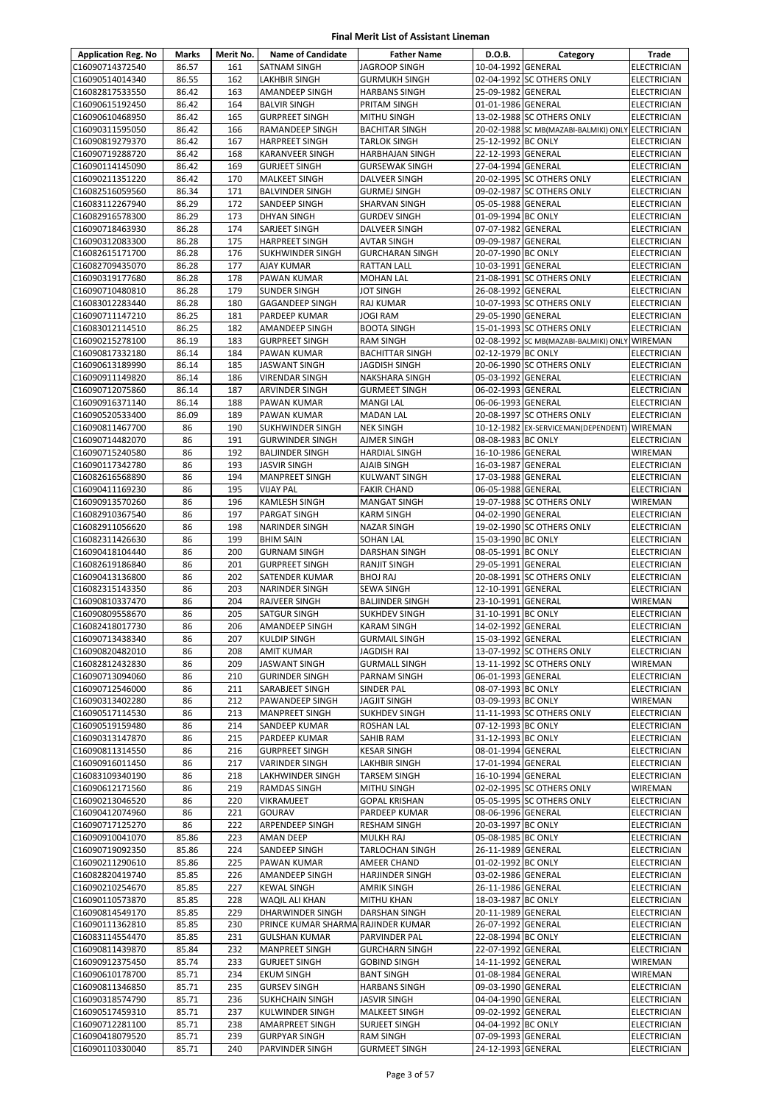| <b>Application Reg. No</b>         | Marks          | Merit No.  | <b>Name of Candidate</b>                     | <b>Father Name</b>                          | D.O.B.                                   | Category                                          | Trade                                    |
|------------------------------------|----------------|------------|----------------------------------------------|---------------------------------------------|------------------------------------------|---------------------------------------------------|------------------------------------------|
| C16090714372540                    | 86.57          | 161        | SATNAM SINGH                                 | <b>JAGROOP SINGH</b>                        | 10-04-1992 GENERAL                       |                                                   | <b>ELECTRICIAN</b>                       |
| C16090514014340                    | 86.55          | 162        | LAKHBIR SINGH                                | <b>GURMUKH SINGH</b>                        |                                          | 02-04-1992 SC OTHERS ONLY                         | ELECTRICIAN                              |
| C16082817533550                    | 86.42          | 163        | AMANDEEP SINGH                               | <b>HARBANS SINGH</b>                        | 25-09-1982 GENERAL                       |                                                   | ELECTRICIAN                              |
| C16090615192450                    | 86.42          | 164        | <b>BALVIR SINGH</b>                          | PRITAM SINGH                                | 01-01-1986 GENERAL                       |                                                   | <b>ELECTRICIAN</b>                       |
| C16090610468950                    | 86.42          | 165        | <b>GURPREET SINGH</b>                        | <b>MITHU SINGH</b>                          |                                          | 13-02-1988 SC OTHERS ONLY                         | <b>ELECTRICIAN</b>                       |
| C16090311595050                    | 86.42          | 166        | <b>RAMANDEEP SINGH</b>                       | <b>BACHITAR SINGH</b>                       |                                          | 20-02-1988 SC MB(MAZABI-BALMIKI) ONLY ELECTRICIAN |                                          |
| C16090819279370                    | 86.42          | 167        | <b>HARPREET SINGH</b>                        | <b>TARLOK SINGH</b>                         | 25-12-1992 BC ONLY                       |                                                   | <b>ELECTRICIAN</b>                       |
| C16090719288720                    | 86.42          | 168        | KARANVEER SINGH                              | <b>HARBHAJAN SINGH</b>                      | 22-12-1993 GENERAL                       |                                                   | <b>ELECTRICIAN</b>                       |
| C16090114145090                    | 86.42          | 169        | <b>GURJEET SINGH</b>                         | <b>GURSEWAK SINGH</b>                       | 27-04-1994 GENERAL                       |                                                   | <b>ELECTRICIAN</b>                       |
| C16090211351220                    | 86.42          | 170        | <b>MALKEET SINGH</b>                         | DALVEER SINGH                               |                                          | 20-02-1995 SC OTHERS ONLY                         | <b>ELECTRICIAN</b>                       |
| C16082516059560                    | 86.34          | 171<br>172 | <b>BALVINDER SINGH</b>                       | <b>GURMEJ SINGH</b>                         |                                          | 09-02-1987 SC OTHERS ONLY                         | <b>ELECTRICIAN</b>                       |
| C16083112267940<br>C16082916578300 | 86.29<br>86.29 | 173        | SANDEEP SINGH<br><b>DHYAN SINGH</b>          | <b>SHARVAN SINGH</b><br><b>GURDEV SINGH</b> | 05-05-1988 GENERAL<br>01-09-1994 BC ONLY |                                                   | <b>ELECTRICIAN</b><br><b>ELECTRICIAN</b> |
| C16090718463930                    | 86.28          | 174        | SARJEET SINGH                                | <b>DALVEER SINGH</b>                        | 07-07-1982 GENERAL                       |                                                   | ELECTRICIAN                              |
| C16090312083300                    | 86.28          | 175        | <b>HARPREET SINGH</b>                        | <b>AVTAR SINGH</b>                          | 09-09-1987 GENERAL                       |                                                   | ELECTRICIAN                              |
| C16082615171700                    | 86.28          | 176        | SUKHWINDER SINGH                             | <b>GURCHARAN SINGH</b>                      | 20-07-1990 BC ONLY                       |                                                   | <b>ELECTRICIAN</b>                       |
| C16082709435070                    | 86.28          | 177        | <b>AJAY KUMAR</b>                            | RATTAN LALL                                 | 10-03-1991 GENERAL                       |                                                   | <b>ELECTRICIAN</b>                       |
| C16090319177680                    | 86.28          | 178        | PAWAN KUMAR                                  | <b>MOHAN LAL</b>                            |                                          | 21-08-1991 SC OTHERS ONLY                         | ELECTRICIAN                              |
| C16090710480810                    | 86.28          | 179        | <b>SUNDER SINGH</b>                          | <b>JOT SINGH</b>                            | 26-08-1992 GENERAL                       |                                                   | <b>ELECTRICIAN</b>                       |
| C16083012283440                    | 86.28          | 180        | GAGANDEEP SINGH                              | RAJ KUMAR                                   |                                          | 10-07-1993 SC OTHERS ONLY                         | ELECTRICIAN                              |
| C16090711147210                    | 86.25          | 181        | PARDEEP KUMAR                                | JOGI RAM                                    | 29-05-1990 GENERAL                       |                                                   | <b>ELECTRICIAN</b>                       |
| C16083012114510                    | 86.25          | 182        | AMANDEEP SINGH                               | <b>BOOTA SINGH</b>                          |                                          | 15-01-1993 SC OTHERS ONLY                         | ELECTRICIAN                              |
| C16090215278100                    | 86.19          | 183        | <b>GURPREET SINGH</b>                        | <b>RAM SINGH</b>                            |                                          | 02-08-1992 SC MB(MAZABI-BALMIKI) ONLY WIREMAN     |                                          |
| C16090817332180                    | 86.14          | 184        | PAWAN KUMAR                                  | <b>BACHITTAR SINGH</b>                      | 02-12-1979 BC ONLY                       |                                                   | <b>ELECTRICIAN</b>                       |
| C16090613189990                    | 86.14          | 185        | <b>JASWANT SINGH</b>                         | <b>JAGDISH SINGH</b>                        |                                          | 20-06-1990 SC OTHERS ONLY                         | ELECTRICIAN                              |
| C16090911149820                    | 86.14          | 186        | VIRENDAR SINGH                               | <b>NAKSHARA SINGH</b>                       | 05-03-1992 GENERAL                       |                                                   | <b>ELECTRICIAN</b>                       |
| C16090712075860                    | 86.14          | 187        | ARVINDER SINGH                               | <b>GURMEET SINGH</b>                        | 06-02-1993 GENERAL                       |                                                   | <b>ELECTRICIAN</b>                       |
| C16090916371140                    | 86.14          | 188        | PAWAN KUMAR                                  | <b>MANGI LAL</b>                            | 06-06-1993 GENERAL                       |                                                   | <b>ELECTRICIAN</b>                       |
| C16090520533400                    | 86.09          | 189        | PAWAN KUMAR                                  | <b>MADAN LAL</b>                            |                                          | 20-08-1997 SC OTHERS ONLY                         | ELECTRICIAN                              |
| C16090811467700                    | 86             | 190        | SUKHWINDER SINGH                             | <b>NEK SINGH</b>                            |                                          | 10-12-1982 EX-SERVICEMAN(DEPENDENT) WIREMAN       |                                          |
| C16090714482070                    | 86             | 191        | <b>GURWINDER SINGH</b>                       | AJMER SINGH                                 | 08-08-1983 BC ONLY                       |                                                   | <b>ELECTRICIAN</b>                       |
| C16090715240580                    | 86             | 192        | <b>BALJINDER SINGH</b>                       | <b>HARDIAL SINGH</b>                        | 16-10-1986 GENERAL                       |                                                   | WIREMAN                                  |
| C16090117342780                    | 86             | 193        | JASVIR SINGH                                 | AJAIB SINGH                                 | 16-03-1987 GENERAL                       |                                                   | <b>ELECTRICIAN</b>                       |
| C16082616568890                    | 86             | 194        | <b>MANPREET SINGH</b>                        | <b>KULWANT SINGH</b>                        | 17-03-1988 GENERAL                       |                                                   | ELECTRICIAN                              |
| C16090411169230                    | 86             | 195        | <b>VIJAY PAL</b>                             | <b>FAKIR CHAND</b>                          | 06-05-1988 GENERAL                       |                                                   | <b>ELECTRICIAN</b>                       |
| C16090913570260                    | 86             | 196        | KAMLESH SINGH                                | <b>MANGAT SINGH</b>                         |                                          | 19-07-1988 SC OTHERS ONLY                         | WIREMAN                                  |
| C16082910367540                    | 86             | 197        | PARGAT SINGH                                 | <b>KARM SINGH</b>                           | 04-02-1990 GENERAL                       |                                                   | ELECTRICIAN                              |
| C16082911056620                    | 86             | 198        | <b>NARINDER SINGH</b>                        | <b>NAZAR SINGH</b>                          |                                          | 19-02-1990 SC OTHERS ONLY                         | <b>ELECTRICIAN</b>                       |
| C16082311426630                    | 86             | 199        | <b>BHIM SAIN</b>                             | SOHAN LAL                                   | 15-03-1990 BC ONLY                       |                                                   | <b>ELECTRICIAN</b>                       |
| C16090418104440<br>C16082619186840 | 86             | 200        | <b>GURNAM SINGH</b><br><b>GURPREET SINGH</b> | DARSHAN SINGH                               | 08-05-1991 BC ONLY<br>29-05-1991 GENERAL |                                                   | <b>ELECTRICIAN</b>                       |
|                                    | 86<br>86       | 201<br>202 | SATENDER KUMAR                               | <b>RANJIT SINGH</b>                         |                                          | 20-08-1991 SC OTHERS ONLY                         | <b>ELECTRICIAN</b>                       |
| C16090413136800<br>C16082315143350 | 86             | 203        | <b>NARINDER SINGH</b>                        | <b>BHOJ RAJ</b><br>SEWA SINGH               | 12-10-1991 GENERAL                       |                                                   | <b>ELECTRICIAN</b><br>ELECTRICIAN        |
| C16090810337470                    | 86             | 204        | <b>RAJVEER SINGH</b>                         | <b>BALJINDER SINGH</b>                      | 23-10-1991 GENERAL                       |                                                   | WIREMAN                                  |
| C16090809558670                    | 86             | 205        | SATGUR SINGH                                 | <b>SUKHDEV SINGH</b>                        | 31-10-1991 BC ONLY                       |                                                   | <b>ELECTRICIAN</b>                       |
| C16082418017730                    | 86             | 206        | AMANDEEP SINGH                               | <b>KARAM SINGH</b>                          | 14-02-1992 GENERAL                       |                                                   | <b>ELECTRICIAN</b>                       |
| C16090713438340                    | 86             | 207        | <b>KULDIP SINGH</b>                          | <b>GURMAIL SINGH</b>                        | 15-03-1992 GENERAL                       |                                                   | <b>ELECTRICIAN</b>                       |
| C16090820482010                    | 86             | 208        | AMIT KUMAR                                   | JAGDISH RAI                                 |                                          | 13-07-1992 SC OTHERS ONLY                         | <b>ELECTRICIAN</b>                       |
| C16082812432830                    | 86             | 209        | <b>JASWANT SINGH</b>                         | <b>GURMALL SINGH</b>                        |                                          | 13-11-1992 SC OTHERS ONLY                         | WIREMAN                                  |
| C16090713094060                    | 86             | 210        | <b>GURINDER SINGH</b>                        | PARNAM SINGH                                | 06-01-1993 GENERAL                       |                                                   | ELECTRICIAN                              |
| C16090712546000                    | 86             | 211        | SARABJEET SINGH                              | SINDER PAL                                  | 08-07-1993 BC ONLY                       |                                                   | <b>ELECTRICIAN</b>                       |
| C16090313402280                    | 86             | 212        | PAWANDEEP SINGH                              | <b>JAGJIT SINGH</b>                         | 03-09-1993 BC ONLY                       |                                                   | WIREMAN                                  |
| C16090517114530                    | 86             | 213        | MANPREET SINGH                               | SUKHDEV SINGH                               |                                          | 11-11-1993 SC OTHERS ONLY                         | ELECTRICIAN                              |
| C16090519159480                    | 86             | 214        | SANDEEP KUMAR                                | <b>ROSHAN LAL</b>                           | 07-12-1993 BC ONLY                       |                                                   | <b>ELECTRICIAN</b>                       |
| C16090313147870                    | 86             | 215        | PARDEEP KUMAR                                | SAHIB RAM                                   | 31-12-1993 BC ONLY                       |                                                   | <b>ELECTRICIAN</b>                       |
| C16090811314550                    | 86             | 216        | <b>GURPREET SINGH</b>                        | <b>KESAR SINGH</b>                          | 08-01-1994 GENERAL                       |                                                   | <b>ELECTRICIAN</b>                       |
| C16090916011450                    | 86             | 217        | VARINDER SINGH                               | <b>LAKHBIR SINGH</b>                        | 17-01-1994 GENERAL                       |                                                   | ELECTRICIAN                              |
| C16083109340190                    | 86             | 218        | LAKHWINDER SINGH                             | <b>TARSEM SINGH</b>                         | 16-10-1994 GENERAL                       |                                                   | ELECTRICIAN                              |
| C16090612171560                    | 86             | 219        | RAMDAS SINGH                                 | <b>MITHU SINGH</b>                          |                                          | 02-02-1995 SC OTHERS ONLY                         | WIREMAN                                  |
| C16090213046520                    | 86             | 220        | VIKRAMJEET                                   | <b>GOPAL KRISHAN</b>                        |                                          | 05-05-1995 SC OTHERS ONLY                         | ELECTRICIAN                              |
| C16090412074960                    | 86             | 221        | GOURAV                                       | PARDEEP KUMAR                               | 08-06-1996 GENERAL                       |                                                   | <b>ELECTRICIAN</b>                       |
| C16090717125270                    | 86             | 222        | ARPENDEEP SINGH                              | <b>RESHAM SINGH</b>                         | 20-03-1997 BC ONLY                       |                                                   | ELECTRICIAN                              |
| C16090910041070                    | 85.86          | 223        | AMAN DEEP                                    | <b>MULKH RAJ</b>                            | 05-08-1985 BC ONLY                       |                                                   | ELECTRICIAN                              |
| C16090719092350                    | 85.86          | 224        | SANDEEP SINGH                                | <b>TARLOCHAN SINGH</b>                      | 26-11-1989 GENERAL                       |                                                   | ELECTRICIAN                              |
| C16090211290610                    | 85.86          | 225        | PAWAN KUMAR                                  | AMEER CHAND                                 | 01-02-1992 BC ONLY                       |                                                   | ELECTRICIAN                              |
| C16082820419740                    | 85.85          | 226        | AMANDEEP SINGH                               | HARJINDER SINGH                             | 03-02-1986 GENERAL                       |                                                   | ELECTRICIAN                              |
| C16090210254670                    | 85.85          | 227        | <b>KEWAL SINGH</b>                           | AMRIK SINGH                                 | 26-11-1986 GENERAL                       |                                                   | ELECTRICIAN                              |
| C16090110573870<br>C16090814549170 | 85.85<br>85.85 | 228<br>229 | WAQIL ALI KHAN<br>DHARWINDER SINGH           | <b>MITHU KHAN</b><br><b>DARSHAN SINGH</b>   | 18-03-1987 BC ONLY<br>20-11-1989 GENERAL |                                                   | ELECTRICIAN<br>ELECTRICIAN               |
| C16090111362810                    | 85.85          | 230        | PRINCE KUMAR SHARMA RAJINDER KUMAR           |                                             | 26-07-1992 GENERAL                       |                                                   | <b>ELECTRICIAN</b>                       |
| C16083114554470                    | 85.85          | 231        | <b>GULSHAN KUMAR</b>                         | PARVINDER PAL                               | 22-08-1994 BC ONLY                       |                                                   | ELECTRICIAN                              |
| C16090811439870                    | 85.84          | 232        | MANPREET SINGH                               | <b>GURCHARN SINGH</b>                       | 22-07-1992 GENERAL                       |                                                   | ELECTRICIAN                              |
| C16090912375450                    | 85.74          | 233        | <b>GURJEET SINGH</b>                         | <b>GOBIND SINGH</b>                         | 14-11-1992 GENERAL                       |                                                   | WIREMAN                                  |
| C16090610178700                    | 85.71          | 234        | <b>EKUM SINGH</b>                            | <b>BANT SINGH</b>                           | 01-08-1984 GENERAL                       |                                                   | WIREMAN                                  |
| C16090811346850                    | 85.71          | 235        | <b>GURSEV SINGH</b>                          | <b>HARBANS SINGH</b>                        | 09-03-1990 GENERAL                       |                                                   | ELECTRICIAN                              |
| C16090318574790                    | 85.71          | 236        | <b>SUKHCHAIN SINGH</b>                       | <b>JASVIR SINGH</b>                         | 04-04-1990 GENERAL                       |                                                   | ELECTRICIAN                              |
| C16090517459310                    | 85.71          | 237        | KULWINDER SINGH                              | <b>MALKEET SINGH</b>                        | 09-02-1992 GENERAL                       |                                                   | ELECTRICIAN                              |
| C16090712281100                    | 85.71          | 238        | AMARPREET SINGH                              | SURJEET SINGH                               | 04-04-1992 BC ONLY                       |                                                   | <b>ELECTRICIAN</b>                       |
| C16090418079520                    | 85.71          | 239        | <b>GURPYAR SINGH</b>                         | <b>RAM SINGH</b>                            | 07-09-1993 GENERAL                       |                                                   | ELECTRICIAN                              |
| C16090110330040                    | 85.71          | 240        | PARVINDER SINGH                              | <b>GURMEET SINGH</b>                        | 24-12-1993 GENERAL                       |                                                   | ELECTRICIAN                              |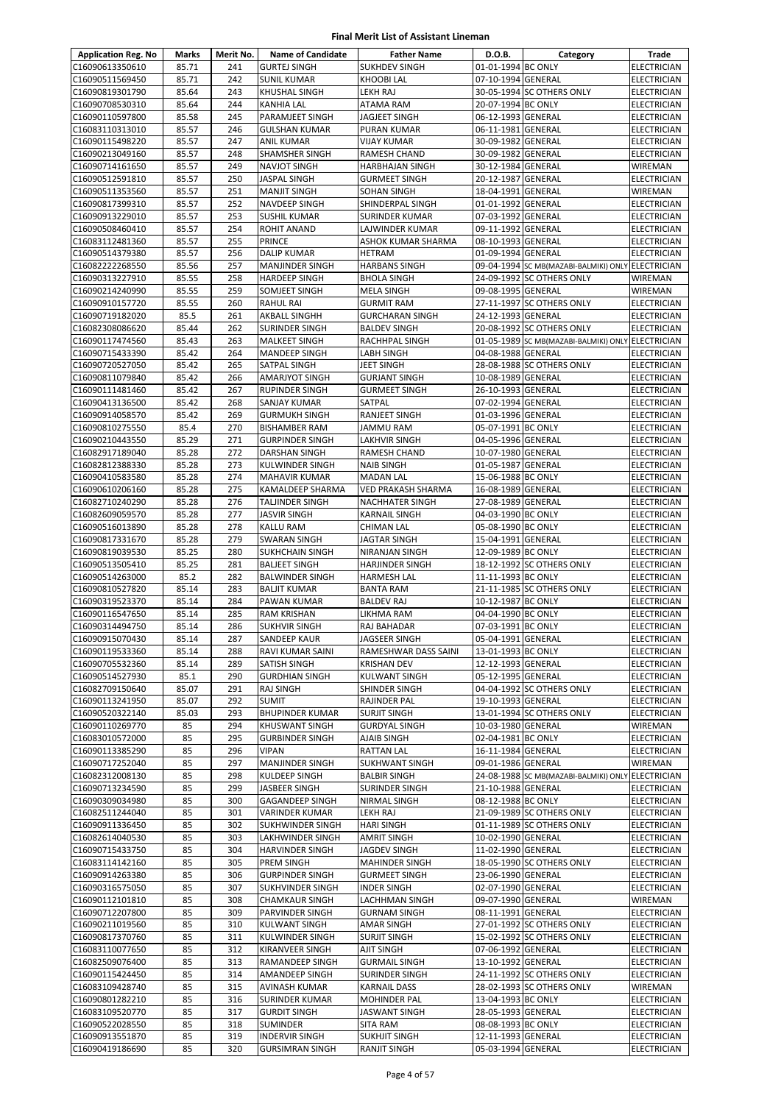| <b>Application Reg. No</b>         | Marks          | Merit No.  | <b>Name of Candidate</b>                    | <b>Father Name</b>                         | D.O.B.                                   | Category                                          | Trade                             |
|------------------------------------|----------------|------------|---------------------------------------------|--------------------------------------------|------------------------------------------|---------------------------------------------------|-----------------------------------|
| C16090613350610                    | 85.71          | 241        | <b>GURTEJ SINGH</b>                         | <b>SUKHDEV SINGH</b>                       | 01-01-1994 BC ONLY                       |                                                   | <b>ELECTRICIAN</b>                |
| C16090511569450                    | 85.71          | 242        | <b>SUNIL KUMAR</b>                          | <b>KHOOBI LAL</b>                          | 07-10-1994 GENERAL                       |                                                   | ELECTRICIAN                       |
| C16090819301790                    | 85.64          | 243        | <b>KHUSHAL SINGH</b>                        | LEKH RAJ                                   |                                          | 30-05-1994 SC OTHERS ONLY                         | ELECTRICIAN                       |
| C16090708530310                    | 85.64          | 244        | <b>KANHIA LAL</b>                           | ATAMA RAM                                  | 20-07-1994 BC ONLY                       |                                                   | ELECTRICIAN                       |
| C16090110597800                    | 85.58          | 245        | PARAMJEET SINGH                             | <b>JAGJEET SINGH</b>                       | 06-12-1993 GENERAL                       |                                                   | ELECTRICIAN                       |
| C16083110313010                    | 85.57          | 246        | <b>GULSHAN KUMAR</b>                        | <b>PURAN KUMAR</b>                         | 06-11-1981 GENERAL                       |                                                   | ELECTRICIAN                       |
| C16090115498220                    | 85.57          | 247        | <b>ANIL KUMAR</b>                           | <b>VIJAY KUMAR</b>                         | 30-09-1982 GENERAL                       |                                                   | <b>ELECTRICIAN</b>                |
| C16090213049160                    | 85.57          | 248        | SHAMSHER SINGH                              | <b>RAMESH CHAND</b>                        | 30-09-1982 GENERAL                       |                                                   | ELECTRICIAN                       |
| C16090714161650                    | 85.57          | 249        | <b>NAVJOT SINGH</b>                         | <b>HARBHAJAN SINGH</b>                     | 30-12-1984 GENERAL                       |                                                   | WIREMAN                           |
| C16090512591810                    | 85.57          | 250        | <b>JASPAL SINGH</b>                         | <b>GURMEET SINGH</b>                       | 20-12-1987 GENERAL                       |                                                   | ELECTRICIAN                       |
| C16090511353560                    | 85.57          | 251        | <b>MANJIT SINGH</b>                         | SOHAN SINGH                                | 18-04-1991 GENERAL                       |                                                   | WIREMAN                           |
| C16090817399310                    | 85.57          | 252        | <b>NAVDEEP SINGH</b>                        | SHINDERPAL SINGH                           | 01-01-1992 GENERAL                       |                                                   | <b>ELECTRICIAN</b>                |
| C16090913229010                    | 85.57          | 253        | <b>SUSHIL KUMAR</b>                         | <b>SURINDER KUMAR</b>                      | 07-03-1992 GENERAL                       |                                                   | <b>ELECTRICIAN</b>                |
| C16090508460410                    | 85.57          | 254        | <b>ROHIT ANAND</b>                          | LAJWINDER KUMAR                            | 09-11-1992 GENERAL                       |                                                   | ELECTRICIAN                       |
| C16083112481360<br>C16090514379380 | 85.57<br>85.57 | 255<br>256 | PRINCE<br><b>DALIP KUMAR</b>                | ASHOK KUMAR SHARMA<br><b>HETRAM</b>        | 08-10-1993 GENERAL<br>01-09-1994 GENERAL |                                                   | ELECTRICIAN<br>ELECTRICIAN        |
| C16082222268550                    | 85.56          | 257        | <b>MANJINDER SINGH</b>                      | <b>HARBANS SINGH</b>                       |                                          | 09-04-1994 SC MB(MAZABI-BALMIKI) ONLY ELECTRICIAN |                                   |
| C16090313227910                    | 85.55          | 258        | <b>HARDEEP SINGH</b>                        | <b>BHOLA SINGH</b>                         |                                          | 24-09-1992 SC OTHERS ONLY                         | WIREMAN                           |
| C16090214240990                    | 85.55          | 259        | SOMJEET SINGH                               | <b>MELA SINGH</b>                          | 09-08-1995 GENERAL                       |                                                   | WIREMAN                           |
| C16090910157720                    | 85.55          | 260        | <b>RAHUL RAI</b>                            | <b>GURMIT RAM</b>                          |                                          | 27-11-1997 SC OTHERS ONLY                         | <b>ELECTRICIAN</b>                |
| C16090719182020                    | 85.5           | 261        | AKBALL SINGHH                               | <b>GURCHARAN SINGH</b>                     | 24-12-1993 GENERAL                       |                                                   | ELECTRICIAN                       |
| C16082308086620                    | 85.44          | 262        | SURINDER SINGH                              | <b>BALDEV SINGH</b>                        |                                          | 20-08-1992 SC OTHERS ONLY                         | ELECTRICIAN                       |
| C16090117474560                    | 85.43          | 263        | <b>MALKEET SINGH</b>                        | <b>RACHHPAL SINGH</b>                      |                                          | 01-05-1989 SC MB(MAZABI-BALMIKI) ONLY             | <b>ELECTRICIAN</b>                |
| C16090715433390                    | 85.42          | 264        | <b>MANDEEP SINGH</b>                        | <b>LABH SINGH</b>                          | 04-08-1988 GENERAL                       |                                                   | ELECTRICIAN                       |
| C16090720527050                    | 85.42          | 265        | SATPAL SINGH                                | JEET SINGH                                 |                                          | 28-08-1988 SC OTHERS ONLY                         | <b>ELECTRICIAN</b>                |
| C16090811079840                    | 85.42          | 266        | <b>AMARJYOT SINGH</b>                       | <b>GURJANT SINGH</b>                       | 10-08-1989 GENERAL                       |                                                   | <b>ELECTRICIAN</b>                |
| C16090111481460                    | 85.42          | 267        | RUPINDER SINGH                              | <b>GURMEET SINGH</b>                       | 26-10-1993 GENERAL                       |                                                   | ELECTRICIAN                       |
| C16090413136500                    | 85.42          | 268        | SANJAY KUMAR                                | SATPAL                                     | 07-02-1994 GENERAL                       |                                                   | ELECTRICIAN                       |
| C16090914058570                    | 85.42          | 269        | <b>GURMUKH SINGH</b>                        | RANJEET SINGH                              | 01-03-1996 GENERAL                       |                                                   | ELECTRICIAN                       |
| C16090810275550                    | 85.4           | 270        | <b>BISHAMBER RAM</b>                        | <b>JAMMU RAM</b>                           | 05-07-1991 BC ONLY                       |                                                   | ELECTRICIAN                       |
| C16090210443550                    | 85.29          | 271        | <b>GURPINDER SINGH</b>                      | LAKHVIR SINGH                              | 04-05-1996 GENERAL                       |                                                   | ELECTRICIAN                       |
| C16082917189040                    | 85.28          | 272        | DARSHAN SINGH                               | <b>RAMESH CHAND</b>                        | 10-07-1980 GENERAL                       |                                                   | ELECTRICIAN                       |
| C16082812388330                    | 85.28          | 273        | <b>KULWINDER SINGH</b>                      | <b>NAIB SINGH</b>                          | 01-05-1987 GENERAL                       |                                                   | ELECTRICIAN                       |
| C16090410583580                    | 85.28          | 274        | <b>MAHAVIR KUMAR</b>                        | <b>MADAN LAL</b>                           | 15-06-1988 BC ONLY                       |                                                   | ELECTRICIAN                       |
| C16090610206160                    | 85.28          | 275        | KAMALDEEP SHARMA                            | VED PRAKASH SHARMA                         | 16-08-1989 GENERAL                       |                                                   | ELECTRICIAN                       |
| C16082710240290                    | 85.28          | 276        | <b>TALJINDER SINGH</b>                      | <b>NACHHATER SINGH</b>                     | 27-08-1989 GENERAL                       |                                                   | ELECTRICIAN                       |
| C16082609059570                    | 85.28          | 277        | <b>JASVIR SINGH</b>                         | <b>KARNAIL SINGH</b>                       | 04-03-1990 BC ONLY                       |                                                   | <b>ELECTRICIAN</b>                |
| C16090516013890                    | 85.28          | 278        | <b>KALLU RAM</b>                            | <b>CHIMAN LAL</b>                          | 05-08-1990 BC ONLY                       |                                                   | ELECTRICIAN                       |
| C16090817331670                    | 85.28          | 279        | <b>SWARAN SINGH</b>                         | JAGTAR SINGH                               | 15-04-1991 GENERAL                       |                                                   | <b>ELECTRICIAN</b>                |
| C16090819039530                    | 85.25          | 280        | <b>SUKHCHAIN SINGH</b>                      | NIRANJAN SINGH                             | 12-09-1989 BC ONLY                       |                                                   | ELECTRICIAN                       |
| C16090513505410                    | 85.25          | 281        | <b>BALJEET SINGH</b>                        | <b>HARJINDER SINGH</b>                     |                                          | 18-12-1992 SC OTHERS ONLY                         | ELECTRICIAN                       |
| C16090514263000                    | 85.2           | 282        | <b>BALWINDER SINGH</b>                      | HARMESH LAL                                | 11-11-1993 BC ONLY                       |                                                   | ELECTRICIAN                       |
| C16090810527820                    | 85.14          | 283        | <b>BALJIT KUMAR</b>                         | <b>BANTA RAM</b>                           |                                          | 21-11-1985 SC OTHERS ONLY                         | <b>ELECTRICIAN</b>                |
| C16090319523370                    | 85.14          | 284        | PAWAN KUMAR                                 | <b>BALDEV RAJ</b>                          | 10-12-1987 BC ONLY                       |                                                   | <b>ELECTRICIAN</b>                |
| C16090116547650                    | 85.14          | 285<br>286 | <b>RAM KRISHAN</b>                          | LIKHMA RAM                                 | 04-04-1990 BC ONLY                       |                                                   | ELECTRICIAN                       |
| C16090314494750<br>C16090915070430 | 85.14<br>85.14 | 287        | <b>SUKHVIR SINGH</b><br><b>SANDEEP KAUR</b> | RAJ BAHADAR<br><b>JAGSEER SINGH</b>        | 07-03-1991 BC ONLY<br>05-04-1991 GENERAL |                                                   | ELECTRICIAN<br><b>ELECTRICIAN</b> |
| C16090119533360                    | 85.14          | 288        | RAVI KUMAR SAINI                            | RAMESHWAR DASS SAINI                       | 13-01-1993 BC ONLY                       |                                                   | <b>ELECTRICIAN</b>                |
| C16090705532360                    | 85.14          | 289        | <b>SATISH SINGH</b>                         | <b>KRISHAN DEV</b>                         | 12-12-1993 GENERAL                       |                                                   | <b>ELECTRICIAN</b>                |
| C16090514527930                    | 85.1           | 290        | <b>GURDHIAN SINGH</b>                       | <b>KULWANT SINGH</b>                       | 05-12-1995 GENERAL                       |                                                   | ELECTRICIAN                       |
| C16082709150640                    | 85.07          | 291        | <b>RAJ SINGH</b>                            | SHINDER SINGH                              |                                          | 04-04-1992 SC OTHERS ONLY                         | ELECTRICIAN                       |
| C16090113241950                    | 85.07          | 292        | <b>SUMIT</b>                                | RAJINDER PAL                               | 19-10-1993 GENERAL                       |                                                   | <b>ELECTRICIAN</b>                |
| C16090520322140                    | 85.03          | 293        | <b>BHUPINDER KUMAR</b>                      | SURJIT SINGH                               |                                          | 13-01-1994 SC OTHERS ONLY                         | ELECTRICIAN                       |
| C16090110269770                    | 85             | 294        | <b>KHUSWANT SINGH</b>                       | <b>GURDYAL SINGH</b>                       | 10-03-1980 GENERAL                       |                                                   | WIREMAN                           |
| C16083010572000                    | 85             | 295        | <b>GURBINDER SINGH</b>                      | <b>AJAIB SINGH</b>                         | 02-04-1981 BC ONLY                       |                                                   | ELECTRICIAN                       |
| C16090113385290                    | 85             | 296        | <b>VIPAN</b>                                | <b>RATTAN LAL</b>                          | 16-11-1984 GENERAL                       |                                                   | ELECTRICIAN                       |
| C16090717252040                    | 85             | 297        | <b>MANJINDER SINGH</b>                      | <b>SUKHWANT SINGH</b>                      | 09-01-1986 GENERAL                       |                                                   | WIREMAN                           |
| C16082312008130                    | 85             | 298        | KULDEEP SINGH                               | <b>BALBIR SINGH</b>                        |                                          | 24-08-1988 SC MB(MAZABI-BALMIKI) ONLY ELECTRICIAN |                                   |
| C16090713234590                    | 85             | 299        | JASBEER SINGH                               | SURINDER SINGH                             | 21-10-1988 GENERAL                       |                                                   | ELECTRICIAN                       |
| C16090309034980                    | 85             | 300        | <b>GAGANDEEP SINGH</b>                      | <b>NIRMAL SINGH</b>                        | 08-12-1988 BC ONLY                       |                                                   | ELECTRICIAN                       |
| C16082511244040                    | 85             | 301        | <b>VARINDER KUMAR</b>                       | <b>LEKH RAJ</b>                            |                                          | 21-09-1989 SC OTHERS ONLY                         | ELECTRICIAN                       |
| C16090911336450                    | 85             | 302        | <b>SUKHWINDER SINGH</b>                     | <b>HARI SINGH</b>                          |                                          | 01-11-1989 SC OTHERS ONLY                         | ELECTRICIAN                       |
| C16082614040530                    | 85             | 303        | LAKHWINDER SINGH                            | AMRIT SINGH                                | 10-02-1990 GENERAL                       |                                                   | ELECTRICIAN                       |
| C16090715433750                    | 85             | 304        | <b>HARVINDER SINGH</b>                      | JAGDEV SINGH                               | 11-02-1990 GENERAL                       |                                                   | ELECTRICIAN                       |
| C16083114142160                    | 85             | 305        | <b>PREM SINGH</b>                           | <b>MAHINDER SINGH</b>                      |                                          | 18-05-1990 SC OTHERS ONLY                         | ELECTRICIAN                       |
| C16090914263380                    | 85             | 306        | <b>GURPINDER SINGH</b>                      | <b>GURMEET SINGH</b>                       | 23-06-1990 GENERAL                       |                                                   | ELECTRICIAN                       |
| C16090316575050                    | 85             | 307        | SUKHVINDER SINGH                            | <b>INDER SINGH</b>                         | 02-07-1990 GENERAL                       |                                                   | ELECTRICIAN                       |
| C16090112101810                    | 85             | 308        | <b>CHAMKAUR SINGH</b>                       | LACHHMAN SINGH                             | 09-07-1990 GENERAL                       |                                                   | WIREMAN                           |
| C16090712207800                    | 85             | 309        | PARVINDER SINGH                             | <b>GURNAM SINGH</b>                        | 08-11-1991 GENERAL                       |                                                   | ELECTRICIAN                       |
| C16090211019560                    | 85             | 310        | <b>KULWANT SINGH</b>                        | <b>AMAR SINGH</b>                          |                                          | 27-01-1992 SC OTHERS ONLY                         | ELECTRICIAN                       |
| C16090817370760                    | 85             | 311        | <b>KULWINDER SINGH</b>                      | <b>SURJIT SINGH</b>                        |                                          | 15-02-1992 SC OTHERS ONLY                         | ELECTRICIAN                       |
| C16083110077650                    | 85             | 312        | KIRANVEER SINGH                             | AJIT SINGH                                 | 07-06-1992 GENERAL                       |                                                   | <b>ELECTRICIAN</b>                |
| C16082509076400                    | 85             | 313        | RAMANDEEP SINGH                             | <b>GURMAIL SINGH</b>                       | 13-10-1992 GENERAL                       |                                                   | ELECTRICIAN                       |
| C16090115424450                    | 85             | 314        | <b>AMANDEEP SINGH</b>                       | <b>SURINDER SINGH</b>                      |                                          | 24-11-1992 SC OTHERS ONLY                         | <b>ELECTRICIAN</b>                |
| C16083109428740                    | 85             | 315<br>316 | AVINASH KUMAR<br><b>SURINDER KUMAR</b>      | <b>KARNAIL DASS</b><br><b>MOHINDER PAL</b> | 13-04-1993 BC ONLY                       | 28-02-1993 SC OTHERS ONLY                         | WIREMAN                           |
| C16090801282210<br>C16083109520770 | 85<br>85       | 317        | <b>GURDIT SINGH</b>                         | <b>JASWANT SINGH</b>                       | 28-05-1993 GENERAL                       |                                                   | ELECTRICIAN<br>ELECTRICIAN        |
| C16090522028550                    | 85             | 318        | SUMINDER                                    | <b>SITA RAM</b>                            | 08-08-1993 BC ONLY                       |                                                   | ELECTRICIAN                       |
| C16090913551870                    | 85             | 319        | <b>INDERVIR SINGH</b>                       | SUKHJIT SINGH                              | 12-11-1993 GENERAL                       |                                                   | ELECTRICIAN                       |
| C16090419186690                    | 85             | 320        | <b>GURSIMRAN SINGH</b>                      | <b>RANJIT SINGH</b>                        | 05-03-1994 GENERAL                       |                                                   | ELECTRICIAN                       |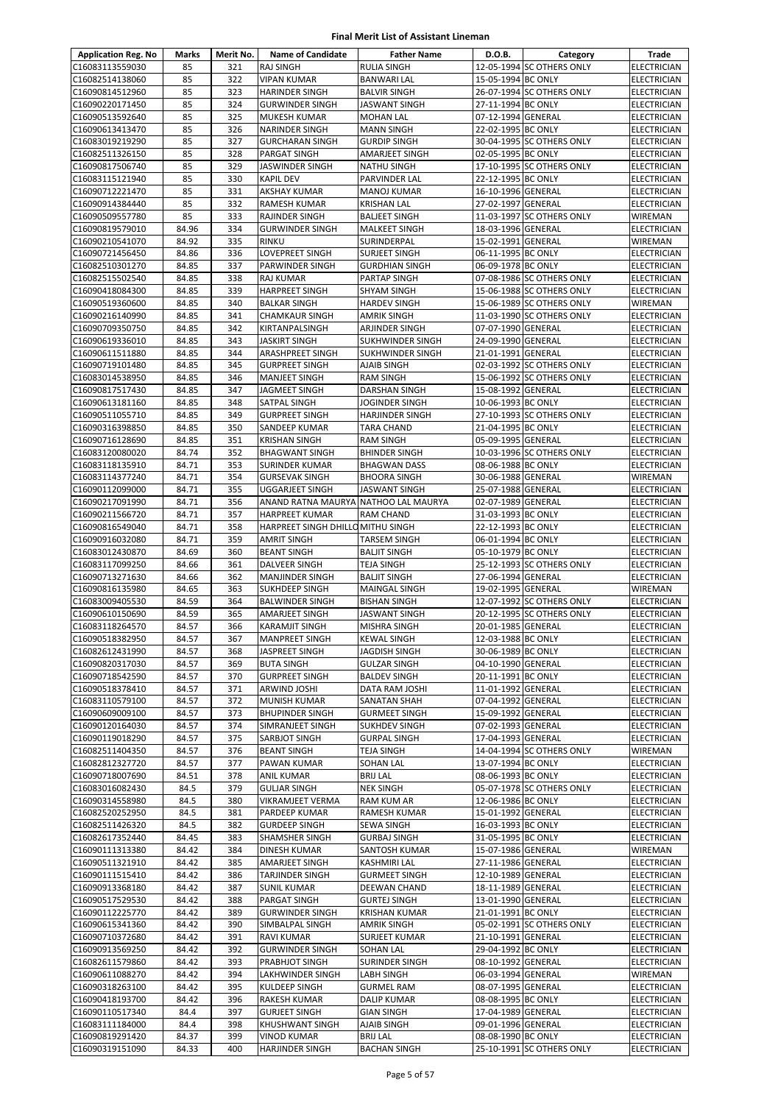| <b>Application Reg. No</b>         | Marks          | Merit No.  | <b>Name of Candidate</b>                        | <b>Father Name</b>                       | D.O.B.                                   | Category                  | Trade                                    |
|------------------------------------|----------------|------------|-------------------------------------------------|------------------------------------------|------------------------------------------|---------------------------|------------------------------------------|
| C16083113559030                    | 85             | 321        | <b>RAJ SINGH</b>                                | <b>RULIA SINGH</b>                       |                                          | 12-05-1994 SC OTHERS ONLY | <b>ELECTRICIAN</b>                       |
| C16082514138060                    | 85             | 322        | <b>VIPAN KUMAR</b>                              | <b>BANWARI LAL</b>                       | 15-05-1994 BC ONLY                       |                           | ELECTRICIAN                              |
| C16090814512960                    | 85             | 323        | <b>HARINDER SINGH</b>                           | <b>BALVIR SINGH</b>                      |                                          | 26-07-1994 SC OTHERS ONLY | ELECTRICIAN                              |
| C16090220171450                    | 85             | 324        | <b>GURWINDER SINGH</b>                          | JASWANT SINGH                            | 27-11-1994 BC ONLY                       |                           | ELECTRICIAN                              |
| C16090513592640                    | 85             | 325        | MUKESH KUMAR                                    | <b>MOHAN LAL</b>                         | 07-12-1994 GENERAL                       |                           | <b>ELECTRICIAN</b>                       |
| C16090613413470                    | 85             | 326        | <b>NARINDER SINGH</b>                           | <b>MANN SINGH</b>                        | 22-02-1995 BC ONLY                       |                           | <b>ELECTRICIAN</b>                       |
| C16083019219290                    | 85             | 327        | <b>GURCHARAN SINGH</b>                          | <b>GURDIP SINGH</b>                      |                                          | 30-04-1995 SC OTHERS ONLY | <b>ELECTRICIAN</b>                       |
| C16082511326150                    | 85             | 328        | PARGAT SINGH                                    | AMARJEET SINGH                           | 02-05-1995 BC ONLY                       |                           | ELECTRICIAN                              |
| C16090817506740                    | 85             | 329        | <b>JASWINDER SINGH</b>                          | <b>NATHU SINGH</b>                       |                                          | 17-10-1995 SC OTHERS ONLY | <b>ELECTRICIAN</b>                       |
| C16083115121940                    | 85             | 330        | <b>KAPIL DEV</b>                                | PARVINDER LAL                            | 22-12-1995 BC ONLY                       |                           | <b>ELECTRICIAN</b>                       |
| C16090712221470<br>C16090914384440 | 85<br>85       | 331<br>332 | AKSHAY KUMAR<br>RAMESH KUMAR                    | <b>MANOJ KUMAR</b><br><b>KRISHAN LAL</b> | 16-10-1996 GENERAL<br>27-02-1997 GENERAL |                           | <b>ELECTRICIAN</b><br><b>ELECTRICIAN</b> |
| C16090509557780                    | 85             | 333        | <b>RAJINDER SINGH</b>                           | <b>BALJEET SINGH</b>                     |                                          | 11-03-1997 SC OTHERS ONLY | WIREMAN                                  |
| C16090819579010                    | 84.96          | 334        | <b>GURWINDER SINGH</b>                          | <b>MALKEET SINGH</b>                     | 18-03-1996 GENERAL                       |                           | <b>ELECTRICIAN</b>                       |
| C16090210541070                    | 84.92          | 335        | <b>RINKU</b>                                    | SURINDERPAL                              | 15-02-1991 GENERAL                       |                           | WIREMAN                                  |
| C16090721456450                    | 84.86          | 336        | LOVEPREET SINGH                                 | <b>SURJEET SINGH</b>                     | 06-11-1995 BC ONLY                       |                           | <b>ELECTRICIAN</b>                       |
| C16082510301270                    | 84.85          | 337        | PARWINDER SINGH                                 | <b>GURDHIAN SINGH</b>                    | 06-09-1978 BC ONLY                       |                           | <b>ELECTRICIAN</b>                       |
| C16082515502540                    | 84.85          | 338        | RAJ KUMAR                                       | PARTAP SINGH                             |                                          | 07-08-1986 SC OTHERS ONLY | ELECTRICIAN                              |
| C16090418084300                    | 84.85          | 339        | <b>HARPREET SINGH</b>                           | <b>SHYAM SINGH</b>                       |                                          | 15-06-1988 SC OTHERS ONLY | <b>ELECTRICIAN</b>                       |
| C16090519360600                    | 84.85          | 340        | <b>BALKAR SINGH</b>                             | <b>HARDEV SINGH</b>                      |                                          | 15-06-1989 SC OTHERS ONLY | WIREMAN                                  |
| C16090216140990                    | 84.85          | 341        | <b>CHAMKAUR SINGH</b>                           | <b>AMRIK SINGH</b>                       |                                          | 11-03-1990 SC OTHERS ONLY | ELECTRICIAN                              |
| C16090709350750                    | 84.85          | 342        | KIRTANPALSINGH                                  | ARJINDER SINGH                           | 07-07-1990 GENERAL                       |                           | ELECTRICIAN                              |
| C16090619336010                    | 84.85          | 343        | <b>JASKIRT SINGH</b>                            | SUKHWINDER SINGH                         | 24-09-1990 GENERAL                       |                           | <b>ELECTRICIAN</b>                       |
| C16090611511880                    | 84.85          | 344        | ARASHPREET SINGH                                | SUKHWINDER SINGH                         | 21-01-1991 GENERAL                       |                           | <b>ELECTRICIAN</b>                       |
| C16090719101480                    | 84.85          | 345        | <b>GURPREET SINGH</b>                           | AJAIB SINGH                              |                                          | 02-03-1992 SC OTHERS ONLY | <b>ELECTRICIAN</b>                       |
| C16083014538950                    | 84.85<br>84.85 | 346        | <b>MANJEET SINGH</b><br>JAGMEET SINGH           | <b>RAM SINGH</b>                         |                                          | 15-06-1992 SC OTHERS ONLY | <b>ELECTRICIAN</b>                       |
| C16090817517430<br>C16090613181160 | 84.85          | 347<br>348 | SATPAL SINGH                                    | DARSHAN SINGH<br>JOGINDER SINGH          | 15-08-1992 GENERAL<br>10-06-1993 BC ONLY |                           | ELECTRICIAN<br><b>ELECTRICIAN</b>        |
| C16090511055710                    | 84.85          | 349        | <b>GURPREET SINGH</b>                           | <b>HARJINDER SINGH</b>                   |                                          | 27-10-1993 SC OTHERS ONLY | ELECTRICIAN                              |
| C16090316398850                    | 84.85          | 350        | SANDEEP KUMAR                                   | <b>TARA CHAND</b>                        | 21-04-1995 BC ONLY                       |                           | <b>ELECTRICIAN</b>                       |
| C16090716128690                    | 84.85          | 351        | <b>KRISHAN SINGH</b>                            | <b>RAM SINGH</b>                         | 05-09-1995 GENERAL                       |                           | <b>ELECTRICIAN</b>                       |
| C16083120080020                    | 84.74          | 352        | <b>BHAGWANT SINGH</b>                           | <b>BHINDER SINGH</b>                     |                                          | 10-03-1996 SC OTHERS ONLY | <b>ELECTRICIAN</b>                       |
| C16083118135910                    | 84.71          | 353        | <b>SURINDER KUMAR</b>                           | <b>BHAGWAN DASS</b>                      | 08-06-1988 BC ONLY                       |                           | ELECTRICIAN                              |
| C16083114377240                    | 84.71          | 354        | <b>GURSEVAK SINGH</b>                           | <b>BHOORA SINGH</b>                      | 30-06-1988 GENERAL                       |                           | WIREMAN                                  |
| C16090112099000                    | 84.71          | 355        | <b>UGGARJEET SINGH</b>                          | JASWANT SINGH                            | 25-07-1988 GENERAL                       |                           | <b>ELECTRICIAN</b>                       |
| C16090217091990                    | 84.71          | 356        | ANAND RATNA MAURYA NATHOO LAL MAURYA            |                                          | 02-07-1989 GENERAL                       |                           | <b>ELECTRICIAN</b>                       |
| C16090211566720                    | 84.71          | 357        | <b>HARPREET KUMAR</b>                           | RAM CHAND                                | 31-03-1993 BC ONLY                       |                           | <b>ELECTRICIAN</b>                       |
| C16090816549040                    | 84.71          | 358        | HARPREET SINGH DHILLO MITHU SINGH               |                                          | 22-12-1993 BC ONLY                       |                           | <b>ELECTRICIAN</b>                       |
| C16090916032080                    | 84.71          | 359        | AMRIT SINGH                                     | TARSEM SINGH                             | 06-01-1994 BC ONLY                       |                           | ELECTRICIAN                              |
| C16083012430870                    | 84.69          | 360        | <b>BEANT SINGH</b>                              | <b>BALJIT SINGH</b>                      | 05-10-1979 BC ONLY                       |                           | <b>ELECTRICIAN</b>                       |
| C16083117099250                    | 84.66          | 361        | DALVEER SINGH                                   | TEJA SINGH                               |                                          | 25-12-1993 SC OTHERS ONLY | ELECTRICIAN                              |
| C16090713271630<br>C16090816135980 | 84.66<br>84.65 | 362<br>363 | <b>MANJINDER SINGH</b><br><b>SUKHDEEP SINGH</b> | <b>BALJIT SINGH</b><br>MAINGAL SINGH     | 27-06-1994 GENERAL<br>19-02-1995 GENERAL |                           | <b>ELECTRICIAN</b><br>WIREMAN            |
| C16083009405530                    | 84.59          | 364        | <b>BALWINDER SINGH</b>                          | <b>BISHAN SINGH</b>                      |                                          | 12-07-1992 SC OTHERS ONLY | <b>ELECTRICIAN</b>                       |
| C16090610150690                    | 84.59          | 365        | AMARJEET SINGH                                  | JASWANT SINGH                            |                                          | 20-12-1995 SC OTHERS ONLY | ELECTRICIAN                              |
| C16083118264570                    | 84.57          | 366        | <b>KARAMJIT SINGH</b>                           | MISHRA SINGH                             | 20-01-1985 GENERAL                       |                           | <b>ELECTRICIAN</b>                       |
| C16090518382950                    | 84.57          | 367        | <b>MANPREET SINGH</b>                           | <b>KEWAL SINGH</b>                       | 12-03-1988 BC ONLY                       |                           | <b>ELECTRICIAN</b>                       |
| C16082612431990                    | 84.57          | 368        | <b>JASPREET SINGH</b>                           | JAGDISH SINGH                            | 30-06-1989 BC ONLY                       |                           | <b>ELECTRICIAN</b>                       |
| C16090820317030                    | 84.57          | 369        | <b>BUTA SINGH</b>                               | <b>GULZAR SINGH</b>                      | 04-10-1990 GENERAL                       |                           | <b>ELECTRICIAN</b>                       |
| C16090718542590                    | 84.57          | 370        | <b>GURPREET SINGH</b>                           | <b>BALDEV SINGH</b>                      | 20-11-1991 BC ONLY                       |                           | ELECTRICIAN                              |
| C16090518378410                    | 84.57          | 371        | ARWIND JOSHI                                    | DATA RAM JOSHI                           | 11-01-1992 GENERAL                       |                           | <b>ELECTRICIAN</b>                       |
| C16083110579100                    | 84.57          | 372        | MUNISH KUMAR                                    | <b>SANATAN SHAH</b>                      | 07-04-1992 GENERAL                       |                           | ELECTRICIAN                              |
| C16090609009100                    | 84.57          | 373        | <b>BHUPINDER SINGH</b>                          | <b>GURMEET SINGH</b>                     | 15-09-1992 GENERAL                       |                           | ELECTRICIAN                              |
| C16090120164030                    | 84.57          | 374        | SIMRANJEET SINGH                                | SUKHDEV SINGH                            | 07-02-1993 GENERAL                       |                           | <b>ELECTRICIAN</b>                       |
| C16090119018290                    | 84.57          | 375        | <b>SARBJOT SINGH</b>                            | <b>GURPAL SINGH</b>                      | 17-04-1993 GENERAL                       |                           | <b>ELECTRICIAN</b>                       |
| C16082511404350<br>C16082812327720 | 84.57<br>84.57 | 376<br>377 | <b>BEANT SINGH</b><br>PAWAN KUMAR               | <b>TEJA SINGH</b><br><b>SOHAN LAL</b>    |                                          | 14-04-1994 SC OTHERS ONLY | WIREMAN<br>ELECTRICIAN                   |
| C16090718007690                    | 84.51          | 378        | ANIL KUMAR                                      | <b>BRIJ LAL</b>                          | 13-07-1994 BC ONLY<br>08-06-1993 BC ONLY |                           | ELECTRICIAN                              |
| C16083016082430                    | 84.5           | 379        | <b>GULJAR SINGH</b>                             | <b>NEK SINGH</b>                         |                                          | 05-07-1978 SC OTHERS ONLY | <b>ELECTRICIAN</b>                       |
| C16090314558980                    | 84.5           | 380        | VIKRAMJEET VERMA                                | RAM KUM AR                               | 12-06-1986 BC ONLY                       |                           | ELECTRICIAN                              |
| C16082520252950                    | 84.5           | 381        | PARDEEP KUMAR                                   | RAMESH KUMAR                             | 15-01-1992 GENERAL                       |                           | <b>ELECTRICIAN</b>                       |
| C16082511426320                    | 84.5           | 382        | <b>GURDEEP SINGH</b>                            | SEWA SINGH                               | 16-03-1993 BC ONLY                       |                           | ELECTRICIAN                              |
| C16082617352440                    | 84.45          | 383        | SHAMSHER SINGH                                  | <b>GURBAJ SINGH</b>                      | 31-05-1995 BC ONLY                       |                           | ELECTRICIAN                              |
| C16090111313380                    | 84.42          | 384        | DINESH KUMAR                                    | SANTOSH KUMAR                            | 15-07-1986 GENERAL                       |                           | WIREMAN                                  |
| C16090511321910                    | 84.42          | 385        | AMARJEET SINGH                                  | KASHMIRI LAL                             | 27-11-1986 GENERAL                       |                           | ELECTRICIAN                              |
| C16090111515410                    | 84.42          | 386        | <b>TARJINDER SINGH</b>                          | <b>GURMEET SINGH</b>                     | 12-10-1989 GENERAL                       |                           | ELECTRICIAN                              |
| C16090913368180                    | 84.42          | 387        | <b>SUNIL KUMAR</b>                              | DEEWAN CHAND                             | 18-11-1989 GENERAL                       |                           | ELECTRICIAN                              |
| C16090517529530                    | 84.42          | 388        | PARGAT SINGH                                    | <b>GURTEJ SINGH</b>                      | 13-01-1990 GENERAL                       |                           | <b>ELECTRICIAN</b>                       |
| C16090112225770                    | 84.42          | 389        | <b>GURWINDER SINGH</b>                          | <b>KRISHAN KUMAR</b>                     | 21-01-1991 BC ONLY                       |                           | ELECTRICIAN                              |
| C16090615341360                    | 84.42          | 390        | SIMBALPAL SINGH                                 | AMRIK SINGH                              |                                          | 05-02-1991 SC OTHERS ONLY | ELECTRICIAN                              |
| C16090710372680                    | 84.42          | 391        | <b>RAVI KUMAR</b>                               | SURJEET KUMAR                            | 21-10-1991 GENERAL                       |                           | <b>ELECTRICIAN</b>                       |
| C16090913569250<br>C16082611579860 | 84.42<br>84.42 | 392<br>393 | <b>GURWINDER SINGH</b><br><b>PRABHJOT SINGH</b> | SOHAN LAL<br>SURINDER SINGH              | 29-04-1992 BC ONLY<br>08-10-1992 GENERAL |                           | ELECTRICIAN<br><b>ELECTRICIAN</b>        |
| C16090611088270                    | 84.42          | 394        | LAKHWINDER SINGH                                | <b>LABH SINGH</b>                        | 06-03-1994 GENERAL                       |                           | WIREMAN                                  |
| C16090318263100                    | 84.42          | 395        | KULDEEP SINGH                                   | <b>GURMEL RAM</b>                        | 08-07-1995 GENERAL                       |                           | ELECTRICIAN                              |
| C16090418193700                    | 84.42          | 396        | RAKESH KUMAR                                    | DALIP KUMAR                              | 08-08-1995 BC ONLY                       |                           | ELECTRICIAN                              |
| C16090110517340                    | 84.4           | 397        | <b>GURJEET SINGH</b>                            | <b>GIAN SINGH</b>                        | 17-04-1989 GENERAL                       |                           | ELECTRICIAN                              |
| C16083111184000                    | 84.4           | 398        | KHUSHWANT SINGH                                 | AJAIB SINGH                              | 09-01-1996 GENERAL                       |                           | ELECTRICIAN                              |
| C16090819291420                    | 84.37          | 399        | <b>VINOD KUMAR</b>                              | <b>BRIJ LAL</b>                          | 08-08-1990 BC ONLY                       |                           | ELECTRICIAN                              |
| C16090319151090                    | 84.33          | 400        | HARJINDER SINGH                                 | <b>BACHAN SINGH</b>                      |                                          | 25-10-1991 SC OTHERS ONLY | ELECTRICIAN                              |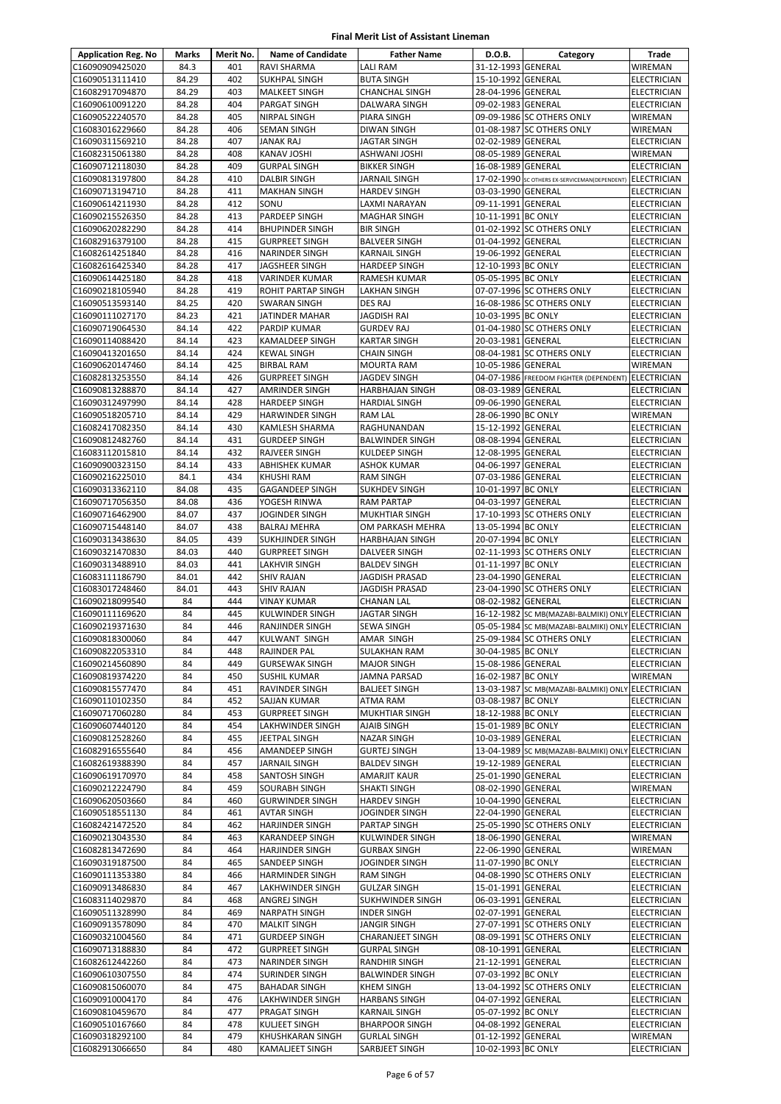| <b>Application Reg. No</b>         | Marks          | Merit No.  | <b>Name of Candidate</b>                         | <b>Father Name</b>                           | D.O.B.                                   | Category                                                                       | Trade                      |
|------------------------------------|----------------|------------|--------------------------------------------------|----------------------------------------------|------------------------------------------|--------------------------------------------------------------------------------|----------------------------|
| C16090909425020                    | 84.3           | 401        | <b>RAVI SHARMA</b>                               | <b>LALI RAM</b>                              | 31-12-1993 GENERAL                       |                                                                                | WIREMAN                    |
| C16090513111410                    | 84.29          | 402        | <b>SUKHPAL SINGH</b>                             | <b>BUTA SINGH</b>                            | 15-10-1992 GENERAL                       |                                                                                | <b>ELECTRICIAN</b>         |
| C16082917094870                    | 84.29          | 403        | <b>MALKEET SINGH</b>                             | CHANCHAL SINGH                               | 28-04-1996 GENERAL                       |                                                                                | ELECTRICIAN                |
| C16090610091220                    | 84.28          | 404        | PARGAT SINGH                                     | DALWARA SINGH                                | 09-02-1983 GENERAL                       |                                                                                | ELECTRICIAN                |
| C16090522240570                    | 84.28          | 405        | NIRPAL SINGH                                     | PIARA SINGH                                  |                                          | 09-09-1986 SC OTHERS ONLY                                                      | WIREMAN                    |
| C16083016229660                    | 84.28          | 406        | <b>SEMAN SINGH</b>                               | <b>DIWAN SINGH</b>                           |                                          | 01-08-1987 SC OTHERS ONLY                                                      | WIREMAN                    |
| C16090311569210                    | 84.28          | 407        | <b>JANAK RAJ</b>                                 | <b>JAGTAR SINGH</b>                          | 02-02-1989 GENERAL                       |                                                                                | <b>ELECTRICIAN</b>         |
| C16082315061380                    | 84.28          | 408        | <b>KANAV JOSHI</b>                               | ASHWANI JOSHI                                | 08-05-1989 GENERAL                       |                                                                                | WIREMAN                    |
| C16090712118030                    | 84.28          | 409        | <b>GURPAL SINGH</b>                              | <b>BIKKER SINGH</b>                          | 16-08-1989 GENERAL                       |                                                                                | ELECTRICIAN                |
| C16090813197800                    | 84.28          | 410        | <b>DALBIR SINGH</b>                              | <b>JARNAIL SINGH</b>                         |                                          | 17-02-1990 SC OTHERS EX-SERVICEMAN(DEPENDENT)                                  | <b>ELECTRICIAN</b>         |
| C16090713194710                    | 84.28          | 411        | <b>MAKHAN SINGH</b>                              | <b>HARDEV SINGH</b>                          | 03-03-1990 GENERAL                       |                                                                                | ELECTRICIAN                |
| C16090614211930                    | 84.28          | 412        | SONU                                             | LAXMI NARAYAN                                | 09-11-1991 GENERAL                       |                                                                                | <b>ELECTRICIAN</b>         |
| C16090215526350                    | 84.28          | 413        | PARDEEP SINGH                                    | <b>MAGHAR SINGH</b>                          | 10-11-1991 BC ONLY                       |                                                                                | <b>ELECTRICIAN</b>         |
| C16090620282290                    | 84.28          | 414        | <b>BHUPINDER SINGH</b>                           | <b>BIR SINGH</b>                             |                                          | 01-02-1992 SC OTHERS ONLY                                                      | ELECTRICIAN                |
| C16082916379100                    | 84.28<br>84.28 | 415<br>416 | <b>GURPREET SINGH</b>                            | <b>BALVEER SINGH</b>                         | 01-04-1992 GENERAL                       |                                                                                | <b>ELECTRICIAN</b>         |
| C16082614251840                    | 84.28          | 417        | <b>NARINDER SINGH</b>                            | <b>KARNAIL SINGH</b><br><b>HARDEEP SINGH</b> | 19-06-1992 GENERAL<br>12-10-1993 BC ONLY |                                                                                | ELECTRICIAN<br>ELECTRICIAN |
| C16082616425340<br>C16090614425180 | 84.28          | 418        | JAGSHEER SINGH<br>VARINDER KUMAR                 | RAMESH KUMAR                                 | 05-05-1995 BC ONLY                       |                                                                                | <b>ELECTRICIAN</b>         |
| C16090218105940                    | 84.28          | 419        | ROHIT PARTAP SINGH                               | <b>LAKHAN SINGH</b>                          |                                          | 07-07-1996 SC OTHERS ONLY                                                      | ELECTRICIAN                |
| C16090513593140                    | 84.25          | 420        | <b>SWARAN SINGH</b>                              | <b>DES RAJ</b>                               |                                          | 16-08-1986 SC OTHERS ONLY                                                      | <b>ELECTRICIAN</b>         |
| C16090111027170                    | 84.23          | 421        | <b>JATINDER MAHAR</b>                            | <b>JAGDISH RAI</b>                           | 10-03-1995 BC ONLY                       |                                                                                | ELECTRICIAN                |
| C16090719064530                    | 84.14          | 422        | PARDIP KUMAR                                     | <b>GURDEV RAJ</b>                            |                                          | 01-04-1980 SC OTHERS ONLY                                                      | ELECTRICIAN                |
| C16090114088420                    | 84.14          | 423        | <b>KAMALDEEP SINGH</b>                           | <b>KARTAR SINGH</b>                          | 20-03-1981 GENERAL                       |                                                                                | <b>ELECTRICIAN</b>         |
| C16090413201650                    | 84.14          | 424        | <b>KEWAL SINGH</b>                               | <b>CHAIN SINGH</b>                           |                                          | 08-04-1981 SC OTHERS ONLY                                                      | ELECTRICIAN                |
| C16090620147460                    | 84.14          | 425        | <b>BIRBAL RAM</b>                                | <b>MOURTA RAM</b>                            | 10-05-1986 GENERAL                       |                                                                                | WIREMAN                    |
| C16082813253550                    | 84.14          | 426        | <b>GURPREET SINGH</b>                            | <b>JAGDEV SINGH</b>                          |                                          | 04-07-1986 FREEDOM FIGHTER (DEPENDENT)                                         | <b>ELECTRICIAN</b>         |
| C16090813288870                    | 84.14          | 427        | AMRINDER SINGH                                   | <b>HARBHAJAN SINGH</b>                       | 08-03-1989 GENERAL                       |                                                                                | ELECTRICIAN                |
| C16090312497990                    | 84.14          | 428        | <b>HARDEEP SINGH</b>                             | <b>HARDIAL SINGH</b>                         | 09-06-1990 GENERAL                       |                                                                                | ELECTRICIAN                |
| C16090518205710                    | 84.14          | 429        | <b>HARWINDER SINGH</b>                           | <b>RAM LAL</b>                               | 28-06-1990 BC ONLY                       |                                                                                | WIREMAN                    |
| C16082417082350                    | 84.14          | 430        | <b>KAMLESH SHARMA</b>                            | RAGHUNANDAN                                  | 15-12-1992 GENERAL                       |                                                                                | ELECTRICIAN                |
| C16090812482760                    | 84.14          | 431        | <b>GURDEEP SINGH</b>                             | <b>BALWINDER SINGH</b>                       | 08-08-1994 GENERAL                       |                                                                                | ELECTRICIAN                |
| C16083112015810                    | 84.14          | 432        | <b>RAJVEER SINGH</b>                             | <b>KULDEEP SINGH</b>                         | 12-08-1995 GENERAL                       |                                                                                | <b>ELECTRICIAN</b>         |
| C16090900323150                    | 84.14          | 433        | <b>ABHISHEK KUMAR</b>                            | <b>ASHOK KUMAR</b>                           | 04-06-1997 GENERAL                       |                                                                                | ELECTRICIAN                |
| C16090216225010                    | 84.1           | 434        | <b>KHUSHI RAM</b>                                | <b>RAM SINGH</b>                             | 07-03-1986 GENERAL                       |                                                                                | ELECTRICIAN                |
| C16090313362110                    | 84.08          | 435        | <b>GAGANDEEP SINGH</b>                           | <b>SUKHDEV SINGH</b>                         | 10-01-1997 BC ONLY                       |                                                                                | ELECTRICIAN                |
| C16090717056350                    | 84.08          | 436        | YOGESH RINWA                                     | <b>RAM PARTAP</b>                            | 04-03-1997 GENERAL                       |                                                                                | ELECTRICIAN                |
| C16090716462900                    | 84.07          | 437        | JOGINDER SINGH                                   | <b>MUKHTIAR SINGH</b>                        |                                          | 17-10-1993 SC OTHERS ONLY                                                      | <b>ELECTRICIAN</b>         |
| C16090715448140                    | 84.07          | 438        | <b>BALRAJ MEHRA</b>                              | OM PARKASH MEHRA                             | 13-05-1994 BC ONLY                       |                                                                                | ELECTRICIAN                |
| C16090313438630                    | 84.05          | 439        | SUKHJINDER SINGH                                 | <b>HARBHAJAN SINGH</b>                       | 20-07-1994 BC ONLY                       |                                                                                | <b>ELECTRICIAN</b>         |
| C16090321470830                    | 84.03          | 440        | <b>GURPREET SINGH</b>                            | DALVEER SINGH                                |                                          | 02-11-1993 SC OTHERS ONLY                                                      | ELECTRICIAN                |
| C16090313488910                    | 84.03          | 441        | <b>LAKHVIR SINGH</b>                             | <b>BALDEV SINGH</b>                          | 01-11-1997 BC ONLY                       |                                                                                | ELECTRICIAN                |
| C16083111186790                    | 84.01          | 442        | <b>SHIV RAJAN</b>                                | JAGDISH PRASAD                               | 23-04-1990 GENERAL                       |                                                                                | <b>ELECTRICIAN</b>         |
| C16083017248460                    | 84.01          | 443        | <b>SHIV RAJAN</b>                                | <b>JAGDISH PRASAD</b>                        |                                          | 23-04-1990 SC OTHERS ONLY                                                      | <b>ELECTRICIAN</b>         |
| C16090218099540                    | 84             | 444        | <b>VINAY KUMAR</b>                               | <b>CHANAN LAL</b>                            | 08-02-1982 GENERAL                       |                                                                                | ELECTRICIAN                |
| C16090111169620                    | 84<br>84       | 445<br>446 | <b>KULWINDER SINGH</b><br><b>RANJINDER SINGH</b> | <b>JAGTAR SINGH</b><br><b>SEWA SINGH</b>     |                                          | 16-12-1982 SC MB(MAZABI-BALMIKI) ONLY ELECTRICIAN                              |                            |
| C16090219371630<br>C16090818300060 | 84             | 447        | KULWANT SINGH                                    | <b>AMAR SINGH</b>                            |                                          | 05-05-1984 SC MB(MAZABI-BALMIKI) ONLY ELECTRICIAN<br>25-09-1984 SC OTHERS ONLY | <b>ELECTRICIAN</b>         |
| C16090822053310                    | 84             | 448        | <b>RAJINDER PAL</b>                              | <b>SULAKHAN RAM</b>                          | 30-04-1985 BC ONLY                       |                                                                                | <b>ELECTRICIAN</b>         |
| C16090214560890                    | 84             | 449        | <b>GURSEWAK SINGH</b>                            | <b>MAJOR SINGH</b>                           | 15-08-1986 GENERAL                       |                                                                                | <b>ELECTRICIAN</b>         |
| C16090819374220                    | 84             | 450        | <b>SUSHIL KUMAR</b>                              | JAMNA PARSAD                                 | 16-02-1987 BC ONLY                       |                                                                                | <b>WIREMAN</b>             |
| C16090815577470                    | 84             | 451        | RAVINDER SINGH                                   | <b>BALJEET SINGH</b>                         |                                          | 13-03-1987 SC MB(MAZABI-BALMIKI) ONLY                                          | <b>ELECTRICIAN</b>         |
| C16090110102350                    | 84             | 452        | SAJJAN KUMAR                                     | ATMA RAM                                     | 03-08-1987 BC ONLY                       |                                                                                | ELECTRICIAN                |
| C16090717060280                    | 84             | 453        | <b>GURPREET SINGH</b>                            | MUKHTIAR SINGH                               | 18-12-1988 BC ONLY                       |                                                                                | <b>ELECTRICIAN</b>         |
| C16090607440120                    | 84             | 454        | LAKHWINDER SINGH                                 | AJAIB SINGH                                  | 15-01-1989 BC ONLY                       |                                                                                | <b>ELECTRICIAN</b>         |
| C16090812528260                    | 84             | 455        | JEETPAL SINGH                                    | <b>NAZAR SINGH</b>                           | 10-03-1989 GENERAL                       |                                                                                | <b>ELECTRICIAN</b>         |
| C16082916555640                    | 84             | 456        | AMANDEEP SINGH                                   | <b>GURTEJ SINGH</b>                          |                                          | 13-04-1989 SC MB(MAZABI-BALMIKI) ONLY ELECTRICIAN                              |                            |
| C16082619388390                    | 84             | 457        | <b>JARNAIL SINGH</b>                             | <b>BALDEV SINGH</b>                          | 19-12-1989 GENERAL                       |                                                                                | ELECTRICIAN                |
| C16090619170970                    | 84             | 458        | SANTOSH SINGH                                    | AMARJIT KAUR                                 | 25-01-1990 GENERAL                       |                                                                                | ELECTRICIAN                |
| C16090212224790                    | 84             | 459        | <b>SOURABH SINGH</b>                             | SHAKTI SINGH                                 | 08-02-1990 GENERAL                       |                                                                                | WIREMAN                    |
| C16090620503660                    | 84             | 460        | <b>GURWINDER SINGH</b>                           | <b>HARDEV SINGH</b>                          | 10-04-1990 GENERAL                       |                                                                                | ELECTRICIAN                |
| C16090518551130                    | 84             | 461        | <b>AVTAR SINGH</b>                               | <b>JOGINDER SINGH</b>                        | 22-04-1990 GENERAL                       |                                                                                | ELECTRICIAN                |
| C16082421472520                    | 84             | 462        | <b>HARJINDER SINGH</b>                           | <b>PARTAP SINGH</b>                          |                                          | 25-05-1990 SC OTHERS ONLY                                                      | ELECTRICIAN                |
| C16090213043530                    | 84             | 463        | <b>KARANDEEP SINGH</b>                           | KULWINDER SINGH                              | 18-06-1990 GENERAL                       |                                                                                | WIREMAN                    |
| C16082813472690                    | 84             | 464        | <b>HARJINDER SINGH</b>                           | <b>GURBAX SINGH</b>                          | 22-06-1990 GENERAL                       |                                                                                | WIREMAN                    |
| C16090319187500                    | 84             | 465        | SANDEEP SINGH                                    | JOGINDER SINGH                               | 11-07-1990 BC ONLY                       |                                                                                | ELECTRICIAN                |
| C16090111353380                    | 84             | 466        | <b>HARMINDER SINGH</b>                           | <b>RAM SINGH</b>                             |                                          | 04-08-1990 SC OTHERS ONLY                                                      | ELECTRICIAN                |
| C16090913486830                    | 84             | 467        | LAKHWINDER SINGH                                 | <b>GULZAR SINGH</b>                          | 15-01-1991 GENERAL                       |                                                                                | ELECTRICIAN                |
| C16083114029870                    | 84             | 468        | ANGREJ SINGH                                     | <b>SUKHWINDER SINGH</b>                      | 06-03-1991 GENERAL                       |                                                                                | ELECTRICIAN                |
| C16090511328990                    | 84             | 469        | <b>NARPATH SINGH</b>                             | <b>INDER SINGH</b>                           | 02-07-1991 GENERAL                       |                                                                                | ELECTRICIAN                |
| C16090913578090                    | 84             | 470        | <b>MALKIT SINGH</b>                              | <b>JANGIR SINGH</b>                          |                                          | 27-07-1991 SC OTHERS ONLY                                                      | ELECTRICIAN                |
| C16090321004560                    | 84             | 471        | <b>GURDEEP SINGH</b>                             | <b>CHARANJEET SINGH</b>                      |                                          | 08-09-1991 SC OTHERS ONLY                                                      | ELECTRICIAN                |
| C16090713188830                    | 84             | 472        | <b>GURPREET SINGH</b>                            | <b>GURPAL SINGH</b>                          | 08-10-1991 GENERAL                       |                                                                                | <b>ELECTRICIAN</b>         |
| C16082612442260                    | 84             | 473        | <b>NARINDER SINGH</b>                            | RANDHIR SINGH                                | 21-12-1991 GENERAL                       |                                                                                | ELECTRICIAN                |
| C16090610307550                    | 84             | 474        | <b>SURINDER SINGH</b>                            | <b>BALWINDER SINGH</b>                       | 07-03-1992 BC ONLY                       |                                                                                | <b>ELECTRICIAN</b>         |
| C16090815060070                    | 84             | 475        | <b>BAHADAR SINGH</b>                             | <b>KHEM SINGH</b>                            |                                          | 13-04-1992 SC OTHERS ONLY                                                      | ELECTRICIAN                |
| C16090910004170                    | 84             | 476        | <b>LAKHWINDER SINGH</b>                          | <b>HARBANS SINGH</b>                         | 04-07-1992 GENERAL                       |                                                                                | ELECTRICIAN                |
| C16090810459670                    | 84             | 477        | PRAGAT SINGH                                     | <b>KARNAIL SINGH</b>                         | 05-07-1992 BC ONLY                       |                                                                                | ELECTRICIAN                |
| C16090510167660<br>C16090318292100 | 84<br>84       | 478<br>479 | <b>KULJEET SINGH</b>                             | <b>BHARPOOR SINGH</b>                        | 04-08-1992 GENERAL<br>01-12-1992 GENERAL |                                                                                | ELECTRICIAN                |
| C16082913066650                    | 84             | 480        | <b>KHUSHKARAN SINGH</b><br>KAMALJEET SINGH       | <b>GURLAL SINGH</b><br>SARBJEET SINGH        | 10-02-1993 BC ONLY                       |                                                                                | WIREMAN<br>ELECTRICIAN     |
|                                    |                |            |                                                  |                                              |                                          |                                                                                |                            |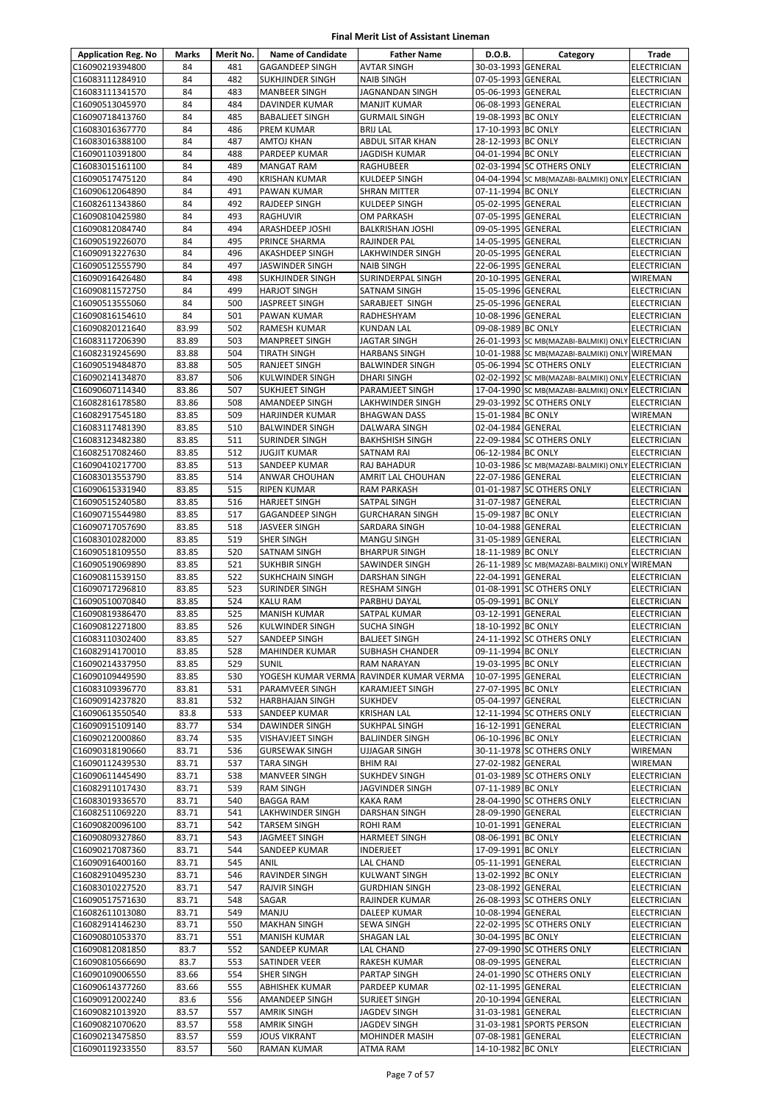| <b>Application Reg. No</b>         | <b>Marks</b>   | Merit No.  | <b>Name of Candidate</b>                        | <b>Father Name</b>                      | D.O.B.                                   | Category                                                                       | <b>Trade</b>                      |
|------------------------------------|----------------|------------|-------------------------------------------------|-----------------------------------------|------------------------------------------|--------------------------------------------------------------------------------|-----------------------------------|
| C16090219394800                    | 84             | 481        | <b>GAGANDEEP SINGH</b>                          | <b>AVTAR SINGH</b>                      | 30-03-1993 GENERAL                       |                                                                                | <b>ELECTRICIAN</b>                |
| C16083111284910                    | 84             | 482        | <b>SUKHJINDER SINGH</b>                         | <b>NAIB SINGH</b>                       | 07-05-1993 GENERAL                       |                                                                                | <b>ELECTRICIAN</b>                |
| C16083111341570                    | 84             | 483        | <b>MANBEER SINGH</b>                            | JAGNANDAN SINGH                         | 05-06-1993 GENERAL                       |                                                                                | <b>ELECTRICIAN</b>                |
| C16090513045970                    | 84             | 484        | DAVINDER KUMAR                                  | MANJIT KUMAR                            | 06-08-1993 GENERAL                       |                                                                                | <b>ELECTRICIAN</b>                |
| C16090718413760                    | 84             | 485        | <b>BABALIEET SINGH</b>                          | <b>GURMAIL SINGH</b>                    | 19-08-1993 BC ONLY                       |                                                                                | <b>ELECTRICIAN</b>                |
| C16083016367770                    | 84             | 486        | PREM KUMAR                                      | <b>BRIJ LAL</b>                         | 17-10-1993 BC ONLY                       |                                                                                | <b>ELECTRICIAN</b>                |
| C16083016388100                    | 84             | 487        | AMTOJ KHAN                                      | ABDUL SITAR KHAN                        | 28-12-1993 BC ONLY                       |                                                                                | ELECTRICIAN                       |
| C16090110391800                    | 84             | 488        | PARDEEP KUMAR                                   | JAGDISH KUMAR                           | 04-01-1994 BC ONLY                       |                                                                                | ELECTRICIAN                       |
| C16083015161100                    | 84             | 489        | <b>MANGAT RAM</b>                               | RAGHUBEER                               |                                          | 02-03-1994 SC OTHERS ONLY                                                      | <b>ELECTRICIAN</b>                |
| C16090517475120                    | 84             | 490        | <b>KRISHAN KUMAR</b>                            | <b>KULDEEP SINGH</b>                    |                                          | 04-04-1994 SC MB(MAZABI-BALMIKI) ONLY ELECTRICIAN                              |                                   |
| C16090612064890<br>C16082611343860 | 84<br>84       | 491<br>492 | PAWAN KUMAR<br>RAJDEEP SINGH                    | SHRAN MITTER<br>KULDEEP SINGH           | 07-11-1994 BC ONLY<br>05-02-1995 GENERAL |                                                                                | <b>ELECTRICIAN</b><br>ELECTRICIAN |
| C16090810425980                    | 84             | 493        | RAGHUVIR                                        | OM PARKASH                              | 07-05-1995 GENERAL                       |                                                                                | <b>ELECTRICIAN</b>                |
| C16090812084740                    | 84             | 494        | ARASHDEEP JOSHI                                 | <b>BALKRISHAN JOSHI</b>                 | 09-05-1995 GENERAL                       |                                                                                | <b>ELECTRICIAN</b>                |
| C16090519226070                    | 84             | 495        | PRINCE SHARMA                                   | RAJINDER PAL                            | 14-05-1995 GENERAL                       |                                                                                | ELECTRICIAN                       |
| C16090913227630                    | 84             | 496        | <b>AKASHDEEP SINGH</b>                          | LAKHWINDER SINGH                        | 20-05-1995 GENERAL                       |                                                                                | <b>ELECTRICIAN</b>                |
| C16090512555790                    | 84             | 497        | <b>JASWINDER SINGH</b>                          | <b>NAIB SINGH</b>                       | 22-06-1995 GENERAL                       |                                                                                | <b>ELECTRICIAN</b>                |
| C16090916426480                    | 84             | 498        | SUKHJINDER SINGH                                | SURINDERPAL SINGH                       | 20-10-1995 GENERAL                       |                                                                                | WIREMAN                           |
| C16090811572750                    | 84             | 499        | <b>HARJOT SINGH</b>                             | SATNAM SINGH                            | 15-05-1996 GENERAL                       |                                                                                | <b>ELECTRICIAN</b>                |
| C16090513555060                    | 84             | 500        | JASPREET SINGH                                  | SARABJEET SINGH                         | 25-05-1996 GENERAL                       |                                                                                | ELECTRICIAN                       |
| C16090816154610                    | 84             | 501        | PAWAN KUMAR                                     | RADHESHYAM                              | 10-08-1996 GENERAL                       |                                                                                | ELECTRICIAN                       |
| C16090820121640                    | 83.99          | 502        | RAMESH KUMAR                                    | KUNDAN LAL                              | 09-08-1989 BC ONLY                       |                                                                                | ELECTRICIAN                       |
| C16083117206390                    | 83.89          | 503        | MANPREET SINGH                                  | JAGTAR SINGH                            |                                          | 26-01-1993 SC MB(MAZABI-BALMIKI) ONLY ELECTRICIAN                              |                                   |
| C16082319245690                    | 83.88          | 504        | <b>TIRATH SINGH</b>                             | <b>HARBANS SINGH</b>                    |                                          | 10-01-1988 SC MB(MAZABI-BALMIKI) ONLY WIREMAN                                  |                                   |
| C16090519484870                    | 83.88          | 505        | RANJEET SINGH                                   | <b>BALWINDER SINGH</b>                  |                                          | 05-06-1994 SC OTHERS ONLY                                                      | <b>ELECTRICIAN</b>                |
| C16090214134870                    | 83.87          | 506        | KULWINDER SINGH                                 | <b>DHARI SINGH</b>                      |                                          | 02-02-1992 SC MB(MAZABI-BALMIKI) ONLY ELECTRICIAN                              |                                   |
| C16090607114340<br>C16082816178580 | 83.86<br>83.86 | 507<br>508 | SUKHJEET SINGH<br><b>AMANDEEP SINGH</b>         | PARAMJEET SINGH<br>LAKHWINDER SINGH     |                                          | 17-04-1990 SC MB(MAZABI-BALMIKI) ONLY ELECTRICIAN<br>29-03-1992 SC OTHERS ONLY | ELECTRICIAN                       |
| C16082917545180                    | 83.85          | 509        | HARJINDER KUMAR                                 | <b>BHAGWAN DASS</b>                     | 15-01-1984 BC ONLY                       |                                                                                | WIREMAN                           |
| C16083117481390                    | 83.85          | 510        | <b>BALWINDER SINGH</b>                          | DALWARA SINGH                           | 02-04-1984 GENERAL                       |                                                                                | ELECTRICIAN                       |
| C16083123482380                    | 83.85          | 511        | <b>SURINDER SINGH</b>                           | <b>BAKHSHISH SINGH</b>                  |                                          | 22-09-1984 SC OTHERS ONLY                                                      | <b>ELECTRICIAN</b>                |
| C16082517082460                    | 83.85          | 512        | JUGJIT KUMAR                                    | SATNAM RAI                              | 06-12-1984 BC ONLY                       |                                                                                | <b>ELECTRICIAN</b>                |
| C16090410217700                    | 83.85          | 513        | SANDEEP KUMAR                                   | RAJ BAHADUR                             |                                          | 10-03-1986 SC MB(MAZABI-BALMIKI) ONLY ELECTRICIAN                              |                                   |
| C16083013553790                    | 83.85          | 514        | ANWAR CHOUHAN                                   | AMRIT LAL CHOUHAN                       | 22-07-1986 GENERAL                       |                                                                                | ELECTRICIAN                       |
| C16090615331940                    | 83.85          | 515        | RIPEN KUMAR                                     | RAM PARKASH                             |                                          | 01-01-1987 SC OTHERS ONLY                                                      | <b>ELECTRICIAN</b>                |
| C16090515240580                    | 83.85          | 516        | <b>HARJEET SINGH</b>                            | SATPAL SINGH                            | 31-07-1987 GENERAL                       |                                                                                | <b>ELECTRICIAN</b>                |
| C16090715544980                    | 83.85          | 517        | GAGANDEEP SINGH                                 | <b>GURCHARAN SINGH</b>                  | 15-09-1987 BC ONLY                       |                                                                                | <b>ELECTRICIAN</b>                |
| C16090717057690                    | 83.85          | 518        | <b>JASVEER SINGH</b>                            | SARDARA SINGH                           | 10-04-1988 GENERAL                       |                                                                                | ELECTRICIAN                       |
| C16083010282000                    | 83.85          | 519        | <b>SHER SINGH</b>                               | <b>MANGU SINGH</b>                      | 31-05-1989 GENERAL                       |                                                                                | ELECTRICIAN                       |
| C16090518109550                    | 83.85          | 520        | SATNAM SINGH                                    | <b>BHARPUR SINGH</b>                    | 18-11-1989 BC ONLY                       |                                                                                | <b>ELECTRICIAN</b>                |
| C16090519069890                    | 83.85          | 521        | <b>SUKHBIR SINGH</b>                            | SAWINDER SINGH                          |                                          | 26-11-1989 SC MB(MAZABI-BALMIKI) ONLY WIREMAN                                  |                                   |
| C16090811539150<br>C16090717296810 | 83.85<br>83.85 | 522<br>523 | <b>SUKHCHAIN SINGH</b><br><b>SURINDER SINGH</b> | DARSHAN SINGH                           | 22-04-1991 GENERAL                       | 01-08-1991 SC OTHERS ONLY                                                      | ELECTRICIAN                       |
| C16090510070840                    | 83.85          | 524        | KALU RAM                                        | <b>RESHAM SINGH</b><br>PARBHU DAYAL     | 05-09-1991 BC ONLY                       |                                                                                | ELECTRICIAN<br>ELECTRICIAN        |
| C16090819386470                    | 83.85          | 525        | <b>MANISH KUMAR</b>                             | SATPAL KUMAR                            | 03-12-1991 GENERAL                       |                                                                                | ELECTRICIAN                       |
| C16090812271800                    | 83.85          | 526        | <b>KULWINDER SINGH</b>                          | <b>SUCHA SINGH</b>                      | 18-10-1992 BC ONLY                       |                                                                                | <b>ELECTRICIAN</b>                |
| C16083110302400                    | 83.85          | 527        | SANDEEP SINGH                                   | <b>BALJEET SINGH</b>                    |                                          | 24-11-1992 SC OTHERS ONLY                                                      | <b>ELECTRICIAN</b>                |
| C16082914170010                    | 83.85          | 528        | <b>MAHINDER KUMAR</b>                           | SUBHASH CHANDER                         | 09-11-1994 BC ONLY                       |                                                                                | <b>ELECTRICIAN</b>                |
| C16090214337950                    | 83.85          | 529        | <b>SUNIL</b>                                    | RAM NARAYAN                             | 19-03-1995 BC ONLY                       |                                                                                | <b>ELECTRICIAN</b>                |
| C16090109449590                    | 83.85          | 530        | YOGESH KUMAR VERMA                              | RAVINDER KUMAR VERMA                    | 10-07-1995 GENERAL                       |                                                                                | ELECTRICIAN                       |
| C16083109396770                    | 83.81          | 531        | PARAMVEER SINGH                                 | KARAMJEET SINGH                         | 27-07-1995 BC ONLY                       |                                                                                | ELECTRICIAN                       |
| C16090914237820                    | 83.81          | 532        | <b>HARBHAJAN SINGH</b>                          | <b>SUKHDEV</b>                          | 05-04-1997 GENERAL                       |                                                                                | ELECTRICIAN                       |
| C16090613550540                    | 83.8           | 533        | SANDEEP KUMAR                                   | <b>KRISHAN LAL</b>                      |                                          | 12-11-1994 SC OTHERS ONLY                                                      | ELECTRICIAN                       |
| C16090915109140                    | 83.77          | 534        | DAWINDER SINGH                                  | SUKHPAL SINGH                           | 16-12-1991 GENERAL                       |                                                                                | <b>ELECTRICIAN</b>                |
| C16090212000860                    | 83.74          | 535        | <b>VISHAVJEET SINGH</b>                         | <b>BALJINDER SINGH</b>                  | 06-10-1996 BC ONLY                       |                                                                                | ELECTRICIAN                       |
| C16090318190660<br>C16090112439530 | 83.71          | 536        | <b>GURSEWAK SINGH</b>                           | <b>UJJAGAR SINGH</b>                    |                                          | 30-11-1978 SC OTHERS ONLY                                                      | WIREMAN                           |
| C16090611445490                    | 83.71<br>83.71 | 537<br>538 | <b>TARA SINGH</b><br>MANVEER SINGH              | <b>BHIM RAI</b><br><b>SUKHDEV SINGH</b> | 27-02-1982 GENERAL                       | 01-03-1989 SC OTHERS ONLY                                                      | WIREMAN<br>ELECTRICIAN            |
| C16082911017430                    | 83.71          | 539        | <b>RAM SINGH</b>                                | JAGVINDER SINGH                         | 07-11-1989 BC ONLY                       |                                                                                | ELECTRICIAN                       |
| C16083019336570                    | 83.71          | 540        | <b>BAGGA RAM</b>                                | KAKA RAM                                |                                          | 28-04-1990 SC OTHERS ONLY                                                      | <b>ELECTRICIAN</b>                |
| C16082511069220                    | 83.71          | 541        | LAKHWINDER SINGH                                | DARSHAN SINGH                           | 28-09-1990 GENERAL                       |                                                                                | <b>ELECTRICIAN</b>                |
| C16090820096100                    | 83.71          | 542        | <b>TARSEM SINGH</b>                             | ROHI RAM                                | 10-01-1991 GENERAL                       |                                                                                | ELECTRICIAN                       |
| C16090809327860                    | 83.71          | 543        | JAGMEET SINGH                                   | HARMEET SINGH                           | 08-06-1991 BC ONLY                       |                                                                                | ELECTRICIAN                       |
| C16090217087360                    | 83.71          | 544        | SANDEEP KUMAR                                   | INDERJEET                               | 17-09-1991 BC ONLY                       |                                                                                | <b>ELECTRICIAN</b>                |
| C16090916400160                    | 83.71          | 545        | ANIL                                            | LAL CHAND                               | 05-11-1991 GENERAL                       |                                                                                | ELECTRICIAN                       |
| C16082910495230                    | 83.71          | 546        | RAVINDER SINGH                                  | KULWANT SINGH                           | 13-02-1992 BC ONLY                       |                                                                                | <b>ELECTRICIAN</b>                |
| C16083010227520                    | 83.71          | 547        | <b>RAJVIR SINGH</b>                             | <b>GURDHIAN SINGH</b>                   | 23-08-1992 GENERAL                       |                                                                                | <b>ELECTRICIAN</b>                |
| C16090517571630                    | 83.71          | 548        | SAGAR                                           | RAJINDER KUMAR                          |                                          | 26-08-1993 SC OTHERS ONLY                                                      | ELECTRICIAN                       |
| C16082611013080                    | 83.71          | 549        | MANJU                                           | DALEEP KUMAR                            | 10-08-1994 GENERAL                       |                                                                                | ELECTRICIAN                       |
| C16082914146230                    | 83.71          | 550        | <b>MAKHAN SINGH</b>                             | SEWA SINGH                              |                                          | 22-02-1995 SC OTHERS ONLY                                                      | ELECTRICIAN                       |
| C16090801053370                    | 83.71          | 551        | <b>MANISH KUMAR</b>                             | SHAGAN LAL                              | 30-04-1995 BC ONLY                       |                                                                                | ELECTRICIAN                       |
| C16090812081850<br>C16090810566690 | 83.7<br>83.7   | 552<br>553 | SANDEEP KUMAR<br>SATINDER VEER                  | LAL CHAND<br>RAKESH KUMAR               | 08-09-1995 GENERAL                       | 27-09-1990 SC OTHERS ONLY                                                      | ELECTRICIAN<br><b>ELECTRICIAN</b> |
| C16090109006550                    | 83.66          | 554        | <b>SHER SINGH</b>                               | PARTAP SINGH                            |                                          | 24-01-1990 SC OTHERS ONLY                                                      | ELECTRICIAN                       |
| C16090614377260                    | 83.66          | 555        | ABHISHEK KUMAR                                  | PARDEEP KUMAR                           | 02-11-1995 GENERAL                       |                                                                                | ELECTRICIAN                       |
| C16090912002240                    | 83.6           | 556        | <b>AMANDEEP SINGH</b>                           | <b>SURJEET SINGH</b>                    | 20-10-1994 GENERAL                       |                                                                                | ELECTRICIAN                       |
| C16090821013920                    | 83.57          | 557        | <b>AMRIK SINGH</b>                              | JAGDEV SINGH                            | 31-03-1981 GENERAL                       |                                                                                | ELECTRICIAN                       |
| C16090821070620                    | 83.57          | 558        | <b>AMRIK SINGH</b>                              | JAGDEV SINGH                            |                                          | 31-03-1981 SPORTS PERSON                                                       | <b>ELECTRICIAN</b>                |
| C16090213475850                    | 83.57          | 559        | <b>JOUS VIKRANT</b>                             | MOHINDER MASIH                          | 07-08-1981 GENERAL                       |                                                                                | ELECTRICIAN                       |
| C16090119233550                    | 83.57          | 560        | RAMAN KUMAR                                     | ATMA RAM                                | 14-10-1982 BC ONLY                       |                                                                                | ELECTRICIAN                       |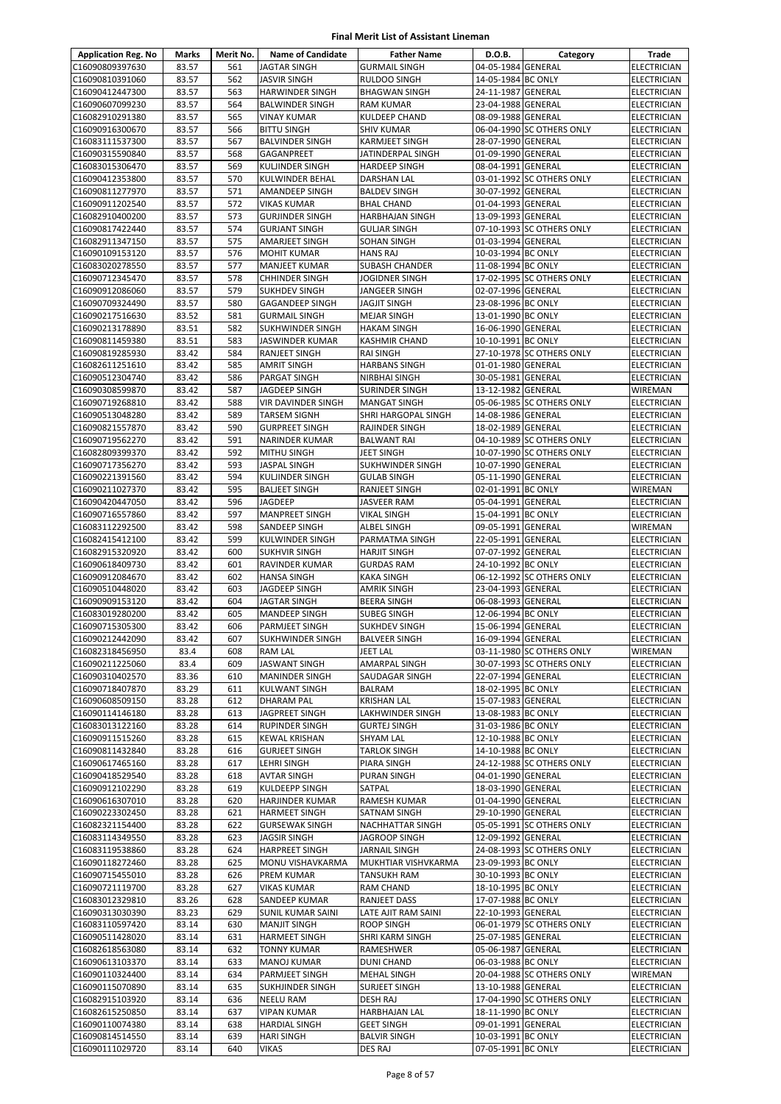| <b>Application Reg. No</b>         | Marks          | Merit No.  | <b>Name of Candidate</b>                    | <b>Father Name</b>                       | D.O.B.                                   | Category                  | Trade                             |
|------------------------------------|----------------|------------|---------------------------------------------|------------------------------------------|------------------------------------------|---------------------------|-----------------------------------|
| C16090809397630                    | 83.57          | 561        | <b>JAGTAR SINGH</b>                         | <b>GURMAIL SINGH</b>                     | 04-05-1984 GENERAL                       |                           | <b>ELECTRICIAN</b>                |
| C16090810391060                    | 83.57          | 562        | <b>JASVIR SINGH</b>                         | <b>RULDOO SINGH</b>                      | 14-05-1984 BC ONLY                       |                           | ELECTRICIAN                       |
| C16090412447300                    | 83.57          | 563        | <b>HARWINDER SINGH</b>                      | <b>BHAGWAN SINGH</b>                     | 24-11-1987 GENERAL                       |                           | ELECTRICIAN                       |
| C16090607099230                    | 83.57          | 564        | <b>BALWINDER SINGH</b>                      | <b>RAM KUMAR</b>                         | 23-04-1988 GENERAL                       |                           | ELECTRICIAN                       |
| C16082910291380                    | 83.57          | 565        | <b>VINAY KUMAR</b>                          | <b>KULDEEP CHAND</b>                     | 08-09-1988 GENERAL                       |                           | <b>ELECTRICIAN</b>                |
| C16090916300670                    | 83.57          | 566        | <b>BITTU SINGH</b>                          | <b>SHIV KUMAR</b>                        |                                          | 06-04-1990 SC OTHERS ONLY | ELECTRICIAN                       |
| C16083111537300                    | 83.57          | 567        | <b>BALVINDER SINGH</b>                      | <b>KARMJEET SINGH</b>                    | 28-07-1990 GENERAL                       |                           | <b>ELECTRICIAN</b>                |
| C16090315590840                    | 83.57          | 568        | GAGANPREET                                  | JATINDERPAL SINGH                        | 01-09-1990 GENERAL                       |                           | ELECTRICIAN                       |
| C16083015306470                    | 83.57          | 569        | <b>KULJINDER SINGH</b>                      | <b>HARDEEP SINGH</b>                     | 08-04-1991 GENERAL                       |                           | ELECTRICIAN                       |
| C16090412353800                    | 83.57          | 570        | <b>KULWINDER BEHAL</b>                      | <b>DARSHAN LAL</b>                       |                                          | 03-01-1992 SC OTHERS ONLY | ELECTRICIAN                       |
| C16090811277970                    | 83.57          | 571        | AMANDEEP SINGH                              | <b>BALDEV SINGH</b>                      | 30-07-1992 GENERAL                       |                           | ELECTRICIAN                       |
| C16090911202540                    | 83.57          | 572        | <b>VIKAS KUMAR</b>                          | <b>BHAL CHAND</b>                        | 01-04-1993 GENERAL                       |                           | <b>ELECTRICIAN</b>                |
| C16082910400200                    | 83.57          | 573        | <b>GURJINDER SINGH</b>                      | <b>HARBHAJAN SINGH</b>                   | 13-09-1993 GENERAL                       |                           | <b>ELECTRICIAN</b>                |
| C16090817422440                    | 83.57          | 574        | <b>GURJANT SINGH</b>                        | <b>GULJAR SINGH</b>                      |                                          | 07-10-1993 SC OTHERS ONLY | ELECTRICIAN                       |
| C16082911347150                    | 83.57          | 575        | AMARJEET SINGH                              | SOHAN SINGH                              | 01-03-1994 GENERAL                       |                           | ELECTRICIAN                       |
| C16090109153120                    | 83.57          | 576        | <b>MOHIT KUMAR</b>                          | <b>HANS RAJ</b>                          | 10-03-1994 BC ONLY                       |                           | ELECTRICIAN                       |
| C16083020278550                    | 83.57          | 577        | <b>MANJEET KUMAR</b>                        | SUBASH CHANDER                           | 11-08-1994 BC ONLY                       |                           | ELECTRICIAN                       |
| C16090712345470                    | 83.57          | 578        | <b>CHHINDER SINGH</b>                       | JOGIDNER SINGH                           |                                          | 17-02-1995 SC OTHERS ONLY | <b>ELECTRICIAN</b>                |
| C16090912086060                    | 83.57          | 579        | <b>SUKHDEV SINGH</b>                        | JANGEER SINGH                            | 02-07-1996 GENERAL                       |                           | ELECTRICIAN                       |
| C16090709324490                    | 83.57          | 580        | GAGANDEEP SINGH                             | <b>JAGJIT SINGH</b>                      | 23-08-1996 BC ONLY                       |                           | <b>ELECTRICIAN</b>                |
| C16090217516630                    | 83.52          | 581        | <b>GURMAIL SINGH</b>                        | <b>MEJAR SINGH</b>                       | 13-01-1990 BC ONLY                       |                           | ELECTRICIAN                       |
| C16090213178890                    | 83.51          | 582        | SUKHWINDER SINGH                            | <b>HAKAM SINGH</b>                       | 16-06-1990 GENERAL                       |                           | ELECTRICIAN                       |
| C16090811459380                    | 83.51          | 583        | <b>JASWINDER KUMAR</b>                      | <b>KASHMIR CHAND</b>                     | 10-10-1991 BC ONLY                       |                           | ELECTRICIAN                       |
| C16090819285930                    | 83.42          | 584        | <b>RANJEET SINGH</b>                        | <b>RAI SINGH</b>                         |                                          | 27-10-1978 SC OTHERS ONLY | ELECTRICIAN                       |
| C16082611251610                    | 83.42          | 585        | <b>AMRIT SINGH</b>                          | <b>HARBANS SINGH</b>                     | 01-01-1980 GENERAL                       |                           | <b>ELECTRICIAN</b>                |
| C16090512304740                    | 83.42          | 586        | <b>PARGAT SINGH</b>                         | <b>NIRBHAI SINGH</b>                     | 30-05-1981 GENERAL                       |                           | ELECTRICIAN                       |
| C16090308599870                    | 83.42          | 587        | JAGDEEP SINGH                               | SURINDER SINGH                           | 13-12-1982 GENERAL                       |                           | WIREMAN                           |
| C16090719268810                    | 83.42          | 588        | VIR DAVINDER SINGH                          | <b>MANGAT SINGH</b>                      |                                          | 05-06-1985 SC OTHERS ONLY | ELECTRICIAN                       |
| C16090513048280                    | 83.42          | 589        | <b>TARSEM SIGNH</b>                         | SHRI HARGOPAL SINGH                      | 14-08-1986 GENERAL                       |                           | ELECTRICIAN                       |
| C16090821557870                    | 83.42          | 590        | <b>GURPREET SINGH</b>                       | <b>RAJINDER SINGH</b>                    | 18-02-1989 GENERAL                       |                           | ELECTRICIAN                       |
| C16090719562270                    | 83.42          | 591        | <b>NARINDER KUMAR</b>                       | <b>BALWANT RAI</b>                       |                                          | 04-10-1989 SC OTHERS ONLY | ELECTRICIAN                       |
| C16082809399370                    | 83.42          | 592        | <b>MITHU SINGH</b>                          | JEET SINGH                               |                                          | 10-07-1990 SC OTHERS ONLY | ELECTRICIAN                       |
| C16090717356270                    | 83.42          | 593        | <b>JASPAL SINGH</b>                         | SUKHWINDER SINGH                         | 10-07-1990 GENERAL                       |                           | ELECTRICIAN                       |
| C16090221391560                    | 83.42          | 594        | KULJINDER SINGH                             | <b>GULAB SINGH</b>                       | 05-11-1990 GENERAL                       |                           | ELECTRICIAN                       |
| C16090211027370                    | 83.42          | 595        | <b>BALJEET SINGH</b>                        | RANJEET SINGH                            | 02-01-1991 BC ONLY                       |                           | WIREMAN                           |
| C16090420447050                    | 83.42          | 596        | JAGDEEP                                     | <b>JASVEER RAM</b>                       | 05-04-1991 GENERAL                       |                           | ELECTRICIAN                       |
| C16090716557860                    | 83.42          | 597        | <b>MANPREET SINGH</b>                       | <b>VIKAL SINGH</b>                       | 15-04-1991 BC ONLY                       |                           | ELECTRICIAN                       |
| C16083112292500                    | 83.42          | 598        | SANDEEP SINGH                               | <b>ALBEL SINGH</b>                       | 09-05-1991 GENERAL                       |                           | <b>WIREMAN</b>                    |
| C16082415412100                    | 83.42          | 599        | KULWINDER SINGH                             | PARMATMA SINGH                           | 22-05-1991 GENERAL                       |                           | ELECTRICIAN                       |
| C16082915320920                    | 83.42          | 600        | <b>SUKHVIR SINGH</b>                        | <b>HARJIT SINGH</b>                      | 07-07-1992 GENERAL                       |                           | ELECTRICIAN                       |
| C16090618409730                    | 83.42          | 601        | RAVINDER KUMAR                              | <b>GURDAS RAM</b>                        | 24-10-1992 BC ONLY                       |                           | ELECTRICIAN                       |
| C16090912084670                    | 83.42          | 602        | <b>HANSA SINGH</b>                          | <b>KAKA SINGH</b>                        |                                          | 06-12-1992 SC OTHERS ONLY | <b>ELECTRICIAN</b>                |
| C16090510448020                    | 83.42          | 603        | <b>JAGDEEP SINGH</b>                        | AMRIK SINGH                              | 23-04-1993 GENERAL                       |                           | ELECTRICIAN                       |
| C16090909153120<br>C16083019280200 | 83.42<br>83.42 | 604<br>605 | <b>JAGTAR SINGH</b><br><b>MANDEEP SINGH</b> | <b>BEERA SINGH</b><br><b>SUBEG SINGH</b> | 06-08-1993 GENERAL<br>12-06-1994 BC ONLY |                           | <b>ELECTRICIAN</b><br>ELECTRICIAN |
| C16090715305300                    | 83.42          | 606        | PARMJEET SINGH                              | <b>SUKHDEV SINGH</b>                     | 15-06-1994 GENERAL                       |                           | ELECTRICIAN                       |
| C16090212442090                    | 83.42          | 607        | SUKHWINDER SINGH                            | <b>BALVEER SINGH</b>                     | 16-09-1994 GENERAL                       |                           | <b>ELECTRICIAN</b>                |
| C16082318456950                    | 83.4           | 608        | <b>RAM LAL</b>                              | JEET LAL                                 |                                          | 03-11-1980 SC OTHERS ONLY | WIREMAN                           |
| C16090211225060                    | 83.4           | 609        | <b>JASWANT SINGH</b>                        | <b>AMARPAL SINGH</b>                     |                                          | 30-07-1993 SC OTHERS ONLY | ELECTRICIAN                       |
| C16090310402570                    | 83.36          | 610        | <b>MANINDER SINGH</b>                       | SAUDAGAR SINGH                           | 22-07-1994 GENERAL                       |                           | ELECTRICIAN                       |
| C16090718407870                    | 83.29          | 611        | <b>KULWANT SINGH</b>                        | <b>BALRAM</b>                            | 18-02-1995 BC ONLY                       |                           | ELECTRICIAN                       |
| C16090608509150                    | 83.28          | 612        | <b>DHARAM PAL</b>                           | <b>KRISHAN LAL</b>                       | 15-07-1983 GENERAL                       |                           | <b>ELECTRICIAN</b>                |
| C16090114146180                    | 83.28          | 613        | JAGPREET SINGH                              | LAKHWINDER SINGH                         | 13-08-1983 BC ONLY                       |                           | ELECTRICIAN                       |
| C16083013122160                    | 83.28          | 614        | <b>RUPINDER SINGH</b>                       | <b>GURTEJ SINGH</b>                      | 31-03-1986 BC ONLY                       |                           | ELECTRICIAN                       |
| C16090911515260                    | 83.28          | 615        | <b>KEWAL KRISHAN</b>                        | <b>SHYAM LAL</b>                         | 12-10-1988 BC ONLY                       |                           | <b>ELECTRICIAN</b>                |
| C16090811432840                    | 83.28          | 616        | <b>GURJEET SINGH</b>                        | <b>TARLOK SINGH</b>                      | 14-10-1988 BC ONLY                       |                           | ELECTRICIAN                       |
| C16090617465160                    | 83.28          | 617        | <b>LEHRI SINGH</b>                          | PIARA SINGH                              |                                          | 24-12-1988 SC OTHERS ONLY | <b>ELECTRICIAN</b>                |
| C16090418529540                    | 83.28          | 618        | <b>AVTAR SINGH</b>                          | PURAN SINGH                              | 04-01-1990 GENERAL                       |                           | ELECTRICIAN                       |
| C16090912102290                    | 83.28          | 619        | <b>KULDEEPP SINGH</b>                       | SATPAL                                   | 18-03-1990 GENERAL                       |                           | ELECTRICIAN                       |
| C16090616307010                    | 83.28          | 620        | <b>HARJINDER KUMAR</b>                      | RAMESH KUMAR                             | 01-04-1990 GENERAL                       |                           | ELECTRICIAN                       |
| C16090223302450                    | 83.28          | 621        | <b>HARMEET SINGH</b>                        | SATNAM SINGH                             | 29-10-1990 GENERAL                       |                           | ELECTRICIAN                       |
| C16082321154400                    | 83.28          | 622        | <b>GURSEWAK SINGH</b>                       | <b>NACHHATTAR SINGH</b>                  |                                          | 05-05-1991 SC OTHERS ONLY | ELECTRICIAN                       |
| C16083114349550                    | 83.28          | 623        | <b>JAGSIR SINGH</b>                         | JAGROOP SINGH                            | 12-09-1992 GENERAL                       |                           | ELECTRICIAN                       |
| C16083119538860                    | 83.28          | 624        | <b>HARPREET SINGH</b>                       | <b>JARNAIL SINGH</b>                     |                                          | 24-08-1993 SC OTHERS ONLY | ELECTRICIAN                       |
| C16090118272460                    | 83.28          | 625        | MONU VISHAVKARMA                            | MUKHTIAR VISHVKARMA                      | 23-09-1993 BC ONLY                       |                           | <b>ELECTRICIAN</b>                |
| C16090715455010                    | 83.28          | 626        | <b>PREM KUMAR</b>                           | <b>TANSUKH RAM</b>                       | 30-10-1993 BC ONLY                       |                           | ELECTRICIAN                       |
| C16090721119700                    | 83.28          | 627        | <b>VIKAS KUMAR</b>                          | RAM CHAND                                | 18-10-1995 BC ONLY                       |                           | ELECTRICIAN                       |
| C16083012329810                    | 83.26          | 628        | <b>SANDEEP KUMAR</b>                        | <b>RANJEET DASS</b>                      | 17-07-1988 BC ONLY                       |                           | ELECTRICIAN                       |
| C16090313030390                    | 83.23          | 629        | <b>SUNIL KUMAR SAINI</b>                    | LATE AJIT RAM SAINI                      | 22-10-1993 GENERAL                       |                           | ELECTRICIAN                       |
| C16083110597420                    | 83.14          | 630        | <b>MANJIT SINGH</b>                         | <b>ROOP SINGH</b>                        |                                          | 06-01-1979 SC OTHERS ONLY | ELECTRICIAN                       |
| C16090511428020                    | 83.14          | 631        | <b>HARMEET SINGH</b>                        | SHRI KARM SINGH                          | 25-07-1985 GENERAL                       |                           | ELECTRICIAN                       |
| C16082618563080                    | 83.14          | 632        | <b>TONNY KUMAR</b>                          | RAMESHWER                                | 05-06-1987 GENERAL                       |                           | ELECTRICIAN                       |
| C16090613103370                    | 83.14          | 633        | <b>MANOJ KUMAR</b>                          | <b>DUNI CHAND</b>                        | 06-03-1988 BC ONLY                       |                           | ELECTRICIAN                       |
| C16090110324400                    | 83.14          | 634        | PARMJEET SINGH                              | <b>MEHAL SINGH</b>                       |                                          | 20-04-1988 SC OTHERS ONLY | WIREMAN                           |
| C16090115070890                    | 83.14          | 635        | SUKHJINDER SINGH                            | <b>SURJEET SINGH</b>                     | 13-10-1988 GENERAL                       |                           | ELECTRICIAN                       |
| C16082915103920                    | 83.14          | 636        | <b>NEELU RAM</b>                            | <b>DESH RAJ</b>                          |                                          | 17-04-1990 SC OTHERS ONLY | ELECTRICIAN                       |
| C16082615250850                    | 83.14          | 637        | <b>VIPAN KUMAR</b>                          | HARBHAJAN LAL                            | 18-11-1990 BC ONLY                       |                           | ELECTRICIAN                       |
| C16090110074380                    | 83.14          | 638        | <b>HARDIAL SINGH</b>                        | <b>GEET SINGH</b>                        | 09-01-1991 GENERAL                       |                           | <b>ELECTRICIAN</b>                |
| C16090814514550                    | 83.14          | 639        | <b>HARI SINGH</b>                           | <b>BALVIR SINGH</b>                      | 10-03-1991 BC ONLY                       |                           | ELECTRICIAN                       |
| C16090111029720                    | 83.14          | 640        | VIKAS                                       | <b>DES RAJ</b>                           | 07-05-1991 BC ONLY                       |                           | ELECTRICIAN                       |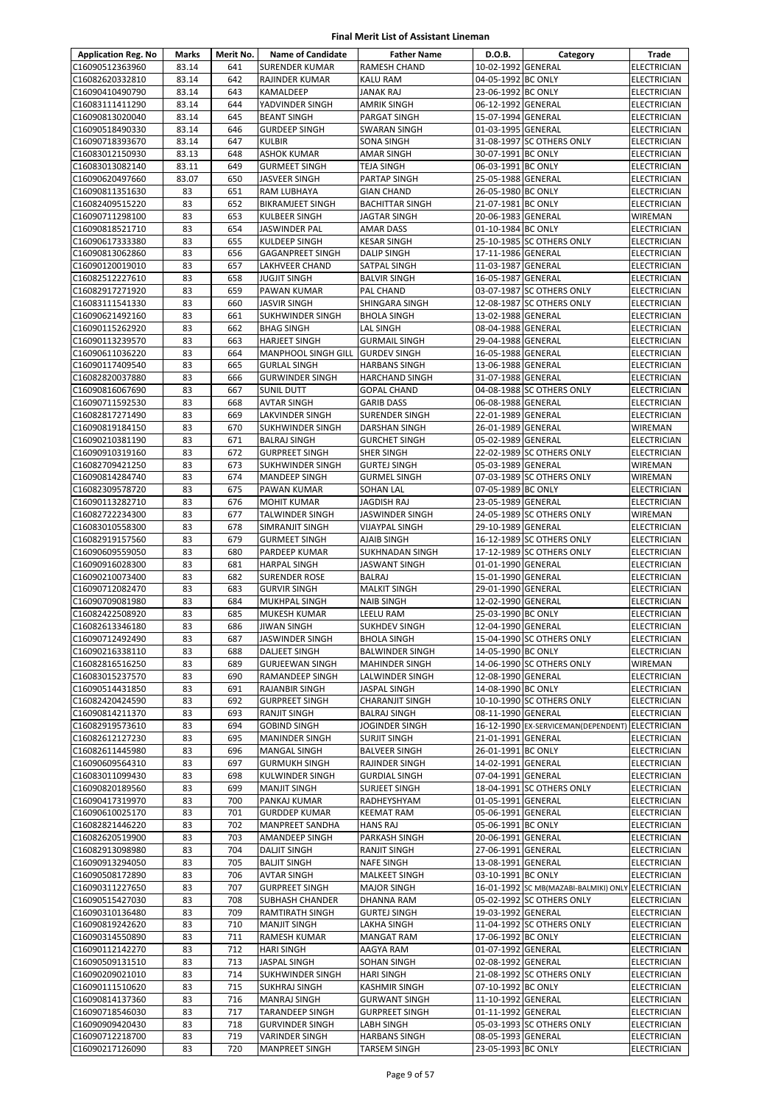| <b>Application Reg. No</b>         | <b>Marks</b>   | Merit No.  | <b>Name of Candidate</b>                        | <b>Father Name</b>                            | D.O.B.                                   | Category                              | Trade                             |
|------------------------------------|----------------|------------|-------------------------------------------------|-----------------------------------------------|------------------------------------------|---------------------------------------|-----------------------------------|
| C16090512363960                    | 83.14          | 641        | <b>SURENDER KUMAR</b>                           | <b>RAMESH CHAND</b>                           | 10-02-1992 GENERAL                       |                                       | ELECTRICIAN                       |
| C16082620332810                    | 83.14          | 642        | RAJINDER KUMAR                                  | <b>KALU RAM</b>                               | 04-05-1992 BC ONLY                       |                                       | ELECTRICIAN                       |
| C16090410490790                    | 83.14          | 643        | KAMALDEEP                                       | <b>JANAK RAJ</b>                              | 23-06-1992 BC ONLY                       |                                       | <b>ELECTRICIAN</b>                |
| C16083111411290                    | 83.14          | 644        | YADVINDER SINGH                                 | <b>AMRIK SINGH</b>                            | 06-12-1992 GENERAL                       |                                       | <b>ELECTRICIAN</b>                |
| C16090813020040                    | 83.14<br>83.14 | 645<br>646 | <b>BEANT SINGH</b>                              | PARGAT SINGH                                  | 15-07-1994 GENERAL<br>01-03-1995 GENERAL |                                       | ELECTRICIAN                       |
| C16090518490330<br>C16090718393670 | 83.14          | 647        | <b>GURDEEP SINGH</b><br><b>KULBIR</b>           | <b>SWARAN SINGH</b><br><b>SONA SINGH</b>      |                                          | 31-08-1997 SC OTHERS ONLY             | ELECTRICIAN<br>ELECTRICIAN        |
| C16083012150930                    | 83.13          | 648        | ASHOK KUMAR                                     | AMAR SINGH                                    | 30-07-1991 BC ONLY                       |                                       | ELECTRICIAN                       |
| C16083013082140                    | 83.11          | 649        | <b>GURMEET SINGH</b>                            | <b>TEJA SINGH</b>                             | 06-03-1991 BC ONLY                       |                                       | ELECTRICIAN                       |
| C16090620497660                    | 83.07          | 650        | JASVEER SINGH                                   | PARTAP SINGH                                  | 25-05-1988 GENERAL                       |                                       | <b>ELECTRICIAN</b>                |
| C16090811351630                    | 83             | 651        | RAM LUBHAYA                                     | <b>GIAN CHAND</b>                             | 26-05-1980 BC ONLY                       |                                       | <b>ELECTRICIAN</b>                |
| C16082409515220                    | 83             | 652        | <b>BIKRAMJEET SINGH</b>                         | <b>BACHITTAR SINGH</b>                        | 21-07-1981 BC ONLY                       |                                       | ELECTRICIAN                       |
| C16090711298100                    | 83             | 653        | <b>KULBEER SINGH</b>                            | <b>JAGTAR SINGH</b>                           | 20-06-1983 GENERAL                       |                                       | WIREMAN                           |
| C16090818521710                    | 83             | 654        | JASWINDER PAL                                   | <b>AMAR DASS</b>                              | 01-10-1984 BC ONLY                       |                                       | ELECTRICIAN                       |
| C16090617333380<br>C16090813062860 | 83<br>83       | 655<br>656 | <b>KULDEEP SINGH</b><br><b>GAGANPREET SINGH</b> | <b>KESAR SINGH</b><br><b>DALIP SINGH</b>      | 17-11-1986 GENERAL                       | 25-10-1985 SC OTHERS ONLY             | ELECTRICIAN<br>ELECTRICIAN        |
| C16090120019010                    | 83             | 657        | <b>LAKHVEER CHAND</b>                           | SATPAL SINGH                                  | 11-03-1987 GENERAL                       |                                       | ELECTRICIAN                       |
| C16082512227610                    | 83             | 658        | <b>JUGJIT SINGH</b>                             | <b>BALVIR SINGH</b>                           | 16-05-1987 GENERAL                       |                                       | ELECTRICIAN                       |
| C16082917271920                    | 83             | 659        | PAWAN KUMAR                                     | PAL CHAND                                     |                                          | 03-07-1987 SC OTHERS ONLY             | <b>ELECTRICIAN</b>                |
| C16083111541330                    | 83             | 660        | JASVIR SINGH                                    | SHINGARA SINGH                                |                                          | 12-08-1987 SC OTHERS ONLY             | ELECTRICIAN                       |
| C16090621492160                    | 83             | 661        | <b>SUKHWINDER SINGH</b>                         | <b>BHOLA SINGH</b>                            | 13-02-1988 GENERAL                       |                                       | <b>ELECTRICIAN</b>                |
| C16090115262920                    | 83             | 662        | <b>BHAG SINGH</b>                               | LAL SINGH                                     | 08-04-1988 GENERAL                       |                                       | ELECTRICIAN                       |
| C16090113239570                    | 83             | 663        | <b>HARJEET SINGH</b>                            | <b>GURMAIL SINGH</b>                          | 29-04-1988 GENERAL                       |                                       | <b>ELECTRICIAN</b>                |
| C16090611036220                    | 83             | 664        | <b>MANPHOOL SINGH GILL</b>                      | <b>GURDEV SINGH</b>                           | 16-05-1988 GENERAL                       |                                       | <b>ELECTRICIAN</b>                |
| C16090117409540<br>C16082820037880 | 83<br>83       | 665<br>666 | <b>GURLAL SINGH</b><br><b>GURWINDER SINGH</b>   | <b>HARBANS SINGH</b><br><b>HARCHAND SINGH</b> | 13-06-1988 GENERAL<br>31-07-1988 GENERAL |                                       | <b>ELECTRICIAN</b><br>ELECTRICIAN |
| C16090816067690                    | 83             | 667        | <b>SUNIL DUTT</b>                               | <b>GOPAL CHAND</b>                            |                                          | 04-08-1988 SC OTHERS ONLY             | ELECTRICIAN                       |
| C16090711592530                    | 83             | 668        | <b>AVTAR SINGH</b>                              | <b>GARIB DASS</b>                             | 06-08-1988 GENERAL                       |                                       | ELECTRICIAN                       |
| C16082817271490                    | 83             | 669        | LAKVINDER SINGH                                 | <b>SURENDER SINGH</b>                         | 22-01-1989 GENERAL                       |                                       | ELECTRICIAN                       |
| C16090819184150                    | 83             | 670        | SUKHWINDER SINGH                                | <b>DARSHAN SINGH</b>                          | 26-01-1989 GENERAL                       |                                       | WIREMAN                           |
| C16090210381190                    | 83             | 671        | <b>BALRAJ SINGH</b>                             | <b>GURCHET SINGH</b>                          | 05-02-1989 GENERAL                       |                                       | ELECTRICIAN                       |
| C16090910319160                    | 83             | 672        | <b>GURPREET SINGH</b>                           | SHER SINGH                                    |                                          | 22-02-1989 SC OTHERS ONLY             | ELECTRICIAN                       |
| C16082709421250                    | 83             | 673        | <b>SUKHWINDER SINGH</b>                         | <b>GURTEJ SINGH</b>                           | 05-03-1989 GENERAL                       |                                       | WIREMAN                           |
| C16090814284740                    | 83             | 674        | <b>MANDEEP SINGH</b>                            | <b>GURMEL SINGH</b>                           |                                          | 07-03-1989 SC OTHERS ONLY             | WIREMAN                           |
| C16082309578720<br>C16090113282710 | 83<br>83       | 675<br>676 | PAWAN KUMAR<br><b>MOHIT KUMAR</b>               | <b>SOHAN LAL</b><br><b>JAGDISH RAJ</b>        | 07-05-1989 BC ONLY<br>23-05-1989 GENERAL |                                       | ELECTRICIAN<br>ELECTRICIAN        |
| C16082722234300                    | 83             | 677        | TALWINDER SINGH                                 | JASWINDER SINGH                               |                                          | 24-05-1989 SC OTHERS ONLY             | WIREMAN                           |
| C16083010558300                    | 83             | 678        | SIMRANJIT SINGH                                 | <b>VIJAYPAL SINGH</b>                         | 29-10-1989 GENERAL                       |                                       | ELECTRICIAN                       |
| C16082919157560                    | 83             | 679        | <b>GURMEET SINGH</b>                            | AJAIB SINGH                                   |                                          | 16-12-1989 SC OTHERS ONLY             | ELECTRICIAN                       |
| C16090609559050                    | 83             | 680        | <b>PARDEEP KUMAR</b>                            | <b>SUKHNADAN SINGH</b>                        |                                          | 17-12-1989 SC OTHERS ONLY             | ELECTRICIAN                       |
| C16090916028300                    | 83             | 681        | <b>HARPAL SINGH</b>                             | <b>JASWANT SINGH</b>                          | 01-01-1990 GENERAL                       |                                       | ELECTRICIAN                       |
| C16090210073400                    | 83             | 682        | <b>SURENDER ROSE</b>                            | <b>BALRAJ</b>                                 | 15-01-1990 GENERAL                       |                                       | <b>ELECTRICIAN</b>                |
| C16090712082470                    | 83             | 683        | <b>GURVIR SINGH</b>                             | <b>MALKIT SINGH</b>                           | 29-01-1990 GENERAL                       |                                       | ELECTRICIAN                       |
| C16090709081980                    | 83<br>83       | 684        | MUKHPAL SINGH                                   | <b>NAIB SINGH</b>                             | 12-02-1990 GENERAL<br>25-03-1990 BC ONLY |                                       | ELECTRICIAN                       |
| C16082422508920<br>C16082613346180 | 83             | 685<br>686 | <b>MUKESH KUMAR</b><br><b>JIWAN SINGH</b>       | <b>LEELU RAM</b><br><b>SUKHDEV SINGH</b>      | 12-04-1990 GENERAL                       |                                       | ELECTRICIAN<br><b>ELECTRICIAN</b> |
| C16090712492490                    | 83             | 687        | <b>JASWINDER SINGH</b>                          | <b>BHOLA SINGH</b>                            |                                          | 15-04-1990 SC OTHERS ONLY             | <b>ELECTRICIAN</b>                |
| C16090216338110                    | 83             | 688        | <b>DALJEET SINGH</b>                            | <b>BALWINDER SINGH</b>                        | 14-05-1990 BC ONLY                       |                                       | <b>ELECTRICIAN</b>                |
| C16082816516250                    | 83             | 689        | <b>GURJEEWAN SINGH</b>                          | <b>MAHINDER SINGH</b>                         |                                          | 14-06-1990 SC OTHERS ONLY             | WIREMAN                           |
| C16083015237570                    | 83             | 690        | RAMANDEEP SINGH                                 | LALWINDER SINGH                               | 12-08-1990 GENERAL                       |                                       | ELECTRICIAN                       |
| C16090514431850                    | 83             | 691        | <b>RAJANBIR SINGH</b>                           | <b>JASPAL SINGH</b>                           | 14-08-1990 BC ONLY                       |                                       | ELECTRICIAN                       |
| C16082420424590                    | 83             | 692        | <b>GURPREET SINGH</b>                           | <b>CHARANJIT SINGH</b>                        |                                          | 10-10-1990 SC OTHERS ONLY             | ELECTRICIAN                       |
| C16090814211370                    | 83             | 693        | <b>RANJIT SINGH</b>                             | <b>BALRAJ SINGH</b>                           | 08-11-1990 GENERAL                       |                                       | ELECTRICIAN                       |
| C16082919573610                    | 83             | 694        | <b>GOBIND SINGH</b>                             | JOGINDER SINGH                                |                                          | 16-12-1990 EX-SERVICEMAN(DEPENDENT)   | <b>ELECTRICIAN</b>                |
| C16082612127230<br>C16082611445980 | 83<br>83       | 695<br>696 | <b>MANINDER SINGH</b><br><b>MANGAL SINGH</b>    | <b>SURJIT SINGH</b><br><b>BALVEER SINGH</b>   | 21-01-1991 GENERAL<br>26-01-1991 BC ONLY |                                       | ELECTRICIAN<br>ELECTRICIAN        |
| C16090609564310                    | 83             | 697        | <b>GURMUKH SINGH</b>                            | RAJINDER SINGH                                | 14-02-1991 GENERAL                       |                                       | <b>ELECTRICIAN</b>                |
| C16083011099430                    | 83             | 698        | <b>KULWINDER SINGH</b>                          | <b>GURDIAL SINGH</b>                          | 07-04-1991 GENERAL                       |                                       | ELECTRICIAN                       |
| C16090820189560                    | 83             | 699        | <b>MANJIT SINGH</b>                             | SURJEET SINGH                                 |                                          | 18-04-1991 SC OTHERS ONLY             | ELECTRICIAN                       |
| C16090417319970                    | 83             | 700        | PANKAJ KUMAR                                    | RADHEYSHYAM                                   | 01-05-1991 GENERAL                       |                                       | <b>ELECTRICIAN</b>                |
| C16090610025170                    | 83             | 701        | <b>GURDDEP KUMAR</b>                            | <b>KEEMAT RAM</b>                             | 05-06-1991 GENERAL                       |                                       | ELECTRICIAN                       |
| C16082821446220                    | 83             | 702        | <b>MANPREET SANDHA</b>                          | <b>HANS RAJ</b>                               | 05-06-1991 BC ONLY                       |                                       | ELECTRICIAN                       |
| C16082620519900                    | 83             | 703        | AMANDEEP SINGH                                  | PARKASH SINGH                                 | 20-06-1991 GENERAL                       |                                       | ELECTRICIAN                       |
| C16082913098980                    | 83             | 704        | <b>DALJIT SINGH</b>                             | <b>RANJIT SINGH</b>                           | 27-06-1991 GENERAL                       |                                       | ELECTRICIAN                       |
| C16090913294050<br>C16090508172890 | 83<br>83       | 705<br>706 | <b>BALJIT SINGH</b><br><b>AVTAR SINGH</b>       | <b>NAFE SINGH</b><br><b>MALKEET SINGH</b>     | 13-08-1991 GENERAL<br>03-10-1991 BC ONLY |                                       | ELECTRICIAN<br>ELECTRICIAN        |
| C16090311227650                    | 83             | 707        | <b>GURPREET SINGH</b>                           | <b>MAJOR SINGH</b>                            |                                          | 16-01-1992 SC MB(MAZABI-BALMIKI) ONLY | ELECTRICIAN                       |
| C16090515427030                    | 83             | 708        | <b>SUBHASH CHANDER</b>                          | DHANNA RAM                                    |                                          | 05-02-1992 SC OTHERS ONLY             | ELECTRICIAN                       |
| C16090310136480                    | 83             | 709        | <b>RAMTIRATH SINGH</b>                          | <b>GURTEJ SINGH</b>                           | 19-03-1992 GENERAL                       |                                       | ELECTRICIAN                       |
| C16090819242620                    | 83             | 710        | <b>MANJIT SINGH</b>                             | LAKHA SINGH                                   |                                          | 11-04-1992 SC OTHERS ONLY             | ELECTRICIAN                       |
| C16090314550890                    | 83             | 711        | <b>RAMESH KUMAR</b>                             | <b>MANGAT RAM</b>                             | 17-06-1992 BC ONLY                       |                                       | ELECTRICIAN                       |
| C16090112142270                    | 83             | 712        | <b>HARI SINGH</b>                               | AAGYA RAM                                     | 01-07-1992 GENERAL                       |                                       | <b>ELECTRICIAN</b>                |
| C16090509131510                    | 83             | 713        | JASPAL SINGH                                    | SOHAN SINGH                                   | 02-08-1992 GENERAL                       |                                       | <b>ELECTRICIAN</b>                |
| C16090209021010                    | 83             | 714        | <b>SUKHWINDER SINGH</b>                         | <b>HARI SINGH</b>                             |                                          | 21-08-1992 SC OTHERS ONLY             | ELECTRICIAN                       |
| C16090111510620<br>C16090814137360 | 83<br>83       | 715<br>716 | <b>SUKHRAJ SINGH</b>                            | <b>KASHMIR SINGH</b><br><b>GURWANT SINGH</b>  | 07-10-1992 BC ONLY<br>11-10-1992 GENERAL |                                       | ELECTRICIAN                       |
| C16090718546030                    | 83             | 717        | <b>MANRAJ SINGH</b><br><b>TARANDEEP SINGH</b>   | <b>GURPREET SINGH</b>                         | 01-11-1992 GENERAL                       |                                       | ELECTRICIAN<br>ELECTRICIAN        |
| C16090909420430                    | 83             | 718        | <b>GURVINDER SINGH</b>                          | <b>LABH SINGH</b>                             |                                          | 05-03-1993 SC OTHERS ONLY             | ELECTRICIAN                       |
| C16090712218700                    | 83             | 719        | <b>VARINDER SINGH</b>                           | <b>HARBANS SINGH</b>                          | 08-05-1993 GENERAL                       |                                       | ELECTRICIAN                       |
| C16090217126090                    | 83             | 720        | <b>MANPREET SINGH</b>                           | <b>TARSEM SINGH</b>                           | 23-05-1993 BC ONLY                       |                                       | ELECTRICIAN                       |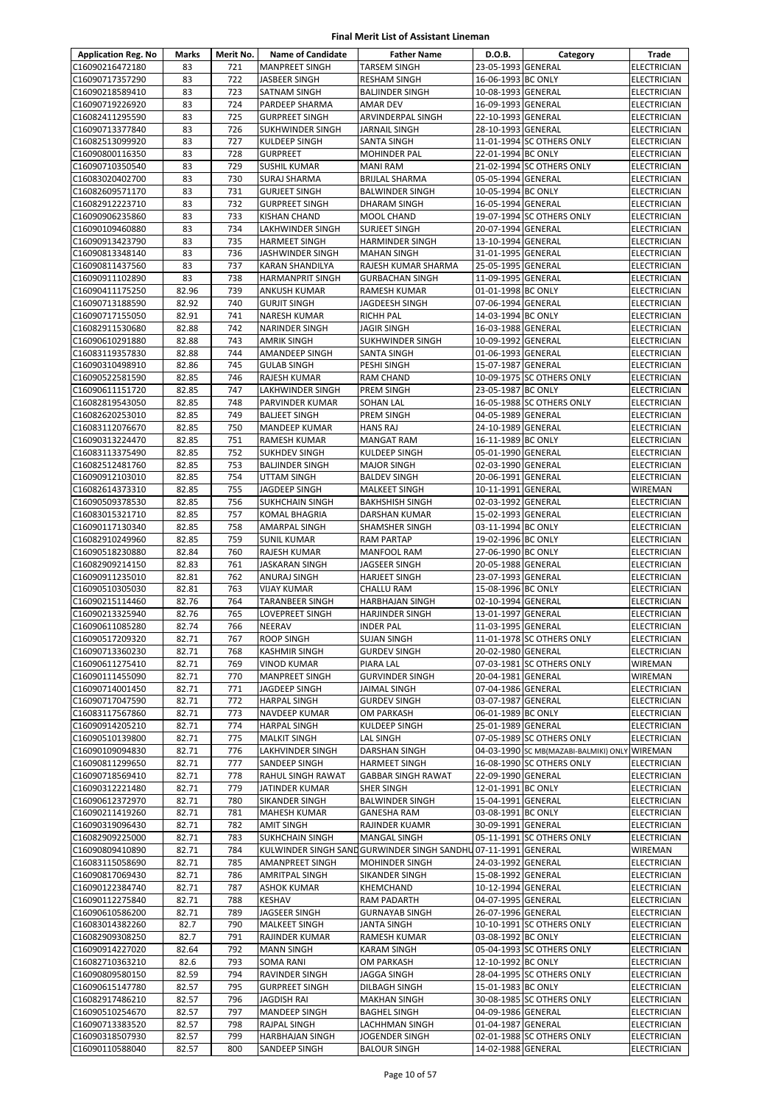| <b>Application Reg. No</b>         | Marks          | Merit No.  | <b>Name of Candidate</b>                | <b>Father Name</b>                                             | D.O.B.                                   | Category                                      | Trade                                    |
|------------------------------------|----------------|------------|-----------------------------------------|----------------------------------------------------------------|------------------------------------------|-----------------------------------------------|------------------------------------------|
| C16090216472180                    | 83             | 721        | <b>MANPREET SINGH</b>                   | <b>TARSEM SINGH</b>                                            | 23-05-1993 GENERAL                       |                                               | <b>ELECTRICIAN</b>                       |
| C16090717357290                    | 83             | 722        | JASBEER SINGH                           | <b>RESHAM SINGH</b>                                            | 16-06-1993 BC ONLY                       |                                               | ELECTRICIAN                              |
| C16090218589410                    | 83             | 723        | SATNAM SINGH                            | <b>BALJINDER SINGH</b>                                         | 10-08-1993 GENERAL                       |                                               | ELECTRICIAN                              |
| C16090719226920                    | 83             | 724        | PARDEEP SHARMA                          | <b>AMAR DEV</b>                                                | 16-09-1993 GENERAL                       |                                               | <b>ELECTRICIAN</b>                       |
| C16082411295590                    | 83             | 725        | <b>GURPREET SINGH</b>                   | ARVINDERPAL SINGH                                              | 22-10-1993 GENERAL                       |                                               | <b>ELECTRICIAN</b>                       |
| C16090713377840                    | 83             | 726        | <b>SUKHWINDER SINGH</b>                 | <b>JARNAIL SINGH</b>                                           | 28-10-1993 GENERAL                       |                                               | <b>ELECTRICIAN</b>                       |
| C16082513099920                    | 83             | 727        | KULDEEP SINGH                           | <b>SANTA SINGH</b>                                             |                                          | 11-01-1994 SC OTHERS ONLY                     | <b>ELECTRICIAN</b>                       |
| C16090800116350                    | 83<br>83       | 728<br>729 | <b>GURPREET</b>                         | <b>MOHINDER PAL</b>                                            | 22-01-1994 BC ONLY                       | 21-02-1994 SC OTHERS ONLY                     | ELECTRICIAN                              |
| C16090710350540<br>C16083020402700 | 83             | 730        | <b>SUSHIL KUMAR</b><br>SURAJ SHARMA     | <b>MANI RAM</b><br><b>BRIJLAL SHARMA</b>                       | 05-05-1994 GENERAL                       |                                               | <b>ELECTRICIAN</b><br>ELECTRICIAN        |
| C16082609571170                    | 83             | 731        | <b>GURJEET SINGH</b>                    | <b>BALWINDER SINGH</b>                                         | 10-05-1994 BC ONLY                       |                                               | <b>ELECTRICIAN</b>                       |
| C16082912223710                    | 83             | 732        | <b>GURPREET SINGH</b>                   | <b>DHARAM SINGH</b>                                            | 16-05-1994 GENERAL                       |                                               | <b>ELECTRICIAN</b>                       |
| C16090906235860                    | 83             | 733        | <b>KISHAN CHAND</b>                     | <b>MOOL CHAND</b>                                              |                                          | 19-07-1994 SC OTHERS ONLY                     | <b>ELECTRICIAN</b>                       |
| C16090109460880                    | 83             | 734        | LAKHWINDER SINGH                        | <b>SURJEET SINGH</b>                                           | 20-07-1994 GENERAL                       |                                               | ELECTRICIAN                              |
| C16090913423790                    | 83             | 735        | <b>HARMEET SINGH</b>                    | <b>HARMINDER SINGH</b>                                         | 13-10-1994 GENERAL                       |                                               | ELECTRICIAN                              |
| C16090813348140                    | 83             | 736        | JASHWINDER SINGH                        | <b>MAHAN SINGH</b>                                             | 31-01-1995 GENERAL                       |                                               | ELECTRICIAN                              |
| C16090811437560                    | 83             | 737        | KARAN SHANDILYA                         | RAJESH KUMAR SHARMA                                            | 25-05-1995 GENERAL                       |                                               | <b>ELECTRICIAN</b>                       |
| C16090911102890                    | 83             | 738        | <b>HARMANPRIT SINGH</b>                 | <b>GURBACHAN SINGH</b>                                         | 11-09-1995 GENERAL                       |                                               | ELECTRICIAN                              |
| C16090411175250                    | 82.96          | 739        | ANKUSH KUMAR                            | <b>RAMESH KUMAR</b>                                            | 01-01-1998 BC ONLY                       |                                               | ELECTRICIAN                              |
| C16090713188590                    | 82.92          | 740        | <b>GURJIT SINGH</b>                     | JAGDEESH SINGH                                                 | 07-06-1994 GENERAL                       |                                               | ELECTRICIAN                              |
| C16090717155050                    | 82.91<br>82.88 | 741<br>742 | <b>NARESH KUMAR</b>                     | <b>RICHH PAL</b>                                               | 14-03-1994 BC ONLY                       |                                               | ELECTRICIAN                              |
| C16082911530680<br>C16090610291880 | 82.88          | 743        | NARINDER SINGH<br>AMRIK SINGH           | JAGIR SINGH<br><b>SUKHWINDER SINGH</b>                         | 16-03-1988 GENERAL<br>10-09-1992 GENERAL |                                               | ELECTRICIAN<br><b>ELECTRICIAN</b>        |
| C16083119357830                    | 82.88          | 744        | AMANDEEP SINGH                          | SANTA SINGH                                                    | 01-06-1993 GENERAL                       |                                               | <b>ELECTRICIAN</b>                       |
| C16090310498910                    | 82.86          | 745        | <b>GULAB SINGH</b>                      | PESHI SINGH                                                    | 15-07-1987 GENERAL                       |                                               | ELECTRICIAN                              |
| C16090522581590                    | 82.85          | 746        | <b>RAJESH KUMAR</b>                     | <b>RAM CHAND</b>                                               |                                          | 10-09-1975 SC OTHERS ONLY                     | <b>ELECTRICIAN</b>                       |
| C16090611151720                    | 82.85          | 747        | LAKHWINDER SINGH                        | PREM SINGH                                                     | 23-05-1987 BC ONLY                       |                                               | ELECTRICIAN                              |
| C16082819543050                    | 82.85          | 748        | PARVINDER KUMAR                         | <b>SOHAN LAL</b>                                               |                                          | 16-05-1988 SC OTHERS ONLY                     | ELECTRICIAN                              |
| C16082620253010                    | 82.85          | 749        | <b>BALJEET SINGH</b>                    | PREM SINGH                                                     | 04-05-1989 GENERAL                       |                                               | ELECTRICIAN                              |
| C16083112076670                    | 82.85          | 750        | MANDEEP KUMAR                           | <b>HANS RAJ</b>                                                | 24-10-1989 GENERAL                       |                                               | <b>ELECTRICIAN</b>                       |
| C16090313224470                    | 82.85          | 751        | <b>RAMESH KUMAR</b>                     | <b>MANGAT RAM</b>                                              | 16-11-1989 BC ONLY                       |                                               | <b>ELECTRICIAN</b>                       |
| C16083113375490                    | 82.85          | 752        | <b>SUKHDEV SINGH</b>                    | KULDEEP SINGH                                                  | 05-01-1990 GENERAL                       |                                               | ELECTRICIAN                              |
| C16082512481760                    | 82.85          | 753        | <b>BALJINDER SINGH</b>                  | <b>MAJOR SINGH</b>                                             | 02-03-1990 GENERAL                       |                                               | ELECTRICIAN                              |
| C16090912103010                    | 82.85<br>82.85 | 754<br>755 | UTTAM SINGH                             | <b>BALDEV SINGH</b>                                            | 20-06-1991 GENERAL<br>10-11-1991 GENERAL |                                               | ELECTRICIAN                              |
| C16082614373310<br>C16090509378530 | 82.85          | 756        | JAGDEEP SINGH<br><b>SUKHCHAIN SINGH</b> | <b>MALKEET SINGH</b><br><b>BAKHSHISH SINGH</b>                 | 02-03-1992 GENERAL                       |                                               | WIREMAN<br><b>ELECTRICIAN</b>            |
| C16083015321710                    | 82.85          | 757        | <b>KOMAL BHAGRIA</b>                    | DARSHAN KUMAR                                                  | 15-02-1993 GENERAL                       |                                               | ELECTRICIAN                              |
| C16090117130340                    | 82.85          | 758        | AMARPAL SINGH                           | SHAMSHER SINGH                                                 | 03-11-1994 BC ONLY                       |                                               | <b>ELECTRICIAN</b>                       |
| C16082910249960                    | 82.85          | 759        | <b>SUNIL KUMAR</b>                      | <b>RAM PARTAP</b>                                              | 19-02-1996 BC ONLY                       |                                               | ELECTRICIAN                              |
| C16090518230880                    | 82.84          | 760        | RAJESH KUMAR                            | <b>MANFOOL RAM</b>                                             | 27-06-1990 BC ONLY                       |                                               | <b>ELECTRICIAN</b>                       |
| C16082909214150                    | 82.83          | 761        | JASKARAN SINGH                          | JAGSEER SINGH                                                  | 20-05-1988 GENERAL                       |                                               | ELECTRICIAN                              |
| C16090911235010                    | 82.81          | 762        | ANURAJ SINGH                            | <b>HARJEET SINGH</b>                                           | 23-07-1993 GENERAL                       |                                               | <b>ELECTRICIAN</b>                       |
| C16090510305030                    | 82.81          | 763        | VIJAY KUMAR                             | CHALLU RAM                                                     | 15-08-1996 BC ONLY                       |                                               | ELECTRICIAN                              |
| C16090215114460                    | 82.76          | 764        | TARANBEER SINGH                         | <b>HARBHAJAN SINGH</b>                                         | 02-10-1994 GENERAL                       |                                               | <b>ELECTRICIAN</b>                       |
| C16090213325940                    | 82.76          | 765        | LOVEPREET SINGH                         | <b>HARJINDER SINGH</b>                                         | 13-01-1997 GENERAL                       |                                               | <b>ELECTRICIAN</b>                       |
| C16090611085280                    | 82.74          | 766        | NEERAV                                  | <b>INDER PAL</b>                                               | 11-03-1995 GENERAL                       |                                               | <b>ELECTRICIAN</b>                       |
| C16090517209320<br>C16090713360230 | 82.71<br>82.71 | 767<br>768 | <b>ROOP SINGH</b><br>KASHMIR SINGH      | <b>SUJAN SINGH</b><br><b>GURDEV SINGH</b>                      | 20-02-1980 GENERAL                       | 11-01-1978 SC OTHERS ONLY                     | <b>ELECTRICIAN</b><br><b>ELECTRICIAN</b> |
| C16090611275410                    | 82.71          | 769        | <b>VINOD KUMAR</b>                      | PIARA LAL                                                      |                                          | 07-03-1981 SC OTHERS ONLY                     | WIREMAN                                  |
| C16090111455090                    | 82.71          | 770        | <b>MANPREET SINGH</b>                   | <b>GURVINDER SINGH</b>                                         | 20-04-1981 GENERAL                       |                                               | WIREMAN                                  |
| C16090714001450                    | 82.71          | 771        | JAGDEEP SINGH                           | <b>JAIMAL SINGH</b>                                            | 07-04-1986 GENERAL                       |                                               | <b>ELECTRICIAN</b>                       |
| C16090717047590                    | 82.71          | 772        | <b>HARPAL SINGH</b>                     | <b>GURDEV SINGH</b>                                            | 03-07-1987 GENERAL                       |                                               | ELECTRICIAN                              |
| C16083117567860                    | 82.71          | 773        | NAVDEEP KUMAR                           | <b>OM PARKASH</b>                                              | 06-01-1989 BC ONLY                       |                                               | ELECTRICIAN                              |
| C16090914205210                    | 82.71          | 774        | <b>HARPAL SINGH</b>                     | <b>KULDEEP SINGH</b>                                           | 25-01-1989 GENERAL                       |                                               | ELECTRICIAN                              |
| C16090510139800                    | 82.71          | 775        | <b>MALKIT SINGH</b>                     | LAL SINGH                                                      |                                          | 07-05-1989 SC OTHERS ONLY                     | ELECTRICIAN                              |
| C16090109094830                    | 82.71          | 776        | LAKHVINDER SINGH                        | <b>DARSHAN SINGH</b>                                           |                                          | 04-03-1990 SC MB(MAZABI-BALMIKI) ONLY WIREMAN |                                          |
| C16090811299650                    | 82.71          | 777        | SANDEEP SINGH                           | <b>HARMEET SINGH</b>                                           |                                          | 16-08-1990 SC OTHERS ONLY                     | ELECTRICIAN                              |
| C16090718569410<br>C16090312221480 | 82.71<br>82.71 | 778<br>779 | RAHUL SINGH RAWAT<br>JATINDER KUMAR     | <b>GABBAR SINGH RAWAT</b><br>SHER SINGH                        | 22-09-1990 GENERAL<br>12-01-1991 BC ONLY |                                               | ELECTRICIAN<br><b>ELECTRICIAN</b>        |
| C16090612372970                    | 82.71          | 780        | SIKANDER SINGH                          | <b>BALWINDER SINGH</b>                                         | 15-04-1991 GENERAL                       |                                               | ELECTRICIAN                              |
| C16090211419260                    | 82.71          | 781        | <b>MAHESH KUMAR</b>                     | <b>GANESHA RAM</b>                                             | 03-08-1991 BC ONLY                       |                                               | <b>ELECTRICIAN</b>                       |
| C16090319096430                    | 82.71          | 782        | <b>AMIT SINGH</b>                       | RAJINDER KUAMR                                                 | 30-09-1991 GENERAL                       |                                               | ELECTRICIAN                              |
| C16082909225000                    | 82.71          | 783        | <b>SUKHCHAIN SINGH</b>                  | <b>MANGAL SINGH</b>                                            |                                          | 05-11-1991 SC OTHERS ONLY                     | ELECTRICIAN                              |
| C16090809410890                    | 82.71          | 784        |                                         | KULWINDER SINGH SAND GURWINDER SINGH SANDHU 07-11-1991 GENERAL |                                          |                                               | WIREMAN                                  |
| C16083115058690                    | 82.71          | 785        | AMANPREET SINGH                         | <b>MOHINDER SINGH</b>                                          | 24-03-1992 GENERAL                       |                                               | ELECTRICIAN                              |
| C16090817069430                    | 82.71          | 786        | AMRITPAL SINGH                          | SIKANDER SINGH                                                 | 15-08-1992 GENERAL                       |                                               | ELECTRICIAN                              |
| C16090122384740                    | 82.71          | 787        | ASHOK KUMAR                             | <b>KHEMCHAND</b>                                               | 10-12-1994 GENERAL                       |                                               | ELECTRICIAN                              |
| C16090112275840                    | 82.71          | 788        | <b>KESHAV</b>                           | <b>RAM PADARTH</b>                                             | 04-07-1995 GENERAL                       |                                               | ELECTRICIAN                              |
| C16090610586200                    | 82.71          | 789        | JAGSEER SINGH                           | <b>GURNAYAB SINGH</b>                                          | 26-07-1996 GENERAL                       |                                               | ELECTRICIAN                              |
| C16083014382260<br>C16082909308250 | 82.7<br>82.7   | 790<br>791 | MALKEET SINGH<br>RAJINDER KUMAR         | <b>JANTA SINGH</b><br>RAMESH KUMAR                             | 03-08-1992 BC ONLY                       | 10-10-1991 SC OTHERS ONLY                     | ELECTRICIAN<br>ELECTRICIAN               |
| C16090914227020                    | 82.64          | 792        | <b>MANN SINGH</b>                       | <b>KARAM SINGH</b>                                             |                                          | 05-04-1993 SC OTHERS ONLY                     | ELECTRICIAN                              |
| C16082710363210                    | 82.6           | 793        | SOMA RANI                               | OM PARKASH                                                     | 12-10-1992 BC ONLY                       |                                               | <b>ELECTRICIAN</b>                       |
| C16090809580150                    | 82.59          | 794        | RAVINDER SINGH                          | <b>JAGGA SINGH</b>                                             |                                          | 28-04-1995 SC OTHERS ONLY                     | <b>ELECTRICIAN</b>                       |
| C16090615147780                    | 82.57          | 795        | <b>GURPREET SINGH</b>                   | DILBAGH SINGH                                                  | 15-01-1983 BC ONLY                       |                                               | ELECTRICIAN                              |
| C16082917486210                    | 82.57          | 796        | JAGDISH RAI                             | <b>MAKHAN SINGH</b>                                            |                                          | 30-08-1985 SC OTHERS ONLY                     | ELECTRICIAN                              |
| C16090510254670                    | 82.57          | 797        | MANDEEP SINGH                           | <b>BAGHEL SINGH</b>                                            | 04-09-1986 GENERAL                       |                                               | ELECTRICIAN                              |
| C16090713383520                    | 82.57          | 798        | RAJPAL SINGH                            | LACHHMAN SINGH                                                 | 01-04-1987 GENERAL                       |                                               | ELECTRICIAN                              |
| C16090318507930                    | 82.57          | 799        | HARBHAJAN SINGH                         | JOGENDER SINGH                                                 |                                          | 02-01-1988 SC OTHERS ONLY                     | ELECTRICIAN                              |
| C16090110588040                    | 82.57          | 800        | SANDEEP SINGH                           | <b>BALOUR SINGH</b>                                            | 14-02-1988 GENERAL                       |                                               | ELECTRICIAN                              |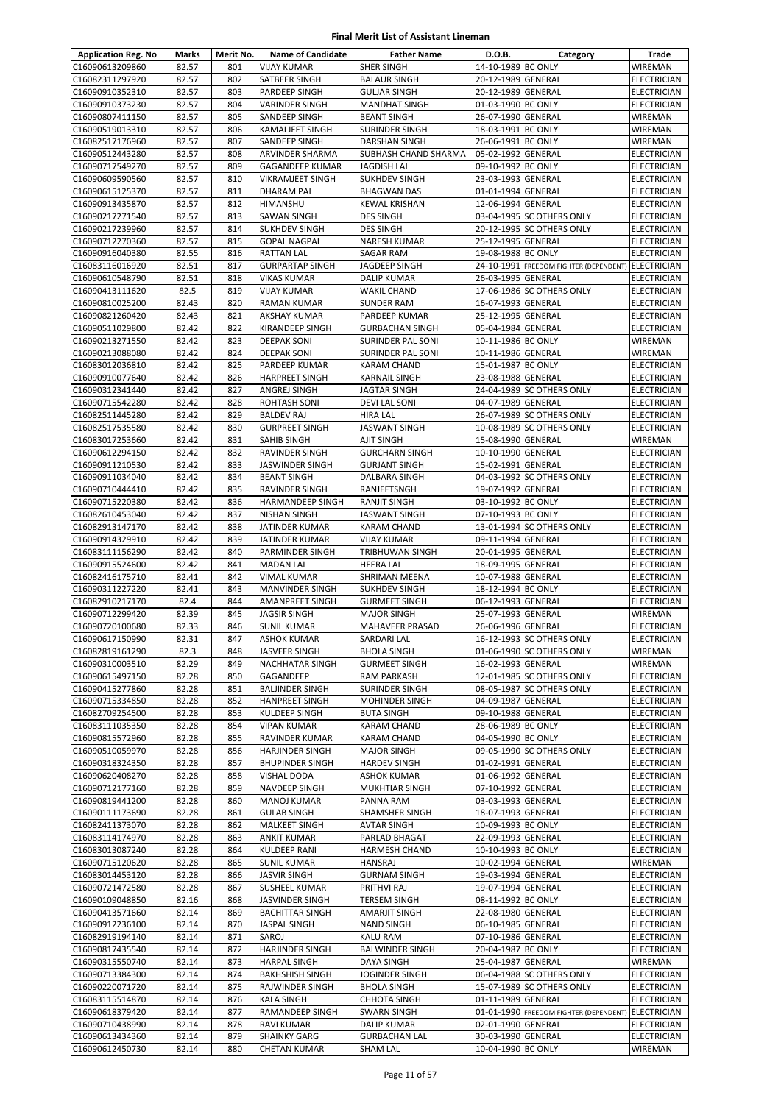| <b>Application Reg. No</b>         | Marks          | Merit No.  | <b>Name of Candidate</b>                   | <b>Father Name</b>                         | D.O.B.                                   | Category                               | Trade                                    |
|------------------------------------|----------------|------------|--------------------------------------------|--------------------------------------------|------------------------------------------|----------------------------------------|------------------------------------------|
| C16090613209860                    | 82.57          | 801        | <b>VIJAY KUMAR</b>                         | <b>SHER SINGH</b>                          | 14-10-1989 BC ONLY                       |                                        | <b>WIREMAN</b>                           |
| C16082311297920                    | 82.57          | 802        | SATBEER SINGH                              | <b>BALAUR SINGH</b>                        | 20-12-1989 GENERAL                       |                                        | <b>ELECTRICIAN</b>                       |
| C16090910352310                    | 82.57          | 803        | PARDEEP SINGH                              | <b>GULJAR SINGH</b>                        | 20-12-1989 GENERAL                       |                                        | ELECTRICIAN                              |
| C16090910373230                    | 82.57          | 804        | <b>VARINDER SINGH</b>                      | <b>MANDHAT SINGH</b>                       | 01-03-1990 BC ONLY                       |                                        | ELECTRICIAN                              |
| C16090807411150                    | 82.57          | 805        | SANDEEP SINGH                              | <b>BEANT SINGH</b>                         | 26-07-1990 GENERAL                       |                                        | WIREMAN                                  |
| C16090519013310                    | 82.57          | 806        | KAMALJEET SINGH                            | <b>SURINDER SINGH</b>                      | 18-03-1991 BC ONLY                       |                                        | WIREMAN                                  |
| C16082517176960                    | 82.57          | 807        | SANDEEP SINGH                              | <b>DARSHAN SINGH</b>                       | 26-06-1991 BC ONLY                       |                                        | <b>WIREMAN</b>                           |
| C16090512443280                    | 82.57          | 808        | ARVINDER SHARMA                            | SUBHASH CHAND SHARMA                       | 05-02-1992 GENERAL                       |                                        | ELECTRICIAN                              |
| C16090717549270                    | 82.57          | 809        | <b>GAGANDEEP KUMAR</b>                     | <b>JAGDISH LAL</b>                         | 09-10-1992 BC ONLY                       |                                        | ELECTRICIAN                              |
| C16090609590560                    | 82.57          | 810        | <b>VIKRAMJEET SINGH</b>                    | <b>SUKHDEV SINGH</b>                       | 23-03-1993 GENERAL                       |                                        | ELECTRICIAN                              |
| C16090615125370                    | 82.57          | 811<br>812 | DHARAM PAL                                 | <b>BHAGWAN DAS</b><br><b>KEWAL KRISHAN</b> | 01-01-1994 GENERAL                       |                                        | ELECTRICIAN                              |
| C16090913435870<br>C16090217271540 | 82.57<br>82.57 | 813        | <b>HIMANSHU</b><br><b>SAWAN SINGH</b>      | <b>DES SINGH</b>                           | 12-06-1994 GENERAL                       | 03-04-1995 SC OTHERS ONLY              | <b>ELECTRICIAN</b><br><b>ELECTRICIAN</b> |
| C16090217239960                    | 82.57          | 814        | <b>SUKHDEV SINGH</b>                       | <b>DES SINGH</b>                           |                                          | 20-12-1995 SC OTHERS ONLY              | ELECTRICIAN                              |
| C16090712270360                    | 82.57          | 815        | <b>GOPAL NAGPAL</b>                        | <b>NARESH KUMAR</b>                        | 25-12-1995 GENERAL                       |                                        | ELECTRICIAN                              |
| C16090916040380                    | 82.55          | 816        | <b>RATTAN LAL</b>                          | SAGAR RAM                                  | 19-08-1988 BC ONLY                       |                                        | ELECTRICIAN                              |
| C16083116016920                    | 82.51          | 817        | <b>GURPARTAP SINGH</b>                     | JAGDEEP SINGH                              |                                          | 24-10-1991 FREEDOM FIGHTER (DEPENDENT) | <b>ELECTRICIAN</b>                       |
| C16090610548790                    | 82.51          | 818        | VIKAS KUMAR                                | DALIP KUMAR                                | 26-03-1995 GENERAL                       |                                        | <b>ELECTRICIAN</b>                       |
| C16090413111620                    | 82.5           | 819        | <b>VIJAY KUMAR</b>                         | <b>WAKIL CHAND</b>                         |                                          | 17-06-1986 SC OTHERS ONLY              | ELECTRICIAN                              |
| C16090810025200                    | 82.43          | 820        | <b>RAMAN KUMAR</b>                         | <b>SUNDER RAM</b>                          | 16-07-1993 GENERAL                       |                                        | <b>ELECTRICIAN</b>                       |
| C16090821260420                    | 82.43          | 821        | AKSHAY KUMAR                               | PARDEEP KUMAR                              | 25-12-1995 GENERAL                       |                                        | ELECTRICIAN                              |
| C16090511029800                    | 82.42          | 822        | KIRANDEEP SINGH                            | <b>GURBACHAN SINGH</b>                     | 05-04-1984 GENERAL                       |                                        | ELECTRICIAN                              |
| C16090213271550                    | 82.42          | 823        | <b>DEEPAK SONI</b>                         | SURINDER PAL SONI                          | 10-11-1986 BC ONLY                       |                                        | WIREMAN                                  |
| C16090213088080                    | 82.42          | 824        | <b>DEEPAK SONI</b>                         | SURINDER PAL SONI                          | 10-11-1986 GENERAL                       |                                        | WIREMAN                                  |
| C16083012036810                    | 82.42          | 825        | PARDEEP KUMAR                              | <b>KARAM CHAND</b>                         | 15-01-1987 BC ONLY                       |                                        | <b>ELECTRICIAN</b>                       |
| C16090910077640                    | 82.42          | 826        | <b>HARPREET SINGH</b>                      | <b>KARNAIL SINGH</b>                       | 23-08-1988 GENERAL                       |                                        | ELECTRICIAN                              |
| C16090312341440                    | 82.42          | 827        | ANGREJ SINGH                               | <b>JAGTAR SINGH</b>                        |                                          | 24-04-1989 SC OTHERS ONLY              | ELECTRICIAN                              |
| C16090715542280                    | 82.42          | 828        | <b>ROHTASH SONI</b>                        | DEVI LAL SONI                              | 04-07-1989 GENERAL                       |                                        | ELECTRICIAN                              |
| C16082511445280                    | 82.42          | 829        | <b>BALDEV RAJ</b>                          | HIRA LAL                                   |                                          | 26-07-1989 SC OTHERS ONLY              | ELECTRICIAN                              |
| C16082517535580                    | 82.42          | 830        | <b>GURPREET SINGH</b>                      | <b>JASWANT SINGH</b>                       |                                          | 10-08-1989 SC OTHERS ONLY              | ELECTRICIAN                              |
| C16083017253660                    | 82.42          | 831        | <b>SAHIB SINGH</b>                         | AJIT SINGH                                 | 15-08-1990 GENERAL                       |                                        | WIREMAN                                  |
| C16090612294150                    | 82.42          | 832        | <b>RAVINDER SINGH</b>                      | <b>GURCHARN SINGH</b>                      | 10-10-1990 GENERAL                       |                                        | ELECTRICIAN                              |
| C16090911210530                    | 82.42          | 833        | <b>JASWINDER SINGH</b>                     | <b>GURJANT SINGH</b>                       | 15-02-1991 GENERAL                       |                                        | ELECTRICIAN                              |
| C16090911034040                    | 82.42          | 834        | <b>BEANT SINGH</b>                         | DALBARA SINGH                              |                                          | 04-03-1992 SC OTHERS ONLY              | ELECTRICIAN                              |
| C16090710444410                    | 82.42          | 835        | <b>RAVINDER SINGH</b>                      | RANJEETSNGH                                | 19-07-1992 GENERAL                       |                                        | ELECTRICIAN                              |
| C16090715220380                    | 82.42          | 836        | <b>HARMANDEEP SINGH</b>                    | <b>RANJIT SINGH</b>                        | 03-10-1992 BC ONLY                       |                                        | ELECTRICIAN                              |
| C16082610453040                    | 82.42          | 837        | <b>NISHAN SINGH</b>                        | JASWANT SINGH                              | 07-10-1993 BC ONLY                       |                                        | <b>ELECTRICIAN</b>                       |
| C16082913147170                    | 82.42          | 838        | JATINDER KUMAR                             | <b>KARAM CHAND</b>                         |                                          | 13-01-1994 SC OTHERS ONLY              | ELECTRICIAN                              |
| C16090914329910<br>C16083111156290 | 82.42<br>82.42 | 839<br>840 | JATINDER KUMAR                             | <b>VIJAY KUMAR</b>                         | 09-11-1994 GENERAL<br>20-01-1995 GENERAL |                                        | ELECTRICIAN                              |
| C16090915524600                    | 82.42          | 841        | <b>PARMINDER SINGH</b><br><b>MADAN LAL</b> | TRIBHUWAN SINGH<br><b>HEERA LAL</b>        | 18-09-1995 GENERAL                       |                                        | ELECTRICIAN<br>ELECTRICIAN               |
| C16082416175710                    | 82.41          | 842        | VIMAL KUMAR                                | SHRIMAN MEENA                              | 10-07-1988 GENERAL                       |                                        | ELECTRICIAN                              |
| C16090311227220                    | 82.41          | 843        | <b>MANVINDER SINGH</b>                     | <b>SUKHDEV SINGH</b>                       | 18-12-1994 BC ONLY                       |                                        | ELECTRICIAN                              |
| C16082910217170                    | 82.4           | 844        | <b>AMANPREET SINGH</b>                     | <b>GURMEET SINGH</b>                       | 06-12-1993 GENERAL                       |                                        | <b>ELECTRICIAN</b>                       |
| C16090712299420                    | 82.39          | 845        | <b>JAGSIR SINGH</b>                        | <b>MAJOR SINGH</b>                         | 25-07-1993 GENERAL                       |                                        | WIREMAN                                  |
| C16090720100680                    | 82.33          | 846        | <b>SUNIL KUMAR</b>                         | <b>MAHAVEER PRASAD</b>                     | 26-06-1996 GENERAL                       |                                        | <b>ELECTRICIAN</b>                       |
| C16090617150990                    | 82.31          | 847        | <b>ASHOK KUMAR</b>                         | SARDARI LAL                                |                                          | 16-12-1993 SC OTHERS ONLY              | <b>ELECTRICIAN</b>                       |
| C16082819161290                    | 82.3           | 848        | <b>JASVEER SINGH</b>                       | <b>BHOLA SINGH</b>                         |                                          | 01-06-1990 SC OTHERS ONLY              | WIREMAN                                  |
| C16090310003510                    | 82.29          | 849        | NACHHATAR SINGH                            | <b>GURMEET SINGH</b>                       | 16-02-1993 GENERAL                       |                                        | WIREMAN                                  |
| C16090615497150                    | 82.28          | 850        | GAGANDEEP                                  | <b>RAM PARKASH</b>                         |                                          | 12-01-1985 SC OTHERS ONLY              | ELECTRICIAN                              |
| C16090415277860                    | 82.28          | 851        | <b>BALJINDER SINGH</b>                     | <b>SURINDER SINGH</b>                      |                                          | 08-05-1987 SC OTHERS ONLY              | ELECTRICIAN                              |
| C16090715334850                    | 82.28          | 852        | <b>HANPREET SINGH</b>                      | <b>MOHINDER SINGH</b>                      | 04-09-1987 GENERAL                       |                                        | ELECTRICIAN                              |
| C16082709254500                    | 82.28          | 853        | KULDEEP SINGH                              | <b>BUTA SINGH</b>                          | 09-10-1988 GENERAL                       |                                        | ELECTRICIAN                              |
| C16083111035350                    | 82.28          | 854        | <b>VIPAN KUMAR</b>                         | <b>KARAM CHAND</b>                         | 28-06-1989 BC ONLY                       |                                        | ELECTRICIAN                              |
| C16090815572960                    | 82.28          | 855        | RAVINDER KUMAR                             | <b>KARAM CHAND</b>                         | 04-05-1990 BC ONLY                       |                                        | <b>ELECTRICIAN</b>                       |
| C16090510059970                    | 82.28          | 856        | <b>HARJINDER SINGH</b>                     | <b>MAJOR SINGH</b>                         |                                          | 09-05-1990 SC OTHERS ONLY              | <b>ELECTRICIAN</b>                       |
| C16090318324350                    | 82.28          | 857        | <b>BHUPINDER SINGH</b>                     | <b>HARDEV SINGH</b>                        | 01-02-1991 GENERAL                       |                                        | ELECTRICIAN                              |
| C16090620408270                    | 82.28          | 858        | <b>VISHAL DODA</b>                         | <b>ASHOK KUMAR</b>                         | 01-06-1992 GENERAL                       |                                        | ELECTRICIAN                              |
| C16090712177160                    | 82.28          | 859        | <b>NAVDEEP SINGH</b>                       | MUKHTIAR SINGH                             | 07-10-1992 GENERAL                       |                                        | ELECTRICIAN                              |
| C16090819441200                    | 82.28          | 860        | MANOJ KUMAR                                | PANNA RAM                                  | 03-03-1993 GENERAL                       |                                        | ELECTRICIAN                              |
| C16090111173690                    | 82.28          | 861        | <b>GULAB SINGH</b>                         | SHAMSHER SINGH                             | 18-07-1993 GENERAL                       |                                        | ELECTRICIAN                              |
| C16082411373070<br>C16083114174970 | 82.28<br>82.28 | 862<br>863 | <b>MALKEET SINGH</b><br><b>ANKIT KUMAR</b> | <b>AVTAR SINGH</b>                         | 10-09-1993 BC ONLY<br>22-09-1993 GENERAL |                                        | ELECTRICIAN                              |
|                                    |                |            |                                            | PARLAD BHAGAT                              | 10-10-1993 BC ONLY                       |                                        | ELECTRICIAN                              |
| C16083013087240<br>C16090715120620 | 82.28<br>82.28 | 864<br>865 | <b>KULDEEP RANI</b>                        | HARMESH CHAND<br><b>HANSRAJ</b>            | 10-02-1994 GENERAL                       |                                        | ELECTRICIAN<br>WIREMAN                   |
| C16083014453120                    | 82.28          | 866        | <b>SUNIL KUMAR</b><br><b>JASVIR SINGH</b>  | <b>GURNAM SINGH</b>                        | 19-03-1994 GENERAL                       |                                        | ELECTRICIAN                              |
| C16090721472580                    | 82.28          | 867        | <b>SUSHEEL KUMAR</b>                       | PRITHVI RAJ                                | 19-07-1994 GENERAL                       |                                        | ELECTRICIAN                              |
| C16090109048850                    | 82.16          | 868        | JASVINDER SINGH                            | <b>TERSEM SINGH</b>                        | 08-11-1992 BC ONLY                       |                                        | ELECTRICIAN                              |
| C16090413571660                    | 82.14          | 869        | <b>BACHITTAR SINGH</b>                     | AMARJIT SINGH                              | 22-08-1980 GENERAL                       |                                        | ELECTRICIAN                              |
| C16090912236100                    | 82.14          | 870        | JASPAL SINGH                               | <b>NAND SINGH</b>                          | 06-10-1985 GENERAL                       |                                        | ELECTRICIAN                              |
| C16082919194140                    | 82.14          | 871        | SAROJ                                      | KALU RAM                                   | 07-10-1986 GENERAL                       |                                        | ELECTRICIAN                              |
| C16090817435540                    | 82.14          | 872        | <b>HARJINDER SINGH</b>                     | <b>BALWINDER SINGH</b>                     | 20-04-1987 BC ONLY                       |                                        | ELECTRICIAN                              |
| C16090315550740                    | 82.14          | 873        | <b>HARPAL SINGH</b>                        | DAYA SINGH                                 | 25-04-1987 GENERAL                       |                                        | WIREMAN                                  |
| C16090713384300                    | 82.14          | 874        | <b>BAKHSHISH SINGH</b>                     | JOGINDER SINGH                             |                                          | 06-04-1988 SC OTHERS ONLY              | <b>ELECTRICIAN</b>                       |
| C16090220071720                    | 82.14          | 875        | RAJWINDER SINGH                            | <b>BHOLA SINGH</b>                         |                                          | 15-07-1989 SC OTHERS ONLY              | ELECTRICIAN                              |
| C16083115514870                    | 82.14          | 876        | <b>KALA SINGH</b>                          | <b>CHHOTA SINGH</b>                        | 01-11-1989 GENERAL                       |                                        | ELECTRICIAN                              |
| C16090618379420                    | 82.14          | 877        | RAMANDEEP SINGH                            | <b>SWARN SINGH</b>                         |                                          | 01-01-1990 FREEDOM FIGHTER (DEPENDENT) | ELECTRICIAN                              |
| C16090710438990                    | 82.14          | 878        | <b>RAVI KUMAR</b>                          | DALIP KUMAR                                | 02-01-1990 GENERAL                       |                                        | <b>ELECTRICIAN</b>                       |
| C16090613434360                    | 82.14          | 879        | <b>SHAINKY GARG</b>                        | <b>GURBACHAN LAL</b>                       | 30-03-1990 GENERAL                       |                                        | ELECTRICIAN                              |
| C16090612450730                    | 82.14          | 880        | <b>CHETAN KUMAR</b>                        | <b>SHAM LAL</b>                            | 10-04-1990 BC ONLY                       |                                        | WIREMAN                                  |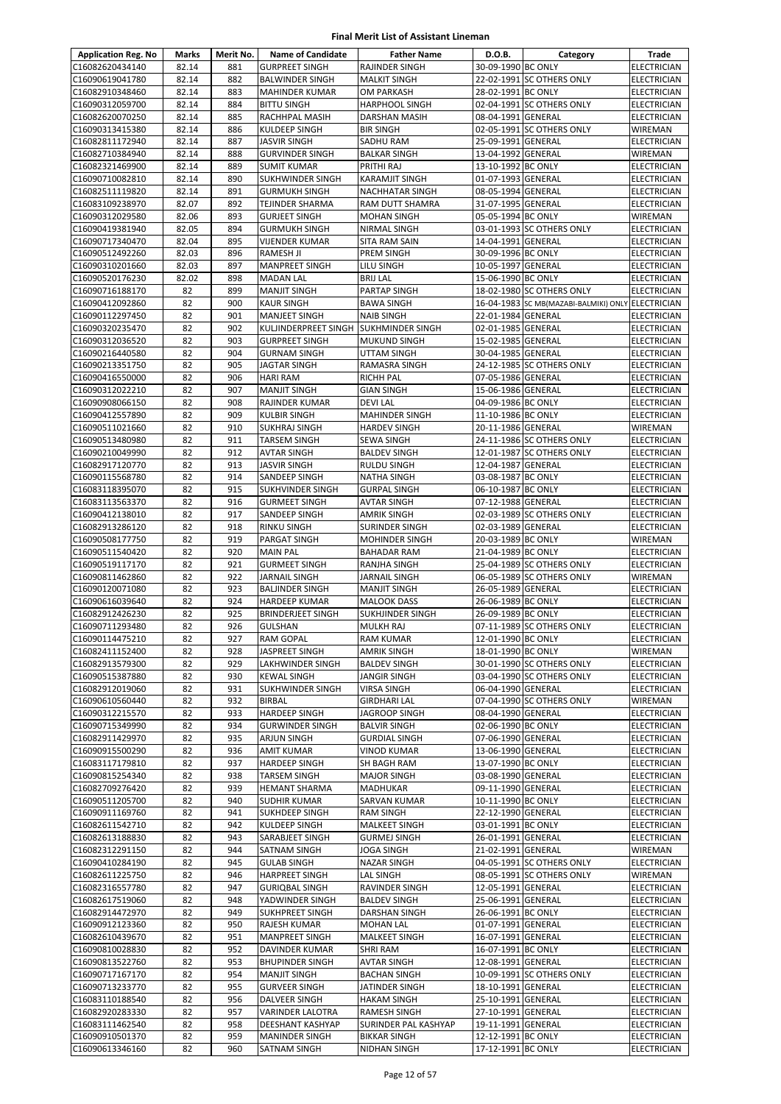| <b>Application Reg. No</b>         | Marks          | Merit No.  | <b>Name of Candidate</b>                     | <b>Father Name</b>                               | D.O.B.                                   | Category                                          | Trade                                    |
|------------------------------------|----------------|------------|----------------------------------------------|--------------------------------------------------|------------------------------------------|---------------------------------------------------|------------------------------------------|
| C16082620434140                    | 82.14          | 881        | <b>GURPREET SINGH</b>                        | RAJINDER SINGH                                   | 30-09-1990 BC ONLY                       |                                                   | <b>ELECTRICIAN</b>                       |
| C16090619041780                    | 82.14          | 882        | <b>BALWINDER SINGH</b>                       | <b>MALKIT SINGH</b>                              |                                          | 22-02-1991 SC OTHERS ONLY                         | ELECTRICIAN                              |
| C16082910348460                    | 82.14          | 883        | MAHINDER KUMAR                               | <b>OM PARKASH</b>                                | 28-02-1991 BC ONLY                       |                                                   | ELECTRICIAN                              |
| C16090312059700                    | 82.14          | 884        | <b>BITTU SINGH</b>                           | <b>HARPHOOL SINGH</b>                            |                                          | 02-04-1991 SC OTHERS ONLY                         | ELECTRICIAN                              |
| C16082620070250                    | 82.14          | 885        | RACHHPAL MASIH                               | DARSHAN MASIH                                    | 08-04-1991 GENERAL                       |                                                   | <b>ELECTRICIAN</b>                       |
| C16090313415380                    | 82.14          | 886        | KULDEEP SINGH                                | <b>BIR SINGH</b>                                 |                                          | 02-05-1991 SC OTHERS ONLY                         | WIREMAN                                  |
| C16082811172940                    | 82.14          | 887        | JASVIR SINGH                                 | <b>SADHU RAM</b>                                 | 25-09-1991 GENERAL                       |                                                   | <b>ELECTRICIAN</b>                       |
| C16082710384940                    | 82.14          | 888        | <b>GURVINDER SINGH</b>                       | <b>BALKAR SINGH</b>                              | 13-04-1992 GENERAL                       |                                                   | WIREMAN                                  |
| C16082321469900                    | 82.14          | 889        | <b>SUMIT KUMAR</b>                           | PRITHI RAJ                                       | 13-10-1992 BC ONLY                       |                                                   | <b>ELECTRICIAN</b>                       |
| C16090710082810                    | 82.14          | 890        | SUKHWINDER SINGH                             | <b>KARAMJIT SINGH</b>                            | 01-07-1993 GENERAL<br>08-05-1994 GENERAL |                                                   | ELECTRICIAN                              |
| C16082511119820<br>C16083109238970 | 82.14<br>82.07 | 891<br>892 | <b>GURMUKH SINGH</b><br>TEJINDER SHARMA      | <b>NACHHATAR SINGH</b><br><b>RAM DUTT SHAMRA</b> | 31-07-1995 GENERAL                       |                                                   | <b>ELECTRICIAN</b><br><b>ELECTRICIAN</b> |
| C16090312029580                    | 82.06          | 893        | <b>GURJEET SINGH</b>                         | <b>MOHAN SINGH</b>                               | 05-05-1994 BC ONLY                       |                                                   | WIREMAN                                  |
| C16090419381940                    | 82.05          | 894        | <b>GURMUKH SINGH</b>                         | NIRMAL SINGH                                     |                                          | 03-01-1993 SC OTHERS ONLY                         | ELECTRICIAN                              |
| C16090717340470                    | 82.04          | 895        | VIJENDER KUMAR                               | SITA RAM SAIN                                    | 14-04-1991 GENERAL                       |                                                   | ELECTRICIAN                              |
| C16090512492260                    | 82.03          | 896        | RAMESH JI                                    | PREM SINGH                                       | 30-09-1996 BC ONLY                       |                                                   | <b>ELECTRICIAN</b>                       |
| C16090310201660                    | 82.03          | 897        | <b>MANPREET SINGH</b>                        | LILU SINGH                                       | 10-05-1997 GENERAL                       |                                                   | <b>ELECTRICIAN</b>                       |
| C16090520176230                    | 82.02          | 898        | <b>MADAN LAL</b>                             | <b>BRIJ LAL</b>                                  | 15-06-1990 BC ONLY                       |                                                   | ELECTRICIAN                              |
| C16090716188170                    | 82             | 899        | <b>MANJIT SINGH</b>                          | PARTAP SINGH                                     |                                          | 18-02-1980 SC OTHERS ONLY                         | <b>ELECTRICIAN</b>                       |
| C16090412092860                    | 82             | 900        | <b>KAUR SINGH</b>                            | <b>BAWA SINGH</b>                                |                                          | 16-04-1983 SC MB(MAZABI-BALMIKI) ONLY ELECTRICIAN |                                          |
| C16090112297450                    | 82             | 901        | MANJEET SINGH                                | <b>NAIB SINGH</b>                                | 22-01-1984 GENERAL                       |                                                   | <b>ELECTRICIAN</b>                       |
| C16090320235470                    | 82             | 902        | KULJINDERPREET SINGH                         | <b>SUKHMINDER SINGH</b>                          | 02-01-1985 GENERAL                       |                                                   | ELECTRICIAN                              |
| C16090312036520                    | 82             | 903        | <b>GURPREET SINGH</b>                        | <b>MUKUND SINGH</b>                              | 15-02-1985 GENERAL                       |                                                   | <b>ELECTRICIAN</b>                       |
| C16090216440580                    | 82             | 904        | <b>GURNAM SINGH</b>                          | UTTAM SINGH                                      | 30-04-1985 GENERAL                       |                                                   | <b>ELECTRICIAN</b>                       |
| C16090213351750<br>C16090416550000 | 82<br>82       | 905<br>906 | <b>JAGTAR SINGH</b><br><b>HARI RAM</b>       | RAMASRA SINGH<br><b>RICHH PAL</b>                | 07-05-1986 GENERAL                       | 24-12-1985 SC OTHERS ONLY                         | ELECTRICIAN<br><b>ELECTRICIAN</b>        |
| C16090312022210                    | 82             | 907        | <b>MANJIT SINGH</b>                          | <b>GIAN SINGH</b>                                | 15-06-1986 GENERAL                       |                                                   | ELECTRICIAN                              |
| C16090908066150                    | 82             | 908        | RAJINDER KUMAR                               | <b>DEVILAL</b>                                   | 04-09-1986 BC ONLY                       |                                                   | ELECTRICIAN                              |
| C16090412557890                    | 82             | 909        | <b>KULBIR SINGH</b>                          | <b>MAHINDER SINGH</b>                            | 11-10-1986 BC ONLY                       |                                                   | ELECTRICIAN                              |
| C16090511021660                    | 82             | 910        | <b>SUKHRAJ SINGH</b>                         | <b>HARDEV SINGH</b>                              | 20-11-1986 GENERAL                       |                                                   | <b>WIREMAN</b>                           |
| C16090513480980                    | 82             | 911        | <b>TARSEM SINGH</b>                          | <b>SEWA SINGH</b>                                |                                          | 24-11-1986 SC OTHERS ONLY                         | <b>ELECTRICIAN</b>                       |
| C16090210049990                    | 82             | 912        | AVTAR SINGH                                  | <b>BALDEV SINGH</b>                              |                                          | 12-01-1987 SC OTHERS ONLY                         | <b>ELECTRICIAN</b>                       |
| C16082917120770                    | 82             | 913        | <b>JASVIR SINGH</b>                          | <b>RULDU SINGH</b>                               | 12-04-1987 GENERAL                       |                                                   | ELECTRICIAN                              |
| C16090115568780                    | 82             | 914        | SANDEEP SINGH                                | <b>NATHA SINGH</b>                               | 03-08-1987 BC ONLY                       |                                                   | ELECTRICIAN                              |
| C16083118395070                    | 82             | 915        | SUKHVINDER SINGH                             | <b>GURPAL SINGH</b>                              | 06-10-1987 BC ONLY                       |                                                   | <b>ELECTRICIAN</b>                       |
| C16083113563370                    | 82             | 916        | <b>GURMEET SINGH</b>                         | <b>AVTAR SINGH</b>                               | 07-12-1988 GENERAL                       |                                                   | <b>ELECTRICIAN</b>                       |
| C16090412138010                    | 82             | 917        | SANDEEP SINGH                                | <b>AMRIK SINGH</b>                               |                                          | 02-03-1989 SC OTHERS ONLY                         | <b>ELECTRICIAN</b>                       |
| C16082913286120                    | 82             | 918        | RINKU SINGH                                  | <b>SURINDER SINGH</b>                            | 02-03-1989 GENERAL                       |                                                   | <b>ELECTRICIAN</b>                       |
| C16090508177750                    | 82             | 919        | PARGAT SINGH                                 | <b>MOHINDER SINGH</b>                            | 20-03-1989 BC ONLY                       |                                                   | WIREMAN                                  |
| C16090511540420                    | 82<br>82       | 920<br>921 | <b>MAIN PAL</b>                              | <b>BAHADAR RAM</b><br><b>RANJHA SINGH</b>        | 21-04-1989 BC ONLY                       | 25-04-1989 SC OTHERS ONLY                         | ELECTRICIAN                              |
| C16090519117170<br>C16090811462860 | 82             | 922        | <b>GURMEET SINGH</b><br><b>JARNAIL SINGH</b> | <b>JARNAIL SINGH</b>                             |                                          | 06-05-1989 SC OTHERS ONLY                         | ELECTRICIAN<br>WIREMAN                   |
| C16090120071080                    | 82             | 923        | <b>BALJINDER SINGH</b>                       | <b>MANJIT SINGH</b>                              | 26-05-1989 GENERAL                       |                                                   | <b>ELECTRICIAN</b>                       |
| C16090616039640                    | 82             | 924        | <b>HARDEEP KUMAR</b>                         | <b>MALOOK DASS</b>                               | 26-06-1989 BC ONLY                       |                                                   | <b>ELECTRICIAN</b>                       |
| C16082912426230                    | 82             | 925        | <b>BRINDERJEET SINGH</b>                     | <b>SUKHJINDER SINGH</b>                          | 26-09-1989 BC ONLY                       |                                                   | <b>ELECTRICIAN</b>                       |
| C16090711293480                    | 82             | 926        | <b>GULSHAN</b>                               | <b>MULKH RAJ</b>                                 |                                          | 07-11-1989 SC OTHERS ONLY                         | <b>ELECTRICIAN</b>                       |
| C16090114475210                    | 82             | 927        | RAM GOPAL                                    | <b>RAM KUMAR</b>                                 | 12-01-1990 BC ONLY                       |                                                   | <b>ELECTRICIAN</b>                       |
| C16082411152400                    | 82             | 928        | JASPREET SINGH                               | <b>AMRIK SINGH</b>                               | 18-01-1990 BC ONLY                       |                                                   | <b>WIREMAN</b>                           |
| C16082913579300                    | 82             | 929        | LAKHWINDER SINGH                             | <b>BALDEV SINGH</b>                              |                                          | 30-01-1990 SC OTHERS ONLY                         | <b>ELECTRICIAN</b>                       |
| C16090515387880                    | 82             | 930        | <b>KEWAL SINGH</b>                           | <b>JANGIR SINGH</b>                              |                                          | 03-04-1990 SC OTHERS ONLY                         | ELECTRICIAN                              |
| C16082912019060                    | 82             | 931        | SUKHWINDER SINGH                             | <b>VIRSA SINGH</b>                               | 06-04-1990 GENERAL                       |                                                   | <b>ELECTRICIAN</b>                       |
| C16090610560440                    | 82             | 932        | BIRBAL                                       | <b>GIRDHARI LAL</b>                              |                                          | 07-04-1990 SC OTHERS ONLY                         | WIREMAN                                  |
| C16090312215570<br>C16090715349990 | 82<br>82       | 933<br>934 | HARDEEP SINGH<br><b>GURWINDER SINGH</b>      | JAGROOP SINGH<br><b>BALVIR SINGH</b>             | 08-04-1990 GENERAL<br>02-06-1990 BC ONLY |                                                   | ELECTRICIAN<br><b>ELECTRICIAN</b>        |
| C16082911429970                    | 82             | 935        | ARJUN SINGH                                  | <b>GURDIAL SINGH</b>                             | 07-06-1990 GENERAL                       |                                                   | <b>ELECTRICIAN</b>                       |
| C16090915500290                    | 82             | 936        | <b>AMIT KUMAR</b>                            | <b>VINOD KUMAR</b>                               | 13-06-1990 GENERAL                       |                                                   | ELECTRICIAN                              |
| C16083117179810                    | 82             | 937        | HARDEEP SINGH                                | <b>SH BAGH RAM</b>                               | 13-07-1990 BC ONLY                       |                                                   | ELECTRICIAN                              |
| C16090815254340                    | 82             | 938        | TARSEM SINGH                                 | <b>MAJOR SINGH</b>                               | 03-08-1990 GENERAL                       |                                                   | ELECTRICIAN                              |
| C16082709276420                    | 82             | 939        | <b>HEMANT SHARMA</b>                         | MADHUKAR                                         | 09-11-1990 GENERAL                       |                                                   | ELECTRICIAN                              |
| C16090511205700                    | 82             | 940        | SUDHIR KUMAR                                 | SARVAN KUMAR                                     | 10-11-1990 BC ONLY                       |                                                   | ELECTRICIAN                              |
| C16090911169760                    | 82             | 941        | SUKHDEEP SINGH                               | <b>RAM SINGH</b>                                 | 22-12-1990 GENERAL                       |                                                   | <b>ELECTRICIAN</b>                       |
| C16082611542710                    | 82             | 942        | KULDEEP SINGH                                | <b>MALKEET SINGH</b>                             | 03-01-1991 BC ONLY                       |                                                   | ELECTRICIAN                              |
| C16082613188830                    | 82             | 943        | SARABJEET SINGH                              | <b>GURMEJ SINGH</b>                              | 26-01-1991 GENERAL                       |                                                   | ELECTRICIAN                              |
| C16082312291150                    | 82             | 944        | SATNAM SINGH                                 | <b>JOGA SINGH</b>                                | 21-02-1991 GENERAL                       |                                                   | WIREMAN                                  |
| C16090410284190                    | 82             | 945        | <b>GULAB SINGH</b>                           | <b>NAZAR SINGH</b>                               |                                          | 04-05-1991 SC OTHERS ONLY                         | ELECTRICIAN                              |
| C16082611225750                    | 82<br>82       | 946<br>947 | <b>HARPREET SINGH</b>                        | <b>LAL SINGH</b><br>RAVINDER SINGH               | 12-05-1991 GENERAL                       | 08-05-1991 SC OTHERS ONLY                         | WIREMAN                                  |
| C16082316557780<br>C16082617519060 | 82             | 948        | <b>GURIQBAL SINGH</b><br>YADWINDER SINGH     | <b>BALDEV SINGH</b>                              | 25-06-1991 GENERAL                       |                                                   | ELECTRICIAN<br>ELECTRICIAN               |
| C16082914472970                    | 82             | 949        | SUKHPREET SINGH                              | <b>DARSHAN SINGH</b>                             | 26-06-1991 BC ONLY                       |                                                   | ELECTRICIAN                              |
| C16090912123360                    | 82             | 950        | RAJESH KUMAR                                 | <b>MOHAN LAL</b>                                 | 01-07-1991 GENERAL                       |                                                   | <b>ELECTRICIAN</b>                       |
| C16082610439670                    | 82             | 951        | MANPREET SINGH                               | <b>MALKEET SINGH</b>                             | 16-07-1991 GENERAL                       |                                                   | <b>ELECTRICIAN</b>                       |
| C16090810028830                    | 82             | 952        | DAVINDER KUMAR                               | <b>SHRI RAM</b>                                  | 16-07-1991 BC ONLY                       |                                                   | ELECTRICIAN                              |
| C16090813522760                    | 82             | 953        | <b>BHUPINDER SINGH</b>                       | <b>AVTAR SINGH</b>                               | 12-08-1991 GENERAL                       |                                                   | <b>ELECTRICIAN</b>                       |
| C16090717167170                    | 82             | 954        | <b>MANJIT SINGH</b>                          | <b>BACHAN SINGH</b>                              |                                          | 10-09-1991 SC OTHERS ONLY                         | <b>ELECTRICIAN</b>                       |
| C16090713233770                    | 82             | 955        | <b>GURVEER SINGH</b>                         | JATINDER SINGH                                   | 18-10-1991 GENERAL                       |                                                   | ELECTRICIAN                              |
| C16083110188540                    | 82             | 956        | DALVEER SINGH                                | <b>HAKAM SINGH</b>                               | 25-10-1991 GENERAL                       |                                                   | ELECTRICIAN                              |
| C16082920283330                    | 82             | 957        | VARINDER LALOTRA                             | RAMESH SINGH                                     | 27-10-1991 GENERAL                       |                                                   | ELECTRICIAN                              |
| C16083111462540                    | 82             | 958        | DEESHANT KASHYAP                             | SURINDER PAL KASHYAP                             | 19-11-1991 GENERAL                       |                                                   | <b>ELECTRICIAN</b>                       |
| C16090910501370                    | 82             | 959        | MANINDER SINGH                               | <b>BIKKAR SINGH</b>                              | 12-12-1991 BC ONLY                       |                                                   | ELECTRICIAN                              |
| C16090613346160                    | 82             | 960        | SATNAM SINGH                                 | <b>NIDHAN SINGH</b>                              | 17-12-1991 BC ONLY                       |                                                   | ELECTRICIAN                              |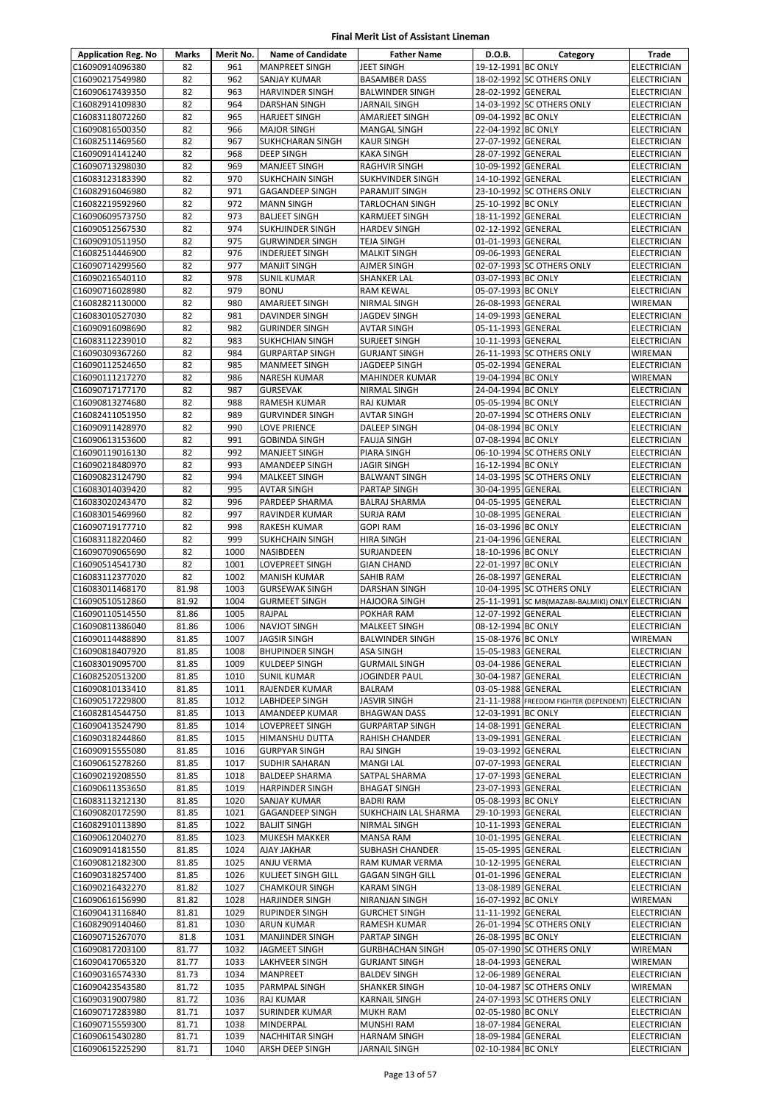| <b>Application Reg. No</b>         | Marks          | Merit No.    | <b>Name of Candidate</b>                      | <b>Father Name</b>                 | D.O.B.                                   | Category                                          | Trade                                |
|------------------------------------|----------------|--------------|-----------------------------------------------|------------------------------------|------------------------------------------|---------------------------------------------------|--------------------------------------|
| C16090914096380                    | 82             | 961          | <b>MANPREET SINGH</b>                         | <b>JEET SINGH</b>                  | 19-12-1991 BC ONLY                       |                                                   | <b>ELECTRICIAN</b>                   |
| C16090217549980                    | 82             | 962          | <b>SANJAY KUMAR</b>                           | <b>BASAMBER DASS</b>               |                                          | 18-02-1992 SC OTHERS ONLY                         | <b>ELECTRICIAN</b>                   |
| C16090617439350                    | 82             | 963          | <b>HARVINDER SINGH</b>                        | <b>BALWINDER SINGH</b>             | 28-02-1992 GENERAL                       |                                                   | ELECTRICIAN                          |
| C16082914109830                    | 82             | 964          | DARSHAN SINGH                                 | JARNAIL SINGH                      |                                          | 14-03-1992 SC OTHERS ONLY                         | ELECTRICIAN                          |
| C16083118072260                    | 82             | 965          | <b>HARJEET SINGH</b>                          | AMARJEET SINGH                     | 09-04-1992 BC ONLY                       |                                                   | ELECTRICIAN                          |
| C16090816500350                    | 82             | 966          | <b>MAJOR SINGH</b>                            | <b>MANGAL SINGH</b>                | 22-04-1992 BC ONLY                       |                                                   | <b>ELECTRICIAN</b>                   |
| C16082511469560                    | 82             | 967          | <b>SUKHCHARAN SINGH</b>                       | <b>KAUR SINGH</b>                  | 27-07-1992 GENERAL                       |                                                   | <b>ELECTRICIAN</b>                   |
| C16090914141240                    | 82             | 968          | DEEP SINGH                                    | KAKA SINGH                         | 28-07-1992 GENERAL                       |                                                   | <b>ELECTRICIAN</b>                   |
| C16090713298030                    | 82             | 969          | <b>MANJEET SINGH</b>                          | RAGHVIR SINGH                      | 10-09-1992 GENERAL                       |                                                   | ELECTRICIAN                          |
| C16083123183390                    | 82             | 970          | <b>SUKHCHAIN SINGH</b>                        | SUKHVINDER SINGH                   | 14-10-1992 GENERAL                       |                                                   | ELECTRICIAN                          |
| C16082916046980                    | 82             | 971          | <b>GAGANDEEP SINGH</b>                        | PARAMJIT SINGH                     |                                          | 23-10-1992 SC OTHERS ONLY                         | ELECTRICIAN                          |
| C16082219592960                    | 82             | 972          | <b>MANN SINGH</b>                             | TARLOCHAN SINGH                    | 25-10-1992 BC ONLY                       |                                                   | <b>ELECTRICIAN</b>                   |
| C16090609573750                    | 82             | 973<br>974   | <b>BALJEET SINGH</b>                          | <b>KARMJEET SINGH</b>              | 18-11-1992 GENERAL                       |                                                   | <b>ELECTRICIAN</b>                   |
| C16090512567530                    | 82             |              | <b>SUKHJINDER SINGH</b>                       | <b>HARDEV SINGH</b>                | 02-12-1992 GENERAL                       |                                                   | <b>ELECTRICIAN</b>                   |
| C16090910511950                    | 82<br>82       | 975<br>976   | <b>GURWINDER SINGH</b>                        | TEJA SINGH                         | 01-01-1993 GENERAL                       |                                                   | <b>ELECTRICIAN</b>                   |
| C16082514446900<br>C16090714299560 | 82             | 977          | <b>INDERJEET SINGH</b><br><b>MANJIT SINGH</b> | <b>MALKIT SINGH</b>                | 09-06-1993 GENERAL                       | 02-07-1993 SC OTHERS ONLY                         | <b>ELECTRICIAN</b><br>ELECTRICIAN    |
| C16090216540110                    | 82             | 978          | <b>SUNIL KUMAR</b>                            | AJMER SINGH<br>SHANKER LAL         | 03-07-1993 BC ONLY                       |                                                   | <b>ELECTRICIAN</b>                   |
| C16090716028980                    | 82             | 979          | <b>BONU</b>                                   | RAM KEWAL                          | 05-07-1993 BC ONLY                       |                                                   | <b>ELECTRICIAN</b>                   |
| C16082821130000                    | 82             | 980          | AMARJEET SINGH                                | NIRMAL SINGH                       | 26-08-1993 GENERAL                       |                                                   | <b>WIREMAN</b>                       |
| C16083010527030                    | 82             | 981          | DAVINDER SINGH                                | JAGDEV SINGH                       | 14-09-1993 GENERAL                       |                                                   | <b>ELECTRICIAN</b>                   |
| C16090916098690                    | 82             | 982          | <b>GURINDER SINGH</b>                         | <b>AVTAR SINGH</b>                 | 05-11-1993 GENERAL                       |                                                   | ELECTRICIAN                          |
| C16083112239010                    | 82             | 983          | <b>SUKHCHIAN SINGH</b>                        | <b>SURJEET SINGH</b>               | 10-11-1993 GENERAL                       |                                                   | <b>ELECTRICIAN</b>                   |
| C16090309367260                    | 82             | 984          | <b>GURPARTAP SINGH</b>                        | <b>GURJANT SINGH</b>               |                                          | 26-11-1993 SC OTHERS ONLY                         | WIREMAN                              |
| C16090112524650                    | 82             | 985          | <b>MANMEET SINGH</b>                          | JAGDEEP SINGH                      | 05-02-1994 GENERAL                       |                                                   | <b>ELECTRICIAN</b>                   |
| C16090111217270                    | 82             | 986          | <b>NARESH KUMAR</b>                           | <b>MAHINDER KUMAR</b>              | 19-04-1994 BC ONLY                       |                                                   | WIREMAN                              |
| C16090717177170                    | 82             | 987          | <b>GURSEVAK</b>                               | NIRMAL SINGH                       | 24-04-1994 BC ONLY                       |                                                   | <b>ELECTRICIAN</b>                   |
| C16090813274680                    | 82             | 988          | RAMESH KUMAR                                  | RAJ KUMAR                          | 05-05-1994 BC ONLY                       |                                                   | ELECTRICIAN                          |
| C16082411051950                    | 82             | 989          | <b>GURVINDER SINGH</b>                        | AVTAR SINGH                        |                                          | 20-07-1994 SC OTHERS ONLY                         | <b>ELECTRICIAN</b>                   |
| C16090911428970                    | 82             | 990          | LOVE PRIENCE                                  | DALEEP SINGH                       | 04-08-1994 BC ONLY                       |                                                   | <b>ELECTRICIAN</b>                   |
| C16090613153600                    | 82             | 991          | <b>GOBINDA SINGH</b>                          | <b>FAUJA SINGH</b>                 | 07-08-1994 BC ONLY                       |                                                   | <b>ELECTRICIAN</b>                   |
| C16090119016130                    | 82             | 992          | <b>MANJEET SINGH</b>                          | PIARA SINGH                        |                                          | 06-10-1994 SC OTHERS ONLY                         | ELECTRICIAN                          |
| C16090218480970                    | 82             | 993          | AMANDEEP SINGH                                | <b>JAGIR SINGH</b>                 | 16-12-1994 BC ONLY                       |                                                   | <b>ELECTRICIAN</b>                   |
| C16090823124790                    | 82             | 994          | <b>MALKEET SINGH</b>                          | <b>BALWANT SINGH</b>               |                                          | 14-03-1995 SC OTHERS ONLY                         | ELECTRICIAN                          |
| C16083014039420                    | 82             | 995          | <b>AVTAR SINGH</b>                            | PARTAP SINGH                       | 30-04-1995 GENERAL                       |                                                   | ELECTRICIAN                          |
| C16083020243470                    | 82             | 996          | PARDEEP SHARMA                                | <b>BALRAJ SHARMA</b>               | 04-05-1995 GENERAL                       |                                                   | <b>ELECTRICIAN</b>                   |
| C16083015469960                    | 82             | 997          | RAVINDER KUMAR                                | <b>SURJA RAM</b>                   | 10-08-1995 GENERAL                       |                                                   | <b>ELECTRICIAN</b>                   |
| C16090719177710                    | 82             | 998          | <b>RAKESH KUMAR</b>                           | <b>GOPI RAM</b>                    | 16-03-1996 BC ONLY                       |                                                   | ELECTRICIAN                          |
| C16083118220460                    | 82             | 999          | <b>SUKHCHAIN SINGH</b>                        | <b>HIRA SINGH</b>                  | 21-04-1996 GENERAL                       |                                                   | ELECTRICIAN                          |
| C16090709065690                    | 82             | 1000         | <b>NASIBDEEN</b>                              | SURJANDEEN                         | 18-10-1996 BC ONLY                       |                                                   | ELECTRICIAN                          |
| C16090514541730                    | 82             | 1001         | LOVEPREET SINGH                               | <b>GIAN CHAND</b>                  | 22-01-1997 BC ONLY                       |                                                   | ELECTRICIAN                          |
| C16083112377020                    | 82             | 1002         | <b>MANISH KUMAR</b>                           | SAHIB RAM                          | 26-08-1997 GENERAL                       |                                                   | <b>ELECTRICIAN</b>                   |
| C16083011468170                    | 81.98          | 1003         | <b>GURSEWAK SINGH</b>                         | DARSHAN SINGH                      |                                          | 10-04-1995 SC OTHERS ONLY                         | <b>ELECTRICIAN</b>                   |
| C16090510512860                    | 81.92          | 1004         | <b>GURMEET SINGH</b>                          | <b>HAJOORA SINGH</b>               | 12-07-1992 GENERAL                       | 25-11-1991 SC MB(MAZABI-BALMIKI) ONLY ELECTRICIAN |                                      |
| C16090110514550<br>C16090811386040 | 81.86<br>81.86 | 1005<br>1006 | RAJPAL                                        | POKHAR RAM<br><b>MALKEET SINGH</b> | 08-12-1994 BC ONLY                       |                                                   | <b>ELECTRICIAN</b>                   |
| C16090114488890                    | 81.85          | 1007         | <b>NAVJOT SINGH</b><br><b>JAGSIR SINGH</b>    | <b>BALWINDER SINGH</b>             | 15-08-1976 BC ONLY                       |                                                   | <b>ELECTRICIAN</b><br><b>WIREMAN</b> |
| C16090818407920                    | 81.85          | 1008         | <b>BHUPINDER SINGH</b>                        | <b>ASA SINGH</b>                   | 15-05-1983 GENERAL                       |                                                   | <b>ELECTRICIAN</b>                   |
| C16083019095700                    | 81.85          | 1009         | <b>KULDEEP SINGH</b>                          | <b>GURMAIL SINGH</b>               | 03-04-1986 GENERAL                       |                                                   | <b>ELECTRICIAN</b>                   |
| C16082520513200                    | 81.85          | 1010         | <b>SUNIL KUMAR</b>                            | JOGINDER PAUL                      | 30-04-1987 GENERAL                       |                                                   | <b>ELECTRICIAN</b>                   |
| C16090810133410                    | 81.85          | 1011         | RAJENDER KUMAR                                | BALRAM                             | 03-05-1988 GENERAL                       |                                                   | <b>ELECTRICIAN</b>                   |
| C16090517229800                    | 81.85          | 1012         | <b>LABHDEEP SINGH</b>                         | JASVIR SINGH                       |                                          | 21-11-1988 FREEDOM FIGHTER (DEPENDENT)            | <b>ELECTRICIAN</b>                   |
| C16082814544750                    | 81.85          | 1013         | AMANDEEP KUMAR                                | <b>BHAGWAN DASS</b>                | 12-03-1991 BC ONLY                       |                                                   | ELECTRICIAN                          |
| C16090413524790                    | 81.85          | 1014         | <b>LOVEPREET SINGH</b>                        | <b>GURPARTAP SINGH</b>             | 14-08-1991 GENERAL                       |                                                   | <b>ELECTRICIAN</b>                   |
| C16090318244860                    | 81.85          | 1015         | <b>HIMANSHU DUTTA</b>                         | RAHISH CHANDER                     | 13-09-1991 GENERAL                       |                                                   | <b>ELECTRICIAN</b>                   |
| C16090915555080                    | 81.85          | 1016         | <b>GURPYAR SINGH</b>                          | RAJ SINGH                          | 19-03-1992 GENERAL                       |                                                   | <b>ELECTRICIAN</b>                   |
| C16090615278260                    | 81.85          | 1017         | <b>SUDHIR SAHARAN</b>                         | <b>MANGI LAL</b>                   | 07-07-1993 GENERAL                       |                                                   | ELECTRICIAN                          |
| C16090219208550                    | 81.85          | 1018         | <b>BALDEEP SHARMA</b>                         | SATPAL SHARMA                      | 17-07-1993 GENERAL                       |                                                   | <b>ELECTRICIAN</b>                   |
| C16090611353650                    | 81.85          | 1019         | <b>HARPINDER SINGH</b>                        | <b>BHAGAT SINGH</b>                | 23-07-1993 GENERAL                       |                                                   | <b>ELECTRICIAN</b>                   |
| C16083113212130                    | 81.85          | 1020         | <b>SANJAY KUMAR</b>                           | <b>BADRI RAM</b>                   | 05-08-1993 BC ONLY                       |                                                   | ELECTRICIAN                          |
| C16090820172590                    | 81.85          | 1021         | <b>GAGANDEEP SINGH</b>                        | SUKHCHAIN LAL SHARMA               | 29-10-1993 GENERAL                       |                                                   | <b>ELECTRICIAN</b>                   |
| C16082910113890                    | 81.85          | 1022         | <b>BALJIT SINGH</b>                           | NIRMAL SINGH                       | 10-11-1993 GENERAL                       |                                                   | <b>ELECTRICIAN</b>                   |
| C16090612040270                    | 81.85          | 1023         | MUKESH MAKKER                                 | <b>MANSA RAM</b>                   | 10-01-1995 GENERAL                       |                                                   | ELECTRICIAN                          |
| C16090914181550                    | 81.85          | 1024         | <b>AJAY JAKHAR</b>                            | SUBHASH CHANDER                    | 15-05-1995 GENERAL                       |                                                   | ELECTRICIAN                          |
| C16090812182300                    | 81.85          | 1025         | ANJU VERMA                                    | RAM KUMAR VERMA                    | 10-12-1995 GENERAL                       |                                                   | ELECTRICIAN                          |
| C16090318257400                    | 81.85          | 1026         | KULJEET SINGH GILL                            | <b>GAGAN SINGH GILL</b>            | 01-01-1996 GENERAL                       |                                                   | ELECTRICIAN                          |
| C16090216432270                    | 81.82          | 1027         | <b>CHAMKOUR SINGH</b>                         | KARAM SINGH                        | 13-08-1989 GENERAL                       |                                                   | ELECTRICIAN                          |
| C16090616156990                    | 81.82          | 1028         | <b>HARJINDER SINGH</b>                        | NIRANJAN SINGH                     | 16-07-1992 BC ONLY                       |                                                   | WIREMAN                              |
| C16090413116840                    | 81.81          | 1029         | <b>RUPINDER SINGH</b>                         | <b>GURCHET SINGH</b>               | 11-11-1992 GENERAL                       |                                                   | ELECTRICIAN                          |
| C16082909140460                    | 81.81          | 1030         | ARUN KUMAR                                    | RAMESH KUMAR                       |                                          | 26-01-1994 SC OTHERS ONLY                         | ELECTRICIAN                          |
| C16090715267070                    | 81.8           | 1031         | <b>MANJINDER SINGH</b>                        | PARTAP SINGH                       | 26-08-1995 BC ONLY                       |                                                   | ELECTRICIAN                          |
| C16090817203100                    | 81.77          | 1032         | JAGMEET SINGH                                 | <b>GURBHACHAN SINGH</b>            |                                          | 05-07-1990 SC OTHERS ONLY                         | WIREMAN                              |
| C16090417065320                    | 81.77          | 1033         | LAKHVEER SINGH                                | <b>GURJANT SINGH</b>               | 18-04-1993 GENERAL                       |                                                   | WIREMAN                              |
| C16090316574330                    | 81.73          | 1034         | <b>MANPREET</b>                               | <b>BALDEV SINGH</b>                | 12-06-1989 GENERAL                       |                                                   | <b>ELECTRICIAN</b>                   |
| C16090423543580                    | 81.72          | 1035         | PARMPAL SINGH                                 | SHANKER SINGH                      |                                          | 10-04-1987 SC OTHERS ONLY                         | WIREMAN                              |
| C16090319007980                    | 81.72          | 1036         | <b>RAJ KUMAR</b>                              | KARNAIL SINGH                      |                                          | 24-07-1993 SC OTHERS ONLY                         | ELECTRICIAN                          |
| C16090717283980<br>C16090715559300 | 81.71          | 1037<br>1038 | SURINDER KUMAR                                | MUKH RAM                           | 02-05-1980 BC ONLY                       |                                                   | ELECTRICIAN                          |
|                                    | 81.71          |              | MINDERPAL                                     | MUNSHI RAM                         | 18-07-1984 GENERAL                       |                                                   | <b>ELECTRICIAN</b>                   |
| C16090615430280<br>C16090615225290 | 81.71<br>81.71 | 1039<br>1040 | <b>NACHHITAR SINGH</b><br>ARSH DEEP SINGH     | HARNAM SINGH<br>JARNAIL SINGH      | 18-09-1984 GENERAL<br>02-10-1984 BC ONLY |                                                   | ELECTRICIAN<br>ELECTRICIAN           |
|                                    |                |              |                                               |                                    |                                          |                                                   |                                      |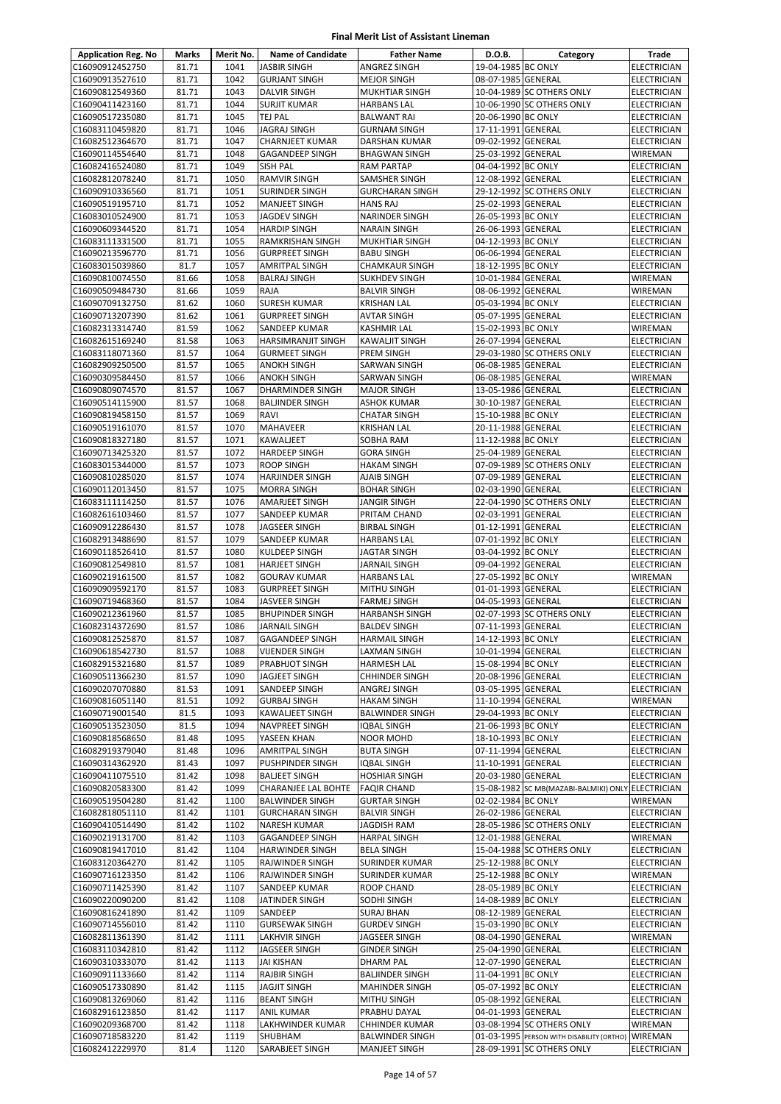| <b>Application Reg. No</b>         | Marks          | Merit No.    | <b>Name of Candidate</b>                        | <b>Father Name</b>                           | D.O.B.                                   | Category                                  | Trade                             |
|------------------------------------|----------------|--------------|-------------------------------------------------|----------------------------------------------|------------------------------------------|-------------------------------------------|-----------------------------------|
| C16090912452750                    | 81.71          | 1041         | <b>JASBIR SINGH</b>                             | <b>ANGREZ SINGH</b>                          | 19-04-1985 BC ONLY                       |                                           | <b>ELECTRICIAN</b>                |
| C16090913527610                    | 81.71          | 1042         | <b>GURJANT SINGH</b>                            | <b>MEJOR SINGH</b>                           | 08-07-1985 GENERAL                       |                                           | ELECTRICIAN                       |
| C16090812549360                    | 81.71          | 1043         | <b>DALVIR SINGH</b>                             | MUKHTIAR SINGH                               |                                          | 10-04-1989 SC OTHERS ONLY                 | ELECTRICIAN                       |
| C16090411423160                    | 81.71          | 1044         | <b>SURJIT KUMAR</b>                             | <b>HARBANS LAL</b>                           |                                          | 10-06-1990 SC OTHERS ONLY                 | ELECTRICIAN                       |
| C16090517235080                    | 81.71          | 1045         | <b>TEJ PAL</b>                                  | <b>BALWANT RAI</b>                           | 20-06-1990 BC ONLY                       |                                           | ELECTRICIAN                       |
| C16083110459820<br>C16082512364670 | 81.71<br>81.71 | 1046<br>1047 | <b>JAGRAJ SINGH</b><br><b>CHARNJEET KUMAR</b>   | <b>GURNAM SINGH</b><br><b>DARSHAN KUMAR</b>  | 17-11-1991 GENERAL<br>09-02-1992 GENERAL |                                           | ELECTRICIAN                       |
| C16090114554640                    | 81.71          | 1048         | <b>GAGANDEEP SINGH</b>                          | <b>BHAGWAN SINGH</b>                         | 25-03-1992 GENERAL                       |                                           | ELECTRICIAN<br>WIREMAN            |
| C16082416524080                    | 81.71          | 1049         | <b>SISH PAL</b>                                 | <b>RAM PARTAP</b>                            | 04-04-1992 BC ONLY                       |                                           | ELECTRICIAN                       |
| C16082812078240                    | 81.71          | 1050         | <b>RAMVIR SINGH</b>                             | SAMSHER SINGH                                | 12-08-1992 GENERAL                       |                                           | ELECTRICIAN                       |
| C16090910336560                    | 81.71          | 1051         | <b>SURINDER SINGH</b>                           | <b>GURCHARAN SINGH</b>                       |                                          | 29-12-1992 SC OTHERS ONLY                 | ELECTRICIAN                       |
| C16090519195710                    | 81.71          | 1052         | <b>MANJEET SINGH</b>                            | <b>HANS RAJ</b>                              | 25-02-1993 GENERAL                       |                                           | <b>ELECTRICIAN</b>                |
| C16083010524900                    | 81.71          | 1053         | <b>JAGDEV SINGH</b>                             | NARINDER SINGH                               | 26-05-1993 BC ONLY                       |                                           | ELECTRICIAN                       |
| C16090609344520                    | 81.71          | 1054         | <b>HARDIP SINGH</b>                             | <b>NARAIN SINGH</b>                          | 26-06-1993 GENERAL                       |                                           | ELECTRICIAN                       |
| C16083111331500                    | 81.71          | 1055         | <b>RAMKRISHAN SINGH</b>                         | MUKHTIAR SINGH                               | 04-12-1993 BC ONLY                       |                                           | ELECTRICIAN                       |
| C16090213596770                    | 81.71          | 1056         | <b>GURPREET SINGH</b>                           | <b>BABU SINGH</b>                            | 06-06-1994 GENERAL                       |                                           | ELECTRICIAN                       |
| C16083015039860                    | 81.7           | 1057         | <b>AMRITPAL SINGH</b>                           | <b>CHAMKAUR SINGH</b>                        | 18-12-1995 BC ONLY                       |                                           | ELECTRICIAN                       |
| C16090810074550<br>C16090509484730 | 81.66<br>81.66 | 1058<br>1059 | <b>BALRAJ SINGH</b>                             | <b>SUKHDEV SINGH</b><br><b>BALVIR SINGH</b>  | 10-01-1984 GENERAL<br>08-06-1992 GENERAL |                                           | WIREMAN<br><b>WIREMAN</b>         |
| C16090709132750                    | 81.62          | 1060         | RAJA<br><b>SURESH KUMAR</b>                     | <b>KRISHAN LAL</b>                           | 05-03-1994 BC ONLY                       |                                           | <b>ELECTRICIAN</b>                |
| C16090713207390                    | 81.62          | 1061         | <b>GURPREET SINGH</b>                           | <b>AVTAR SINGH</b>                           | 05-07-1995 GENERAL                       |                                           | ELECTRICIAN                       |
| C16082313314740                    | 81.59          | 1062         | SANDEEP KUMAR                                   | <b>KASHMIR LAL</b>                           | 15-02-1993 BC ONLY                       |                                           | WIREMAN                           |
| C16082615169240                    | 81.58          | 1063         | <b>HARSIMRANJIT SINGH</b>                       | <b>KAWALJIT SINGH</b>                        | 26-07-1994 GENERAL                       |                                           | ELECTRICIAN                       |
| C16083118071360                    | 81.57          | 1064         | <b>GURMEET SINGH</b>                            | PREM SINGH                                   |                                          | 29-03-1980 SC OTHERS ONLY                 | ELECTRICIAN                       |
| C16082909250500                    | 81.57          | 1065         | <b>ANOKH SINGH</b>                              | SARWAN SINGH                                 | 06-08-1985 GENERAL                       |                                           | ELECTRICIAN                       |
| C16090309584450                    | 81.57          | 1066         | <b>ANOKH SINGH</b>                              | SARWAN SINGH                                 | 06-08-1985 GENERAL                       |                                           | WIREMAN                           |
| C16090809074570                    | 81.57          | 1067         | DHARMINDER SINGH                                | <b>MAJOR SINGH</b>                           | 13-05-1986 GENERAL                       |                                           | <b>ELECTRICIAN</b>                |
| C16090514115900                    | 81.57          | 1068         | <b>BALJINDER SINGH</b>                          | <b>ASHOK KUMAR</b>                           | 30-10-1987 GENERAL                       |                                           | ELECTRICIAN                       |
| C16090819458150                    | 81.57          | 1069         | <b>RAVI</b>                                     | <b>CHATAR SINGH</b>                          | 15-10-1988 BC ONLY                       |                                           | <b>ELECTRICIAN</b>                |
| C16090519161070                    | 81.57          | 1070         | <b>MAHAVEER</b>                                 | <b>KRISHAN LAL</b>                           | 20-11-1988 GENERAL                       |                                           | ELECTRICIAN                       |
| C16090818327180                    | 81.57          | 1071         | <b>KAWALJEET</b>                                | SOBHA RAM                                    | 11-12-1988 BC ONLY                       |                                           | <b>ELECTRICIAN</b>                |
| C16090713425320<br>C16083015344000 | 81.57<br>81.57 | 1072<br>1073 | <b>HARDEEP SINGH</b><br><b>ROOP SINGH</b>       | <b>GORA SINGH</b><br><b>HAKAM SINGH</b>      | 25-04-1989 GENERAL                       | 07-09-1989 SC OTHERS ONLY                 | ELECTRICIAN<br>ELECTRICIAN        |
| C16090810285020                    | 81.57          | 1074         | <b>HARJINDER SINGH</b>                          | AJAIB SINGH                                  | 07-09-1989 GENERAL                       |                                           | ELECTRICIAN                       |
| C16090112013450                    | 81.57          | 1075         | <b>MORRA SINGH</b>                              | <b>BOHAR SINGH</b>                           | 02-03-1990 GENERAL                       |                                           | ELECTRICIAN                       |
| C16083111114250                    | 81.57          | 1076         | <b>AMARJEET SINGH</b>                           | <b>JANGIR SINGH</b>                          |                                          | 22-04-1990 SC OTHERS ONLY                 | ELECTRICIAN                       |
| C16082616103460                    | 81.57          | 1077         | SANDEEP KUMAR                                   | PRITAM CHAND                                 | 02-03-1991 GENERAL                       |                                           | ELECTRICIAN                       |
| C16090912286430                    | 81.57          | 1078         | <b>JAGSEER SINGH</b>                            | <b>BIRBAL SINGH</b>                          | 01-12-1991 GENERAL                       |                                           | ELECTRICIAN                       |
| C16082913488690                    | 81.57          | 1079         | SANDEEP KUMAR                                   | <b>HARBANS LAL</b>                           | 07-01-1992 BC ONLY                       |                                           | ELECTRICIAN                       |
| C16090118526410                    | 81.57          | 1080         | <b>KULDEEP SINGH</b>                            | <b>JAGTAR SINGH</b>                          | 03-04-1992 BC ONLY                       |                                           | ELECTRICIAN                       |
| C16090812549810                    | 81.57          | 1081         | <b>HARJEET SINGH</b>                            | <b>JARNAIL SINGH</b>                         | 09-04-1992 GENERAL                       |                                           | ELECTRICIAN                       |
| C16090219161500                    | 81.57          | 1082         | <b>GOURAV KUMAR</b>                             | <b>HARBANS LAL</b>                           | 27-05-1992 BC ONLY                       |                                           | WIREMAN                           |
| C16090909592170                    | 81.57          | 1083         | <b>GURPREET SINGH</b>                           | <b>MITHU SINGH</b>                           | 01-01-1993 GENERAL                       |                                           | ELECTRICIAN                       |
| C16090719468360                    | 81.57          | 1084         | <b>JASVEER SINGH</b>                            | <b>FARMEJ SINGH</b>                          | 04-05-1993 GENERAL                       |                                           | ELECTRICIAN                       |
| C16090212361960<br>C16082314372690 | 81.57<br>81.57 | 1085<br>1086 | <b>BHUPINDER SINGH</b><br><b>JARNAIL SINGH</b>  | <b>HARBANSH SINGH</b><br><b>BALDEV SINGH</b> | 07-11-1993 GENERAL                       | 02-07-1993 SC OTHERS ONLY                 | ELECTRICIAN<br><b>ELECTRICIAN</b> |
| C16090812525870                    | 81.57          | 1087         | <b>GAGANDEEP SINGH</b>                          | <b>HARMAIL SINGH</b>                         | 14-12-1993 BC ONLY                       |                                           | <b>ELECTRICIAN</b>                |
| C16090618542730                    | 81.57          | 1088         | <b>VIJENDER SINGH</b>                           | LAXMAN SINGH                                 | 10-01-1994 GENERAL                       |                                           | <b>ELECTRICIAN</b>                |
| C16082915321680                    | 81.57          | 1089         | PRABHJOT SINGH                                  | <b>HARMESH LAL</b>                           | 15-08-1994 BC ONLY                       |                                           | <b>ELECTRICIAN</b>                |
| C16090511366230                    | 81.57          | 1090         | JAGJEET SINGH                                   | <b>CHHINDER SINGH</b>                        | 20-08-1996 GENERAL                       |                                           | ELECTRICIAN                       |
| C16090207070880                    | 81.53          | 1091         | SANDEEP SINGH                                   | ANGREJ SINGH                                 | 03-05-1995 GENERAL                       |                                           | ELECTRICIAN                       |
| C16090816051140                    | 81.51          | 1092         | <b>GURBAJ SINGH</b>                             | <b>HAKAM SINGH</b>                           | 11-10-1994 GENERAL                       |                                           | WIREMAN                           |
| C16090719001540                    | 81.5           | 1093         | <b>KAWALJEET SINGH</b>                          | <b>BALWINDER SINGH</b>                       | 29-04-1993 BC ONLY                       |                                           | ELECTRICIAN                       |
| C16090513523050                    | 81.5           | 1094         | <b>NAVPREET SINGH</b>                           | <b>IQBAL SINGH</b>                           | 21-06-1993 BC ONLY                       |                                           | <b>ELECTRICIAN</b>                |
| C16090818568650                    | 81.48          | 1095         | YASEEN KHAN                                     | <b>NOOR MOHD</b>                             | 18-10-1993 BC ONLY                       |                                           | <b>ELECTRICIAN</b>                |
| C16082919379040                    | 81.48          | 1096<br>1097 | <b>AMRITPAL SINGH</b>                           | <b>BUTA SINGH</b>                            | 07-11-1994 GENERAL                       |                                           | ELECTRICIAN                       |
| C16090314362920<br>C16090411075510 | 81.43<br>81.42 | 1098         | <b>PUSHPINDER SINGH</b><br><b>BALJEET SINGH</b> | <b>IQBAL SINGH</b><br><b>HOSHIAR SINGH</b>   | 11-10-1991 GENERAL<br>20-03-1980 GENERAL |                                           | ELECTRICIAN<br>ELECTRICIAN        |
| C16090820583300                    | 81.42          | 1099         | <b>CHARANJEE LAL BOHTE</b>                      | <b>FAQIR CHAND</b>                           |                                          | 15-08-1982 SC MB(MAZABI-BALMIKI) ONLY     | ELECTRICIAN                       |
| C16090519504280                    | 81.42          | 1100         | <b>BALWINDER SINGH</b>                          | <b>GURTAR SINGH</b>                          | 02-02-1984 BC ONLY                       |                                           | WIREMAN                           |
| C16082818051110                    | 81.42          | 1101         | <b>GURCHARAN SINGH</b>                          | <b>BALVIR SINGH</b>                          | 26-02-1986 GENERAL                       |                                           | <b>ELECTRICIAN</b>                |
| C16090410514490                    | 81.42          | 1102         | <b>NARESH KUMAR</b>                             | <b>JAGDISH RAM</b>                           |                                          | 28-05-1986 SC OTHERS ONLY                 | ELECTRICIAN                       |
| C16090219131700                    | 81.42          | 1103         | GAGANDEEP SINGH                                 | <b>HARPAL SINGH</b>                          | 12-01-1988 GENERAL                       |                                           | WIREMAN                           |
| C16090819417010                    | 81.42          | 1104         | <b>HARWINDER SINGH</b>                          | <b>BELA SINGH</b>                            |                                          | 15-04-1988 SC OTHERS ONLY                 | ELECTRICIAN                       |
| C16083120364270                    | 81.42          | 1105         | RAJWINDER SINGH                                 | SURINDER KUMAR                               | 25-12-1988 BC ONLY                       |                                           | ELECTRICIAN                       |
| C16090716123350                    | 81.42          | 1106         | RAJWINDER SINGH                                 | SURINDER KUMAR                               | 25-12-1988 BC ONLY                       |                                           | WIREMAN                           |
| C16090711425390                    | 81.42          | 1107         | SANDEEP KUMAR                                   | <b>ROOP CHAND</b>                            | 28-05-1989 BC ONLY                       |                                           | ELECTRICIAN                       |
| C16090220090200                    | 81.42          | 1108         | JATINDER SINGH                                  | SODHI SINGH                                  | 14-08-1989 BC ONLY                       |                                           | ELECTRICIAN                       |
| C16090816241890                    | 81.42          | 1109         | SANDEEP<br><b>GURSEWAK SINGH</b>                | <b>SURAJ BHAN</b>                            | 08-12-1989 GENERAL<br>15-03-1990 BC ONLY |                                           | ELECTRICIAN                       |
| C16090714556010<br>C16082811361390 | 81.42<br>81.42 | 1110<br>1111 | <b>LAKHVIR SINGH</b>                            | <b>GURDEV SINGH</b><br>JAGSEER SINGH         | 08-04-1990 GENERAL                       |                                           | ELECTRICIAN<br>WIREMAN            |
| C16083110342810                    | 81.42          | 1112         | JAGSEER SINGH                                   | <b>GINDER SINGH</b>                          | 25-04-1990 GENERAL                       |                                           | ELECTRICIAN                       |
| C16090310333070                    | 81.42          | 1113         | <b>JAI KISHAN</b>                               | <b>DHARM PAL</b>                             | 12-07-1990 GENERAL                       |                                           | ELECTRICIAN                       |
| C16090911133660                    | 81.42          | 1114         | <b>RAJBIR SINGH</b>                             | <b>BALJINDER SINGH</b>                       | 11-04-1991 BC ONLY                       |                                           | ELECTRICIAN                       |
| C16090517330890                    | 81.42          | 1115         | <b>JAGJIT SINGH</b>                             | <b>MAHINDER SINGH</b>                        | 05-07-1992 BC ONLY                       |                                           | ELECTRICIAN                       |
| C16090813269060                    | 81.42          | 1116         | <b>BEANT SINGH</b>                              | <b>MITHU SINGH</b>                           | 05-08-1992 GENERAL                       |                                           | ELECTRICIAN                       |
| C16082916123850                    | 81.42          | 1117         | ANIL KUMAR                                      | PRABHU DAYAL                                 | 04-01-1993 GENERAL                       |                                           | ELECTRICIAN                       |
| C16090209368700                    | 81.42          | 1118         | LAKHWINDER KUMAR                                | CHHINDER KUMAR                               |                                          | 03-08-1994 SC OTHERS ONLY                 | WIREMAN                           |
| C16090718583220                    | 81.42          | 1119         | SHUBHAM                                         | <b>BALWINDER SINGH</b>                       |                                          | 01-03-1995 PERSON WITH DISABILITY (ORTHO) | <b>WIREMAN</b>                    |
| C16082412229970                    | 81.4           | 1120         | SARABJEET SINGH                                 | <b>MANJEET SINGH</b>                         |                                          | 28-09-1991 SC OTHERS ONLY                 | ELECTRICIAN                       |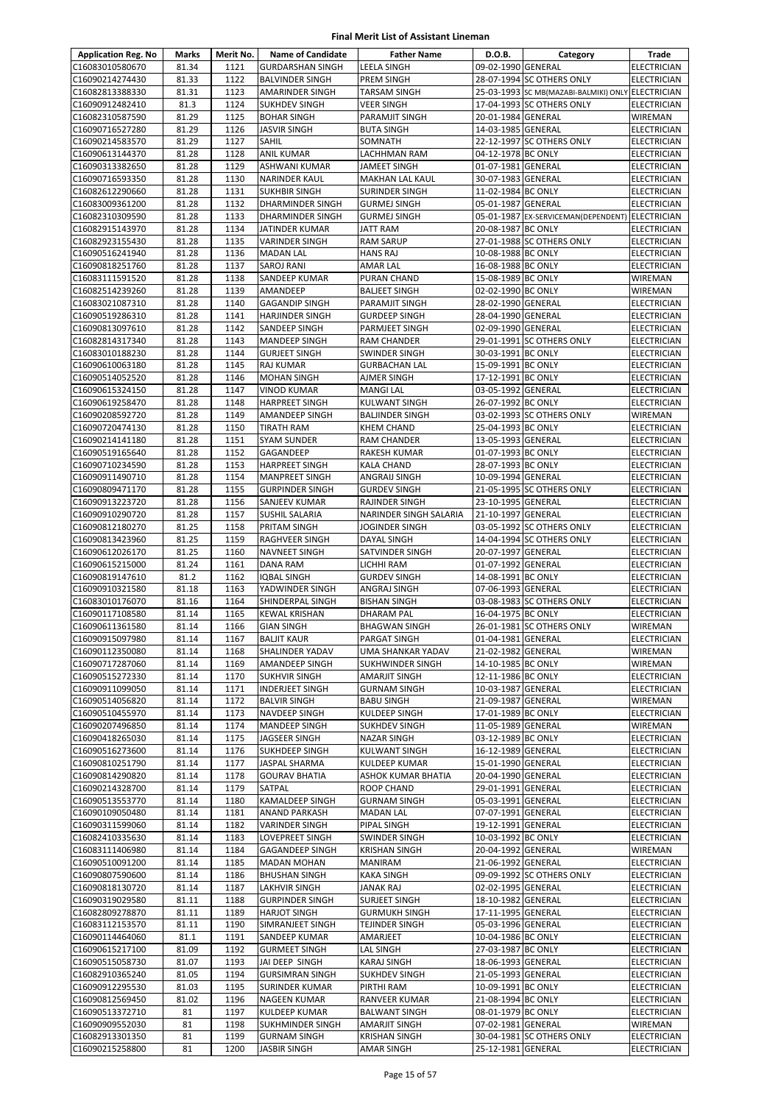| <b>Application Reg. No</b>         | <b>Marks</b>   | Merit No.    | <b>Name of Candidate</b>                | <b>Father Name</b>                     | D.O.B.                                   | Category                                          | Trade                                    |
|------------------------------------|----------------|--------------|-----------------------------------------|----------------------------------------|------------------------------------------|---------------------------------------------------|------------------------------------------|
| C16083010580670                    | 81.34          | 1121         | <b>GURDARSHAN SINGH</b>                 | <b>LEELA SINGH</b>                     | 09-02-1990 GENERAL                       |                                                   | <b>ELECTRICIAN</b>                       |
| C16090214274430                    | 81.33          | 1122         | <b>BALVINDER SINGH</b>                  | PREM SINGH                             |                                          | 28-07-1994 SC OTHERS ONLY                         | ELECTRICIAN                              |
| C16082813388330                    | 81.31          | 1123         | <b>AMARINDER SINGH</b>                  | TARSAM SINGH                           |                                          | 25-03-1993 SC MB(MAZABI-BALMIKI) ONLY ELECTRICIAN |                                          |
| C16090912482410                    | 81.3           | 1124         | <b>SUKHDEV SINGH</b>                    | <b>VEER SINGH</b>                      |                                          | 17-04-1993 SC OTHERS ONLY                         | <b>ELECTRICIAN</b>                       |
| C16082310587590                    | 81.29          | 1125         | <b>BOHAR SINGH</b>                      | PARAMJIT SINGH                         | 20-01-1984 GENERAL                       |                                                   | WIREMAN                                  |
| C16090716527280                    | 81.29          | 1126         | <b>JASVIR SINGH</b>                     | <b>BUTA SINGH</b>                      | 14-03-1985 GENERAL                       |                                                   | <b>ELECTRICIAN</b>                       |
| C16090214583570                    | 81.29          | 1127         | SAHIL                                   | SOMNATH                                |                                          | 22-12-1997 SC OTHERS ONLY                         | <b>ELECTRICIAN</b>                       |
| C16090613144370                    | 81.28          | 1128<br>1129 | ANIL KUMAR                              | LACHHMAN RAM                           | 04-12-1978 BC ONLY                       |                                                   | <b>ELECTRICIAN</b>                       |
| C16090313382650<br>C16090716593350 | 81.28<br>81.28 | 1130         | ASHWANI KUMAR<br><b>NARINDER KAUL</b>   | JAMEET SINGH<br>MAKHAN LAL KAUL        | 01-07-1981 GENERAL<br>30-07-1983 GENERAL |                                                   | <b>ELECTRICIAN</b><br>ELECTRICIAN        |
| C16082612290660                    | 81.28          | 1131         | <b>SUKHBIR SINGH</b>                    | SURINDER SINGH                         | 11-02-1984 BC ONLY                       |                                                   | <b>ELECTRICIAN</b>                       |
| C16083009361200                    | 81.28          | 1132         | <b>DHARMINDER SINGH</b>                 | <b>GURMEJ SINGH</b>                    | 05-01-1987 GENERAL                       |                                                   | <b>ELECTRICIAN</b>                       |
| C16082310309590                    | 81.28          | 1133         | <b>DHARMINDER SINGH</b>                 | <b>GURMEJ SINGH</b>                    |                                          | 05-01-1987 EX-SERVICEMAN(DEPENDENT)               | <b>ELECTRICIAN</b>                       |
| C16082915143970                    | 81.28          | 1134         | <b>JATINDER KUMAR</b>                   | JATT RAM                               | 20-08-1987 BC ONLY                       |                                                   | ELECTRICIAN                              |
| C16082923155430                    | 81.28          | 1135         | <b>VARINDER SINGH</b>                   | RAM SARUP                              |                                          | 27-01-1988 SC OTHERS ONLY                         | ELECTRICIAN                              |
| C16090516241940                    | 81.28          | 1136         | <b>MADAN LAL</b>                        | HANS RAJ                               | 10-08-1988 BC ONLY                       |                                                   | ELECTRICIAN                              |
| C16090818251760                    | 81.28          | 1137         | <b>SAROJ RANI</b>                       | AMAR LAL                               | 16-08-1988 BC ONLY                       |                                                   | <b>ELECTRICIAN</b>                       |
| C16083111591520                    | 81.28          | 1138         | SANDEEP KUMAR                           | PURAN CHAND                            | 15-08-1989 BC ONLY                       |                                                   | WIREMAN                                  |
| C16082514239260                    | 81.28          | 1139         | AMANDEEP                                | <b>BALJEET SINGH</b>                   | 02-02-1990 BC ONLY                       |                                                   | WIREMAN                                  |
| C16083021087310                    | 81.28          | 1140         | <b>GAGANDIP SINGH</b>                   | PARAMJIT SINGH                         | 28-02-1990 GENERAL                       |                                                   | <b>ELECTRICIAN</b>                       |
| C16090519286310                    | 81.28<br>81.28 | 1141<br>1142 | <b>HARJINDER SINGH</b>                  | <b>GURDEEP SINGH</b><br>PARMJEET SINGH | 28-04-1990 GENERAL                       |                                                   | <b>ELECTRICIAN</b>                       |
| C16090813097610<br>C16082814317340 | 81.28          | 1143         | SANDEEP SINGH<br><b>MANDEEP SINGH</b>   | RAM CHANDER                            | 02-09-1990 GENERAL                       | 29-01-1991 SC OTHERS ONLY                         | ELECTRICIAN<br>ELECTRICIAN               |
| C16083010188230                    | 81.28          | 1144         | <b>GURJEET SINGH</b>                    | SWINDER SINGH                          | 30-03-1991 BC ONLY                       |                                                   | <b>ELECTRICIAN</b>                       |
| C16090610063180                    | 81.28          | 1145         | <b>RAJ KUMAR</b>                        | <b>GURBACHAN LAL</b>                   | 15-09-1991 BC ONLY                       |                                                   | ELECTRICIAN                              |
| C16090514052520                    | 81.28          | 1146         | <b>MOHAN SINGH</b>                      | AJMER SINGH                            | 17-12-1991 BC ONLY                       |                                                   | ELECTRICIAN                              |
| C16090615324150                    | 81.28          | 1147         | <b>VINOD KUMAR</b>                      | <b>MANGI LAL</b>                       | 03-05-1992 GENERAL                       |                                                   | ELECTRICIAN                              |
| C16090619258470                    | 81.28          | 1148         | <b>HARPREET SINGH</b>                   | <b>KULWANT SINGH</b>                   | 26-07-1992 BC ONLY                       |                                                   | <b>ELECTRICIAN</b>                       |
| C16090208592720                    | 81.28          | 1149         | <b>AMANDEEP SINGH</b>                   | <b>BALJINDER SINGH</b>                 |                                          | 03-02-1993 SC OTHERS ONLY                         | WIREMAN                                  |
| C16090720474130                    | 81.28          | 1150         | <b>TIRATH RAM</b>                       | <b>KHEM CHAND</b>                      | 25-04-1993 BC ONLY                       |                                                   | <b>ELECTRICIAN</b>                       |
| C16090214141180                    | 81.28          | 1151         | <b>SYAM SUNDER</b>                      | RAM CHANDER                            | 13-05-1993 GENERAL                       |                                                   | <b>ELECTRICIAN</b>                       |
| C16090519165640                    | 81.28          | 1152         | GAGANDEEP                               | RAKESH KUMAR                           | 01-07-1993 BC ONLY                       |                                                   | <b>ELECTRICIAN</b>                       |
| C16090710234590                    | 81.28          | 1153         | <b>HARPREET SINGH</b>                   | <b>KALA CHAND</b>                      | 28-07-1993 BC ONLY                       |                                                   | ELECTRICIAN                              |
| C16090911490710                    | 81.28          | 1154         | MANPREET SINGH                          | ANGRAIJ SINGH                          | 10-09-1994 GENERAL                       |                                                   | ELECTRICIAN                              |
| C16090809471170<br>C16090913223720 | 81.28<br>81.28 | 1155<br>1156 | <b>GURPINDER SINGH</b><br>SANJEEV KUMAR | <b>GURDEV SINGH</b><br>RAJINDER SINGH  | 23-10-1995 GENERAL                       | 21-05-1995 SC OTHERS ONLY                         | ELECTRICIAN<br><b>ELECTRICIAN</b>        |
| C16090910290720                    | 81.28          | 1157         | SUSHIL SALARIA                          | NARINDER SINGH SALARIA                 | 21-10-1997 GENERAL                       |                                                   | <b>ELECTRICIAN</b>                       |
| C16090812180270                    | 81.25          | 1158         | PRITAM SINGH                            | JOGINDER SINGH                         |                                          | 03-05-1992 SC OTHERS ONLY                         | ELECTRICIAN                              |
| C16090813423960                    | 81.25          | 1159         | RAGHVEER SINGH                          | DAYAL SINGH                            |                                          | 14-04-1994 SC OTHERS ONLY                         | ELECTRICIAN                              |
| C16090612026170                    | 81.25          | 1160         | <b>NAVNEET SINGH</b>                    | SATVINDER SINGH                        | 20-07-1997 GENERAL                       |                                                   | <b>ELECTRICIAN</b>                       |
| C16090615215000                    | 81.24          | 1161         | <b>DANA RAM</b>                         | LICHHI RAM                             | 01-07-1992 GENERAL                       |                                                   | <b>ELECTRICIAN</b>                       |
| C16090819147610                    | 81.2           | 1162         | <b>IQBAL SINGH</b>                      | <b>GURDEV SINGH</b>                    | 14-08-1991 BC ONLY                       |                                                   | <b>ELECTRICIAN</b>                       |
| C16090910321580                    | 81.18          | 1163         | YADWINDER SINGH                         | ANGRAJ SINGH                           | 07-06-1993 GENERAL                       |                                                   | <b>ELECTRICIAN</b>                       |
| C16083010176070                    | 81.16          | 1164         | SHINDERPAL SINGH                        | <b>BISHAN SINGH</b>                    |                                          | 03-08-1983 SC OTHERS ONLY                         | <b>ELECTRICIAN</b>                       |
| C16090117108580                    | 81.14          | 1165         | <b>KEWAL KRISHAN</b>                    | <b>DHARAM PAL</b>                      | 16-04-1975 BC ONLY                       |                                                   | ELECTRICIAN                              |
| C16090611361580                    | 81.14          | 1166         | <b>GIAN SINGH</b>                       | <b>BHAGWAN SINGH</b>                   | 01-04-1981 GENERAL                       | 26-01-1981 SC OTHERS ONLY                         | WIREMAN                                  |
| C16090915097980<br>C16090112350080 | 81.14<br>81.14 | 1167<br>1168 | <b>BALJIT KAUR</b><br>SHALINDER YADAV   | PARGAT SINGH<br>UMA SHANKAR YADAV      | 21-02-1982 GENERAL                       |                                                   | <b>ELECTRICIAN</b><br><b>WIREMAN</b>     |
| C16090717287060                    | 81.14          | 1169         | AMANDEEP SINGH                          | SUKHWINDER SINGH                       | 14-10-1985 BC ONLY                       |                                                   | WIREMAN                                  |
| C16090515272330                    | 81.14          | 1170         | <b>SUKHVIR SINGH</b>                    | AMARJIT SINGH                          | 12-11-1986 BC ONLY                       |                                                   | ELECTRICIAN                              |
| C16090911099050                    | 81.14          | 1171         | <b>INDERJEET SINGH</b>                  | <b>GURNAM SINGH</b>                    | 10-03-1987 GENERAL                       |                                                   | ELECTRICIAN                              |
| C16090514056820                    | 81.14          | 1172         | <b>BALVIR SINGH</b>                     | <b>BABU SINGH</b>                      | 21-09-1987 GENERAL                       |                                                   | WIREMAN                                  |
| C16090510455970                    | 81.14          | 1173         | NAVDEEP SINGH                           | KULDEEP SINGH                          | 17-01-1989 BC ONLY                       |                                                   | ELECTRICIAN                              |
| C16090207496850                    | 81.14          | 1174         | <b>MANDEEP SINGH</b>                    | <b>SUKHDEV SINGH</b>                   | 11-05-1989 GENERAL                       |                                                   | WIREMAN                                  |
| C16090418265030                    | 81.14          | 1175         | JAGSEER SINGH                           | <b>NAZAR SINGH</b>                     | 03-12-1989 BC ONLY                       |                                                   | <b>ELECTRICIAN</b>                       |
| C16090516273600                    | 81.14          | 1176         | <b>SUKHDEEP SINGH</b>                   | <b>KULWANT SINGH</b>                   | 16-12-1989 GENERAL                       |                                                   | <b>ELECTRICIAN</b>                       |
| C16090810251790                    | 81.14          | 1177         | <b>JASPAL SHARMA</b>                    | KULDEEP KUMAR                          | 15-01-1990 GENERAL                       |                                                   | ELECTRICIAN                              |
| C16090814290820<br>C16090214328700 | 81.14<br>81.14 | 1178<br>1179 | <b>GOURAV BHATIA</b><br>SATPAL          | ASHOK KUMAR BHATIA<br>ROOP CHAND       | 20-04-1990 GENERAL<br>29-01-1991 GENERAL |                                                   | ELECTRICIAN<br><b>ELECTRICIAN</b>        |
| C16090513553770                    | 81.14          | 1180         | <b>KAMALDEEP SINGH</b>                  | <b>GURNAM SINGH</b>                    | 05-03-1991 GENERAL                       |                                                   | ELECTRICIAN                              |
| C16090109050480                    | 81.14          | 1181         | ANAND PARKASH                           | <b>MADAN LAL</b>                       | 07-07-1991 GENERAL                       |                                                   | <b>ELECTRICIAN</b>                       |
| C16090311599060                    | 81.14          | 1182         | <b>VARINDER SINGH</b>                   | PIPAL SINGH                            | 19-12-1991 GENERAL                       |                                                   | ELECTRICIAN                              |
| C16082410335630                    | 81.14          | 1183         | LOVEPREET SINGH                         | SWINDER SINGH                          | 10-03-1992 BC ONLY                       |                                                   | ELECTRICIAN                              |
| C16083111406980                    | 81.14          | 1184         | <b>GAGANDEEP SINGH</b>                  | <b>KRISHAN SINGH</b>                   | 20-04-1992 GENERAL                       |                                                   | WIREMAN                                  |
| C16090510091200                    | 81.14          | 1185         | <b>MADAN MOHAN</b>                      | MANIRAM                                | 21-06-1992 GENERAL                       |                                                   | ELECTRICIAN                              |
| C16090807590600                    | 81.14          | 1186         | <b>BHUSHAN SINGH</b>                    | KAKA SINGH                             |                                          | 09-09-1992 SC OTHERS ONLY                         | ELECTRICIAN                              |
| C16090818130720                    | 81.14          | 1187         | LAKHVIR SINGH                           | JANAK RAJ                              | 02-02-1995 GENERAL                       |                                                   | ELECTRICIAN                              |
| C16090319029580                    | 81.11          | 1188         | <b>GURPINDER SINGH</b>                  | SURJEET SINGH                          | 18-10-1982 GENERAL                       |                                                   | <b>ELECTRICIAN</b>                       |
| C16082809278870                    | 81.11          | 1189         | <b>HARJOT SINGH</b>                     | <b>GURMUKH SINGH</b>                   | 17-11-1995 GENERAL                       |                                                   | ELECTRICIAN                              |
| C16083112153570<br>C16090114464060 | 81.11<br>81.1  | 1190<br>1191 | SIMRANJEET SINGH<br>SANDEEP KUMAR       | TEJINDER SINGH<br>AMARJEET             | 05-03-1996 GENERAL<br>10-04-1986 BC ONLY |                                                   | <b>ELECTRICIAN</b><br><b>ELECTRICIAN</b> |
| C16090615217100                    | 81.09          | 1192         | <b>GURMEET SINGH</b>                    | LAL SINGH                              | 27-03-1987 BC ONLY                       |                                                   | ELECTRICIAN                              |
| C16090515058730                    | 81.07          | 1193         | JAI DEEP SINGH                          | <b>KARAJ SINGH</b>                     | 18-06-1993 GENERAL                       |                                                   | <b>ELECTRICIAN</b>                       |
| C16082910365240                    | 81.05          | 1194         | <b>GURSIMRAN SINGH</b>                  | <b>SUKHDEV SINGH</b>                   | 21-05-1993 GENERAL                       |                                                   | <b>ELECTRICIAN</b>                       |
| C16090912295530                    | 81.03          | 1195         | <b>SURINDER KUMAR</b>                   | PIRTHI RAM                             | 10-09-1991 BC ONLY                       |                                                   | ELECTRICIAN                              |
| C16090812569450                    | 81.02          | 1196         | NAGEEN KUMAR                            | RANVEER KUMAR                          | 21-08-1994 BC ONLY                       |                                                   | ELECTRICIAN                              |
| C16090513372710                    | 81             | 1197         | KULDEEP KUMAR                           | <b>BALWANT SINGH</b>                   | 08-01-1979 BC ONLY                       |                                                   | ELECTRICIAN                              |
| C16090909552030                    | 81             | 1198         | <b>SUKHMINDER SINGH</b>                 | AMARJIT SINGH                          | 07-02-1981 GENERAL                       |                                                   | WIREMAN                                  |
| C16082913301350                    | 81             | 1199         | <b>GURNAM SINGH</b>                     | <b>KRISHAN SINGH</b>                   |                                          | 30-04-1981 SC OTHERS ONLY                         | ELECTRICIAN                              |
| C16090215258800                    | 81             | 1200         | <b>JASBIR SINGH</b>                     | <b>AMAR SINGH</b>                      | 25-12-1981 GENERAL                       |                                                   | ELECTRICIAN                              |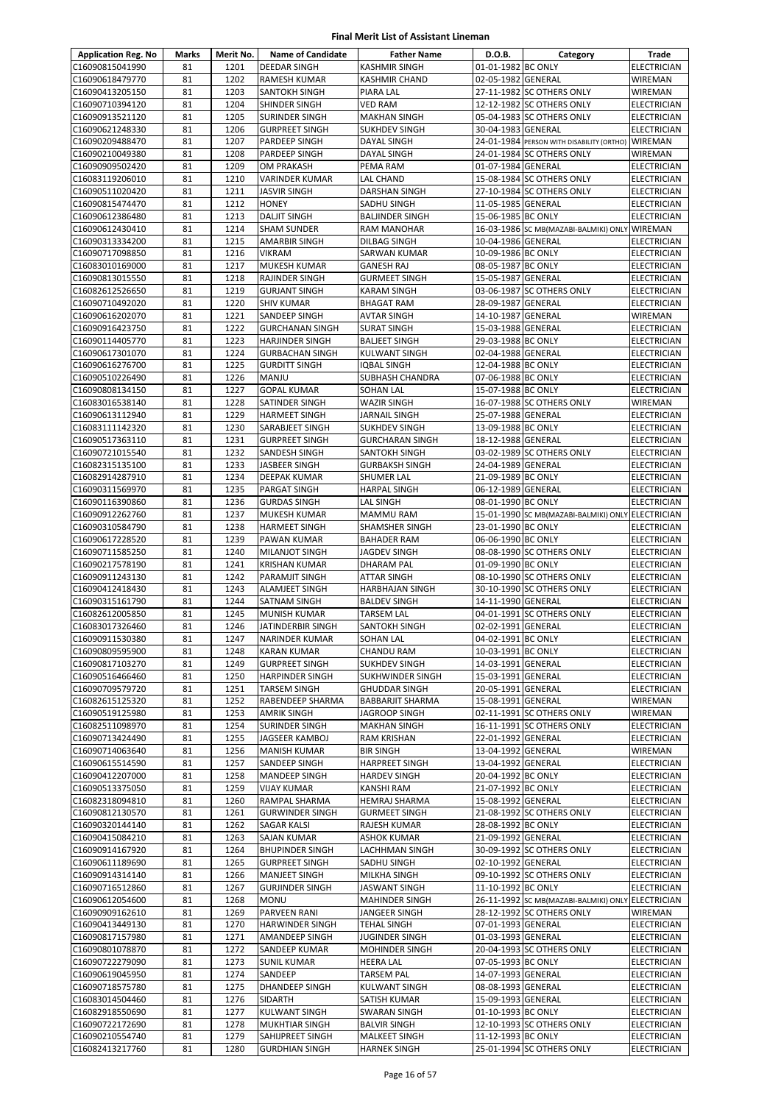| <b>Application Reg. No</b>         | Marks    | Merit No.    | <b>Name of Candidate</b>                         | <b>Father Name</b>                              | D.O.B.                                   | Category                                          | Trade                             |
|------------------------------------|----------|--------------|--------------------------------------------------|-------------------------------------------------|------------------------------------------|---------------------------------------------------|-----------------------------------|
| C16090815041990                    | 81       | 1201         | <b>DEEDAR SINGH</b>                              | <b>KASHMIR SINGH</b>                            | 01-01-1982 BC ONLY                       |                                                   | <b>ELECTRICIAN</b>                |
| C16090618479770                    | 81       | 1202         | RAMESH KUMAR                                     | <b>KASHMIR CHAND</b>                            | 02-05-1982 GENERAL                       |                                                   | <b>WIREMAN</b>                    |
| C16090413205150                    | 81       | 1203         | SANTOKH SINGH                                    | PIARA LAL                                       |                                          | 27-11-1982 SC OTHERS ONLY                         | WIREMAN                           |
| C16090710394120                    | 81       | 1204         | SHINDER SINGH                                    | <b>VED RAM</b>                                  |                                          | 12-12-1982 SC OTHERS ONLY                         | ELECTRICIAN                       |
| C16090913521120                    | 81       | 1205         | SURINDER SINGH                                   | <b>MAKHAN SINGH</b>                             |                                          | 05-04-1983 SC OTHERS ONLY                         | <b>ELECTRICIAN</b>                |
| C16090621248330                    | 81       | 1206         | <b>GURPREET SINGH</b>                            | <b>SUKHDEV SINGH</b>                            | 30-04-1983 GENERAL                       |                                                   | <b>ELECTRICIAN</b>                |
| C16090209488470                    | 81       | 1207         | PARDEEP SINGH                                    | DAYAL SINGH                                     |                                          | 24-01-1984 PERSON WITH DISABILITY (ORTHO)         | <b>WIREMAN</b>                    |
| C16090210049380<br>C16090909502420 | 81<br>81 | 1208<br>1209 | PARDEEP SINGH<br>OM PRAKASH                      | DAYAL SINGH<br>PEMA RAM                         | 01-07-1984 GENERAL                       | 24-01-1984 SC OTHERS ONLY                         | WIREMAN<br><b>ELECTRICIAN</b>     |
| C16083119206010                    | 81       | 1210         | VARINDER KUMAR                                   | LAL CHAND                                       |                                          | 15-08-1984 SC OTHERS ONLY                         | ELECTRICIAN                       |
| C16090511020420                    | 81       | 1211         | <b>JASVIR SINGH</b>                              | <b>DARSHAN SINGH</b>                            |                                          | 27-10-1984 SC OTHERS ONLY                         | <b>ELECTRICIAN</b>                |
| C16090815474470                    | 81       | 1212         | <b>HONEY</b>                                     | SADHU SINGH                                     | 11-05-1985 GENERAL                       |                                                   | ELECTRICIAN                       |
| C16090612386480                    | 81       | 1213         | <b>DALJIT SINGH</b>                              | <b>BALJINDER SINGH</b>                          | 15-06-1985 BC ONLY                       |                                                   | <b>ELECTRICIAN</b>                |
| C16090612430410                    | 81       | 1214         | <b>SHAM SUNDER</b>                               | <b>RAM MANOHAR</b>                              |                                          | 16-03-1986 SC MB(MAZABI-BALMIKI) ONLY             | <b>WIREMAN</b>                    |
| C16090313334200                    | 81       | 1215         | AMARBIR SINGH                                    | DILBAG SINGH                                    | 10-04-1986 GENERAL                       |                                                   | ELECTRICIAN                       |
| C16090717098850                    | 81       | 1216         | <b>VIKRAM</b>                                    | SARWAN KUMAR                                    | 10-09-1986 BC ONLY                       |                                                   | <b>ELECTRICIAN</b>                |
| C16083010169000                    | 81       | 1217         | MUKESH KUMAR                                     | <b>GANESH RAJ</b>                               | 08-05-1987 BC ONLY                       |                                                   | <b>ELECTRICIAN</b>                |
| C16090813015550                    | 81       | 1218         | RAJINDER SINGH                                   | <b>GURMEET SINGH</b>                            | 15-05-1987 GENERAL                       |                                                   | ELECTRICIAN                       |
| C16082612526650                    | 81       | 1219         | <b>GURJANT SINGH</b>                             | <b>KARAM SINGH</b>                              |                                          | 03-06-1987 SC OTHERS ONLY                         | <b>ELECTRICIAN</b>                |
| C16090710492020                    | 81       | 1220         | <b>SHIV KUMAR</b>                                | <b>BHAGAT RAM</b>                               | 28-09-1987 GENERAL                       |                                                   | <b>ELECTRICIAN</b>                |
| C16090616202070                    | 81       | 1221         | SANDEEP SINGH                                    | <b>AVTAR SINGH</b>                              | 14-10-1987 GENERAL                       |                                                   | WIREMAN                           |
| C16090916423750<br>C16090114405770 | 81<br>81 | 1222<br>1223 | <b>GURCHANAN SINGH</b><br><b>HARJINDER SINGH</b> | <b>SURAT SINGH</b><br><b>BALJEET SINGH</b>      | 15-03-1988 GENERAL<br>29-03-1988 BC ONLY |                                                   | ELECTRICIAN<br><b>ELECTRICIAN</b> |
| C16090617301070                    | 81       | 1224         | <b>GURBACHAN SINGH</b>                           | <b>KULWANT SINGH</b>                            | 02-04-1988 GENERAL                       |                                                   | <b>ELECTRICIAN</b>                |
| C16090616276700                    | 81       | 1225         | <b>GURDITT SINGH</b>                             | <b>IOBAL SINGH</b>                              | 12-04-1988 BC ONLY                       |                                                   | ELECTRICIAN                       |
| C16090510226490                    | 81       | 1226         | MANJU                                            | <b>SUBHASH CHANDRA</b>                          | 07-06-1988 BC ONLY                       |                                                   | <b>ELECTRICIAN</b>                |
| C16090808134150                    | 81       | 1227         | <b>GOPAL KUMAR</b>                               | <b>SOHAN LAL</b>                                | 15-07-1988 BC ONLY                       |                                                   | ELECTRICIAN                       |
| C16083016538140                    | 81       | 1228         | SATINDER SINGH                                   | <b>WAZIR SINGH</b>                              |                                          | 16-07-1988 SC OTHERS ONLY                         | WIREMAN                           |
| C16090613112940                    | 81       | 1229         | <b>HARMEET SINGH</b>                             | <b>JARNAIL SINGH</b>                            | 25-07-1988 GENERAL                       |                                                   | ELECTRICIAN                       |
| C16083111142320                    | 81       | 1230         | SARABJEET SINGH                                  | <b>SUKHDEV SINGH</b>                            | 13-09-1988 BC ONLY                       |                                                   | <b>ELECTRICIAN</b>                |
| C16090517363110                    | 81       | 1231         | <b>GURPREET SINGH</b>                            | <b>GURCHARAN SINGH</b>                          | 18-12-1988 GENERAL                       |                                                   | <b>ELECTRICIAN</b>                |
| C16090721015540                    | 81       | 1232         | SANDESH SINGH                                    | SANTOKH SINGH                                   |                                          | 03-02-1989 SC OTHERS ONLY                         | <b>ELECTRICIAN</b>                |
| C16082315135100                    | 81       | 1233         | JASBEER SINGH                                    | <b>GURBAKSH SINGH</b>                           | 24-04-1989 GENERAL                       |                                                   | ELECTRICIAN                       |
| C16082914287910                    | 81       | 1234         | DEEPAK KUMAR                                     | SHUMER LAL                                      | 21-09-1989 BC ONLY                       |                                                   | ELECTRICIAN                       |
| C16090311569970                    | 81       | 1235         | PARGAT SINGH                                     | <b>HARPAL SINGH</b>                             | 06-12-1989 GENERAL                       |                                                   | ELECTRICIAN                       |
| C16090116390860                    | 81       | 1236         | <b>GURDAS SINGH</b>                              | LAL SINGH                                       | 08-01-1990 BC ONLY                       |                                                   | <b>ELECTRICIAN</b>                |
| C16090912262760<br>C16090310584790 | 81<br>81 | 1237<br>1238 | MUKESH KUMAR<br><b>HARMEET SINGH</b>             | <b>MAMMU RAM</b><br>SHAMSHER SINGH              | 23-01-1990 BC ONLY                       | 15-01-1990 SC MB(MAZABI-BALMIKI) ONLY ELECTRICIAN | <b>ELECTRICIAN</b>                |
| C16090617228520                    | 81       | 1239         | PAWAN KUMAR                                      | <b>BAHADER RAM</b>                              | 06-06-1990 BC ONLY                       |                                                   | <b>ELECTRICIAN</b>                |
| C16090711585250                    | 81       | 1240         | <b>MILANJOT SINGH</b>                            | <b>JAGDEV SINGH</b>                             |                                          | 08-08-1990 SC OTHERS ONLY                         | <b>ELECTRICIAN</b>                |
| C16090217578190                    | 81       | 1241         | <b>KRISHAN KUMAR</b>                             | <b>DHARAM PAL</b>                               | 01-09-1990 BC ONLY                       |                                                   | <b>ELECTRICIAN</b>                |
| C16090911243130                    | 81       | 1242         | PARAMJIT SINGH                                   | ATTAR SINGH                                     |                                          | 08-10-1990 SC OTHERS ONLY                         | <b>ELECTRICIAN</b>                |
| C16090412418430                    | 81       | 1243         | ALAMJEET SINGH                                   | <b>HARBHAJAN SINGH</b>                          |                                          | 30-10-1990 SC OTHERS ONLY                         | <b>ELECTRICIAN</b>                |
| C16090315161790                    | 81       | 1244         | SATNAM SINGH                                     | <b>BALDEV SINGH</b>                             | 14-11-1990 GENERAL                       |                                                   | <b>ELECTRICIAN</b>                |
| C16082612005850                    | 81       | 1245         | MUNISH KUMAR                                     | <b>TARSEM LAL</b>                               |                                          | 04-01-1991 SC OTHERS ONLY                         | <b>ELECTRICIAN</b>                |
| C16083017326460                    | 81       | 1246         | JATINDERBIR SINGH                                | SANTOKH SINGH                                   | 02-02-1991 GENERAL                       |                                                   | <b>ELECTRICIAN</b>                |
| C16090911530380                    | 81       | 1247         | NARINDER KUMAR                                   | <b>SOHAN LAL</b>                                | 04-02-1991 BC ONLY                       |                                                   | <b>ELECTRICIAN</b>                |
| C16090809595900                    | 81       | 1248         | <b>KARAN KUMAR</b>                               | <b>CHANDU RAM</b>                               | 10-03-1991 BC ONLY                       |                                                   | <b>ELECTRICIAN</b>                |
| C16090817103270                    | 81       | 1249         | <b>GURPREET SINGH</b>                            | <b>SUKHDEV SINGH</b>                            | 14-03-1991 GENERAL                       |                                                   | <b>ELECTRICIAN</b>                |
| C16090516466460                    | 81       | 1250         | <b>HARPINDER SINGH</b>                           | <b>SUKHWINDER SINGH</b>                         | 15-03-1991 GENERAL                       |                                                   | ELECTRICIAN                       |
| C16090709579720<br>C16082615125320 | 81<br>81 | 1251<br>1252 | TARSEM SINGH<br>RABENDEEP SHARMA                 | <b>GHUDDAR SINGH</b><br><b>BABBARJIT SHARMA</b> | 20-05-1991 GENERAL<br>15-08-1991 GENERAL |                                                   | <b>ELECTRICIAN</b><br>WIREMAN     |
| C16090519125980                    | 81       | 1253         | AMRIK SINGH                                      | <b>JAGROOP SINGH</b>                            |                                          | 02-11-1991 SC OTHERS ONLY                         | WIREMAN                           |
| C16082511098970                    | 81       | 1254         | SURINDER SINGH                                   | <b>MAKHAN SINGH</b>                             |                                          | 16-11-1991 SC OTHERS ONLY                         | ELECTRICIAN                       |
| C16090713424490                    | 81       | 1255         | JAGSEER KAMBOJ                                   | <b>RAM KRISHAN</b>                              | 22-01-1992 GENERAL                       |                                                   | <b>ELECTRICIAN</b>                |
| C16090714063640                    | 81       | 1256         | <b>MANISH KUMAR</b>                              | <b>BIR SINGH</b>                                | 13-04-1992 GENERAL                       |                                                   | WIREMAN                           |
| C16090615514590                    | 81       | 1257         | SANDEEP SINGH                                    | <b>HARPREET SINGH</b>                           | 13-04-1992 GENERAL                       |                                                   | ELECTRICIAN                       |
| C16090412207000                    | 81       | 1258         | MANDEEP SINGH                                    | <b>HARDEV SINGH</b>                             | 20-04-1992 BC ONLY                       |                                                   | ELECTRICIAN                       |
| C16090513375050                    | 81       | 1259         | <b>VIJAY KUMAR</b>                               | KANSHI RAM                                      | 21-07-1992 BC ONLY                       |                                                   | ELECTRICIAN                       |
| C16082318094810                    | 81       | 1260         | RAMPAL SHARMA                                    | HEMRAJ SHARMA                                   | 15-08-1992 GENERAL                       |                                                   | ELECTRICIAN                       |
| C16090812130570                    | 81       | 1261         | <b>GURWINDER SINGH</b>                           | <b>GURMEET SINGH</b>                            |                                          | 21-08-1992 SC OTHERS ONLY                         | <b>ELECTRICIAN</b>                |
| C16090320144140                    | 81       | 1262         | SAGAR KALSI                                      | RAJESH KUMAR                                    | 28-08-1992 BC ONLY                       |                                                   | ELECTRICIAN                       |
| C16090415084210                    | 81       | 1263         | SAJAN KUMAR                                      | <b>ASHOK KUMAR</b>                              | 21-09-1992 GENERAL                       |                                                   | ELECTRICIAN                       |
| C16090914167920<br>C16090611189690 | 81<br>81 | 1264<br>1265 | <b>BHUPINDER SINGH</b><br><b>GURPREET SINGH</b>  | LACHHMAN SINGH<br>SADHU SINGH                   | 02-10-1992 GENERAL                       | 30-09-1992 SC OTHERS ONLY                         | ELECTRICIAN<br>ELECTRICIAN        |
| C16090914314140                    | 81       | 1266         | MANJEET SINGH                                    | MILKHA SINGH                                    |                                          | 09-10-1992 SC OTHERS ONLY                         | ELECTRICIAN                       |
| C16090716512860                    | 81       | 1267         | <b>GURJINDER SINGH</b>                           | <b>JASWANT SINGH</b>                            | 11-10-1992 BC ONLY                       |                                                   | ELECTRICIAN                       |
| C16090612054600                    | 81       | 1268         | MONU                                             | <b>MAHINDER SINGH</b>                           |                                          | 26-11-1992 SC MB(MAZABI-BALMIKI) ONLY ELECTRICIAN |                                   |
| C16090909162610                    | 81       | 1269         | PARVEEN RANI                                     | JANGEER SINGH                                   |                                          | 28-12-1992 SC OTHERS ONLY                         | WIREMAN                           |
| C16090413449130                    | 81       | 1270         | <b>HARWINDER SINGH</b>                           | <b>TEHAL SINGH</b>                              | 07-01-1993 GENERAL                       |                                                   | <b>ELECTRICIAN</b>                |
| C16090817157980                    | 81       | 1271         | AMANDEEP SINGH                                   | <b>JUGINDER SINGH</b>                           | 01-03-1993 GENERAL                       |                                                   | <b>ELECTRICIAN</b>                |
| C16090801078870                    | 81       | 1272         | SANDEEP KUMAR                                    | <b>MOHINDER SINGH</b>                           |                                          | 20-04-1993 SC OTHERS ONLY                         | ELECTRICIAN                       |
| C16090722279090                    | 81       | 1273         | <b>SUNIL KUMAR</b>                               | <b>HEERA LAL</b>                                | 07-05-1993 BC ONLY                       |                                                   | <b>ELECTRICIAN</b>                |
| C16090619045950                    | 81       | 1274         | SANDEEP                                          | <b>TARSEM PAL</b>                               | 14-07-1993 GENERAL                       |                                                   | <b>ELECTRICIAN</b>                |
| C16090718575780                    | 81       | 1275         | DHANDEEP SINGH                                   | <b>KULWANT SINGH</b>                            | 08-08-1993 GENERAL                       |                                                   | ELECTRICIAN                       |
| C16083014504460                    | 81       | 1276         | SIDARTH                                          | SATISH KUMAR                                    | 15-09-1993 GENERAL                       |                                                   | ELECTRICIAN                       |
| C16082918550690                    | 81       | 1277         | KULWANT SINGH                                    | SWARAN SINGH                                    | 01-10-1993 BC ONLY                       |                                                   | ELECTRICIAN                       |
| C16090722172690<br>C16090210554740 | 81<br>81 | 1278<br>1279 | MUKHTIAR SINGH<br>SAHIJPREET SINGH               | <b>BALVIR SINGH</b>                             | 11-12-1993 BC ONLY                       | 12-10-1993 SC OTHERS ONLY                         | ELECTRICIAN                       |
| C16082413217760                    | 81       | 1280         | <b>GURDHIAN SINGH</b>                            | MALKEET SINGH<br><b>HARNEK SINGH</b>            |                                          | 25-01-1994 SC OTHERS ONLY                         | ELECTRICIAN<br>ELECTRICIAN        |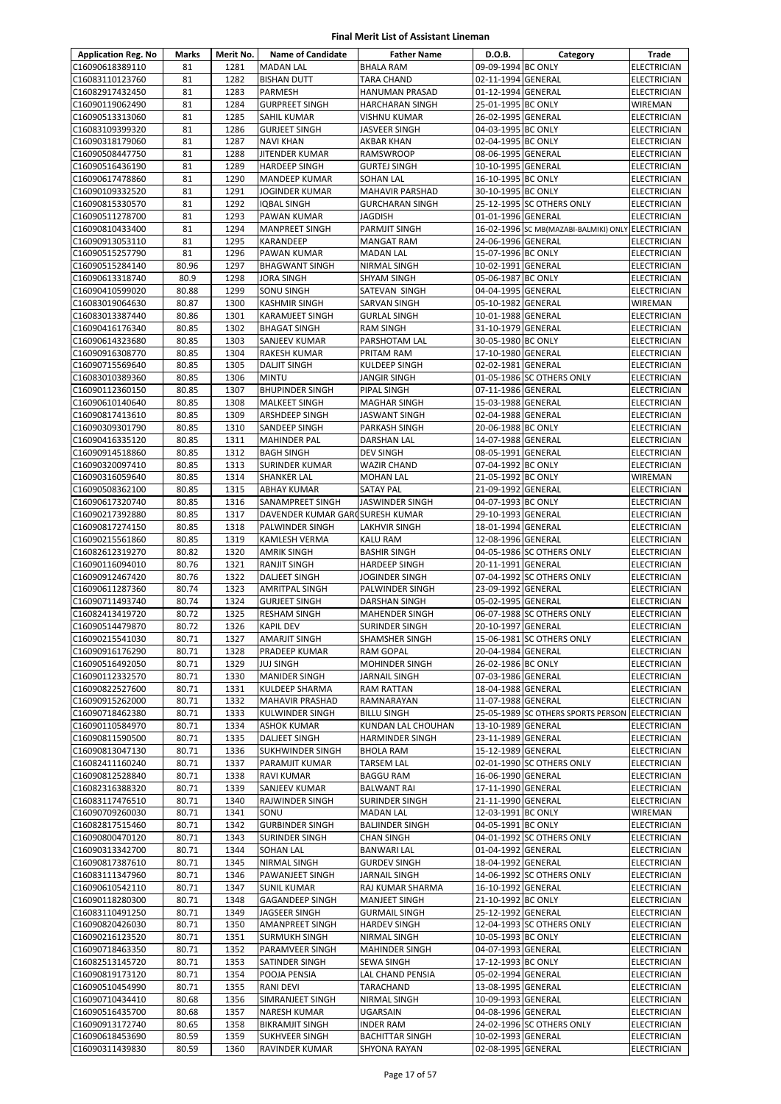| <b>Application Reg. No</b>         | Marks          | Merit No.    | <b>Name of Candidate</b>                     | <b>Father Name</b>                      | D.O.B.                                   | Category                                          | Trade                                    |
|------------------------------------|----------------|--------------|----------------------------------------------|-----------------------------------------|------------------------------------------|---------------------------------------------------|------------------------------------------|
| C16090618389110                    | 81             | 1281         | <b>MADAN LAL</b>                             | <b>BHALA RAM</b>                        | 09-09-1994 BC ONLY                       |                                                   | <b>ELECTRICIAN</b>                       |
| C16083110123760                    | 81             | 1282         | <b>BISHAN DUTT</b>                           | <b>TARA CHAND</b>                       | 02-11-1994 GENERAL                       |                                                   | ELECTRICIAN                              |
| C16082917432450                    | 81             | 1283         | <b>PARMESH</b>                               | HANUMAN PRASAD                          | 01-12-1994 GENERAL                       |                                                   | <b>ELECTRICIAN</b>                       |
| C16090119062490                    | 81             | 1284         | <b>GURPREET SINGH</b>                        | <b>HARCHARAN SINGH</b>                  | 25-01-1995 BC ONLY                       |                                                   | WIREMAN                                  |
| C16090513313060                    | 81             | 1285         | <b>SAHIL KUMAR</b>                           | <b>VISHNU KUMAR</b>                     | 26-02-1995 GENERAL                       |                                                   | <b>ELECTRICIAN</b>                       |
| C16083109399320                    | 81             | 1286         | <b>GURJEET SINGH</b>                         | JASVEER SINGH                           | 04-03-1995 BC ONLY                       |                                                   | <b>ELECTRICIAN</b>                       |
| C16090318179060                    | 81             | 1287         | <b>NAVI KHAN</b>                             | AKBAR KHAN                              | 02-04-1995 BC ONLY                       |                                                   | <b>ELECTRICIAN</b>                       |
| C16090508447750                    | 81<br>81       | 1288<br>1289 | JITENDER KUMAR                               | <b>RAMSWROOP</b>                        | 08-06-1995 GENERAL                       |                                                   | <b>ELECTRICIAN</b>                       |
| C16090516436190<br>C16090617478860 | 81             | 1290         | <b>HARDEEP SINGH</b><br><b>MANDEEP KUMAR</b> | <b>GURTEJ SINGH</b><br><b>SOHAN LAL</b> | 10-10-1995 GENERAL<br>16-10-1995 BC ONLY |                                                   | <b>ELECTRICIAN</b><br>ELECTRICIAN        |
| C16090109332520                    | 81             | 1291         | <b>JOGINDER KUMAR</b>                        | MAHAVIR PARSHAD                         | 30-10-1995 BC ONLY                       |                                                   | <b>ELECTRICIAN</b>                       |
| C16090815330570                    | 81             | 1292         | <b>IQBAL SINGH</b>                           | <b>GURCHARAN SINGH</b>                  |                                          | 25-12-1995 SC OTHERS ONLY                         | ELECTRICIAN                              |
| C16090511278700                    | 81             | 1293         | PAWAN KUMAR                                  | JAGDISH                                 | 01-01-1996 GENERAL                       |                                                   | <b>ELECTRICIAN</b>                       |
| C16090810433400                    | 81             | 1294         | <b>MANPREET SINGH</b>                        | PARMJIT SINGH                           |                                          | 16-02-1996 SC MB(MAZABI-BALMIKI) ONLY ELECTRICIAN |                                          |
| C16090913053110                    | 81             | 1295         | KARANDEEP                                    | <b>MANGAT RAM</b>                       | 24-06-1996 GENERAL                       |                                                   | ELECTRICIAN                              |
| C16090515257790                    | 81             | 1296         | PAWAN KUMAR                                  | <b>MADAN LAL</b>                        | 15-07-1996 BC ONLY                       |                                                   | <b>ELECTRICIAN</b>                       |
| C16090515284140                    | 80.96          | 1297         | <b>BHAGWANT SINGH</b>                        | NIRMAL SINGH                            | 10-02-1991 GENERAL                       |                                                   | <b>ELECTRICIAN</b>                       |
| C16090613318740                    | 80.9           | 1298         | <b>JORA SINGH</b>                            | <b>SHYAM SINGH</b>                      | 05-06-1987 BC ONLY                       |                                                   | <b>ELECTRICIAN</b>                       |
| C16090410599020                    | 80.88          | 1299         | SONU SINGH                                   | SATEVAN SINGH                           | 04-04-1995 GENERAL                       |                                                   | ELECTRICIAN                              |
| C16083019064630                    | 80.87          | 1300         | <b>KASHMIR SINGH</b>                         | SARVAN SINGH                            | 05-10-1982 GENERAL                       |                                                   | WIREMAN                                  |
| C16083013387440                    | 80.86<br>80.85 | 1301<br>1302 | <b>KARAMJEET SINGH</b>                       | <b>GURLAL SINGH</b>                     | 10-01-1988 GENERAL<br>31-10-1979 GENERAL |                                                   | <b>ELECTRICIAN</b>                       |
| C16090416176340<br>C16090614323680 | 80.85          | 1303         | <b>BHAGAT SINGH</b><br>SANJEEV KUMAR         | <b>RAM SINGH</b><br>PARSHOTAM LAL       | 30-05-1980 BC ONLY                       |                                                   | ELECTRICIAN<br><b>ELECTRICIAN</b>        |
| C16090916308770                    | 80.85          | 1304         | RAKESH KUMAR                                 | PRITAM RAM                              | 17-10-1980 GENERAL                       |                                                   | <b>ELECTRICIAN</b>                       |
| C16090715569640                    | 80.85          | 1305         | <b>DALJIT SINGH</b>                          | <b>KULDEEP SINGH</b>                    | 02-02-1981 GENERAL                       |                                                   | <b>ELECTRICIAN</b>                       |
| C16083010389360                    | 80.85          | 1306         | <b>MINTU</b>                                 | JANGIR SINGH                            |                                          | 01-05-1986 SC OTHERS ONLY                         | ELECTRICIAN                              |
| C16090112360150                    | 80.85          | 1307         | <b>BHUPINDER SINGH</b>                       | PIPAL SINGH                             | 07-11-1986 GENERAL                       |                                                   | ELECTRICIAN                              |
| C16090610140640                    | 80.85          | 1308         | <b>MALKEET SINGH</b>                         | <b>MAGHAR SINGH</b>                     | 15-03-1988 GENERAL                       |                                                   | <b>ELECTRICIAN</b>                       |
| C16090817413610                    | 80.85          | 1309         | ARSHDEEP SINGH                               | JASWANT SINGH                           | 02-04-1988 GENERAL                       |                                                   | <b>ELECTRICIAN</b>                       |
| C16090309301790                    | 80.85          | 1310         | SANDEEP SINGH                                | PARKASH SINGH                           | 20-06-1988 BC ONLY                       |                                                   | <b>ELECTRICIAN</b>                       |
| C16090416335120                    | 80.85          | 1311         | <b>MAHINDER PAL</b>                          | DARSHAN LAL                             | 14-07-1988 GENERAL                       |                                                   | <b>ELECTRICIAN</b>                       |
| C16090914518860                    | 80.85          | 1312         | <b>BAGH SINGH</b>                            | <b>DEV SINGH</b>                        | 08-05-1991 GENERAL                       |                                                   | <b>ELECTRICIAN</b>                       |
| C16090320097410                    | 80.85          | 1313         | <b>SURINDER KUMAR</b>                        | <b>WAZIR CHAND</b>                      | 07-04-1992 BC ONLY                       |                                                   | ELECTRICIAN                              |
| C16090316059640                    | 80.85          | 1314         | <b>SHANKER LAL</b>                           | <b>MOHAN LAL</b>                        | 21-05-1992 BC ONLY                       |                                                   | WIREMAN                                  |
| C16090508362100<br>C16090617320740 | 80.85<br>80.85 | 1315<br>1316 | <b>ABHAY KUMAR</b><br>SANAMPREET SINGH       | <b>SATAY PAL</b><br>JASWINDER SINGH     | 21-09-1992 GENERAL<br>04-07-1993 BC ONLY |                                                   | ELECTRICIAN<br><b>ELECTRICIAN</b>        |
| C16090217392880                    | 80.85          | 1317         | DAVENDER KUMAR GAROSURESH KUMAR              |                                         | 29-10-1993 GENERAL                       |                                                   | ELECTRICIAN                              |
| C16090817274150                    | 80.85          | 1318         | PALWINDER SINGH                              | LAKHVIR SINGH                           | 18-01-1994 GENERAL                       |                                                   | <b>ELECTRICIAN</b>                       |
| C16090215561860                    | 80.85          | 1319         | KAMLESH VERMA                                | KALU RAM                                | 12-08-1996 GENERAL                       |                                                   | ELECTRICIAN                              |
| C16082612319270                    | 80.82          | 1320         | <b>AMRIK SINGH</b>                           | <b>BASHIR SINGH</b>                     |                                          | 04-05-1986 SC OTHERS ONLY                         | <b>ELECTRICIAN</b>                       |
| C16090116094010                    | 80.76          | 1321         | <b>RANJIT SINGH</b>                          | <b>HARDEEP SINGH</b>                    | 20-11-1991 GENERAL                       |                                                   | <b>ELECTRICIAN</b>                       |
| C16090912467420                    | 80.76          | 1322         | <b>DALJEET SINGH</b>                         | JOGINDER SINGH                          |                                          | 07-04-1992 SC OTHERS ONLY                         | <b>ELECTRICIAN</b>                       |
| C16090611287360                    | 80.74          | 1323         | <b>AMRITPAL SINGH</b>                        | PALWINDER SINGH                         | 23-09-1992 GENERAL                       |                                                   | <b>ELECTRICIAN</b>                       |
| C16090711493740                    | 80.74          | 1324         | <b>GURJEET SINGH</b>                         | DARSHAN SINGH                           | 05-02-1995 GENERAL                       |                                                   | <b>ELECTRICIAN</b>                       |
| C16082413419720                    | 80.72          | 1325         | <b>RESHAM SINGH</b>                          | MAHENDER SINGH                          |                                          | 06-07-1988 SC OTHERS ONLY                         | ELECTRICIAN                              |
| C16090514479870                    | 80.72          | 1326         | <b>KAPIL DEV</b>                             | SURINDER SINGH                          | 20-10-1997 GENERAL                       |                                                   | <b>ELECTRICIAN</b>                       |
| C16090215541030<br>C16090916176290 | 80.71<br>80.71 | 1327<br>1328 | <b>AMARJIT SINGH</b><br>PRADEEP KUMAR        | SHAMSHER SINGH<br>RAM GOPAL             | 20-04-1984 GENERAL                       | 15-06-1981 SC OTHERS ONLY                         | <b>ELECTRICIAN</b><br><b>ELECTRICIAN</b> |
| C16090516492050                    | 80.71          | 1329         | <b>JUJ SINGH</b>                             | <b>MOHINDER SINGH</b>                   | 26-02-1986 BC ONLY                       |                                                   | <b>ELECTRICIAN</b>                       |
| C16090112332570                    | 80.71          | 1330         | <b>MANIDER SINGH</b>                         | JARNAIL SINGH                           | 07-03-1986 GENERAL                       |                                                   | ELECTRICIAN                              |
| C16090822527600                    | 80.71          | 1331         | KULDEEP SHARMA                               | <b>RAM RATTAN</b>                       | 18-04-1988 GENERAL                       |                                                   | <b>ELECTRICIAN</b>                       |
| C16090915262000                    | 80.71          | 1332         | MAHAVIR PRASHAD                              | RAMNARAYAN                              | 11-07-1988 GENERAL                       |                                                   | <b>ELECTRICIAN</b>                       |
| C16090718462380                    | 80.71          | 1333         | KULWINDER SINGH                              | <b>BILLU SINGH</b>                      |                                          | 25-05-1989 SC OTHERS SPORTS PERSON ELECTRICIAN    |                                          |
| C16090110584970                    | 80.71          | 1334         | <b>ASHOK KUMAR</b>                           | KUNDAN LAL CHOUHAN                      | 13-10-1989 GENERAL                       |                                                   | <b>ELECTRICIAN</b>                       |
| C16090811590500                    | 80.71          | 1335         | <b>DALJEET SINGH</b>                         | <b>HARMINDER SINGH</b>                  | 23-11-1989 GENERAL                       |                                                   | ELECTRICIAN                              |
| C16090813047130                    | 80.71          | 1336         | <b>SUKHWINDER SINGH</b>                      | <b>BHOLA RAM</b>                        | 15-12-1989 GENERAL                       |                                                   | <b>ELECTRICIAN</b>                       |
| C16082411160240                    | 80.71          | 1337         | PARAMJIT KUMAR                               | TARSEM LAL                              |                                          | 02-01-1990 SC OTHERS ONLY                         | ELECTRICIAN                              |
| C16090812528840<br>C16082316388320 | 80.71<br>80.71 | 1338<br>1339 | RAVI KUMAR<br><b>SANJEEV KUMAR</b>           | <b>BAGGU RAM</b>                        | 16-06-1990 GENERAL<br>17-11-1990 GENERAL |                                                   | ELECTRICIAN                              |
| C16083117476510                    | 80.71          | 1340         | RAJWINDER SINGH                              | <b>BALWANT RAI</b><br>SURINDER SINGH    | 21-11-1990 GENERAL                       |                                                   | ELECTRICIAN<br>ELECTRICIAN               |
| C16090709260030                    | 80.71          | 1341         | SONU                                         | <b>MADAN LAL</b>                        | 12-03-1991 BC ONLY                       |                                                   | WIREMAN                                  |
| C16082817515460                    | 80.71          | 1342         | <b>GURBINDER SINGH</b>                       | <b>BALJINDER SINGH</b>                  | 04-05-1991 BC ONLY                       |                                                   | ELECTRICIAN                              |
| C16090800470120                    | 80.71          | 1343         | <b>SURINDER SINGH</b>                        | CHAN SINGH                              |                                          | 04-01-1992 SC OTHERS ONLY                         | ELECTRICIAN                              |
| C16090313342700                    | 80.71          | 1344         | <b>SOHAN LAL</b>                             | <b>BANWARI LAL</b>                      | 01-04-1992 GENERAL                       |                                                   | ELECTRICIAN                              |
| C16090817387610                    | 80.71          | 1345         | NIRMAL SINGH                                 | <b>GURDEV SINGH</b>                     | 18-04-1992 GENERAL                       |                                                   | ELECTRICIAN                              |
| C16083111347960                    | 80.71          | 1346         | PAWANJEET SINGH                              | JARNAIL SINGH                           |                                          | 14-06-1992 SC OTHERS ONLY                         | ELECTRICIAN                              |
| C16090610542110                    | 80.71          | 1347         | <b>SUNIL KUMAR</b>                           | RAJ KUMAR SHARMA                        | 16-10-1992 GENERAL                       |                                                   | ELECTRICIAN                              |
| C16090118280300                    | 80.71          | 1348         | <b>GAGANDEEP SINGH</b>                       | MANJEET SINGH                           | 21-10-1992 BC ONLY                       |                                                   | <b>ELECTRICIAN</b>                       |
| C16083110491250                    | 80.71          | 1349         | JAGSEER SINGH                                | <b>GURMAIL SINGH</b>                    | 25-12-1992 GENERAL                       |                                                   | ELECTRICIAN                              |
| C16090820426030                    | 80.71          | 1350         | <b>AMANPREET SINGH</b>                       | <b>HARDEV SINGH</b>                     |                                          | 12-04-1993 SC OTHERS ONLY                         | ELECTRICIAN                              |
| C16090216123520<br>C16090718463350 | 80.71<br>80.71 | 1351<br>1352 | <b>SURMUKH SINGH</b><br>PARAMVEER SINGH      | NIRMAL SINGH<br><b>MAHINDER SINGH</b>   | 10-05-1993 BC ONLY<br>04-07-1993 GENERAL |                                                   | <b>ELECTRICIAN</b><br>ELECTRICIAN        |
| C16082513145720                    | 80.71          | 1353         | SATINDER SINGH                               | SEWA SINGH                              | 17-12-1993 BC ONLY                       |                                                   | <b>ELECTRICIAN</b>                       |
| C16090819173120                    | 80.71          | 1354         | POOJA PENSIA                                 | LAL CHAND PENSIA                        | 05-02-1994 GENERAL                       |                                                   | <b>ELECTRICIAN</b>                       |
| C16090510454990                    | 80.71          | 1355         | <b>RANI DEVI</b>                             | TARACHAND                               | 13-08-1995 GENERAL                       |                                                   | ELECTRICIAN                              |
| C16090710434410                    | 80.68          | 1356         | SIMRANJEET SINGH                             | NIRMAL SINGH                            | 10-09-1993 GENERAL                       |                                                   | ELECTRICIAN                              |
| C16090516435700                    | 80.68          | 1357         | NARESH KUMAR                                 | UGARSAIN                                | 04-08-1996 GENERAL                       |                                                   | ELECTRICIAN                              |
| C16090913172740                    | 80.65          | 1358         | <b>BIKRAMJIT SINGH</b>                       | <b>INDER RAM</b>                        |                                          | 24-02-1996 SC OTHERS ONLY                         | ELECTRICIAN                              |
| C16090618453690                    | 80.59          | 1359         | SUKHVEER SINGH                               | <b>BACHITTAR SINGH</b>                  | 10-02-1993 GENERAL                       |                                                   | ELECTRICIAN                              |
| C16090311439830                    | 80.59          | 1360         | RAVINDER KUMAR                               | <b>SHYONA RAYAN</b>                     | 02-08-1995 GENERAL                       |                                                   | ELECTRICIAN                              |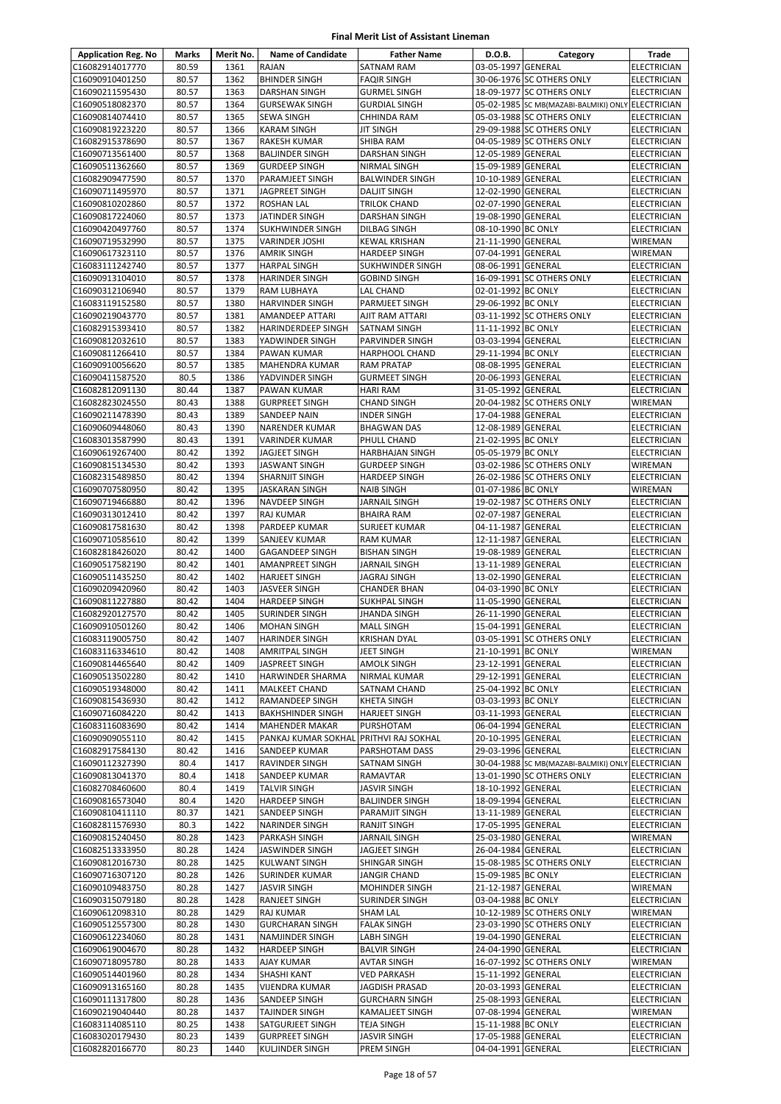| <b>Application Reg. No</b>         | Marks          | Merit No.    | <b>Name of Candidate</b>                       | <b>Father Name</b>                        | D.O.B.                                   | Category                                          | <b>Trade</b>                             |
|------------------------------------|----------------|--------------|------------------------------------------------|-------------------------------------------|------------------------------------------|---------------------------------------------------|------------------------------------------|
| C16082914017770                    | 80.59          | 1361         | RAJAN                                          | SATNAM RAM                                | 03-05-1997 GENERAL                       |                                                   | ELECTRICIAN                              |
| C16090910401250                    | 80.57          | 1362         | <b>BHINDER SINGH</b>                           | <b>FAQIR SINGH</b>                        |                                          | 30-06-1976 SC OTHERS ONLY                         | <b>ELECTRICIAN</b>                       |
| C16090211595430                    | 80.57          | 1363         | <b>DARSHAN SINGH</b>                           | <b>GURMEL SINGH</b>                       |                                          | 18-09-1977 SC OTHERS ONLY                         | <b>ELECTRICIAN</b>                       |
| C16090518082370                    | 80.57          | 1364         | <b>GURSEWAK SINGH</b>                          | <b>GURDIAL SINGH</b>                      |                                          | 05-02-1985 SC MB(MAZABI-BALMIKI) ONLY ELECTRICIAN |                                          |
| C16090814074410                    | 80.57          | 1365         | <b>SEWA SINGH</b>                              | CHHINDA RAM                               |                                          | 05-03-1988 SC OTHERS ONLY                         | <b>ELECTRICIAN</b>                       |
| C16090819223220                    | 80.57          | 1366         | <b>KARAM SINGH</b>                             | JIT SINGH                                 |                                          | 29-09-1988 SC OTHERS ONLY                         | ELECTRICIAN                              |
| C16082915378690                    | 80.57          | 1367         | RAKESH KUMAR                                   | SHIBA RAM                                 |                                          | 04-05-1989 SC OTHERS ONLY                         | <b>ELECTRICIAN</b>                       |
| C16090713561400                    | 80.57          | 1368         | <b>BALJINDER SINGH</b>                         | DARSHAN SINGH                             | 12-05-1989 GENERAL                       |                                                   | <b>ELECTRICIAN</b>                       |
| C16090511362660                    | 80.57          | 1369         | <b>GURDEEP SINGH</b>                           | NIRMAL SINGH                              | 15-09-1989 GENERAL                       |                                                   | <b>ELECTRICIAN</b>                       |
| C16082909477590                    | 80.57          | 1370         | PARAMJEET SINGH                                | <b>BALWINDER SINGH</b>                    | 10-10-1989 GENERAL                       |                                                   | <b>ELECTRICIAN</b>                       |
| C16090711495970<br>C16090810202860 | 80.57<br>80.57 | 1371<br>1372 | JAGPREET SINGH<br><b>ROSHAN LAL</b>            | <b>DALIT SINGH</b><br><b>TRILOK CHAND</b> | 12-02-1990 GENERAL<br>02-07-1990 GENERAL |                                                   | <b>ELECTRICIAN</b><br><b>ELECTRICIAN</b> |
| C16090817224060                    | 80.57          | 1373         | JATINDER SINGH                                 | DARSHAN SINGH                             | 19-08-1990 GENERAL                       |                                                   | <b>ELECTRICIAN</b>                       |
| C16090420497760                    | 80.57          | 1374         | <b>SUKHWINDER SINGH</b>                        | DILBAG SINGH                              | 08-10-1990 BC ONLY                       |                                                   | <b>ELECTRICIAN</b>                       |
| C16090719532990                    | 80.57          | 1375         | VARINDER JOSHI                                 | KEWAL KRISHAN                             | 21-11-1990 GENERAL                       |                                                   | WIREMAN                                  |
| C16090617323110                    | 80.57          | 1376         | <b>AMRIK SINGH</b>                             | <b>HARDEEP SINGH</b>                      | 07-04-1991 GENERAL                       |                                                   | <b>WIREMAN</b>                           |
| C16083111242740                    | 80.57          | 1377         | <b>HARPAL SINGH</b>                            | SUKHWINDER SINGH                          | 08-06-1991 GENERAL                       |                                                   | <b>ELECTRICIAN</b>                       |
| C16090913104010                    | 80.57          | 1378         | <b>HARINDER SINGH</b>                          | <b>GOBIND SINGH</b>                       |                                          | 16-09-1991 SC OTHERS ONLY                         | <b>ELECTRICIAN</b>                       |
| C16090312106940                    | 80.57          | 1379         | RAM LUBHAYA                                    | LAL CHAND                                 | 02-01-1992 BC ONLY                       |                                                   | ELECTRICIAN                              |
| C16083119152580                    | 80.57          | 1380         | <b>HARVINDER SINGH</b>                         | PARMJEET SINGH                            | 29-06-1992 BC ONLY                       |                                                   | <b>ELECTRICIAN</b>                       |
| C16090219043770                    | 80.57          | 1381         | <b>AMANDEEP ATTARI</b>                         | AJIT RAM ATTARI                           |                                          | 03-11-1992 SC OTHERS ONLY                         | <b>ELECTRICIAN</b>                       |
| C16082915393410                    | 80.57          | 1382         | HARINDERDEEP SINGH                             | SATNAM SINGH                              | 11-11-1992 BC ONLY                       |                                                   | <b>ELECTRICIAN</b>                       |
| C16090812032610                    | 80.57          | 1383         | YADWINDER SINGH                                | PARVINDER SINGH                           | 03-03-1994 GENERAL                       |                                                   | <b>ELECTRICIAN</b>                       |
| C16090811266410                    | 80.57          | 1384         | PAWAN KUMAR                                    | <b>HARPHOOL CHAND</b>                     | 29-11-1994 BC ONLY                       |                                                   | <b>ELECTRICIAN</b>                       |
| C16090910056620                    | 80.57          | 1385         | <b>MAHENDRA KUMAR</b>                          | <b>RAM PRATAP</b>                         | 08-08-1995 GENERAL                       |                                                   | <b>ELECTRICIAN</b>                       |
| C16090411587520<br>C16082812091130 | 80.5<br>80.44  | 1386<br>1387 | YADVINDER SINGH<br>PAWAN KUMAR                 | <b>GURMEET SINGH</b>                      | 20-06-1993 GENERAL                       |                                                   | <b>ELECTRICIAN</b><br><b>ELECTRICIAN</b> |
| C16082823024550                    | 80.43          | 1388         | <b>GURPREET SINGH</b>                          | <b>HARI RAM</b><br><b>CHAND SINGH</b>     | 31-05-1992 GENERAL                       | 20-04-1982 SC OTHERS ONLY                         | <b>WIREMAN</b>                           |
| C16090211478390                    | 80.43          | 1389         | SANDEEP NAIN                                   | <b>INDER SINGH</b>                        | 17-04-1988 GENERAL                       |                                                   | <b>ELECTRICIAN</b>                       |
| C16090609448060                    | 80.43          | 1390         | <b>NARENDER KUMAR</b>                          | <b>BHAGWAN DAS</b>                        | 12-08-1989 GENERAL                       |                                                   | <b>ELECTRICIAN</b>                       |
| C16083013587990                    | 80.43          | 1391         | VARINDER KUMAR                                 | PHULL CHAND                               | 21-02-1995 BC ONLY                       |                                                   | <b>ELECTRICIAN</b>                       |
| C16090619267400                    | 80.42          | 1392         | JAGJEET SINGH                                  | HARBHAJAN SINGH                           | 05-05-1979 BC ONLY                       |                                                   | <b>ELECTRICIAN</b>                       |
| C16090815134530                    | 80.42          | 1393         | <b>JASWANT SINGH</b>                           | <b>GURDEEP SINGH</b>                      |                                          | 03-02-1986 SC OTHERS ONLY                         | WIREMAN                                  |
| C16082315489850                    | 80.42          | 1394         | SHARNJIT SINGH                                 | <b>HARDEEP SINGH</b>                      |                                          | 26-02-1986 SC OTHERS ONLY                         | <b>ELECTRICIAN</b>                       |
| C16090707580950                    | 80.42          | 1395         | <b>JASKARAN SINGH</b>                          | <b>NAIB SINGH</b>                         | 01-07-1986 BC ONLY                       |                                                   | WIREMAN                                  |
| C16090719466880                    | 80.42          | 1396         | NAVDEEP SINGH                                  | <b>JARNAIL SINGH</b>                      |                                          | 19-02-1987 SC OTHERS ONLY                         | <b>ELECTRICIAN</b>                       |
| C16090313012410                    | 80.42          | 1397         | RAJ KUMAR                                      | <b>BHAIRA RAM</b>                         | 02-07-1987 GENERAL                       |                                                   | ELECTRICIAN                              |
| C16090817581630                    | 80.42          | 1398         | PARDEEP KUMAR                                  | <b>SURJEET KUMAR</b>                      | 04-11-1987                               | <b>GENERAL</b>                                    | <b>ELECTRICIAN</b>                       |
| C16090710585610                    | 80.42          | 1399         | SANJEEV KUMAR                                  | <b>RAM KUMAR</b>                          | 12-11-1987 GENERAL                       |                                                   | <b>ELECTRICIAN</b>                       |
| C16082818426020                    | 80.42          | 1400         | <b>GAGANDEEP SINGH</b>                         | <b>BISHAN SINGH</b>                       | 19-08-1989 GENERAL                       |                                                   | <b>ELECTRICIAN</b>                       |
| C16090517582190<br>C16090511435250 | 80.42<br>80.42 | 1401<br>1402 | <b>AMANPREET SINGH</b><br><b>HARJEET SINGH</b> | <b>JARNAIL SINGH</b><br>JAGRAJ SINGH      | 13-11-1989 GENERAL<br>13-02-1990 GENERAL |                                                   | <b>ELECTRICIAN</b><br><b>ELECTRICIAN</b> |
| C16090209420960                    | 80.42          | 1403         | JASVEER SINGH                                  | <b>CHANDER BHAN</b>                       | 04-03-1990 BC ONLY                       |                                                   | <b>ELECTRICIAN</b>                       |
| C16090811227880                    | 80.42          | 1404         | <b>HARDEEP SINGH</b>                           | SUKHPAL SINGH                             | 11-05-1990 GENERAL                       |                                                   | ELECTRICIAN                              |
| C16082920127570                    | 80.42          | 1405         | <b>SURINDER SINGH</b>                          | <b>JHANDA SINGH</b>                       | 26-11-1990 GENERAL                       |                                                   | <b>ELECTRICIAN</b>                       |
| C16090910501260                    | 80.42          | 1406         | <b>MOHAN SINGH</b>                             | <b>MALL SINGH</b>                         | 15-04-1991 GENERAL                       |                                                   | <b>ELECTRICIAN</b>                       |
| C16083119005750                    | 80.42          | 1407         | HARINDER SINGH                                 | <b>KRISHAN DYAL</b>                       |                                          | 03-05-1991 SC OTHERS ONLY                         | <b>ELECTRICIAN</b>                       |
| C16083116334610                    | 80.42          | 1408         | AMRITPAL SINGH                                 | JEET SINGH                                | 21-10-1991 BC ONLY                       |                                                   | <b>WIREMAN</b>                           |
| C16090814465640                    | 80.42          | 1409         | JASPREET SINGH                                 | <b>AMOLK SINGH</b>                        | 23-12-1991 GENERAL                       |                                                   | <b>ELECTRICIAN</b>                       |
| C16090513502280                    | 80.42          | 1410         | HARWINDER SHARMA                               | NIRMAL KUMAR                              | 29-12-1991 GENERAL                       |                                                   | <b>ELECTRICIAN</b>                       |
| C16090519348000                    | 80.42          | 1411         | MALKEET CHAND                                  | SATNAM CHAND                              | 25-04-1992 BC ONLY                       |                                                   | <b>ELECTRICIAN</b>                       |
| C16090815436930                    | 80.42          | 1412         | RAMANDEEP SINGH                                | <b>KHETA SINGH</b>                        | 03-03-1993 BC ONLY                       |                                                   | <b>ELECTRICIAN</b>                       |
| C16090716084220                    | 80.42          | 1413         | <b>BAKHSHINDER SINGH</b>                       | HARJEET SINGH                             | 03-11-1993 GENERAL                       |                                                   | <b>ELECTRICIAN</b>                       |
| C16083116083690                    | 80.42          | 1414         | MAHENDER MAKAR<br>PANKAJ KUMAR SOKHAL          | PURSHOTAM<br>PRITHVI RAJ SOKHAL           | 06-04-1994 GENERAL                       |                                                   | <b>ELECTRICIAN</b><br><b>ELECTRICIAN</b> |
| C16090909055110<br>C16082917584130 | 80.42<br>80.42 | 1415<br>1416 | SANDEEP KUMAR                                  | PARSHOTAM DASS                            | 20-10-1995 GENERAL<br>29-03-1996 GENERAL |                                                   | <b>ELECTRICIAN</b>                       |
| C16090112327390                    | 80.4           | 1417         | RAVINDER SINGH                                 | SATNAM SINGH                              |                                          | 30-04-1988 SC MB(MAZABI-BALMIKI) ONLY ELECTRICIAN |                                          |
| C16090813041370                    | 80.4           | 1418         | SANDEEP KUMAR                                  | RAMAVTAR                                  |                                          | 13-01-1990 SC OTHERS ONLY                         | ELECTRICIAN                              |
| C16082708460600                    | 80.4           | 1419         | <b>TALVIR SINGH</b>                            | <b>JASVIR SINGH</b>                       | 18-10-1992 GENERAL                       |                                                   | <b>ELECTRICIAN</b>                       |
| C16090816573040                    | 80.4           | 1420         | HARDEEP SINGH                                  | <b>BALJINDER SINGH</b>                    | 18-09-1994 GENERAL                       |                                                   | <b>ELECTRICIAN</b>                       |
| C16090810411110                    | 80.37          | 1421         | SANDEEP SINGH                                  | PARAMJIT SINGH                            | 13-11-1989 GENERAL                       |                                                   | <b>ELECTRICIAN</b>                       |
| C16082811576930                    | 80.3           | 1422         | NARINDER SINGH                                 | <b>RANJIT SINGH</b>                       | 17-05-1995 GENERAL                       |                                                   | ELECTRICIAN                              |
| C16090815240450                    | 80.28          | 1423         | PARKASH SINGH                                  | <b>JARNAIL SINGH</b>                      | 25-03-1980 GENERAL                       |                                                   | WIREMAN                                  |
| C16082513333950                    | 80.28          | 1424         | JASWINDER SINGH                                | JAGJEET SINGH                             | 26-04-1984 GENERAL                       |                                                   | <b>ELECTRICIAN</b>                       |
| C16090812016730                    | 80.28          | 1425         | <b>KULWANT SINGH</b>                           | SHINGAR SINGH                             |                                          | 15-08-1985 SC OTHERS ONLY                         | ELECTRICIAN                              |
| C16090716307120                    | 80.28          | 1426         | SURINDER KUMAR                                 | <b>JANGIR CHAND</b>                       | 15-09-1985 BC ONLY                       |                                                   | <b>ELECTRICIAN</b>                       |
| C16090109483750                    | 80.28          | 1427         | <b>JASVIR SINGH</b>                            | <b>MOHINDER SINGH</b>                     | 21-12-1987 GENERAL                       |                                                   | WIREMAN                                  |
| C16090315079180<br>C16090612098310 | 80.28<br>80.28 | 1428<br>1429 | RANJEET SINGH<br>RAJ KUMAR                     | SURINDER SINGH<br><b>SHAM LAL</b>         | 03-04-1988 BC ONLY                       | 10-12-1989 SC OTHERS ONLY                         | ELECTRICIAN<br>WIREMAN                   |
| C16090512557300                    | 80.28          | 1430         | <b>GURCHARAN SINGH</b>                         | <b>FALAK SINGH</b>                        |                                          | 23-03-1990 SC OTHERS ONLY                         | ELECTRICIAN                              |
| C16090612234060                    | 80.28          | 1431         | NAMJINDER SINGH                                | LABH SINGH                                | 19-04-1990 GENERAL                       |                                                   | ELECTRICIAN                              |
| C16090619004670                    | 80.28          | 1432         | HARDEEP SINGH                                  | <b>BALVIR SINGH</b>                       | 24-04-1990 GENERAL                       |                                                   | ELECTRICIAN                              |
| C16090718095780                    | 80.28          | 1433         | AJAY KUMAR                                     | AVTAR SINGH                               |                                          | 16-07-1992 SC OTHERS ONLY                         | WIREMAN                                  |
| C16090514401960                    | 80.28          | 1434         | <b>SHASHI KANT</b>                             | <b>VED PARKASH</b>                        | 15-11-1992 GENERAL                       |                                                   | <b>ELECTRICIAN</b>                       |
| C16090913165160                    | 80.28          | 1435         | VIJENDRA KUMAR                                 | JAGDISH PRASAD                            | 20-03-1993 GENERAL                       |                                                   | ELECTRICIAN                              |
| C16090111317800                    | 80.28          | 1436         | SANDEEP SINGH                                  | <b>GURCHARN SINGH</b>                     | 25-08-1993 GENERAL                       |                                                   | ELECTRICIAN                              |
| C16090219040440                    | 80.28          | 1437         | TAJINDER SINGH                                 | KAMALJEET SINGH                           | 07-08-1994 GENERAL                       |                                                   | WIREMAN                                  |
| C16083114085110                    | 80.25          | 1438         | SATGURJEET SINGH                               | TEJA SINGH                                | 15-11-1988 BC ONLY                       |                                                   | ELECTRICIAN                              |
| C16083020179430                    | 80.23          | 1439         | <b>GURPREET SINGH</b>                          | <b>JASVIR SINGH</b>                       | 17-05-1988 GENERAL                       |                                                   | <b>ELECTRICIAN</b>                       |
| C16082820166770                    | 80.23          | 1440         | KULJINDER SINGH                                | PREM SINGH                                | 04-04-1991 GENERAL                       |                                                   | <b>ELECTRICIAN</b>                       |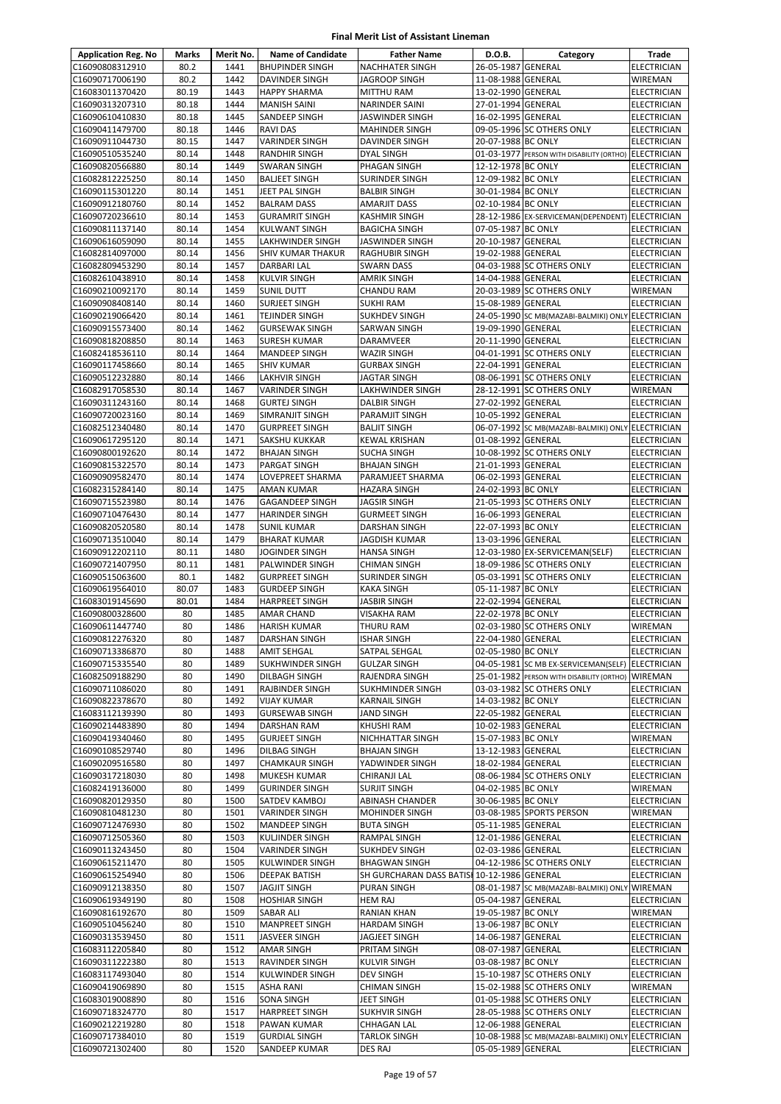| <b>Application Reg. No</b>         | Marks          | Merit No.    | <b>Name of Candidate</b>                     | <b>Father Name</b>                             | D.O.B.                                   | Category                                              | Trade                                    |
|------------------------------------|----------------|--------------|----------------------------------------------|------------------------------------------------|------------------------------------------|-------------------------------------------------------|------------------------------------------|
| C16090808312910                    | 80.2           | 1441         | <b>BHUPINDER SINGH</b>                       | <b>NACHHATER SINGH</b>                         | 26-05-1987 GENERAL                       |                                                       | <b>ELECTRICIAN</b>                       |
| C16090717006190                    | 80.2           | 1442         | <b>DAVINDER SINGH</b>                        | <b>JAGROOP SINGH</b>                           | 11-08-1988 GENERAL                       |                                                       | <b>WIREMAN</b>                           |
| C16083011370420                    | 80.19          | 1443         | <b>HAPPY SHARMA</b>                          | <b>MITTHU RAM</b>                              | 13-02-1990 GENERAL                       |                                                       | <b>ELECTRICIAN</b>                       |
| C16090313207310                    | 80.18          | 1444         | <b>MANISH SAINI</b>                          | <b>NARINDER SAINI</b>                          | 27-01-1994 GENERAL                       |                                                       | ELECTRICIAN                              |
| C16090610410830                    | 80.18          | 1445         | SANDEEP SINGH                                | <b>JASWINDER SINGH</b>                         | 16-02-1995 GENERAL                       |                                                       | <b>ELECTRICIAN</b>                       |
| C16090411479700                    | 80.18          | 1446         | <b>RAVI DAS</b>                              | <b>MAHINDER SINGH</b>                          |                                          | 09-05-1996 SC OTHERS ONLY                             | ELECTRICIAN                              |
| C16090911044730                    | 80.15          | 1447         | <b>VARINDER SINGH</b>                        | DAVINDER SINGH                                 | 20-07-1988 BC ONLY                       |                                                       | <b>ELECTRICIAN</b>                       |
| C16090510535240                    | 80.14          | 1448         | RANDHIR SINGH                                | DYAL SINGH                                     |                                          | 01-03-1977 PERSON WITH DISABILITY (ORTHO) ELECTRICIAN |                                          |
| C16090820566880                    | 80.14          | 1449         | <b>SWARAN SINGH</b>                          | PHAGAN SINGH                                   | 12-12-1978 BC ONLY                       |                                                       | <b>ELECTRICIAN</b>                       |
| C16082812225250<br>C16090115301220 | 80.14<br>80.14 | 1450<br>1451 | <b>BALJEET SINGH</b><br>JEET PAL SINGH       | SURINDER SINGH<br><b>BALBIR SINGH</b>          | 12-09-1982 BC ONLY<br>30-01-1984 BC ONLY |                                                       | ELECTRICIAN<br><b>ELECTRICIAN</b>        |
| C16090912180760                    | 80.14          | 1452         | <b>BALRAM DASS</b>                           | <b>AMARJIT DASS</b>                            | 02-10-1984 BC ONLY                       |                                                       | <b>ELECTRICIAN</b>                       |
| C16090720236610                    | 80.14          | 1453         | <b>GURAMRIT SINGH</b>                        | <b>KASHMIR SINGH</b>                           |                                          | 28-12-1986 EX-SERVICEMAN(DEPENDENT)                   | <b>ELECTRICIAN</b>                       |
| C16090811137140                    | 80.14          | 1454         | KULWANT SINGH                                | <b>BAGICHA SINGH</b>                           | 07-05-1987 BC ONLY                       |                                                       | <b>ELECTRICIAN</b>                       |
| C16090616059090                    | 80.14          | 1455         | LAKHWINDER SINGH                             | JASWINDER SINGH                                | 20-10-1987 GENERAL                       |                                                       | ELECTRICIAN                              |
| C16082814097000                    | 80.14          | 1456         | SHIV KUMAR THAKUR                            | <b>RAGHUBIR SINGH</b>                          | 19-02-1988 GENERAL                       |                                                       | <b>ELECTRICIAN</b>                       |
| C16082809453290                    | 80.14          | 1457         | DARBARI LAL                                  | <b>SWARN DASS</b>                              |                                          | 04-03-1988 SC OTHERS ONLY                             | <b>ELECTRICIAN</b>                       |
| C16082610438910                    | 80.14          | 1458         | KULVIR SINGH                                 | <b>AMRIK SINGH</b>                             | 14-04-1988 GENERAL                       |                                                       | ELECTRICIAN                              |
| C16090210092170                    | 80.14          | 1459         | <b>SUNIL DUTT</b>                            | <b>CHANDU RAM</b>                              |                                          | 20-03-1989 SC OTHERS ONLY                             | WIREMAN                                  |
| C16090908408140                    | 80.14          | 1460         | <b>SURJEET SINGH</b>                         | <b>SUKHI RAM</b>                               | 15-08-1989 GENERAL                       |                                                       | <b>ELECTRICIAN</b>                       |
| C16090219066420                    | 80.14          | 1461         | TEJINDER SINGH                               | <b>SUKHDEV SINGH</b>                           |                                          | 24-05-1990 SC MB(MAZABI-BALMIKI) ONLY ELECTRICIAN     |                                          |
| C16090915573400                    | 80.14          | 1462         | <b>GURSEWAK SINGH</b>                        | SARWAN SINGH                                   | 19-09-1990 GENERAL                       |                                                       | ELECTRICIAN                              |
| C16090818208850                    | 80.14          | 1463         | <b>SURESH KUMAR</b>                          | DARAMVEER                                      | 20-11-1990 GENERAL                       |                                                       | <b>ELECTRICIAN</b>                       |
| C16082418536110<br>C16090117458660 | 80.14<br>80.14 | 1464<br>1465 | MANDEEP SINGH<br><b>SHIV KUMAR</b>           | <b>WAZIR SINGH</b><br><b>GURBAX SINGH</b>      | 22-04-1991 GENERAL                       | 04-01-1991 SC OTHERS ONLY                             | <b>ELECTRICIAN</b><br>ELECTRICIAN        |
| C16090512232880                    | 80.14          | 1466         | <b>LAKHVIR SINGH</b>                         | <b>JAGTAR SINGH</b>                            |                                          | 08-06-1991 SC OTHERS ONLY                             | <b>ELECTRICIAN</b>                       |
| C16082917058530                    | 80.14          | 1467         | VARINDER SINGH                               | LAKHWINDER SINGH                               |                                          | 28-12-1991 SC OTHERS ONLY                             | WIREMAN                                  |
| C16090311243160                    | 80.14          | 1468         | <b>GURTEJ SINGH</b>                          | <b>DALBIR SINGH</b>                            | 27-02-1992 GENERAL                       |                                                       | <b>ELECTRICIAN</b>                       |
| C16090720023160                    | 80.14          | 1469         | SIMRANJIT SINGH                              | PARAMJIT SINGH                                 | 10-05-1992 GENERAL                       |                                                       | ELECTRICIAN                              |
| C16082512340480                    | 80.14          | 1470         | <b>GURPREET SINGH</b>                        | <b>BALJIT SINGH</b>                            |                                          | 06-07-1992 SC MB(MAZABI-BALMIKI) ONLY ELECTRICIAN     |                                          |
| C16090617295120                    | 80.14          | 1471         | SAKSHU KUKKAR                                | <b>KEWAL KRISHAN</b>                           | 01-08-1992 GENERAL                       |                                                       | <b>ELECTRICIAN</b>                       |
| C16090800192620                    | 80.14          | 1472         | <b>BHAJAN SINGH</b>                          | <b>SUCHA SINGH</b>                             |                                          | 10-08-1992 SC OTHERS ONLY                             | <b>ELECTRICIAN</b>                       |
| C16090815322570                    | 80.14          | 1473         | PARGAT SINGH                                 | <b>BHAJAN SINGH</b>                            | 21-01-1993 GENERAL                       |                                                       | <b>ELECTRICIAN</b>                       |
| C16090909582470                    | 80.14          | 1474         | LOVEPREET SHARMA                             | PARAMJEET SHARMA                               | 06-02-1993 GENERAL                       |                                                       | ELECTRICIAN                              |
| C16082315284140                    | 80.14          | 1475         | AMAN KUMAR                                   | <b>HAZARA SINGH</b>                            | 24-02-1993 BC ONLY                       |                                                       | <b>ELECTRICIAN</b>                       |
| C16090715523980                    | 80.14          | 1476         | <b>GAGANDEEP SINGH</b>                       | JAGSIR SINGH                                   |                                          | 21-05-1993 SC OTHERS ONLY                             | <b>ELECTRICIAN</b>                       |
| C16090710476430                    | 80.14          | 1477         | <b>HARINDER SINGH</b>                        | <b>GURMEET SINGH</b>                           | 16-06-1993 GENERAL                       |                                                       | <b>ELECTRICIAN</b>                       |
| C16090820520580                    | 80.14          | 1478         | <b>SUNIL KUMAR</b>                           | <b>DARSHAN SINGH</b>                           | 22-07-1993 BC ONLY                       |                                                       | <b>ELECTRICIAN</b>                       |
| C16090713510040<br>C16090912202110 | 80.14<br>80.11 | 1479<br>1480 | <b>BHARAT KUMAR</b><br><b>JOGINDER SINGH</b> | <b>JAGDISH KUMAR</b><br><b>HANSA SINGH</b>     | 13-03-1996 GENERAL                       | 12-03-1980 EX-SERVICEMAN(SELF)                        | <b>ELECTRICIAN</b><br><b>ELECTRICIAN</b> |
| C16090721407950                    | 80.11          | 1481         | PALWINDER SINGH                              | <b>CHIMAN SINGH</b>                            |                                          | 18-09-1986 SC OTHERS ONLY                             | ELECTRICIAN                              |
| C16090515063600                    | 80.1           | 1482         | <b>GURPREET SINGH</b>                        | SURINDER SINGH                                 |                                          | 05-03-1991 SC OTHERS ONLY                             | <b>ELECTRICIAN</b>                       |
| C16090619564010                    | 80.07          | 1483         | <b>GURDEEP SINGH</b>                         | <b>KAKA SINGH</b>                              | 05-11-1987 BC ONLY                       |                                                       | <b>ELECTRICIAN</b>                       |
| C16083019145690                    | 80.01          | 1484         | <b>HARPREET SINGH</b>                        | <b>JASBIR SINGH</b>                            | 22-02-1994 GENERAL                       |                                                       | <b>ELECTRICIAN</b>                       |
| C16090800328600                    | 80             | 1485         | <b>AMAR CHAND</b>                            | VISAKHA RAM                                    | 22-02-1978 BC ONLY                       |                                                       | ELECTRICIAN                              |
| C16090611447740                    | 80             | 1486         | <b>HARISH KUMAR</b>                          | <b>THURU RAM</b>                               |                                          | 02-03-1980 SC OTHERS ONLY                             | WIREMAN                                  |
| C16090812276320                    | 80             | 1487         | DARSHAN SINGH                                | <b>ISHAR SINGH</b>                             | 22-04-1980 GENERAL                       |                                                       | <b>ELECTRICIAN</b>                       |
| C16090713386870                    | 80             | 1488         | <b>AMIT SEHGAL</b>                           | SATPAL SEHGAL                                  | 02-05-1980 BC ONLY                       |                                                       | <b>ELECTRICIAN</b>                       |
| C16090715335540                    | 80             | 1489         | SUKHWINDER SINGH                             | <b>GULZAR SINGH</b>                            |                                          | 04-05-1981 SC MB EX-SERVICEMAN(SELF) ELECTRICIAN      |                                          |
| C16082509188290                    | 80             | 1490         | DILBAGH SINGH                                | RAJENDRA SINGH                                 |                                          | 25-01-1982 PERSON WITH DISABILITY (ORTHO)             | WIREMAN                                  |
| C16090711086020                    | 80             | 1491         | RAJBINDER SINGH                              | SUKHMINDER SINGH                               |                                          | 03-03-1982 SC OTHERS ONLY                             | <b>ELECTRICIAN</b>                       |
| C16090822378670                    | 80<br>80       | 1492         | <b>VIJAY KUMAR</b>                           | <b>KARNAIL SINGH</b>                           | 14-03-1982 BC ONLY                       |                                                       | <b>ELECTRICIAN</b>                       |
| C16083112139390<br>C16090214483890 | 80             | 1493<br>1494 | <b>GURSEWAB SINGH</b><br>DARSHAN RAM         | JAND SINGH<br><b>KHUSHI RAM</b>                | 22-05-1982 GENERAL<br>10-02-1983 GENERAL |                                                       | ELECTRICIAN<br><b>ELECTRICIAN</b>        |
| C16090419340460                    | 80             | 1495         | <b>GURJEET SINGH</b>                         | <b>NICHHATTAR SINGH</b>                        | 15-07-1983 BC ONLY                       |                                                       | WIREMAN                                  |
| C16090108529740                    | 80             | 1496         | DILBAG SINGH                                 | <b>BHAJAN SINGH</b>                            | 13-12-1983 GENERAL                       |                                                       | ELECTRICIAN                              |
| C16090209516580                    | 80             | 1497         | <b>CHAMKAUR SINGH</b>                        | YADWINDER SINGH                                | 18-02-1984 GENERAL                       |                                                       | ELECTRICIAN                              |
| C16090317218030                    | 80             | 1498         | MUKESH KUMAR                                 | CHIRANJI LAL                                   |                                          | 08-06-1984 SC OTHERS ONLY                             | ELECTRICIAN                              |
| C16082419136000                    | 80             | 1499         | <b>GURINDER SINGH</b>                        | <b>SURJIT SINGH</b>                            | 04-02-1985 BC ONLY                       |                                                       | WIREMAN                                  |
| C16090820129350                    | 80             | 1500         | SATDEV KAMBOJ                                | ABINASH CHANDER                                | 30-06-1985 BC ONLY                       |                                                       | ELECTRICIAN                              |
| C16090810481230                    | 80             | 1501         | VARINDER SINGH                               | <b>MOHINDER SINGH</b>                          |                                          | 03-08-1985 SPORTS PERSON                              | WIREMAN                                  |
| C16090712476930                    | 80             | 1502         | MANDEEP SINGH                                | <b>BUTA SINGH</b>                              | 05-11-1985 GENERAL                       |                                                       | ELECTRICIAN                              |
| C16090712505360                    | 80             | 1503         | KULJINDER SINGH                              | RAMPAL SINGH                                   | 12-01-1986 GENERAL                       |                                                       | ELECTRICIAN                              |
| C16090113243450                    | 80             | 1504         | VARINDER SINGH                               | <b>SUKHDEV SINGH</b>                           | 02-03-1986 GENERAL                       |                                                       | ELECTRICIAN                              |
| C16090615211470                    | 80             | 1505         | KULWINDER SINGH                              | <b>BHAGWAN SINGH</b>                           |                                          | 04-12-1986 SC OTHERS ONLY                             | ELECTRICIAN                              |
| C16090615254940<br>C16090912138350 | 80<br>80       | 1506<br>1507 | DEEPAK BATISH<br><b>JAGJIT SINGH</b>         | SH GURCHARAN DASS BATISI<br><b>PURAN SINGH</b> | 10-12-1986 GENERAL                       | 08-01-1987 SC MB(MAZABI-BALMIKI) ONLY WIREMAN         | ELECTRICIAN                              |
| C16090619349190                    | 80             | 1508         | <b>HOSHIAR SINGH</b>                         | <b>HEM RAJ</b>                                 | 05-04-1987 GENERAL                       |                                                       | ELECTRICIAN                              |
| C16090816192670                    | 80             | 1509         | SABAR ALI                                    | <b>RANIAN KHAN</b>                             | 19-05-1987 BC ONLY                       |                                                       | WIREMAN                                  |
| C16090510456240                    | 80             | 1510         | MANPREET SINGH                               | HARDAM SINGH                                   | 13-06-1987 BC ONLY                       |                                                       | <b>ELECTRICIAN</b>                       |
| C16090313539450                    | 80             | 1511         | JASVEER SINGH                                | JAGJEET SINGH                                  | 14-06-1987 GENERAL                       |                                                       | ELECTRICIAN                              |
| C16083112205840                    | 80             | 1512         | AMAR SINGH                                   | PRITAM SINGH                                   | 08-07-1987 GENERAL                       |                                                       | ELECTRICIAN                              |
| C16090311222380                    | 80             | 1513         | RAVINDER SINGH                               | <b>KULVIR SINGH</b>                            | 03-08-1987 BC ONLY                       |                                                       | <b>ELECTRICIAN</b>                       |
| C16083117493040                    | 80             | 1514         | KULWINDER SINGH                              | <b>DEV SINGH</b>                               |                                          | 15-10-1987 SC OTHERS ONLY                             | <b>ELECTRICIAN</b>                       |
| C16090419069890                    | 80             | 1515         | <b>ASHA RANI</b>                             | <b>CHIMAN SINGH</b>                            |                                          | 15-02-1988 SC OTHERS ONLY                             | WIREMAN                                  |
| C16083019008890                    | 80             | 1516         | SONA SINGH                                   | JEET SINGH                                     |                                          | 01-05-1988 SC OTHERS ONLY                             | ELECTRICIAN                              |
| C16090718324770                    | 80             | 1517         | <b>HARPREET SINGH</b>                        | <b>SUKHVIR SINGH</b>                           |                                          | 28-05-1988 SC OTHERS ONLY                             | ELECTRICIAN                              |
| C16090212219280                    | 80             | 1518         | PAWAN KUMAR                                  | CHHAGAN LAL                                    | 12-06-1988 GENERAL                       |                                                       | ELECTRICIAN                              |
| C16090717384010                    | 80             | 1519         | <b>GURDIAL SINGH</b>                         | <b>TARLOK SINGH</b>                            |                                          | 10-08-1988 SC MB(MAZABI-BALMIKI) ONLY ELECTRICIAN     |                                          |
| C16090721302400                    | 80             | 1520         | SANDEEP KUMAR                                | <b>DES RAJ</b>                                 | 05-05-1989 GENERAL                       |                                                       | ELECTRICIAN                              |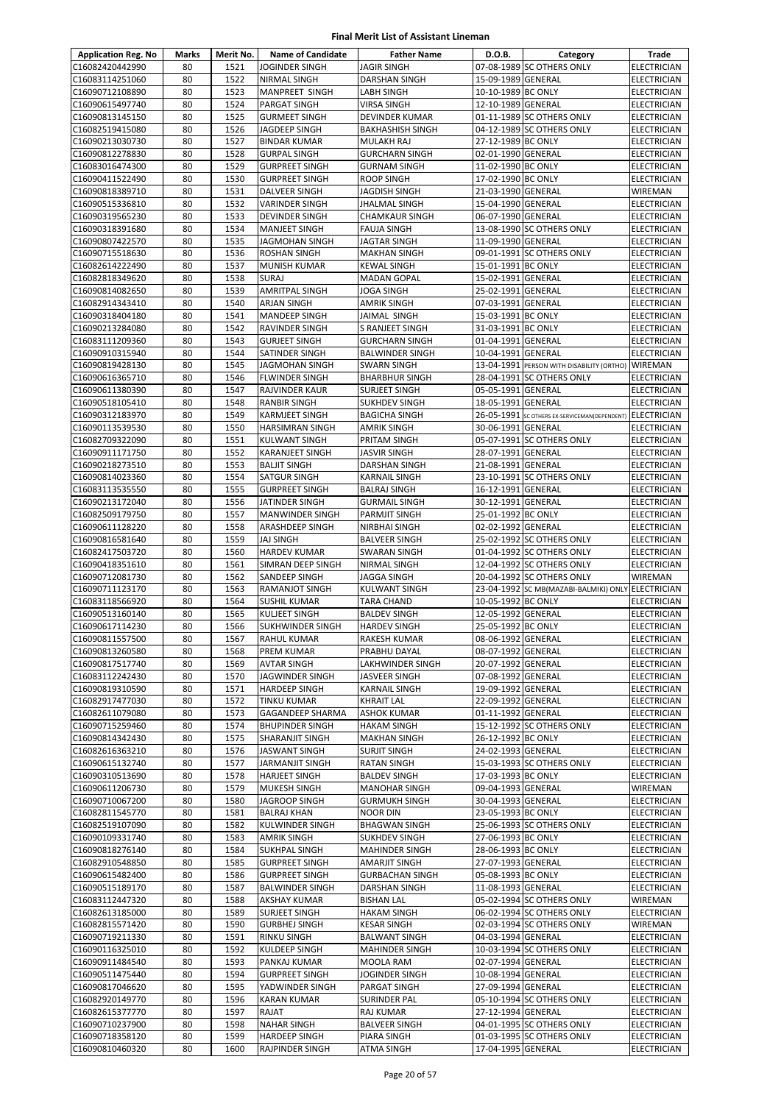| <b>Application Reg. No</b>         | <b>Marks</b> | Merit No.    | <b>Name of Candidate</b>                       | <b>Father Name</b>                        | D.O.B.                                   | Category                                                           | <b>Trade</b>               |
|------------------------------------|--------------|--------------|------------------------------------------------|-------------------------------------------|------------------------------------------|--------------------------------------------------------------------|----------------------------|
| C16082420442990                    | 80           | 1521         | <b>JOGINDER SINGH</b>                          | <b>JAGIR SINGH</b>                        |                                          | 07-08-1989 SC OTHERS ONLY                                          | <b>ELECTRICIAN</b>         |
| C16083114251060                    | 80           | 1522         | <b>NIRMAL SINGH</b>                            | DARSHAN SINGH                             | 15-09-1989 GENERAL                       |                                                                    | <b>ELECTRICIAN</b>         |
| C16090712108890                    | 80           | 1523         | MANPREET SINGH                                 | LABH SINGH                                | 10-10-1989 BC ONLY                       |                                                                    | <b>ELECTRICIAN</b>         |
| C16090615497740                    | 80           | 1524         | <b>PARGAT SINGH</b>                            | VIRSA SINGH                               | 12-10-1989 GENERAL                       |                                                                    | <b>ELECTRICIAN</b>         |
| C16090813145150                    | 80           | 1525         | <b>GURMEET SINGH</b>                           | DEVINDER KUMAR                            |                                          | 01-11-1989 SC OTHERS ONLY                                          | <b>ELECTRICIAN</b>         |
| C16082519415080                    | 80           | 1526         | JAGDEEP SINGH                                  | <b>BAKHASHISH SINGH</b>                   |                                          | 04-12-1989 SC OTHERS ONLY                                          | <b>ELECTRICIAN</b>         |
| C16090213030730                    | 80           | 1527         | <b>BINDAR KUMAR</b>                            | MULAKH RAJ                                | 27-12-1989 BC ONLY                       |                                                                    | ELECTRICIAN                |
| C16090812278830                    | 80           | 1528         | <b>GURPAL SINGH</b>                            | <b>GURCHARN SINGH</b>                     | 02-01-1990 GENERAL                       |                                                                    | ELECTRICIAN                |
| C16083016474300                    | 80           | 1529         | <b>GURPREET SINGH</b>                          | <b>GURNAM SINGH</b>                       | 11-02-1990 BC ONLY                       |                                                                    | <b>ELECTRICIAN</b>         |
| C16090411522490                    | 80           | 1530         | <b>GURPREET SINGH</b>                          | <b>ROOP SINGH</b>                         | 17-02-1990 BC ONLY                       |                                                                    | <b>ELECTRICIAN</b>         |
| C16090818389710<br>C16090515336810 | 80<br>80     | 1531<br>1532 | <b>DALVEER SINGH</b><br><b>VARINDER SINGH</b>  | JAGDISH SINGH<br>JHALMAL SINGH            | 21-03-1990 GENERAL<br>15-04-1990 GENERAL |                                                                    | WIREMAN<br>ELECTRICIAN     |
| C16090319565230                    | 80           | 1533         | <b>DEVINDER SINGH</b>                          | <b>CHAMKAUR SINGH</b>                     | 06-07-1990 GENERAL                       |                                                                    | <b>ELECTRICIAN</b>         |
| C16090318391680                    | 80           | 1534         | <b>MANJEET SINGH</b>                           | <b>FAUJA SINGH</b>                        |                                          | 13-08-1990 SC OTHERS ONLY                                          | ELECTRICIAN                |
| C16090807422570                    | 80           | 1535         | <b>JAGMOHAN SINGH</b>                          | JAGTAR SINGH                              | 11-09-1990 GENERAL                       |                                                                    | ELECTRICIAN                |
| C16090715518630                    | 80           | 1536         | <b>ROSHAN SINGH</b>                            | <b>MAKHAN SINGH</b>                       |                                          | 09-01-1991 SC OTHERS ONLY                                          | ELECTRICIAN                |
| C16082614222490                    | 80           | 1537         | <b>MUNISH KUMAR</b>                            | <b>KEWAL SINGH</b>                        | 15-01-1991 BC ONLY                       |                                                                    | <b>ELECTRICIAN</b>         |
| C16082818349620                    | 80           | 1538         | <b>SURAJ</b>                                   | <b>MADAN GOPAL</b>                        | 15-02-1991 GENERAL                       |                                                                    | ELECTRICIAN                |
| C16090814082650                    | 80           | 1539         | <b>AMRITPAL SINGH</b>                          | JOGA SINGH                                | 25-02-1991 GENERAL                       |                                                                    | <b>ELECTRICIAN</b>         |
| C16082914343410                    | 80           | 1540         | <b>ARJAN SINGH</b>                             | <b>AMRIK SINGH</b>                        | 07-03-1991 GENERAL                       |                                                                    | ELECTRICIAN                |
| C16090318404180                    | 80           | 1541         | <b>MANDEEP SINGH</b>                           | JAIMAL SINGH                              | 15-03-1991 BC ONLY                       |                                                                    | <b>ELECTRICIAN</b>         |
| C16090213284080                    | 80           | 1542         | RAVINDER SINGH                                 | S RANJEET SINGH                           | 31-03-1991 BC ONLY                       |                                                                    | <b>ELECTRICIAN</b>         |
| C16083111209360                    | 80           | 1543         | <b>GURJEET SINGH</b>                           | <b>GURCHARN SINGH</b>                     | 01-04-1991 GENERAL                       |                                                                    | <b>ELECTRICIAN</b>         |
| C16090910315940                    | 80           | 1544         | SATINDER SINGH                                 | <b>BALWINDER SINGH</b>                    | 10-04-1991 GENERAL                       |                                                                    | <b>ELECTRICIAN</b>         |
| C16090819428130                    | 80           | 1545         | <b>JAGMOHAN SINGH</b>                          | <b>SWARN SINGH</b>                        |                                          | 13-04-1991 PERSON WITH DISABILITY (ORTHO) WIREMAN                  |                            |
| C16090616365710                    | 80           | 1546         | <b>FLWINDER SINGH</b>                          | <b>BHARBHUR SINGH</b>                     |                                          | 28-04-1991 SC OTHERS ONLY                                          | <b>ELECTRICIAN</b>         |
| C16090611380390<br>C16090518105410 | 80<br>80     | 1547<br>1548 | RAJVINDER KAUR<br><b>RANBIR SINGH</b>          | SURJEET SINGH<br><b>SUKHDEV SINGH</b>     | 05-05-1991 GENERAL<br>18-05-1991 GENERAL |                                                                    | ELECTRICIAN<br>ELECTRICIAN |
| C16090312183970                    | 80           | 1549         | <b>KARMJEET SINGH</b>                          | <b>BAGICHA SINGH</b>                      |                                          | 26-05-1991 SC OTHERS EX-SERVICEMAN(DEPENDENT) ELECTRICIAN          |                            |
| C16090113539530                    | 80           | 1550         | <b>HARSIMRAN SINGH</b>                         | <b>AMRIK SINGH</b>                        | 30-06-1991 GENERAL                       |                                                                    | ELECTRICIAN                |
| C16082709322090                    | 80           | 1551         | KULWANT SINGH                                  | PRITAM SINGH                              |                                          | 05-07-1991 SC OTHERS ONLY                                          | <b>ELECTRICIAN</b>         |
| C16090911171750                    | 80           | 1552         | KARANJEET SINGH                                | JASVIR SINGH                              | 28-07-1991 GENERAL                       |                                                                    | <b>ELECTRICIAN</b>         |
| C16090218273510                    | 80           | 1553         | <b>BALJIT SINGH</b>                            | DARSHAN SINGH                             | 21-08-1991 GENERAL                       |                                                                    | <b>ELECTRICIAN</b>         |
| C16090814023360                    | 80           | 1554         | <b>SATGUR SINGH</b>                            | <b>KARNAIL SINGH</b>                      |                                          | 23-10-1991 SC OTHERS ONLY                                          | ELECTRICIAN                |
| C16083113535550                    | 80           | 1555         | <b>GURPREET SINGH</b>                          | <b>BALRAJ SINGH</b>                       | 16-12-1991 GENERAL                       |                                                                    | <b>ELECTRICIAN</b>         |
| C16090213172040                    | 80           | 1556         | JATINDER SINGH                                 | <b>GURMAIL SINGH</b>                      | 30-12-1991 GENERAL                       |                                                                    | <b>ELECTRICIAN</b>         |
| C16082509179750                    | 80           | 1557         | <b>MANWINDER SINGH</b>                         | PARMJIT SINGH                             | 25-01-1992 BC ONLY                       |                                                                    | <b>ELECTRICIAN</b>         |
| C16090611128220                    | 80           | 1558         | ARASHDEEP SINGH                                | NIRBHAI SINGH                             | 02-02-1992 GENERAL                       |                                                                    | ELECTRICIAN                |
| C16090816581640                    | 80           | 1559         | <b>JAJ SINGH</b>                               | <b>BALVEER SINGH</b>                      |                                          | 25-02-1992 SC OTHERS ONLY                                          | ELECTRICIAN                |
| C16082417503720                    | 80           | 1560         | <b>HARDEV KUMAR</b>                            | <b>SWARAN SINGH</b>                       |                                          | 01-04-1992 SC OTHERS ONLY                                          | ELECTRICIAN                |
| C16090418351610                    | 80           | 1561         | SIMRAN DEEP SINGH                              | NIRMAL SINGH                              |                                          | 12-04-1992 SC OTHERS ONLY                                          | <b>ELECTRICIAN</b>         |
| C16090712081730<br>C16090711123170 | 80<br>80     | 1562<br>1563 | SANDEEP SINGH<br><b>RAMANJOT SINGH</b>         | JAGGA SINGH<br><b>KULWANT SINGH</b>       |                                          | 20-04-1992 SC OTHERS ONLY<br>23-04-1992 SC MB(MAZABI-BALMIKI) ONLY | WIREMAN<br>ELECTRICIAN     |
| C16083118566920                    | 80           | 1564         | <b>SUSHIL KUMAR</b>                            | <b>TARA CHAND</b>                         | 10-05-1992 BC ONLY                       |                                                                    | ELECTRICIAN                |
| C16090513160140                    | 80           | 1565         | <b>KULJEET SINGH</b>                           | <b>BALDEV SINGH</b>                       | 12-05-1992 GENERAL                       |                                                                    | ELECTRICIAN                |
| C16090617114230                    | 80           | 1566         | <b>SUKHWINDER SINGH</b>                        | <b>HARDEV SINGH</b>                       | 25-05-1992 BC ONLY                       |                                                                    | <b>ELECTRICIAN</b>         |
| C16090811557500                    | 80           | 1567         | <b>RAHUL KUMAR</b>                             | RAKESH KUMAR                              | 08-06-1992 GENERAL                       |                                                                    | <b>ELECTRICIAN</b>         |
| C16090813260580                    | 80           | 1568         | PREM KUMAR                                     | PRABHU DAYAL                              | 08-07-1992 GENERAL                       |                                                                    | <b>ELECTRICIAN</b>         |
| C16090817517740                    | 80           | 1569         | <b>AVTAR SINGH</b>                             | LAKHWINDER SINGH                          | 20-07-1992 GENERAL                       |                                                                    | <b>ELECTRICIAN</b>         |
| C16083112242430                    | 80           | 1570         | <b>JAGWINDER SINGH</b>                         | JASVEER SINGH                             | 07-08-1992 GENERAL                       |                                                                    | ELECTRICIAN                |
| C16090819310590                    | 80           | 1571         | HARDEEP SINGH                                  | KARNAIL SINGH                             | 19-09-1992 GENERAL                       |                                                                    | ELECTRICIAN                |
| C16082917477030                    | 80           | 1572         | TINKU KUMAR                                    | <b>KHRAIT LAL</b>                         | 22-09-1992 GENERAL                       |                                                                    | ELECTRICIAN                |
| C16082611079080                    | 80           | 1573         | GAGANDEEP SHARMA                               | ASHOK KUMAR                               | 01-11-1992 GENERAL                       |                                                                    | ELECTRICIAN                |
| C16090715259460                    | 80           | 1574         | <b>BHUPINDER SINGH</b>                         | <b>HAKAM SINGH</b>                        |                                          | 15-12-1992 SC OTHERS ONLY                                          | <b>ELECTRICIAN</b>         |
| C16090814342430                    | 80           | 1575         | SHARANJIT SINGH                                | <b>MAKHAN SINGH</b>                       | 26-12-1992 BC ONLY                       |                                                                    | ELECTRICIAN                |
| C16082616363210<br>C16090615132740 | 80<br>80     | 1576<br>1577 | <b>JASWANT SINGH</b><br><b>JARMANJIT SINGH</b> | <b>SURJIT SINGH</b><br><b>RATAN SINGH</b> | 24-02-1993 GENERAL                       | 15-03-1993 SC OTHERS ONLY                                          | ELECTRICIAN<br>ELECTRICIAN |
| C16090310513690                    | 80           | 1578         | <b>HARJEET SINGH</b>                           | <b>BALDEV SINGH</b>                       | 17-03-1993 BC ONLY                       |                                                                    | ELECTRICIAN                |
| C16090611206730                    | 80           | 1579         | <b>MUKESH SINGH</b>                            | <b>MANOHAR SINGH</b>                      | 09-04-1993 GENERAL                       |                                                                    | WIREMAN                    |
| C16090710067200                    | 80           | 1580         | JAGROOP SINGH                                  | <b>GURMUKH SINGH</b>                      | 30-04-1993 GENERAL                       |                                                                    | <b>ELECTRICIAN</b>         |
| C16082811545770                    | 80           | 1581         | <b>BALRAJ KHAN</b>                             | NOOR DIN                                  | 23-05-1993 BC ONLY                       |                                                                    | <b>ELECTRICIAN</b>         |
| C16082519107090                    | 80           | 1582         | KULWINDER SINGH                                | <b>BHAGWAN SINGH</b>                      |                                          | 25-06-1993 SC OTHERS ONLY                                          | ELECTRICIAN                |
| C16090109331740                    | 80           | 1583         | <b>AMRIK SINGH</b>                             | SUKHDEV SINGH                             | 27-06-1993 BC ONLY                       |                                                                    | ELECTRICIAN                |
| C16090818276140                    | 80           | 1584         | <b>SUKHPAL SINGH</b>                           | <b>MAHINDER SINGH</b>                     | 28-06-1993 BC ONLY                       |                                                                    | <b>ELECTRICIAN</b>         |
| C16082910548850                    | 80           | 1585         | <b>GURPREET SINGH</b>                          | AMARJIT SINGH                             | 27-07-1993 GENERAL                       |                                                                    | ELECTRICIAN                |
| C16090615482400                    | 80           | 1586         | <b>GURPREET SINGH</b>                          | <b>GURBACHAN SINGH</b>                    | 05-08-1993 BC ONLY                       |                                                                    | <b>ELECTRICIAN</b>         |
| C16090515189170                    | 80           | 1587         | <b>BALWINDER SINGH</b>                         | DARSHAN SINGH                             | 11-08-1993 GENERAL                       |                                                                    | <b>ELECTRICIAN</b>         |
| C16083112447320                    | 80           | 1588         | AKSHAY KUMAR                                   | <b>BISHAN LAL</b>                         |                                          | 05-02-1994 SC OTHERS ONLY                                          | WIREMAN                    |
| C16082613185000                    | 80           | 1589         | <b>SURJEET SINGH</b>                           | <b>HAKAM SINGH</b>                        |                                          | 06-02-1994 SC OTHERS ONLY                                          | ELECTRICIAN                |
| C16082815571420<br>C16090719211330 | 80<br>80     | 1590<br>1591 | <b>GURBHEJ SINGH</b><br><b>RINKU SINGH</b>     | KESAR SINGH<br><b>BALWANT SINGH</b>       | 04-03-1994 GENERAL                       | 02-03-1994 SC OTHERS ONLY                                          | WIREMAN<br>ELECTRICIAN     |
| C16090116325010                    | 80           | 1592         | KULDEEP SINGH                                  | <b>MAHINDER SINGH</b>                     |                                          | 10-03-1994 SC OTHERS ONLY                                          | ELECTRICIAN                |
| C16090911484540                    | 80           | 1593         | PANKAJ KUMAR                                   | MOOLA RAM                                 | 02-07-1994 GENERAL                       |                                                                    | <b>ELECTRICIAN</b>         |
| C16090511475440                    | 80           | 1594         | <b>GURPREET SINGH</b>                          | JOGINDER SINGH                            | 10-08-1994 GENERAL                       |                                                                    | ELECTRICIAN                |
| C16090817046620                    | 80           | 1595         | YADWINDER SINGH                                | PARGAT SINGH                              | 27-09-1994 GENERAL                       |                                                                    | ELECTRICIAN                |
| C16082920149770                    | 80           | 1596         | <b>KARAN KUMAR</b>                             | SURINDER PAL                              |                                          | 05-10-1994 SC OTHERS ONLY                                          | ELECTRICIAN                |
| C16082615377770                    | 80           | 1597         | RAJAT                                          | RAJ KUMAR                                 | 27-12-1994 GENERAL                       |                                                                    | ELECTRICIAN                |
| C16090710237900                    | 80           | 1598         | <b>NAHAR SINGH</b>                             | <b>BALVEER SINGH</b>                      |                                          | 04-01-1995 SC OTHERS ONLY                                          | <b>ELECTRICIAN</b>         |
| C16090718358120                    | 80           | 1599         | <b>HARDEEP SINGH</b>                           | PIARA SINGH                               |                                          | 01-03-1995 SC OTHERS ONLY                                          | ELECTRICIAN                |
| C16090810460320                    | 80           | 1600         | RAJPINDER SINGH                                | ATMA SINGH                                | 17-04-1995 GENERAL                       |                                                                    | ELECTRICIAN                |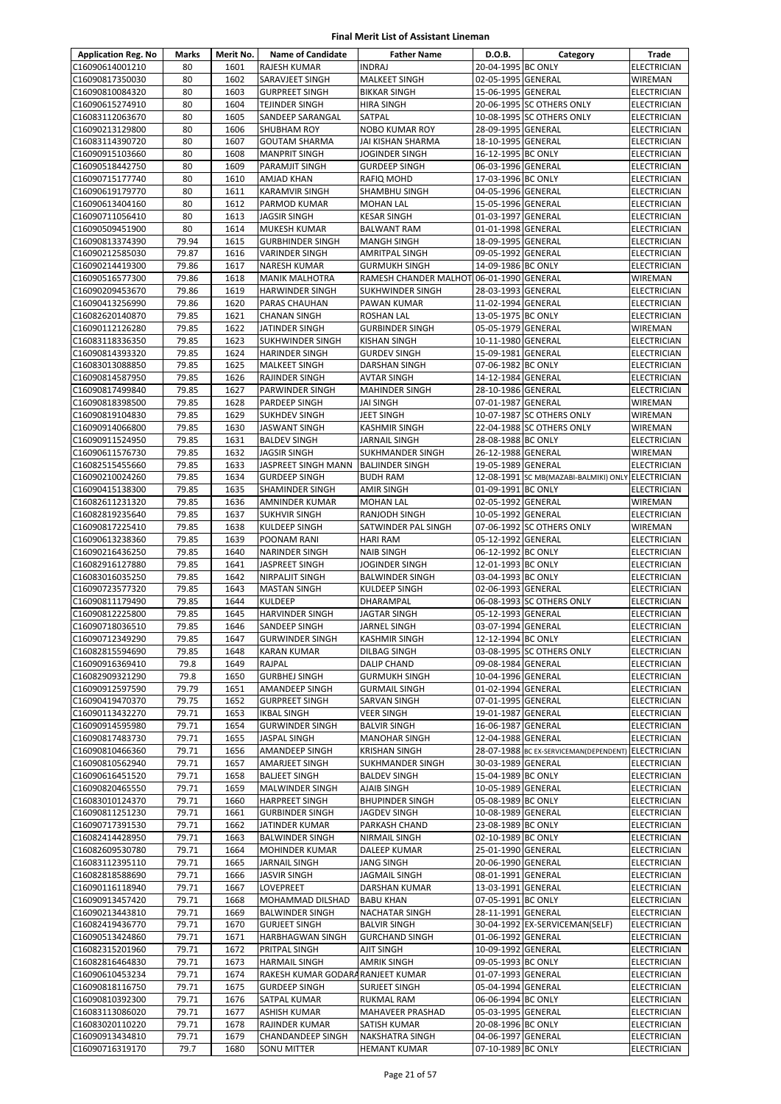| <b>Application Reg. No</b>         | Marks          | Merit No.    | <b>Name of Candidate</b>                         | <b>Father Name</b>                         | D.O.B.                                   | Category                                           | Trade                             |
|------------------------------------|----------------|--------------|--------------------------------------------------|--------------------------------------------|------------------------------------------|----------------------------------------------------|-----------------------------------|
| C16090614001210                    | 80             | 1601         | <b>RAJESH KUMAR</b>                              | <b>INDRAJ</b>                              | 20-04-1995 BC ONLY                       |                                                    | ELECTRICIAN                       |
| C16090817350030                    | 80             | 1602         | SARAVJEET SINGH                                  | MALKEET SINGH                              | 02-05-1995 GENERAL                       |                                                    | WIREMAN                           |
| C16090810084320                    | 80             | 1603         | <b>GURPREET SINGH</b>                            | <b>BIKKAR SINGH</b>                        | 15-06-1995 GENERAL                       |                                                    | ELECTRICIAN                       |
| C16090615274910                    | 80             | 1604         | <b>TEJINDER SINGH</b>                            | <b>HIRA SINGH</b>                          |                                          | 20-06-1995 SC OTHERS ONLY                          | ELECTRICIAN                       |
| C16083112063670                    | 80             | 1605         | SANDEEP SARANGAL                                 | SATPAL                                     |                                          | 10-08-1995 SC OTHERS ONLY                          | ELECTRICIAN                       |
| C16090213129800                    | 80             | 1606         | <b>SHUBHAM ROY</b>                               | <b>NOBO KUMAR ROY</b>                      | 28-09-1995 GENERAL                       |                                                    | <b>ELECTRICIAN</b>                |
| C16083114390720                    | 80             | 1607         | <b>GOUTAM SHARMA</b>                             | JAI KISHAN SHARMA                          | 18-10-1995 GENERAL                       |                                                    | ELECTRICIAN                       |
| C16090915103660<br>C16090518442750 | 80<br>80       | 1608<br>1609 | <b>MANPRIT SINGH</b><br>PARAMJIT SINGH           | JOGINDER SINGH<br><b>GURDEEP SINGH</b>     | 16-12-1995 BC ONLY<br>06-03-1996 GENERAL |                                                    | ELECTRICIAN<br>ELECTRICIAN        |
| C16090715177740                    | 80             | 1610         | AMJAD KHAN                                       | RAFIQ MOHD                                 | 17-03-1996 BC ONLY                       |                                                    | ELECTRICIAN                       |
| C16090619179770                    | 80             | 1611         | <b>KARAMVIR SINGH</b>                            | SHAMBHU SINGH                              | 04-05-1996 GENERAL                       |                                                    | <b>ELECTRICIAN</b>                |
| C16090613404160                    | 80             | 1612         | PARMOD KUMAR                                     | <b>MOHAN LAL</b>                           | 15-05-1996 GENERAL                       |                                                    | ELECTRICIAN                       |
| C16090711056410                    | 80             | 1613         | JAGSIR SINGH                                     | <b>KESAR SINGH</b>                         | 01-03-1997 GENERAL                       |                                                    | ELECTRICIAN                       |
| C16090509451900                    | 80             | 1614         | <b>MUKESH KUMAR</b>                              | <b>BALWANT RAM</b>                         | 01-01-1998 GENERAL                       |                                                    | ELECTRICIAN                       |
| C16090813374390                    | 79.94          | 1615         | <b>GURBHINDER SINGH</b>                          | <b>MANGH SINGH</b>                         | 18-09-1995 GENERAL                       |                                                    | ELECTRICIAN                       |
| C16090212585030                    | 79.87          | 1616         | <b>VARINDER SINGH</b>                            | AMRITPAL SINGH                             | 09-05-1992 GENERAL                       |                                                    | ELECTRICIAN                       |
| C16090214419300                    | 79.86          | 1617         | <b>NARESH KUMAR</b>                              | <b>GURMUKH SINGH</b>                       | 14-09-1986 BC ONLY                       |                                                    | ELECTRICIAN                       |
| C16090516577300                    | 79.86          | 1618         | <b>MANIK MALHOTRA</b>                            | RAMESH CHANDER MALHOT                      | 06-01-1990 GENERAL                       |                                                    | WIREMAN                           |
| C16090209453670                    | 79.86          | 1619         | <b>HARWINDER SINGH</b>                           | <b>SUKHWINDER SINGH</b>                    | 28-03-1993 GENERAL                       |                                                    | <b>ELECTRICIAN</b>                |
| C16090413256990                    | 79.86          | 1620         | PARAS CHAUHAN                                    | PAWAN KUMAR                                | 11-02-1994 GENERAL                       |                                                    | ELECTRICIAN                       |
| C16082620140870                    | 79.85          | 1621         | <b>CHANAN SINGH</b>                              | ROSHAN LAL                                 | 13-05-1975 BC ONLY                       |                                                    | ELECTRICIAN                       |
| C16090112126280                    | 79.85          | 1622         | JATINDER SINGH                                   | <b>GURBINDER SINGH</b>                     | 05-05-1979 GENERAL                       |                                                    | WIREMAN                           |
| C16083118336350<br>C16090814393320 | 79.85<br>79.85 | 1623<br>1624 | <b>SUKHWINDER SINGH</b><br><b>HARINDER SINGH</b> | <b>KISHAN SINGH</b><br><b>GURDEV SINGH</b> | 10-11-1980 GENERAL<br>15-09-1981 GENERAL |                                                    | <b>ELECTRICIAN</b><br>ELECTRICIAN |
| C16083013088850                    | 79.85          | 1625         | <b>MALKEET SINGH</b>                             | DARSHAN SINGH                              | 07-06-1982 BC ONLY                       |                                                    | <b>ELECTRICIAN</b>                |
| C16090814587950                    | 79.85          | 1626         | <b>RAJINDER SINGH</b>                            | <b>AVTAR SINGH</b>                         | 14-12-1984 GENERAL                       |                                                    | ELECTRICIAN                       |
| C16090817499840                    | 79.85          | 1627         | PARWINDER SINGH                                  | <b>MAHINDER SINGH</b>                      | 28-10-1986 GENERAL                       |                                                    | ELECTRICIAN                       |
| C16090818398500                    | 79.85          | 1628         | <b>PARDEEP SINGH</b>                             | JAI SINGH                                  | 07-01-1987 GENERAL                       |                                                    | WIREMAN                           |
| C16090819104830                    | 79.85          | 1629         | <b>SUKHDEV SINGH</b>                             | JEET SINGH                                 |                                          | 10-07-1987 SC OTHERS ONLY                          | WIREMAN                           |
| C16090914066800                    | 79.85          | 1630         | <b>JASWANT SINGH</b>                             | KASHMIR SINGH                              |                                          | 22-04-1988 SC OTHERS ONLY                          | WIREMAN                           |
| C16090911524950                    | 79.85          | 1631         | <b>BALDEV SINGH</b>                              | <b>JARNAIL SINGH</b>                       | 28-08-1988 BC ONLY                       |                                                    | ELECTRICIAN                       |
| C16090611576730                    | 79.85          | 1632         | JAGSIR SINGH                                     | SUKHMANDER SINGH                           | 26-12-1988 GENERAL                       |                                                    | WIREMAN                           |
| C16082515455660                    | 79.85          | 1633         | JASPREET SINGH MANN                              | <b>BALJINDER SINGH</b>                     | 19-05-1989 GENERAL                       |                                                    | ELECTRICIAN                       |
| C16090210024260                    | 79.85          | 1634         | <b>GURDEEP SINGH</b>                             | <b>BUDH RAM</b>                            |                                          | 12-08-1991 SC MB(MAZABI-BALMIKI) ONLY ELECTRICIAN  |                                   |
| C16090415138300                    | 79.85          | 1635         | <b>SHAMINDER SINGH</b>                           | AMIR SINGH                                 | 01-09-1991 BC ONLY                       |                                                    | ELECTRICIAN                       |
| C16082611231320                    | 79.85          | 1636         | AMNINDER KUMAR                                   | <b>MOHAN LAL</b>                           | 02-05-1992 GENERAL                       |                                                    | WIREMAN                           |
| C16082819235640                    | 79.85          | 1637         | <b>SUKHVIR SINGH</b>                             | RANJODH SINGH                              | 10-05-1992 GENERAL                       |                                                    | ELECTRICIAN                       |
| C16090817225410<br>C16090613238360 | 79.85<br>79.85 | 1638<br>1639 | <b>KULDEEP SINGH</b><br>POONAM RANI              | SATWINDER PAL SINGH<br>HARI RAM            | 05-12-1992 GENERAL                       | 07-06-1992 SC OTHERS ONLY                          | WIREMAN<br>ELECTRICIAN            |
| C16090216436250                    | 79.85          | 1640         | <b>NARINDER SINGH</b>                            | <b>NAIB SINGH</b>                          | 06-12-1992 BC ONLY                       |                                                    | <b>ELECTRICIAN</b>                |
| C16082916127880                    | 79.85          | 1641         | JASPREET SINGH                                   | JOGINDER SINGH                             | 12-01-1993 BC ONLY                       |                                                    | ELECTRICIAN                       |
| C16083016035250                    | 79.85          | 1642         | <b>NIRPALJIT SINGH</b>                           | <b>BALWINDER SINGH</b>                     | 03-04-1993 BC ONLY                       |                                                    | <b>ELECTRICIAN</b>                |
| C16090723577320                    | 79.85          | 1643         | <b>MASTAN SINGH</b>                              | KULDEEP SINGH                              | 02-06-1993 GENERAL                       |                                                    | <b>ELECTRICIAN</b>                |
| C16090811179490                    | 79.85          | 1644         | <b>KULDEEP</b>                                   | DHARAMPAL                                  |                                          | 06-08-1993 SC OTHERS ONLY                          | <b>ELECTRICIAN</b>                |
| C16090812225800                    | 79.85          | 1645         | <b>HARVINDER SINGH</b>                           | JAGTAR SINGH                               | 05-12-1993 GENERAL                       |                                                    | ELECTRICIAN                       |
| C16090718036510                    | 79.85          | 1646         | SANDEEP SINGH                                    | JARNEL SINGH                               | 03-07-1994 GENERAL                       |                                                    | ELECTRICIAN                       |
| C16090712349290                    | 79.85          | 1647         | <b>GURWINDER SINGH</b>                           | <b>KASHMIR SINGH</b>                       | 12-12-1994 BC ONLY                       |                                                    | <b>ELECTRICIAN</b>                |
| C16082815594690                    | 79.85          | 1648         | <b>KARAN KUMAR</b>                               | DILBAG SINGH                               |                                          | 03-08-1995 SC OTHERS ONLY                          | <b>ELECTRICIAN</b>                |
| C16090916369410                    | 79.8           | 1649         | RAJPAL                                           | <b>DALIP CHAND</b>                         | 09-08-1984 GENERAL                       |                                                    | ELECTRICIAN                       |
| C16082909321290                    | 79.8           | 1650         | <b>GURBHEJ SINGH</b>                             | <b>GURMUKH SINGH</b>                       | 10-04-1996 GENERAL                       |                                                    | ELECTRICIAN                       |
| C16090912597590                    | 79.79          | 1651         | AMANDEEP SINGH                                   | <b>GURMAIL SINGH</b>                       | 01-02-1994 GENERAL                       |                                                    | ELECTRICIAN                       |
| C16090419470370<br>C16090113432270 | 79.75<br>79.71 | 1652<br>1653 | <b>GURPREET SINGH</b><br><b>IKBAL SINGH</b>      | SARVAN SINGH                               | 07-01-1995 GENERAL<br>19-01-1987 GENERAL |                                                    | ELECTRICIAN                       |
| C16090914595980                    | 79.71          | 1654         | <b>GURWINDER SINGH</b>                           | VEER SINGH<br><b>BALVIR SINGH</b>          | 16-06-1987 GENERAL                       |                                                    | ELECTRICIAN<br>ELECTRICIAN        |
| C16090817483730                    | 79.71          | 1655         | <b>JASPAL SINGH</b>                              | <b>MANOHAR SINGH</b>                       | 12-04-1988 GENERAL                       |                                                    | ELECTRICIAN                       |
| C16090810466360                    | 79.71          | 1656         | AMANDEEP SINGH                                   | <b>KRISHAN SINGH</b>                       |                                          | 28-07-1988 BC EX-SERVICEMAN(DEPENDENT) ELECTRICIAN |                                   |
| C16090810562940                    | 79.71          | 1657         | AMARJEET SINGH                                   | SUKHMANDER SINGH                           | 30-03-1989 GENERAL                       |                                                    | ELECTRICIAN                       |
| C16090616451520                    | 79.71          | 1658         | <b>BALJEET SINGH</b>                             | <b>BALDEV SINGH</b>                        | 15-04-1989 BC ONLY                       |                                                    | ELECTRICIAN                       |
| C16090820465550                    | 79.71          | 1659         | <b>MALWINDER SINGH</b>                           | AJAIB SINGH                                | 10-05-1989 GENERAL                       |                                                    | ELECTRICIAN                       |
| C16083010124370                    | 79.71          | 1660         | <b>HARPREET SINGH</b>                            | <b>BHUPINDER SINGH</b>                     | 05-08-1989 BC ONLY                       |                                                    | ELECTRICIAN                       |
| C16090811251230                    | 79.71          | 1661         | <b>GURBINDER SINGH</b>                           | JAGDEV SINGH                               | 10-08-1989 GENERAL                       |                                                    | ELECTRICIAN                       |
| C16090717391530                    | 79.71          | 1662         | JATINDER KUMAR                                   | PARKASH CHAND                              | 23-08-1989 BC ONLY                       |                                                    | ELECTRICIAN                       |
| C16082414428950                    | 79.71          | 1663         | <b>BALWINDER SINGH</b>                           | NIRMAIL SINGH                              | 02-10-1989 BC ONLY                       |                                                    | ELECTRICIAN                       |
| C16082609530780                    | 79.71          | 1664         | <b>MOHINDER KUMAR</b>                            | DALEEP KUMAR                               | 25-01-1990 GENERAL                       |                                                    | ELECTRICIAN                       |
| C16083112395110                    | 79.71          | 1665         | JARNAIL SINGH                                    | JANG SINGH                                 | 20-06-1990 GENERAL                       |                                                    | ELECTRICIAN                       |
| C16082818588690<br>C16090116118940 | 79.71<br>79.71 | 1666<br>1667 | <b>JASVIR SINGH</b>                              | JAGMAIL SINGH                              | 08-01-1991 GENERAL<br>13-03-1991 GENERAL |                                                    | ELECTRICIAN                       |
| C16090913457420                    | 79.71          | 1668         | LOVEPREET<br>MOHAMMAD DILSHAD                    | DARSHAN KUMAR<br><b>BABU KHAN</b>          | 07-05-1991 BC ONLY                       |                                                    | ELECTRICIAN<br>ELECTRICIAN        |
| C16090213443810                    | 79.71          | 1669         | <b>BALWINDER SINGH</b>                           | NACHATAR SINGH                             | 28-11-1991 GENERAL                       |                                                    | ELECTRICIAN                       |
| C16082419436770                    | 79.71          | 1670         | <b>GURJEET SINGH</b>                             | <b>BALVIR SINGH</b>                        |                                          | 30-04-1992 EX-SERVICEMAN(SELF)                     | ELECTRICIAN                       |
| C16090513424860                    | 79.71          | 1671         | <b>HARBHAGWAN SINGH</b>                          | <b>GURCHAND SINGH</b>                      | 01-06-1992 GENERAL                       |                                                    | ELECTRICIAN                       |
| C16082315201960                    | 79.71          | 1672         | PRITPAL SINGH                                    | AJIT SINGH                                 | 10-09-1992 GENERAL                       |                                                    | ELECTRICIAN                       |
| C16082816464830                    | 79.71          | 1673         | <b>HARMAIL SINGH</b>                             | AMRIK SINGH                                | 09-05-1993 BC ONLY                       |                                                    | <b>ELECTRICIAN</b>                |
| C16090610453234                    | 79.71          | 1674         | RAKESH KUMAR GODARA RANJEET KUMAR                |                                            | 01-07-1993 GENERAL                       |                                                    | ELECTRICIAN                       |
| C16090818116750                    | 79.71          | 1675         | <b>GURDEEP SINGH</b>                             | SURJEET SINGH                              | 05-04-1994 GENERAL                       |                                                    | ELECTRICIAN                       |
| C16090810392300                    | 79.71          | 1676         | SATPAL KUMAR                                     | RUKMAL RAM                                 | 06-06-1994 BC ONLY                       |                                                    | ELECTRICIAN                       |
| C16083113086020                    | 79.71          | 1677         | ASHISH KUMAR                                     | MAHAVEER PRASHAD                           | 05-03-1995 GENERAL                       |                                                    | ELECTRICIAN                       |
| C16083020110220                    | 79.71          | 1678         | RAJINDER KUMAR                                   | SATISH KUMAR                               | 20-08-1996 BC ONLY                       |                                                    | ELECTRICIAN                       |
| C16090913434810                    | 79.71          | 1679         | <b>CHANDANDEEP SINGH</b>                         | NAKSHATRA SINGH                            | 04-06-1997 GENERAL                       |                                                    | ELECTRICIAN                       |
| C16090716319170                    | 79.7           | 1680         | SONU MITTER                                      | <b>HEMANT KUMAR</b>                        | 07-10-1989 BC ONLY                       |                                                    | ELECTRICIAN                       |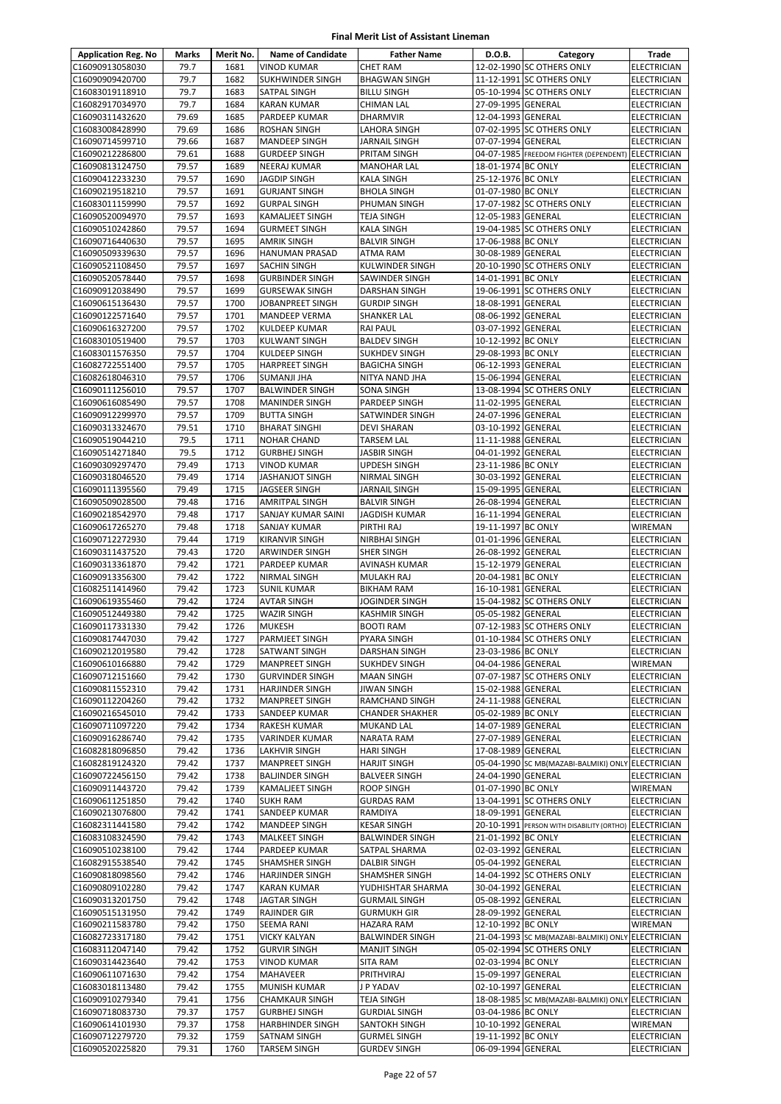| <b>Application Reg. No</b>         | <b>Marks</b>   | Merit No.    | <b>Name of Candidate</b>                        | <b>Father Name</b>                           | D.O.B.                                   | Category                                           | Trade                             |
|------------------------------------|----------------|--------------|-------------------------------------------------|----------------------------------------------|------------------------------------------|----------------------------------------------------|-----------------------------------|
| C16090913058030                    | 79.7           | 1681         | <b>VINOD KUMAR</b>                              | <b>CHET RAM</b>                              |                                          | 12-02-1990 SC OTHERS ONLY                          | <b>ELECTRICIAN</b>                |
| C16090909420700                    | 79.7           | 1682         | <b>SUKHWINDER SINGH</b>                         | <b>BHAGWAN SINGH</b>                         |                                          | 11-12-1991 SC OTHERS ONLY                          | ELECTRICIAN                       |
| C16083019118910                    | 79.7           | 1683         | SATPAL SINGH                                    | <b>BILLU SINGH</b>                           |                                          | 05-10-1994 SC OTHERS ONLY                          | ELECTRICIAN                       |
| C16082917034970                    | 79.7           | 1684         | <b>KARAN KUMAR</b>                              | <b>CHIMAN LAL</b>                            | 27-09-1995 GENERAL                       |                                                    | <b>ELECTRICIAN</b>                |
| C16090311432620                    | 79.69          | 1685         | PARDEEP KUMAR                                   | <b>DHARMVIR</b>                              | 12-04-1993 GENERAL                       |                                                    | <b>ELECTRICIAN</b>                |
| C16083008428990                    | 79.69          | 1686         | <b>ROSHAN SINGH</b>                             | LAHORA SINGH                                 |                                          | 07-02-1995 SC OTHERS ONLY                          | <b>ELECTRICIAN</b>                |
| C16090714599710                    | 79.66          | 1687         | <b>MANDEEP SINGH</b>                            | JARNAIL SINGH                                | 07-07-1994 GENERAL                       |                                                    | ELECTRICIAN                       |
| C16090212286800                    | 79.61          | 1688         | <b>GURDEEP SINGH</b>                            | PRITAM SINGH                                 |                                          | 04-07-1985 FREEDOM FIGHTER (DEPENDENT) ELECTRICIAN |                                   |
| C16090813124750<br>C16090412233230 | 79.57<br>79.57 | 1689<br>1690 | NEERAJ KUMAR<br><b>JAGDIP SINGH</b>             | <b>MANOHAR LAL</b><br><b>KALA SINGH</b>      | 18-01-1974 BC ONLY<br>25-12-1976 BC ONLY |                                                    | ELECTRICIAN<br><b>ELECTRICIAN</b> |
| C16090219518210                    | 79.57          | 1691         | <b>GURJANT SINGH</b>                            | <b>BHOLA SINGH</b>                           | 01-07-1980 BC ONLY                       |                                                    | <b>ELECTRICIAN</b>                |
| C16083011159990                    | 79.57          | 1692         | <b>GURPAL SINGH</b>                             | PHUMAN SINGH                                 |                                          | 17-07-1982 SC OTHERS ONLY                          | ELECTRICIAN                       |
| C16090520094970                    | 79.57          | 1693         | KAMALJEET SINGH                                 | TEJA SINGH                                   | 12-05-1983 GENERAL                       |                                                    | <b>ELECTRICIAN</b>                |
| C16090510242860                    | 79.57          | 1694         | <b>GURMEET SINGH</b>                            | <b>KALA SINGH</b>                            |                                          | 19-04-1985 SC OTHERS ONLY                          | ELECTRICIAN                       |
| C16090716440630                    | 79.57          | 1695         | <b>AMRIK SINGH</b>                              | <b>BALVIR SINGH</b>                          | 17-06-1988 BC ONLY                       |                                                    | ELECTRICIAN                       |
| C16090509339630                    | 79.57          | 1696         | <b>HANUMAN PRASAD</b>                           | ATMA RAM                                     | 30-08-1989 GENERAL                       |                                                    | <b>ELECTRICIAN</b>                |
| C16090521108450                    | 79.57          | 1697         | <b>SACHIN SINGH</b>                             | KULWINDER SINGH                              |                                          | 20-10-1990 SC OTHERS ONLY                          | <b>ELECTRICIAN</b>                |
| C16090520578440                    | 79.57          | 1698         | <b>GURBINDER SINGH</b>                          | SAWINDER SINGH                               | 14-01-1991 BC ONLY                       |                                                    | ELECTRICIAN                       |
| C16090912038490                    | 79.57          | 1699         | <b>GURSEWAK SINGH</b>                           | DARSHAN SINGH                                |                                          | 19-06-1991 SC OTHERS ONLY                          | ELECTRICIAN                       |
| C16090615136430                    | 79.57          | 1700         | JOBANPREET SINGH                                | <b>GURDIP SINGH</b>                          | 18-08-1991 GENERAL                       |                                                    | ELECTRICIAN                       |
| C16090122571640                    | 79.57          | 1701         | <b>MANDEEP VERMA</b>                            | <b>SHANKER LAL</b>                           | 08-06-1992 GENERAL                       |                                                    | <b>ELECTRICIAN</b>                |
| C16090616327200<br>C16083010519400 | 79.57<br>79.57 | 1702<br>1703 | KULDEEP KUMAR<br><b>KULWANT SINGH</b>           | <b>RAI PAUL</b>                              | 03-07-1992 GENERAL                       |                                                    | ELECTRICIAN<br><b>ELECTRICIAN</b> |
| C16083011576350                    | 79.57          | 1704         | KULDEEP SINGH                                   | <b>BALDEV SINGH</b><br><b>SUKHDEV SINGH</b>  | 10-12-1992 BC ONLY<br>29-08-1993 BC ONLY |                                                    | <b>ELECTRICIAN</b>                |
| C16082722551400                    | 79.57          | 1705         | <b>HARPREET SINGH</b>                           | <b>BAGICHA SINGH</b>                         | 06-12-1993 GENERAL                       |                                                    | <b>ELECTRICIAN</b>                |
| C16082618046310                    | 79.57          | 1706         | <b>SUMANJI JHA</b>                              | NITYA NAND JHA                               | 15-06-1994 GENERAL                       |                                                    | ELECTRICIAN                       |
| C16090111256010                    | 79.57          | 1707         | <b>BALWINDER SINGH</b>                          | SONA SINGH                                   |                                          | 13-08-1994 SC OTHERS ONLY                          | ELECTRICIAN                       |
| C16090616085490                    | 79.57          | 1708         | <b>MANINDER SINGH</b>                           | PARDEEP SINGH                                | 11-02-1995 GENERAL                       |                                                    | ELECTRICIAN                       |
| C16090912299970                    | 79.57          | 1709         | <b>BUTTA SINGH</b>                              | SATWINDER SINGH                              | 24-07-1996 GENERAL                       |                                                    | <b>ELECTRICIAN</b>                |
| C16090313324670                    | 79.51          | 1710         | <b>BHARAT SINGHI</b>                            | <b>DEVI SHARAN</b>                           | 03-10-1992 GENERAL                       |                                                    | <b>ELECTRICIAN</b>                |
| C16090519044210                    | 79.5           | 1711         | <b>NOHAR CHAND</b>                              | TARSEM LAL                                   | 11-11-1988 GENERAL                       |                                                    | <b>ELECTRICIAN</b>                |
| C16090514271840                    | 79.5           | 1712         | <b>GURBHEJ SINGH</b>                            | JASBIR SINGH                                 | 04-01-1992 GENERAL                       |                                                    | <b>ELECTRICIAN</b>                |
| C16090309297470                    | 79.49          | 1713         | <b>VINOD KUMAR</b>                              | UPDESH SINGH                                 | 23-11-1986 BC ONLY                       |                                                    | <b>ELECTRICIAN</b>                |
| C16090318046520                    | 79.49          | 1714         | JASHANJOT SINGH                                 | NIRMAL SINGH                                 | 30-03-1992 GENERAL                       |                                                    | ELECTRICIAN                       |
| C16090111395560                    | 79.49          | 1715         | JAGSEER SINGH                                   | JARNAIL SINGH                                | 15-09-1995 GENERAL                       |                                                    | <b>ELECTRICIAN</b>                |
| C16090509028500                    | 79.48          | 1716         | <b>AMRITPAL SINGH</b>                           | <b>BALVIR SINGH</b>                          | 26-08-1994 GENERAL                       |                                                    | <b>ELECTRICIAN</b>                |
| C16090218542970<br>C16090617265270 | 79.48<br>79.48 | 1717<br>1718 | SANJAY KUMAR SAINI<br><b>SANJAY KUMAR</b>       | JAGDISH KUMAR<br>PIRTHI RAJ                  | 16-11-1994 GENERAL<br>19-11-1997 BC ONLY |                                                    | <b>ELECTRICIAN</b><br>WIREMAN     |
| C16090712272930                    | 79.44          | 1719         | <b>KIRANVIR SINGH</b>                           | NIRBHAI SINGH                                | 01-01-1996 GENERAL                       |                                                    | ELECTRICIAN                       |
| C16090311437520                    | 79.43          | 1720         | <b>ARWINDER SINGH</b>                           | <b>SHER SINGH</b>                            | 26-08-1992 GENERAL                       |                                                    | <b>ELECTRICIAN</b>                |
| C16090313361870                    | 79.42          | 1721         | PARDEEP KUMAR                                   | AVINASH KUMAR                                | 15-12-1979 GENERAL                       |                                                    | <b>ELECTRICIAN</b>                |
| C16090913356300                    | 79.42          | 1722         | NIRMAL SINGH                                    | MULAKH RAJ                                   | 20-04-1981 BC ONLY                       |                                                    | <b>ELECTRICIAN</b>                |
| C16082511414960                    | 79.42          | 1723         | <b>SUNIL KUMAR</b>                              | <b>BIKHAM RAM</b>                            | 16-10-1981 GENERAL                       |                                                    | ELECTRICIAN                       |
| C16090619355460                    | 79.42          | 1724         | AVTAR SINGH                                     | JOGINDER SINGH                               |                                          | 15-04-1982 SC OTHERS ONLY                          | ELECTRICIAN                       |
| C16090512449380                    | 79.42          | 1725         | <b>WAZIR SINGH</b>                              | KASHMIR SINGH                                | 05-05-1982 GENERAL                       |                                                    | ELECTRICIAN                       |
| C16090117331330                    | 79.42          | 1726         | <b>MUKESH</b>                                   | <b>BOOTI RAM</b>                             |                                          | 07-12-1983 SC OTHERS ONLY                          | <b>ELECTRICIAN</b>                |
| C16090817447030                    | 79.42          | 1727         | PARMJEET SINGH                                  | PYARA SINGH                                  |                                          | 01-10-1984 SC OTHERS ONLY                          | <b>ELECTRICIAN</b>                |
| C16090212019580                    | 79.42          | 1728         | <b>SATWANT SINGH</b>                            | DARSHAN SINGH                                | 23-03-1986 BC ONLY                       |                                                    | <b>ELECTRICIAN</b>                |
| C16090610166880                    | 79.42          | 1729         | MANPREET SINGH                                  | SUKHDEV SINGH                                | 04-04-1986 GENERAL                       |                                                    | WIREMAN                           |
| C16090712151660                    | 79.42<br>79.42 | 1730<br>1731 | <b>GURVINDER SINGH</b>                          | <b>MAAN SINGH</b>                            | 15-02-1988 GENERAL                       | 07-07-1987 SC OTHERS ONLY                          | <b>ELECTRICIAN</b>                |
| C16090811552310<br>C16090112204260 | 79.42          | 1732         | <b>HARJINDER SINGH</b><br><b>MANPREET SINGH</b> | JIWAN SINGH<br>RAMCHAND SINGH                | 24-11-1988 GENERAL                       |                                                    | ELECTRICIAN<br>ELECTRICIAN        |
| C16090216545010                    | 79.42          | 1733         | SANDEEP KUMAR                                   | <b>CHANDER SHAKHER</b>                       | 05-02-1989 BC ONLY                       |                                                    | ELECTRICIAN                       |
| C16090711097220                    | 79.42          | 1734         | RAKESH KUMAR                                    | MUKAND LAL                                   | 14-07-1989 GENERAL                       |                                                    | <b>ELECTRICIAN</b>                |
| C16090916286740                    | 79.42          | 1735         | <b>VARINDER KUMAR</b>                           | NARATA RAM                                   | 27-07-1989 GENERAL                       |                                                    | <b>ELECTRICIAN</b>                |
| C16082818096850                    | 79.42          | 1736         | <b>LAKHVIR SINGH</b>                            | <b>HARI SINGH</b>                            | 17-08-1989 GENERAL                       |                                                    | <b>ELECTRICIAN</b>                |
| C16082819124320                    | 79.42          | 1737         | <b>MANPREET SINGH</b>                           | <b>HARJIT SINGH</b>                          |                                          | 05-04-1990 SC MB(MAZABI-BALMIKI) ONLY              | <b>ELECTRICIAN</b>                |
| C16090722456150                    | 79.42          | 1738         | <b>BALJINDER SINGH</b>                          | <b>BALVEER SINGH</b>                         | 24-04-1990 GENERAL                       |                                                    | ELECTRICIAN                       |
| C16090911443720                    | 79.42          | 1739         | <b>KAMALJEET SINGH</b>                          | <b>ROOP SINGH</b>                            | 01-07-1990 BC ONLY                       |                                                    | WIREMAN                           |
| C16090611251850                    | 79.42          | 1740         | <b>SUKH RAM</b>                                 | <b>GURDAS RAM</b>                            |                                          | 13-04-1991 SC OTHERS ONLY                          | <b>ELECTRICIAN</b>                |
| C16090213076800                    | 79.42          | 1741         | SANDEEP KUMAR                                   | RAMDIYA                                      | 18-09-1991 GENERAL                       |                                                    | <b>ELECTRICIAN</b>                |
| C16082311441580                    | 79.42          | 1742         | <b>MANDEEP SINGH</b>                            | <b>KESAR SINGH</b>                           |                                          | 20-10-1991 PERSON WITH DISABILITY (ORTHO)          | <b>ELECTRICIAN</b>                |
| C16083108324590<br>C16090510238100 | 79.42<br>79.42 | 1743<br>1744 | MALKEET SINGH                                   | <b>BALWINDER SINGH</b>                       | 21-01-1992 BC ONLY<br>02-03-1992 GENERAL |                                                    | ELECTRICIAN                       |
| C16082915538540                    | 79.42          | 1745         | PARDEEP KUMAR<br>SHAMSHER SINGH                 | SATPAL SHARMA<br>DALBIR SINGH                | 05-04-1992 GENERAL                       |                                                    | <b>ELECTRICIAN</b><br>ELECTRICIAN |
| C16090818098560                    | 79.42          | 1746         | <b>HARJINDER SINGH</b>                          | SHAMSHER SINGH                               |                                          | 14-04-1992 SC OTHERS ONLY                          | <b>ELECTRICIAN</b>                |
| C16090809102280                    | 79.42          | 1747         | <b>KARAN KUMAR</b>                              | YUDHISHTAR SHARMA                            | 30-04-1992 GENERAL                       |                                                    | <b>ELECTRICIAN</b>                |
| C16090313201750                    | 79.42          | 1748         | JAGTAR SINGH                                    | <b>GURMAIL SINGH</b>                         | 05-08-1992 GENERAL                       |                                                    | ELECTRICIAN                       |
| C16090515131950                    | 79.42          | 1749         | <b>RAJINDER GIR</b>                             | <b>GURMUKH GIR</b>                           | 28-09-1992 GENERAL                       |                                                    | ELECTRICIAN                       |
| C16090211583780                    | 79.42          | 1750         | SEEMA RANI                                      | HAZARA RAM                                   | 12-10-1992 BC ONLY                       |                                                    | WIREMAN                           |
| C16082723317180                    | 79.42          | 1751         | <b>VICKY KALYAN</b>                             | <b>BALWINDER SINGH</b>                       |                                          | 21-04-1993 SC MB(MAZABI-BALMIKI) ONLY              | <b>ELECTRICIAN</b>                |
| C16083112047140                    | 79.42          | 1752         | <b>GURVIR SINGH</b>                             | <b>MANJIT SINGH</b>                          |                                          | 05-02-1994 SC OTHERS ONLY                          | ELECTRICIAN                       |
| C16090314423640                    | 79.42          | 1753         | <b>VINOD KUMAR</b>                              | SITA RAM                                     | 02-03-1994 BC ONLY                       |                                                    | <b>ELECTRICIAN</b>                |
| C16090611071630                    | 79.42          | 1754         | <b>MAHAVEER</b>                                 | PRITHVIRAJ                                   | 15-09-1997 GENERAL                       |                                                    | <b>ELECTRICIAN</b>                |
| C16083018113480                    | 79.42          | 1755         | MUNISH KUMAR                                    | J P YADAV                                    | 02-10-1997 GENERAL                       |                                                    | <b>ELECTRICIAN</b>                |
| C16090910279340<br>C16090718083730 | 79.41<br>79.37 | 1756<br>1757 | <b>CHAMKAUR SINGH</b>                           | TEJA SINGH                                   |                                          | 18-08-1985 SC MB(MAZABI-BALMIKI) ONLY              | <b>ELECTRICIAN</b>                |
| C16090614101930                    | 79.37          | 1758         | <b>GURBHEJ SINGH</b><br><b>HARBHINDER SINGH</b> | <b>GURDIAL SINGH</b><br><b>SANTOKH SINGH</b> | 03-04-1986 BC ONLY<br>10-10-1992 GENERAL |                                                    | ELECTRICIAN<br>WIREMAN            |
| C16090712279720                    | 79.32          | 1759         | <b>SATNAM SINGH</b>                             | <b>GURMEL SINGH</b>                          | 19-11-1992 BC ONLY                       |                                                    | ELECTRICIAN                       |
| C16090520225820                    | 79.31          | 1760         | <b>TARSEM SINGH</b>                             | <b>GURDEV SINGH</b>                          | 06-09-1994 GENERAL                       |                                                    | ELECTRICIAN                       |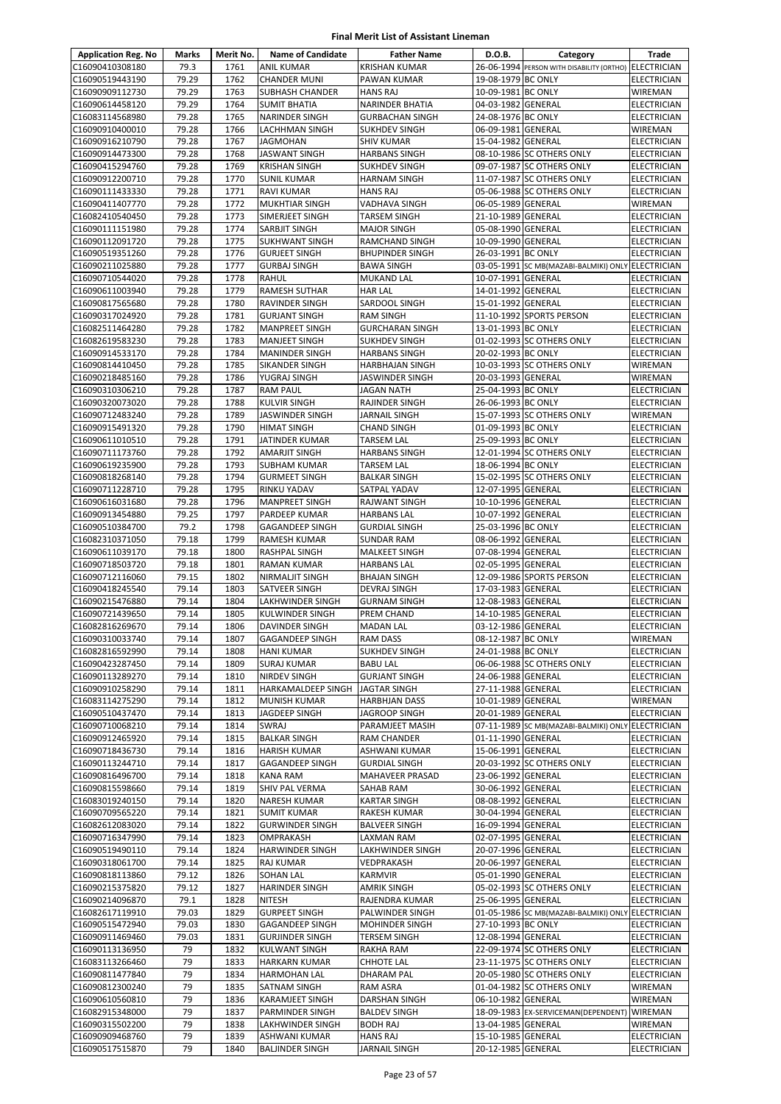| <b>Application Reg. No</b>         | Marks          | Merit No.    | <b>Name of Candidate</b>                   | <b>Father Name</b>                           | D.O.B.                                   | Category                                               | Trade                                    |
|------------------------------------|----------------|--------------|--------------------------------------------|----------------------------------------------|------------------------------------------|--------------------------------------------------------|------------------------------------------|
| C16090410308180                    | 79.3           | 1761         | <b>ANIL KUMAR</b>                          | <b>KRISHAN KUMAR</b>                         |                                          | 26-06-1994 PERSON WITH DISABILITY (ORTHO) ELECTRICIAN  |                                          |
| C16090519443190                    | 79.29          | 1762         | <b>CHANDER MUNI</b>                        | PAWAN KUMAR                                  | 19-08-1979 BC ONLY                       |                                                        | <b>ELECTRICIAN</b>                       |
| C16090909112730                    | 79.29          | 1763         | <b>SUBHASH CHANDER</b>                     | <b>HANS RAJ</b>                              | 10-09-1981 BC ONLY                       |                                                        | WIREMAN                                  |
| C16090614458120                    | 79.29          | 1764         | <b>SUMIT BHATIA</b>                        | NARINDER BHATIA                              | 04-03-1982 GENERAL                       |                                                        | <b>ELECTRICIAN</b>                       |
| C16083114568980                    | 79.28          | 1765         | NARINDER SINGH                             | <b>GURBACHAN SINGH</b>                       | 24-08-1976 BC ONLY                       |                                                        | <b>ELECTRICIAN</b>                       |
| C16090910400010                    | 79.28          | 1766         | LACHHMAN SINGH                             | <b>SUKHDEV SINGH</b>                         | 06-09-1981 GENERAL                       |                                                        | <b>WIREMAN</b>                           |
| C16090916210790                    | 79.28          | 1767         | <b>JAGMOHAN</b>                            | <b>SHIV KUMAR</b>                            | 15-04-1982 GENERAL                       |                                                        | <b>ELECTRICIAN</b>                       |
| C16090914473300<br>C16090415294760 | 79.28<br>79.28 | 1768<br>1769 | <b>JASWANT SINGH</b>                       | <b>HARBANS SINGH</b>                         |                                          | 08-10-1986 SC OTHERS ONLY                              | ELECTRICIAN                              |
| C16090912200710                    | 79.28          | 1770         | <b>KRISHAN SINGH</b><br><b>SUNIL KUMAR</b> | SUKHDEV SINGH<br><b>HARNAM SINGH</b>         |                                          | 09-07-1987 SC OTHERS ONLY<br>11-07-1987 SC OTHERS ONLY | <b>ELECTRICIAN</b><br><b>ELECTRICIAN</b> |
| C16090111433330                    | 79.28          | 1771         | RAVI KUMAR                                 | <b>HANS RAJ</b>                              |                                          | 05-06-1988 SC OTHERS ONLY                              | <b>ELECTRICIAN</b>                       |
| C16090411407770                    | 79.28          | 1772         | <b>MUKHTIAR SINGH</b>                      | VADHAVA SINGH                                | 06-05-1989 GENERAL                       |                                                        | WIREMAN                                  |
| C16082410540450                    | 79.28          | 1773         | SIMERJEET SINGH                            | <b>TARSEM SINGH</b>                          | 21-10-1989 GENERAL                       |                                                        | <b>ELECTRICIAN</b>                       |
| C16090111151980                    | 79.28          | 1774         | SARBJIT SINGH                              | <b>MAJOR SINGH</b>                           | 05-08-1990 GENERAL                       |                                                        | ELECTRICIAN                              |
| C16090112091720                    | 79.28          | 1775         | <b>SUKHWANT SINGH</b>                      | RAMCHAND SINGH                               | 10-09-1990 GENERAL                       |                                                        | ELECTRICIAN                              |
| C16090519351260                    | 79.28          | 1776         | <b>GURJEET SINGH</b>                       | <b>BHUPINDER SINGH</b>                       | 26-03-1991 BC ONLY                       |                                                        | <b>ELECTRICIAN</b>                       |
| C16090211025880                    | 79.28          | 1777         | <b>GURBAJ SINGH</b>                        | <b>BAWA SINGH</b>                            |                                          | 03-05-1991 SC MB(MAZABI-BALMIKI) ONLY ELECTRICIAN      |                                          |
| C16090710544020                    | 79.28          | 1778         | RAHUL                                      | <b>MUKAND LAL</b>                            | 10-07-1991 GENERAL                       |                                                        | <b>ELECTRICIAN</b>                       |
| C16090611003940                    | 79.28          | 1779         | <b>RAMESH SUTHAR</b>                       | <b>HAR LAL</b>                               | 14-01-1992 GENERAL                       |                                                        | ELECTRICIAN                              |
| C16090817565680                    | 79.28          | 1780         | RAVINDER SINGH                             | SARDOOL SINGH                                | 15-01-1992 GENERAL                       |                                                        | <b>ELECTRICIAN</b>                       |
| C16090317024920                    | 79.28          | 1781         | <b>GURJANT SINGH</b>                       | <b>RAM SINGH</b>                             |                                          | 11-10-1992 SPORTS PERSON                               | ELECTRICIAN                              |
| C16082511464280<br>C16082619583230 | 79.28<br>79.28 | 1782<br>1783 | <b>MANPREET SINGH</b>                      | <b>GURCHARAN SINGH</b>                       | 13-01-1993 BC ONLY                       |                                                        | ELECTRICIAN                              |
| C16090914533170                    |                |              | <b>MANJEET SINGH</b>                       | <b>SUKHDEV SINGH</b><br><b>HARBANS SINGH</b> | 20-02-1993 BC ONLY                       | 01-02-1993 SC OTHERS ONLY                              | <b>ELECTRICIAN</b>                       |
| C16090814410450                    | 79.28<br>79.28 | 1784<br>1785 | <b>MANINDER SINGH</b><br>SIKANDER SINGH    | <b>HARBHAJAN SINGH</b>                       |                                          | 10-03-1993 SC OTHERS ONLY                              | ELECTRICIAN<br>WIREMAN                   |
| C16090218485160                    | 79.28          | 1786         | YUGRAJ SINGH                               | JASWINDER SINGH                              | 20-03-1993 GENERAL                       |                                                        | <b>WIREMAN</b>                           |
| C16090310306210                    | 79.28          | 1787         | <b>RAM PAUL</b>                            | JAGAN NATH                                   | 25-04-1993 BC ONLY                       |                                                        | <b>ELECTRICIAN</b>                       |
| C16090320073020                    | 79.28          | 1788         | <b>KULVIR SINGH</b>                        | RAJINDER SINGH                               | 26-06-1993 BC ONLY                       |                                                        | ELECTRICIAN                              |
| C16090712483240                    | 79.28          | 1789         | <b>JASWINDER SINGH</b>                     | JARNAIL SINGH                                |                                          | 15-07-1993 SC OTHERS ONLY                              | WIREMAN                                  |
| C16090915491320                    | 79.28          | 1790         | <b>HIMAT SINGH</b>                         | <b>CHAND SINGH</b>                           | 01-09-1993 BC ONLY                       |                                                        | <b>ELECTRICIAN</b>                       |
| C16090611010510                    | 79.28          | 1791         | JATINDER KUMAR                             | <b>TARSEM LAL</b>                            | 25-09-1993 BC ONLY                       |                                                        | <b>ELECTRICIAN</b>                       |
| C16090711173760                    | 79.28          | 1792         | <b>AMARJIT SINGH</b>                       | <b>HARBANS SINGH</b>                         |                                          | 12-01-1994 SC OTHERS ONLY                              | <b>ELECTRICIAN</b>                       |
| C16090619235900                    | 79.28          | 1793         | <b>SUBHAM KUMAR</b>                        | TARSEM LAL                                   | 18-06-1994 BC ONLY                       |                                                        | ELECTRICIAN                              |
| C16090818268140                    | 79.28          | 1794         | <b>GURMEET SINGH</b>                       | <b>BALKAR SINGH</b>                          |                                          | 15-02-1995 SC OTHERS ONLY                              | ELECTRICIAN                              |
| C16090711228710                    | 79.28          | 1795         | RINKU YADAV                                | SATPAL YADAV                                 | 12-07-1995 GENERAL                       |                                                        | ELECTRICIAN                              |
| C16090616031680                    | 79.28          | 1796         | <b>MANPREET SINGH</b>                      | RAJWANT SINGH                                | 10-10-1996 GENERAL                       |                                                        | ELECTRICIAN                              |
| C16090913454880<br>C16090510384700 | 79.25<br>79.2  | 1797<br>1798 | <b>PARDEEP KUMAR</b>                       | <b>HARBANS LAL</b>                           | 10-07-1992 GENERAL<br>25-03-1996 BC ONLY |                                                        | <b>ELECTRICIAN</b>                       |
| C16082310371050                    | 79.18          | 1799         | GAGANDEEP SINGH<br>RAMESH KUMAR            | <b>GURDIAL SINGH</b><br><b>SUNDAR RAM</b>    | 08-06-1992 GENERAL                       |                                                        | <b>ELECTRICIAN</b><br>ELECTRICIAN        |
| C16090611039170                    | 79.18          | 1800         | RASHPAL SINGH                              | MALKEET SINGH                                | 07-08-1994 GENERAL                       |                                                        | <b>ELECTRICIAN</b>                       |
| C16090718503720                    | 79.18          | 1801         | <b>RAMAN KUMAR</b>                         | <b>HARBANS LAL</b>                           | 02-05-1995 GENERAL                       |                                                        | ELECTRICIAN                              |
| C16090712116060                    | 79.15          | 1802         | NIRMALJIT SINGH                            | <b>BHAJAN SINGH</b>                          |                                          | 12-09-1986 SPORTS PERSON                               | <b>ELECTRICIAN</b>                       |
| C16090418245540                    | 79.14          | 1803         | SATVEER SINGH                              | <b>DEVRAJ SINGH</b>                          | 17-03-1983 GENERAL                       |                                                        | <b>ELECTRICIAN</b>                       |
| C16090215476880                    | 79.14          | 1804         | <b>LAKHWINDER SINGH</b>                    | <b>GURNAM SINGH</b>                          | 12-08-1983 GENERAL                       |                                                        | <b>ELECTRICIAN</b>                       |
| C16090721439650                    | 79.14          | 1805         | KULWINDER SINGH                            | PREM CHAND                                   | 14-10-1985 GENERAL                       |                                                        | ELECTRICIAN                              |
| C16082816269670                    | 79.14          | 1806         | DAVINDER SINGH                             | <b>MADAN LAL</b>                             | 03-12-1986 GENERAL                       |                                                        | <b>ELECTRICIAN</b>                       |
| C16090310033740                    | 79.14          | 1807         | <b>GAGANDEEP SINGH</b>                     | <b>RAM DASS</b>                              | 08-12-1987 BC ONLY                       |                                                        | WIREMAN                                  |
| C16082816592990                    | 79.14          | 1808         | <b>HANI KUMAR</b>                          | <b>SUKHDEV SINGH</b>                         | 24-01-1988 BC ONLY                       |                                                        | <b>ELECTRICIAN</b>                       |
| C16090423287450                    | 79.14          | 1809         | <b>SURAJ KUMAR</b>                         | <b>BABU LAL</b>                              |                                          | 06-06-1988 SC OTHERS ONLY                              | <b>ELECTRICIAN</b>                       |
| C16090113289270                    | 79.14          | 1810         | <b>NIRDEV SINGH</b>                        | <b>GURJANT SINGH</b>                         | 24-06-1988 GENERAL                       |                                                        | ELECTRICIAN                              |
| C16090910258290<br>C16083114275290 | 79.14<br>79.14 | 1811<br>1812 | HARKAMALDEEP SINGH                         | JAGTAR SINGH<br><b>HARBHJAN DASS</b>         | 27-11-1988 GENERAL<br>10-01-1989 GENERAL |                                                        | <b>ELECTRICIAN</b>                       |
| C16090510437470                    | 79.14          | 1813         | <b>MUNISH KUMAR</b><br>JAGDEEP SINGH       | JAGROOP SINGH                                | 20-01-1989 GENERAL                       |                                                        | WIREMAN<br>ELECTRICIAN                   |
| C16090710068210                    | 79.14          | 1814         | SWRAJ                                      | PARAMJEET MASIH                              |                                          | 07-11-1989 SC MB(MAZABI-BALMIKI) ONLY ELECTRICIAN      |                                          |
| C16090912465920                    | 79.14          | 1815         | <b>BALKAR SINGH</b>                        | RAM CHANDER                                  | 01-11-1990 GENERAL                       |                                                        | <b>ELECTRICIAN</b>                       |
| C16090718436730                    | 79.14          | 1816         | <b>HARISH KUMAR</b>                        | ASHWANI KUMAR                                | 15-06-1991 GENERAL                       |                                                        | <b>ELECTRICIAN</b>                       |
| C16090113244710                    | 79.14          | 1817         | <b>GAGANDEEP SINGH</b>                     | <b>GURDIAL SINGH</b>                         |                                          | 20-03-1992 SC OTHERS ONLY                              | ELECTRICIAN                              |
| C16090816496700                    | 79.14          | 1818         | <b>KANA RAM</b>                            | MAHAVEER PRASAD                              | 23-06-1992 GENERAL                       |                                                        | ELECTRICIAN                              |
| C16090815598660                    | 79.14          | 1819         | SHIV PAL VERMA                             | SAHAB RAM                                    | 30-06-1992 GENERAL                       |                                                        | <b>ELECTRICIAN</b>                       |
| C16083019240150                    | 79.14          | 1820         | NARESH KUMAR                               | <b>KARTAR SINGH</b>                          | 08-08-1992 GENERAL                       |                                                        | ELECTRICIAN                              |
| C16090709565220                    | 79.14          | 1821         | <b>SUMIT KUMAR</b>                         | RAKESH KUMAR                                 | 30-04-1994 GENERAL                       |                                                        | <b>ELECTRICIAN</b>                       |
| C16082612083020                    | 79.14          | 1822         | <b>GURWINDER SINGH</b>                     | <b>BALVEER SINGH</b>                         | 16-09-1994 GENERAL                       |                                                        | ELECTRICIAN                              |
| C16090716347990                    | 79.14          | 1823         | OMPRAKASH                                  | LAXMAN RAM                                   | 02-07-1995 GENERAL                       |                                                        | ELECTRICIAN                              |
| C16090519490110                    | 79.14<br>79.14 | 1824<br>1825 | <b>HARWINDER SINGH</b>                     | LAKHWINDER SINGH                             | 20-07-1996 GENERAL                       |                                                        | ELECTRICIAN                              |
| C16090318061700<br>C16090818113860 | 79.12          | 1826         | RAJ KUMAR<br><b>SOHAN LAL</b>              | VEDPRAKASH<br>KARMVIR                        | 20-06-1997 GENERAL<br>05-01-1990 GENERAL |                                                        | ELECTRICIAN<br>ELECTRICIAN               |
| C16090215375820                    | 79.12          | 1827         | <b>HARINDER SINGH</b>                      | AMRIK SINGH                                  |                                          | 05-02-1993 SC OTHERS ONLY                              | ELECTRICIAN                              |
| C16090214096870                    | 79.1           | 1828         | <b>NITESH</b>                              | RAJENDRA KUMAR                               | 25-06-1995 GENERAL                       |                                                        | ELECTRICIAN                              |
| C16082617119910                    | 79.03          | 1829         | <b>GURPEET SINGH</b>                       | PALWINDER SINGH                              |                                          | 01-05-1986 SC MB(MAZABI-BALMIKI) ONLY                  | <b>ELECTRICIAN</b>                       |
| C16090515472940                    | 79.03          | 1830         | <b>GAGANDEEP SINGH</b>                     | MOHINDER SINGH                               | 27-10-1993 BC ONLY                       |                                                        | ELECTRICIAN                              |
| C16090911469460                    | 79.03          | 1831         | <b>GURJINDER SINGH</b>                     | TERSEM SINGH                                 | 12-08-1994 GENERAL                       |                                                        | <b>ELECTRICIAN</b>                       |
| C16090113136950                    | 79             | 1832         | KULWANT SINGH                              | RAKHA RAM                                    |                                          | 22-09-1974 SC OTHERS ONLY                              | ELECTRICIAN                              |
| C16083113266460                    | 79             | 1833         | <b>HARKARN KUMAR</b>                       | CHHOTE LAL                                   |                                          | 23-11-1975 SC OTHERS ONLY                              | <b>ELECTRICIAN</b>                       |
| C16090811477840                    | 79             | 1834         | <b>HARMOHAN LAL</b>                        | <b>DHARAM PAL</b>                            |                                          | 20-05-1980 SC OTHERS ONLY                              | <b>ELECTRICIAN</b>                       |
| C16090812300240                    | 79             | 1835         | SATNAM SINGH                               | RAM ASRA                                     |                                          | 01-04-1982 SC OTHERS ONLY                              | WIREMAN                                  |
| C16090610560810                    | 79             | 1836         | <b>KARAMJEET SINGH</b>                     | DARSHAN SINGH                                | 06-10-1982 GENERAL                       |                                                        | WIREMAN                                  |
| C16082915348000<br>C16090315502200 | 79<br>79       | 1837<br>1838 | PARMINDER SINGH<br>LAKHWINDER SINGH        | <b>BALDEV SINGH</b><br><b>BODH RAJ</b>       | 13-04-1985 GENERAL                       | 18-09-1983 EX-SERVICEMAN(DEPENDENT)                    | WIREMAN<br>WIREMAN                       |
| C16090909468760                    | 79             | 1839         | ASHWANI KUMAR                              | <b>HANS RAJ</b>                              | 15-10-1985 GENERAL                       |                                                        | <b>ELECTRICIAN</b>                       |
| C16090517515870                    | 79             | 1840         | <b>BALJINDER SINGH</b>                     | JARNAIL SINGH                                | 20-12-1985 GENERAL                       |                                                        | ELECTRICIAN                              |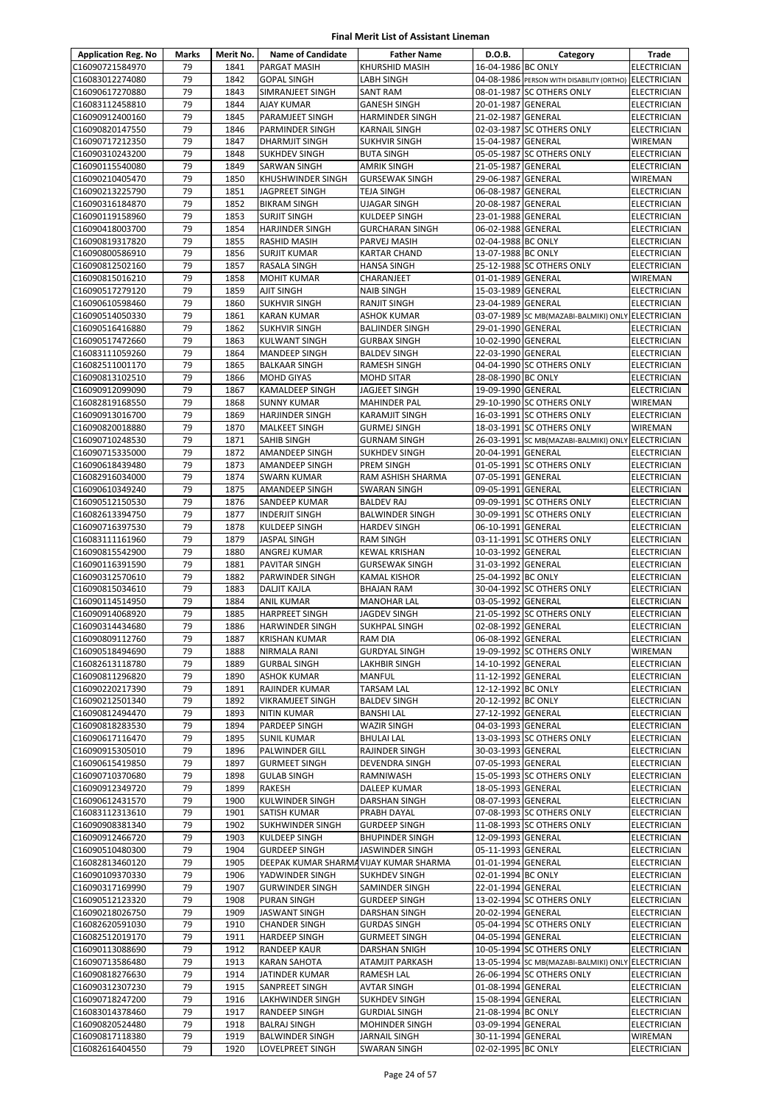| <b>Application Reg. No</b>         | <b>Marks</b> | Merit No.    | <b>Name of Candidate</b>               | <b>Father Name</b>                          | D.O.B.                                   | Category                                          | Trade                                    |
|------------------------------------|--------------|--------------|----------------------------------------|---------------------------------------------|------------------------------------------|---------------------------------------------------|------------------------------------------|
| C16090721584970                    | 79           | 1841         | PARGAT MASIH                           | KHURSHID MASIH                              | 16-04-1986 BC ONLY                       |                                                   | <b>ELECTRICIAN</b>                       |
| C16083012274080                    | 79           | 1842         | <b>GOPAL SINGH</b>                     | <b>LABH SINGH</b>                           |                                          | 04-08-1986 PERSON WITH DISABILITY (ORTHO)         | <b>ELECTRICIAN</b>                       |
| C16090617270880                    | 79           | 1843         | SIMRANJEET SINGH                       | <b>SANT RAM</b>                             |                                          | 08-01-1987 SC OTHERS ONLY                         | <b>ELECTRICIAN</b>                       |
| C16083112458810                    | 79           | 1844         | AJAY KUMAR                             | <b>GANESH SINGH</b>                         | 20-01-1987 GENERAL                       |                                                   | <b>ELECTRICIAN</b>                       |
| C16090912400160                    | 79           | 1845         | PARAMJEET SINGH                        | <b>HARMINDER SINGH</b>                      | 21-02-1987 GENERAL                       |                                                   | <b>ELECTRICIAN</b>                       |
| C16090820147550                    | 79           | 1846         | PARMINDER SINGH                        | <b>KARNAIL SINGH</b>                        |                                          | 02-03-1987 SC OTHERS ONLY                         | <b>ELECTRICIAN</b>                       |
| C16090717212350                    | 79           | 1847         | DHARMJIT SINGH                         | <b>SUKHVIR SINGH</b>                        | 15-04-1987 GENERAL                       |                                                   | WIREMAN                                  |
| C16090310243200                    | 79           | 1848         | SUKHDEV SINGH                          | <b>BUTA SINGH</b>                           |                                          | 05-05-1987 SC OTHERS ONLY                         | <b>ELECTRICIAN</b>                       |
| C16090115540080                    | 79           | 1849         | SARWAN SINGH                           | AMRIK SINGH                                 | 21-05-1987 GENERAL                       |                                                   | <b>ELECTRICIAN</b>                       |
| C16090210405470                    | 79           | 1850         | KHUSHWINDER SINGH                      | <b>GURSEWAK SINGH</b>                       | 29-06-1987 GENERAL                       |                                                   | WIREMAN                                  |
| C16090213225790<br>C16090316184870 | 79<br>79     | 1851<br>1852 | JAGPREET SINGH<br><b>BIKRAM SINGH</b>  | <b>TEJA SINGH</b><br><b>UJAGAR SINGH</b>    | 06-08-1987 GENERAL<br>20-08-1987 GENERAL |                                                   | <b>ELECTRICIAN</b><br><b>ELECTRICIAN</b> |
| C16090119158960                    | 79           | 1853         | SURJIT SINGH                           | <b>KULDEEP SINGH</b>                        | 23-01-1988 GENERAL                       |                                                   | <b>ELECTRICIAN</b>                       |
| C16090418003700                    | 79           | 1854         | <b>HARJINDER SINGH</b>                 | <b>GURCHARAN SINGH</b>                      | 06-02-1988 GENERAL                       |                                                   | <b>ELECTRICIAN</b>                       |
| C16090819317820                    | 79           | 1855         | RASHID MASIH                           | PARVEJ MASIH                                | 02-04-1988 BC ONLY                       |                                                   | <b>ELECTRICIAN</b>                       |
| C16090800586910                    | 79           | 1856         | SURJIT KUMAR                           | <b>KARTAR CHAND</b>                         | 13-07-1988 BC ONLY                       |                                                   | <b>ELECTRICIAN</b>                       |
| C16090812502160                    | 79           | 1857         | RASALA SINGH                           | <b>HANSA SINGH</b>                          |                                          | 25-12-1988 SC OTHERS ONLY                         | <b>ELECTRICIAN</b>                       |
| C16090815016210                    | 79           | 1858         | <b>MOHIT KUMAR</b>                     | CHARANJEET                                  | 01-01-1989 GENERAL                       |                                                   | <b>WIREMAN</b>                           |
| C16090517279120                    | 79           | 1859         | AJIT SINGH                             | <b>NAIB SINGH</b>                           | 15-03-1989 GENERAL                       |                                                   | <b>ELECTRICIAN</b>                       |
| C16090610598460                    | 79           | 1860         | SUKHVIR SINGH                          | RANJIT SINGH                                | 23-04-1989 GENERAL                       |                                                   | <b>ELECTRICIAN</b>                       |
| C16090514050330                    | 79           | 1861         | <b>KARAN KUMAR</b>                     | <b>ASHOK KUMAR</b>                          |                                          | 03-07-1989 SC MB(MAZABI-BALMIKI) ONLY             | <b>ELECTRICIAN</b>                       |
| C16090516416880                    | 79           | 1862         | <b>SUKHVIR SINGH</b>                   | <b>BALJINDER SINGH</b>                      | 29-01-1990 GENERAL                       |                                                   | <b>ELECTRICIAN</b>                       |
| C16090517472660                    | 79           | 1863         | KULWANT SINGH                          | <b>GURBAX SINGH</b>                         | 10-02-1990 GENERAL                       |                                                   | <b>ELECTRICIAN</b>                       |
| C16083111059260                    | 79           | 1864         | <b>MANDEEP SINGH</b>                   | <b>BALDEV SINGH</b>                         | 22-03-1990 GENERAL                       |                                                   | <b>ELECTRICIAN</b>                       |
| C16082511001170                    | 79           | 1865         | <b>BALKAAR SINGH</b>                   | <b>RAMESH SINGH</b>                         |                                          | 04-04-1990 SC OTHERS ONLY                         | <b>ELECTRICIAN</b>                       |
| C16090813102510<br>C16090912099090 | 79<br>79     | 1866         | <b>MOHD GIYAS</b>                      | <b>MOHD SITAR</b>                           | 28-08-1990 BC ONLY                       |                                                   | <b>ELECTRICIAN</b>                       |
| C16082819168550                    | 79           | 1867<br>1868 | KAMALDEEP SINGH<br><b>SUNNY KUMAR</b>  | JAGJEET SINGH<br><b>MAHINDER PAL</b>        | 19-09-1990 GENERAL                       | 29-10-1990 SC OTHERS ONLY                         | <b>ELECTRICIAN</b><br><b>WIREMAN</b>     |
| C16090913016700                    | 79           | 1869         | <b>HARJINDER SINGH</b>                 | <b>KARAMJIT SINGH</b>                       |                                          | 16-03-1991 SC OTHERS ONLY                         | <b>ELECTRICIAN</b>                       |
| C16090820018880                    | 79           | 1870         | <b>MALKEET SINGH</b>                   | <b>GURMEJ SINGH</b>                         |                                          | 18-03-1991 SC OTHERS ONLY                         | <b>WIREMAN</b>                           |
| C16090710248530                    | 79           | 1871         | SAHIB SINGH                            | <b>GURNAM SINGH</b>                         |                                          | 26-03-1991 SC MB(MAZABI-BALMIKI) ONLY             | <b>ELECTRICIAN</b>                       |
| C16090715335000                    | 79           | 1872         | AMANDEEP SINGH                         | <b>SUKHDEV SINGH</b>                        | 20-04-1991 GENERAL                       |                                                   | <b>ELECTRICIAN</b>                       |
| C16090618439480                    | 79           | 1873         | AMANDEEP SINGH                         | PREM SINGH                                  |                                          | 01-05-1991 SC OTHERS ONLY                         | <b>ELECTRICIAN</b>                       |
| C16082916034000                    | 79           | 1874         | <b>SWARN KUMAR</b>                     | RAM ASHISH SHARMA                           | 07-05-1991 GENERAL                       |                                                   | <b>ELECTRICIAN</b>                       |
| C16090610349240                    | 79           | 1875         | AMANDEEP SINGH                         | <b>SWARAN SINGH</b>                         | 09-05-1991 GENERAL                       |                                                   | <b>ELECTRICIAN</b>                       |
| C16090512150530                    | 79           | 1876         | SANDEEP KUMAR                          | <b>BALDEV RAJ</b>                           |                                          | 09-09-1991 SC OTHERS ONLY                         | <b>ELECTRICIAN</b>                       |
| C16082613394750                    | 79           | 1877         | <b>INDERJIT SINGH</b>                  | <b>BALWINDER SINGH</b>                      |                                          | 30-09-1991 SC OTHERS ONLY                         | <b>ELECTRICIAN</b>                       |
| C16090716397530                    | 79           | 1878         | KULDEEP SINGH                          | <b>HARDEV SINGH</b>                         | 06-10-1991 GENERAL                       |                                                   | <b>ELECTRICIAN</b>                       |
| C16083111161960                    | 79           | 1879         | JASPAL SINGH                           | <b>RAM SINGH</b>                            |                                          | 03-11-1991 SC OTHERS ONLY                         | <b>ELECTRICIAN</b>                       |
| C16090815542900                    | 79           | 1880         | ANGREJ KUMAR                           | <b>KEWAL KRISHAN</b>                        | 10-03-1992 GENERAL                       |                                                   | <b>ELECTRICIAN</b>                       |
| C16090116391590                    | 79<br>79     | 1881<br>1882 | PAVITAR SINGH                          | <b>GURSEWAK SINGH</b>                       | 31-03-1992 GENERAL<br>25-04-1992 BC ONLY |                                                   | <b>ELECTRICIAN</b>                       |
| C16090312570610<br>C16090815034610 | 79           | 1883         | PARWINDER SINGH<br><b>DALJIT KAJLA</b> | <b>KAMAL KISHOR</b><br><b>BHAJAN RAM</b>    |                                          | 30-04-1992 SC OTHERS ONLY                         | <b>ELECTRICIAN</b><br><b>ELECTRICIAN</b> |
| C16090114514950                    | 79           | 1884         | <b>ANIL KUMAR</b>                      | <b>MANOHAR LAL</b>                          | 03-05-1992 GENERAL                       |                                                   | <b>ELECTRICIAN</b>                       |
| C16090914068920                    | 79           | 1885         | <b>HARPREET SINGH</b>                  | <b>JAGDEV SINGH</b>                         |                                          | 21-05-1992 SC OTHERS ONLY                         | <b>ELECTRICIAN</b>                       |
| C16090314434680                    | 79           | 1886         | <b>HARWINDER SINGH</b>                 | <b>SUKHPAL SINGH</b>                        | 02-08-1992 GENERAL                       |                                                   | <b>ELECTRICIAN</b>                       |
| C16090809112760                    | 79           | 1887         | <b>KRISHAN KUMAR</b>                   | RAM DIA                                     | 06-08-1992 GENERAL                       |                                                   | <b>ELECTRICIAN</b>                       |
| C16090518494690                    | 79           | 1888         | NIRMALA RANI                           | <b>GURDYAL SINGH</b>                        |                                          | 19-09-1992 SC OTHERS ONLY                         | WIREMAN                                  |
| C16082613118780                    | 79           | 1889         | <b>GURBAL SINGH</b>                    | LAKHBIR SINGH                               | 14-10-1992 GENERAL                       |                                                   | <b>ELECTRICIAN</b>                       |
| C16090811296820                    | 79           | 1890         | ASHOK KUMAR                            | MANFUL                                      | 11-12-1992 GENERAL                       |                                                   | <b>ELECTRICIAN</b>                       |
| C16090220217390                    | 79           | 1891         | RAJINDER KUMAR                         | <b>TARSAM LAL</b>                           | 12-12-1992 BC ONLY                       |                                                   | <b>ELECTRICIAN</b>                       |
| C16090212501340                    | 79           | 1892         | VIKRAMJEET SINGH                       | <b>BALDEV SINGH</b>                         | 20-12-1992 BC ONLY                       |                                                   | <b>ELECTRICIAN</b>                       |
| C16090812494470                    | 79           | 1893         | NITIN KUMAR                            | <b>BANSHI LAL</b>                           | 27-12-1992 GENERAL                       |                                                   | <b>ELECTRICIAN</b>                       |
| C16090818283530                    | 79           | 1894         | PARDEEP SINGH                          | WAZIR SINGH                                 | 04-03-1993 GENERAL                       |                                                   | <b>ELECTRICIAN</b>                       |
| C16090617116470<br>C16090915305010 | 79<br>79     | 1895<br>1896 | <b>SUNIL KUMAR</b><br>PALWINDER GILL   | <b>BHULAI LAL</b><br>RAJINDER SINGH         | 30-03-1993 GENERAL                       | 13-03-1993 SC OTHERS ONLY                         | <b>ELECTRICIAN</b><br><b>ELECTRICIAN</b> |
| C16090615419850                    | 79           | 1897         | <b>GURMEET SINGH</b>                   | <b>DEVENDRA SINGH</b>                       | 07-05-1993 GENERAL                       |                                                   | <b>ELECTRICIAN</b>                       |
| C16090710370680                    | 79           | 1898         | <b>GULAB SINGH</b>                     | RAMNIWASH                                   |                                          | 15-05-1993 SC OTHERS ONLY                         | ELECTRICIAN                              |
| C16090912349720                    | 79           | 1899         | RAKESH                                 | DALEEP KUMAR                                | 18-05-1993 GENERAL                       |                                                   | <b>ELECTRICIAN</b>                       |
| C16090612431570                    | 79           | 1900         | KULWINDER SINGH                        | DARSHAN SINGH                               | 08-07-1993 GENERAL                       |                                                   | <b>ELECTRICIAN</b>                       |
| C16083112313610                    | 79           | 1901         | SATISH KUMAR                           | PRABH DAYAL                                 |                                          | 07-08-1993 SC OTHERS ONLY                         | <b>ELECTRICIAN</b>                       |
| C16090908381340                    | 79           | 1902         | <b>SUKHWINDER SINGH</b>                | <b>GURDEEP SINGH</b>                        |                                          | 11-08-1993 SC OTHERS ONLY                         | ELECTRICIAN                              |
| C16090912466720                    | 79           | 1903         | KULDEEP SINGH                          | <b>BHUPINDER SINGH</b>                      | 12-09-1993 GENERAL                       |                                                   | <b>ELECTRICIAN</b>                       |
| C16090510480300                    | 79           | 1904         | <b>GURDEEP SINGH</b>                   | JASWINDER SINGH                             | 05-11-1993 GENERAL                       |                                                   | <b>ELECTRICIAN</b>                       |
| C16082813460120                    | 79           | 1905         | DEEPAK KUMAR SHARMAVIJAY KUMAR SHARMA  |                                             | 01-01-1994 GENERAL                       |                                                   | <b>ELECTRICIAN</b>                       |
| C16090109370330                    | 79           | 1906         | YADWINDER SINGH                        | <b>SUKHDEV SINGH</b>                        | 02-01-1994 BC ONLY                       |                                                   | <b>ELECTRICIAN</b>                       |
| C16090317169990                    | 79           | 1907         | <b>GURWINDER SINGH</b>                 | SAMINDER SINGH                              | 22-01-1994 GENERAL                       |                                                   | <b>ELECTRICIAN</b>                       |
| C16090512123320                    | 79           | 1908         | PURAN SINGH                            | <b>GURDEEP SINGH</b>                        |                                          | 13-02-1994 SC OTHERS ONLY                         | <b>ELECTRICIAN</b>                       |
| C16090218026750                    | 79           | 1909         | JASWANT SINGH                          | DARSHAN SINGH                               | 20-02-1994 GENERAL                       |                                                   | <b>ELECTRICIAN</b>                       |
| C16082620591030<br>C16082512019170 | 79<br>79     | 1910<br>1911 | <b>CHANDER SINGH</b><br>HARDEEP SINGH  | <b>GURDAS SINGH</b><br><b>GURMEET SINGH</b> | 04-05-1994 GENERAL                       | 05-04-1994 SC OTHERS ONLY                         | <b>ELECTRICIAN</b><br><b>ELECTRICIAN</b> |
| C16090113088690                    | 79           | 1912         | RANDEEP KAUR                           | DARSHAN SNIGH                               |                                          | 10-05-1994 SC OTHERS ONLY                         | <b>ELECTRICIAN</b>                       |
| C16090713586480                    | 79           | 1913         | <b>KARAN SAHOTA</b>                    | ATAMJIT PARKASH                             |                                          | 13-05-1994 SC MB(MAZABI-BALMIKI) ONLY ELECTRICIAN |                                          |
| C16090818276630                    | 79           | 1914         | JATINDER KUMAR                         | RAMESH LAL                                  |                                          | 26-06-1994 SC OTHERS ONLY                         | <b>ELECTRICIAN</b>                       |
| C16090312307230                    | 79           | 1915         | SANPREET SINGH                         | <b>AVTAR SINGH</b>                          | 01-08-1994 GENERAL                       |                                                   | <b>ELECTRICIAN</b>                       |
| C16090718247200                    | 79           | 1916         | LAKHWINDER SINGH                       | <b>SUKHDEV SINGH</b>                        | 15-08-1994 GENERAL                       |                                                   | <b>ELECTRICIAN</b>                       |
| C16083014378460                    | 79           | 1917         | RANDEEP SINGH                          | <b>GURDIAL SINGH</b>                        | 21-08-1994 BC ONLY                       |                                                   | ELECTRICIAN                              |
| C16090820524480                    | 79           | 1918         | <b>BALRAJ SINGH</b>                    | MOHINDER SINGH                              | 03-09-1994 GENERAL                       |                                                   | <b>ELECTRICIAN</b>                       |
| C16090817118380                    | 79           | 1919         | <b>BALWINDER SINGH</b>                 | <b>JARNAIL SINGH</b>                        | 30-11-1994 GENERAL                       |                                                   | WIREMAN                                  |
| C16082616404550                    | 79           | 1920         | LOVELPREET SINGH                       | <b>SWARAN SINGH</b>                         | 02-02-1995 BC ONLY                       |                                                   | ELECTRICIAN                              |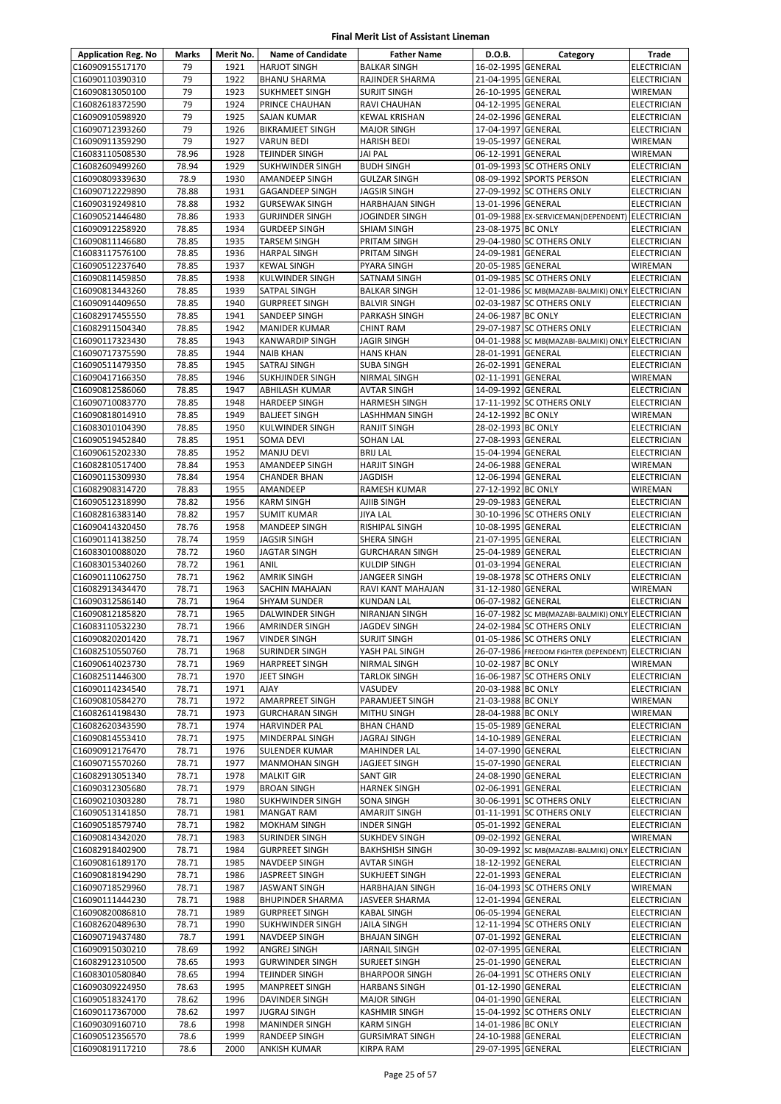| <b>Application Reg. No</b>         | Marks          | Merit No.    | <b>Name of Candidate</b>                         | <b>Father Name</b>                       | D.O.B.                                   | Category                                           | Trade                             |
|------------------------------------|----------------|--------------|--------------------------------------------------|------------------------------------------|------------------------------------------|----------------------------------------------------|-----------------------------------|
| C16090915517170                    | 79             | 1921         | <b>HARJOT SINGH</b>                              | <b>BALKAR SINGH</b>                      | 16-02-1995 GENERAL                       |                                                    | <b>ELECTRICIAN</b>                |
| C16090110390310                    | 79             | 1922         | <b>BHANU SHARMA</b>                              | RAJINDER SHARMA                          | 21-04-1995 GENERAL                       |                                                    | <b>ELECTRICIAN</b>                |
| C16090813050100                    | 79             | 1923         | <b>SUKHMEET SINGH</b>                            | <b>SURJIT SINGH</b>                      | 26-10-1995 GENERAL                       |                                                    | WIREMAN                           |
| C16082618372590                    | 79             | 1924         | PRINCE CHAUHAN                                   | RAVI CHAUHAN                             | 04-12-1995 GENERAL                       |                                                    | <b>ELECTRICIAN</b>                |
| C16090910598920                    | 79             | 1925         | <b>SAJAN KUMAR</b>                               | <b>KEWAL KRISHAN</b>                     | 24-02-1996 GENERAL                       |                                                    | ELECTRICIAN                       |
| C16090712393260                    | 79             | 1926         | <b>BIKRAMJEET SINGH</b>                          | <b>MAJOR SINGH</b>                       | 17-04-1997 GENERAL                       |                                                    | <b>ELECTRICIAN</b>                |
| C16090911359290                    | 79             | 1927         | <b>VARUN BEDI</b>                                | <b>HARISH BEDI</b>                       | 19-05-1997 GENERAL                       |                                                    | WIREMAN                           |
| C16083110508530                    | 78.96          | 1928         | TEJINDER SINGH                                   | JAI PAL                                  | 06-12-1991 GENERAL                       |                                                    | WIREMAN                           |
| C16082609499260                    | 78.94          | 1929         | <b>SUKHWINDER SINGH</b>                          | <b>BUDH SINGH</b>                        |                                          | 01-09-1993 SC OTHERS ONLY                          | ELECTRICIAN                       |
| C16090809339630                    | 78.9           | 1930         | AMANDEEP SINGH                                   | <b>GULZAR SINGH</b>                      |                                          | 08-09-1992 SPORTS PERSON                           | ELECTRICIAN                       |
| C16090712229890<br>C16090319249810 | 78.88          | 1931<br>1932 | <b>GAGANDEEP SINGH</b><br><b>GURSEWAK SINGH</b>  | JAGSIR SINGH                             |                                          | 27-09-1992 SC OTHERS ONLY                          | ELECTRICIAN                       |
| C16090521446480                    | 78.88<br>78.86 | 1933         | <b>GURJINDER SINGH</b>                           | <b>HARBHAJAN SINGH</b><br>JOGINDER SINGH | 13-01-1996 GENERAL                       | 01-09-1988 EX-SERVICEMAN(DEPENDENT) ELECTRICIAN    | <b>ELECTRICIAN</b>                |
| C16090912258920                    | 78.85          | 1934         | <b>GURDEEP SINGH</b>                             | <b>SHIAM SINGH</b>                       | 23-08-1975 BC ONLY                       |                                                    | <b>ELECTRICIAN</b>                |
| C16090811146680                    | 78.85          | 1935         | <b>TARSEM SINGH</b>                              | PRITAM SINGH                             |                                          | 29-04-1980 SC OTHERS ONLY                          | ELECTRICIAN                       |
| C16083117576100                    | 78.85          | 1936         | <b>HARPAL SINGH</b>                              | PRITAM SINGH                             | 24-09-1981 GENERAL                       |                                                    | ELECTRICIAN                       |
| C16090512237640                    | 78.85          | 1937         | <b>KEWAL SINGH</b>                               | PYARA SINGH                              | 20-05-1985 GENERAL                       |                                                    | WIREMAN                           |
| C16090811459850                    | 78.85          | 1938         | <b>KULWINDER SINGH</b>                           | SATNAM SINGH                             |                                          | 01-09-1985 SC OTHERS ONLY                          | <b>ELECTRICIAN</b>                |
| C16090813443260                    | 78.85          | 1939         | <b>SATPAL SINGH</b>                              | <b>BALKAR SINGH</b>                      |                                          | 12-01-1986 SC MB(MAZABI-BALMIKI) ONLY ELECTRICIAN  |                                   |
| C16090914409650                    | 78.85          | 1940         | <b>GURPREET SINGH</b>                            | <b>BALVIR SINGH</b>                      |                                          | 02-03-1987 SC OTHERS ONLY                          | <b>ELECTRICIAN</b>                |
| C16082917455550                    | 78.85          | 1941         | SANDEEP SINGH                                    | PARKASH SINGH                            | 24-06-1987 BC ONLY                       |                                                    | <b>ELECTRICIAN</b>                |
| C16082911504340                    | 78.85          | 1942         | <b>MANIDER KUMAR</b>                             | <b>CHINT RAM</b>                         |                                          | 29-07-1987 SC OTHERS ONLY                          | <b>ELECTRICIAN</b>                |
| C16090117323430                    | 78.85          | 1943         | <b>KANWARDIP SINGH</b>                           | <b>JAGIR SINGH</b>                       |                                          | 04-01-1988 SC MB(MAZABI-BALMIKI) ONLY ELECTRICIAN  |                                   |
| C16090717375590                    | 78.85          | 1944         | <b>NAIB KHAN</b>                                 | <b>HANS KHAN</b>                         | 28-01-1991 GENERAL                       |                                                    | ELECTRICIAN                       |
| C16090511479350                    | 78.85          | 1945         | <b>SATRAJ SINGH</b>                              | <b>SUBA SINGH</b>                        | 26-02-1991 GENERAL                       |                                                    | <b>ELECTRICIAN</b>                |
| C16090417166350                    | 78.85          | 1946         | <b>SUKHJINDER SINGH</b>                          | NIRMAL SINGH                             | 02-11-1991 GENERAL                       |                                                    | WIREMAN                           |
| C16090812586060                    | 78.85          | 1947         | ABHILASH KUMAR                                   | <b>AVTAR SINGH</b>                       | 14-09-1992 GENERAL                       |                                                    | ELECTRICIAN                       |
| C16090710083770                    | 78.85          | 1948         | <b>HARDEEP SINGH</b>                             | <b>HARMESH SINGH</b>                     |                                          | 17-11-1992 SC OTHERS ONLY                          | ELECTRICIAN                       |
| C16090818014910                    | 78.85          | 1949         | <b>BALJEET SINGH</b>                             | LASHHMAN SINGH                           | 24-12-1992 BC ONLY                       |                                                    | WIREMAN                           |
| C16083010104390                    | 78.85          | 1950         | <b>KULWINDER SINGH</b>                           | RANJIT SINGH                             | 28-02-1993 BC ONLY                       |                                                    | <b>ELECTRICIAN</b>                |
| C16090519452840                    | 78.85          | 1951         | SOMA DEVI                                        | SOHAN LAL                                | 27-08-1993 GENERAL                       |                                                    | ELECTRICIAN                       |
| C16090615202330                    | 78.85          | 1952         | <b>MANJU DEVI</b>                                | <b>BRIJ LAL</b>                          | 15-04-1994 GENERAL                       |                                                    | ELECTRICIAN                       |
| C16082810517400                    | 78.84          | 1953         | AMANDEEP SINGH                                   | <b>HARJIT SINGH</b>                      | 24-06-1988 GENERAL                       |                                                    | WIREMAN                           |
| C16090115309930                    | 78.84          | 1954         | <b>CHANDER BHAN</b>                              | JAGDISH                                  | 12-06-1994 GENERAL                       |                                                    | ELECTRICIAN                       |
| C16082908314720                    | 78.83          | 1955         | AMANDEEP                                         | RAMESH KUMAR                             | 27-12-1992 BC ONLY                       |                                                    | WIREMAN                           |
| C16090512318990                    | 78.82          | 1956         | <b>KARM SINGH</b>                                | AJIIB SINGH                              | 29-09-1983 GENERAL                       |                                                    | ELECTRICIAN                       |
| C16082816383140                    | 78.82          | 1957         | <b>SUMIT KUMAR</b>                               | JIYA LAL                                 |                                          | 30-10-1996 SC OTHERS ONLY                          | <b>ELECTRICIAN</b>                |
| C16090414320450                    | 78.76          | 1958         | MANDEEP SINGH                                    | RISHIPAL SINGH                           | 10-08-1995 GENERAL                       |                                                    | ELECTRICIAN                       |
| C16090114138250                    | 78.74          | 1959         | <b>JAGSIR SINGH</b>                              | SHERA SINGH<br><b>GURCHARAN SINGH</b>    | 21-07-1995 GENERAL                       |                                                    | ELECTRICIAN                       |
| C16083010088020                    | 78.72<br>78.72 | 1960<br>1961 | <b>JAGTAR SINGH</b>                              |                                          | 25-04-1989 GENERAL<br>01-03-1994 GENERAL |                                                    | ELECTRICIAN                       |
| C16083015340260<br>C16090111062750 | 78.71          | 1962         | ANIL<br><b>AMRIK SINGH</b>                       | <b>KULDIP SINGH</b><br>JANGEER SINGH     |                                          | 19-08-1978 SC OTHERS ONLY                          | ELECTRICIAN<br>ELECTRICIAN        |
| C16082913434470                    | 78.71          | 1963         | SACHIN MAHAJAN                                   | RAVI KANT MAHAJAN                        | 31-12-1980 GENERAL                       |                                                    | WIREMAN                           |
| C16090312586140                    | 78.71          | 1964         | <b>SHYAM SUNDER</b>                              | <b>KUNDAN LAL</b>                        | 06-07-1982 GENERAL                       |                                                    | <b>ELECTRICIAN</b>                |
| C16090812185820                    | 78.71          | 1965         | DALWINDER SINGH                                  | NIRANJAN SINGH                           |                                          | 16-07-1982 SC MB(MAZABI-BALMIKI) ONLY ELECTRICIAN  |                                   |
| C16083110532230                    | 78.71          | 1966         | <b>AMRINDER SINGH</b>                            | JAGDEV SINGH                             |                                          | 24-02-1984 SC OTHERS ONLY                          | <b>ELECTRICIAN</b>                |
| C16090820201420                    | 78.71          | 1967         | <b>VINDER SINGH</b>                              | <b>SURJIT SINGH</b>                      |                                          | 01-05-1986 SC OTHERS ONLY                          | <b>ELECTRICIAN</b>                |
| C16082510550760                    | 78.71          | 1968         | <b>SURINDER SINGH</b>                            | YASH PAL SINGH                           |                                          | 26-07-1986 FREEDOM FIGHTER (DEPENDENT) ELECTRICIAN |                                   |
| C16090614023730                    | 78.71          | 1969         | <b>HARPREET SINGH</b>                            | NIRMAL SINGH                             | 10-02-1987 BC ONLY                       |                                                    | WIREMAN                           |
| C16082511446300                    | 78.71          | 1970         | <b>JEET SINGH</b>                                | TARLOK SINGH                             |                                          | 16-06-1987 SC OTHERS ONLY                          | <b>ELECTRICIAN</b>                |
| C16090114234540                    | 78.71          | 1971         | <b>AJAY</b>                                      | VASUDEV                                  | 20-03-1988 BC ONLY                       |                                                    | ELECTRICIAN                       |
| C16090810584270                    | 78.71          | 1972         | <b>AMARPREET SINGH</b>                           | PARAMJEET SINGH                          | 21-03-1988 BC ONLY                       |                                                    | WIREMAN                           |
| C16082614198430                    | 78.71          | 1973         | <b>GURCHARAN SINGH</b>                           | MITHU SINGH                              | 28-04-1988 BC ONLY                       |                                                    | WIREMAN                           |
| C16082620343590                    | 78.71          | 1974         | HARVINDER PAL                                    | <b>BHAN CHAND</b>                        | 15-05-1989 GENERAL                       |                                                    | <b>ELECTRICIAN</b>                |
| C16090814553410                    | 78.71          | 1975         | MINDERPAL SINGH                                  | JAGRAJ SINGH                             | 14-10-1989 GENERAL                       |                                                    | <b>ELECTRICIAN</b>                |
| C16090912176470                    | 78.71          | 1976         | <b>SULENDER KUMAR</b>                            | <b>MAHINDER LAL</b>                      | 14-07-1990 GENERAL                       |                                                    | <b>ELECTRICIAN</b>                |
| C16090715570260                    | 78.71          | 1977         | <b>MANMOHAN SINGH</b>                            | JAGJEET SINGH                            | 15-07-1990 GENERAL                       |                                                    | ELECTRICIAN                       |
| C16082913051340                    | 78.71          | 1978         | <b>MALKIT GIR</b>                                | <b>SANT GIR</b>                          | 24-08-1990 GENERAL                       |                                                    | ELECTRICIAN                       |
| C16090312305680                    | 78.71          | 1979         | <b>BROAN SINGH</b>                               | <b>HARNEK SINGH</b>                      | 02-06-1991 GENERAL                       |                                                    | <b>ELECTRICIAN</b>                |
| C16090210303280                    | 78.71          | 1980         | SUKHWINDER SINGH                                 | SONA SINGH                               |                                          | 30-06-1991 SC OTHERS ONLY                          | ELECTRICIAN                       |
| C16090513141850                    | 78.71          | 1981         | <b>MANGAT RAM</b>                                | AMARJIT SINGH                            |                                          | 01-11-1991 SC OTHERS ONLY                          | ELECTRICIAN                       |
| C16090518579740                    | 78.71          | 1982         | <b>MOKHAM SINGH</b>                              | <b>INDER SINGH</b>                       | 05-01-1992 GENERAL                       |                                                    | ELECTRICIAN                       |
| C16090814342020                    | 78.71          | 1983         | <b>SURINDER SINGH</b>                            | <b>SUKHDEV SINGH</b>                     | 09-02-1992 GENERAL                       |                                                    | WIREMAN                           |
| C16082918402900                    | 78.71          | 1984         | <b>GURPREET SINGH</b>                            | <b>BAKHSHISH SINGH</b>                   |                                          | 30-09-1992 SC MB(MAZABI-BALMIKI) ONLY              | <b>ELECTRICIAN</b>                |
| C16090816189170                    | 78.71          | 1985         | NAVDEEP SINGH                                    | <b>AVTAR SINGH</b>                       | 18-12-1992 GENERAL                       |                                                    | ELECTRICIAN                       |
| C16090818194290                    | 78.71          | 1986         | <b>JASPREET SINGH</b>                            | SUKHJEET SINGH                           | 22-01-1993 GENERAL                       |                                                    | <b>ELECTRICIAN</b>                |
| C16090718529960                    | 78.71          | 1987         | JASWANT SINGH                                    | HARBHAJAN SINGH                          |                                          | 16-04-1993 SC OTHERS ONLY                          | WIREMAN                           |
| C16090111444230<br>C16090820086810 | 78.71          | 1988<br>1989 | <b>BHUPINDER SHARMA</b><br><b>GURPREET SINGH</b> | JASVEER SHARMA<br><b>KABAL SINGH</b>     | 12-01-1994 GENERAL<br>06-05-1994 GENERAL |                                                    | <b>ELECTRICIAN</b><br>ELECTRICIAN |
| C16082620489630                    | 78.71<br>78.71 | 1990         | <b>SUKHWINDER SINGH</b>                          | JAILA SINGH                              |                                          | 12-11-1994 SC OTHERS ONLY                          | ELECTRICIAN                       |
| C16090719437480                    | 78.7           | 1991         | NAVDEEP SINGH                                    | <b>BHAJAN SINGH</b>                      | 07-01-1992 GENERAL                       |                                                    | ELECTRICIAN                       |
| C16090915030210                    | 78.69          | 1992         | ANGREJ SINGH                                     | JARNAIL SINGH                            | 02-07-1995 GENERAL                       |                                                    | ELECTRICIAN                       |
| C16082912310500                    | 78.65          | 1993         | <b>GURWINDER SINGH</b>                           | SURJEET SINGH                            | 25-01-1990 GENERAL                       |                                                    | <b>ELECTRICIAN</b>                |
| C16083010580840                    | 78.65          | 1994         | <b>TEJINDER SINGH</b>                            | <b>BHARPOOR SINGH</b>                    |                                          | 26-04-1991 SC OTHERS ONLY                          | ELECTRICIAN                       |
| C16090309224950                    | 78.63          | 1995         | MANPREET SINGH                                   | <b>HARBANS SINGH</b>                     | 01-12-1990 GENERAL                       |                                                    | ELECTRICIAN                       |
| C16090518324170                    | 78.62          | 1996         | DAVINDER SINGH                                   | <b>MAJOR SINGH</b>                       | 04-01-1990 GENERAL                       |                                                    | ELECTRICIAN                       |
| C16090117367000                    | 78.62          | 1997         | <b>JUGRAJ SINGH</b>                              | KASHMIR SINGH                            |                                          | 15-04-1992 SC OTHERS ONLY                          | ELECTRICIAN                       |
| C16090309160710                    | 78.6           | 1998         | <b>MANINDER SINGH</b>                            | <b>KARM SINGH</b>                        | 14-01-1986 BC ONLY                       |                                                    | <b>ELECTRICIAN</b>                |
| C16090512356570                    | 78.6           | 1999         | RANDEEP SINGH                                    | <b>GURSIMRAT SINGH</b>                   | 24-10-1988 GENERAL                       |                                                    | ELECTRICIAN                       |
| C16090819117210                    | 78.6           | 2000         | ANKISH KUMAR                                     | KIRPA RAM                                | 29-07-1995 GENERAL                       |                                                    | ELECTRICIAN                       |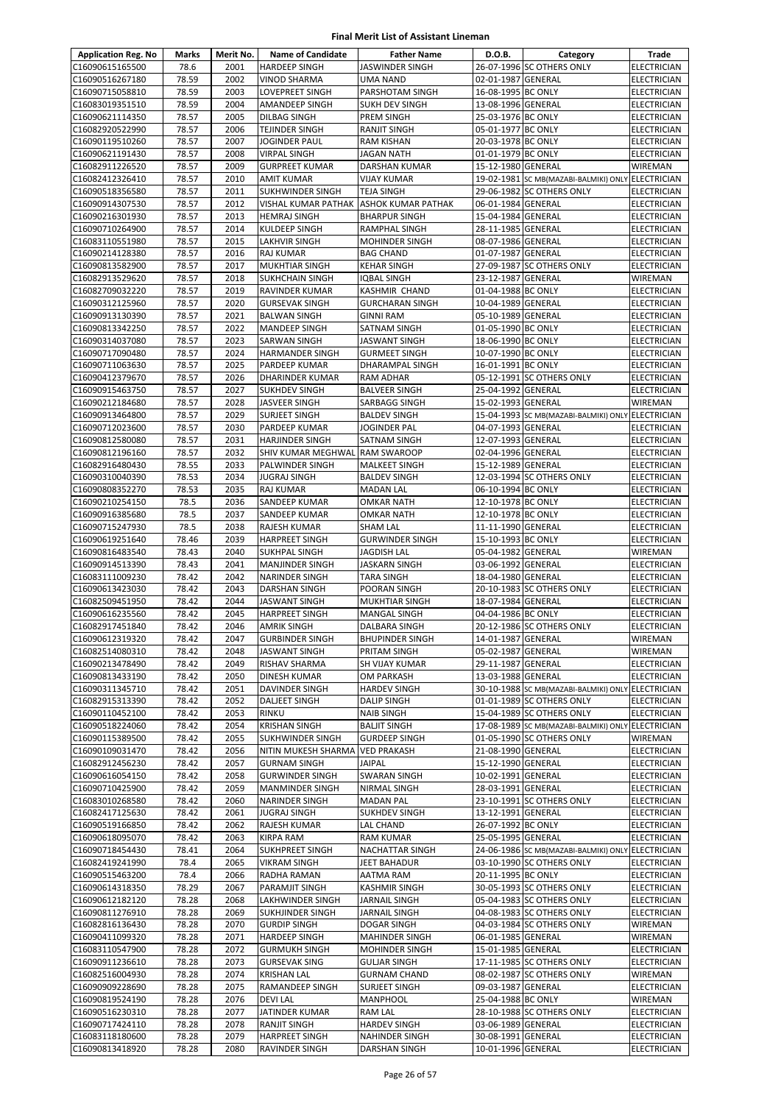| <b>Application Reg. No</b> | Marks | Merit No.    | <b>Name of Candidate</b>          | <b>Father Name</b>                      | D.O.B.                                   | Category                                          | Trade              |
|----------------------------|-------|--------------|-----------------------------------|-----------------------------------------|------------------------------------------|---------------------------------------------------|--------------------|
| C16090615165500            | 78.6  | 2001         | <b>HARDEEP SINGH</b>              | <b>JASWINDER SINGH</b>                  |                                          | 26-07-1996 SC OTHERS ONLY                         | <b>ELECTRICIAN</b> |
| C16090516267180            | 78.59 | 2002         | <b>VINOD SHARMA</b>               | <b>UMA NAND</b>                         | 02-01-1987 GENERAL                       |                                                   | ELECTRICIAN        |
| C16090715058810            | 78.59 | 2003         | <b>LOVEPREET SINGH</b>            | PARSHOTAM SINGH                         | 16-08-1995 BC ONLY                       |                                                   | ELECTRICIAN        |
| C16083019351510            | 78.59 | 2004         | <b>AMANDEEP SINGH</b>             | SUKH DEV SINGH                          | 13-08-1996 GENERAL                       |                                                   | ELECTRICIAN        |
| C16090621114350            | 78.57 | 2005         | <b>DILBAG SINGH</b>               | PREM SINGH                              | 25-03-1976 BC ONLY                       |                                                   | ELECTRICIAN        |
| C16082920522990            | 78.57 | 2006         | TEJINDER SINGH                    | <b>RANJIT SINGH</b>                     | 05-01-1977 BC ONLY                       |                                                   | ELECTRICIAN        |
| C16090119510260            | 78.57 | 2007         | <b>JOGINDER PAUL</b>              | <b>RAM KISHAN</b>                       | 20-03-1978 BC ONLY                       |                                                   | <b>ELECTRICIAN</b> |
| C16090621191430            | 78.57 | 2008         | <b>VIRPAL SINGH</b>               | <b>JAGAN NATH</b>                       | 01-01-1979 BC ONLY                       |                                                   | ELECTRICIAN        |
| C16082911226520            | 78.57 | 2009         | <b>GURPREET KUMAR</b>             | <b>DARSHAN KUMAR</b>                    | 15-12-1980 GENERAL                       |                                                   | WIREMAN            |
| C16082412326410            | 78.57 | 2010         | <b>AMIT KUMAR</b>                 | <b>VIJAY KUMAR</b>                      |                                          | 19-02-1981 SC MB(MAZABI-BALMIKI) ONLY ELECTRICIAN |                    |
| C16090518356580            | 78.57 | 2011         | <b>SUKHWINDER SINGH</b>           | <b>TEJA SINGH</b>                       |                                          | 29-06-1982 SC OTHERS ONLY                         | ELECTRICIAN        |
| C16090914307530            | 78.57 | 2012         | VISHAL KUMAR PATHAK               | <b>ASHOK KUMAR PATHAK</b>               | 06-01-1984 GENERAL                       |                                                   | <b>ELECTRICIAN</b> |
| C16090216301930            | 78.57 | 2013         | <b>HEMRAJ SINGH</b>               | <b>BHARPUR SINGH</b>                    | 15-04-1984 GENERAL                       |                                                   | ELECTRICIAN        |
| C16090710264900            | 78.57 | 2014         | KULDEEP SINGH                     | RAMPHAL SINGH                           | 28-11-1985 GENERAL                       |                                                   | ELECTRICIAN        |
| C16083110551980            | 78.57 | 2015         | <b>LAKHVIR SINGH</b>              | MOHINDER SINGH                          | 08-07-1986 GENERAL                       |                                                   | ELECTRICIAN        |
| C16090214128380            | 78.57 | 2016         | <b>RAJ KUMAR</b>                  | <b>BAG CHAND</b>                        | 01-07-1987                               | <b>GENERAL</b>                                    | ELECTRICIAN        |
|                            |       | 2017         |                                   |                                         |                                          | 27-09-1987 SC OTHERS ONLY                         |                    |
| C16090813582900            | 78.57 |              | <b>MUKHTIAR SINGH</b>             | <b>KEHAR SINGH</b>                      |                                          |                                                   | ELECTRICIAN        |
| C16082913529620            | 78.57 | 2018<br>2019 | <b>SUKHCHAIN SINGH</b>            | IQBAL SINGH                             | 23-12-1987 GENERAL                       |                                                   | WIREMAN            |
| C16082709032220            | 78.57 |              | RAVINDER KUMAR                    | <b>KASHMIR CHAND</b>                    | 01-04-1988 BC ONLY                       |                                                   | ELECTRICIAN        |
| C16090312125960            | 78.57 | 2020         | <b>GURSEVAK SINGH</b>             | <b>GURCHARAN SINGH</b>                  | 10-04-1989 GENERAL                       |                                                   | <b>ELECTRICIAN</b> |
| C16090913130390            | 78.57 | 2021         | <b>BALWAN SINGH</b>               | <b>GINNI RAM</b>                        | 05-10-1989 GENERAL                       |                                                   | ELECTRICIAN        |
| C16090813342250            | 78.57 | 2022         | <b>MANDEEP SINGH</b>              | SATNAM SINGH                            | 01-05-1990 BC ONLY                       |                                                   | ELECTRICIAN        |
| C16090314037080            | 78.57 | 2023         | <b>SARWAN SINGH</b>               | <b>JASWANT SINGH</b>                    | 18-06-1990 BC ONLY                       |                                                   | ELECTRICIAN        |
| C16090717090480            | 78.57 | 2024         | <b>HARMANDER SINGH</b>            | <b>GURMEET SINGH</b>                    | 10-07-1990 BC ONLY                       |                                                   | ELECTRICIAN        |
| C16090711063630            | 78.57 | 2025         | PARDEEP KUMAR                     | DHARAMPAL SINGH                         | 16-01-1991 BC ONLY                       |                                                   | <b>ELECTRICIAN</b> |
| C16090412379670            | 78.57 | 2026         | <b>DHARINDER KUMAR</b>            | <b>RAM ADHAR</b>                        |                                          | 05-12-1991 SC OTHERS ONLY                         | ELECTRICIAN        |
| C16090915463750            | 78.57 | 2027         | <b>SUKHDEV SINGH</b>              | <b>BALVEER SINGH</b>                    | 25-04-1992 GENERAL                       |                                                   | ELECTRICIAN        |
| C16090212184680            | 78.57 | 2028         | <b>JASVEER SINGH</b>              | SARBAGG SINGH                           | 15-02-1993 GENERAL                       |                                                   | WIREMAN            |
| C16090913464800            | 78.57 | 2029         | SURJEET SINGH                     | <b>BALDEV SINGH</b>                     |                                          | 15-04-1993 SC MB(MAZABI-BALMIKI) ONLY ELECTRICIAN |                    |
| C16090712023600            | 78.57 | 2030         | PARDEEP KUMAR                     | JOGINDER PAL                            | 04-07-1993 GENERAL                       |                                                   | ELECTRICIAN        |
| C16090812580080            | 78.57 | 2031         | <b>HARJINDER SINGH</b>            | SATNAM SINGH                            | 12-07-1993 GENERAL                       |                                                   | ELECTRICIAN        |
| C16090812196160            | 78.57 | 2032         | SHIV KUMAR MEGHWAL                | <b>RAM SWAROOP</b>                      | 02-04-1996 GENERAL                       |                                                   | ELECTRICIAN        |
| C16082916480430            | 78.55 | 2033         | PALWINDER SINGH                   | <b>MALKEET SINGH</b>                    | 15-12-1989 GENERAL                       |                                                   | ELECTRICIAN        |
| C16090310040390            | 78.53 | 2034         | <b>JUGRAJ SINGH</b>               | <b>BALDEV SINGH</b>                     |                                          | 12-03-1994 SC OTHERS ONLY                         | ELECTRICIAN        |
| C16090808352270            | 78.53 | 2035         | <b>RAJ KUMAR</b>                  | <b>MADAN LAL</b>                        | 06-10-1994 BC ONLY                       |                                                   | ELECTRICIAN        |
| C16090210254150            | 78.5  | 2036         | SANDEEP KUMAR                     | <b>OMKAR NATH</b>                       | 12-10-1978 BC ONLY                       |                                                   | ELECTRICIAN        |
| C16090916385680            | 78.5  | 2037         | SANDEEP KUMAR                     | <b>OMKAR NATH</b>                       | 12-10-1978 BC ONLY                       |                                                   | <b>ELECTRICIAN</b> |
| C16090715247930            | 78.5  | 2038         | <b>RAJESH KUMAR</b>               | <b>SHAM LAL</b>                         | 11-11-1990 GENERAL                       |                                                   | ELECTRICIAN        |
| C16090619251640            | 78.46 | 2039         | <b>HARPREET SINGH</b>             | <b>GURWINDER SINGH</b>                  | 15-10-1993 BC ONLY                       |                                                   | ELECTRICIAN        |
| C16090816483540            | 78.43 | 2040         | <b>SUKHPAL SINGH</b>              | <b>JAGDISH LAL</b>                      | 05-04-1982 GENERAL                       |                                                   | WIREMAN            |
| C16090914513390            | 78.43 | 2041         | <b>MANJINDER SINGH</b>            | <b>JASKARN SINGH</b>                    | 03-06-1992 GENERAL                       |                                                   | ELECTRICIAN        |
| C16083111009230            | 78.42 | 2042         | <b>NARINDER SINGH</b>             | TARA SINGH                              | 18-04-1980 GENERAL                       |                                                   | ELECTRICIAN        |
| C16090613423030            | 78.42 | 2043         | <b>DARSHAN SINGH</b>              | POORAN SINGH                            |                                          | 20-10-1983 SC OTHERS ONLY                         | ELECTRICIAN        |
| C16082509451950            | 78.42 | 2044         | <b>JASWANT SINGH</b>              | <b>MUKHTIAR SINGH</b>                   | 18-07-1984 GENERAL                       |                                                   | <b>ELECTRICIAN</b> |
| C16090616235560            | 78.42 | 2045         | <b>HARPREET SINGH</b>             | <b>MANGAL SINGH</b>                     | 04-04-1986 BC ONLY                       |                                                   | ELECTRICIAN        |
| C16082917451840            | 78.42 | 2046         | <b>AMRIK SINGH</b>                | DALBARA SINGH                           |                                          | 20-12-1986 SC OTHERS ONLY                         | ELECTRICIAN        |
| C16090612319320            | 78.42 | 2047         | <b>GURBINDER SINGH</b>            | <b>BHUPINDER SINGH</b>                  | 14-01-1987 GENERAL                       |                                                   | <b>WIREMAN</b>     |
| C16082514080310            | 78.42 | 2048         | <b>JASWANT SINGH</b>              | PRITAM SINGH                            | 05-02-1987 GENERAL                       |                                                   | WIREMAN            |
| C16090213478490            | 78.42 | 2049         | RISHAV SHARMA                     | SH VIJAY KUMAR                          | 29-11-1987 GENERAL                       |                                                   | <b>ELECTRICIAN</b> |
| C16090813433190            | 78.42 | 2050         | DINESH KUMAR                      | OM PARKASH                              | 13-03-1988 GENERAL                       |                                                   | ELECTRICIAN        |
| C16090311345710            | 78.42 | 2051         | DAVINDER SINGH                    | <b>HARDEV SINGH</b>                     |                                          | 30-10-1988 SC MB(MAZABI-BALMIKI) ONLY             | <b>ELECTRICIAN</b> |
| C16082915313390            | 78.42 | 2052         | <b>DALJEET SINGH</b>              | <b>DALIP SINGH</b>                      |                                          | 01-01-1989 SC OTHERS ONLY                         | ELECTRICIAN        |
| C16090110452100            | 78.42 | 2053         | <b>RINKU</b>                      | <b>NAIB SINGH</b>                       |                                          | 15-04-1989 SC OTHERS ONLY                         | <b>ELECTRICIAN</b> |
| C16090518224060            | 78.42 | 2054         | <b>KRISHAN SINGH</b>              | <b>BALJIT SINGH</b>                     |                                          | 17-08-1989 SC MB(MAZABI-BALMIKI) ONLY             | <b>ELECTRICIAN</b> |
| C16090115389500            | 78.42 | 2055         | <b>SUKHWINDER SINGH</b>           | <b>GURDEEP SINGH</b>                    |                                          | 01-05-1990 SC OTHERS ONLY                         | WIREMAN            |
| C16090109031470            | 78.42 | 2056         | NITIN MUKESH SHARMA               | <b>VED PRAKASH</b>                      | 21-08-1990 GENERAL                       |                                                   | <b>ELECTRICIAN</b> |
| C16082912456230            | 78.42 | 2057         | <b>GURNAM SINGH</b>               | <b>JAIPAL</b>                           | 15-12-1990 GENERAL                       |                                                   | ELECTRICIAN        |
| C16090616054150            | 78.42 | 2058         | <b>GURWINDER SINGH</b>            | <b>SWARAN SINGH</b>                     | 10-02-1991 GENERAL                       |                                                   | ELECTRICIAN        |
| C16090710425900            | 78.42 | 2059         | <b>MANMINDER SINGH</b>            | NIRMAL SINGH                            | 28-03-1991 GENERAL                       |                                                   | ELECTRICIAN        |
| C16083010268580            | 78.42 | 2060         | <b>NARINDER SINGH</b>             | <b>MADAN PAL</b>                        |                                          | 23-10-1991 SC OTHERS ONLY                         | ELECTRICIAN        |
| C16082417125630            | 78.42 | 2061         | <b>JUGRAJ SINGH</b>               | <b>SUKHDEV SINGH</b>                    | 13-12-1991 GENERAL                       |                                                   | ELECTRICIAN        |
| C16090519166850            | 78.42 | 2062         | RAJESH KUMAR                      | LAL CHAND                               | 26-07-1992 BC ONLY                       |                                                   | ELECTRICIAN        |
| C16090618095070            | 78.42 | 2063         | <b>KIRPA RAM</b>                  | <b>RAM KUMAR</b>                        | 25-05-1995 GENERAL                       |                                                   | ELECTRICIAN        |
| C16090718454430            | 78.41 | 2064         | <b>SUKHPREET SINGH</b>            | <b>NACHATTAR SINGH</b>                  |                                          | 24-06-1986 SC MB(MAZABI-BALMIKI) ONLY             | <b>ELECTRICIAN</b> |
| C16082419241990            | 78.4  | 2065         | <b>VIKRAM SINGH</b>               | JEET BAHADUR                            |                                          | 03-10-1990 SC OTHERS ONLY                         | ELECTRICIAN        |
| C16090515463200            | 78.4  | 2066         | RADHA RAMAN                       | AATMA RAM                               | 20-11-1995 BC ONLY                       |                                                   | ELECTRICIAN        |
| C16090614318350            | 78.29 | 2067         | PARAMJIT SINGH                    | <b>KASHMIR SINGH</b>                    |                                          | 30-05-1993 SC OTHERS ONLY                         | ELECTRICIAN        |
| C16090612182120            | 78.28 | 2068         | LAKHWINDER SINGH                  | <b>JARNAIL SINGH</b>                    |                                          | 05-04-1983 SC OTHERS ONLY                         | ELECTRICIAN        |
| C16090811276910            | 78.28 | 2069         | <b>SUKHJINDER SINGH</b>           | <b>JARNAIL SINGH</b>                    |                                          | 04-08-1983 SC OTHERS ONLY                         | ELECTRICIAN        |
| C16082816136430            | 78.28 | 2070         | <b>GURDIP SINGH</b>               | DOGAR SINGH                             |                                          | 04-03-1984 SC OTHERS ONLY                         | WIREMAN            |
| C16090411099320            | 78.28 | 2071         | <b>HARDEEP SINGH</b>              | <b>MAHINDER SINGH</b>                   | 06-01-1985 GENERAL                       |                                                   | WIREMAN            |
| C16083110547900            | 78.28 | 2072         | <b>GURMUKH SINGH</b>              | <b>MOHINDER SINGH</b>                   | 15-01-1985 GENERAL                       |                                                   | ELECTRICIAN        |
| C16090911236610            | 78.28 | 2073         | <b>GURSEVAK SING</b>              | <b>GULJAR SINGH</b>                     |                                          | 17-11-1985 SC OTHERS ONLY                         | ELECTRICIAN        |
| C16082516004930            | 78.28 | 2074         | <b>KRISHAN LAL</b>                | <b>GURNAM CHAND</b>                     |                                          | 08-02-1987 SC OTHERS ONLY                         | WIREMAN            |
|                            |       |              |                                   |                                         |                                          |                                                   |                    |
| C16090909228690            | 78.28 | 2075<br>2076 | RAMANDEEP SINGH<br><b>DEVILAL</b> | <b>SURJEET SINGH</b><br><b>MANPHOOL</b> | 09-03-1987 GENERAL<br>25-04-1988 BC ONLY |                                                   | ELECTRICIAN        |
| C16090819524190            | 78.28 |              |                                   |                                         |                                          |                                                   | WIREMAN            |
| C16090516230310            | 78.28 | 2077         | JATINDER KUMAR                    | RAM LAL                                 |                                          | 28-10-1988 SC OTHERS ONLY                         | ELECTRICIAN        |
| C16090717424110            | 78.28 | 2078         | <b>RANJIT SINGH</b>               | <b>HARDEV SINGH</b>                     | 03-06-1989 GENERAL                       |                                                   | ELECTRICIAN        |
| C16083118180600            | 78.28 | 2079         | <b>HARPREET SINGH</b>             | NAHINDER SINGH                          | 30-08-1991 GENERAL                       |                                                   | ELECTRICIAN        |
| C16090813418920            | 78.28 | 2080         | RAVINDER SINGH                    | <b>DARSHAN SINGH</b>                    | 10-01-1996 GENERAL                       |                                                   | ELECTRICIAN        |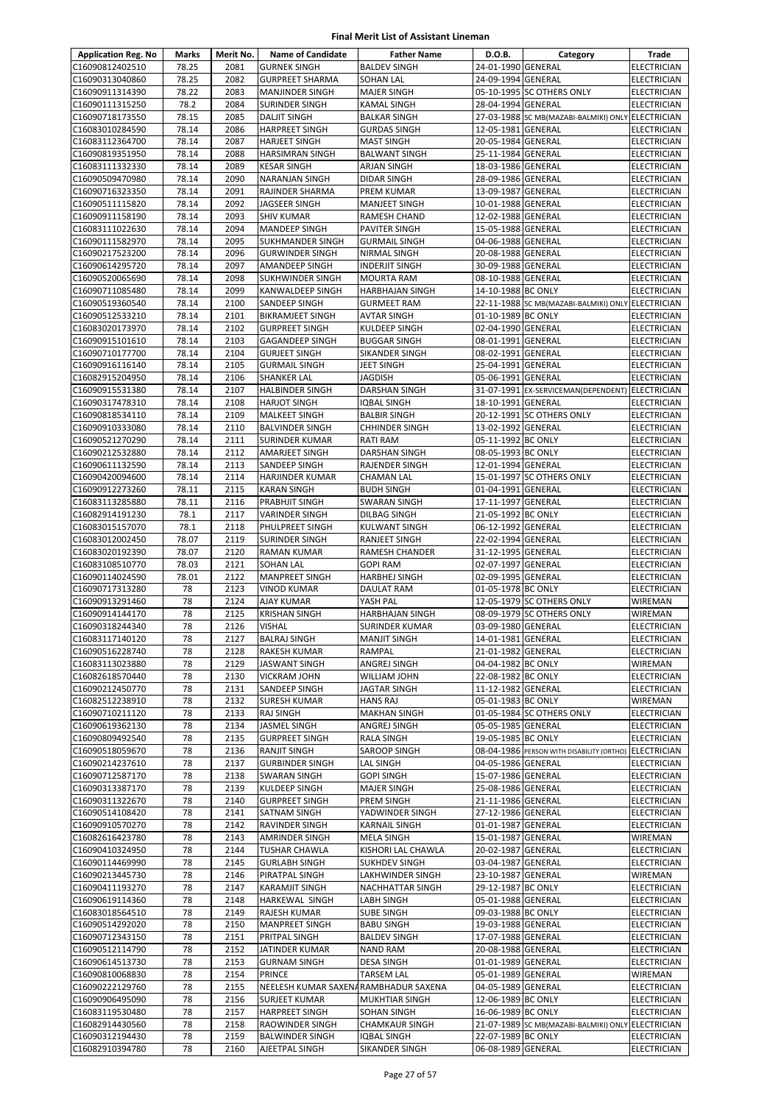| <b>Application Reg. No</b>         | Marks          | Merit No.    | <b>Name of Candidate</b>                     | <b>Father Name</b>                         | D.O.B.                                   | Category                                              | Trade                                    |
|------------------------------------|----------------|--------------|----------------------------------------------|--------------------------------------------|------------------------------------------|-------------------------------------------------------|------------------------------------------|
| C16090812402510                    | 78.25          | 2081         | <b>GURNEK SINGH</b>                          | <b>BALDEV SINGH</b>                        | 24-01-1990 GENERAL                       |                                                       | <b>ELECTRICIAN</b>                       |
| C16090313040860                    | 78.25          | 2082         | <b>GURPREET SHARMA</b>                       | <b>SOHAN LAL</b>                           | 24-09-1994 GENERAL                       |                                                       | <b>ELECTRICIAN</b>                       |
| C16090911314390                    | 78.22          | 2083         | <b>MANJINDER SINGH</b>                       | <b>MAJER SINGH</b>                         |                                          | 05-10-1995 SC OTHERS ONLY                             | <b>ELECTRICIAN</b>                       |
| C16090111315250                    | 78.2           | 2084<br>2085 | SURINDER SINGH                               | <b>KAMAL SINGH</b>                         | 28-04-1994 GENERAL                       |                                                       | <b>ELECTRICIAN</b>                       |
| C16090718173550<br>C16083010284590 | 78.15<br>78.14 | 2086         | <b>DALJIT SINGH</b><br><b>HARPREET SINGH</b> | <b>BALKAR SINGH</b><br><b>GURDAS SINGH</b> | 12-05-1981 GENERAL                       | 27-03-1988 SC MB(MAZABI-BALMIKI) ONLY ELECTRICIAN     | <b>ELECTRICIAN</b>                       |
| C16083112364700                    | 78.14          | 2087         | <b>HARJEET SINGH</b>                         | <b>MAST SINGH</b>                          | 20-05-1984 GENERAL                       |                                                       | <b>ELECTRICIAN</b>                       |
| C16090819351950                    | 78.14          | 2088         | <b>HARSIMRAN SINGH</b>                       | <b>BALWANT SINGH</b>                       | 25-11-1984 GENERAL                       |                                                       | <b>ELECTRICIAN</b>                       |
| C16083111332330                    | 78.14          | 2089         | <b>KESAR SINGH</b>                           | ARJAN SINGH                                | 18-03-1986 GENERAL                       |                                                       | <b>ELECTRICIAN</b>                       |
| C16090509470980                    | 78.14          | 2090         | NARANJAN SINGH                               | <b>DIDAR SINGH</b>                         | 28-09-1986 GENERAL                       |                                                       | <b>ELECTRICIAN</b>                       |
| C16090716323350                    | 78.14          | 2091         | RAJINDER SHARMA                              | PREM KUMAR                                 | 13-09-1987 GENERAL                       |                                                       | <b>ELECTRICIAN</b>                       |
| C16090511115820                    | 78.14          | 2092         | JAGSEER SINGH                                | MANJEET SINGH                              | 10-01-1988 GENERAL                       |                                                       | <b>ELECTRICIAN</b>                       |
| C16090911158190<br>C16083111022630 | 78.14<br>78.14 | 2093<br>2094 | <b>SHIV KUMAR</b><br><b>MANDEEP SINGH</b>    | RAMESH CHAND<br><b>PAVITER SINGH</b>       | 12-02-1988 GENERAL<br>15-05-1988 GENERAL |                                                       | <b>ELECTRICIAN</b><br><b>ELECTRICIAN</b> |
| C16090111582970                    | 78.14          | 2095         | SUKHMANDER SINGH                             | <b>GURMAIL SINGH</b>                       | 04-06-1988 GENERAL                       |                                                       | <b>ELECTRICIAN</b>                       |
| C16090217523200                    | 78.14          | 2096         | <b>GURWINDER SINGH</b>                       | NIRMAL SINGH                               | 20-08-1988 GENERAL                       |                                                       | <b>ELECTRICIAN</b>                       |
| C16090614295720                    | 78.14          | 2097         | AMANDEEP SINGH                               | <b>INDERJIT SINGH</b>                      | 30-09-1988 GENERAL                       |                                                       | <b>ELECTRICIAN</b>                       |
| C16090520065690                    | 78.14          | 2098         | SUKHWINDER SINGH                             | <b>MOURTA RAM</b>                          | 08-10-1988 GENERAL                       |                                                       | <b>ELECTRICIAN</b>                       |
| C16090711085480                    | 78.14          | 2099         | KANWALDEEP SINGH                             | <b>HARBHAJAN SINGH</b>                     | 14-10-1988 BC ONLY                       |                                                       | <b>ELECTRICIAN</b>                       |
| C16090519360540                    | 78.14          | 2100         | SANDEEP SINGH                                | <b>GURMEET RAM</b>                         |                                          | 22-11-1988 SC MB(MAZABI-BALMIKI) ONLY                 | <b>ELECTRICIAN</b>                       |
| C16090512533210                    | 78.14          | 2101         | <b>BIKRAMJEET SINGH</b>                      | <b>AVTAR SINGH</b>                         | 01-10-1989 BC ONLY                       |                                                       | <b>ELECTRICIAN</b>                       |
| C16083020173970                    | 78.14<br>78.14 | 2102<br>2103 | <b>GURPREET SINGH</b>                        | KULDEEP SINGH                              | 02-04-1990 GENERAL<br>08-01-1991 GENERAL |                                                       | <b>ELECTRICIAN</b><br><b>ELECTRICIAN</b> |
| C16090915101610<br>C16090710177700 | 78.14          | 2104         | GAGANDEEP SINGH<br><b>GURJEET SINGH</b>      | <b>BUGGAR SINGH</b><br>SIKANDER SINGH      | 08-02-1991 GENERAL                       |                                                       | <b>ELECTRICIAN</b>                       |
| C16090916116140                    | 78.14          | 2105         | <b>GURMAIL SINGH</b>                         | <b>JEET SINGH</b>                          | 25-04-1991 GENERAL                       |                                                       | <b>ELECTRICIAN</b>                       |
| C16082915204950                    | 78.14          | 2106         | <b>SHANKER LAL</b>                           | <b>JAGDISH</b>                             | 05-06-1991                               | <b>GENERAL</b>                                        | <b>ELECTRICIAN</b>                       |
| C16090915531380                    | 78.14          | 2107         | <b>HALBINDER SINGH</b>                       | DARSHAN SINGH                              |                                          | 31-07-1991 EX-SERVICEMAN(DEPENDENT)                   | <b>ELECTRICIAN</b>                       |
| C16090317478310                    | 78.14          | 2108         | <b>HARJOT SINGH</b>                          | <b>IQBAL SINGH</b>                         | 18-10-1991 GENERAL                       |                                                       | <b>ELECTRICIAN</b>                       |
| C16090818534110                    | 78.14          | 2109         | MALKEET SINGH                                | <b>BALBIR SINGH</b>                        |                                          | 20-12-1991 SC OTHERS ONLY                             | <b>ELECTRICIAN</b>                       |
| C16090910333080                    | 78.14          | 2110         | <b>BALVINDER SINGH</b>                       | <b>CHHINDER SINGH</b>                      | 13-02-1992 GENERAL                       |                                                       | <b>ELECTRICIAN</b>                       |
| C16090521270290                    | 78.14          | 2111         | SURINDER KUMAR                               | RATI RAM                                   | 05-11-1992 BC ONLY                       |                                                       | <b>ELECTRICIAN</b>                       |
| C16090212532880<br>C16090611132590 | 78.14<br>78.14 | 2112<br>2113 | AMARJEET SINGH<br>SANDEEP SINGH              | <b>DARSHAN SINGH</b><br>RAJENDER SINGH     | 08-05-1993 BC ONLY<br>12-01-1994 GENERAL |                                                       | <b>ELECTRICIAN</b><br><b>ELECTRICIAN</b> |
| C16090420094600                    | 78.14          | 2114         | HARJINDER KUMAR                              | <b>CHAMAN LAL</b>                          |                                          | 15-01-1997 SC OTHERS ONLY                             | <b>ELECTRICIAN</b>                       |
| C16090912273260                    | 78.11          | 2115         | <b>KARAN SINGH</b>                           | <b>BUDH SINGH</b>                          | 01-04-1991 GENERAL                       |                                                       | <b>ELECTRICIAN</b>                       |
| C16083113285880                    | 78.11          | 2116         | PRABHJIT SINGH                               | SWARAN SINGH                               | 17-11-1997 GENERAL                       |                                                       | <b>ELECTRICIAN</b>                       |
| C16082914191230                    | 78.1           | 2117         | VARINDER SINGH                               | DILBAG SINGH                               | 21-05-1992 BC ONLY                       |                                                       | <b>ELECTRICIAN</b>                       |
| C16083015157070                    | 78.1           | 2118         | PHULPREET SINGH                              | <b>KULWANT SINGH</b>                       | 06-12-1992 GENERAL                       |                                                       | <b>ELECTRICIAN</b>                       |
| C16083012002450                    | 78.07          | 2119         | SURINDER SINGH                               | RANJEET SINGH                              | 22-02-1994 GENERAL                       |                                                       | <b>ELECTRICIAN</b>                       |
| C16083020192390                    | 78.07          | 2120         | RAMAN KUMAR                                  | RAMESH CHANDER                             | 31-12-1995 GENERAL                       |                                                       | <b>ELECTRICIAN</b>                       |
| C16083108510770                    | 78.03          | 2121         | SOHAN LAL                                    | <b>GOPI RAM</b>                            | 02-07-1997 GENERAL                       |                                                       | <b>ELECTRICIAN</b>                       |
| C16090114024590<br>C16090717313280 | 78.01<br>78    | 2122<br>2123 | MANPREET SINGH<br><b>VINOD KUMAR</b>         | HARBHEJ SINGH<br>DAULAT RAM                | 02-09-1995 GENERAL<br>01-05-1978 BC ONLY |                                                       | <b>ELECTRICIAN</b><br><b>ELECTRICIAN</b> |
| C16090913291460                    | 78             | 2124         | AJAY KUMAR                                   | YASH PAL                                   |                                          | 12-05-1979 SC OTHERS ONLY                             | WIREMAN                                  |
| C16090914144170                    | 78             | 2125         | <b>KRISHAN SINGH</b>                         | <b>HARBHAJAN SINGH</b>                     |                                          | 08-09-1979 SC OTHERS ONLY                             | WIREMAN                                  |
| C16090318244340                    | 78             | 2126         | VISHAL                                       | <b>SURINDER KUMAR</b>                      | 03-09-1980 GENERAL                       |                                                       | <b>ELECTRICIAN</b>                       |
| C16083117140120                    | 78             | 2127         | <b>BALRAJ SINGH</b>                          | <b>MANJIT SINGH</b>                        | 14-01-1981 GENERAL                       |                                                       | <b>ELECTRICIAN</b>                       |
| C16090516228740                    | 78             | 2128         | RAKESH KUMAR                                 | RAMPAL                                     | 21-01-1982 GENERAL                       |                                                       | <b>ELECTRICIAN</b>                       |
| C16083113023880                    | 78             | 2129         | JASWANT SINGH                                | ANGREJ SINGH                               | 04-04-1982 BC ONLY                       |                                                       | <b>WIREMAN</b>                           |
| C16082618570440                    | 78             | 2130         | VICKRAM JOHN                                 | WILLIAM JOHN                               | 22-08-1982 BC ONLY                       |                                                       | <b>ELECTRICIAN</b>                       |
| C16090212450770                    | 78<br>78       | 2131         | SANDEEP SINGH<br><b>SURESH KUMAR</b>         | JAGTAR SINGH                               | 11-12-1982 GENERAL<br>05-01-1983 BC ONLY |                                                       | <b>ELECTRICIAN</b>                       |
| C16082512238910<br>C16090710211120 | 78             | 2132<br>2133 | <b>RAJ SINGH</b>                             | <b>HANS RAJ</b><br><b>MAKHAN SINGH</b>     |                                          | 01-05-1984 SC OTHERS ONLY                             | WIREMAN<br><b>ELECTRICIAN</b>            |
| C16090619362130                    | 78             | 2134         | JASMEL SINGH                                 | ANGREJ SINGH                               | 05-05-1985 GENERAL                       |                                                       | <b>ELECTRICIAN</b>                       |
| C16090809492540                    | 78             | 2135         | <b>GURPREET SINGH</b>                        | <b>RALA SINGH</b>                          | 19-05-1985 BC ONLY                       |                                                       | <b>ELECTRICIAN</b>                       |
| C16090518059670                    | 78             | 2136         | RANJIT SINGH                                 | <b>SAROOP SINGH</b>                        |                                          | 08-04-1986 PERSON WITH DISABILITY (ORTHO) ELECTRICIAN |                                          |
| C16090214237610                    | 78             | 2137         | <b>GURBINDER SINGH</b>                       | LAL SINGH                                  | 04-05-1986 GENERAL                       |                                                       | <b>ELECTRICIAN</b>                       |
| C16090712587170                    | 78             | 2138         | SWARAN SINGH                                 | <b>GOPI SINGH</b>                          | 15-07-1986 GENERAL                       |                                                       | <b>ELECTRICIAN</b>                       |
| C16090313387170                    | 78             | 2139         | KULDEEP SINGH                                | <b>MAJER SINGH</b>                         | 25-08-1986 GENERAL                       |                                                       | <b>ELECTRICIAN</b>                       |
| C16090311322670<br>C16090514108420 | 78<br>78       | 2140<br>2141 | <b>GURPREET SINGH</b><br>SATNAM SINGH        | PREM SINGH<br>YADWINDER SINGH              | 21-11-1986 GENERAL<br>27-12-1986 GENERAL |                                                       | <b>ELECTRICIAN</b><br><b>ELECTRICIAN</b> |
| C16090910570270                    | 78             | 2142         | RAVINDER SINGH                               | <b>KARNAIL SINGH</b>                       | 01-01-1987 GENERAL                       |                                                       | <b>ELECTRICIAN</b>                       |
| C16082616423780                    | 78             | 2143         | AMRINDER SINGH                               | <b>MELA SINGH</b>                          | 15-01-1987 GENERAL                       |                                                       | WIREMAN                                  |
| C16090410324950                    | 78             | 2144         | TUSHAR CHAWLA                                | KISHORI LAL CHAWLA                         | 20-02-1987 GENERAL                       |                                                       | <b>ELECTRICIAN</b>                       |
| C16090114469990                    | 78             | 2145         | <b>GURLABH SINGH</b>                         | <b>SUKHDEV SINGH</b>                       | 03-04-1987 GENERAL                       |                                                       | <b>ELECTRICIAN</b>                       |
| C16090213445730                    | 78             | 2146         | PIRATPAL SINGH                               | LAKHWINDER SINGH                           | 23-10-1987 GENERAL                       |                                                       | WIREMAN                                  |
| C16090411193270                    | 78             | 2147         | KARAMJIT SINGH                               | NACHHATTAR SINGH                           | 29-12-1987 BC ONLY                       |                                                       | <b>ELECTRICIAN</b>                       |
| C16090619114360                    | 78             | 2148         | HARKEWAL SINGH                               | LABH SINGH                                 | 05-01-1988 GENERAL                       |                                                       | <b>ELECTRICIAN</b>                       |
| C16083018564510                    | 78             | 2149         | RAJESH KUMAR                                 | <b>SUBE SINGH</b>                          | 09-03-1988 BC ONLY                       |                                                       | <b>ELECTRICIAN</b>                       |
| C16090514292020<br>C16090712343150 | 78<br>78       | 2150<br>2151 | MANPREET SINGH<br>PRITPAL SINGH              | <b>BABU SINGH</b><br><b>BALDEV SINGH</b>   | 19-03-1988 GENERAL<br>17-07-1988 GENERAL |                                                       | <b>ELECTRICIAN</b><br><b>ELECTRICIAN</b> |
| C16090512114790                    | 78             | 2152         | JATINDER KUMAR                               | NAND RAM                                   | 20-08-1988 GENERAL                       |                                                       | <b>ELECTRICIAN</b>                       |
| C16090614513730                    | 78             | 2153         | <b>GURNAM SINGH</b>                          | <b>DESA SINGH</b>                          | 01-01-1989 GENERAL                       |                                                       | <b>ELECTRICIAN</b>                       |
| C16090810068830                    | 78             | 2154         | PRINCE                                       | <b>TARSEM LAL</b>                          | 05-01-1989 GENERAL                       |                                                       | WIREMAN                                  |
| C16090222129760                    | 78             | 2155         | NEELESH KUMAR SAXENARAMBHADUR SAXENA         |                                            | 04-05-1989 GENERAL                       |                                                       | <b>ELECTRICIAN</b>                       |
| C16090906495090                    | 78             | 2156         | <b>SURJEET KUMAR</b>                         | MUKHTIAR SINGH                             | 12-06-1989 BC ONLY                       |                                                       | ELECTRICIAN                              |
| C16083119530480                    | 78             | 2157         | <b>HARPREET SINGH</b>                        | SOHAN SINGH                                | 16-06-1989 BC ONLY                       |                                                       | <b>ELECTRICIAN</b>                       |
| C16082914430560                    | 78             | 2158         | RAOWINDER SINGH                              | <b>CHAMKAUR SINGH</b>                      |                                          | 21-07-1989 SC MB(MAZABI-BALMIKI) ONLY                 | ELECTRICIAN                              |
| C16090312194430                    | 78             | 2159         | <b>BALWINDER SINGH</b>                       | <b>IQBAL SINGH</b>                         | 22-07-1989 BC ONLY                       |                                                       | <b>ELECTRICIAN</b>                       |
| C16082910394780                    | 78             | 2160         | AJEETPAL SINGH                               | SIKANDER SINGH                             | 06-08-1989 GENERAL                       |                                                       | <b>ELECTRICIAN</b>                       |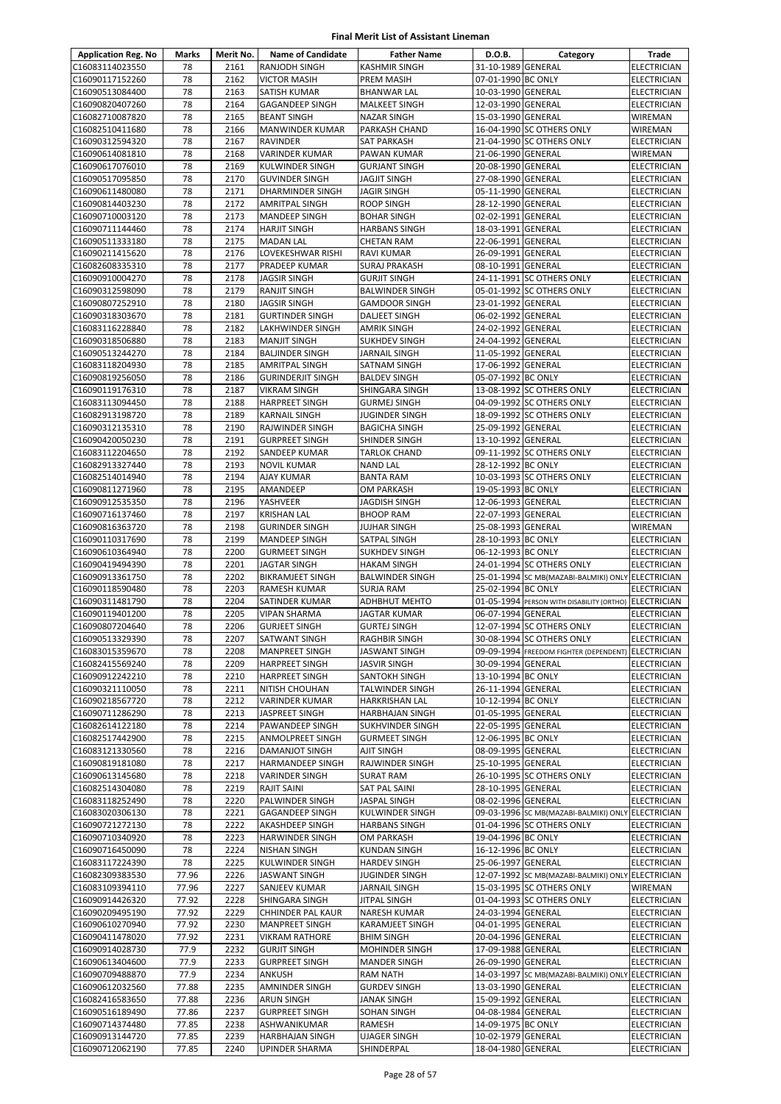| <b>Application Reg. No</b>         | Marks          | Merit No.    | <b>Name of Candidate</b>                        | <b>Father Name</b>                       | D.O.B.                                   | Category                                                                        | Trade                                    |
|------------------------------------|----------------|--------------|-------------------------------------------------|------------------------------------------|------------------------------------------|---------------------------------------------------------------------------------|------------------------------------------|
| C16083114023550                    | 78             | 2161         | RANJODH SINGH                                   | <b>KASHMIR SINGH</b>                     | 31-10-1989 GENERAL                       |                                                                                 | <b>ELECTRICIAN</b>                       |
| C16090117152260                    | 78             | 2162         | <b>VICTOR MASIH</b>                             | PREM MASIH                               | 07-01-1990 BC ONLY                       |                                                                                 | <b>ELECTRICIAN</b>                       |
| C16090513084400                    | 78             | 2163         | <b>SATISH KUMAR</b>                             | <b>BHANWAR LAL</b>                       | 10-03-1990 GENERAL                       |                                                                                 | <b>ELECTRICIAN</b>                       |
| C16090820407260                    | 78             | 2164         | GAGANDEEP SINGH                                 | MALKEET SINGH                            | 12-03-1990 GENERAL                       |                                                                                 | ELECTRICIAN                              |
| C16082710087820                    | 78             | 2165         | <b>BEANT SINGH</b>                              | <b>NAZAR SINGH</b>                       | 15-03-1990 GENERAL                       |                                                                                 | WIREMAN                                  |
| C16082510411680                    | 78             | 2166         | MANWINDER KUMAR                                 | PARKASH CHAND                            |                                          | 16-04-1990 SC OTHERS ONLY                                                       | <b>WIREMAN</b>                           |
| C16090312594320                    | 78             | 2167         | <b>RAVINDER</b>                                 | <b>SAT PARKASH</b>                       |                                          | 21-04-1990 SC OTHERS ONLY                                                       | <b>ELECTRICIAN</b>                       |
| C16090614081810                    | 78<br>78       | 2168<br>2169 | VARINDER KUMAR                                  | PAWAN KUMAR                              | 21-06-1990 GENERAL                       |                                                                                 | WIREMAN                                  |
| C16090617076010<br>C16090517095850 | 78             | 2170         | <b>KULWINDER SINGH</b><br><b>GUVINDER SINGH</b> | <b>GURJANT SINGH</b><br>JAGJIT SINGH     | 20-08-1990 GENERAL<br>27-08-1990 GENERAL |                                                                                 | <b>ELECTRICIAN</b><br><b>ELECTRICIAN</b> |
| C16090611480080                    | 78             | 2171         | DHARMINDER SINGH                                | JAGIR SINGH                              | 05-11-1990 GENERAL                       |                                                                                 | <b>ELECTRICIAN</b>                       |
| C16090814403230                    | 78             | 2172         | <b>AMRITPAL SINGH</b>                           | <b>ROOP SINGH</b>                        | 28-12-1990 GENERAL                       |                                                                                 | <b>ELECTRICIAN</b>                       |
| C16090710003120                    | 78             | 2173         | <b>MANDEEP SINGH</b>                            | <b>BOHAR SINGH</b>                       | 02-02-1991 GENERAL                       |                                                                                 | <b>ELECTRICIAN</b>                       |
| C16090711144460                    | 78             | 2174         | <b>HARJIT SINGH</b>                             | <b>HARBANS SINGH</b>                     | 18-03-1991 GENERAL                       |                                                                                 | ELECTRICIAN                              |
| C16090511333180                    | 78             | 2175         | <b>MADAN LAL</b>                                | <b>CHETAN RAM</b>                        | 22-06-1991 GENERAL                       |                                                                                 | ELECTRICIAN                              |
| C16090211415620                    | 78             | 2176         | LOVEKESHWAR RISHI                               | <b>RAVI KUMAR</b>                        | 26-09-1991 GENERAL                       |                                                                                 | <b>ELECTRICIAN</b>                       |
| C16082608335310                    | 78             | 2177         | PRADEEP KUMAR                                   | SURAJ PRAKASH                            | 08-10-1991 GENERAL                       |                                                                                 | <b>ELECTRICIAN</b>                       |
| C16090910004270                    | 78             | 2178         | <b>JAGSIR SINGH</b>                             | <b>GURJIT SINGH</b>                      |                                          | 24-11-1991 SC OTHERS ONLY                                                       | <b>ELECTRICIAN</b>                       |
| C16090312598090                    | 78             | 2179         | <b>RANJIT SINGH</b>                             | <b>BALWINDER SINGH</b>                   |                                          | 05-01-1992 SC OTHERS ONLY                                                       | ELECTRICIAN                              |
| C16090807252910                    | 78             | 2180         | <b>JAGSIR SINGH</b>                             | <b>GAMDOOR SINGH</b>                     | 23-01-1992 GENERAL                       |                                                                                 | <b>ELECTRICIAN</b>                       |
| C16090318303670                    | 78<br>78       | 2181<br>2182 | <b>GURTINDER SINGH</b>                          | DALJEET SINGH                            | 06-02-1992 GENERAL                       |                                                                                 | <b>ELECTRICIAN</b>                       |
| C16083116228840<br>C16090318506880 | 78             | 2183         | LAKHWINDER SINGH<br><b>MANJIT SINGH</b>         | AMRIK SINGH<br><b>SUKHDEV SINGH</b>      | 24-02-1992 GENERAL<br>24-04-1992 GENERAL |                                                                                 | ELECTRICIAN<br><b>ELECTRICIAN</b>        |
| C16090513244270                    | 78             | 2184         | <b>BALJINDER SINGH</b>                          | JARNAIL SINGH                            | 11-05-1992 GENERAL                       |                                                                                 | <b>ELECTRICIAN</b>                       |
| C16083118204930                    | 78             | 2185         | <b>AMRITPAL SINGH</b>                           | SATNAM SINGH                             | 17-06-1992 GENERAL                       |                                                                                 | <b>ELECTRICIAN</b>                       |
| C16090819256050                    | 78             | 2186         | <b>GURINDERJIT SINGH</b>                        | <b>BALDEV SINGH</b>                      | 05-07-1992 BC ONLY                       |                                                                                 | <b>ELECTRICIAN</b>                       |
| C16090119176310                    | 78             | 2187         | <b>VIKRAM SINGH</b>                             | SHINGARA SINGH                           |                                          | 13-08-1992 SC OTHERS ONLY                                                       | ELECTRICIAN                              |
| C16083113094450                    | 78             | 2188         | <b>HARPREET SINGH</b>                           | <b>GURMEJ SINGH</b>                      |                                          | 04-09-1992 SC OTHERS ONLY                                                       | <b>ELECTRICIAN</b>                       |
| C16082913198720                    | 78             | 2189         | <b>KARNAIL SINGH</b>                            | JUGINDER SINGH                           |                                          | 18-09-1992 SC OTHERS ONLY                                                       | ELECTRICIAN                              |
| C16090312135310                    | 78             | 2190         | RAJWINDER SINGH                                 | <b>BAGICHA SINGH</b>                     | 25-09-1992 GENERAL                       |                                                                                 | <b>ELECTRICIAN</b>                       |
| C16090420050230                    | 78             | 2191         | <b>GURPREET SINGH</b>                           | SHINDER SINGH                            | 13-10-1992 GENERAL                       |                                                                                 | <b>ELECTRICIAN</b>                       |
| C16083112204650                    | 78             | 2192         | SANDEEP KUMAR                                   | <b>TARLOK CHAND</b>                      |                                          | 09-11-1992 SC OTHERS ONLY                                                       | <b>ELECTRICIAN</b>                       |
| C16082913327440                    | 78             | 2193         | <b>NOVIL KUMAR</b>                              | <b>NAND LAL</b>                          | 28-12-1992 BC ONLY                       |                                                                                 | ELECTRICIAN                              |
| C16082514014940                    | 78<br>78       | 2194         | <b>AJAY KUMAR</b>                               | <b>BANTA RAM</b>                         |                                          | 10-03-1993 SC OTHERS ONLY                                                       | ELECTRICIAN                              |
| C16090811271960<br>C16090912535350 | 78             | 2195<br>2196 | AMANDEEP<br>YASHVEER                            | OM PARKASH<br>JAGDISH SINGH              | 19-05-1993 BC ONLY<br>12-06-1993 GENERAL |                                                                                 | ELECTRICIAN<br><b>ELECTRICIAN</b>        |
| C16090716137460                    | 78             | 2197         | <b>KRISHAN LAL</b>                              | <b>BHOOP RAM</b>                         | 22-07-1993 GENERAL                       |                                                                                 | <b>ELECTRICIAN</b>                       |
| C16090816363720                    | 78             | 2198         | <b>GURINDER SINGH</b>                           | <b>JUJHAR SINGH</b>                      | 25-08-1993 GENERAL                       |                                                                                 | WIREMAN                                  |
| C16090110317690                    | 78             | 2199         | MANDEEP SINGH                                   | SATPAL SINGH                             | 28-10-1993 BC ONLY                       |                                                                                 | ELECTRICIAN                              |
| C16090610364940                    | 78             | 2200         | <b>GURMEET SINGH</b>                            | <b>SUKHDEV SINGH</b>                     | 06-12-1993 BC ONLY                       |                                                                                 | ELECTRICIAN                              |
| C16090419494390                    | 78             | 2201         | <b>JAGTAR SINGH</b>                             | <b>HAKAM SINGH</b>                       |                                          | 24-01-1994 SC OTHERS ONLY                                                       | <b>ELECTRICIAN</b>                       |
| C16090913361750                    | 78             | 2202         | <b>BIKRAMJEET SINGH</b>                         | <b>BALWINDER SINGH</b>                   |                                          | 25-01-1994 SC MB(MAZABI-BALMIKI) ONLY ELECTRICIAN                               |                                          |
| C16090118590480                    | 78             | 2203         | <b>RAMESH KUMAR</b>                             | <b>SURJA RAM</b>                         | 25-02-1994 BC ONLY                       |                                                                                 | <b>ELECTRICIAN</b>                       |
| C16090311481790                    | 78             | 2204         | SATINDER KUMAR                                  | <b>ADHBHUT MEHTO</b>                     |                                          | 01-05-1994 PERSON WITH DISABILITY (ORTHO) ELECTRICIAN                           |                                          |
| C16090119401200                    | 78             | 2205         | <b>VIPAN SHARMA</b>                             | JAGTAR KUMAR                             | 06-07-1994 GENERAL                       |                                                                                 | ELECTRICIAN                              |
| C16090807204640                    | 78             | 2206         | <b>GURJEET SINGH</b>                            | <b>GURTEJ SINGH</b>                      |                                          | 12-07-1994 SC OTHERS ONLY                                                       | <b>ELECTRICIAN</b>                       |
| C16090513329390<br>C16083015359670 | 78<br>78       | 2207<br>2208 | SATWANT SINGH<br><b>MANPREET SINGH</b>          | RAGHBIR SINGH<br><b>JASWANT SINGH</b>    |                                          | 30-08-1994 SC OTHERS ONLY<br>09-09-1994 FREEDOM FIGHTER (DEPENDENT) ELECTRICIAN | <b>ELECTRICIAN</b>                       |
| C16082415569240                    | 78             | 2209         | <b>HARPREET SINGH</b>                           | JASVIR SINGH                             | 30-09-1994 GENERAL                       |                                                                                 | <b>ELECTRICIAN</b>                       |
| C16090912242210                    | 78             | 2210         | <b>HARPREET SINGH</b>                           | SANTOKH SINGH                            | 13-10-1994 BC ONLY                       |                                                                                 | <b>ELECTRICIAN</b>                       |
| C16090321110050                    | 78             | 2211         | NITISH CHOUHAN                                  | TALWINDER SINGH                          | 26-11-1994 GENERAL                       |                                                                                 | <b>ELECTRICIAN</b>                       |
| C16090218567720                    | 78             | 2212         | <b>VARINDER KUMAR</b>                           | HARKRISHAN LAL                           | 10-12-1994 BC ONLY                       |                                                                                 | <b>ELECTRICIAN</b>                       |
| C16090711286290                    | 78             | 2213         | JASPREET SINGH                                  | HARBHAJAN SINGH                          | 01-05-1995 GENERAL                       |                                                                                 | ELECTRICIAN                              |
| C16082614122180                    | 78             | 2214         | PAWANDEEP SINGH                                 | SUKHVINDER SINGH                         | 22-05-1995 GENERAL                       |                                                                                 | <b>ELECTRICIAN</b>                       |
| C16082517442900                    | 78             | 2215         | <b>ANMOLPREET SINGH</b>                         | <b>GURMEET SINGH</b>                     | 12-06-1995 BC ONLY                       |                                                                                 | <b>ELECTRICIAN</b>                       |
| C16083121330560                    | 78             | 2216         | DAMANJOT SINGH                                  | AJIT SINGH                               | 08-09-1995 GENERAL                       |                                                                                 | ELECTRICIAN                              |
| C16090819181080                    | 78             | 2217         | <b>HARMANDEEP SINGH</b>                         | RAJWINDER SINGH                          | 25-10-1995 GENERAL                       |                                                                                 | ELECTRICIAN                              |
| C16090613145680<br>C16082514304080 | 78<br>78       | 2218<br>2219 | <b>VARINDER SINGH</b><br><b>RAJIT SAINI</b>     | <b>SURAT RAM</b><br><b>SAT PAL SAINI</b> | 28-10-1995 GENERAL                       | 26-10-1995 SC OTHERS ONLY                                                       | ELECTRICIAN<br><b>ELECTRICIAN</b>        |
| C16083118252490                    | 78             | 2220         | PALWINDER SINGH                                 | JASPAL SINGH                             | 08-02-1996 GENERAL                       |                                                                                 | ELECTRICIAN                              |
| C16083020306130                    | 78             | 2221         | <b>GAGANDEEP SINGH</b>                          | KULWINDER SINGH                          |                                          | 09-03-1996 SC MB(MAZABI-BALMIKI) ONLY ELECTRICIAN                               |                                          |
| C16090721272130                    | 78             | 2222         | AKASHDEEP SINGH                                 | <b>HARBANS SINGH</b>                     |                                          | 01-04-1996 SC OTHERS ONLY                                                       | ELECTRICIAN                              |
| C16090710340920                    | 78             | 2223         | <b>HARWINDER SINGH</b>                          | OM PARKASH                               | 19-04-1996 BC ONLY                       |                                                                                 | ELECTRICIAN                              |
| C16090716450090                    | 78             | 2224         | <b>NISHAN SINGH</b>                             | <b>KUNDAN SINGH</b>                      | 16-12-1996 BC ONLY                       |                                                                                 | <b>ELECTRICIAN</b>                       |
| C16083117224390                    | 78             | 2225         | KULWINDER SINGH                                 | <b>HARDEV SINGH</b>                      | 25-06-1997 GENERAL                       |                                                                                 | ELECTRICIAN                              |
| C16082309383530                    | 77.96          | 2226         | <b>JASWANT SINGH</b>                            | JUGINDER SINGH                           |                                          | 12-07-1992 SC MB(MAZABI-BALMIKI) ONLY ELECTRICIAN                               |                                          |
| C16083109394110                    | 77.96          | 2227         | SANJEEV KUMAR                                   | JARNAIL SINGH                            |                                          | 15-03-1995 SC OTHERS ONLY                                                       | WIREMAN                                  |
| C16090914426320                    | 77.92          | 2228         | SHINGARA SINGH                                  | JITPAL SINGH                             |                                          | 01-04-1993 SC OTHERS ONLY                                                       | <b>ELECTRICIAN</b>                       |
| C16090209495190<br>C16090610270940 | 77.92<br>77.92 | 2229<br>2230 | CHHINDER PAL KAUR<br><b>MANPREET SINGH</b>      | NARESH KUMAR<br>KARAMJEET SINGH          | 24-03-1994 GENERAL<br>04-01-1995 GENERAL |                                                                                 | ELECTRICIAN<br><b>ELECTRICIAN</b>        |
| C16090411478020                    | 77.92          | 2231         | <b>VIKRAM RATHORE</b>                           | <b>BHIM SINGH</b>                        | 20-04-1996 GENERAL                       |                                                                                 | <b>ELECTRICIAN</b>                       |
| C16090914028730                    | 77.9           | 2232         | <b>GURJIT SINGH</b>                             | MOHINDER SINGH                           | 17-09-1988 GENERAL                       |                                                                                 | ELECTRICIAN                              |
| C16090613404600                    | 77.9           | 2233         | <b>GURPREET SINGH</b>                           | <b>MANDER SINGH</b>                      | 26-09-1990 GENERAL                       |                                                                                 | <b>ELECTRICIAN</b>                       |
| C16090709488870                    | 77.9           | 2234         | ANKUSH                                          | <b>RAM NATH</b>                          |                                          | 14-03-1997 SC MB(MAZABI-BALMIKI) ONLY ELECTRICIAN                               |                                          |
| C16090612032560                    | 77.88          | 2235         | AMNINDER SINGH                                  | <b>GURDEV SINGH</b>                      | 13-03-1990 GENERAL                       |                                                                                 | ELECTRICIAN                              |
| C16082416583650                    | 77.88          | 2236         | <b>ARUN SINGH</b>                               | JANAK SINGH                              | 15-09-1992 GENERAL                       |                                                                                 | <b>ELECTRICIAN</b>                       |
| C16090516189490                    | 77.86          | 2237         | <b>GURPREET SINGH</b>                           | SOHAN SINGH                              | 04-08-1984 GENERAL                       |                                                                                 | ELECTRICIAN                              |
| C16090714374480                    | 77.85          | 2238         | ASHWANIKUMAR                                    | RAMESH                                   | 14-09-1975 BC ONLY                       |                                                                                 | <b>ELECTRICIAN</b>                       |
| C16090913144720                    | 77.85          | 2239         | <b>HARBHAJAN SINGH</b>                          | UJAGER SINGH                             | 10-02-1979 GENERAL                       |                                                                                 | ELECTRICIAN                              |
| C16090712062190                    | 77.85          | 2240         | UPINDER SHARMA                                  | SHINDERPAL                               | 18-04-1980 GENERAL                       |                                                                                 | ELECTRICIAN                              |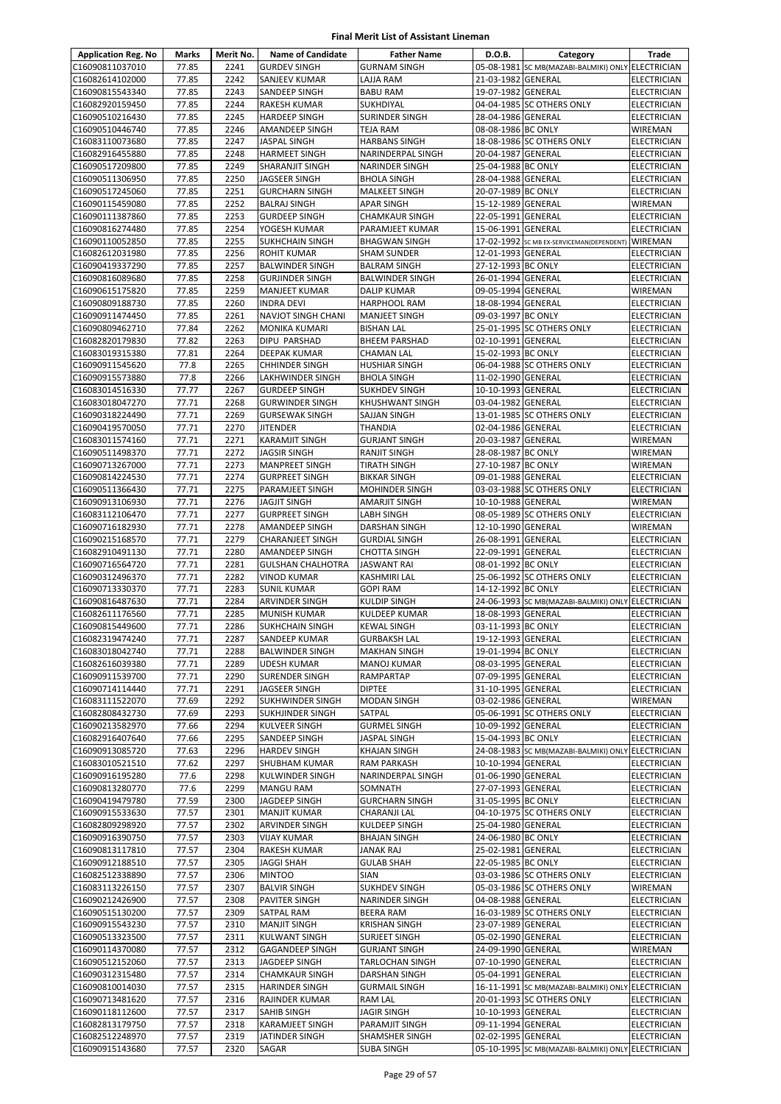| <b>Application Reg. No</b>         | Marks          | Merit No.    | <b>Name of Candidate</b>                  | <b>Father Name</b>                           | D.O.B.                                   | Category                                          | Trade                                    |
|------------------------------------|----------------|--------------|-------------------------------------------|----------------------------------------------|------------------------------------------|---------------------------------------------------|------------------------------------------|
| C16090811037010                    | 77.85          | 2241         | <b>GURDEV SINGH</b>                       | <b>GURNAM SINGH</b>                          |                                          | 05-08-1981 SC MB(MAZABI-BALMIKI) ONLY ELECTRICIAN |                                          |
| C16082614102000                    | 77.85          | 2242         | <b>SANJEEV KUMAR</b>                      | LAJJA RAM                                    | 21-03-1982 GENERAL                       |                                                   | <b>ELECTRICIAN</b>                       |
| C16090815543340                    | 77.85          | 2243         | SANDEEP SINGH                             | <b>BABU RAM</b>                              | 19-07-1982 GENERAL                       |                                                   | <b>ELECTRICIAN</b>                       |
| C16082920159450                    | 77.85          | 2244         | RAKESH KUMAR                              | SUKHDIYAL                                    |                                          | 04-04-1985 SC OTHERS ONLY                         | <b>ELECTRICIAN</b>                       |
| C16090510216430                    | 77.85          | 2245         | <b>HARDEEP SINGH</b>                      | SURINDER SINGH                               | 28-04-1986 GENERAL                       |                                                   | <b>ELECTRICIAN</b>                       |
| C16090510446740                    | 77.85          | 2246         | AMANDEEP SINGH                            | <b>TEJA RAM</b>                              | 08-08-1986 BC ONLY                       |                                                   | <b>WIREMAN</b>                           |
| C16083110073680                    | 77.85          | 2247         | JASPAL SINGH                              | <b>HARBANS SINGH</b>                         |                                          | 18-08-1986 SC OTHERS ONLY                         | <b>ELECTRICIAN</b>                       |
| C16082916455880                    | 77.85<br>77.85 | 2248<br>2249 | <b>HARMEET SINGH</b>                      | NARINDERPAL SINGH                            | 20-04-1987 GENERAL<br>25-04-1988 BC ONLY |                                                   | ELECTRICIAN                              |
| C16090517209800<br>C16090511306950 | 77.85          | 2250         | SHARANJIT SINGH<br>JAGSEER SINGH          | <b>NARINDER SINGH</b><br><b>BHOLA SINGH</b>  | 28-04-1988 GENERAL                       |                                                   | <b>ELECTRICIAN</b><br>ELECTRICIAN        |
| C16090517245060                    | 77.85          | 2251         | <b>GURCHARN SINGH</b>                     | <b>MALKEET SINGH</b>                         | 20-07-1989 BC ONLY                       |                                                   | <b>ELECTRICIAN</b>                       |
| C16090115459080                    | 77.85          | 2252         | <b>BALRAJ SINGH</b>                       | <b>APAR SINGH</b>                            | 15-12-1989 GENERAL                       |                                                   | WIREMAN                                  |
| C16090111387860                    | 77.85          | 2253         | <b>GURDEEP SINGH</b>                      | <b>CHAMKAUR SINGH</b>                        | 22-05-1991 GENERAL                       |                                                   | <b>ELECTRICIAN</b>                       |
| C16090816274480                    | 77.85          | 2254         | YOGESH KUMAR                              | PARAMJEET KUMAR                              | 15-06-1991 GENERAL                       |                                                   | ELECTRICIAN                              |
| C16090110052850                    | 77.85          | 2255         | <b>SUKHCHAIN SINGH</b>                    | <b>BHAGWAN SINGH</b>                         |                                          | 17-02-1992 SC MB EX-SERVICEMAN(DEPENDENT) WIREMAN |                                          |
| C16082612031980                    | 77.85          | 2256         | <b>ROHIT KUMAR</b>                        | <b>SHAM SUNDER</b>                           | 12-01-1993 GENERAL                       |                                                   | <b>ELECTRICIAN</b>                       |
| C16090419337290                    | 77.85          | 2257         | <b>BALWINDER SINGH</b>                    | <b>BALRAM SINGH</b>                          | 27-12-1993 BC ONLY                       |                                                   | <b>ELECTRICIAN</b>                       |
| C16090816089680                    | 77.85          | 2258         | <b>GURJINDER SINGH</b>                    | <b>BALWINDER SINGH</b>                       | 26-01-1994 GENERAL                       |                                                   | <b>ELECTRICIAN</b>                       |
| C16090615175820                    | 77.85          | 2259         | <b>MANJEET KUMAR</b>                      | <b>DALIP KUMAR</b>                           | 09-05-1994 GENERAL                       |                                                   | WIREMAN                                  |
| C16090809188730                    | 77.85          | 2260         | <b>INDRA DEVI</b>                         | <b>HARPHOOL RAM</b>                          | 18-08-1994 GENERAL                       |                                                   | ELECTRICIAN                              |
| C16090911474450                    | 77.85          | 2261         | NAVJOT SINGH CHANI                        | <b>MANJEET SINGH</b>                         | 09-03-1997 BC ONLY                       |                                                   | ELECTRICIAN                              |
| C16090809462710                    | 77.84<br>77.82 | 2262<br>2263 | <b>MONIKA KUMARI</b><br>DIPU PARSHAD      | <b>BISHAN LAL</b>                            |                                          | 25-01-1995 SC OTHERS ONLY                         | ELECTRICIAN                              |
| C16082820179830                    | 77.81          | 2264         | <b>DEEPAK KUMAR</b>                       | <b>BHEEM PARSHAD</b><br><b>CHAMAN LAL</b>    | 02-10-1991 GENERAL<br>15-02-1993 BC ONLY |                                                   | <b>ELECTRICIAN</b>                       |
| C16083019315380<br>C16090911545620 | 77.8           | 2265         | <b>CHHINDER SINGH</b>                     | <b>HUSHIAR SINGH</b>                         |                                          | 06-04-1988 SC OTHERS ONLY                         | <b>ELECTRICIAN</b><br><b>ELECTRICIAN</b> |
| C16090915573880                    | 77.8           | 2266         | LAKHWINDER SINGH                          | <b>BHOLA SINGH</b>                           | 11-02-1990 GENERAL                       |                                                   | <b>ELECTRICIAN</b>                       |
| C16083014516330                    | 77.77          | 2267         | <b>GURDEEP SINGH</b>                      | <b>SUKHDEV SINGH</b>                         | 10-10-1993 GENERAL                       |                                                   | <b>ELECTRICIAN</b>                       |
| C16083018047270                    | 77.71          | 2268         | <b>GURWINDER SINGH</b>                    | <b>KHUSHWANT SINGH</b>                       | 03-04-1982 GENERAL                       |                                                   | ELECTRICIAN                              |
| C16090318224490                    | 77.71          | 2269         | <b>GURSEWAK SINGH</b>                     | SAJJAN SINGH                                 |                                          | 13-01-1985 SC OTHERS ONLY                         | ELECTRICIAN                              |
| C16090419570050                    | 77.71          | 2270         | <b>JITENDER</b>                           | <b>THANDIA</b>                               | 02-04-1986 GENERAL                       |                                                   | <b>ELECTRICIAN</b>                       |
| C16083011574160                    | 77.71          | 2271         | <b>KARAMJIT SINGH</b>                     | <b>GURJANT SINGH</b>                         | 20-03-1987 GENERAL                       |                                                   | WIREMAN                                  |
| C16090511498370                    | 77.71          | 2272         | JAGSIR SINGH                              | <b>RANJIT SINGH</b>                          | 28-08-1987 BC ONLY                       |                                                   | WIREMAN                                  |
| C16090713267000                    | 77.71          | 2273         | <b>MANPREET SINGH</b>                     | <b>TIRATH SINGH</b>                          | 27-10-1987 BC ONLY                       |                                                   | WIREMAN                                  |
| C16090814224530                    | 77.71          | 2274         | <b>GURPREET SINGH</b>                     | <b>BIKKAR SINGH</b>                          | 09-01-1988 GENERAL                       |                                                   | ELECTRICIAN                              |
| C16090511366430                    | 77.71          | 2275         | PARAMJEET SINGH                           | <b>MOHINDER SINGH</b>                        |                                          | 03-03-1988 SC OTHERS ONLY                         | ELECTRICIAN                              |
| C16090913106930                    | 77.71          | 2276         | <b>JAGJIT SINGH</b>                       | AMARJIT SINGH                                | 10-10-1988 GENERAL                       |                                                   | WIREMAN                                  |
| C16083112106470                    | 77.71          | 2277         | <b>GURPREET SINGH</b>                     | <b>LABH SINGH</b>                            |                                          | 08-05-1989 SC OTHERS ONLY                         | <b>ELECTRICIAN</b>                       |
| C16090716182930<br>C16090215168570 | 77.71<br>77.71 | 2278<br>2279 | AMANDEEP SINGH<br><b>CHARANJEET SINGH</b> | <b>DARSHAN SINGH</b><br><b>GURDIAL SINGH</b> | 12-10-1990 GENERAL<br>26-08-1991 GENERAL |                                                   | WIREMAN<br><b>ELECTRICIAN</b>            |
| C16082910491130                    | 77.71          | 2280         | AMANDEEP SINGH                            | <b>CHOTTA SINGH</b>                          | 22-09-1991 GENERAL                       |                                                   | <b>ELECTRICIAN</b>                       |
| C16090716564720                    | 77.71          | 2281         | <b>GULSHAN CHALHOTRA</b>                  | <b>JASWANT RAI</b>                           | 08-01-1992 BC ONLY                       |                                                   | <b>ELECTRICIAN</b>                       |
| C16090312496370                    | 77.71          | 2282         | <b>VINOD KUMAR</b>                        | <b>KASHMIRI LAL</b>                          |                                          | 25-06-1992 SC OTHERS ONLY                         | <b>ELECTRICIAN</b>                       |
| C16090713330370                    | 77.71          | 2283         | <b>SUNIL KUMAR</b>                        | <b>GOPI RAM</b>                              | 14-12-1992 BC ONLY                       |                                                   | <b>ELECTRICIAN</b>                       |
| C16090816487630                    | 77.71          | 2284         | ARVINDER SINGH                            | <b>KULDIP SINGH</b>                          |                                          | 24-06-1993 SC MB(MAZABI-BALMIKI) ONLY ELECTRICIAN |                                          |
| C16082611176560                    | 77.71          | 2285         | MUNISH KUMAR                              | KULDEEP KUMAR                                | 18-08-1993 GENERAL                       |                                                   | ELECTRICIAN                              |
| C16090815449600                    | 77.71          | 2286         | <b>SUKHCHAIN SINGH</b>                    | <b>KEWAL SINGH</b>                           | 03-11-1993 BC ONLY                       |                                                   | <b>ELECTRICIAN</b>                       |
| C16082319474240                    | 77.71          | 2287         | SANDEEP KUMAR                             | <b>GURBAKSH LAL</b>                          | 19-12-1993 GENERAL                       |                                                   | <b>ELECTRICIAN</b>                       |
| C16083018042740                    | 77.71          | 2288         | <b>BALWINDER SINGH</b>                    | <b>MAKHAN SINGH</b>                          | 19-01-1994 BC ONLY                       |                                                   | <b>ELECTRICIAN</b>                       |
| C16082616039380                    | 77.71          | 2289         | <b>UDESH KUMAR</b>                        | <b>MANOJ KUMAR</b>                           | 08-03-1995 GENERAL                       |                                                   | <b>ELECTRICIAN</b>                       |
| C16090911539700                    | 77.71          | 2290         | <b>SURENDER SINGH</b>                     | RAMPARTAP                                    | 07-09-1995 GENERAL                       |                                                   | ELECTRICIAN                              |
| C16090714114440<br>C16083111522070 | 77.71<br>77.69 | 2291<br>2292 | JAGSEER SINGH<br>SUKHWINDER SINGH         | <b>DIPTEE</b><br><b>MODAN SINGH</b>          | 31-10-1995 GENERAL<br>03-02-1986 GENERAL |                                                   | <b>ELECTRICIAN</b>                       |
| C16082808432730                    | 77.69          | 2293         | SUKHJINDER SINGH                          | SATPAL                                       |                                          | 05-06-1991 SC OTHERS ONLY                         | WIREMAN<br>ELECTRICIAN                   |
| C16090213582970                    | 77.66          | 2294         | KULVEER SINGH                             | <b>GURMEL SINGH</b>                          | 10-09-1992 GENERAL                       |                                                   | <b>ELECTRICIAN</b>                       |
| C16082916407640                    | 77.66          | 2295         | SANDEEP SINGH                             | <b>JASPAL SINGH</b>                          | 15-04-1993 BC ONLY                       |                                                   | <b>ELECTRICIAN</b>                       |
| C16090913085720                    | 77.63          | 2296         | <b>HARDEV SINGH</b>                       | <b>KHAJAN SINGH</b>                          |                                          | 24-08-1983 SC MB(MAZABI-BALMIKI) ONLY ELECTRICIAN |                                          |
| C16083010521510                    | 77.62          | 2297         | SHUBHAM KUMAR                             | RAM PARKASH                                  | 10-10-1994 GENERAL                       |                                                   | ELECTRICIAN                              |
| C16090916195280                    | 77.6           | 2298         | KULWINDER SINGH                           | NARINDERPAL SINGH                            | 01-06-1990 GENERAL                       |                                                   | ELECTRICIAN                              |
| C16090813280770                    | 77.6           | 2299         | MANGU RAM                                 | SOMNATH                                      | 27-07-1993 GENERAL                       |                                                   | <b>ELECTRICIAN</b>                       |
| C16090419479780                    | 77.59          | 2300         | JAGDEEP SINGH                             | <b>GURCHARN SINGH</b>                        | 31-05-1995 BC ONLY                       |                                                   | ELECTRICIAN                              |
| C16090915533630                    | 77.57          | 2301         | <b>MANJIT KUMAR</b>                       | CHARANJI LAL                                 |                                          | 04-10-1975 SC OTHERS ONLY                         | <b>ELECTRICIAN</b>                       |
| C16082809298920                    | 77.57          | 2302         | ARVINDER SINGH                            | KULDEEP SINGH                                | 25-04-1980 GENERAL                       |                                                   | ELECTRICIAN                              |
| C16090916390750                    | 77.57          | 2303         | VIJAY KUMAR                               | <b>BHAJAN SINGH</b>                          | 24-06-1980 BC ONLY                       |                                                   | ELECTRICIAN                              |
| C16090813117810                    | 77.57<br>77.57 | 2304<br>2305 | RAKESH KUMAR                              | <b>JANAK RAJ</b>                             | 25-02-1981 GENERAL<br>22-05-1985 BC ONLY |                                                   | ELECTRICIAN<br>ELECTRICIAN               |
| C16090912188510<br>C16082512338890 | 77.57          | 2306         | JAGGI SHAH<br><b>MINTOO</b>               | <b>GULAB SHAH</b><br><b>SIAN</b>             |                                          | 03-03-1986 SC OTHERS ONLY                         | ELECTRICIAN                              |
| C16083113226150                    | 77.57          | 2307         | <b>BALVIR SINGH</b>                       | <b>SUKHDEV SINGH</b>                         |                                          | 05-03-1986 SC OTHERS ONLY                         | WIREMAN                                  |
| C16090212426900                    | 77.57          | 2308         | PAVITER SINGH                             | <b>NARINDER SINGH</b>                        | 04-08-1988 GENERAL                       |                                                   | ELECTRICIAN                              |
| C16090515130200                    | 77.57          | 2309         | SATPAL RAM                                | <b>BEERA RAM</b>                             |                                          | 16-03-1989 SC OTHERS ONLY                         | ELECTRICIAN                              |
| C16090915543230                    | 77.57          | 2310         | <b>MANJIT SINGH</b>                       | <b>KRISHAN SINGH</b>                         | 23-07-1989 GENERAL                       |                                                   | <b>ELECTRICIAN</b>                       |
| C16090513323500                    | 77.57          | 2311         | KULWANT SINGH                             | SURJEET SINGH                                | 05-02-1990 GENERAL                       |                                                   | <b>ELECTRICIAN</b>                       |
| C16090114370080                    | 77.57          | 2312         | GAGANDEEP SINGH                           | <b>GURJANT SINGH</b>                         | 24-09-1990 GENERAL                       |                                                   | WIREMAN                                  |
| C16090512152060                    | 77.57          | 2313         | JAGDEEP SINGH                             | TARLOCHAN SINGH                              | 07-10-1990 GENERAL                       |                                                   | <b>ELECTRICIAN</b>                       |
| C16090312315480                    | 77.57          | 2314         | <b>CHAMKAUR SINGH</b>                     | <b>DARSHAN SINGH</b>                         | 05-04-1991 GENERAL                       |                                                   | <b>ELECTRICIAN</b>                       |
| C16090810014030                    | 77.57          | 2315         | <b>HARINDER SINGH</b>                     | <b>GURMAIL SINGH</b>                         |                                          | 16-11-1991 SC MB(MAZABI-BALMIKI) ONLY ELECTRICIAN |                                          |
| C16090713481620                    | 77.57          | 2316         | RAJINDER KUMAR                            | RAM LAL                                      |                                          | 20-01-1993 SC OTHERS ONLY                         | <b>ELECTRICIAN</b>                       |
| C16090118112600                    | 77.57          | 2317         | SAHIB SINGH                               | <b>JAGIR SINGH</b>                           | 10-10-1993 GENERAL                       |                                                   | ELECTRICIAN                              |
| C16082813179750<br>C16082512248970 | 77.57<br>77.57 | 2318<br>2319 | KARAMJEET SINGH<br>JATINDER SINGH         | PARAMJIT SINGH                               | 09-11-1994 GENERAL<br>02-02-1995 GENERAL |                                                   | ELECTRICIAN<br>ELECTRICIAN               |
| C16090915143680                    | 77.57          | 2320         | SAGAR                                     | SHAMSHER SINGH<br><b>SUBA SINGH</b>          |                                          | 05-10-1995 SC MB(MAZABI-BALMIKI) ONLY ELECTRICIAN |                                          |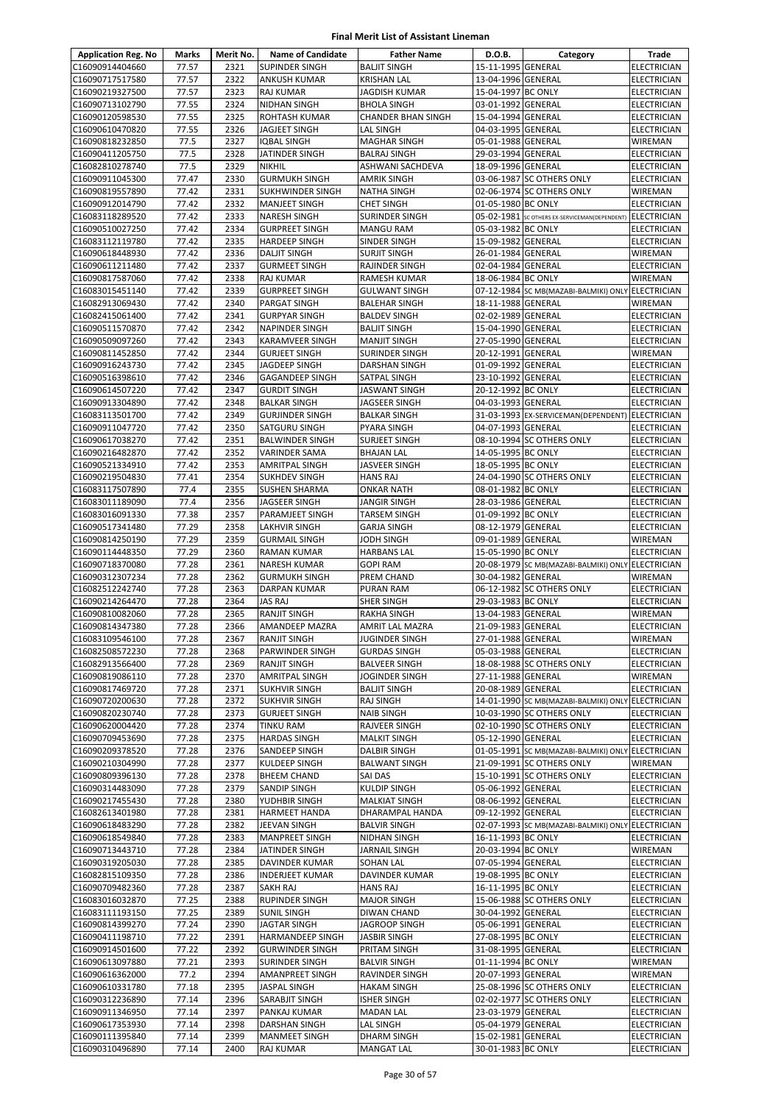| <b>Application Reg. No</b>         | <b>Marks</b>   | Merit No.    | <b>Name of Candidate</b>                      | <b>Father Name</b>                         | D.O.B.                                   | Category                                                  | <b>Trade</b>                             |
|------------------------------------|----------------|--------------|-----------------------------------------------|--------------------------------------------|------------------------------------------|-----------------------------------------------------------|------------------------------------------|
| C16090914404660                    | 77.57          | 2321         | <b>SUPINDER SINGH</b>                         | <b>BALJIT SINGH</b>                        | 15-11-1995 GENERAL                       |                                                           | <b>ELECTRICIAN</b>                       |
| C16090717517580                    | 77.57          | 2322         | <b>ANKUSH KUMAR</b>                           | <b>KRISHAN LAL</b>                         | 13-04-1996 GENERAL                       |                                                           | <b>ELECTRICIAN</b>                       |
| C16090219327500                    | 77.57          | 2323         | <b>RAJ KUMAR</b>                              | <b>JAGDISH KUMAR</b>                       | 15-04-1997 BC ONLY                       |                                                           | ELECTRICIAN                              |
| C16090713102790                    | 77.55          | 2324         | <b>NIDHAN SINGH</b>                           | <b>BHOLA SINGH</b>                         | 03-01-1992 GENERAL                       |                                                           | <b>ELECTRICIAN</b>                       |
| C16090120598530<br>C16090610470820 | 77.55          | 2325         | <b>ROHTASH KUMAR</b>                          | <b>CHANDER BHAN SINGH</b><br>LAL SINGH     | 15-04-1994 GENERAL                       |                                                           | ELECTRICIAN                              |
| C16090818232850                    | 77.55<br>77.5  | 2326<br>2327 | JAGJEET SINGH<br>IQBAL SINGH                  | <b>MAGHAR SINGH</b>                        | 04-03-1995 GENERAL<br>05-01-1988 GENERAL |                                                           | <b>ELECTRICIAN</b><br>WIREMAN            |
| C16090411205750                    | 77.5           | 2328         | JATINDER SINGH                                | <b>BALRAJ SINGH</b>                        | 29-03-1994 GENERAL                       |                                                           | ELECTRICIAN                              |
| C16082810278740                    | 77.5           | 2329         | <b>NIKHIL</b>                                 | ASHWANI SACHDEVA                           | 18-09-1996 GENERAL                       |                                                           | <b>ELECTRICIAN</b>                       |
| C16090911045300                    | 77.47          | 2330         | <b>GURMUKH SINGH</b>                          | <b>AMRIK SINGH</b>                         |                                          | 03-06-1987 SC OTHERS ONLY                                 | <b>ELECTRICIAN</b>                       |
| C16090819557890                    | 77.42          | 2331         | <b>SUKHWINDER SINGH</b>                       | <b>NATHA SINGH</b>                         |                                          | 02-06-1974 SC OTHERS ONLY                                 | WIREMAN                                  |
| C16090912014790                    | 77.42          | 2332         | <b>MANJEET SINGH</b>                          | <b>CHET SINGH</b>                          | 01-05-1980 BC ONLY                       |                                                           | ELECTRICIAN                              |
| C16083118289520                    | 77.42          | 2333         | <b>NARESH SINGH</b>                           | <b>SURINDER SINGH</b>                      |                                          | 05-02-1981 SC OTHERS EX-SERVICEMAN(DEPENDENT) ELECTRICIAN |                                          |
| C16090510027250                    | 77.42          | 2334         | <b>GURPREET SINGH</b>                         | <b>MANGU RAM</b>                           | 05-03-1982 BC ONLY                       |                                                           | ELECTRICIAN                              |
| C16083112119780                    | 77.42          | 2335         | <b>HARDEEP SINGH</b>                          | SINDER SINGH                               | 15-09-1982 GENERAL                       |                                                           | ELECTRICIAN                              |
| C16090618448930                    | 77.42          | 2336         | <b>DALJIT SINGH</b>                           | <b>SURJIT SINGH</b>                        | 26-01-1984 GENERAL                       |                                                           | WIREMAN                                  |
| C16090611211480                    | 77.42<br>77.42 | 2337<br>2338 | <b>GURMEET SINGH</b>                          | RAJINDER SINGH                             | 02-04-1984 GENERAL                       |                                                           | ELECTRICIAN                              |
| C16090817587060<br>C16083015451140 | 77.42          | 2339         | <b>RAJ KUMAR</b><br><b>GURPREET SINGH</b>     | RAMESH KUMAR<br><b>GULWANT SINGH</b>       | 18-06-1984 BC ONLY                       | 07-12-1984 SC MB(MAZABI-BALMIKI) ONLY ELECTRICIAN         | WIREMAN                                  |
| C16082913069430                    | 77.42          | 2340         | PARGAT SINGH                                  | <b>BALEHAR SINGH</b>                       | 18-11-1988 GENERAL                       |                                                           | WIREMAN                                  |
| C16082415061400                    | 77.42          | 2341         | <b>GURPYAR SINGH</b>                          | <b>BALDEV SINGH</b>                        | 02-02-1989 GENERAL                       |                                                           | <b>ELECTRICIAN</b>                       |
| C16090511570870                    | 77.42          | 2342         | <b>NAPINDER SINGH</b>                         | <b>BALJIT SINGH</b>                        | 15-04-1990 GENERAL                       |                                                           | <b>ELECTRICIAN</b>                       |
| C16090509097260                    | 77.42          | 2343         | KARAMVEER SINGH                               | <b>MANJIT SINGH</b>                        | 27-05-1990 GENERAL                       |                                                           | <b>ELECTRICIAN</b>                       |
| C16090811452850                    | 77.42          | 2344         | <b>GURJEET SINGH</b>                          | SURINDER SINGH                             | 20-12-1991 GENERAL                       |                                                           | <b>WIREMAN</b>                           |
| C16090916243730                    | 77.42          | 2345         | JAGDEEP SINGH                                 | DARSHAN SINGH                              | 01-09-1992 GENERAL                       |                                                           | <b>ELECTRICIAN</b>                       |
| C16090516398610                    | 77.42          | 2346         | <b>GAGANDEEP SINGH</b>                        | SATPAL SINGH                               | 23-10-1992 GENERAL                       |                                                           | ELECTRICIAN                              |
| C16090614507220                    | 77.42          | 2347         | <b>GURDIT SINGH</b>                           | JASWANT SINGH                              | 20-12-1992 BC ONLY                       |                                                           | ELECTRICIAN                              |
| C16090913304890                    | 77.42          | 2348         | <b>BALKAR SINGH</b>                           | JAGSEER SINGH                              | 04-03-1993 GENERAL                       |                                                           | ELECTRICIAN                              |
| C16083113501700                    | 77.42          | 2349         | <b>GURJINDER SINGH</b>                        | <b>BALKAR SINGH</b>                        |                                          | 31-03-1993 EX-SERVICEMAN(DEPENDENT) ELECTRICIAN           |                                          |
| C16090911047720                    | 77.42          | 2350         | <b>SATGURU SINGH</b>                          | PYARA SINGH                                | 04-07-1993 GENERAL                       |                                                           | ELECTRICIAN                              |
| C16090617038270                    | 77.42<br>77.42 | 2351         | <b>BALWINDER SINGH</b>                        | <b>SURJEET SINGH</b>                       |                                          | 08-10-1994 SC OTHERS ONLY                                 | <b>ELECTRICIAN</b>                       |
| C16090216482870<br>C16090521334910 | 77.42          | 2352<br>2353 | <b>VARINDER SAMA</b><br><b>AMRITPAL SINGH</b> | <b>BHAJAN LAL</b><br>JASVEER SINGH         | 14-05-1995 BC ONLY<br>18-05-1995 BC ONLY |                                                           | <b>ELECTRICIAN</b><br><b>ELECTRICIAN</b> |
| C16090219504830                    | 77.41          | 2354         | <b>SUKHDEV SINGH</b>                          | <b>HANS RAJ</b>                            |                                          | 24-04-1990 SC OTHERS ONLY                                 | ELECTRICIAN                              |
| C16083117507890                    | 77.4           | 2355         | <b>SUSHEN SHARMA</b>                          | ONKAR NATH                                 | 08-01-1982 BC ONLY                       |                                                           | <b>ELECTRICIAN</b>                       |
| C16083011189090                    | 77.4           | 2356         | <b>JAGSEER SINGH</b>                          | JANGIR SINGH                               | 28-03-1986 GENERAL                       |                                                           | <b>ELECTRICIAN</b>                       |
| C16083016091330                    | 77.38          | 2357         | PARAMJEET SINGH                               | <b>TARSEM SINGH</b>                        | 01-09-1992 BC ONLY                       |                                                           | <b>ELECTRICIAN</b>                       |
| C16090517341480                    | 77.29          | 2358         | <b>LAKHVIR SINGH</b>                          | <b>GARJA SINGH</b>                         | 08-12-1979 GENERAL                       |                                                           | ELECTRICIAN                              |
| C16090814250190                    | 77.29          | 2359         | <b>GURMAIL SINGH</b>                          | JODH SINGH                                 | 09-01-1989 GENERAL                       |                                                           | WIREMAN                                  |
| C16090114448350                    | 77.29          | 2360         | <b>RAMAN KUMAR</b>                            | <b>HARBANS LAL</b>                         | 15-05-1990 BC ONLY                       |                                                           | <b>ELECTRICIAN</b>                       |
| C16090718370080                    | 77.28          | 2361         | <b>NARESH KUMAR</b>                           | <b>GOPI RAM</b>                            |                                          | 20-08-1979 SC MB(MAZABI-BALMIKI) ONLY ELECTRICIAN         |                                          |
| C16090312307234                    | 77.28          | 2362         | <b>GURMUKH SINGH</b>                          | PREM CHAND                                 | 30-04-1982 GENERAL                       |                                                           | WIREMAN                                  |
| C16082512242740                    | 77.28          | 2363         | <b>DARPAN KUMAR</b>                           | PURAN RAM                                  |                                          | 06-12-1982 SC OTHERS ONLY                                 | ELECTRICIAN                              |
| C16090214264470<br>C16090810082060 | 77.28<br>77.28 | 2364<br>2365 | JAS RAJ<br><b>RANJIT SINGH</b>                | SHER SINGH<br>RAKHA SINGH                  | 29-03-1983 BC ONLY<br>13-04-1983 GENERAL |                                                           | ELECTRICIAN<br>WIREMAN                   |
| C16090814347380                    | 77.28          | 2366         | AMANDEEP MAZRA                                | AMRIT LAL MAZRA                            | 21-09-1983 GENERAL                       |                                                           | <b>ELECTRICIAN</b>                       |
| C16083109546100                    | 77.28          | 2367         | <b>RANJIT SINGH</b>                           | JUGINDER SINGH                             | 27-01-1988 GENERAL                       |                                                           | WIREMAN                                  |
| C16082508572230                    | 77.28          | 2368         | PARWINDER SINGH                               | <b>GURDAS SINGH</b>                        | 05-03-1988 GENERAL                       |                                                           | <b>ELECTRICIAN</b>                       |
| C16082913566400                    | 77.28          | 2369         | <b>RANJIT SINGH</b>                           | <b>BALVEER SINGH</b>                       |                                          | 18-08-1988 SC OTHERS ONLY                                 | <b>ELECTRICIAN</b>                       |
| C16090819086110                    | 77.28          | 2370         | <b>AMRITPAL SINGH</b>                         | JOGINDER SINGH                             | 27-11-1988 GENERAL                       |                                                           | WIREMAN                                  |
| C16090817469720                    | 77.28          | 2371         | <b>SUKHVIR SINGH</b>                          | <b>BALJIT SINGH</b>                        | 20-08-1989 GENERAL                       |                                                           | <b>ELECTRICIAN</b>                       |
| C16090720200630                    | 77.28          | 2372         | <b>SUKHVIR SINGH</b>                          | <b>RAJ SINGH</b>                           |                                          | 14-01-1990 SC MB(MAZABI-BALMIKI) ONLY                     | ELECTRICIAN                              |
| C16090820230740                    | 77.28          | 2373         | <b>GURJEET SINGH</b>                          | <b>NAIB SINGH</b>                          |                                          | 10-03-1990 SC OTHERS ONLY                                 | ELECTRICIAN                              |
| C16090620004420                    | 77.28          | 2374         | <b>TINKU RAM</b>                              | RAJVEER SINGH                              |                                          | 02-10-1990 SC OTHERS ONLY                                 | <b>ELECTRICIAN</b>                       |
| C16090709453690                    | 77.28          | 2375         | <b>HARDAS SINGH</b>                           | <b>MALKIT SINGH</b><br><b>DALBIR SINGH</b> | 05-12-1990 GENERAL                       | 01-05-1991 SC MB(MAZABI-BALMIKI) ONLY ELECTRICIAN         | <b>ELECTRICIAN</b>                       |
| C16090209378520<br>C16090210304990 | 77.28<br>77.28 | 2376<br>2377 | SANDEEP SINGH<br>KULDEEP SINGH                | <b>BALWANT SINGH</b>                       |                                          | 21-09-1991 SC OTHERS ONLY                                 | WIREMAN                                  |
| C16090809396130                    | 77.28          | 2378         | <b>BHEEM CHAND</b>                            | SAI DAS                                    |                                          | 15-10-1991 SC OTHERS ONLY                                 | ELECTRICIAN                              |
| C16090314483090                    | 77.28          | 2379         | <b>SANDIP SINGH</b>                           | <b>KULDIP SINGH</b>                        | 05-06-1992 GENERAL                       |                                                           | <b>ELECTRICIAN</b>                       |
| C16090217455430                    | 77.28          | 2380         | YUDHBIR SINGH                                 | <b>MALKIAT SINGH</b>                       | 08-06-1992 GENERAL                       |                                                           | <b>ELECTRICIAN</b>                       |
| C16082613401980                    | 77.28          | 2381         | <b>HARMEET HANDA</b>                          | DHARAMPAL HANDA                            | 09-12-1992 GENERAL                       |                                                           | <b>ELECTRICIAN</b>                       |
| C16090618483290                    | 77.28          | 2382         | JEEVAN SINGH                                  | <b>BALVIR SINGH</b>                        |                                          | 02-07-1993 SC MB(MAZABI-BALMIKI) ONLY                     | <b>ELECTRICIAN</b>                       |
| C16090618549840                    | 77.28          | 2383         | MANPREET SINGH                                | NIDHAN SINGH                               | 16-11-1993 BC ONLY                       |                                                           | ELECTRICIAN                              |
| C16090713443710                    | 77.28          | 2384         | JATINDER SINGH                                | JARNAIL SINGH                              | 20-03-1994 BC ONLY                       |                                                           | WIREMAN                                  |
| C16090319205030                    | 77.28          | 2385         | DAVINDER KUMAR                                | SOHAN LAL                                  | 07-05-1994 GENERAL                       |                                                           | ELECTRICIAN                              |
| C16082815109350                    | 77.28          | 2386         | <b>INDERJEET KUMAR</b>                        | DAVINDER KUMAR                             | 19-08-1995 BC ONLY                       |                                                           | <b>ELECTRICIAN</b>                       |
| C16090709482360                    | 77.28          | 2387         | <b>SAKH RAJ</b>                               | <b>HANS RAJ</b>                            | 16-11-1995 BC ONLY                       |                                                           | <b>ELECTRICIAN</b>                       |
| C16083016032870<br>C16083111193150 | 77.25<br>77.25 | 2388<br>2389 | RUPINDER SINGH<br><b>SUNIL SINGH</b>          | <b>MAJOR SINGH</b><br>DIWAN CHAND          | 30-04-1992 GENERAL                       | 15-06-1988 SC OTHERS ONLY                                 | ELECTRICIAN<br>ELECTRICIAN               |
| C16090814399270                    | 77.24          | 2390         | <b>JAGTAR SINGH</b>                           | JAGROOP SINGH                              | 05-06-1991 GENERAL                       |                                                           | ELECTRICIAN                              |
| C16090411198710                    | 77.22          | 2391         | <b>HARMANDEEP SINGH</b>                       | <b>JASBIR SINGH</b>                        | 27-08-1995 BC ONLY                       |                                                           | ELECTRICIAN                              |
| C16090914501600                    | 77.22          | 2392         | <b>GURWINDER SINGH</b>                        | PRITAM SINGH                               | 31-08-1995 GENERAL                       |                                                           | ELECTRICIAN                              |
| C16090613097880                    | 77.21          | 2393         | <b>SURINDER SINGH</b>                         | <b>BALVIR SINGH</b>                        | 01-11-1994 BC ONLY                       |                                                           | WIREMAN                                  |
| C16090616362000                    | 77.2           | 2394         | <b>AMANPREET SINGH</b>                        | RAVINDER SINGH                             | 20-07-1993 GENERAL                       |                                                           | WIREMAN                                  |
| C16090610331780                    | 77.18          | 2395         | <b>JASPAL SINGH</b>                           | HAKAM SINGH                                |                                          | 25-08-1996 SC OTHERS ONLY                                 | ELECTRICIAN                              |
| C16090312236890                    | 77.14          | 2396         | SARABJIT SINGH                                | ISHER SINGH                                |                                          | 02-02-1977 SC OTHERS ONLY                                 | ELECTRICIAN                              |
| C16090911346950                    | 77.14          | 2397         | PANKAJ KUMAR                                  | MADAN LAL                                  | 23-03-1979 GENERAL                       |                                                           | ELECTRICIAN                              |
| C16090617353930                    | 77.14          | 2398         | <b>DARSHAN SINGH</b>                          | LAL SINGH                                  | 05-04-1979 GENERAL                       |                                                           | <b>ELECTRICIAN</b>                       |
| C16090111395840                    | 77.14          | 2399         | <b>MANMEET SINGH</b>                          | DHARM SINGH                                | 15-02-1981 GENERAL                       |                                                           | ELECTRICIAN                              |
| C16090310496890                    | 77.14          | 2400         | <b>RAJ KUMAR</b>                              | MANGAT LAL                                 | 30-01-1983 BC ONLY                       |                                                           | ELECTRICIAN                              |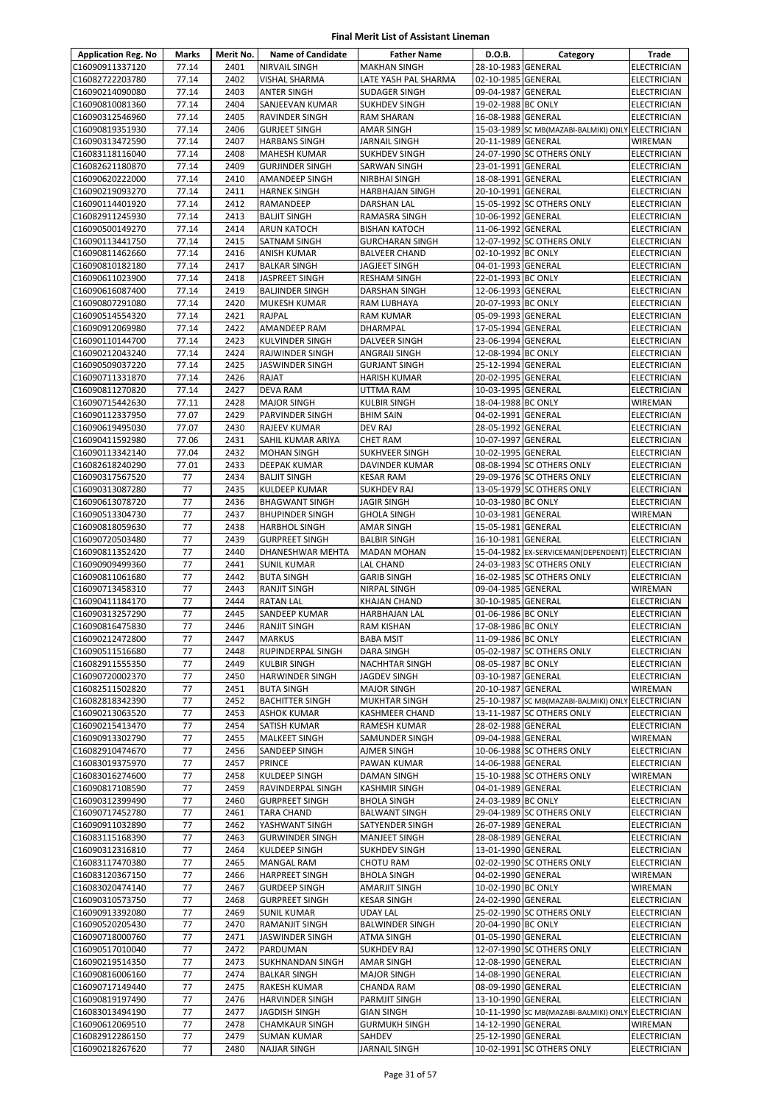| <b>Application Reg. No</b>         | Marks          | Merit No.    | <b>Name of Candidate</b>             | <b>Father Name</b>                    | D.O.B.                                   | Category                                          | Trade                                    |
|------------------------------------|----------------|--------------|--------------------------------------|---------------------------------------|------------------------------------------|---------------------------------------------------|------------------------------------------|
| C16090911337120                    | 77.14          | 2401         | NIRVAIL SINGH                        | <b>MAKHAN SINGH</b>                   | 28-10-1983 GENERAL                       |                                                   | <b>ELECTRICIAN</b>                       |
| C16082722203780                    | 77.14          | 2402         | VISHAL SHARMA                        | LATE YASH PAL SHARMA                  | 02-10-1985 GENERAL                       |                                                   | <b>ELECTRICIAN</b>                       |
| C16090214090080                    | 77.14          | 2403         | ANTER SINGH                          | <b>SUDAGER SINGH</b>                  | 09-04-1987 GENERAL                       |                                                   | <b>ELECTRICIAN</b>                       |
| C16090810081360                    | 77.14          | 2404         | SANJEEVAN KUMAR                      | <b>SUKHDEV SINGH</b>                  | 19-02-1988 BC ONLY                       |                                                   | <b>ELECTRICIAN</b>                       |
| C16090312546960                    | 77.14          | 2405         | RAVINDER SINGH                       | <b>RAM SHARAN</b>                     | 16-08-1988 GENERAL                       |                                                   | <b>ELECTRICIAN</b>                       |
| C16090819351930                    | 77.14          | 2406         | <b>GURJEET SINGH</b>                 | <b>AMAR SINGH</b>                     |                                          | 15-03-1989 SC MB(MAZABI-BALMIKI) ONLY ELECTRICIAN |                                          |
| C16090313472590                    | 77.14          | 2407         | <b>HARBANS SINGH</b>                 | <b>JARNAIL SINGH</b>                  | 20-11-1989 GENERAL                       |                                                   | <b>WIREMAN</b>                           |
| C16083118116040                    | 77.14          | 2408         | <b>MAHESH KUMAR</b>                  | <b>SUKHDEV SINGH</b>                  |                                          | 24-07-1990 SC OTHERS ONLY                         | <b>ELECTRICIAN</b>                       |
| C16082621180870                    | 77.14          | 2409         | <b>GURJINDER SINGH</b>               | SARWAN SINGH                          | 23-01-1991 GENERAL                       |                                                   | <b>ELECTRICIAN</b>                       |
| C16090620222000                    | 77.14          | 2410         | <b>AMANDEEP SINGH</b>                | <b>NIRBHAI SINGH</b>                  | 18-08-1991 GENERAL                       |                                                   | <b>ELECTRICIAN</b>                       |
| C16090219093270                    | 77.14          | 2411         | <b>HARNEK SINGH</b>                  | <b>HARBHAJAN SINGH</b>                | 20-10-1991 GENERAL                       |                                                   | <b>ELECTRICIAN</b>                       |
| C16090114401920                    | 77.14          | 2412         | RAMANDEEP                            | <b>DARSHAN LAL</b>                    |                                          | 15-05-1992 SC OTHERS ONLY                         | <b>ELECTRICIAN</b>                       |
| C16082911245930                    | 77.14          | 2413         | <b>BALJIT SINGH</b>                  | RAMASRA SINGH                         | 10-06-1992 GENERAL                       |                                                   | <b>ELECTRICIAN</b>                       |
| C16090500149270                    | 77.14          | 2414         | ARUN KATOCH                          | <b>BISHAN KATOCH</b>                  | 11-06-1992 GENERAL                       |                                                   | <b>ELECTRICIAN</b>                       |
| C16090113441750                    | 77.14<br>77.14 | 2415<br>2416 | SATNAM SINGH                         | <b>GURCHARAN SINGH</b>                | 02-10-1992 BC ONLY                       | 12-07-1992 SC OTHERS ONLY                         | <b>ELECTRICIAN</b>                       |
| C16090811462660<br>C16090810182180 | 77.14          | 2417         | ANISH KUMAR<br><b>BALKAR SINGH</b>   | <b>BALVEER CHAND</b><br>JAGJEET SINGH | 04-01-1993 GENERAL                       |                                                   | <b>ELECTRICIAN</b><br><b>ELECTRICIAN</b> |
| C16090611023900                    | 77.14          | 2418         | JASPREET SINGH                       | <b>RESHAM SINGH</b>                   | 22-01-1993 BC ONLY                       |                                                   | <b>ELECTRICIAN</b>                       |
| C16090616087400                    | 77.14          | 2419         | <b>BALJINDER SINGH</b>               | DARSHAN SINGH                         | 12-06-1993 GENERAL                       |                                                   | <b>ELECTRICIAN</b>                       |
| C16090807291080                    | 77.14          | 2420         | MUKESH KUMAR                         | RAM LUBHAYA                           | 20-07-1993 BC ONLY                       |                                                   | <b>ELECTRICIAN</b>                       |
| C16090514554320                    | 77.14          | 2421         | RAJPAL                               | <b>RAM KUMAR</b>                      | 05-09-1993 GENERAL                       |                                                   | <b>ELECTRICIAN</b>                       |
| C16090912069980                    | 77.14          | 2422         | AMANDEEP RAM                         | DHARMPAL                              | 17-05-1994 GENERAL                       |                                                   | <b>ELECTRICIAN</b>                       |
| C16090110144700                    | 77.14          | 2423         | KULVINDER SINGH                      | DALVEER SINGH                         | 23-06-1994 GENERAL                       |                                                   | <b>ELECTRICIAN</b>                       |
| C16090212043240                    | 77.14          | 2424         | RAJWINDER SINGH                      | ANGRAIJ SINGH                         | 12-08-1994 BC ONLY                       |                                                   | <b>ELECTRICIAN</b>                       |
| C16090509037220                    | 77.14          | 2425         | JASWINDER SINGH                      | <b>GURJANT SINGH</b>                  | 25-12-1994 GENERAL                       |                                                   | <b>ELECTRICIAN</b>                       |
| C16090711331870                    | 77.14          | 2426         | RAJAT                                | <b>HARISH KUMAR</b>                   | 20-02-1995 GENERAL                       |                                                   | <b>ELECTRICIAN</b>                       |
| C16090811270820                    | 77.14          | 2427         | DEVA RAM                             | UTTMA RAM                             | 10-03-1995 GENERAL                       |                                                   | <b>ELECTRICIAN</b>                       |
| C16090715442630                    | 77.11          | 2428         | <b>MAJOR SINGH</b>                   | <b>KULBIR SINGH</b>                   | 18-04-1988 BC ONLY                       |                                                   | WIREMAN                                  |
| C16090112337950                    | 77.07          | 2429         | PARVINDER SINGH                      | <b>BHIM SAIN</b>                      | 04-02-1991 GENERAL                       |                                                   | <b>ELECTRICIAN</b>                       |
| C16090619495030                    | 77.07          | 2430         | RAJEEV KUMAR                         | <b>DEV RAJ</b>                        | 28-05-1992 GENERAL                       |                                                   | <b>ELECTRICIAN</b>                       |
| C16090411592980                    | 77.06          | 2431         | SAHIL KUMAR ARIYA                    | <b>CHET RAM</b>                       | 10-07-1997 GENERAL                       |                                                   | <b>ELECTRICIAN</b>                       |
| C16090113342140                    | 77.04          | 2432         | <b>MOHAN SINGH</b>                   | SUKHVEER SINGH                        | 10-02-1995 GENERAL                       |                                                   | <b>ELECTRICIAN</b>                       |
| C16082618240290                    | 77.01          | 2433         | DEEPAK KUMAR                         | DAVINDER KUMAR                        |                                          | 08-08-1994 SC OTHERS ONLY                         | <b>ELECTRICIAN</b>                       |
| C16090317567520                    | 77             | 2434         | <b>BALJIT SINGH</b>                  | <b>KESAR RAM</b>                      |                                          | 29-09-1976 SC OTHERS ONLY                         | <b>ELECTRICIAN</b>                       |
| C16090313087280                    | 77             | 2435         | <b>KULDEEP KUMAR</b>                 | <b>SUKHDEV RAJ</b>                    |                                          | 13-05-1979 SC OTHERS ONLY                         | <b>ELECTRICIAN</b>                       |
| C16090613078720                    | 77             | 2436         | <b>BHAGWANT SINGH</b>                | <b>JAGIR SINGH</b>                    | 10-03-1980 BC ONLY                       |                                                   | <b>ELECTRICIAN</b>                       |
| C16090513304730                    | 77             | 2437         | <b>BHUPINDER SINGH</b>               | <b>GHOLA SINGH</b>                    | 10-03-1981 GENERAL                       |                                                   | WIREMAN                                  |
| C16090818059630                    | 77             | 2438         | <b>HARBHOL SINGH</b>                 | <b>AMAR SINGH</b>                     | 15-05-1981 GENERAL                       |                                                   | <b>ELECTRICIAN</b>                       |
| C16090720503480                    | 77             | 2439         | <b>GURPREET SINGH</b>                | <b>BALBIR SINGH</b>                   | 16-10-1981 GENERAL                       |                                                   | <b>ELECTRICIAN</b>                       |
| C16090811352420                    | 77             | 2440         | DHANESHWAR MEHTA                     | <b>MADAN MOHAN</b>                    |                                          | 15-04-1982 EX-SERVICEMAN(DEPENDENT)               | ELECTRICIAN                              |
| C16090909499360                    | 77             | 2441         | <b>SUNIL KUMAR</b>                   | LAL CHAND                             |                                          | 24-03-1983 SC OTHERS ONLY                         | <b>ELECTRICIAN</b>                       |
| C16090811061680                    | 77             | 2442         | <b>BUTA SINGH</b>                    | <b>GARIB SINGH</b>                    |                                          | 16-02-1985 SC OTHERS ONLY                         | <b>ELECTRICIAN</b>                       |
| C16090713458310                    | 77             | 2443         | <b>RANJIT SINGH</b>                  | NIRPAL SINGH                          | 09-04-1985 GENERAL                       |                                                   | WIREMAN                                  |
| C16090411184170                    | 77             | 2444         | <b>RATAN LAL</b>                     | <b>KHAJAN CHAND</b>                   | 30-10-1985 GENERAL                       |                                                   | <b>ELECTRICIAN</b>                       |
| C16090313257290                    | 77<br>77       | 2445<br>2446 | SANDEEP KUMAR                        | <b>HARBHAJAN LAL</b>                  | 01-06-1986 BC ONLY                       |                                                   | ELECTRICIAN<br><b>ELECTRICIAN</b>        |
| C16090816475830<br>C16090212472800 | 77             | 2447         | <b>RANJIT SINGH</b><br><b>MARKUS</b> | RAM KISHAN<br><b>BABA MSIT</b>        | 17-08-1986 BC ONLY<br>11-09-1986 BC ONLY |                                                   | <b>ELECTRICIAN</b>                       |
| C16090511516680                    | 77             | 2448         | RUPINDERPAL SINGH                    | <b>DARA SINGH</b>                     |                                          | 05-02-1987 SC OTHERS ONLY                         | <b>ELECTRICIAN</b>                       |
| C16082911555350                    | 77             | 2449         | <b>KULBIR SINGH</b>                  | <b>NACHHTAR SINGH</b>                 | 08-05-1987 BC ONLY                       |                                                   | <b>ELECTRICIAN</b>                       |
| C16090720002370                    | 77             | 2450         | <b>HARWINDER SINGH</b>               | <b>JAGDEV SINGH</b>                   | 03-10-1987 GENERAL                       |                                                   | <b>ELECTRICIAN</b>                       |
| C16082511502820                    | 77             | 2451         | <b>BUTA SINGH</b>                    | <b>MAJOR SINGH</b>                    | 20-10-1987 GENERAL                       |                                                   | <b>WIREMAN</b>                           |
| C16082818342390                    | 77             | 2452         | <b>BACHITTER SINGH</b>               | MUKHTAR SINGH                         |                                          | 25-10-1987 SC MB(MAZABI-BALMIKI) ONLY ELECTRICIAN |                                          |
| C16090213063520                    | 77             | 2453         | ASHOK KUMAR                          | KASHMEER CHAND                        |                                          | 13-11-1987 SC OTHERS ONLY                         | <b>ELECTRICIAN</b>                       |
| C16090215413470                    | 77             | 2454         | SATISH KUMAR                         | RAMESH KUMAR                          | 28-02-1988 GENERAL                       |                                                   | <b>ELECTRICIAN</b>                       |
| C16090913302790                    | 77             | 2455         | MALKEET SINGH                        | SAMUNDER SINGH                        | 09-04-1988 GENERAL                       |                                                   | WIREMAN                                  |
| C16082910474670                    | 77             | 2456         | SANDEEP SINGH                        | AJMER SINGH                           |                                          | 10-06-1988 SC OTHERS ONLY                         | <b>ELECTRICIAN</b>                       |
| C16083019375970                    | 77             | 2457         | PRINCE                               | PAWAN KUMAR                           | 14-06-1988 GENERAL                       |                                                   | ELECTRICIAN                              |
| C16083016274600                    | 77             | 2458         | KULDEEP SINGH                        | DAMAN SINGH                           |                                          | 15-10-1988 SC OTHERS ONLY                         | WIREMAN                                  |
| C16090817108590                    | 77             | 2459         | RAVINDERPAL SINGH                    | <b>KASHMIR SINGH</b>                  | 04-01-1989 GENERAL                       |                                                   | <b>ELECTRICIAN</b>                       |
| C16090312399490                    | 77             | 2460         | <b>GURPREET SINGH</b>                | <b>BHOLA SINGH</b>                    | 24-03-1989 BC ONLY                       |                                                   | ELECTRICIAN                              |
| C16090717452780                    | 77             | 2461         | <b>TARA CHAND</b>                    | <b>BALWANT SINGH</b>                  |                                          | 29-04-1989 SC OTHERS ONLY                         | <b>ELECTRICIAN</b>                       |
| C16090911032890                    | 77             | 2462         | YASHWANT SINGH                       | SATYENDER SINGH                       | 26-07-1989 GENERAL                       |                                                   | <b>ELECTRICIAN</b>                       |
| C16083115168390                    | 77             | 2463         | <b>GURWINDER SINGH</b>               | <b>MANJEET SINGH</b>                  | 28-08-1989 GENERAL                       |                                                   | <b>ELECTRICIAN</b>                       |
| C16090312316810                    | 77             | 2464         | KULDEEP SINGH                        | SUKHDEV SINGH                         | 13-01-1990 GENERAL                       |                                                   | ELECTRICIAN                              |
| C16083117470380                    | 77             | 2465         | MANGAL RAM                           | CHOTU RAM                             |                                          | 02-02-1990 SC OTHERS ONLY                         | ELECTRICIAN                              |
| C16083120367150                    | 77             | 2466         | <b>HARPREET SINGH</b>                | <b>BHOLA SINGH</b>                    | 04-02-1990 GENERAL                       |                                                   | WIREMAN                                  |
| C16083020474140                    | 77             | 2467         | <b>GURDEEP SINGH</b>                 | AMARJIT SINGH                         | 10-02-1990 BC ONLY                       |                                                   | WIREMAN                                  |
| C16090310573750                    | 77             | 2468         | <b>GURPREET SINGH</b>                | <b>KESAR SINGH</b>                    | 24-02-1990 GENERAL                       |                                                   | <b>ELECTRICIAN</b>                       |
| C16090913392080                    | 77             | 2469         | <b>SUNIL KUMAR</b>                   | <b>UDAY LAL</b>                       |                                          | 25-02-1990 SC OTHERS ONLY                         | <b>ELECTRICIAN</b>                       |
| C16090520205430                    | 77             | 2470         | RAMANJIT SINGH                       | <b>BALWINDER SINGH</b>                | 20-04-1990 BC ONLY                       |                                                   | <b>ELECTRICIAN</b>                       |
| C16090718000760                    | 77             | 2471         | JASWINDER SINGH                      | <b>ATMA SINGH</b>                     | 01-05-1990 GENERAL                       |                                                   | ELECTRICIAN                              |
| C16090517010040                    | 77             | 2472         | PARDUMAN                             | <b>SUKHDEV RAJ</b>                    |                                          | 12-07-1990 SC OTHERS ONLY                         | ELECTRICIAN                              |
| C16090219514350                    | 77             | 2473         | SUKHNANDAN SINGH                     | AMAR SINGH                            | 12-08-1990 GENERAL                       |                                                   | <b>ELECTRICIAN</b>                       |
| C16090816006160                    | 77             | 2474         | <b>BALKAR SINGH</b>                  | <b>MAJOR SINGH</b>                    | 14-08-1990 GENERAL                       |                                                   | <b>ELECTRICIAN</b>                       |
| C16090717149440                    | 77             | 2475         | RAKESH KUMAR                         | <b>CHANDA RAM</b>                     | 08-09-1990 GENERAL                       |                                                   | <b>ELECTRICIAN</b>                       |
| C16090819197490                    | 77             | 2476         | HARVINDER SINGH                      | PARMJIT SINGH                         | 13-10-1990 GENERAL                       |                                                   | ELECTRICIAN                              |
| C16083013494190                    | 77             | 2477<br>2478 | JAGDISH SINGH                        | <b>GIAN SINGH</b>                     |                                          | 10-11-1990 SC MB(MAZABI-BALMIKI) ONLY ELECTRICIAN |                                          |
| C16090612069510<br>C16082912286150 | 77<br>77       | 2479         | <b>CHAMKAUR SINGH</b>                | <b>GURMUKH SINGH</b>                  | 14-12-1990 GENERAL<br>25-12-1990 GENERAL |                                                   | WIREMAN                                  |
| C16090218267620                    | 77             | 2480         | <b>SUMAN KUMAR</b><br>NAJJAR SINGH   | SAHDEV<br>JARNAIL SINGH               |                                          | 10-02-1991 SC OTHERS ONLY                         | <b>ELECTRICIAN</b><br><b>ELECTRICIAN</b> |
|                                    |                |              |                                      |                                       |                                          |                                                   |                                          |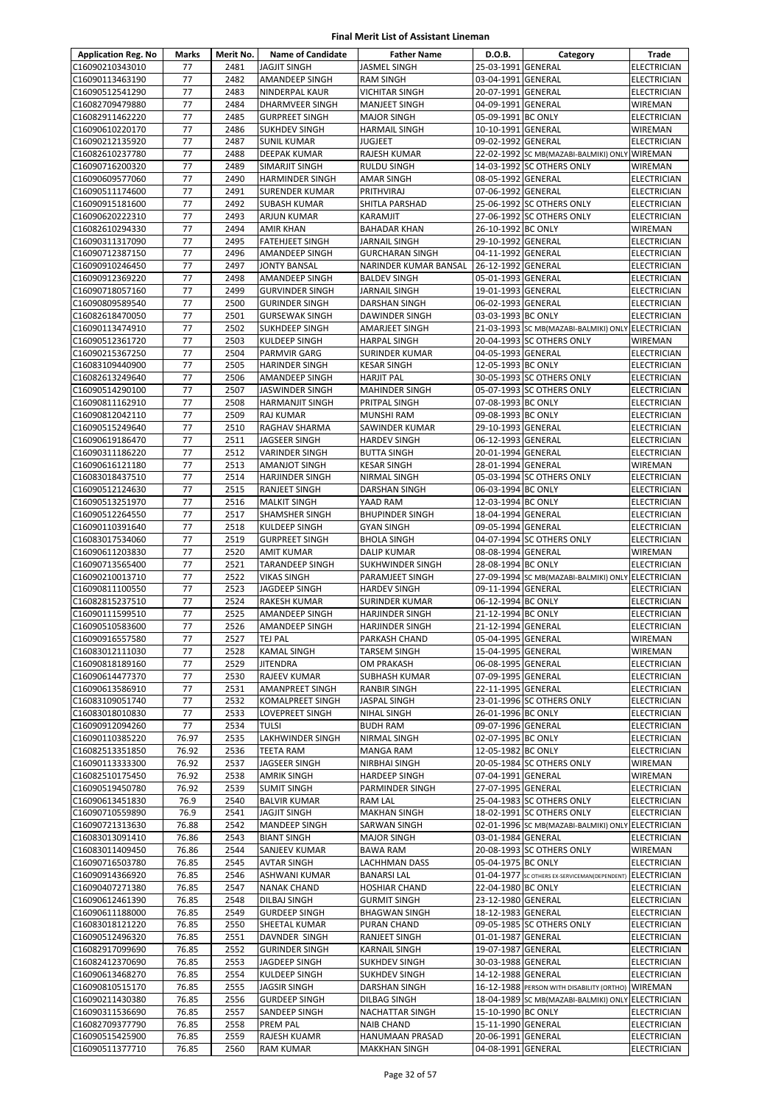| <b>Application Reg. No</b>         | Marks          | Merit No.    | <b>Name of Candidate</b>                        | <b>Father Name</b>                               | D.O.B.                                   | Category                                                                           | Trade                                |
|------------------------------------|----------------|--------------|-------------------------------------------------|--------------------------------------------------|------------------------------------------|------------------------------------------------------------------------------------|--------------------------------------|
| C16090210343010                    | 77             | 2481         | <b>JAGJIT SINGH</b>                             | <b>JASMEL SINGH</b>                              | 25-03-1991 GENERAL                       |                                                                                    | ELECTRICIAN                          |
| C16090113463190                    | 77             | 2482         | <b>AMANDEEP SINGH</b>                           | <b>RAM SINGH</b>                                 | 03-04-1991 GENERAL                       |                                                                                    | ELECTRICIAN                          |
| C16090512541290                    | 77             | 2483         | <b>NINDERPAL KAUR</b>                           | <b>VICHITAR SINGH</b>                            | 20-07-1991 GENERAL                       |                                                                                    | <b>ELECTRICIAN</b>                   |
| C16082709479880                    | 77             | 2484         | DHARMVEER SINGH                                 | MANJEET SINGH                                    | 04-09-1991 GENERAL                       |                                                                                    | WIREMAN                              |
| C16082911462220<br>C16090610220170 | 77<br>77       | 2485<br>2486 | <b>GURPREET SINGH</b><br><b>SUKHDEV SINGH</b>   | <b>MAJOR SINGH</b><br>HARMAIL SINGH              | 05-09-1991 BC ONLY<br>10-10-1991 GENERAL |                                                                                    | <b>ELECTRICIAN</b><br>WIREMAN        |
| C16090212135920                    | 77             | 2487         | <b>SUNIL KUMAR</b>                              | <b>JUGJEET</b>                                   | 09-02-1992 GENERAL                       |                                                                                    | ELECTRICIAN                          |
| C16082610237780                    | 77             | 2488         | <b>DEEPAK KUMAR</b>                             | RAJESH KUMAR                                     |                                          | 22-02-1992 SC MB(MAZABI-BALMIKI) ONLY WIREMAN                                      |                                      |
| C16090716200320                    | 77             | 2489         | SIMARJIT SINGH                                  | <b>RULDU SINGH</b>                               |                                          | 14-03-1992 SC OTHERS ONLY                                                          | <b>WIREMAN</b>                       |
| C16090609577060                    | 77             | 2490         | <b>HARMINDER SINGH</b>                          | <b>AMAR SINGH</b>                                | 08-05-1992 GENERAL                       |                                                                                    | <b>ELECTRICIAN</b>                   |
| C16090511174600                    | 77             | 2491         | <b>SURENDER KUMAR</b>                           | PRITHVIRAJ                                       | 07-06-1992 GENERAL                       |                                                                                    | <b>ELECTRICIAN</b>                   |
| C16090915181600                    | 77             | 2492         | <b>SUBASH KUMAR</b>                             | SHITLA PARSHAD                                   |                                          | 25-06-1992 SC OTHERS ONLY                                                          | <b>ELECTRICIAN</b>                   |
| C16090620222310                    | 77             | 2493         | <b>ARJUN KUMAR</b>                              | KARAMJIT                                         |                                          | 27-06-1992 SC OTHERS ONLY                                                          | ELECTRICIAN                          |
| C16082610294330                    | 77             | 2494         | <b>AMIR KHAN</b>                                | <b>BAHADAR KHAN</b>                              | 26-10-1992 BC ONLY                       |                                                                                    | WIREMAN                              |
| C16090311317090<br>C16090712387150 | 77<br>77       | 2495<br>2496 | <b>FATEHJEET SINGH</b><br><b>AMANDEEP SINGH</b> | <b>JARNAIL SINGH</b><br><b>GURCHARAN SINGH</b>   | 29-10-1992 GENERAL<br>04-11-1992 GENERAL |                                                                                    | ELECTRICIAN<br><b>ELECTRICIAN</b>    |
| C16090910246450                    | 77             | 2497         | <b>JONTY BANSAL</b>                             | NARINDER KUMAR BANSAL                            | 26-12-1992 GENERAL                       |                                                                                    | ELECTRICIAN                          |
| C16090912369220                    | 77             | 2498         | AMANDEEP SINGH                                  | <b>BALDEV SINGH</b>                              | 05-01-1993 GENERAL                       |                                                                                    | ELECTRICIAN                          |
| C16090718057160                    | 77             | 2499         | <b>GURVINDER SINGH</b>                          | <b>JARNAIL SINGH</b>                             | 19-01-1993 GENERAL                       |                                                                                    | <b>ELECTRICIAN</b>                   |
| C16090809589540                    | 77             | 2500         | <b>GURINDER SINGH</b>                           | DARSHAN SINGH                                    | 06-02-1993 GENERAL                       |                                                                                    | ELECTRICIAN                          |
| C16082618470050                    | 77             | 2501         | <b>GURSEWAK SINGH</b>                           | <b>DAWINDER SINGH</b>                            | 03-03-1993 BC ONLY                       |                                                                                    | <b>ELECTRICIAN</b>                   |
| C16090113474910                    | 77             | 2502         | <b>SUKHDEEP SINGH</b>                           | AMARJEET SINGH                                   |                                          | 21-03-1993 SC MB(MAZABI-BALMIKI) ONLY ELECTRICIAN                                  |                                      |
| C16090512361720                    | 77             | 2503         | <b>KULDEEP SINGH</b>                            | <b>HARPAL SINGH</b>                              |                                          | 20-04-1993 SC OTHERS ONLY                                                          | WIREMAN                              |
| C16090215367250                    | 77             | 2504         | <b>PARMVIR GARG</b>                             | <b>SURINDER KUMAR</b>                            | 04-05-1993 GENERAL                       |                                                                                    | <b>ELECTRICIAN</b>                   |
| C16083109440900<br>C16082613249640 | 77<br>77       | 2505<br>2506 | <b>HARINDER SINGH</b><br><b>AMANDEEP SINGH</b>  | <b>KESAR SINGH</b><br><b>HARJIT PAL</b>          | 12-05-1993 BC ONLY                       | 30-05-1993 SC OTHERS ONLY                                                          | ELECTRICIAN<br>ELECTRICIAN           |
| C16090514290100                    | 77             | 2507         | <b>JASWINDER SINGH</b>                          | <b>MAHINDER SINGH</b>                            |                                          | 05-07-1993 SC OTHERS ONLY                                                          | ELECTRICIAN                          |
| C16090811162910                    | 77             | 2508         | <b>HARMANJIT SINGH</b>                          | PRITPAL SINGH                                    | 07-08-1993 BC ONLY                       |                                                                                    | <b>ELECTRICIAN</b>                   |
| C16090812042110                    | 77             | 2509         | <b>RAJ KUMAR</b>                                | MUNSHI RAM                                       | 09-08-1993 BC ONLY                       |                                                                                    | ELECTRICIAN                          |
| C16090515249640                    | 77             | 2510         | RAGHAV SHARMA                                   | SAWINDER KUMAR                                   | 29-10-1993 GENERAL                       |                                                                                    | ELECTRICIAN                          |
| C16090619186470                    | 77             | 2511         | JAGSEER SINGH                                   | <b>HARDEV SINGH</b>                              | 06-12-1993 GENERAL                       |                                                                                    | ELECTRICIAN                          |
| C16090311186220                    | 77             | 2512         | VARINDER SINGH                                  | <b>BUTTA SINGH</b>                               | 20-01-1994 GENERAL                       |                                                                                    | ELECTRICIAN                          |
| C16090616121180                    | 77             | 2513         | <b>AMANJOT SINGH</b>                            | <b>KESAR SINGH</b>                               | 28-01-1994 GENERAL                       |                                                                                    | WIREMAN                              |
| C16083018437510                    | 77             | 2514         | <b>HARJINDER SINGH</b>                          | NIRMAL SINGH                                     |                                          | 05-03-1994 SC OTHERS ONLY                                                          | ELECTRICIAN                          |
| C16090512124630<br>C16090513251970 | 77<br>77       | 2515<br>2516 | <b>RANJEET SINGH</b><br><b>MALKIT SINGH</b>     | <b>DARSHAN SINGH</b><br>YAAD RAM                 | 06-03-1994 BC ONLY<br>12-03-1994 BC ONLY |                                                                                    | ELECTRICIAN<br>ELECTRICIAN           |
| C16090512264550                    | 77             | 2517         | SHAMSHER SINGH                                  | <b>BHUPINDER SINGH</b>                           | 18-04-1994 GENERAL                       |                                                                                    | ELECTRICIAN                          |
| C16090110391640                    | 77             | 2518         | <b>KULDEEP SINGH</b>                            | <b>GYAN SINGH</b>                                | 09-05-1994 GENERAL                       |                                                                                    | ELECTRICIAN                          |
| C16083017534060                    | 77             | 2519         | <b>GURPREET SINGH</b>                           | <b>BHOLA SINGH</b>                               |                                          | 04-07-1994 SC OTHERS ONLY                                                          | ELECTRICIAN                          |
| C16090611203830                    | 77             | 2520         | <b>AMIT KUMAR</b>                               | <b>DALIP KUMAR</b>                               | 08-08-1994 GENERAL                       |                                                                                    | WIREMAN                              |
| C16090713565400                    | 77             | 2521         | <b>TARANDEEP SINGH</b>                          | SUKHWINDER SINGH                                 | 28-08-1994 BC ONLY                       |                                                                                    | <b>ELECTRICIAN</b>                   |
| C16090210013710                    | 77             | 2522         | <b>VIKAS SINGH</b>                              | PARAMJEET SINGH                                  |                                          | 27-09-1994 SC MB(MAZABI-BALMIKI) ONLY ELECTRICIAN                                  |                                      |
| C16090811100550                    | 77             | 2523         | JAGDEEP SINGH                                   | <b>HARDEV SINGH</b>                              | 09-11-1994 GENERAL                       |                                                                                    | ELECTRICIAN                          |
| C16082815237510                    | 77<br>77       | 2524<br>2525 | RAKESH KUMAR                                    | <b>SURINDER KUMAR</b>                            | 06-12-1994 BC ONLY                       |                                                                                    | <b>ELECTRICIAN</b>                   |
| C16090111599510<br>C16090510583600 | 77             | 2526         | AMANDEEP SINGH<br><b>AMANDEEP SINGH</b>         | <b>HARJINDER SINGH</b><br><b>HARJINDER SINGH</b> | 21-12-1994 BC ONLY<br>21-12-1994 GENERAL |                                                                                    | ELECTRICIAN<br><b>ELECTRICIAN</b>    |
| C16090916557580                    | 77             | 2527         | <b>TEJ PAL</b>                                  | PARKASH CHAND                                    | 05-04-1995 GENERAL                       |                                                                                    | <b>WIREMAN</b>                       |
| C16083012111030                    | 77             | 2528         | <b>KAMAL SINGH</b>                              | <b>TARSEM SINGH</b>                              | 15-04-1995 GENERAL                       |                                                                                    | <b>WIREMAN</b>                       |
| C16090818189160                    | 77             | 2529         | <b>JITENDRA</b>                                 | OM PRAKASH                                       | 06-08-1995 GENERAL                       |                                                                                    | <b>ELECTRICIAN</b>                   |
| C16090614477370                    | 77             | 2530         | RAJEEV KUMAR                                    | SUBHASH KUMAR                                    | 07-09-1995 GENERAL                       |                                                                                    | <b>ELECTRICIAN</b>                   |
| C16090613586910                    | 77             | 2531         | AMANPREET SINGH                                 | <b>RANBIR SINGH</b>                              | 22-11-1995 GENERAL                       |                                                                                    | ELECTRICIAN                          |
| C16083109051740                    | 77             | 2532         | KOMALPREET SINGH                                | JASPAL SINGH                                     |                                          | 23-01-1996 SC OTHERS ONLY                                                          | <b>ELECTRICIAN</b>                   |
| C16083018010830                    | 77             | 2533         | <b>LOVEPREET SINGH</b>                          | NIHAL SINGH                                      | 26-01-1996 BC ONLY                       |                                                                                    | ELECTRICIAN                          |
| C16090912094260                    | 77             | 2534         | <b>TULSI</b>                                    | <b>BUDH RAM</b>                                  | 09-07-1996 GENERAL                       |                                                                                    | <b>ELECTRICIAN</b>                   |
| C16090110385220<br>C16082513351850 | 76.97<br>76.92 | 2535<br>2536 | LAKHWINDER SINGH<br>TEETA RAM                   | <b>NIRMAL SINGH</b><br><b>MANGA RAM</b>          | 02-07-1995 BC ONLY<br>12-05-1982 BC ONLY |                                                                                    | ELECTRICIAN<br>ELECTRICIAN           |
| C16090113333300                    | 76.92          | 2537         | JAGSEER SINGH                                   | NIRBHAI SINGH                                    |                                          | 20-05-1984 SC OTHERS ONLY                                                          | WIREMAN                              |
| C16082510175450                    | 76.92          | 2538         | <b>AMRIK SINGH</b>                              | <b>HARDEEP SINGH</b>                             | 07-04-1991 GENERAL                       |                                                                                    | WIREMAN                              |
| C16090519450780                    | 76.92          | 2539         | <b>SUMIT SINGH</b>                              | PARMINDER SINGH                                  | 27-07-1995 GENERAL                       |                                                                                    | <b>ELECTRICIAN</b>                   |
| C16090613451830                    | 76.9           | 2540         | <b>BALVIR KUMAR</b>                             | <b>RAM LAL</b>                                   |                                          | 25-04-1983 SC OTHERS ONLY                                                          | ELECTRICIAN                          |
| C16090710559890                    | 76.9           | 2541         | <b>JAGJIT SINGH</b>                             | <b>MAKHAN SINGH</b>                              |                                          | 18-02-1991 SC OTHERS ONLY                                                          | ELECTRICIAN                          |
| C16090721313630                    | 76.88          | 2542         | <b>MANDEEP SINGH</b>                            | SARWAN SINGH                                     |                                          | 02-01-1996 SC MB(MAZABI-BALMIKI) ONLY                                              | <b>ELECTRICIAN</b>                   |
| C16083013091410                    | 76.86          | 2543         | <b>BIANT SINGH</b>                              | <b>MAJOR SINGH</b>                               | 03-01-1984 GENERAL                       |                                                                                    | ELECTRICIAN                          |
| C16083011409450                    | 76.86          | 2544<br>2545 | SANJEEV KUMAR                                   | <b>BAWA RAM</b>                                  |                                          | 20-08-1993 SC OTHERS ONLY                                                          | WIREMAN<br><b>ELECTRICIAN</b>        |
| C16090716503780<br>C16090914366920 | 76.85<br>76.85 | 2546         | <b>AVTAR SINGH</b><br>ASHWANI KUMAR             | LACHHMAN DASS<br><b>BANARSI LAL</b>              | 05-04-1975 BC ONLY                       |                                                                                    | <b>ELECTRICIAN</b>                   |
| C16090407271380                    | 76.85          | 2547         | <b>NANAK CHAND</b>                              | <b>HOSHIAR CHAND</b>                             | 22-04-1980 BC ONLY                       | 01-04-1977 SC OTHERS EX-SERVICEMAN(DEPENDENT)                                      | ELECTRICIAN                          |
| C16090612461390                    | 76.85          | 2548         | DILBAJ SINGH                                    | <b>GURMIT SINGH</b>                              | 23-12-1980 GENERAL                       |                                                                                    | ELECTRICIAN                          |
| C16090611188000                    | 76.85          | 2549         | <b>GURDEEP SINGH</b>                            | <b>BHAGWAN SINGH</b>                             | 18-12-1983 GENERAL                       |                                                                                    | ELECTRICIAN                          |
| C16083018121220                    | 76.85          | 2550         | SHEETAL KUMAR                                   | PURAN CHAND                                      |                                          | 09-05-1985 SC OTHERS ONLY                                                          | ELECTRICIAN                          |
| C16090512496320                    | 76.85          | 2551         | DAVNDER SINGH                                   | RANJEET SINGH                                    | 01-01-1987 GENERAL                       |                                                                                    | ELECTRICIAN                          |
| C16082917099690                    | 76.85          | 2552         | <b>GURINDER SINGH</b>                           | <b>KARNAIL SINGH</b>                             | 19-07-1987 GENERAL                       |                                                                                    | <b>ELECTRICIAN</b>                   |
| C16082412370690                    | 76.85          | 2553         | JAGDEEP SINGH                                   | <b>SUKHDEV SINGH</b>                             | 30-03-1988 GENERAL                       |                                                                                    | ELECTRICIAN                          |
| C16090613468270                    | 76.85          | 2554         | KULDEEP SINGH                                   | <b>SUKHDEV SINGH</b>                             | 14-12-1988 GENERAL                       |                                                                                    | ELECTRICIAN                          |
| C16090810515170<br>C16090211430380 | 76.85<br>76.85 | 2555<br>2556 | <b>JAGSIR SINGH</b><br><b>GURDEEP SINGH</b>     | DARSHAN SINGH<br>DILBAG SINGH                    |                                          | 16-12-1988 PERSON WITH DISABILITY (ORTHO)<br>18-04-1989 SC MB(MAZABI-BALMIKI) ONLY | <b>WIREMAN</b><br><b>ELECTRICIAN</b> |
| C16090311536690                    | 76.85          | 2557         | SANDEEP SINGH                                   | <b>NACHATTAR SINGH</b>                           | 15-10-1990 BC ONLY                       |                                                                                    | ELECTRICIAN                          |
| C16082709377790                    | 76.85          | 2558         | <b>PREM PAL</b>                                 | <b>NAIB CHAND</b>                                | 15-11-1990 GENERAL                       |                                                                                    | <b>ELECTRICIAN</b>                   |
| C16090515425900                    | 76.85          | 2559         | RAJESH KUAMR                                    | HANUMAAN PRASAD                                  | 20-06-1991 GENERAL                       |                                                                                    | ELECTRICIAN                          |
| C16090511377710                    | 76.85          | 2560         | <b>RAM KUMAR</b>                                | <b>MAKKHAN SINGH</b>                             | 04-08-1991 GENERAL                       |                                                                                    | ELECTRICIAN                          |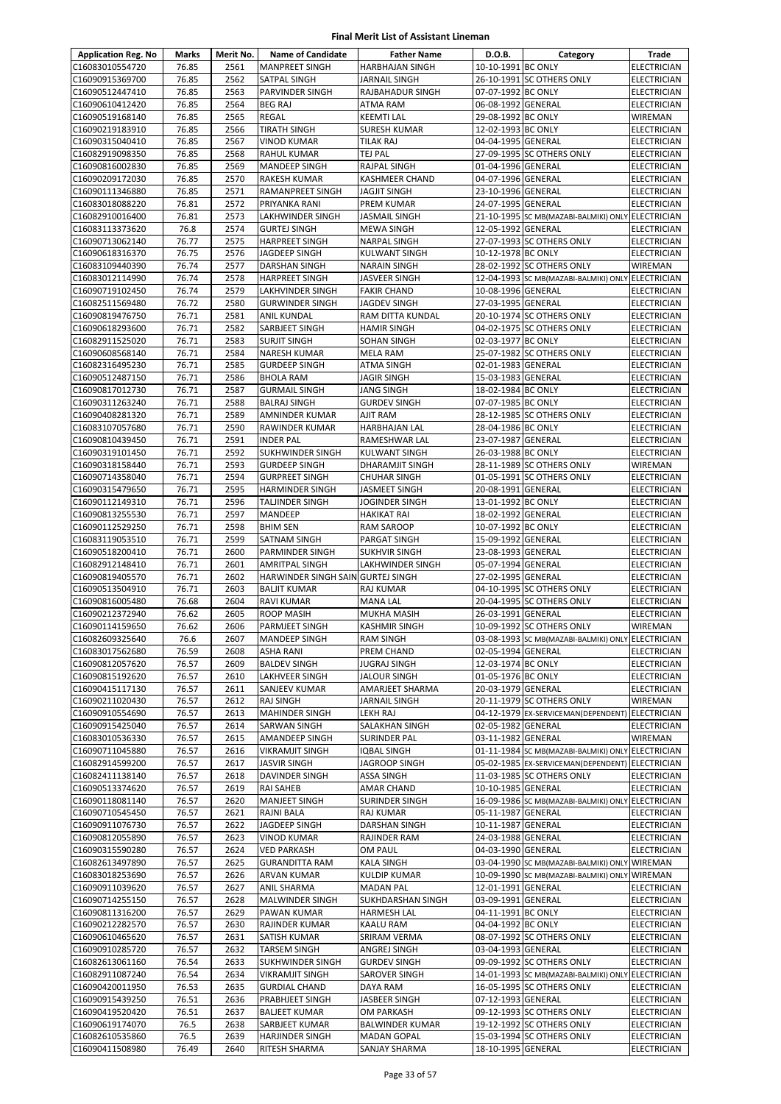| <b>Application Reg. No</b>         | Marks          | Merit No.    | <b>Name of Candidate</b>                   | <b>Father Name</b>                | D.O.B.                                   | Category                                          | Trade                                    |
|------------------------------------|----------------|--------------|--------------------------------------------|-----------------------------------|------------------------------------------|---------------------------------------------------|------------------------------------------|
| C16083010554720                    | 76.85          | 2561         | <b>MANPREET SINGH</b>                      | <b>HARBHAJAN SINGH</b>            | 10-10-1991 BC ONLY                       |                                                   | <b>ELECTRICIAN</b>                       |
| C16090915369700                    | 76.85          | 2562         | <b>SATPAL SINGH</b>                        | <b>JARNAIL SINGH</b>              |                                          | 26-10-1991 SC OTHERS ONLY                         | <b>ELECTRICIAN</b>                       |
| C16090512447410                    | 76.85          | 2563         | PARVINDER SINGH                            | RAJBAHADUR SINGH                  | 07-07-1992 BC ONLY                       |                                                   | ELECTRICIAN                              |
| C16090610412420                    | 76.85          | 2564         | <b>BEG RAJ</b>                             | ATMA RAM                          | 06-08-1992 GENERAL                       |                                                   | ELECTRICIAN                              |
| C16090519168140                    | 76.85          | 2565         | <b>REGAL</b>                               | KEEMTI LAL                        | 29-08-1992 BC ONLY                       |                                                   | WIREMAN                                  |
| C16090219183910                    | 76.85          | 2566         | <b>TIRATH SINGH</b>                        | <b>SURESH KUMAR</b>               | 12-02-1993 BC ONLY                       |                                                   | <b>ELECTRICIAN</b>                       |
| C16090315040410                    | 76.85          | 2567         | <b>VINOD KUMAR</b>                         | <b>TILAK RAJ</b>                  | 04-04-1995 GENERAL                       |                                                   | <b>ELECTRICIAN</b>                       |
| C16082919098350<br>C16090816002830 | 76.85<br>76.85 | 2568<br>2569 | <b>RAHUL KUMAR</b><br><b>MANDEEP SINGH</b> | TEJ PAL<br>RAJPAL SINGH           | 01-04-1996 GENERAL                       | 27-09-1995 SC OTHERS ONLY                         | <b>ELECTRICIAN</b><br>ELECTRICIAN        |
| C16090209172030                    | 76.85          | 2570         | <b>RAKESH KUMAR</b>                        | <b>KASHMEER CHAND</b>             | 04-07-1996 GENERAL                       |                                                   | ELECTRICIAN                              |
| C16090111346880                    | 76.85          | 2571         | RAMANPREET SINGH                           | JAGJIT SINGH                      | 23-10-1996 GENERAL                       |                                                   | ELECTRICIAN                              |
| C16083018088220                    | 76.81          | 2572         | PRIYANKA RANI                              | PREM KUMAR                        | 24-07-1995 GENERAL                       |                                                   | <b>ELECTRICIAN</b>                       |
| C16082910016400                    | 76.81          | 2573         | LAKHWINDER SINGH                           | <b>JASMAIL SINGH</b>              |                                          | 21-10-1995 SC MB(MAZABI-BALMIKI) ONLY ELECTRICIAN |                                          |
| C16083113373620                    | 76.8           | 2574         | <b>GURTEJ SINGH</b>                        | <b>MEWA SINGH</b>                 | 12-05-1992 GENERAL                       |                                                   | <b>ELECTRICIAN</b>                       |
| C16090713062140                    | 76.77          | 2575         | <b>HARPREET SINGH</b>                      | NARPAL SINGH                      |                                          | 27-07-1993 SC OTHERS ONLY                         | ELECTRICIAN                              |
| C16090618316370                    | 76.75          | 2576         | JAGDEEP SINGH                              | KULWANT SINGH                     | 10-12-1978 BC ONLY                       |                                                   | ELECTRICIAN                              |
| C16083109440390                    | 76.74          | 2577         | <b>DARSHAN SINGH</b>                       | NARAIN SINGH                      |                                          | 28-02-1992 SC OTHERS ONLY                         | WIREMAN                                  |
| C16083012114990                    | 76.74          | 2578         | <b>HARPREET SINGH</b>                      | JASVEER SINGH                     |                                          | 12-04-1993 SC MB(MAZABI-BALMIKI) ONLY ELECTRICIAN |                                          |
| C16090719102450                    | 76.74          | 2579         | LAKHVINDER SINGH                           | <b>FAKIR CHAND</b>                | 10-08-1996 GENERAL                       |                                                   | ELECTRICIAN                              |
| C16082511569480                    | 76.72          | 2580         | <b>GURWINDER SINGH</b>                     | JAGDEV SINGH                      | 27-03-1995 GENERAL                       |                                                   | <b>ELECTRICIAN</b>                       |
| C16090819476750                    | 76.71          | 2581         | <b>ANIL KUNDAL</b>                         | RAM DITTA KUNDAL                  |                                          | 20-10-1974 SC OTHERS ONLY                         | <b>ELECTRICIAN</b>                       |
| C16090618293600<br>C16082911525020 | 76.71<br>76.71 | 2582<br>2583 | SARBJEET SINGH<br><b>SURJIT SINGH</b>      | <b>HAMIR SINGH</b><br>SOHAN SINGH | 02-03-1977 BC ONLY                       | 04-02-1975 SC OTHERS ONLY                         | ELECTRICIAN<br><b>ELECTRICIAN</b>        |
| C16090608568140                    | 76.71          | 2584         | <b>NARESH KUMAR</b>                        | MELA RAM                          |                                          | 25-07-1982 SC OTHERS ONLY                         | <b>ELECTRICIAN</b>                       |
| C16082316495230                    | 76.71          | 2585         | <b>GURDEEP SINGH</b>                       | ATMA SINGH                        | 02-01-1983 GENERAL                       |                                                   | <b>ELECTRICIAN</b>                       |
| C16090512487150                    | 76.71          | 2586         | <b>BHOLA RAM</b>                           | JAGIR SINGH                       | 15-03-1983 GENERAL                       |                                                   | ELECTRICIAN                              |
| C16090817012730                    | 76.71          | 2587         | <b>GURMAIL SINGH</b>                       | JANG SINGH                        | 18-02-1984 BC ONLY                       |                                                   | <b>ELECTRICIAN</b>                       |
| C16090311263240                    | 76.71          | 2588         | <b>BALRAJ SINGH</b>                        | <b>GURDEV SINGH</b>               | 07-07-1985 BC ONLY                       |                                                   | ELECTRICIAN                              |
| C16090408281320                    | 76.71          | 2589         | AMNINDER KUMAR                             | AJIT RAM                          |                                          | 28-12-1985 SC OTHERS ONLY                         | <b>ELECTRICIAN</b>                       |
| C16083107057680                    | 76.71          | 2590         | RAWINDER KUMAR                             | HARBHAJAN LAL                     | 28-04-1986 BC ONLY                       |                                                   | <b>ELECTRICIAN</b>                       |
| C16090810439450                    | 76.71          | 2591         | <b>INDER PAL</b>                           | RAMESHWAR LAL                     | 23-07-1987 GENERAL                       |                                                   | <b>ELECTRICIAN</b>                       |
| C16090319101450                    | 76.71          | 2592         | SUKHWINDER SINGH                           | KULWANT SINGH                     | 26-03-1988 BC ONLY                       |                                                   | ELECTRICIAN                              |
| C16090318158440                    | 76.71          | 2593         | <b>GURDEEP SINGH</b>                       | DHARAMJIT SINGH                   |                                          | 28-11-1989 SC OTHERS ONLY                         | WIREMAN                                  |
| C16090714358040                    | 76.71          | 2594         | <b>GURPREET SINGH</b>                      | CHUHAR SINGH                      |                                          | 01-05-1991 SC OTHERS ONLY                         | ELECTRICIAN                              |
| C16090315479650                    | 76.71          | 2595         | <b>HARMINDER SINGH</b>                     | JASMEET SINGH                     | 20-08-1991 GENERAL                       |                                                   | ELECTRICIAN                              |
| C16090112149310                    | 76.71<br>76.71 | 2596<br>2597 | <b>TALJINDER SINGH</b>                     | JOGINDER SINGH                    | 13-01-1992 BC ONLY                       |                                                   | <b>ELECTRICIAN</b>                       |
| C16090813255530<br>C16090112529250 | 76.71          | 2598         | MANDEEP<br><b>BHIM SEN</b>                 | HAKIKAT RAI<br>RAM SAROOP         | 18-02-1992 GENERAL<br>10-07-1992 BC ONLY |                                                   | <b>ELECTRICIAN</b><br>ELECTRICIAN        |
| C16083119053510                    | 76.71          | 2599         | <b>SATNAM SINGH</b>                        | PARGAT SINGH                      | 15-09-1992 GENERAL                       |                                                   | <b>ELECTRICIAN</b>                       |
| C16090518200410                    | 76.71          | 2600         | PARMINDER SINGH                            | SUKHVIR SINGH                     | 23-08-1993 GENERAL                       |                                                   | ELECTRICIAN                              |
| C16082912148410                    | 76.71          | 2601         | <b>AMRITPAL SINGH</b>                      | LAKHWINDER SINGH                  | 05-07-1994 GENERAL                       |                                                   | ELECTRICIAN                              |
| C16090819405570                    | 76.71          | 2602         | HARWINDER SINGH SAIN GURTEJ SINGH          |                                   | 27-02-1995 GENERAL                       |                                                   | ELECTRICIAN                              |
| C16090513504910                    | 76.71          | 2603         | <b>BALJIT KUMAR</b>                        | <b>RAJ KUMAR</b>                  |                                          | 04-10-1995 SC OTHERS ONLY                         | <b>ELECTRICIAN</b>                       |
| C16090816005480                    | 76.68          | 2604         | <b>RAVI KUMAR</b>                          | <b>MANA LAL</b>                   |                                          | 20-04-1995 SC OTHERS ONLY                         | <b>ELECTRICIAN</b>                       |
| C16090212372940                    | 76.62          | 2605         | <b>ROOP MASIH</b>                          | MUKHA MASIH                       | 26-03-1991 GENERAL                       |                                                   | <b>ELECTRICIAN</b>                       |
| C16090114159650                    | 76.62          | 2606         | PARMJEET SINGH                             | KASHMIR SINGH                     |                                          | 10-09-1992 SC OTHERS ONLY                         | WIREMAN                                  |
| C16082609325640                    | 76.6           | 2607         | <b>MANDEEP SINGH</b>                       | <b>RAM SINGH</b>                  |                                          | 03-08-1993 SC MB(MAZABI-BALMIKI) ONLY ELECTRICIAN |                                          |
| C16083017562680                    | 76.59          | 2608         | <b>ASHA RANI</b>                           | PREM CHAND                        | 02-05-1994 GENERAL                       |                                                   | <b>ELECTRICIAN</b>                       |
| C16090812057620<br>C16090815192620 | 76.57          | 2609         | <b>BALDEV SINGH</b>                        | JUGRAJ SINGH                      | 12-03-1974 BC ONLY<br>01-05-1976 BC ONLY |                                                   | <b>ELECTRICIAN</b>                       |
| C16090415117130                    | 76.57<br>76.57 | 2610<br>2611 | LAKHVEER SINGH<br>SANJEEV KUMAR            | JALOUR SINGH<br>AMARJEET SHARMA   | 20-03-1979 GENERAL                       |                                                   | <b>ELECTRICIAN</b><br><b>ELECTRICIAN</b> |
| C16090211020430                    | 76.57          | 2612         | <b>RAJ SINGH</b>                           | JARNAIL SINGH                     |                                          | 20-11-1979 SC OTHERS ONLY                         | WIREMAN                                  |
| C16090910554690                    | 76.57          | 2613         | <b>MAHINDER SINGH</b>                      | LEKH RAJ                          |                                          | 04-12-1979 EX-SERVICEMAN(DEPENDENT) ELECTRICIAN   |                                          |
| C16090915425040                    | 76.57          | 2614         | <b>SARWAN SINGH</b>                        | SALAKHAN SINGH                    | 02-05-1982 GENERAL                       |                                                   | ELECTRICIAN                              |
| C16083010536330                    | 76.57          | 2615         | <b>AMANDEEP SINGH</b>                      | SURINDER PAL                      | 03-11-1982 GENERAL                       |                                                   | WIREMAN                                  |
| C16090711045880                    | 76.57          | 2616         | <b>VIKRAMJIT SINGH</b>                     | IQBAL SINGH                       |                                          | 01-11-1984 SC MB(MAZABI-BALMIKI) ONLY ELECTRICIAN |                                          |
| C16082914599200                    | 76.57          | 2617         | <b>JASVIR SINGH</b>                        | JAGROOP SINGH                     |                                          | 05-02-1985 EX-SERVICEMAN(DEPENDENT)               | <b>ELECTRICIAN</b>                       |
| C16082411138140                    | 76.57          | 2618         | DAVINDER SINGH                             | ASSA SINGH                        |                                          | 11-03-1985 SC OTHERS ONLY                         | <b>ELECTRICIAN</b>                       |
| C16090513374620                    | 76.57          | 2619         | RAI SAHEB                                  | <b>AMAR CHAND</b>                 | 10-10-1985 GENERAL                       |                                                   | <b>ELECTRICIAN</b>                       |
| C16090118081140                    | 76.57          | 2620         | <b>MANJEET SINGH</b>                       | SURINDER SINGH                    |                                          | 16-09-1986 SC MB(MAZABI-BALMIKI) ONLY ELECTRICIAN |                                          |
| C16090710545450                    | 76.57          | 2621         | <b>RAJNI BALA</b>                          | RAJ KUMAR                         | 05-11-1987 GENERAL                       |                                                   | <b>ELECTRICIAN</b>                       |
| C16090911076730<br>C16090812055890 | 76.57<br>76.57 | 2622<br>2623 | JAGDEEP SINGH<br><b>VINOD KUMAR</b>        | DARSHAN SINGH<br>RAJINDER RAM     | 10-11-1987 GENERAL<br>24-03-1988 GENERAL |                                                   | <b>ELECTRICIAN</b><br><b>ELECTRICIAN</b> |
| C16090315590280                    | 76.57          | 2624         | <b>VED PARKASH</b>                         | OM PAUL                           | 04-03-1990 GENERAL                       |                                                   | ELECTRICIAN                              |
| C16082613497890                    | 76.57          | 2625         | <b>GURANDITTA RAM</b>                      | KALA SINGH                        |                                          | 03-04-1990 SC MB(MAZABI-BALMIKI) ONLY WIREMAN     |                                          |
| C16083018253690                    | 76.57          | 2626         | ARVAN KUMAR                                | KULDIP KUMAR                      |                                          | 10-09-1990 SC MB(MAZABI-BALMIKI) ONLY WIREMAN     |                                          |
| C16090911039620                    | 76.57          | 2627         | ANIL SHARMA                                | <b>MADAN PAL</b>                  | 12-01-1991 GENERAL                       |                                                   | <b>ELECTRICIAN</b>                       |
| C16090714255150                    | 76.57          | 2628         | MALWINDER SINGH                            | SUKHDARSHAN SINGH                 | 03-09-1991 GENERAL                       |                                                   | <b>ELECTRICIAN</b>                       |
| C16090811316200                    | 76.57          | 2629         | PAWAN KUMAR                                | HARMESH LAL                       | 04-11-1991 BC ONLY                       |                                                   | <b>ELECTRICIAN</b>                       |
| C16090212282570                    | 76.57          | 2630         | RAJINDER KUMAR                             | KAALU RAM                         | 04-04-1992 BC ONLY                       |                                                   | ELECTRICIAN                              |
| C16090610465620                    | 76.57          | 2631         | SATISH KUMAR                               | SRIRAM VERMA                      |                                          | 08-07-1992 SC OTHERS ONLY                         | ELECTRICIAN                              |
| C16090910285720                    | 76.57          | 2632         | <b>TARSEM SINGH</b>                        | ANGREJ SINGH                      | 03-04-1993 GENERAL                       |                                                   | ELECTRICIAN                              |
| C16082613061160                    | 76.54          | 2633         | <b>SUKHWINDER SINGH</b>                    | <b>GURDEV SINGH</b>               |                                          | 09-09-1992 SC OTHERS ONLY                         | ELECTRICIAN                              |
| C16082911087240                    | 76.54          | 2634         | <b>VIKRAMJIT SINGH</b>                     | SAROVER SINGH                     |                                          | 14-01-1993 SC MB(MAZABI-BALMIKI) ONLY ELECTRICIAN |                                          |
| C16090420011950<br>C16090915439250 | 76.53<br>76.51 | 2635<br>2636 | <b>GURDIAL CHAND</b><br>PRABHJEET SINGH    | DAYA RAM<br>JASBEER SINGH         | 07-12-1993 GENERAL                       | 16-05-1995 SC OTHERS ONLY                         | <b>ELECTRICIAN</b><br>ELECTRICIAN        |
| C16090419520420                    | 76.51          | 2637         | <b>BALJEET KUMAR</b>                       | OM PARKASH                        |                                          | 09-12-1993 SC OTHERS ONLY                         | ELECTRICIAN                              |
| C16090619174070                    | 76.5           | 2638         | SARBJEET KUMAR                             | <b>BALWINDER KUMAR</b>            |                                          | 19-12-1992 SC OTHERS ONLY                         | <b>ELECTRICIAN</b>                       |
| C16082610535860                    | 76.5           | 2639         | <b>HARJINDER SINGH</b>                     | MADAN GOPAL                       |                                          | 15-03-1994 SC OTHERS ONLY                         | ELECTRICIAN                              |
| C16090411508980                    | 76.49          | 2640         | RITESH SHARMA                              | SANJAY SHARMA                     | 18-10-1995 GENERAL                       |                                                   | ELECTRICIAN                              |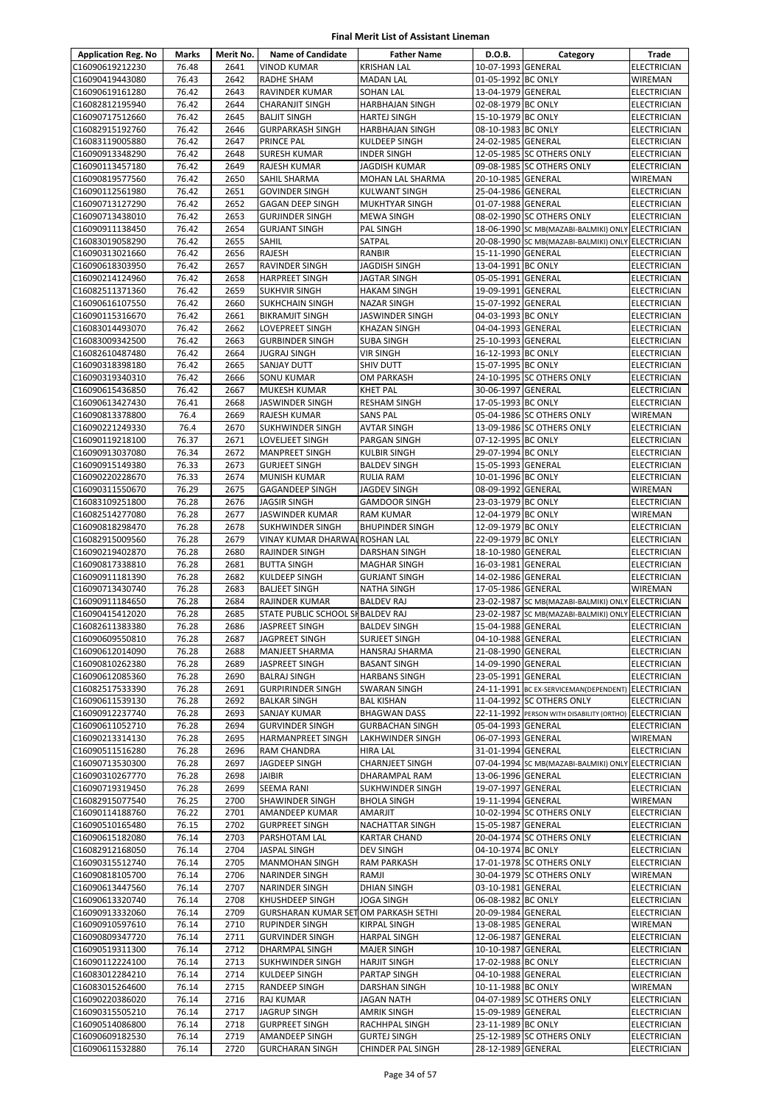| <b>Application Reg. No</b>         | Marks          | Merit No.    | <b>Name of Candidate</b>                                      | <b>Father Name</b>                     | D.O.B.                                   | Category                                              | Trade                                    |
|------------------------------------|----------------|--------------|---------------------------------------------------------------|----------------------------------------|------------------------------------------|-------------------------------------------------------|------------------------------------------|
| C16090619212230                    | 76.48          | 2641         | <b>VINOD KUMAR</b>                                            | <b>KRISHAN LAL</b>                     | 10-07-1993 GENERAL                       |                                                       | <b>ELECTRICIAN</b>                       |
| C16090419443080                    | 76.43          | 2642         | <b>RADHE SHAM</b>                                             | <b>MADAN LAL</b>                       | 01-05-1992 BC ONLY                       |                                                       | WIREMAN                                  |
| C16090619161280                    | 76.42          | 2643         | RAVINDER KUMAR                                                | SOHAN LAL                              | 13-04-1979 GENERAL                       |                                                       | ELECTRICIAN                              |
| C16082812195940                    | 76.42          | 2644         | <b>CHARANJIT SINGH</b>                                        | <b>HARBHAJAN SINGH</b>                 | 02-08-1979 BC ONLY                       |                                                       | ELECTRICIAN                              |
| C16090717512660                    | 76.42          | 2645         | <b>BALJIT SINGH</b>                                           | <b>HARTEJ SINGH</b>                    | 15-10-1979 BC ONLY                       |                                                       | ELECTRICIAN                              |
| C16082915192760                    | 76.42          | 2646         | <b>GURPARKASH SINGH</b>                                       | <b>HARBHAJAN SINGH</b>                 | 08-10-1983 BC ONLY                       |                                                       | ELECTRICIAN                              |
| C16083119005880                    | 76.42          | 2647         | <b>PRINCE PAL</b>                                             | <b>KULDEEP SINGH</b>                   | 24-02-1985 GENERAL                       |                                                       | ELECTRICIAN                              |
| C16090913348290                    | 76.42<br>76.42 | 2648<br>2649 | SURESH KUMAR                                                  | <b>INDER SINGH</b>                     |                                          | 12-05-1985 SC OTHERS ONLY                             | ELECTRICIAN                              |
| C16090113457180<br>C16090819577560 | 76.42          | 2650         | RAJESH KUMAR<br>SAHIL SHARMA                                  | JAGDISH KUMAR<br>MOHAN LAL SHARMA      | 20-10-1985 GENERAL                       | 09-08-1985 SC OTHERS ONLY                             | ELECTRICIAN<br>WIREMAN                   |
| C16090112561980                    | 76.42          | 2651         | <b>GOVINDER SINGH</b>                                         | <b>KULWANT SINGH</b>                   | 25-04-1986 GENERAL                       |                                                       | <b>ELECTRICIAN</b>                       |
| C16090713127290                    | 76.42          | 2652         | <b>GAGAN DEEP SINGH</b>                                       | MUKHTYAR SINGH                         | 01-07-1988 GENERAL                       |                                                       | ELECTRICIAN                              |
| C16090713438010                    | 76.42          | 2653         | <b>GURJINDER SINGH</b>                                        | <b>MEWA SINGH</b>                      |                                          | 08-02-1990 SC OTHERS ONLY                             | ELECTRICIAN                              |
| C16090911138450                    | 76.42          | 2654         | <b>GURJANT SINGH</b>                                          | PAL SINGH                              |                                          | 18-06-1990 SC MB(MAZABI-BALMIKI) ONLY ELECTRICIAN     |                                          |
| C16083019058290                    | 76.42          | 2655         | <b>SAHIL</b>                                                  | SATPAL                                 |                                          | 20-08-1990 SC MB(MAZABI-BALMIKI) ONLY ELECTRICIAN     |                                          |
| C16090313021660                    | 76.42          | 2656         | <b>RAJESH</b>                                                 | RANBIR                                 | 15-11-1990 GENERAL                       |                                                       | ELECTRICIAN                              |
| C16090618303950                    | 76.42          | 2657         | RAVINDER SINGH                                                | JAGDISH SINGH                          | 13-04-1991 BC ONLY                       |                                                       | <b>ELECTRICIAN</b>                       |
| C16090214124960                    | 76.42          | 2658         | <b>HARPREET SINGH</b>                                         | JAGTAR SINGH                           | 05-05-1991 GENERAL                       |                                                       | <b>ELECTRICIAN</b>                       |
| C16082511371360                    | 76.42          | 2659         | <b>SUKHVIR SINGH</b>                                          | <b>HAKAM SINGH</b>                     | 19-09-1991 GENERAL                       |                                                       | ELECTRICIAN                              |
| C16090616107550                    | 76.42          | 2660         | <b>SUKHCHAIN SINGH</b>                                        | <b>NAZAR SINGH</b>                     | 15-07-1992 GENERAL                       |                                                       | ELECTRICIAN                              |
| C16090115316670                    | 76.42          | 2661<br>2662 | <b>BIKRAMJIT SINGH</b>                                        | JASWINDER SINGH                        | 04-03-1993 BC ONLY<br>04-04-1993 GENERAL |                                                       | ELECTRICIAN<br>ELECTRICIAN               |
| C16083014493070<br>C16083009342500 | 76.42<br>76.42 | 2663         | LOVEPREET SINGH<br><b>GURBINDER SINGH</b>                     | KHAZAN SINGH<br><b>SUBA SINGH</b>      | 25-10-1993 GENERAL                       |                                                       | ELECTRICIAN                              |
| C16082610487480                    | 76.42          | 2664         | <b>JUGRAJ SINGH</b>                                           | <b>VIR SINGH</b>                       | 16-12-1993 BC ONLY                       |                                                       | ELECTRICIAN                              |
| C16090318398180                    | 76.42          | 2665         | <b>SANJAY DUTT</b>                                            | SHIV DUTT                              | 15-07-1995 BC ONLY                       |                                                       | ELECTRICIAN                              |
| C16090319340310                    | 76.42          | 2666         | <b>SONU KUMAR</b>                                             | OM PARKASH                             |                                          | 24-10-1995 SC OTHERS ONLY                             | ELECTRICIAN                              |
| C16090615436850                    | 76.42          | 2667         | <b>MUKESH KUMAR</b>                                           | <b>KHET PAL</b>                        | 30-06-1997 GENERAL                       |                                                       | ELECTRICIAN                              |
| C16090613427430                    | 76.41          | 2668         | JASWINDER SINGH                                               | <b>RESHAM SINGH</b>                    | 17-05-1993 BC ONLY                       |                                                       | ELECTRICIAN                              |
| C16090813378800                    | 76.4           | 2669         | <b>RAJESH KUMAR</b>                                           | <b>SANS PAL</b>                        |                                          | 05-04-1986 SC OTHERS ONLY                             | WIREMAN                                  |
| C16090221249330                    | 76.4           | 2670         | <b>SUKHWINDER SINGH</b>                                       | <b>AVTAR SINGH</b>                     |                                          | 13-09-1986 SC OTHERS ONLY                             | ELECTRICIAN                              |
| C16090119218100                    | 76.37          | 2671         | LOVELJEET SINGH                                               | PARGAN SINGH                           | 07-12-1995 BC ONLY                       |                                                       | ELECTRICIAN                              |
| C16090913037080                    | 76.34          | 2672         | <b>MANPREET SINGH</b>                                         | <b>KULBIR SINGH</b>                    | 29-07-1994 BC ONLY                       |                                                       | ELECTRICIAN                              |
| C16090915149380                    | 76.33          | 2673         | <b>GURJEET SINGH</b>                                          | <b>BALDEV SINGH</b>                    | 15-05-1993 GENERAL                       |                                                       | ELECTRICIAN                              |
| C16090220228670<br>C16090311550670 | 76.33<br>76.29 | 2674<br>2675 | MUNISH KUMAR<br><b>GAGANDEEP SINGH</b>                        | RULIA RAM                              | 10-01-1996 BC ONLY<br>08-09-1992 GENERAL |                                                       | ELECTRICIAN<br>WIREMAN                   |
| C16083109251800                    | 76.28          | 2676         | <b>JAGSIR SINGH</b>                                           | JAGDEV SINGH<br><b>GAMDOOR SINGH</b>   | 23-03-1979 BC ONLY                       |                                                       | <b>ELECTRICIAN</b>                       |
| C16082514277080                    | 76.28          | 2677         | JASWINDER KUMAR                                               | <b>RAM KUMAR</b>                       | 12-04-1979 BC ONLY                       |                                                       | WIREMAN                                  |
| C16090818298470                    | 76.28          | 2678         | <b>SUKHWINDER SINGH</b>                                       | <b>BHUPINDER SINGH</b>                 | 12-09-1979 BC ONLY                       |                                                       | ELECTRICIAN                              |
| C16082915009560                    | 76.28          | 2679         | VINAY KUMAR DHARWALROSHAN LAL                                 |                                        | 22-09-1979 BC ONLY                       |                                                       | ELECTRICIAN                              |
| C16090219402870                    | 76.28          | 2680         | <b>RAJINDER SINGH</b>                                         | <b>DARSHAN SINGH</b>                   | 18-10-1980 GENERAL                       |                                                       | ELECTRICIAN                              |
| C16090817338810                    | 76.28          | 2681         | <b>BUTTA SINGH</b>                                            | <b>MAGHAR SINGH</b>                    | 16-03-1981 GENERAL                       |                                                       | ELECTRICIAN                              |
| C16090911181390                    | 76.28          | 2682         | KULDEEP SINGH                                                 | <b>GURJANT SINGH</b>                   | 14-02-1986 GENERAL                       |                                                       | <b>ELECTRICIAN</b>                       |
| C16090713430740                    | 76.28          | 2683         | <b>BALJEET SINGH</b>                                          | <b>NATHA SINGH</b>                     | 17-05-1986 GENERAL                       |                                                       | <b>WIREMAN</b>                           |
| C16090911184650                    | 76.28          | 2684         | <b>RAJINDER KUMAR</b>                                         | <b>BALDEV RAJ</b>                      |                                          | 23-02-1987 SC MB(MAZABI-BALMIKI) ONLY ELECTRICIAN     |                                          |
| C16090415412020                    | 76.28          | 2685         | STATE PUBLIC SCHOOL SHBALDEV RAJ                              |                                        |                                          | 23-02-1987 SC MB(MAZABI-BALMIKI) ONLY ELECTRICIAN     |                                          |
| C16082611383380                    | 76.28          | 2686         | JASPREET SINGH                                                | <b>BALDEV SINGH</b>                    | 15-04-1988 GENERAL                       |                                                       | <b>ELECTRICIAN</b>                       |
| C16090609550810<br>C16090612014090 | 76.28<br>76.28 | 2687<br>2688 | <b>JAGPREET SINGH</b><br><b>MANJEET SHARMA</b>                | <b>SURJEET SINGH</b><br>HANSRAJ SHARMA | 04-10-1988 GENERAL<br>21-08-1990 GENERAL |                                                       | <b>ELECTRICIAN</b><br><b>ELECTRICIAN</b> |
| C16090810262380                    | 76.28          | 2689         | <b>JASPREET SINGH</b>                                         | <b>BASANT SINGH</b>                    | 14-09-1990 GENERAL                       |                                                       | <b>ELECTRICIAN</b>                       |
| C16090612085360                    | 76.28          | 2690         | <b>BALRAJ SINGH</b>                                           | <b>HARBANS SINGH</b>                   | 23-05-1991 GENERAL                       |                                                       | ELECTRICIAN                              |
| C16082517533390                    | 76.28          | 2691         | <b>GURPIRINDER SINGH</b>                                      | <b>SWARAN SINGH</b>                    |                                          | 24-11-1991 BC EX-SERVICEMAN(DEPENDENT) ELECTRICIAN    |                                          |
| C16090611539130                    | 76.28          | 2692         | <b>BALKAR SINGH</b>                                           | <b>BAL KISHAN</b>                      |                                          | 11-04-1992 SC OTHERS ONLY                             | ELECTRICIAN                              |
| C16090912237740                    | 76.28          | 2693         | SANJAY KUMAR                                                  | <b>BHAGWAN DASS</b>                    |                                          | 22-11-1992 PERSON WITH DISABILITY (ORTHO) ELECTRICIAN |                                          |
| C16090611052710                    | 76.28          | 2694         | <b>GURVINDER SINGH</b>                                        | <b>GURBACHAN SINGH</b>                 | 05-04-1993 GENERAL                       |                                                       | <b>ELECTRICIAN</b>                       |
| C16090213314130                    | 76.28          | 2695         | <b>HARMANPREET SINGH</b>                                      | LAKHWINDER SINGH                       | 06-07-1993 GENERAL                       |                                                       | WIREMAN                                  |
| C16090511516280                    | 76.28          | 2696         | RAM CHANDRA                                                   | <b>HIRA LAL</b>                        | 31-01-1994 GENERAL                       |                                                       | ELECTRICIAN                              |
| C16090713530300                    | 76.28          | 2697         | JAGDEEP SINGH                                                 | <b>CHARNJEET SINGH</b>                 |                                          | 07-04-1994 SC MB(MAZABI-BALMIKI) ONLY ELECTRICIAN     |                                          |
| C16090310267770<br>C16090719319450 | 76.28<br>76.28 | 2698<br>2699 | JAIBIR<br><b>SEEMA RANI</b>                                   | DHARAMPAL RAM<br>SUKHWINDER SINGH      | 13-06-1996 GENERAL<br>19-07-1997 GENERAL |                                                       | ELECTRICIAN<br><b>ELECTRICIAN</b>        |
| C16082915077540                    | 76.25          | 2700         | <b>SHAWINDER SINGH</b>                                        | <b>BHOLA SINGH</b>                     | 19-11-1994 GENERAL                       |                                                       | WIREMAN                                  |
| C16090114188760                    | 76.22          | 2701         | AMANDEEP KUMAR                                                | AMARJIT                                |                                          | 10-02-1994 SC OTHERS ONLY                             | <b>ELECTRICIAN</b>                       |
| C16090510165480                    | 76.15          | 2702         | <b>GURPREET SINGH</b>                                         | NACHATTAR SINGH                        | 15-05-1987 GENERAL                       |                                                       | ELECTRICIAN                              |
| C16090615182080                    | 76.14          | 2703         | PARSHOTAM LAL                                                 | <b>KARTAR CHAND</b>                    |                                          | 20-04-1974 SC OTHERS ONLY                             | ELECTRICIAN                              |
| C16082912168050                    | 76.14          | 2704         | JASPAL SINGH                                                  | <b>DEV SINGH</b>                       | 04-10-1974 BC ONLY                       |                                                       | ELECTRICIAN                              |
| C16090315512740                    | 76.14          | 2705         | <b>MANMOHAN SINGH</b>                                         | RAM PARKASH                            |                                          | 17-01-1978 SC OTHERS ONLY                             | ELECTRICIAN                              |
| C16090818105700                    | 76.14          | 2706         | <b>NARINDER SINGH</b>                                         | RAMJI                                  |                                          | 30-04-1979 SC OTHERS ONLY                             | WIREMAN                                  |
| C16090613447560                    | 76.14          | 2707         | NARINDER SINGH                                                | <b>DHIAN SINGH</b>                     | 03-10-1981 GENERAL                       |                                                       | ELECTRICIAN                              |
| C16090613320740                    | 76.14          | 2708         | KHUSHDEEP SINGH                                               | JOGA SINGH                             | 06-08-1982 BC ONLY                       |                                                       | <b>ELECTRICIAN</b>                       |
| C16090913332060<br>C16090910597610 | 76.14<br>76.14 | 2709<br>2710 | <b>GURSHARAN KUMAR SET OM PARKASH SETHI</b><br>RUPINDER SINGH | KIRPAL SINGH                           | 20-09-1984 GENERAL<br>13-08-1985 GENERAL |                                                       | ELECTRICIAN<br>WIREMAN                   |
| C16090809347720                    | 76.14          | 2711         | <b>GURVINDER SINGH</b>                                        | <b>HARPAL SINGH</b>                    | 12-06-1987 GENERAL                       |                                                       | ELECTRICIAN                              |
| C16090519311300                    | 76.14          | 2712         | DHARMPAL SINGH                                                | <b>MAJER SINGH</b>                     | 10-10-1987 GENERAL                       |                                                       | ELECTRICIAN                              |
| C16090112224100                    | 76.14          | 2713         | <b>SUKHWINDER SINGH</b>                                       | <b>HARJIT SINGH</b>                    | 17-02-1988 BC ONLY                       |                                                       | <b>ELECTRICIAN</b>                       |
| C16083012284210                    | 76.14          | 2714         | KULDEEP SINGH                                                 | PARTAP SINGH                           | 04-10-1988 GENERAL                       |                                                       | <b>ELECTRICIAN</b>                       |
| C16083015264600                    | 76.14          | 2715         | RANDEEP SINGH                                                 | DARSHAN SINGH                          | 10-11-1988 BC ONLY                       |                                                       | WIREMAN                                  |
| C16090220386020                    | 76.14          | 2716         | <b>RAJ KUMAR</b>                                              | JAGAN NATH                             |                                          | 04-07-1989 SC OTHERS ONLY                             | ELECTRICIAN                              |
| C16090315505210                    | 76.14          | 2717         | JAGRUP SINGH                                                  | AMRIK SINGH                            | 15-09-1989 GENERAL                       |                                                       | ELECTRICIAN                              |
| C16090514086800                    | 76.14          | 2718         | <b>GURPREET SINGH</b>                                         | RACHHPAL SINGH                         | 23-11-1989 BC ONLY                       |                                                       | ELECTRICIAN                              |
| C16090609182530                    | 76.14          | 2719         | <b>AMANDEEP SINGH</b>                                         | <b>GURTEJ SINGH</b>                    |                                          | 25-12-1989 SC OTHERS ONLY                             | ELECTRICIAN                              |
| C16090611532880                    | 76.14          | 2720         | <b>GURCHARAN SINGH</b>                                        | CHINDER PAL SINGH                      | 28-12-1989 GENERAL                       |                                                       | ELECTRICIAN                              |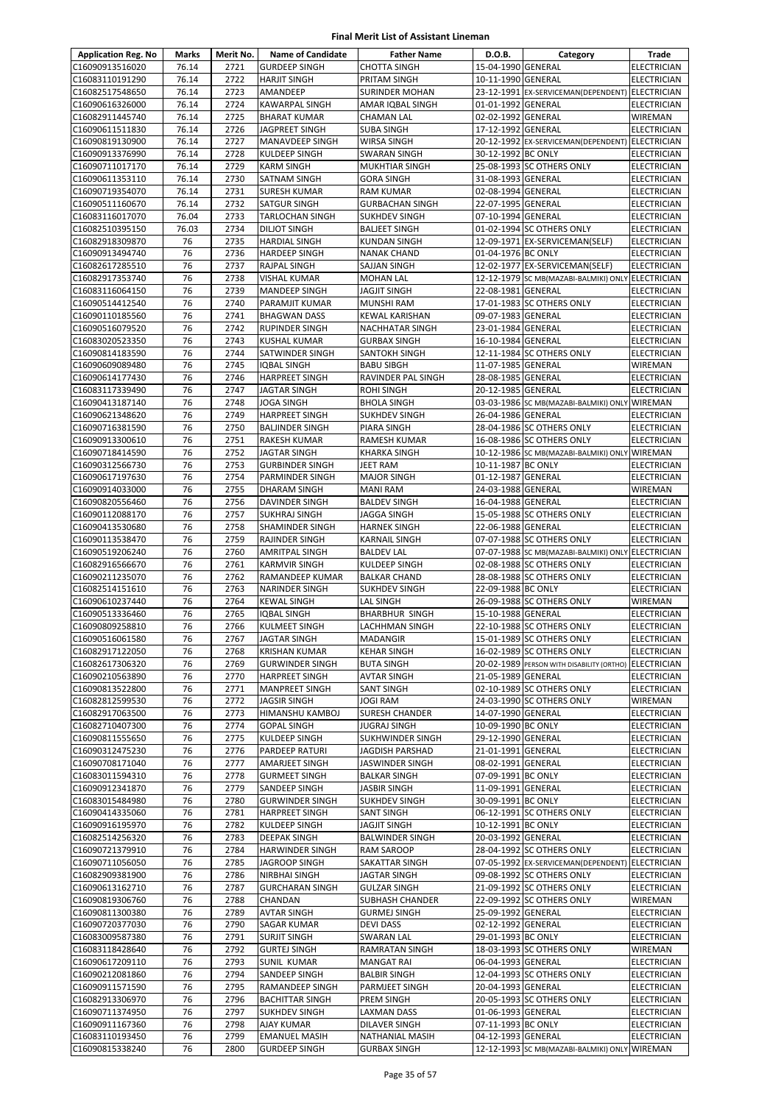| <b>Application Reg. No</b>         | Marks          | Merit No.    | <b>Name of Candidate</b>                        | <b>Father Name</b>                         | D.O.B.                                   | Category                                              | Trade                                    |
|------------------------------------|----------------|--------------|-------------------------------------------------|--------------------------------------------|------------------------------------------|-------------------------------------------------------|------------------------------------------|
| C16090913516020                    | 76.14          | 2721         | <b>GURDEEP SINGH</b>                            | <b>CHOTTA SINGH</b>                        | 15-04-1990 GENERAL                       |                                                       | <b>ELECTRICIAN</b>                       |
| C16083110191290                    | 76.14          | 2722         | <b>HARJIT SINGH</b>                             | PRITAM SINGH                               | 10-11-1990 GENERAL                       |                                                       | <b>ELECTRICIAN</b>                       |
| C16082517548650                    | 76.14          | 2723         | AMANDEEP                                        | <b>SURINDER MOHAN</b>                      |                                          | 23-12-1991 EX-SERVICEMAN(DEPENDENT) ELECTRICIAN       |                                          |
| C16090616326000                    | 76.14          | 2724         | KAWARPAL SINGH                                  | AMAR IQBAL SINGH                           | 01-01-1992 GENERAL                       |                                                       | <b>ELECTRICIAN</b>                       |
| C16082911445740                    | 76.14          | 2725         | <b>BHARAT KUMAR</b>                             | CHAMAN LAL                                 | 02-02-1992 GENERAL                       |                                                       | WIREMAN                                  |
| C16090611511830                    | 76.14          | 2726         | <b>JAGPREET SINGH</b>                           | <b>SUBA SINGH</b>                          | 17-12-1992 GENERAL                       |                                                       | <b>ELECTRICIAN</b>                       |
| C16090819130900                    | 76.14          | 2727         | <b>MANAVDEEP SINGH</b>                          | <b>WIRSA SINGH</b>                         |                                          | 20-12-1992 EX-SERVICEMAN(DEPENDENT) ELECTRICIAN       |                                          |
| C16090913376990                    | 76.14<br>76.14 | 2728<br>2729 | KULDEEP SINGH                                   | <b>SWARAN SINGH</b>                        | 30-12-1992 BC ONLY                       | 25-08-1993 SC OTHERS ONLY                             | <b>ELECTRICIAN</b>                       |
| C16090711017170<br>C16090611353110 | 76.14          | 2730         | <b>KARM SINGH</b><br>SATNAM SINGH               | MUKHTIAR SINGH<br><b>GORA SINGH</b>        | 31-08-1993 GENERAL                       |                                                       | <b>ELECTRICIAN</b><br><b>ELECTRICIAN</b> |
| C16090719354070                    | 76.14          | 2731         | <b>SURESH KUMAR</b>                             | RAM KUMAR                                  | 02-08-1994 GENERAL                       |                                                       | <b>ELECTRICIAN</b>                       |
| C16090511160670                    | 76.14          | 2732         | SATGUR SINGH                                    | <b>GURBACHAN SINGH</b>                     | 22-07-1995 GENERAL                       |                                                       | <b>ELECTRICIAN</b>                       |
| C16083116017070                    | 76.04          | 2733         | <b>TARLOCHAN SINGH</b>                          | <b>SUKHDEV SINGH</b>                       | 07-10-1994 GENERAL                       |                                                       | <b>ELECTRICIAN</b>                       |
| C16082510395150                    | 76.03          | 2734         | <b>DILIOT SINGH</b>                             | <b>BALJEET SINGH</b>                       |                                          | 01-02-1994 SC OTHERS ONLY                             | <b>ELECTRICIAN</b>                       |
| C16082918309870                    | 76             | 2735         | HARDIAL SINGH                                   | <b>KUNDAN SINGH</b>                        |                                          | 12-09-1971 EX-SERVICEMAN(SELF)                        | <b>ELECTRICIAN</b>                       |
| C16090913494740                    | 76             | 2736         | <b>HARDEEP SINGH</b>                            | <b>NANAK CHAND</b>                         | 01-04-1976 BC ONLY                       |                                                       | <b>ELECTRICIAN</b>                       |
| C16082617285510                    | 76             | 2737         | RAJPAL SINGH                                    | SAJJAN SINGH                               |                                          | 12-02-1977 EX-SERVICEMAN(SELF)                        | <b>ELECTRICIAN</b>                       |
| C16082917353740                    | 76             | 2738         | VISHAL KUMAR                                    | <b>MOHAN LAL</b>                           |                                          | 12-12-1979 SC MB(MAZABI-BALMIKI) ONLY ELECTRICIAN     |                                          |
| C16083116064150                    | 76             | 2739         | MANDEEP SINGH                                   | <b>JAGJIT SINGH</b>                        | 22-08-1981 GENERAL                       |                                                       | <b>ELECTRICIAN</b>                       |
| C16090514412540                    | 76             | 2740         | PARAMJIT KUMAR                                  | <b>MUNSHI RAM</b>                          |                                          | 17-01-1983 SC OTHERS ONLY                             | <b>ELECTRICIAN</b>                       |
| C16090110185560                    | 76             | 2741         | <b>BHAGWAN DASS</b>                             | KEWAL KARISHAN                             | 09-07-1983 GENERAL                       |                                                       | <b>ELECTRICIAN</b>                       |
| C16090516079520                    | 76             | 2742         | RUPINDER SINGH                                  | NACHHATAR SINGH                            | 23-01-1984 GENERAL                       |                                                       | <b>ELECTRICIAN</b>                       |
| C16083020523350                    | 76             | 2743         | KUSHAL KUMAR                                    | <b>GURBAX SINGH</b>                        | 16-10-1984 GENERAL                       |                                                       | <b>ELECTRICIAN</b>                       |
| C16090814183590                    | 76             | 2744         | SATWINDER SINGH                                 | SANTOKH SINGH                              |                                          | 12-11-1984 SC OTHERS ONLY                             | <b>ELECTRICIAN</b>                       |
| C16090609089480                    | 76             | 2745         | <b>IQBAL SINGH</b>                              | <b>BABU SIBGH</b>                          | 11-07-1985 GENERAL                       |                                                       | <b>WIREMAN</b>                           |
| C16090614177430                    | 76             | 2746         | <b>HARPREET SINGH</b>                           | RAVINDER PAL SINGH                         | 28-08-1985 GENERAL                       |                                                       | <b>ELECTRICIAN</b>                       |
| C16083117339490<br>C16090413187140 | 76<br>76       | 2747<br>2748 | JAGTAR SINGH<br><b>JOGA SINGH</b>               | ROHI SINGH                                 | 20-12-1985 GENERAL                       |                                                       | <b>ELECTRICIAN</b>                       |
|                                    | 76             | 2749         |                                                 | <b>BHOLA SINGH</b><br><b>SUKHDEV SINGH</b> | 26-04-1986 GENERAL                       | 03-03-1986 SC MB(MAZABI-BALMIKI) ONLY WIREMAN         |                                          |
| C16090621348620<br>C16090716381590 | 76             | 2750         | <b>HARPREET SINGH</b><br><b>BALJINDER SINGH</b> | PIARA SINGH                                |                                          | 28-04-1986 SC OTHERS ONLY                             | <b>ELECTRICIAN</b><br><b>ELECTRICIAN</b> |
| C16090913300610                    | 76             | 2751         | RAKESH KUMAR                                    | RAMESH KUMAR                               |                                          | 16-08-1986 SC OTHERS ONLY                             | <b>ELECTRICIAN</b>                       |
| C16090718414590                    | 76             | 2752         | JAGTAR SINGH                                    | <b>KHARKA SINGH</b>                        |                                          | 10-12-1986 SC MB(MAZABI-BALMIKI) ONLY WIREMAN         |                                          |
| C16090312566730                    | 76             | 2753         | <b>GURBINDER SINGH</b>                          | JEET RAM                                   | 10-11-1987 BC ONLY                       |                                                       | ELECTRICIAN                              |
| C16090617197630                    | 76             | 2754         | PARMINDER SINGH                                 | <b>MAJOR SINGH</b>                         | 01-12-1987 GENERAL                       |                                                       | <b>ELECTRICIAN</b>                       |
| C16090914033000                    | 76             | 2755         | <b>DHARAM SINGH</b>                             | <b>MANI RAM</b>                            | 24-03-1988 GENERAL                       |                                                       | <b>WIREMAN</b>                           |
| C16090820556460                    | 76             | 2756         | DAVINDER SINGH                                  | <b>BALDEV SINGH</b>                        | 16-04-1988 GENERAL                       |                                                       | <b>ELECTRICIAN</b>                       |
| C16090112088170                    | 76             | 2757         | <b>SUKHRAJ SINGH</b>                            | <b>JAGGA SINGH</b>                         |                                          | 15-05-1988 SC OTHERS ONLY                             | <b>ELECTRICIAN</b>                       |
| C16090413530680                    | 76             | 2758         | SHAMINDER SINGH                                 | <b>HARNEK SINGH</b>                        | 22-06-1988 GENERAL                       |                                                       | <b>ELECTRICIAN</b>                       |
| C16090113538470                    | 76             | 2759         | RAJINDER SINGH                                  | <b>KARNAIL SINGH</b>                       |                                          | 07-07-1988 SC OTHERS ONLY                             | <b>ELECTRICIAN</b>                       |
| C16090519206240                    | 76             | 2760         | AMRITPAL SINGH                                  | <b>BALDEV LAL</b>                          |                                          | 07-07-1988 SC MB(MAZABI-BALMIKI) ONLY ELECTRICIAN     |                                          |
| C16082916566670                    | 76             | 2761         | <b>KARMVIR SINGH</b>                            | <b>KULDEEP SINGH</b>                       |                                          | 02-08-1988 SC OTHERS ONLY                             | <b>ELECTRICIAN</b>                       |
| C16090211235070                    | 76             | 2762         | RAMANDEEP KUMAR                                 | <b>BALKAR CHAND</b>                        |                                          | 28-08-1988 SC OTHERS ONLY                             | <b>ELECTRICIAN</b>                       |
| C16082514151610                    | 76             | 2763         | <b>NARINDER SINGH</b>                           | <b>SUKHDEV SINGH</b>                       | 22-09-1988 BC ONLY                       |                                                       | <b>ELECTRICIAN</b>                       |
| C16090610237440                    | 76             | 2764         | <b>KEWAL SINGH</b>                              | LAL SINGH                                  |                                          | 26-09-1988 SC OTHERS ONLY                             | <b>WIREMAN</b>                           |
| C16090513336460                    | 76             | 2765         | <b>IQBAL SINGH</b>                              | <b>BHARBHUR SINGH</b>                      | 15-10-1988 GENERAL                       |                                                       | <b>ELECTRICIAN</b>                       |
| C16090809258810                    | 76             | 2766         | KULMEET SINGH                                   | LACHHMAN SINGH                             |                                          | 22-10-1988 SC OTHERS ONLY                             | <b>ELECTRICIAN</b>                       |
| C16090516061580                    | 76             | 2767         | <b>JAGTAR SINGH</b>                             | <b>MADANGIR</b>                            |                                          | 15-01-1989 SC OTHERS ONLY                             | <b>ELECTRICIAN</b>                       |
| C16082917122050                    | 76             | 2768         | <b>KRISHAN KUMAR</b>                            | <b>KEHAR SINGH</b>                         |                                          | 16-02-1989 SC OTHERS ONLY                             | <b>ELECTRICIAN</b>                       |
| C16082617306320<br>C16090210563890 | 76<br>76       | 2769<br>2770 | <b>GURWINDER SINGH</b><br><b>HARPREET SINGH</b> | <b>BUTA SINGH</b><br><b>AVTAR SINGH</b>    | 21-05-1989 GENERAL                       | 20-02-1989 PERSON WITH DISABILITY (ORTHO) ELECTRICIAN |                                          |
| C16090813522800                    | 76             | 2771         | MANPREET SINGH                                  | <b>SANT SINGH</b>                          |                                          | 02-10-1989 SC OTHERS ONLY                             | <b>ELECTRICIAN</b><br><b>ELECTRICIAN</b> |
| C16082812599530                    | 76             | 2772         | <b>JAGSIR SINGH</b>                             | <b>JOGI RAM</b>                            |                                          | 24-03-1990 SC OTHERS ONLY                             | WIREMAN                                  |
| C16082917063500                    | 76             | 2773         | HIMANSHU KAMBOJ                                 | SURESH CHANDER                             | 14-07-1990 GENERAL                       |                                                       | <b>ELECTRICIAN</b>                       |
| C16082710407300                    | 76             | 2774         | <b>GOPAL SINGH</b>                              | <b>JUGRAJ SINGH</b>                        | 10-09-1990 BC ONLY                       |                                                       | <b>ELECTRICIAN</b>                       |
| C16090811555650                    | 76             | 2775         | KULDEEP SINGH                                   | SUKHWINDER SINGH                           | 29-12-1990 GENERAL                       |                                                       | <b>ELECTRICIAN</b>                       |
| C16090312475230                    | 76             | 2776         | PARDEEP RATURI                                  | JAGDISH PARSHAD                            | 21-01-1991 GENERAL                       |                                                       | <b>ELECTRICIAN</b>                       |
| C16090708171040                    | 76             | 2777         | AMARJEET SINGH                                  | <b>JASWINDER SINGH</b>                     | 08-02-1991 GENERAL                       |                                                       | <b>ELECTRICIAN</b>                       |
| C16083011594310                    | 76             | 2778         | <b>GURMEET SINGH</b>                            | <b>BALKAR SINGH</b>                        | 07-09-1991 BC ONLY                       |                                                       | <b>ELECTRICIAN</b>                       |
| C16090912341870                    | 76             | 2779         | SANDEEP SINGH                                   | <b>JASBIR SINGH</b>                        | 11-09-1991 GENERAL                       |                                                       | <b>ELECTRICIAN</b>                       |
| C16083015484980                    | 76             | 2780         | <b>GURWINDER SINGH</b>                          | <b>SUKHDEV SINGH</b>                       | 30-09-1991 BC ONLY                       |                                                       | ELECTRICIAN                              |
| C16090414335060                    | 76             | 2781         | <b>HARPREET SINGH</b>                           | <b>SANT SINGH</b>                          |                                          | 06-12-1991 SC OTHERS ONLY                             | <b>ELECTRICIAN</b>                       |
| C16090916195970                    | 76             | 2782         | KULDEEP SINGH                                   | <b>JAGJIT SINGH</b>                        | 10-12-1991 BC ONLY                       |                                                       | <b>ELECTRICIAN</b>                       |
| C16082514256320                    | 76             | 2783         | DEEPAK SINGH                                    | <b>BALWINDER SINGH</b>                     | 20-03-1992 GENERAL                       |                                                       | <b>ELECTRICIAN</b>                       |
| C16090721379910                    | 76             | 2784         | <b>HARWINDER SINGH</b>                          | RAM SAROOP                                 |                                          | 28-04-1992 SC OTHERS ONLY                             | <b>ELECTRICIAN</b>                       |
| C16090711056050                    | 76             | 2785         | JAGROOP SINGH                                   | SAKATTAR SINGH                             |                                          | 07-05-1992 EX-SERVICEMAN(DEPENDENT) ELECTRICIAN       |                                          |
| C16082909381900                    | 76             | 2786         | NIRBHAI SINGH                                   | JAGTAR SINGH                               |                                          | 09-08-1992 SC OTHERS ONLY                             | <b>ELECTRICIAN</b>                       |
| C16090613162710                    | 76             | 2787         | <b>GURCHARAN SINGH</b>                          | <b>GULZAR SINGH</b>                        |                                          | 21-09-1992 SC OTHERS ONLY                             | <b>ELECTRICIAN</b>                       |
| C16090819306760                    | 76             | 2788         | CHANDAN                                         | SUBHASH CHANDER                            |                                          | 22-09-1992 SC OTHERS ONLY                             | WIREMAN                                  |
| C16090811300380                    | 76<br>76       | 2789         | <b>AVTAR SINGH</b>                              | <b>GURMEJ SINGH</b>                        | 25-09-1992 GENERAL                       |                                                       | <b>ELECTRICIAN</b>                       |
| C16090720377030<br>C16083009587380 | 76             | 2790<br>2791 | SAGAR KUMAR<br><b>SURJIT SINGH</b>              | <b>DEVI DASS</b><br>SWARAN LAL             | 02-12-1992 GENERAL<br>29-01-1993 BC ONLY |                                                       | <b>ELECTRICIAN</b><br><b>ELECTRICIAN</b> |
| C16083118428640                    | 76             | 2792         | <b>GURTEJ SINGH</b>                             | <b>RAMRATAN SINGH</b>                      |                                          | 18-03-1993 SC OTHERS ONLY                             | WIREMAN                                  |
| C16090617209110                    | 76             | 2793         | SUNIL KUMAR                                     | <b>MANGAT RAI</b>                          | 06-04-1993 GENERAL                       |                                                       | ELECTRICIAN                              |
| C16090212081860                    | 76             | 2794         | SANDEEP SINGH                                   | <b>BALBIR SINGH</b>                        |                                          | 12-04-1993 SC OTHERS ONLY                             | <b>ELECTRICIAN</b>                       |
| C16090911571590                    | 76             | 2795         | RAMANDEEP SINGH                                 | PARMJEET SINGH                             | 20-04-1993 GENERAL                       |                                                       | <b>ELECTRICIAN</b>                       |
| C16082913306970                    | 76             | 2796         | <b>BACHITTAR SINGH</b>                          | PREM SINGH                                 |                                          | 20-05-1993 SC OTHERS ONLY                             | <b>ELECTRICIAN</b>                       |
| C16090711374950                    | 76             | 2797         | SUKHDEV SINGH                                   | LAXMAN DASS                                | 01-06-1993 GENERAL                       |                                                       | ELECTRICIAN                              |
| C16090911167360                    | 76             | 2798         | AJAY KUMAR                                      | <b>DILAVER SINGH</b>                       | 07-11-1993 BC ONLY                       |                                                       | <b>ELECTRICIAN</b>                       |
| C16083110193450                    | 76             | 2799         | <b>EMANUEL MASIH</b>                            | NATHANIAL MASIH                            | 04-12-1993 GENERAL                       |                                                       | <b>ELECTRICIAN</b>                       |
| C16090815338240                    | 76             | 2800         | <b>GURDEEP SINGH</b>                            | <b>GURBAX SINGH</b>                        |                                          | 12-12-1993 SC MB(MAZABI-BALMIKI) ONLY WIREMAN         |                                          |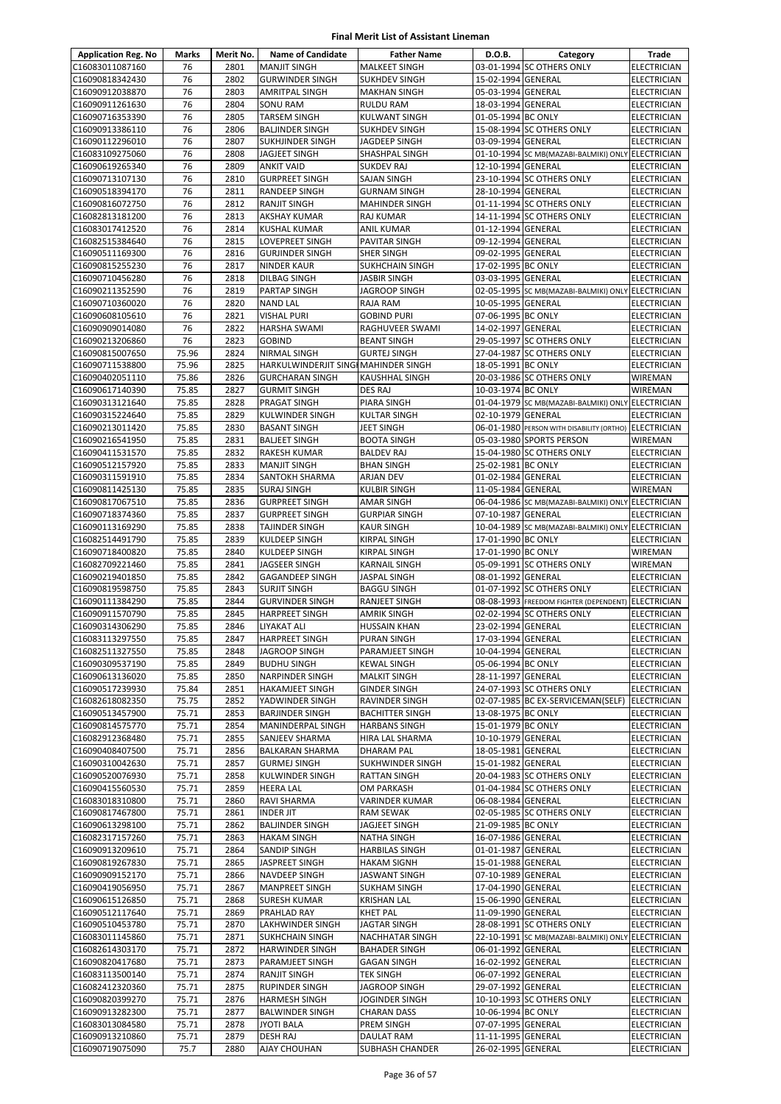| <b>Application Reg. No</b>         | Marks          | Merit No.    | <b>Name of Candidate</b>                      | <b>Father Name</b>                       | D.O.B.                                   | Category                                                           | Trade                                    |
|------------------------------------|----------------|--------------|-----------------------------------------------|------------------------------------------|------------------------------------------|--------------------------------------------------------------------|------------------------------------------|
| C16083011087160                    | 76             | 2801         | <b>MANJIT SINGH</b>                           | <b>MALKEET SINGH</b>                     |                                          | 03-01-1994 SC OTHERS ONLY                                          | <b>ELECTRICIAN</b>                       |
| C16090818342430                    | 76             | 2802         | <b>GURWINDER SINGH</b>                        | <b>SUKHDEV SINGH</b>                     | 15-02-1994 GENERAL                       |                                                                    | ELECTRICIAN                              |
| C16090912038870                    | 76             | 2803         | <b>AMRITPAL SINGH</b>                         | <b>MAKHAN SINGH</b>                      | 05-03-1994 GENERAL                       |                                                                    | ELECTRICIAN                              |
| C16090911261630                    | 76             | 2804         | <b>SONU RAM</b>                               | RULDU RAM                                | 18-03-1994 GENERAL                       |                                                                    | ELECTRICIAN                              |
| C16090716353390                    | 76             | 2805         | <b>TARSEM SINGH</b>                           | KULWANT SINGH                            | 01-05-1994 BC ONLY                       |                                                                    | <b>ELECTRICIAN</b>                       |
| C16090913386110                    | 76             | 2806         | <b>BALJINDER SINGH</b>                        | <b>SUKHDEV SINGH</b>                     |                                          | 15-08-1994 SC OTHERS ONLY                                          | <b>ELECTRICIAN</b>                       |
| C16090112296010                    | 76             | 2807         | <b>SUKHJINDER SINGH</b>                       | JAGDEEP SINGH                            | 03-09-1994 GENERAL                       |                                                                    | <b>ELECTRICIAN</b>                       |
| C16083109275060<br>C16090619265340 | 76<br>76       | 2808<br>2809 | <b>JAGJEET SINGH</b>                          | SHASHPAL SINGH                           |                                          | 01-10-1994 SC MB(MAZABI-BALMIKI) ONLY ELECTRICIAN                  |                                          |
| C16090713107130                    | 76             | 2810         | <b>ANKIT VAID</b><br><b>GURPREET SINGH</b>    | <b>SUKDEV RAJ</b><br>SAJAN SINGH         | 12-10-1994 GENERAL                       | 23-10-1994 SC OTHERS ONLY                                          | <b>ELECTRICIAN</b><br><b>ELECTRICIAN</b> |
| C16090518394170                    | 76             | 2811         | <b>RANDEEP SINGH</b>                          | <b>GURNAM SINGH</b>                      | 28-10-1994 GENERAL                       |                                                                    | <b>ELECTRICIAN</b>                       |
| C16090816072750                    | 76             | 2812         | <b>RANJIT SINGH</b>                           | <b>MAHINDER SINGH</b>                    |                                          | 01-11-1994 SC OTHERS ONLY                                          | <b>ELECTRICIAN</b>                       |
| C16082813181200                    | 76             | 2813         | <b>AKSHAY KUMAR</b>                           | <b>RAJ KUMAR</b>                         |                                          | 14-11-1994 SC OTHERS ONLY                                          | <b>ELECTRICIAN</b>                       |
| C16083017412520                    | 76             | 2814         | <b>KUSHAL KUMAR</b>                           | <b>ANIL KUMAR</b>                        | 01-12-1994 GENERAL                       |                                                                    | ELECTRICIAN                              |
| C16082515384640                    | 76             | 2815         | LOVEPREET SINGH                               | PAVITAR SINGH                            | 09-12-1994 GENERAL                       |                                                                    | ELECTRICIAN                              |
| C16090511169300                    | 76             | 2816         | <b>GURJINDER SINGH</b>                        | SHER SINGH                               | 09-02-1995 GENERAL                       |                                                                    | <b>ELECTRICIAN</b>                       |
| C16090815255230                    | 76             | 2817         | <b>NINDER KAUR</b>                            | <b>SUKHCHAIN SINGH</b>                   | 17-02-1995 BC ONLY                       |                                                                    | <b>ELECTRICIAN</b>                       |
| C16090710456280                    | 76             | 2818         | DILBAG SINGH                                  | <b>JASBIR SINGH</b>                      | 03-03-1995 GENERAL                       |                                                                    | <b>ELECTRICIAN</b>                       |
| C16090211352590                    | 76             | 2819         | <b>PARTAP SINGH</b>                           | JAGROOP SINGH                            |                                          | 02-05-1995 SC MB(MAZABI-BALMIKI) ONLY ELECTRICIAN                  |                                          |
| C16090710360020                    | 76             | 2820         | <b>NAND LAL</b>                               | RAJA RAM                                 | 10-05-1995 GENERAL                       |                                                                    | <b>ELECTRICIAN</b>                       |
| C16090608105610                    | 76<br>76       | 2821<br>2822 | <b>VISHAL PURI</b>                            | <b>GOBIND PURI</b>                       | 07-06-1995 BC ONLY<br>14-02-1997 GENERAL |                                                                    | <b>ELECTRICIAN</b>                       |
| C16090909014080<br>C16090213206860 | 76             | 2823         | <b>HARSHA SWAMI</b><br><b>GOBIND</b>          | RAGHUVEER SWAMI<br><b>BEANT SINGH</b>    |                                          | 29-05-1997 SC OTHERS ONLY                                          | ELECTRICIAN<br><b>ELECTRICIAN</b>        |
| C16090815007650                    | 75.96          | 2824         | <b>NIRMAL SINGH</b>                           | <b>GURTEJ SINGH</b>                      |                                          | 27-04-1987 SC OTHERS ONLY                                          | ELECTRICIAN                              |
| C16090711538800                    | 75.96          | 2825         | HARKULWINDERJIT SINGI MAHINDER SINGH          |                                          | 18-05-1991 BC ONLY                       |                                                                    | <b>ELECTRICIAN</b>                       |
| C16090402051110                    | 75.86          | 2826         | <b>GURCHARAN SINGH</b>                        | <b>KAUSHHAL SINGH</b>                    |                                          | 20-03-1986 SC OTHERS ONLY                                          | WIREMAN                                  |
| C16090617140390                    | 75.85          | 2827         | <b>GURMIT SINGH</b>                           | DES RAJ                                  | 10-03-1974 BC ONLY                       |                                                                    | WIREMAN                                  |
| C16090313121640                    | 75.85          | 2828         | <b>PRAGAT SINGH</b>                           | PIARA SINGH                              |                                          | 01-04-1979 SC MB(MAZABI-BALMIKI) ONLY ELECTRICIAN                  |                                          |
| C16090315224640                    | 75.85          | 2829         | <b>KULWINDER SINGH</b>                        | <b>KULTAR SINGH</b>                      | 02-10-1979 GENERAL                       |                                                                    | <b>ELECTRICIAN</b>                       |
| C16090213011420                    | 75.85          | 2830         | <b>BASANT SINGH</b>                           | JEET SINGH                               |                                          | 06-01-1980 PERSON WITH DISABILITY (ORTHO) ELECTRICIAN              |                                          |
| C16090216541950                    | 75.85          | 2831         | <b>BALJEET SINGH</b>                          | <b>BOOTA SINGH</b>                       |                                          | 05-03-1980 SPORTS PERSON                                           | WIREMAN                                  |
| C16090411531570                    | 75.85          | 2832         | <b>RAKESH KUMAR</b>                           | <b>BALDEV RAJ</b>                        |                                          | 15-04-1980 SC OTHERS ONLY                                          | <b>ELECTRICIAN</b>                       |
| C16090512157920                    | 75.85          | 2833         | <b>MANJIT SINGH</b>                           | <b>BHAN SINGH</b>                        | 25-02-1981 BC ONLY                       |                                                                    | ELECTRICIAN                              |
| C16090311591910                    | 75.85          | 2834         | <b>SANTOKH SHARMA</b>                         | ARJAN DEV                                | 01-02-1984 GENERAL                       |                                                                    | ELECTRICIAN                              |
| C16090811425130<br>C16090817067510 | 75.85<br>75.85 | 2835<br>2836 | <b>SURAJ SINGH</b><br><b>GURPREET SINGH</b>   | <b>KULBIR SINGH</b><br><b>AMAR SINGH</b> | 11-05-1984 GENERAL                       | 06-04-1986 SC MB(MAZABI-BALMIKI) ONLY ELECTRICIAN                  | <b>WIREMAN</b>                           |
| C16090718374360                    | 75.85          | 2837         | <b>GURPREET SINGH</b>                         | <b>GURPIAR SINGH</b>                     | 07-10-1987 GENERAL                       |                                                                    | <b>ELECTRICIAN</b>                       |
| C16090113169290                    | 75.85          | 2838         | <b>TAJINDER SINGH</b>                         | <b>KAUR SINGH</b>                        |                                          | 10-04-1989 SC MB(MAZABI-BALMIKI) ONLY ELECTRICIAN                  |                                          |
| C16082514491790                    | 75.85          | 2839         | KULDEEP SINGH                                 | KIRPAL SINGH                             | 17-01-1990 BC ONLY                       |                                                                    | ELECTRICIAN                              |
| C16090718400820                    | 75.85          | 2840         | <b>KULDEEP SINGH</b>                          | KIRPAL SINGH                             | 17-01-1990 BC ONLY                       |                                                                    | WIREMAN                                  |
| C16082709221460                    | 75.85          | 2841         | <b>JAGSEER SINGH</b>                          | <b>KARNAIL SINGH</b>                     |                                          | 05-09-1991 SC OTHERS ONLY                                          | WIREMAN                                  |
| C16090219401850                    | 75.85          | 2842         | <b>GAGANDEEP SINGH</b>                        | JASPAL SINGH                             | 08-01-1992 GENERAL                       |                                                                    | <b>ELECTRICIAN</b>                       |
| C16090819598750                    | 75.85          | 2843         | <b>SURJIT SINGH</b>                           | <b>BAGGU SINGH</b>                       |                                          | 01-07-1992 SC OTHERS ONLY                                          | <b>ELECTRICIAN</b>                       |
| C16090111384290                    | 75.85          | 2844         | <b>GURVINDER SINGH</b>                        | RANJEET SINGH                            |                                          | 08-08-1993 FREEDOM FIGHTER (DEPENDENT) ELECTRICIAN                 |                                          |
| C16090911570790                    | 75.85          | 2845         | <b>HARPREET SINGH</b>                         | <b>AMRIK SINGH</b>                       |                                          | 02-02-1994 SC OTHERS ONLY                                          | <b>ELECTRICIAN</b>                       |
| C16090314306290                    | 75.85          | 2846         | <b>LIYAKAT ALI</b>                            | <b>HUSSAIN KHAN</b>                      | 23-02-1994 GENERAL                       |                                                                    | <b>ELECTRICIAN</b>                       |
| C16083113297550                    | 75.85          | 2847<br>2848 | <b>HARPREET SINGH</b><br><b>JAGROOP SINGH</b> | <b>PURAN SINGH</b>                       | 17-03-1994 GENERAL                       |                                                                    | <b>ELECTRICIAN</b>                       |
| C16082511327550<br>C16090309537190 | 75.85<br>75.85 | 2849         | <b>BUDHU SINGH</b>                            | PARAMJEET SINGH<br><b>KEWAL SINGH</b>    | 10-04-1994 GENERAL<br>05-06-1994 BC ONLY |                                                                    | <b>ELECTRICIAN</b><br><b>ELECTRICIAN</b> |
| C16090613136020                    | 75.85          | 2850         | <b>NARPINDER SINGH</b>                        | <b>MALKIT SINGH</b>                      | 28-11-1997 GENERAL                       |                                                                    | ELECTRICIAN                              |
| C16090517239930                    | 75.84          | 2851         | <b>HAKAMJEET SINGH</b>                        | <b>GINDER SINGH</b>                      |                                          | 24-07-1993 SC OTHERS ONLY                                          | <b>ELECTRICIAN</b>                       |
| C16082618082350                    | 75.75          | 2852         | YADWINDER SINGH                               | RAVINDER SINGH                           |                                          | 02-07-1985 BC EX-SERVICEMAN(SELF)                                  | <b>ELECTRICIAN</b>                       |
| C16090513457900                    | 75.71          | 2853         | <b>BARJINDER SINGH</b>                        | <b>BACHITTER SINGH</b>                   | 13-08-1975 BC ONLY                       |                                                                    | ELECTRICIAN                              |
| C16090814575770                    | 75.71          | 2854         | MANINDERPAL SINGH                             | <b>HARBANS SINGH</b>                     | 15-01-1979 BC ONLY                       |                                                                    | <b>ELECTRICIAN</b>                       |
| C16082912368480                    | 75.71          | 2855         | SANJEEV SHARMA                                | HIRA LAL SHARMA                          | 10-10-1979 GENERAL                       |                                                                    | <b>ELECTRICIAN</b>                       |
| C16090408407500                    | 75.71          | 2856         | <b>BALKARAN SHARMA</b>                        | <b>DHARAM PAL</b>                        | 18-05-1981 GENERAL                       |                                                                    | <b>ELECTRICIAN</b>                       |
| C16090310042630                    | 75.71          | 2857         | <b>GURMEJ SINGH</b>                           | SUKHWINDER SINGH                         | 15-01-1982 GENERAL                       |                                                                    | ELECTRICIAN                              |
| C16090520076930<br>C16090415560530 | 75.71<br>75.71 | 2858<br>2859 | KULWINDER SINGH<br><b>HEERA LAL</b>           | RATTAN SINGH<br>OM PARKASH               |                                          | 20-04-1983 SC OTHERS ONLY<br>01-04-1984 SC OTHERS ONLY             | ELECTRICIAN<br>ELECTRICIAN               |
| C16083018310800                    | 75.71          | 2860         | RAVI SHARMA                                   | VARINDER KUMAR                           | 06-08-1984 GENERAL                       |                                                                    | ELECTRICIAN                              |
| C16090817467800                    | 75.71          | 2861         | <b>INDER JIT</b>                              | RAM SEWAK                                |                                          | 02-05-1985 SC OTHERS ONLY                                          | <b>ELECTRICIAN</b>                       |
| C16090613298100                    | 75.71          | 2862         | <b>BALJINDER SINGH</b>                        | JAGJEET SINGH                            | 21-09-1985 BC ONLY                       |                                                                    | ELECTRICIAN                              |
| C16082317157260                    | 75.71          | 2863         | <b>HAKAM SINGH</b>                            | NATHA SINGH                              | 16-07-1986 GENERAL                       |                                                                    | ELECTRICIAN                              |
| C16090913209610                    | 75.71          | 2864         | <b>SANDIP SINGH</b>                           | HARBILAS SINGH                           | 01-01-1987 GENERAL                       |                                                                    | ELECTRICIAN                              |
| C16090819267830                    | 75.71          | 2865         | JASPREET SINGH                                | HAKAM SIGNH                              | 15-01-1988 GENERAL                       |                                                                    | ELECTRICIAN                              |
| C16090909152170                    | 75.71          | 2866         | <b>NAVDEEP SINGH</b>                          | JASWANT SINGH                            | 07-10-1989 GENERAL                       |                                                                    | ELECTRICIAN                              |
| C16090419056950                    | 75.71          | 2867         | <b>MANPREET SINGH</b>                         | <b>SUKHAM SINGH</b>                      | 17-04-1990 GENERAL                       |                                                                    | ELECTRICIAN                              |
| C16090615126850                    | 75.71          | 2868         | SURESH KUMAR                                  | <b>KRISHAN LAL</b>                       | 15-06-1990 GENERAL                       |                                                                    | <b>ELECTRICIAN</b>                       |
| C16090512117640                    | 75.71          | 2869         | PRAHLAD RAY                                   | <b>KHET PAL</b>                          | 11-09-1990 GENERAL                       |                                                                    | ELECTRICIAN                              |
| C16090510453780<br>C16083011145860 | 75.71<br>75.71 | 2870<br>2871 | LAKHWINDER SINGH<br><b>SUKHCHAIN SINGH</b>    | JAGTAR SINGH<br>NACHHATAR SINGH          |                                          | 28-08-1991 SC OTHERS ONLY<br>22-10-1991 SC MB(MAZABI-BALMIKI) ONLY | <b>ELECTRICIAN</b><br><b>ELECTRICIAN</b> |
| C16082614303170                    | 75.71          | 2872         | <b>HARWINDER SINGH</b>                        | <b>BAHADER SINGH</b>                     | 06-01-1992 GENERAL                       |                                                                    | ELECTRICIAN                              |
| C16090820417680                    | 75.71          | 2873         | PARAMJEET SINGH                               | <b>GAGAN SINGH</b>                       | 16-02-1992 GENERAL                       |                                                                    | <b>ELECTRICIAN</b>                       |
| C16083113500140                    | 75.71          | 2874         | <b>RANJIT SINGH</b>                           | <b>TEK SINGH</b>                         | 06-07-1992 GENERAL                       |                                                                    | <b>ELECTRICIAN</b>                       |
| C16082412320360                    | 75.71          | 2875         | <b>RUPINDER SINGH</b>                         | JAGROOP SINGH                            | 29-07-1992 GENERAL                       |                                                                    | ELECTRICIAN                              |
| C16090820399270                    | 75.71          | 2876         | <b>HARMESH SINGH</b>                          | JOGINDER SINGH                           |                                          | 10-10-1993 SC OTHERS ONLY                                          | ELECTRICIAN                              |
| C16090913282300                    | 75.71          | 2877         | <b>BALWINDER SINGH</b>                        | CHARAN DASS                              | 10-06-1994 BC ONLY                       |                                                                    | ELECTRICIAN                              |
| C16083013084580                    | 75.71          | 2878         | <b>JYOTI BALA</b>                             | PREM SINGH                               | 07-07-1995 GENERAL                       |                                                                    | <b>ELECTRICIAN</b>                       |
| C16090913210860                    | 75.71          | 2879         | <b>DESH RAJ</b>                               | DAULAT RAM                               | 11-11-1995 GENERAL                       |                                                                    | ELECTRICIAN                              |
| C16090719075090                    | 75.7           | 2880         | <b>AJAY CHOUHAN</b>                           | SUBHASH CHANDER                          | 26-02-1995 GENERAL                       |                                                                    | ELECTRICIAN                              |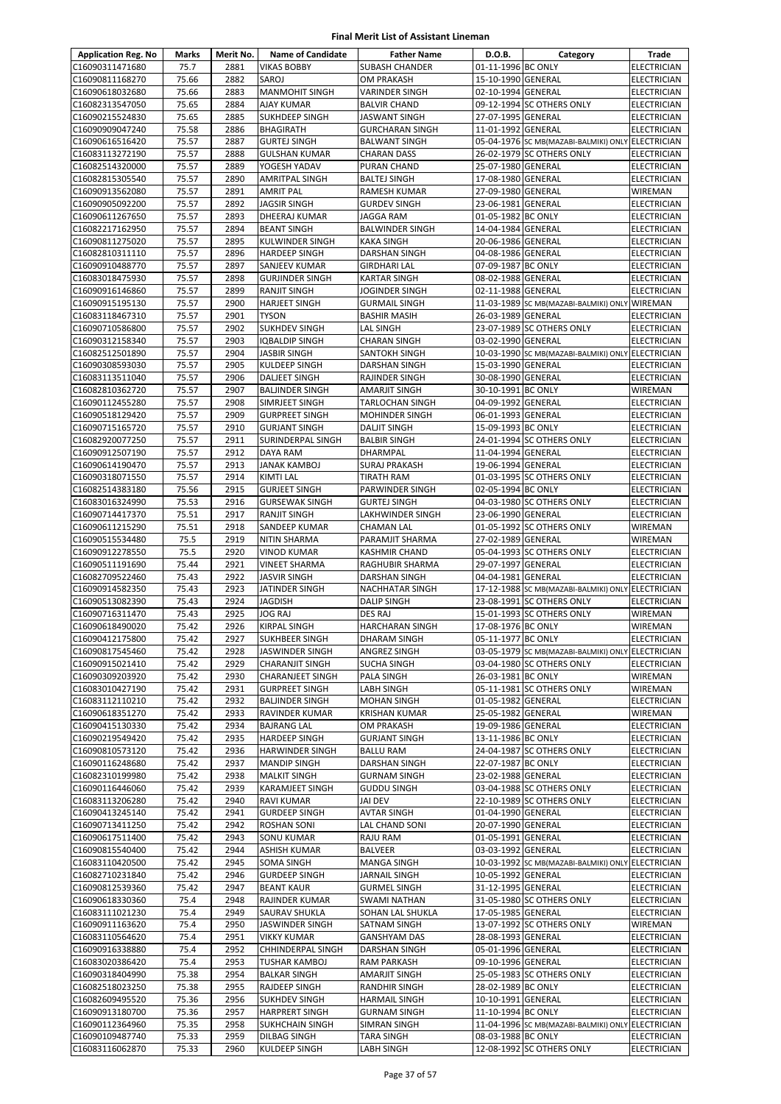| <b>Application Reg. No</b>         | Marks          | Merit No.    | <b>Name of Candidate</b>                     | <b>Father Name</b>                             | D.O.B.                                   | Category                                               | Trade                                    |
|------------------------------------|----------------|--------------|----------------------------------------------|------------------------------------------------|------------------------------------------|--------------------------------------------------------|------------------------------------------|
| C16090311471680                    | 75.7           | 2881         | <b>VIKAS BOBBY</b>                           | <b>SUBASH CHANDER</b>                          | 01-11-1996 BC ONLY                       |                                                        | <b>ELECTRICIAN</b>                       |
| C16090811168270                    | 75.66          | 2882         | SAROJ                                        | <b>OM PRAKASH</b>                              | 15-10-1990 GENERAL                       |                                                        | <b>ELECTRICIAN</b>                       |
| C16090618032680                    | 75.66          | 2883         | <b>MANMOHIT SINGH</b>                        | <b>VARINDER SINGH</b>                          | 02-10-1994 GENERAL                       |                                                        | ELECTRICIAN                              |
| C16082313547050                    | 75.65          | 2884         | <b>AJAY KUMAR</b>                            | <b>BALVIR CHAND</b>                            |                                          | 09-12-1994 SC OTHERS ONLY                              | <b>ELECTRICIAN</b>                       |
| C16090215524830                    | 75.65          | 2885         | <b>SUKHDEEP SINGH</b>                        | JASWANT SINGH                                  | 27-07-1995 GENERAL                       |                                                        | ELECTRICIAN                              |
| C16090909047240                    | 75.58          | 2886         | <b>BHAGIRATH</b>                             | <b>GURCHARAN SINGH</b>                         | 11-01-1992 GENERAL                       |                                                        | <b>ELECTRICIAN</b>                       |
| C16090616516420                    | 75.57          | 2887         | <b>GURTEJ SINGH</b>                          | <b>BALWANT SINGH</b>                           |                                          | 05-04-1976 SC MB(MAZABI-BALMIKI) ONLY ELECTRICIAN      |                                          |
| C16083113272190                    | 75.57          | 2888         | <b>GULSHAN KUMAR</b>                         | CHARAN DASS                                    |                                          | 26-02-1979 SC OTHERS ONLY                              | <b>ELECTRICIAN</b>                       |
| C16082514320000                    | 75.57          | 2889         | YOGESH YADAV                                 | PURAN CHAND                                    | 25-07-1980 GENERAL                       |                                                        | <b>ELECTRICIAN</b>                       |
| C16082815305540                    | 75.57          | 2890         | <b>AMRITPAL SINGH</b>                        | <b>BALTEJ SINGH</b>                            | 17-08-1980 GENERAL                       |                                                        | ELECTRICIAN                              |
| C16090913562080                    | 75.57          | 2891         | <b>AMRIT PAL</b>                             | RAMESH KUMAR                                   | 27-09-1980 GENERAL                       |                                                        | <b>WIREMAN</b>                           |
| C16090905092200                    | 75.57          | 2892         | <b>JAGSIR SINGH</b>                          | <b>GURDEV SINGH</b>                            | 23-06-1981 GENERAL                       |                                                        | <b>ELECTRICIAN</b>                       |
| C16090611267650<br>C16082217162950 | 75.57          | 2893<br>2894 | DHEERAJ KUMAR<br><b>BEANT SINGH</b>          | JAGGA RAM<br><b>BALWINDER SINGH</b>            | 01-05-1982 BC ONLY<br>14-04-1984 GENERAL |                                                        | <b>ELECTRICIAN</b>                       |
| C16090811275020                    | 75.57<br>75.57 | 2895         | KULWINDER SINGH                              | KAKA SINGH                                     | 20-06-1986 GENERAL                       |                                                        | <b>ELECTRICIAN</b><br><b>ELECTRICIAN</b> |
| C16082810311110                    | 75.57          | 2896         | <b>HARDEEP SINGH</b>                         | DARSHAN SINGH                                  | 04-08-1986 GENERAL                       |                                                        | <b>ELECTRICIAN</b>                       |
| C16090910488770                    | 75.57          | 2897         | SANJEEV KUMAR                                | GIRDHARI LAL                                   | 07-09-1987 BC ONLY                       |                                                        | <b>ELECTRICIAN</b>                       |
| C16083018475930                    | 75.57          | 2898         | <b>GURJINDER SINGH</b>                       | KARTAR SINGH                                   | 08-02-1988 GENERAL                       |                                                        | <b>ELECTRICIAN</b>                       |
| C16090916146860                    | 75.57          | 2899         | <b>RANJIT SINGH</b>                          | JOGINDER SINGH                                 | 02-11-1988 GENERAL                       |                                                        | <b>ELECTRICIAN</b>                       |
| C16090915195130                    | 75.57          | 2900         | <b>HARJEET SINGH</b>                         | <b>GURMAIL SINGH</b>                           |                                          | 11-03-1989 SC MB(MAZABI-BALMIKI) ONLY WIREMAN          |                                          |
| C16083118467310                    | 75.57          | 2901         | <b>TYSON</b>                                 | <b>BASHIR MASIH</b>                            | 26-03-1989 GENERAL                       |                                                        | <b>ELECTRICIAN</b>                       |
| C16090710586800                    | 75.57          | 2902         | <b>SUKHDEV SINGH</b>                         | LAL SINGH                                      |                                          | 23-07-1989 SC OTHERS ONLY                              | ELECTRICIAN                              |
| C16090312158340                    | 75.57          | 2903         | <b>IQBALDIP SINGH</b>                        | <b>CHARAN SINGH</b>                            | 03-02-1990 GENERAL                       |                                                        | <b>ELECTRICIAN</b>                       |
| C16082512501890                    | 75.57          | 2904         | <b>JASBIR SINGH</b>                          | SANTOKH SINGH                                  |                                          | 10-03-1990 SC MB(MAZABI-BALMIKI) ONLY ELECTRICIAN      |                                          |
| C16090308593030                    | 75.57          | 2905         | KULDEEP SINGH                                | DARSHAN SINGH                                  | 15-03-1990 GENERAL                       |                                                        | <b>ELECTRICIAN</b>                       |
| C16083113511040                    | 75.57          | 2906         | <b>DALJEET SINGH</b>                         | RAJINDER SINGH                                 | 30-08-1990 GENERAL                       |                                                        | <b>ELECTRICIAN</b>                       |
| C16082810362720                    | 75.57          | 2907         | <b>BALJINDER SINGH</b>                       | AMARJIT SINGH                                  | 30-10-1991 BC ONLY                       |                                                        | WIREMAN                                  |
| C16090112455280                    | 75.57          | 2908         | SIMRJEET SINGH                               | <b>TARLOCHAN SINGH</b>                         | 04-09-1992 GENERAL                       |                                                        | <b>ELECTRICIAN</b>                       |
| C16090518129420                    | 75.57          | 2909         | <b>GURPREET SINGH</b>                        | <b>MOHINDER SINGH</b>                          | 06-01-1993 GENERAL                       |                                                        | <b>ELECTRICIAN</b>                       |
| C16090715165720                    | 75.57          | 2910         | <b>GURJANT SINGH</b>                         | <b>DALJIT SINGH</b>                            | 15-09-1993 BC ONLY                       |                                                        | <b>ELECTRICIAN</b>                       |
| C16082920077250                    | 75.57          | 2911         | SURINDERPAL SINGH                            | <b>BALBIR SINGH</b>                            |                                          | 24-01-1994 SC OTHERS ONLY                              | ELECTRICIAN                              |
| C16090912507190                    | 75.57          | 2912         | DAYA RAM                                     | DHARMPAL                                       | 11-04-1994 GENERAL                       |                                                        | ELECTRICIAN                              |
| C16090614190470                    | 75.57          | 2913         | <b>JANAK KAMBOJ</b>                          | <b>SURAJ PRAKASH</b>                           | 19-06-1994 GENERAL                       |                                                        | <b>ELECTRICIAN</b>                       |
| C16090318071550                    | 75.57          | 2914         | KIMTI LAL                                    | TIRATH RAM                                     |                                          | 01-03-1995 SC OTHERS ONLY                              | ELECTRICIAN                              |
| C16082514383180                    | 75.56          | 2915         | <b>GURJEET SINGH</b>                         | PARWINDER SINGH                                | 02-05-1994 BC ONLY                       |                                                        | ELECTRICIAN                              |
| C16083016324990                    | 75.53          | 2916         | <b>GURSEWAK SINGH</b>                        | <b>GURTEJ SINGH</b>                            |                                          | 04-03-1980 SC OTHERS ONLY                              | ELECTRICIAN                              |
| C16090714417370                    | 75.51          | 2917         | <b>RANJIT SINGH</b>                          | LAKHWINDER SINGH                               | 23-06-1990 GENERAL                       |                                                        | ELECTRICIAN                              |
| C16090611215290                    | 75.51          | 2918         | SANDEEP KUMAR                                | <b>CHAMAN LAL</b>                              |                                          | 01-05-1992 SC OTHERS ONLY                              | WIREMAN                                  |
| C16090515534480                    | 75.5           | 2919         | <b>NITIN SHARMA</b>                          | PARAMJIT SHARMA                                | 27-02-1989 GENERAL                       |                                                        | WIREMAN                                  |
| C16090912278550                    | 75.5           | 2920         | <b>VINOD KUMAR</b>                           | <b>KASHMIR CHAND</b>                           |                                          | 05-04-1993 SC OTHERS ONLY                              | ELECTRICIAN                              |
| C16090511191690                    | 75.44          | 2921         | <b>VINEET SHARMA</b>                         | RAGHUBIR SHARMA                                | 29-07-1997 GENERAL                       |                                                        | ELECTRICIAN                              |
| C16082709522460                    | 75.43          | 2922         | <b>JASVIR SINGH</b>                          | <b>DARSHAN SINGH</b><br><b>NACHHATAR SINGH</b> | 04-04-1981 GENERAL                       |                                                        | <b>ELECTRICIAN</b>                       |
| C16090914582350                    | 75.43          | 2923         | JATINDER SINGH                               |                                                |                                          | 17-12-1988 SC MB(MAZABI-BALMIKI) ONLY ELECTRICIAN      | <b>ELECTRICIAN</b>                       |
| C16090513082390<br>C16090716311470 | 75.43<br>75.43 | 2924<br>2925 | JAGDISH<br>JOG RAJ                           | <b>DALIP SINGH</b><br><b>DES RAJ</b>           |                                          | 23-08-1991 SC OTHERS ONLY<br>15-01-1993 SC OTHERS ONLY | <b>WIREMAN</b>                           |
| C16090618490020                    | 75.42          | 2926         | <b>KIRPAL SINGH</b>                          | <b>HARCHARAN SINGH</b>                         | 17-08-1976 BC ONLY                       |                                                        | WIREMAN                                  |
| C16090412175800                    | 75.42          | 2927         | <b>SUKHBEER SINGH</b>                        | DHARAM SINGH                                   | 05-11-1977 BC ONLY                       |                                                        | <b>ELECTRICIAN</b>                       |
| C16090817545460                    | 75.42          | 2928         | <b>JASWINDER SINGH</b>                       | ANGREZ SINGH                                   |                                          | 03-05-1979 SC MB(MAZABI-BALMIKI) ONLY ELECTRICIAN      |                                          |
| C16090915021410                    | 75.42          | 2929         | <b>CHARANJIT SINGH</b>                       | SUCHA SINGH                                    |                                          | 03-04-1980 SC OTHERS ONLY                              | <b>ELECTRICIAN</b>                       |
| C16090309203920                    | 75.42          | 2930         | <b>CHARANJEET SINGH</b>                      | PALA SINGH                                     | 26-03-1981 BC ONLY                       |                                                        | WIREMAN                                  |
| C16083010427190                    | 75.42          | 2931         | <b>GURPREET SINGH</b>                        | LABH SINGH                                     |                                          | 05-11-1981 SC OTHERS ONLY                              | WIREMAN                                  |
| C16083112110210                    | 75.42          | 2932         | <b>BALJINDER SINGH</b>                       | MOHAN SINGH                                    | 01-05-1982 GENERAL                       |                                                        | ELECTRICIAN                              |
| C16090618351270                    | 75.42          | 2933         | RAVINDER KUMAR                               | KRISHAN KUMAR                                  | 25-05-1982 GENERAL                       |                                                        | WIREMAN                                  |
| C16090415130330                    | 75.42          | 2934         | <b>BAJRANG LAL</b>                           | OM PRAKASH                                     | 19-09-1986 GENERAL                       |                                                        | <b>ELECTRICIAN</b>                       |
| C16090219549420                    | 75.42          | 2935         | <b>HARDEEP SINGH</b>                         | <b>GURJANT SINGH</b>                           | 13-11-1986 BC ONLY                       |                                                        | <b>ELECTRICIAN</b>                       |
| C16090810573120                    | 75.42          | 2936         | <b>HARWINDER SINGH</b>                       | <b>BALLU RAM</b>                               |                                          | 24-04-1987 SC OTHERS ONLY                              | <b>ELECTRICIAN</b>                       |
| C16090116248680                    | 75.42          | 2937         | <b>MANDIP SINGH</b>                          | DARSHAN SINGH                                  | 22-07-1987 BC ONLY                       |                                                        | ELECTRICIAN                              |
| C16082310199980                    | 75.42          | 2938         | <b>MALKIT SINGH</b>                          | <b>GURNAM SINGH</b>                            | 23-02-1988 GENERAL                       |                                                        | ELECTRICIAN                              |
| C16090116446060                    | 75.42          | 2939         | <b>KARAMJEET SINGH</b>                       | <b>GUDDU SINGH</b>                             |                                          | 03-04-1988 SC OTHERS ONLY                              | <b>ELECTRICIAN</b>                       |
| C16083113206280                    | 75.42          | 2940         | <b>RAVI KUMAR</b>                            | JAI DEV                                        |                                          | 22-10-1989 SC OTHERS ONLY                              | ELECTRICIAN                              |
| C16090413245140                    | 75.42          | 2941         | <b>GURDEEP SINGH</b>                         | AVTAR SINGH                                    | 01-04-1990 GENERAL                       |                                                        | <b>ELECTRICIAN</b>                       |
| C16090713411250                    | 75.42          | 2942         | <b>ROSHAN SONI</b>                           | LAL CHAND SONI                                 | 20-07-1990 GENERAL                       |                                                        | <b>ELECTRICIAN</b>                       |
| C16090617511400                    | 75.42          | 2943         | <b>SONU KUMAR</b>                            | RAJU RAM                                       | 01-05-1991 GENERAL                       |                                                        | ELECTRICIAN                              |
| C16090815540400                    | 75.42          | 2944         | <b>ASHISH KUMAR</b>                          | BALVEER                                        | 03-03-1992 GENERAL                       |                                                        | ELECTRICIAN                              |
| C16083110420500                    | 75.42          | 2945         | SOMA SINGH                                   | MANGA SINGH                                    |                                          | 10-03-1992 SC MB(MAZABI-BALMIKI) ONLY ELECTRICIAN      |                                          |
| C16082710231840                    | 75.42          | 2946         | <b>GURDEEP SINGH</b>                         | JARNAIL SINGH                                  | 10-05-1992 GENERAL                       |                                                        | ELECTRICIAN                              |
| C16090812539360                    | 75.42          | 2947         | <b>BEANT KAUR</b>                            | <b>GURMEL SINGH</b>                            | 31-12-1995 GENERAL                       |                                                        | ELECTRICIAN                              |
| C16090618330360                    | 75.4           | 2948         | RAJINDER KUMAR                               | SWAMI NATHAN                                   |                                          | 31-05-1980 SC OTHERS ONLY                              | <b>ELECTRICIAN</b>                       |
| C16083111021230                    | 75.4           | 2949         | SAURAV SHUKLA                                | SOHAN LAL SHUKLA                               | 17-05-1985 GENERAL                       |                                                        | ELECTRICIAN                              |
| C16090911163620                    | 75.4           | 2950         | JASWINDER SINGH                              | SATNAM SINGH                                   |                                          | 13-07-1992 SC OTHERS ONLY                              | WIREMAN                                  |
| C16083110564620                    | 75.4           | 2951         | <b>VIKKY KUMAR</b>                           | <b>GANSHYAM DAS</b>                            | 28-08-1993 GENERAL                       |                                                        | ELECTRICIAN                              |
| C16090916338880                    | 75.4           | 2952<br>2953 | <b>CHHINDERPAL SINGH</b>                     | DARSHAN SINGH                                  | 05-01-1996 GENERAL                       |                                                        | ELECTRICIAN                              |
| C16083020386420                    | 75.4           |              | TUSHAR KAMBOJ                                | RAM PARKASH                                    | 09-10-1996 GENERAL                       |                                                        | <b>ELECTRICIAN</b>                       |
| C16090318404990                    | 75.38          | 2954<br>2955 | <b>BALKAR SINGH</b>                          | AMARJIT SINGH                                  |                                          | 25-05-1983 SC OTHERS ONLY                              | ELECTRICIAN                              |
| C16082518023250<br>C16082609495520 | 75.38<br>75.36 | 2956         | <b>RAJDEEP SINGH</b><br><b>SUKHDEV SINGH</b> | RANDHIR SINGH<br><b>HARMAIL SINGH</b>          | 28-02-1989 BC ONLY<br>10-10-1991 GENERAL |                                                        | ELECTRICIAN<br>ELECTRICIAN               |
| C16090913180700                    | 75.36          | 2957         | <b>HARPRERT SINGH</b>                        | <b>GURNAM SINGH</b>                            | 11-10-1994 BC ONLY                       |                                                        | ELECTRICIAN                              |
| C16090112364960                    | 75.35          | 2958         | <b>SUKHCHAIN SINGH</b>                       | SIMRAN SINGH                                   |                                          | 11-04-1996 SC MB(MAZABI-BALMIKI) ONLY ELECTRICIAN      |                                          |
| C16090109487740                    | 75.33          | 2959         | DILBAG SINGH                                 | TARA SINGH                                     | 08-03-1988 BC ONLY                       |                                                        | ELECTRICIAN                              |
| C16083116062870                    | 75.33          | 2960         | KULDEEP SINGH                                | LABH SINGH                                     |                                          | 12-08-1992 SC OTHERS ONLY                              | ELECTRICIAN                              |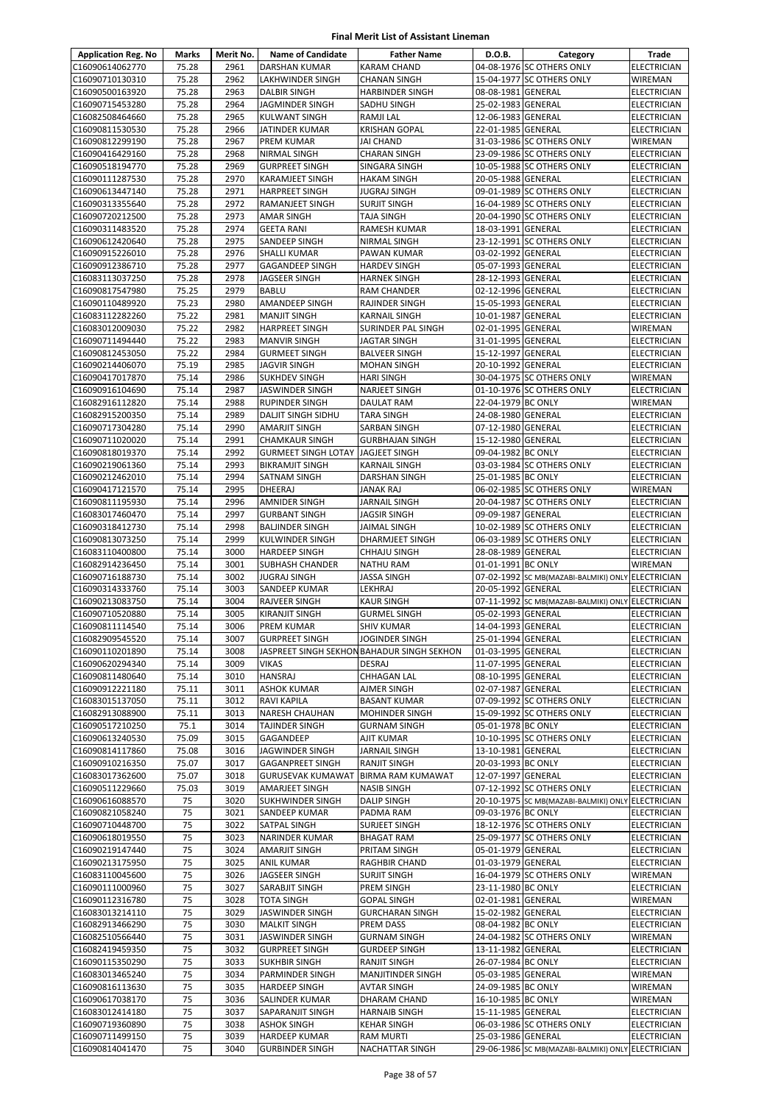| <b>Application Reg. No</b>         | <b>Marks</b>   | Merit No.    | <b>Name of Candidate</b>                            | <b>Father Name</b>                             | D.O.B.                                   | Category                                          | Trade                      |
|------------------------------------|----------------|--------------|-----------------------------------------------------|------------------------------------------------|------------------------------------------|---------------------------------------------------|----------------------------|
| C16090614062770                    | 75.28          | 2961         | DARSHAN KUMAR                                       | <b>KARAM CHAND</b>                             |                                          | 04-08-1976 SC OTHERS ONLY                         | ELECTRICIAN                |
| C16090710130310                    | 75.28          | 2962         | <b>LAKHWINDER SINGH</b>                             | <b>CHANAN SINGH</b>                            |                                          | 15-04-1977 SC OTHERS ONLY                         | WIREMAN                    |
| C16090500163920                    | 75.28          | 2963         | <b>DALBIR SINGH</b>                                 | <b>HARBINDER SINGH</b>                         | 08-08-1981 GENERAL                       |                                                   | <b>ELECTRICIAN</b>         |
| C16090715453280                    | 75.28          | 2964         | JAGMINDER SINGH                                     | SADHU SINGH                                    | 25-02-1983 GENERAL                       |                                                   | ELECTRICIAN                |
| C16082508464660                    | 75.28          | 2965         | <b>KULWANT SINGH</b>                                | RAMJI LAL                                      | 12-06-1983 GENERAL                       |                                                   | <b>ELECTRICIAN</b>         |
| C16090811530530<br>C16090812299190 | 75.28<br>75.28 | 2966<br>2967 | JATINDER KUMAR<br>PREM KUMAR                        | <b>KRISHAN GOPAL</b><br><b>JAI CHAND</b>       | 22-01-1985 GENERAL                       | 31-03-1986 SC OTHERS ONLY                         | ELECTRICIAN<br>WIREMAN     |
| C16090416429160                    | 75.28          | 2968         | NIRMAL SINGH                                        | <b>CHARAN SINGH</b>                            |                                          | 23-09-1986 SC OTHERS ONLY                         | ELECTRICIAN                |
| C16090518194770                    | 75.28          | 2969         | <b>GURPREET SINGH</b>                               | SINGARA SINGH                                  |                                          | 10-05-1988 SC OTHERS ONLY                         | ELECTRICIAN                |
| C16090111287530                    | 75.28          | 2970         | <b>KARAMJEET SINGH</b>                              | <b>HAKAM SINGH</b>                             | 20-05-1988 GENERAL                       |                                                   | ELECTRICIAN                |
| C16090613447140                    | 75.28          | 2971         | <b>HARPREET SINGH</b>                               | <b>JUGRAJ SINGH</b>                            |                                          | 09-01-1989 SC OTHERS ONLY                         | ELECTRICIAN                |
| C16090313355640                    | 75.28          | 2972         | <b>RAMANJEET SINGH</b>                              | <b>SURJIT SINGH</b>                            |                                          | 16-04-1989 SC OTHERS ONLY                         | <b>ELECTRICIAN</b>         |
| C16090720212500                    | 75.28          | 2973         | <b>AMAR SINGH</b>                                   | <b>TAJA SINGH</b>                              |                                          | 20-04-1990 SC OTHERS ONLY                         | <b>ELECTRICIAN</b>         |
| C16090311483520                    | 75.28          | 2974         | <b>GEETA RANI</b>                                   | RAMESH KUMAR                                   | 18-03-1991 GENERAL                       |                                                   | ELECTRICIAN                |
| C16090612420640                    | 75.28          | 2975         | SANDEEP SINGH                                       | NIRMAL SINGH                                   |                                          | 23-12-1991 SC OTHERS ONLY                         | ELECTRICIAN                |
| C16090915226010                    | 75.28          | 2976         | <b>SHALLI KUMAR</b>                                 | PAWAN KUMAR                                    | 03-02-1992 GENERAL                       |                                                   | ELECTRICIAN                |
| C16090912386710                    | 75.28          | 2977         | <b>GAGANDEEP SINGH</b>                              | <b>HARDEV SINGH</b>                            | 05-07-1993 GENERAL                       |                                                   | ELECTRICIAN                |
| C16083113037250<br>C16090817547980 | 75.28<br>75.25 | 2978<br>2979 | JAGSEER SINGH<br><b>BABLU</b>                       | <b>HARNEK SINGH</b><br>RAM CHANDER             | 28-12-1993 GENERAL<br>02-12-1996 GENERAL |                                                   | ELECTRICIAN<br>ELECTRICIAN |
| C16090110489920                    | 75.23          | 2980         | AMANDEEP SINGH                                      | RAJINDER SINGH                                 | 15-05-1993 GENERAL                       |                                                   | ELECTRICIAN                |
| C16083112282260                    | 75.22          | 2981         | <b>MANJIT SINGH</b>                                 | <b>KARNAIL SINGH</b>                           | 10-01-1987 GENERAL                       |                                                   | ELECTRICIAN                |
| C16083012009030                    | 75.22          | 2982         | <b>HARPREET SINGH</b>                               | SURINDER PAL SINGH                             | 02-01-1995 GENERAL                       |                                                   | WIREMAN                    |
| C16090711494440                    | 75.22          | 2983         | <b>MANVIR SINGH</b>                                 | JAGTAR SINGH                                   | 31-01-1995 GENERAL                       |                                                   | ELECTRICIAN                |
| C16090812453050                    | 75.22          | 2984         | <b>GURMEET SINGH</b>                                | <b>BALVEER SINGH</b>                           | 15-12-1997 GENERAL                       |                                                   | ELECTRICIAN                |
| C16090214406070                    | 75.19          | 2985         | <b>JAGVIR SINGH</b>                                 | <b>MOHAN SINGH</b>                             | 20-10-1992 GENERAL                       |                                                   | ELECTRICIAN                |
| C16090417017870                    | 75.14          | 2986         | <b>SUKHDEV SINGH</b>                                | <b>HARI SINGH</b>                              |                                          | 30-04-1975 SC OTHERS ONLY                         | WIREMAN                    |
| C16090916104690                    | 75.14          | 2987         | JASWINDER SINGH                                     | NARJEET SINGH                                  |                                          | 01-10-1976 SC OTHERS ONLY                         | ELECTRICIAN                |
| C16082916112820                    | 75.14          | 2988         | <b>RUPINDER SINGH</b>                               | DAULAT RAM                                     | 22-04-1979 BC ONLY                       |                                                   | WIREMAN                    |
| C16082915200350                    | 75.14          | 2989         | <b>DALJIT SINGH SIDHU</b>                           | <b>TARA SINGH</b>                              | 24-08-1980 GENERAL                       |                                                   | ELECTRICIAN                |
| C16090717304280                    | 75.14          | 2990         | <b>AMARJIT SINGH</b>                                | SARBAN SINGH                                   | 07-12-1980 GENERAL                       |                                                   | <b>ELECTRICIAN</b>         |
| C16090711020020<br>C16090818019370 | 75.14<br>75.14 | 2991<br>2992 | <b>CHAMKAUR SINGH</b><br><b>GURMEET SINGH LOTAY</b> | <b>GURBHAJAN SINGH</b><br><b>JAGJEET SINGH</b> | 15-12-1980 GENERAL<br>09-04-1982 BC ONLY |                                                   | ELECTRICIAN<br>ELECTRICIAN |
| C16090219061360                    | 75.14          | 2993         | <b>BIKRAMJIT SINGH</b>                              | <b>KARNAIL SINGH</b>                           |                                          | 03-03-1984 SC OTHERS ONLY                         | ELECTRICIAN                |
| C16090212462010                    | 75.14          | 2994         | <b>SATNAM SINGH</b>                                 | DARSHAN SINGH                                  | 25-01-1985 BC ONLY                       |                                                   | ELECTRICIAN                |
| C16090417121570                    | 75.14          | 2995         | <b>DHEERAJ</b>                                      | JANAK RAJ                                      |                                          | 06-02-1985 SC OTHERS ONLY                         | WIREMAN                    |
| C16090811195930                    | 75.14          | 2996         | <b>AMNIDER SINGH</b>                                | JARNAIL SINGH                                  |                                          | 20-04-1987 SC OTHERS ONLY                         | ELECTRICIAN                |
| C16083017460470                    | 75.14          | 2997         | <b>GURBANT SINGH</b>                                | <b>JAGSIR SINGH</b>                            | 09-09-1987 GENERAL                       |                                                   | ELECTRICIAN                |
| C16090318412730                    | 75.14          | 2998         | <b>BALJINDER SINGH</b>                              | JAIMAL SINGH                                   |                                          | 10-02-1989 SC OTHERS ONLY                         | ELECTRICIAN                |
| C16090813073250                    | 75.14          | 2999         | KULWINDER SINGH                                     | DHARMJEET SINGH                                |                                          | 06-03-1989 SC OTHERS ONLY                         | ELECTRICIAN                |
| C16083110400800                    | 75.14          | 3000         | <b>HARDEEP SINGH</b>                                | <b>CHHAJU SINGH</b>                            | 28-08-1989 GENERAL                       |                                                   | ELECTRICIAN                |
| C16082914236450                    | 75.14          | 3001         | <b>SUBHASH CHANDER</b>                              | <b>NATHU RAM</b>                               | 01-01-1991 BC ONLY                       |                                                   | WIREMAN                    |
| C16090716188730                    | 75.14          | 3002         | <b>JUGRAJ SINGH</b>                                 | JASSA SINGH                                    |                                          | 07-02-1992 SC MB(MAZABI-BALMIKI) ONLY ELECTRICIAN |                            |
| C16090314333760                    | 75.14          | 3003         | SANDEEP KUMAR                                       | LEKHRAJ                                        | 20-05-1992 GENERAL                       |                                                   | ELECTRICIAN                |
| C16090213083750<br>C16090710520880 | 75.14<br>75.14 | 3004<br>3005 | RAJVEER SINGH<br><b>KIRANJIT SINGH</b>              | <b>KAUR SINGH</b><br><b>GURMEL SINGH</b>       | 05-02-1993 GENERAL                       | 07-11-1992 SC MB(MAZABI-BALMIKI) ONLY ELECTRICIAN | ELECTRICIAN                |
| C16090811114540                    | 75.14          | 3006         | <b>PREM KUMAR</b>                                   | <b>SHIV KUMAR</b>                              | 14-04-1993 GENERAL                       |                                                   | <b>ELECTRICIAN</b>         |
| C16082909545520                    | 75.14          | 3007         | <b>GURPREET SINGH</b>                               | JOGINDER SINGH                                 | 25-01-1994 GENERAL                       |                                                   | <b>ELECTRICIAN</b>         |
| C16090110201890                    | 75.14          | 3008         |                                                     | JASPREET SINGH SEKHON BAHADUR SINGH SEKHON     | 01-03-1995 GENERAL                       |                                                   | ELECTRICIAN                |
| C16090620294340                    | 75.14          | 3009         | VIKAS                                               | <b>DESRAJ</b>                                  | 11-07-1995 GENERAL                       |                                                   | ELECTRICIAN                |
| C16090811480640                    | 75.14          | 3010         | <b>HANSRAJ</b>                                      | CHHAGAN LAL                                    | 08-10-1995 GENERAL                       |                                                   | ELECTRICIAN                |
| C16090912221180                    | 75.11          | 3011         | <b>ASHOK KUMAR</b>                                  | AJMER SINGH                                    | 02-07-1987 GENERAL                       |                                                   | ELECTRICIAN                |
| C16083015137050                    | 75.11          | 3012         | RAVI KAPILA                                         | <b>BASANT KUMAR</b>                            |                                          | 07-09-1992 SC OTHERS ONLY                         | ELECTRICIAN                |
| C16082913088900                    | 75.11          | 3013         | <b>NARESH CHAUHAN</b>                               | MOHINDER SINGH                                 |                                          | 15-09-1992 SC OTHERS ONLY                         | ELECTRICIAN                |
| C16090517210250                    | 75.1           | 3014         | TAJINDER SINGH                                      | <b>GURNAM SINGH</b>                            | 05-01-1978 BC ONLY                       |                                                   | ELECTRICIAN                |
| C16090613240530                    | 75.09          | 3015<br>3016 | GAGANDEEP                                           | <b>AJIT KUMAR</b><br><b>JARNAIL SINGH</b>      |                                          | 10-10-1995 SC OTHERS ONLY                         | ELECTRICIAN<br>ELECTRICIAN |
| C16090814117860<br>C16090910216350 | 75.08<br>75.07 | 3017         | JAGWINDER SINGH<br><b>GAGANPREET SINGH</b>          | RANJIT SINGH                                   | 13-10-1981 GENERAL<br>20-03-1993 BC ONLY |                                                   | ELECTRICIAN                |
| C16083017362600                    | 75.07          | 3018         | <b>GURUSEVAK KUMAWAT</b>                            | <b>BIRMA RAM KUMAWAT</b>                       | 12-07-1997 GENERAL                       |                                                   | ELECTRICIAN                |
| C16090511229660                    | 75.03          | 3019         | <b>AMARJEET SINGH</b>                               | <b>NASIB SINGH</b>                             |                                          | 07-12-1992 SC OTHERS ONLY                         | ELECTRICIAN                |
| C16090616088570                    | 75             | 3020         | <b>SUKHWINDER SINGH</b>                             | <b>DALIP SINGH</b>                             |                                          | 20-10-1975 SC MB(MAZABI-BALMIKI) ONLY ELECTRICIAN |                            |
| C16090821058240                    | 75             | 3021         | SANDEEP KUMAR                                       | PADMA RAM                                      | 09-03-1976 BC ONLY                       |                                                   | ELECTRICIAN                |
| C16090710448700                    | 75             | 3022         | SATPAL SINGH                                        | SURJEET SINGH                                  |                                          | 18-12-1976 SC OTHERS ONLY                         | ELECTRICIAN                |
| C16090618019550                    | 75             | 3023         | NARINDER KUMAR                                      | <b>BHAGAT RAM</b>                              |                                          | 25-09-1977 SC OTHERS ONLY                         | ELECTRICIAN                |
| C16090219147440                    | 75             | 3024         | <b>AMARJIT SINGH</b>                                | PRITAM SINGH                                   | 05-01-1979 GENERAL                       |                                                   | ELECTRICIAN                |
| C16090213175950                    | 75             | 3025         | <b>ANIL KUMAR</b>                                   | RAGHBIR CHAND                                  | 01-03-1979 GENERAL                       |                                                   | ELECTRICIAN                |
| C16083110045600                    | 75             | 3026         | JAGSEER SINGH                                       | <b>SURJIT SINGH</b>                            |                                          | 16-04-1979 SC OTHERS ONLY                         | WIREMAN                    |
| C16090111000960<br>C16090112316780 | 75<br>75       | 3027<br>3028 | SARABJIT SINGH<br>TOTA SINGH                        | PREM SINGH<br><b>GOPAL SINGH</b>               | 23-11-1980 BC ONLY<br>02-01-1981 GENERAL |                                                   | ELECTRICIAN<br>WIREMAN     |
| C16083013214110                    | 75             | 3029         | JASWINDER SINGH                                     | <b>GURCHARAN SINGH</b>                         | 15-02-1982 GENERAL                       |                                                   | ELECTRICIAN                |
| C16082913466290                    | 75             | 3030         | <b>MALKIT SINGH</b>                                 | PREM DASS                                      | 08-04-1982 BC ONLY                       |                                                   | ELECTRICIAN                |
| C16082510566440                    | 75             | 3031         | JASWINDER SINGH                                     | <b>GURNAM SINGH</b>                            |                                          | 24-04-1982 SC OTHERS ONLY                         | WIREMAN                    |
| C16082419459350                    | 75             | 3032         | <b>GURPREET SINGH</b>                               | <b>GURDEEP SINGH</b>                           | 13-11-1982 GENERAL                       |                                                   | ELECTRICIAN                |
| C16090115350290                    | 75             | 3033         | <b>SUKHBIR SINGH</b>                                | <b>RANJIT SINGH</b>                            | 26-07-1984 BC ONLY                       |                                                   | ELECTRICIAN                |
| C16083013465240                    | 75             | 3034         | PARMINDER SINGH                                     | MANJITINDER SINGH                              | 05-03-1985 GENERAL                       |                                                   | WIREMAN                    |
| C16090816113630                    | 75             | 3035         | <b>HARDEEP SINGH</b>                                | <b>AVTAR SINGH</b>                             | 24-09-1985 BC ONLY                       |                                                   | WIREMAN                    |
| C16090617038170                    | 75             | 3036         | SALINDER KUMAR                                      | DHARAM CHAND                                   | 16-10-1985 BC ONLY                       |                                                   | WIREMAN                    |
| C16083012414180                    | 75             | 3037         | SAPARANJIT SINGH                                    | <b>HARNAIB SINGH</b>                           | 15-11-1985 GENERAL                       |                                                   | ELECTRICIAN                |
| C16090719360890                    | 75             | 3038         | <b>ASHOK SINGH</b>                                  | <b>KEHAR SINGH</b>                             |                                          | 06-03-1986 SC OTHERS ONLY                         | ELECTRICIAN                |
| C16090711499150<br>C16090814041470 | 75<br>75       | 3039<br>3040 | <b>HARDEEP KUMAR</b><br><b>GURBINDER SINGH</b>      | <b>RAM MURTI</b><br>NACHATTAR SINGH            | 25-03-1986 GENERAL                       | 29-06-1986 SC MB(MAZABI-BALMIKI) ONLY ELECTRICIAN | ELECTRICIAN                |
|                                    |                |              |                                                     |                                                |                                          |                                                   |                            |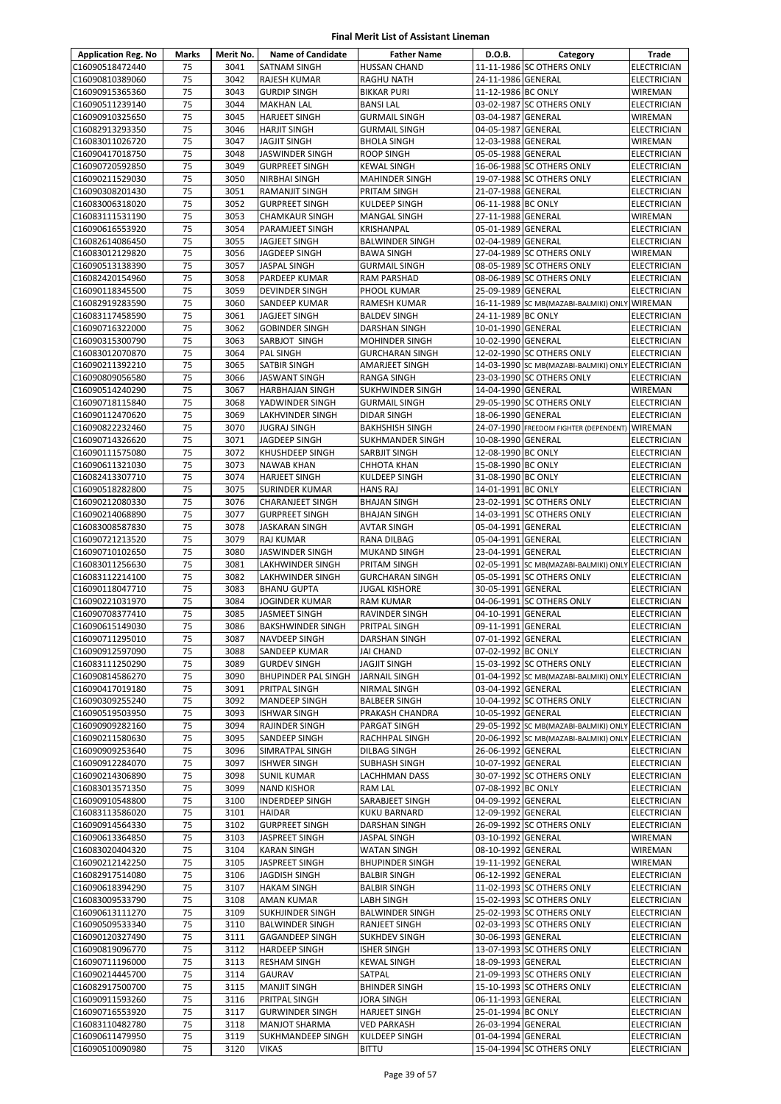| <b>Application Reg. No</b>         | Marks    | Merit No.    | <b>Name of Candidate</b>                      | <b>Father Name</b>                              | D.O.B.                                   | Category                                          | Trade                                    |
|------------------------------------|----------|--------------|-----------------------------------------------|-------------------------------------------------|------------------------------------------|---------------------------------------------------|------------------------------------------|
| C16090518472440                    | 75       | 3041         | SATNAM SINGH                                  | <b>HUSSAN CHAND</b>                             |                                          | 11-11-1986 SC OTHERS ONLY                         | <b>ELECTRICIAN</b>                       |
| C16090810389060                    | 75       | 3042         | RAJESH KUMAR                                  | <b>RAGHU NATH</b>                               | 24-11-1986 GENERAL                       |                                                   | ELECTRICIAN                              |
| C16090915365360                    | 75       | 3043         | <b>GURDIP SINGH</b>                           | <b>BIKKAR PURI</b>                              | 11-12-1986 BC ONLY                       |                                                   | WIREMAN                                  |
| C16090511239140                    | 75       | 3044         | <b>MAKHAN LAL</b>                             | <b>BANSILAL</b>                                 |                                          | 03-02-1987 SC OTHERS ONLY                         | ELECTRICIAN                              |
| C16090910325650                    | 75       | 3045         | <b>HARJEET SINGH</b>                          | <b>GURMAIL SINGH</b>                            | 03-04-1987 GENERAL                       |                                                   | WIREMAN                                  |
| C16082913293350                    | 75       | 3046         | <b>HARJIT SINGH</b>                           | <b>GURMAIL SINGH</b>                            | 04-05-1987 GENERAL                       |                                                   | <b>ELECTRICIAN</b>                       |
| C16083011026720                    | 75       | 3047         | JAGJIT SINGH                                  | <b>BHOLA SINGH</b>                              | 12-03-1988 GENERAL                       |                                                   | WIREMAN                                  |
| C16090417018750                    | 75<br>75 | 3048<br>3049 | JASWINDER SINGH                               | <b>ROOP SINGH</b><br><b>KEWAL SINGH</b>         | 05-05-1988 GENERAL                       | 16-06-1988 SC OTHERS ONLY                         | <b>ELECTRICIAN</b>                       |
| C16090720592850<br>C16090211529030 | 75       | 3050         | <b>GURPREET SINGH</b><br><b>NIRBHAI SINGH</b> | <b>MAHINDER SINGH</b>                           |                                          | 19-07-1988 SC OTHERS ONLY                         | <b>ELECTRICIAN</b><br>ELECTRICIAN        |
| C16090308201430                    | 75       | 3051         | RAMANJIT SINGH                                | <b>PRITAM SINGH</b>                             | 21-07-1988 GENERAL                       |                                                   | <b>ELECTRICIAN</b>                       |
| C16083006318020                    | 75       | 3052         | <b>GURPREET SINGH</b>                         | <b>KULDEEP SINGH</b>                            | 06-11-1988 BC ONLY                       |                                                   | <b>ELECTRICIAN</b>                       |
| C16083111531190                    | 75       | 3053         | <b>CHAMKAUR SINGH</b>                         | <b>MANGAL SINGH</b>                             | 27-11-1988 GENERAL                       |                                                   | WIREMAN                                  |
| C16090616553920                    | 75       | 3054         | PARAMJEET SINGH                               | KRISHANPAL                                      | 05-01-1989 GENERAL                       |                                                   | <b>ELECTRICIAN</b>                       |
| C16082614086450                    | 75       | 3055         | JAGJEET SINGH                                 | <b>BALWINDER SINGH</b>                          | 02-04-1989 GENERAL                       |                                                   | ELECTRICIAN                              |
| C16083012129820                    | 75       | 3056         | JAGDEEP SINGH                                 | <b>BAWA SINGH</b>                               |                                          | 27-04-1989 SC OTHERS ONLY                         | <b>WIREMAN</b>                           |
| C16090513138390                    | 75       | 3057         | <b>JASPAL SINGH</b>                           | <b>GURMAIL SINGH</b>                            |                                          | 08-05-1989 SC OTHERS ONLY                         | <b>ELECTRICIAN</b>                       |
| C16082420154960                    | 75       | 3058         | PARDEEP KUMAR                                 | RAM PARSHAD                                     |                                          | 08-06-1989 SC OTHERS ONLY                         | ELECTRICIAN                              |
| C16090118345500                    | 75       | 3059         | <b>DEVINDER SINGH</b>                         | PHOOL KUMAR                                     | 25-09-1989 GENERAL                       |                                                   | ELECTRICIAN                              |
| C16082919283590                    | 75       | 3060         | SANDEEP KUMAR                                 | RAMESH KUMAR                                    |                                          | 16-11-1989 SC MB(MAZABI-BALMIKI) ONLY WIREMAN     |                                          |
| C16083117458590                    | 75       | 3061         | <b>JAGJEET SINGH</b>                          | <b>BALDEV SINGH</b>                             | 24-11-1989 BC ONLY                       |                                                   | <b>ELECTRICIAN</b>                       |
| C16090716322000                    | 75<br>75 | 3062         | <b>GOBINDER SINGH</b>                         | <b>DARSHAN SINGH</b>                            | 10-01-1990 GENERAL                       |                                                   | ELECTRICIAN                              |
| C16090315300790<br>C16083012070870 | 75       | 3063<br>3064 | SARBJOT SINGH<br><b>PAL SINGH</b>             | <b>MOHINDER SINGH</b><br><b>GURCHARAN SINGH</b> | 10-02-1990 GENERAL                       | 12-02-1990 SC OTHERS ONLY                         | <b>ELECTRICIAN</b><br><b>ELECTRICIAN</b> |
| C16090211392210                    | 75       | 3065         | SATBIR SINGH                                  | AMARJEET SINGH                                  |                                          | 14-03-1990 SC MB(MAZABI-BALMIKI) ONLY ELECTRICIAN |                                          |
| C16090809056580                    | 75       | 3066         | <b>JASWANT SINGH</b>                          | <b>RANGA SINGH</b>                              |                                          | 23-03-1990 SC OTHERS ONLY                         | <b>ELECTRICIAN</b>                       |
| C16090514240290                    | 75       | 3067         | <b>HARBHAJAN SINGH</b>                        | SUKHWINDER SINGH                                | 14-04-1990 GENERAL                       |                                                   | WIREMAN                                  |
| C16090718115840                    | 75       | 3068         | YADWINDER SINGH                               | <b>GURMAIL SINGH</b>                            |                                          | 29-05-1990 SC OTHERS ONLY                         | <b>ELECTRICIAN</b>                       |
| C16090112470620                    | 75       | 3069         | LAKHVINDER SINGH                              | <b>DIDAR SINGH</b>                              | 18-06-1990 GENERAL                       |                                                   | ELECTRICIAN                              |
| C16090822232460                    | 75       | 3070         | <b>JUGRAJ SINGH</b>                           | <b>BAKHSHISH SINGH</b>                          |                                          | 24-07-1990 FREEDOM FIGHTER (DEPENDENT) WIREMAN    |                                          |
| C16090714326620                    | 75       | 3071         | JAGDEEP SINGH                                 | <b>SUKHMANDER SINGH</b>                         | 10-08-1990 GENERAL                       |                                                   | <b>ELECTRICIAN</b>                       |
| C16090111575080                    | 75       | 3072         | KHUSHDEEP SINGH                               | SARBJIT SINGH                                   | 12-08-1990 BC ONLY                       |                                                   | ELECTRICIAN                              |
| C16090611321030                    | 75       | 3073         | <b>NAWAB KHAN</b>                             | <b>CHHOTA KHAN</b>                              | 15-08-1990 BC ONLY                       |                                                   | ELECTRICIAN                              |
| C16082413307710                    | 75       | 3074         | <b>HARJEET SINGH</b>                          | KULDEEP SINGH                                   | 31-08-1990 BC ONLY                       |                                                   | ELECTRICIAN                              |
| C16090518282800                    | 75       | 3075         | SURINDER KUMAR                                | <b>HANS RAJ</b>                                 | 14-01-1991 BC ONLY                       |                                                   | <b>ELECTRICIAN</b>                       |
| C16090212080330                    | 75       | 3076         | <b>CHARANJEET SINGH</b>                       | <b>BHAJAN SINGH</b>                             |                                          | 23-02-1991 SC OTHERS ONLY                         | <b>ELECTRICIAN</b>                       |
| C16090214068890                    | 75       | 3077<br>3078 | <b>GURPREET SINGH</b>                         | <b>BHAJAN SINGH</b>                             |                                          | 14-03-1991 SC OTHERS ONLY                         | <b>ELECTRICIAN</b>                       |
| C16083008587830<br>C16090721213520 | 75<br>75 | 3079         | JASKARAN SINGH<br>RAJ KUMAR                   | <b>AVTAR SINGH</b><br>RANA DILBAG               | 05-04-1991 GENERAL<br>05-04-1991 GENERAL |                                                   | <b>ELECTRICIAN</b><br><b>ELECTRICIAN</b> |
| C16090710102650                    | 75       | 3080         | JASWINDER SINGH                               | <b>MUKAND SINGH</b>                             | 23-04-1991 GENERAL                       |                                                   | <b>ELECTRICIAN</b>                       |
| C16083011256630                    | 75       | 3081         | LAKHWINDER SINGH                              | <b>PRITAM SINGH</b>                             |                                          | 02-05-1991 SC MB(MAZABI-BALMIKI) ONLY ELECTRICIAN |                                          |
| C16083112214100                    | 75       | 3082         | LAKHWINDER SINGH                              | <b>GURCHARAN SINGH</b>                          |                                          | 05-05-1991 SC OTHERS ONLY                         | <b>ELECTRICIAN</b>                       |
| C16090118047710                    | 75       | 3083         | <b>BHANU GUPTA</b>                            | <b>JUGAL KISHORE</b>                            | 30-05-1991 GENERAL                       |                                                   | <b>ELECTRICIAN</b>                       |
| C16090221031970                    | 75       | 3084         | <b>JOGINDER KUMAR</b>                         | <b>RAM KUMAR</b>                                |                                          | 04-06-1991 SC OTHERS ONLY                         | <b>ELECTRICIAN</b>                       |
| C16090708377410                    | 75       | 3085         | JASMEET SINGH                                 | RAVINDER SINGH                                  | 04-10-1991 GENERAL                       |                                                   | ELECTRICIAN                              |
| C16090615149030                    | 75       | 3086         | <b>BAKSHWINDER SINGH</b>                      | PRITPAL SINGH                                   | 09-11-1991 GENERAL                       |                                                   | <b>ELECTRICIAN</b>                       |
| C16090711295010                    | 75       | 3087         | NAVDEEP SINGH                                 | <b>DARSHAN SINGH</b>                            | 07-01-1992 GENERAL                       |                                                   | <b>ELECTRICIAN</b>                       |
| C16090912597090                    | 75       | 3088         | SANDEEP KUMAR                                 | <b>JAI CHAND</b>                                | 07-02-1992 BC ONLY                       |                                                   | <b>ELECTRICIAN</b>                       |
| C16083111250290                    | 75       | 3089         | <b>GURDEV SINGH</b>                           | <b>JAGJIT SINGH</b>                             |                                          | 15-03-1992 SC OTHERS ONLY                         | <b>ELECTRICIAN</b>                       |
| C16090814586270                    | 75       | 3090         | <b>BHUPINDER PAL SINGH</b>                    | <b>JARNAIL SINGH</b>                            |                                          | 01-04-1992 SC MB(MAZABI-BALMIKI) ONLY             | <b>ELECTRICIAN</b>                       |
| C16090417019180                    | 75       | 3091         | PRITPAL SINGH                                 | NIRMAL SINGH                                    | 03-04-1992 GENERAL                       | 10-04-1992 SC OTHERS ONLY                         | <b>ELECTRICIAN</b>                       |
| C16090309255240<br>C16090519503950 | 75<br>75 | 3092<br>3093 | <b>MANDEEP SINGH</b><br>ISHWAR SINGH          | <b>BALBEER SINGH</b><br>PRAKASH CHANDRA         | 10-05-1992 GENERAL                       |                                                   | <b>ELECTRICIAN</b><br>ELECTRICIAN        |
| C16090909282160                    | 75       | 3094         | RAJINDER SINGH                                | PARGAT SINGH                                    |                                          | 29-05-1992 SC MB(MAZABI-BALMIKI) ONLY ELECTRICIAN |                                          |
| C16090211580630                    | 75       | 3095         | SANDEEP SINGH                                 | <b>RACHHPAL SINGH</b>                           |                                          | 20-06-1992 SC MB(MAZABI-BALMIKI) ONLY ELECTRICIAN |                                          |
| C16090909253640                    | 75       | 3096         | SIMRATPAL SINGH                               | <b>DILBAG SINGH</b>                             | 26-06-1992 GENERAL                       |                                                   | <b>ELECTRICIAN</b>                       |
| C16090912284070                    | 75       | 3097         | <b>ISHWER SINGH</b>                           | <b>SUBHASH SINGH</b>                            | 10-07-1992 GENERAL                       |                                                   | ELECTRICIAN                              |
| C16090214306890                    | 75       | 3098         | SUNIL KUMAR                                   | LACHHMAN DASS                                   |                                          | 30-07-1992 SC OTHERS ONLY                         | ELECTRICIAN                              |
| C16083013571350                    | 75       | 3099         | <b>NAND KISHOR</b>                            | RAM LAL                                         | 07-08-1992 BC ONLY                       |                                                   | ELECTRICIAN                              |
| C16090910548800                    | 75       | 3100         | INDERDEEP SINGH                               | SARABJEET SINGH                                 | 04-09-1992 GENERAL                       |                                                   | ELECTRICIAN                              |
| C16083113586020                    | 75       | 3101         | <b>HAIDAR</b>                                 | <b>KUKU BARNARD</b>                             | 12-09-1992 GENERAL                       |                                                   | <b>ELECTRICIAN</b>                       |
| C16090914564330                    | 75       | 3102         | <b>GURPREET SINGH</b>                         | <b>DARSHAN SINGH</b>                            |                                          | 26-09-1992 SC OTHERS ONLY                         | ELECTRICIAN                              |
| C16090613364850                    | 75       | 3103         | JASPREET SINGH                                | <b>JASPAL SINGH</b>                             | 03-10-1992 GENERAL                       |                                                   | WIREMAN                                  |
| C16083020404320                    | 75       | 3104         | <b>KARAN SINGH</b>                            | <b>WATAN SINGH</b>                              | 08-10-1992 GENERAL                       |                                                   | WIREMAN                                  |
| C16090212142250                    | 75<br>75 | 3105<br>3106 | JASPREET SINGH                                | <b>BHUPINDER SINGH</b><br><b>BALBIR SINGH</b>   | 19-11-1992 GENERAL<br>06-12-1992 GENERAL |                                                   | WIREMAN                                  |
| C16082917514080<br>C16090618394290 | 75       | 3107         | JAGDISH SINGH<br><b>HAKAM SINGH</b>           | <b>BALBIR SINGH</b>                             |                                          | 11-02-1993 SC OTHERS ONLY                         | ELECTRICIAN<br>ELECTRICIAN               |
| C16083009533790                    | 75       | 3108         | AMAN KUMAR                                    | LABH SINGH                                      |                                          | 15-02-1993 SC OTHERS ONLY                         | ELECTRICIAN                              |
| C16090613111270                    | 75       | 3109         | SUKHJINDER SINGH                              | <b>BALWINDER SINGH</b>                          |                                          | 25-02-1993 SC OTHERS ONLY                         | ELECTRICIAN                              |
| C16090509533340                    | 75       | 3110         | <b>BALWINDER SINGH</b>                        | <b>RANJEET SINGH</b>                            |                                          | 02-03-1993 SC OTHERS ONLY                         | <b>ELECTRICIAN</b>                       |
| C16090120327490                    | 75       | 3111         | GAGANDEEP SINGH                               | <b>SUKHDEV SINGH</b>                            | 30-06-1993 GENERAL                       |                                                   | <b>ELECTRICIAN</b>                       |
| C16090819096770                    | 75       | 3112         | HARDEEP SINGH                                 | <b>ISHER SINGH</b>                              |                                          | 13-07-1993 SC OTHERS ONLY                         | ELECTRICIAN                              |
| C16090711196000                    | 75       | 3113         | <b>RESHAM SINGH</b>                           | <b>KEWAL SINGH</b>                              | 18-09-1993 GENERAL                       |                                                   | <b>ELECTRICIAN</b>                       |
| C16090214445700                    | 75       | 3114         | GAURAV                                        | SATPAL                                          |                                          | 21-09-1993 SC OTHERS ONLY                         | <b>ELECTRICIAN</b>                       |
| C16082917500700                    | 75       | 3115         | <b>MANJIT SINGH</b>                           | <b>BHINDER SINGH</b>                            |                                          | 15-10-1993 SC OTHERS ONLY                         | ELECTRICIAN                              |
| C16090911593260                    | 75       | 3116         | PRITPAL SINGH                                 | <b>JORA SINGH</b>                               | 06-11-1993 GENERAL                       |                                                   | ELECTRICIAN                              |
| C16090716553920                    | 75       | 3117         | <b>GURWINDER SINGH</b>                        | HARJEET SINGH                                   | 25-01-1994 BC ONLY                       |                                                   | ELECTRICIAN                              |
| C16083110482780                    | 75       | 3118         | <b>MANJOT SHARMA</b>                          | <b>VED PARKASH</b>                              | 26-03-1994 GENERAL                       |                                                   | ELECTRICIAN                              |
| C16090611479950                    | 75       | 3119         | SUKHMANDEEP SINGH                             | KULDEEP SINGH                                   | 01-04-1994 GENERAL                       |                                                   | ELECTRICIAN                              |
| C16090510090980                    | 75       | 3120         | VIKAS                                         | <b>BITTU</b>                                    |                                          | 15-04-1994 SC OTHERS ONLY                         | ELECTRICIAN                              |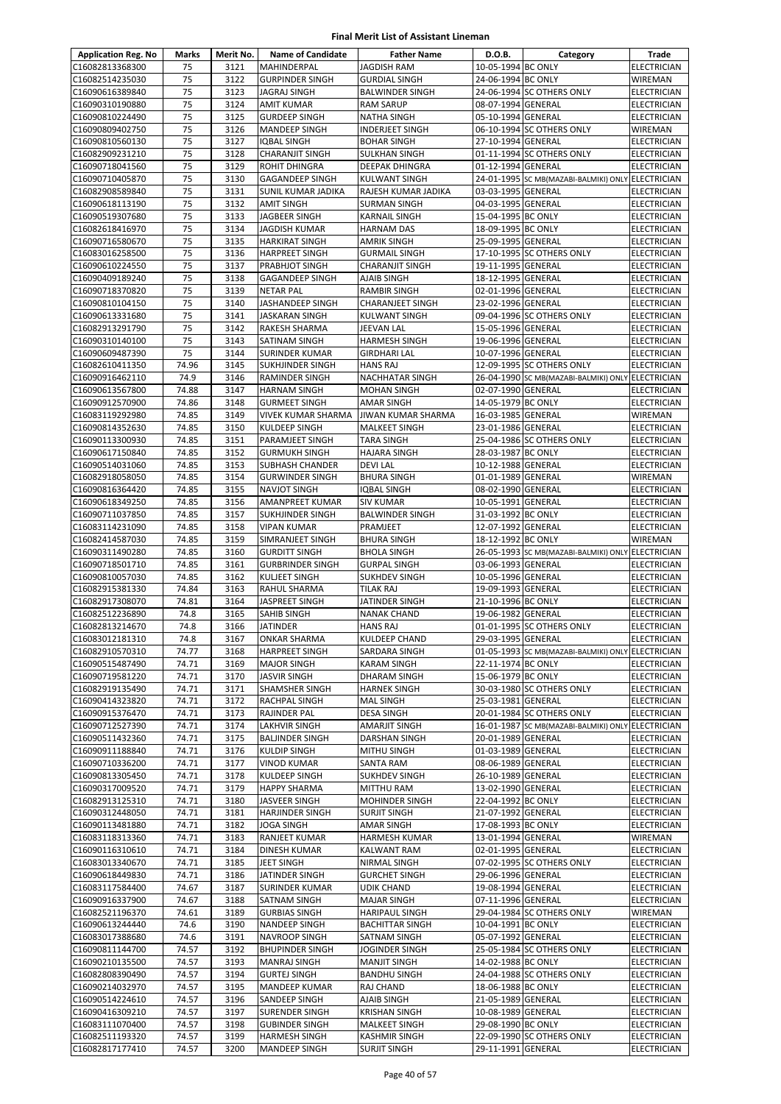| <b>Application Reg. No</b>         | Marks          | Merit No.    | <b>Name of Candidate</b>                       | <b>Father Name</b>                         | D.O.B.                                   | Category                                          | Trade                             |
|------------------------------------|----------------|--------------|------------------------------------------------|--------------------------------------------|------------------------------------------|---------------------------------------------------|-----------------------------------|
| C16082813368300                    | 75             | 3121         | <b>MAHINDERPAL</b>                             | <b>JAGDISH RAM</b>                         | 10-05-1994 BC ONLY                       |                                                   | <b>ELECTRICIAN</b>                |
| C16082514235030                    | 75             | 3122         | <b>GURPINDER SINGH</b>                         | <b>GURDIAL SINGH</b>                       | 24-06-1994 BC ONLY                       |                                                   | <b>WIREMAN</b>                    |
| C16090616389840                    | 75             | 3123         | JAGRAJ SINGH                                   | <b>BALWINDER SINGH</b>                     |                                          | 24-06-1994 SC OTHERS ONLY                         | ELECTRICIAN                       |
| C16090310190880                    | 75             | 3124         | <b>AMIT KUMAR</b>                              | <b>RAM SARUP</b>                           | 08-07-1994 GENERAL                       |                                                   | ELECTRICIAN                       |
| C16090810224490                    | 75             | 3125         | <b>GURDEEP SINGH</b>                           | NATHA SINGH                                | 05-10-1994 GENERAL                       |                                                   | ELECTRICIAN                       |
| C16090809402750                    | 75             | 3126         | <b>MANDEEP SINGH</b>                           | <b>INDERJEET SINGH</b>                     |                                          | 06-10-1994 SC OTHERS ONLY                         | WIREMAN                           |
| C16090810560130                    | 75             | 3127         | <b>IQBAL SINGH</b>                             | <b>BOHAR SINGH</b>                         | 27-10-1994 GENERAL                       |                                                   | <b>ELECTRICIAN</b>                |
| C16082909231210                    | 75             | 3128         | <b>CHARANJIT SINGH</b>                         | <b>SULKHAN SINGH</b>                       |                                          | 01-11-1994 SC OTHERS ONLY                         | ELECTRICIAN                       |
| C16090718041560                    | 75             | 3129         | <b>ROHIT DHINGRA</b>                           | <b>DEEPAK DHINGRA</b>                      | 01-12-1994 GENERAL                       |                                                   | ELECTRICIAN                       |
| C16090710405870                    | 75             | 3130         | <b>GAGANDEEP SINGH</b>                         | <b>KULWANT SINGH</b>                       |                                          | 24-01-1995 SC MB(MAZABI-BALMIKI) ONLY ELECTRICIAN |                                   |
| C16082908589840<br>C16090618113190 | 75<br>75       | 3131<br>3132 | SUNIL KUMAR JADIKA<br><b>AMIT SINGH</b>        | RAJESH KUMAR JADIKA<br><b>SURMAN SINGH</b> | 03-03-1995 GENERAL<br>04-03-1995 GENERAL |                                                   | <b>ELECTRICIAN</b><br>ELECTRICIAN |
| C16090519307680                    | 75             | 3133         | <b>JAGBEER SINGH</b>                           | <b>KARNAIL SINGH</b>                       | 15-04-1995 BC ONLY                       |                                                   | <b>ELECTRICIAN</b>                |
| C16082618416970                    | 75             | 3134         | <b>JAGDISH KUMAR</b>                           | <b>HARNAM DAS</b>                          | 18-09-1995 BC ONLY                       |                                                   | ELECTRICIAN                       |
| C16090716580670                    | 75             | 3135         | <b>HARKIRAT SINGH</b>                          | AMRIK SINGH                                | 25-09-1995 GENERAL                       |                                                   | ELECTRICIAN                       |
| C16083016258500                    | 75             | 3136         | <b>HARPREET SINGH</b>                          | <b>GURMAIL SINGH</b>                       |                                          | 17-10-1995 SC OTHERS ONLY                         | ELECTRICIAN                       |
| C16090610224550                    | 75             | 3137         | PRABHJOT SINGH                                 | <b>CHARANJIT SINGH</b>                     | 19-11-1995 GENERAL                       |                                                   | ELECTRICIAN                       |
| C16090409189240                    | 75             | 3138         | <b>GAGANDEEP SINGH</b>                         | <b>AJAIB SINGH</b>                         | 18-12-1995 GENERAL                       |                                                   | <b>ELECTRICIAN</b>                |
| C16090718370820                    | 75             | 3139         | <b>NETAR PAL</b>                               | <b>RAMBIR SINGH</b>                        | 02-01-1996 GENERAL                       |                                                   | ELECTRICIAN                       |
| C16090810104150                    | 75             | 3140         | JASHANDEEP SINGH                               | <b>CHARANJEET SINGH</b>                    | 23-02-1996 GENERAL                       |                                                   | <b>ELECTRICIAN</b>                |
| C16090613331680                    | 75             | 3141         | <b>JASKARAN SINGH</b>                          | <b>KULWANT SINGH</b>                       |                                          | 09-04-1996 SC OTHERS ONLY                         | ELECTRICIAN                       |
| C16082913291790                    | 75             | 3142         | RAKESH SHARMA                                  | JEEVAN LAL                                 | 15-05-1996 GENERAL                       |                                                   | <b>ELECTRICIAN</b>                |
| C16090310140100                    | 75             | 3143         | <b>SATINAM SINGH</b>                           | <b>HARMESH SINGH</b>                       | 19-06-1996 GENERAL                       |                                                   | ELECTRICIAN                       |
| C16090609487390                    | 75             | 3144         | <b>SURINDER KUMAR</b>                          | <b>GIRDHARI LAL</b>                        | 10-07-1996 GENERAL                       |                                                   | <b>ELECTRICIAN</b>                |
| C16082610411350                    | 74.96          | 3145         | <b>SUKHJINDER SINGH</b>                        | <b>HANS RAJ</b>                            |                                          | 12-09-1995 SC OTHERS ONLY                         | <b>ELECTRICIAN</b>                |
| C16090916462110<br>C16090613567800 | 74.9<br>74.88  | 3146<br>3147 | <b>RAMINDER SINGH</b>                          | <b>NACHHATAR SINGH</b>                     | 02-07-1990 GENERAL                       | 26-04-1990 SC MB(MAZABI-BALMIKI) ONLY             | <b>ELECTRICIAN</b>                |
| C16090912570900                    | 74.86          | 3148         | <b>HARNAM SINGH</b><br><b>GURMEET SINGH</b>    | <b>MOHAN SINGH</b><br><b>AMAR SINGH</b>    | 14-05-1979 BC ONLY                       |                                                   | ELECTRICIAN<br><b>ELECTRICIAN</b> |
| C16083119292980                    | 74.85          | 3149         | <b>VIVEK KUMAR SHARMA</b>                      | JIWAN KUMAR SHARMA                         | 16-03-1985 GENERAL                       |                                                   | WIREMAN                           |
| C16090814352630                    | 74.85          | 3150         | <b>KULDEEP SINGH</b>                           | <b>MALKEET SINGH</b>                       | 23-01-1986 GENERAL                       |                                                   | <b>ELECTRICIAN</b>                |
| C16090113300930                    | 74.85          | 3151         | <b>PARAMJEET SINGH</b>                         | <b>TARA SINGH</b>                          |                                          | 25-04-1986 SC OTHERS ONLY                         | <b>ELECTRICIAN</b>                |
| C16090617150840                    | 74.85          | 3152         | <b>GURMUKH SINGH</b>                           | <b>HAJARA SINGH</b>                        | 28-03-1987 BC ONLY                       |                                                   | ELECTRICIAN                       |
| C16090514031060                    | 74.85          | 3153         | <b>SUBHASH CHANDER</b>                         | <b>DEVILAL</b>                             | 10-12-1988 GENERAL                       |                                                   | ELECTRICIAN                       |
| C16082918058050                    | 74.85          | 3154         | <b>GURWINDER SINGH</b>                         | <b>BHURA SINGH</b>                         | 01-01-1989 GENERAL                       |                                                   | WIREMAN                           |
| C16090816364420                    | 74.85          | 3155         | <b>NAVJOT SINGH</b>                            | <b>IQBAL SINGH</b>                         | 08-02-1990 GENERAL                       |                                                   | ELECTRICIAN                       |
| C16090618349250                    | 74.85          | 3156         | <b>AMANPREET KUMAR</b>                         | <b>SIV KUMAR</b>                           | 10-05-1991 GENERAL                       |                                                   | <b>ELECTRICIAN</b>                |
| C16090711037850                    | 74.85          | 3157         | SUKHJINDER SINGH                               | <b>BALWINDER SINGH</b>                     | 31-03-1992 BC ONLY                       |                                                   | <b>ELECTRICIAN</b>                |
| C16083114231090                    | 74.85          | 3158         | <b>VIPAN KUMAR</b>                             | PRAMJEET                                   | 12-07-1992 GENERAL                       |                                                   | ELECTRICIAN                       |
| C16082414587030                    | 74.85          | 3159         | SIMRANJEET SINGH                               | <b>BHURA SINGH</b>                         | 18-12-1992 BC ONLY                       |                                                   | WIREMAN                           |
| C16090311490280                    | 74.85          | 3160         | <b>GURDITT SINGH</b>                           | <b>BHOLA SINGH</b>                         |                                          | 26-05-1993 SC MB(MAZABI-BALMIKI) ONLY ELECTRICIAN |                                   |
| C16090718501710                    | 74.85          | 3161         | <b>GURBRINDER SINGH</b>                        | <b>GURPAL SINGH</b>                        | 03-06-1993 GENERAL                       |                                                   | ELECTRICIAN                       |
| C16090810057030<br>C16082915381330 | 74.85<br>74.84 | 3162<br>3163 | <b>KULJEET SINGH</b><br>RAHUL SHARMA           | <b>SUKHDEV SINGH</b><br><b>TILAK RAJ</b>   | 10-05-1996 GENERAL<br>19-09-1993 GENERAL |                                                   | ELECTRICIAN<br><b>ELECTRICIAN</b> |
| C16082917308070                    | 74.81          | 3164         | JASPREET SINGH                                 | JATINDER SINGH                             | 21-10-1996 BC ONLY                       |                                                   | <b>ELECTRICIAN</b>                |
| C16082512236890                    | 74.8           | 3165         | <b>SAHIB SINGH</b>                             | <b>NANAK CHAND</b>                         | 19-06-1982 GENERAL                       |                                                   | ELECTRICIAN                       |
| C16082813214670                    | 74.8           | 3166         | <b>JATINDER</b>                                | <b>HANS RAJ</b>                            |                                          | 01-01-1995 SC OTHERS ONLY                         | ELECTRICIAN                       |
| C16083012181310                    | 74.8           | 3167         | <b>ONKAR SHARMA</b>                            | <b>KULDEEP CHAND</b>                       | 29-03-1995 GENERAL                       |                                                   | <b>ELECTRICIAN</b>                |
| C16082910570310                    | 74.77          | 3168         | <b>HARPREET SINGH</b>                          | SARDARA SINGH                              |                                          | 01-05-1993 SC MB(MAZABI-BALMIKI) ONLY ELECTRICIAN |                                   |
| C16090515487490                    | 74.71          | 3169         | <b>MAJOR SINGH</b>                             | <b>KARAM SINGH</b>                         | 22-11-1974 BC ONLY                       |                                                   | <b>ELECTRICIAN</b>                |
| C16090719581220                    | 74.71          | 3170         | <b>JASVIR SINGH</b>                            | DHARAM SINGH                               | 15-06-1979 BC ONLY                       |                                                   | ELECTRICIAN                       |
| C16082919135490                    | 74.71          | 3171         | <b>SHAMSHER SINGH</b>                          | <b>HARNEK SINGH</b>                        |                                          | 30-03-1980 SC OTHERS ONLY                         | ELECTRICIAN                       |
| C16090414323820                    | 74.71          | 3172         | RACHPAL SINGH                                  | <b>MAL SINGH</b>                           | 25-03-1981 GENERAL                       |                                                   | ELECTRICIAN                       |
| C16090915376470                    | 74.71          | 3173         | RAJINDER PAL                                   | <b>DESA SINGH</b>                          |                                          | 20-01-1984 SC OTHERS ONLY                         | ELECTRICIAN                       |
| C16090712527390                    | 74.71          | 3174         | <b>LAKHVIR SINGH</b>                           | AMARJIT SINGH                              |                                          | 16-01-1987 SC MB(MAZABI-BALMIKI) ONLY             | <b>ELECTRICIAN</b>                |
| C16090511432360                    | 74.71          | 3175         | <b>BALJINDER SINGH</b>                         | <b>DARSHAN SINGH</b>                       | 20-01-1989 GENERAL                       |                                                   | ELECTRICIAN                       |
| C16090911188840<br>C16090710336200 | 74.71<br>74.71 | 3176<br>3177 | <b>KULDIP SINGH</b><br><b>VINOD KUMAR</b>      | <b>MITHU SINGH</b><br>SANTA RAM            | 01-03-1989 GENERAL<br>08-06-1989 GENERAL |                                                   | ELECTRICIAN<br>ELECTRICIAN        |
| C16090813305450                    | 74.71          | 3178         | <b>KULDEEP SINGH</b>                           | <b>SUKHDEV SINGH</b>                       | 26-10-1989 GENERAL                       |                                                   | <b>ELECTRICIAN</b>                |
| C16090317009520                    | 74.71          | 3179         | <b>HAPPY SHARMA</b>                            | <b>MITTHU RAM</b>                          | 13-02-1990 GENERAL                       |                                                   | ELECTRICIAN                       |
| C16082913125310                    | 74.71          | 3180         | JASVEER SINGH                                  | <b>MOHINDER SINGH</b>                      | 22-04-1992 BC ONLY                       |                                                   | ELECTRICIAN                       |
| C16090312448050                    | 74.71          | 3181         | HARJINDER SINGH                                | <b>SURJIT SINGH</b>                        | 21-07-1992 GENERAL                       |                                                   | <b>ELECTRICIAN</b>                |
| C16090113481880                    | 74.71          | 3182         | <b>JOGA SINGH</b>                              | <b>AMAR SINGH</b>                          | 17-08-1993 BC ONLY                       |                                                   | ELECTRICIAN                       |
| C16083118313360                    | 74.71          | 3183         | RANJEET KUMAR                                  | HARMESH KUMAR                              | 13-01-1994 GENERAL                       |                                                   | WIREMAN                           |
| C16090116310610                    | 74.71          | 3184         | <b>DINESH KUMAR</b>                            | <b>KALWANT RAM</b>                         | 02-01-1995 GENERAL                       |                                                   | ELECTRICIAN                       |
| C16083013340670                    | 74.71          | 3185         | <b>JEET SINGH</b>                              | NIRMAL SINGH                               |                                          | 07-02-1995 SC OTHERS ONLY                         | ELECTRICIAN                       |
| C16090618449830                    | 74.71          | 3186         | JATINDER SINGH                                 | <b>GURCHET SINGH</b>                       | 29-06-1996 GENERAL                       |                                                   | ELECTRICIAN                       |
| C16083117584400                    | 74.67          | 3187         | <b>SURINDER KUMAR</b>                          | <b>UDIK CHAND</b>                          | 19-08-1994 GENERAL                       |                                                   | ELECTRICIAN                       |
| C16090916337900                    | 74.67          | 3188         | SATNAM SINGH                                   | <b>MAJAR SINGH</b>                         | 07-11-1996 GENERAL                       |                                                   | ELECTRICIAN                       |
| C16082521196370                    | 74.61          | 3189         | <b>GURBIAS SINGH</b>                           | <b>HARIPAUL SINGH</b>                      |                                          | 29-04-1984 SC OTHERS ONLY                         | WIREMAN                           |
| C16090613244440                    | 74.6           | 3190<br>3191 | NANDEEP SINGH                                  | <b>BACHITTAR SINGH</b>                     | 10-04-1991 BC ONLY                       |                                                   | ELECTRICIAN                       |
| C16083017388680<br>C16090811144700 | 74.6<br>74.57  | 3192         | <b>NAVROOP SINGH</b><br><b>BHUPINDER SINGH</b> | SATNAM SINGH<br><b>JOGINDER SINGH</b>      | 05-07-1992 GENERAL                       | 25-05-1984 SC OTHERS ONLY                         | ELECTRICIAN<br>ELECTRICIAN        |
| C16090210135500                    | 74.57          | 3193         | <b>MANRAJ SINGH</b>                            | <b>MANJIT SINGH</b>                        | 14-02-1988 BC ONLY                       |                                                   | ELECTRICIAN                       |
| C16082808390490                    | 74.57          | 3194         | <b>GURTEJ SINGH</b>                            | <b>BANDHU SINGH</b>                        |                                          | 24-04-1988 SC OTHERS ONLY                         | ELECTRICIAN                       |
| C16090214032970                    | 74.57          | 3195         | <b>MANDEEP KUMAR</b>                           | RAJ CHAND                                  | 18-06-1988 BC ONLY                       |                                                   | ELECTRICIAN                       |
| C16090514224610                    | 74.57          | 3196         | SANDEEP SINGH                                  | <b>AJAIB SINGH</b>                         | 21-05-1989 GENERAL                       |                                                   | ELECTRICIAN                       |
| C16090416309210                    | 74.57          | 3197         | SURENDER SINGH                                 | <b>KRISHAN SINGH</b>                       | 10-08-1989 GENERAL                       |                                                   | ELECTRICIAN                       |
| C16083111070400                    | 74.57          | 3198         | <b>GUBINDER SINGH</b>                          | <b>MALKEET SINGH</b>                       | 29-08-1990 BC ONLY                       |                                                   | ELECTRICIAN                       |
| C16082511193320                    | 74.57          | 3199         | <b>HARMESH SINGH</b>                           | <b>KASHMIR SINGH</b>                       |                                          | 22-09-1990 SC OTHERS ONLY                         | ELECTRICIAN                       |
| C16082817177410                    | 74.57          | 3200         | <b>MANDEEP SINGH</b>                           | <b>SURJIT SINGH</b>                        | 29-11-1991 GENERAL                       |                                                   | ELECTRICIAN                       |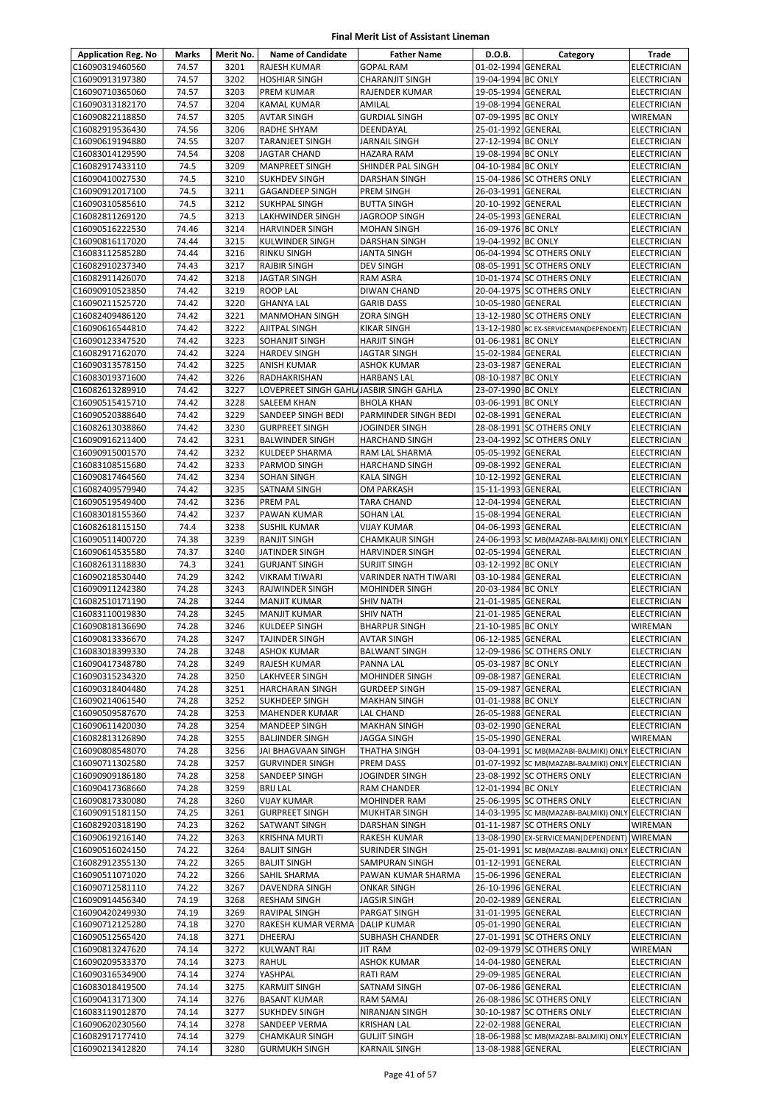| <b>Application Reg. No</b>         | Marks          | Merit No.    | <b>Name of Candidate</b>                      | <b>Father Name</b>                        | D.O.B.                                   | Category                                               | Trade                                    |
|------------------------------------|----------------|--------------|-----------------------------------------------|-------------------------------------------|------------------------------------------|--------------------------------------------------------|------------------------------------------|
| C16090319460560                    | 74.57          | 3201         | RAJESH KUMAR                                  | <b>GOPAL RAM</b>                          | 01-02-1994 GENERAL                       |                                                        | <b>ELECTRICIAN</b>                       |
| C16090913197380                    | 74.57          | 3202         | <b>HOSHIAR SINGH</b>                          | <b>CHARANJIT SINGH</b>                    | 19-04-1994 BC ONLY                       |                                                        | ELECTRICIAN                              |
| C16090710365060                    | 74.57          | 3203         | <b>PREM KUMAR</b>                             | RAJENDER KUMAR                            | 19-05-1994 GENERAL                       |                                                        | ELECTRICIAN                              |
| C16090313182170                    | 74.57          | 3204         | <b>KAMAL KUMAR</b>                            | AMILAL                                    | 19-08-1994 GENERAL                       |                                                        | ELECTRICIAN                              |
| C16090822118850                    | 74.57          | 3205         | <b>AVTAR SINGH</b>                            | <b>GURDIAL SINGH</b>                      | 07-09-1995 BC ONLY                       |                                                        | WIREMAN                                  |
| C16082919536430                    | 74.56          | 3206         | <b>RADHE SHYAM</b>                            | DEENDAYAL                                 | 25-01-1992 GENERAL                       |                                                        | <b>ELECTRICIAN</b>                       |
| C16090619194880                    | 74.55          | 3207         | <b>TARANJEET SINGH</b>                        | JARNAIL SINGH                             | 27-12-1994 BC ONLY                       |                                                        | <b>ELECTRICIAN</b>                       |
| C16083014129590                    | 74.54<br>74.5  | 3208<br>3209 | <b>JAGTAR CHAND</b>                           | HAZARA RAM                                | 19-08-1994 BC ONLY                       |                                                        | <b>ELECTRICIAN</b>                       |
| C16082917433110<br>C16090410027530 | 74.5           | 3210         | <b>MANPREET SINGH</b><br><b>SUKHDEV SINGH</b> | SHINDER PAL SINGH<br><b>DARSHAN SINGH</b> | 04-10-1984 BC ONLY                       | 15-04-1986 SC OTHERS ONLY                              | <b>ELECTRICIAN</b><br>ELECTRICIAN        |
| C16090912017100                    | 74.5           | 3211         | <b>GAGANDEEP SINGH</b>                        | PREM SINGH                                | 26-03-1991 GENERAL                       |                                                        | <b>ELECTRICIAN</b>                       |
| C16090310585610                    | 74.5           | 3212         | <b>SUKHPAL SINGH</b>                          | <b>BUTTA SINGH</b>                        | 20-10-1992 GENERAL                       |                                                        | <b>ELECTRICIAN</b>                       |
| C16082811269120                    | 74.5           | 3213         | LAKHWINDER SINGH                              | JAGROOP SINGH                             | 24-05-1993 GENERAL                       |                                                        | <b>ELECTRICIAN</b>                       |
| C16090516222530                    | 74.46          | 3214         | <b>HARVINDER SINGH</b>                        | <b>MOHAN SINGH</b>                        | 16-09-1976 BC ONLY                       |                                                        | <b>ELECTRICIAN</b>                       |
| C16090816117020                    | 74.44          | 3215         | KULWINDER SINGH                               | DARSHAN SINGH                             | 19-04-1992 BC ONLY                       |                                                        | ELECTRICIAN                              |
| C16083112585280                    | 74.44          | 3216         | <b>RINKU SINGH</b>                            | <b>JANTA SINGH</b>                        |                                          | 06-04-1994 SC OTHERS ONLY                              | ELECTRICIAN                              |
| C16082910237340                    | 74.43          | 3217         | <b>RAJBIR SINGH</b>                           | <b>DEV SINGH</b>                          |                                          | 08-05-1991 SC OTHERS ONLY                              | ELECTRICIAN                              |
| C16082911426070                    | 74.42          | 3218         | <b>JAGTAR SINGH</b>                           | RAM ASRA                                  |                                          | 10-01-1974 SC OTHERS ONLY                              | ELECTRICIAN                              |
| C16090910523850                    | 74.42          | 3219         | <b>ROOP LAL</b>                               | DIWAN CHAND                               |                                          | 20-04-1975 SC OTHERS ONLY                              | ELECTRICIAN                              |
| C16090211525720                    | 74.42          | 3220         | <b>GHANYA LAL</b>                             | <b>GARIB DASS</b>                         | 10-05-1980 GENERAL                       |                                                        | <b>ELECTRICIAN</b>                       |
| C16082409486120                    | 74.42<br>74.42 | 3221<br>3222 | <b>MANMOHAN SINGH</b>                         | <b>ZORA SINGH</b>                         |                                          | 13-12-1980 SC OTHERS ONLY                              | <b>ELECTRICIAN</b>                       |
| C16090616544810<br>C16090123347520 | 74.42          | 3223         | <b>AJITPAL SINGH</b><br>SOHANJIT SINGH        | KIKAR SINGH<br><b>HARJIT SINGH</b>        | 01-06-1981 BC ONLY                       | 13-12-1980 BC EX-SERVICEMAN(DEPENDENT)                 | <b>ELECTRICIAN</b><br><b>ELECTRICIAN</b> |
| C16082917162070                    | 74.42          | 3224         | <b>HARDEV SINGH</b>                           | JAGTAR SINGH                              | 15-02-1984 GENERAL                       |                                                        | <b>ELECTRICIAN</b>                       |
| C16090313578150                    | 74.42          | 3225         | ANISH KUMAR                                   | ASHOK KUMAR                               | 23-03-1987 GENERAL                       |                                                        | ELECTRICIAN                              |
| C16083019371600                    | 74.42          | 3226         | RADHAKRISHAN                                  | <b>HARBANS LAL</b>                        | 08-10-1987 BC ONLY                       |                                                        | ELECTRICIAN                              |
| C16082613289910                    | 74.42          | 3227         | LOVEPREET SINGH GAHL/JASBIR SINGH GAHLA       |                                           | 23-07-1990 BC ONLY                       |                                                        | ELECTRICIAN                              |
| C16090515415710                    | 74.42          | 3228         | <b>SALEEM KHAN</b>                            | <b>BHOLA KHAN</b>                         | 03-06-1991 BC ONLY                       |                                                        | <b>ELECTRICIAN</b>                       |
| C16090520388640                    | 74.42          | 3229         | SANDEEP SINGH BEDI                            | PARMINDER SINGH BEDI                      | 02-08-1991 GENERAL                       |                                                        | <b>ELECTRICIAN</b>                       |
| C16082613038860                    | 74.42          | 3230         | <b>GURPREET SINGH</b>                         | JOGINDER SINGH                            |                                          | 28-08-1991 SC OTHERS ONLY                              | <b>ELECTRICIAN</b>                       |
| C16090916211400                    | 74.42          | 3231         | <b>BALWINDER SINGH</b>                        | <b>HARCHAND SINGH</b>                     |                                          | 23-04-1992 SC OTHERS ONLY                              | ELECTRICIAN                              |
| C16090915001570                    | 74.42          | 3232         | KULDEEP SHARMA                                | RAM LAL SHARMA                            | 05-05-1992 GENERAL                       |                                                        | <b>ELECTRICIAN</b>                       |
| C16083108515680                    | 74.42          | 3233         | PARMOD SINGH                                  | <b>HARCHAND SINGH</b>                     | 09-08-1992 GENERAL                       |                                                        | ELECTRICIAN                              |
| C16090817464560                    | 74.42          | 3234         | SOHAN SINGH                                   | <b>KALA SINGH</b>                         | 10-12-1992 GENERAL                       |                                                        | ELECTRICIAN                              |
| C16082409579940<br>C16090519549400 | 74.42<br>74.42 | 3235<br>3236 | SATNAM SINGH<br><b>PREM PAL</b>               | OM PARKASH<br><b>TARA CHAND</b>           | 15-11-1993 GENERAL<br>12-04-1994 GENERAL |                                                        | <b>ELECTRICIAN</b><br><b>ELECTRICIAN</b> |
| C16083018155360                    | 74.42          | 3237         | <b>PAWAN KUMAR</b>                            | <b>SOHAN LAL</b>                          | 15-08-1994 GENERAL                       |                                                        | ELECTRICIAN                              |
| C16082618115150                    | 74.4           | 3238         | <b>SUSHIL KUMAR</b>                           | <b>VIJAY KUMAR</b>                        | 04-06-1993 GENERAL                       |                                                        | <b>ELECTRICIAN</b>                       |
| C16090511400720                    | 74.38          | 3239         | <b>RANJIT SINGH</b>                           | CHAMKAUR SINGH                            |                                          | 24-06-1993 SC MB(MAZABI-BALMIKI) ONLY ELECTRICIAN      |                                          |
| C16090614535580                    | 74.37          | 3240         | JATINDER SINGH                                | <b>HARVINDER SINGH</b>                    | 02-05-1994 GENERAL                       |                                                        | <b>ELECTRICIAN</b>                       |
| C16082613118830                    | 74.3           | 3241         | <b>GURJANT SINGH</b>                          | <b>SURJIT SINGH</b>                       | 03-12-1992 BC ONLY                       |                                                        | <b>ELECTRICIAN</b>                       |
| C16090218530440                    | 74.29          | 3242         | <b>VIKRAM TIWARI</b>                          | <b>VARINDER NATH TIWARI</b>               | 03-10-1984 GENERAL                       |                                                        | <b>ELECTRICIAN</b>                       |
| C16090911242380                    | 74.28          | 3243         | RAJWINDER SINGH                               | MOHINDER SINGH                            | 20-03-1984 BC ONLY                       |                                                        | <b>ELECTRICIAN</b>                       |
| C16082510171190                    | 74.28          | 3244         | <b>MANJIT KUMAR</b>                           | <b>SHIV NATH</b>                          | 21-01-1985 GENERAL                       |                                                        | <b>ELECTRICIAN</b>                       |
| C16083110019830                    | 74.28          | 3245         | <b>MANJIT KUMAR</b>                           | <b>SHIV NATH</b>                          | 21-01-1985 GENERAL                       |                                                        | ELECTRICIAN                              |
| C16090818136690                    | 74.28          | 3246         | KULDEEP SINGH                                 | <b>BHARPUR SINGH</b>                      | 21-10-1985 BC ONLY                       |                                                        | <b>WIREMAN</b>                           |
| C16090813336670<br>C16083018399330 | 74.28          | 3247<br>3248 | <b>TAJINDER SINGH</b>                         | <b>AVTAR SINGH</b>                        | 06-12-1985 GENERAL                       |                                                        | <b>ELECTRICIAN</b>                       |
| C16090417348780                    | 74.28<br>74.28 | 3249         | <b>ASHOK KUMAR</b><br>RAJESH KUMAR            | <b>BALWANT SINGH</b><br>PANNA LAL         | 05-03-1987 BC ONLY                       | 12-09-1986 SC OTHERS ONLY                              | <b>ELECTRICIAN</b><br><b>ELECTRICIAN</b> |
| C16090315234320                    | 74.28          | 3250         | LAKHVEER SINGH                                | MOHINDER SINGH                            | 09-08-1987 GENERAL                       |                                                        | ELECTRICIAN                              |
| C16090318404480                    | 74.28          | 3251         | <b>HARCHARAN SINGH</b>                        | <b>GURDEEP SINGH</b>                      | 15-09-1987 GENERAL                       |                                                        | <b>ELECTRICIAN</b>                       |
| C16090214061540                    | 74.28          | 3252         | <b>SUKHDEEP SINGH</b>                         | <b>MAKHAN SINGH</b>                       | 01-01-1988 BC ONLY                       |                                                        | ELECTRICIAN                              |
| C16090509587670                    | 74.28          | 3253         | MAHENDER KUMAR                                | LAL CHAND                                 | 26-05-1988 GENERAL                       |                                                        | ELECTRICIAN                              |
| C16090611420030                    | 74.28          | 3254         | <b>MANDEEP SINGH</b>                          | <b>MAKHAN SINGH</b>                       | 03-02-1990 GENERAL                       |                                                        | <b>ELECTRICIAN</b>                       |
| C16082813126890                    | 74.28          | 3255         | <b>BALJINDER SINGH</b>                        | JAGGA SINGH                               | 15-05-1990 GENERAL                       |                                                        | WIREMAN                                  |
| C16090808548070                    | 74.28          | 3256         | JAI BHAGVAAN SINGH                            | THATHA SINGH                              |                                          | 03-04-1991 SC MB(MAZABI-BALMIKI) ONLY ELECTRICIAN      |                                          |
| C16090711302580                    | 74.28          | 3257         | <b>GURVINDER SINGH</b>                        | PREM DASS                                 |                                          | 01-07-1992 SC MB(MAZABI-BALMIKI) ONLY ELECTRICIAN      |                                          |
| C16090909186180<br>C16090417368660 | 74.28<br>74.28 | 3258<br>3259 | SANDEEP SINGH                                 | JOGINDER SINGH                            | 12-01-1994 BC ONLY                       | 23-08-1992 SC OTHERS ONLY                              | ELECTRICIAN<br><b>ELECTRICIAN</b>        |
| C16090817330080                    | 74.28          | 3260         | <b>BRIJ LAL</b><br><b>VIJAY KUMAR</b>         | RAM CHANDER<br>MOHINDER RAM               |                                          | 25-06-1995 SC OTHERS ONLY                              | ELECTRICIAN                              |
| C16090915181150                    | 74.25          | 3261         | <b>GURPREET SINGH</b>                         | <b>MUKHTAR SINGH</b>                      |                                          | 14-03-1995 SC MB(MAZABI-BALMIKI) ONLY ELECTRICIAN      |                                          |
| C16082920318190                    | 74.23          | 3262         | SATWANT SINGH                                 | DARSHAN SINGH                             |                                          | 01-11-1987 SC OTHERS ONLY                              | WIREMAN                                  |
| C16090619216140                    | 74.22          | 3263         | <b>KRISHNA MURTI</b>                          | RAKESH KUMAR                              |                                          | 13-08-1990 EX-SERVICEMAN(DEPENDENT)                    | WIREMAN                                  |
| C16090516024150                    | 74.22          | 3264         | <b>BALJIT SINGH</b>                           | SURINDER SINGH                            |                                          | 25-01-1991 SC MB(MAZABI-BALMIKI) ONLY ELECTRICIAN      |                                          |
| C16082912355130                    | 74.22          | 3265         | <b>BALJIT SINGH</b>                           | SAMPURAN SINGH                            | 01-12-1991 GENERAL                       |                                                        | ELECTRICIAN                              |
| C16090511071020                    | 74.22          | 3266         | <b>SAHIL SHARMA</b>                           | PAWAN KUMAR SHARMA                        | 15-06-1996 GENERAL                       |                                                        | <b>ELECTRICIAN</b>                       |
| C16090712581110                    | 74.22          | 3267         | DAVENDRA SINGH                                | ONKAR SINGH                               | 26-10-1996 GENERAL                       |                                                        | ELECTRICIAN                              |
| C16090914456340                    | 74.19          | 3268         | <b>RESHAM SINGH</b>                           | JAGSIR SINGH                              | 20-02-1989 GENERAL                       |                                                        | <b>ELECTRICIAN</b>                       |
| C16090420249930                    | 74.19          | 3269         | RAVIPAL SINGH                                 | PARGAT SINGH                              | 31-01-1995 GENERAL                       |                                                        | ELECTRICIAN                              |
| C16090712125280                    | 74.18          | 3270         | RAKESH KUMAR VERMA                            | <b>DALIP KUMAR</b>                        | 05-01-1990 GENERAL                       |                                                        | ELECTRICIAN                              |
| C16090512565420<br>C16090813247620 | 74.18<br>74.14 | 3271<br>3272 | DHEERAJ<br><b>KULWANT RAI</b>                 | SUBHASH CHANDER<br>JIT RAM                |                                          | 27-01-1991 SC OTHERS ONLY<br>02-09-1979 SC OTHERS ONLY | ELECTRICIAN<br>WIREMAN                   |
| C16090209533370                    | 74.14          | 3273         | RAHUL                                         | ASHOK KUMAR                               | 14-04-1980 GENERAL                       |                                                        | <b>ELECTRICIAN</b>                       |
| C16090316534900                    | 74.14          | 3274         | YASHPAL                                       | RATI RAM                                  | 29-09-1985 GENERAL                       |                                                        | <b>ELECTRICIAN</b>                       |
| C16083018419500                    | 74.14          | 3275         | <b>KARMJIT SINGH</b>                          | SATNAM SINGH                              | 07-06-1986 GENERAL                       |                                                        | ELECTRICIAN                              |
| C16090413171300                    | 74.14          | 3276         | <b>BASANT KUMAR</b>                           | RAM SAMAJ                                 |                                          | 26-08-1986 SC OTHERS ONLY                              | ELECTRICIAN                              |
| C16083119012870                    | 74.14          | 3277         | <b>SUKHDEV SINGH</b>                          | NIRANJAN SINGH                            |                                          | 30-10-1987 SC OTHERS ONLY                              | ELECTRICIAN                              |
| C16090620230560                    | 74.14          | 3278         | SANDEEP VERMA                                 | KRISHAN LAL                               | 22-02-1988 GENERAL                       |                                                        | ELECTRICIAN                              |
| C16082917177410                    | 74.14          | 3279         | <b>CHAMKAUR SINGH</b>                         | <b>GULJIT SINGH</b>                       |                                          | 18-06-1988 SC MB(MAZABI-BALMIKI) ONLY ELECTRICIAN      |                                          |
| C16090213412820                    | 74.14          | 3280         | <b>GURMUKH SINGH</b>                          | KARNAIL SINGH                             | 13-08-1988 GENERAL                       |                                                        | ELECTRICIAN                              |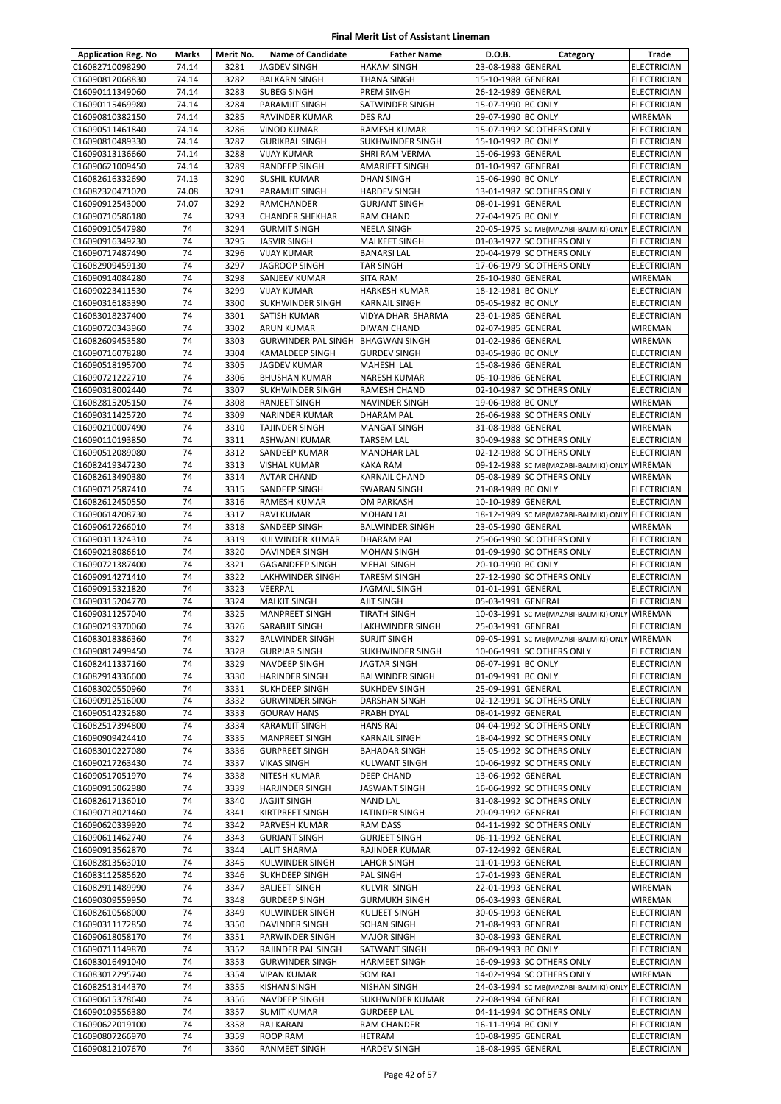| <b>Application Reg. No</b>         | Marks    | Merit No.    | <b>Name of Candidate</b>                | <b>Father Name</b>                      | D.O.B.                                   | Category                                               | Trade                                |
|------------------------------------|----------|--------------|-----------------------------------------|-----------------------------------------|------------------------------------------|--------------------------------------------------------|--------------------------------------|
| C16082710098290                    | 74.14    | 3281         | <b>JAGDEV SINGH</b>                     | <b>HAKAM SINGH</b>                      | 23-08-1988 GENERAL                       |                                                        | <b>ELECTRICIAN</b>                   |
| C16090812068830                    | 74.14    | 3282         | <b>BALKARN SINGH</b>                    | <b>THANA SINGH</b>                      | 15-10-1988 GENERAL                       |                                                        | ELECTRICIAN                          |
| C16090111349060                    | 74.14    | 3283         | <b>SUBEG SINGH</b>                      | PREM SINGH                              | 26-12-1989 GENERAL                       |                                                        | ELECTRICIAN                          |
| C16090115469980                    | 74.14    | 3284         | <b>PARAMJIT SINGH</b>                   | SATWINDER SINGH                         | 15-07-1990 BC ONLY                       |                                                        | ELECTRICIAN                          |
| C16090810382150                    | 74.14    | 3285         | RAVINDER KUMAR                          | DES RAJ                                 | 29-07-1990 BC ONLY                       |                                                        | WIREMAN                              |
| C16090511461840                    | 74.14    | 3286         | <b>VINOD KUMAR</b>                      | <b>RAMESH KUMAR</b>                     |                                          | 15-07-1992 SC OTHERS ONLY                              | <b>ELECTRICIAN</b>                   |
| C16090810489330                    | 74.14    | 3287         | <b>GURIKBAL SINGH</b>                   | <b>SUKHWINDER SINGH</b>                 | 15-10-1992 BC ONLY                       |                                                        | <b>ELECTRICIAN</b>                   |
| C16090313136660                    | 74.14    | 3288         | <b>VIJAY KUMAR</b>                      | SHRI RAM VERMA                          | 15-06-1993 GENERAL                       |                                                        | ELECTRICIAN                          |
| C16090621009450                    | 74.14    | 3289         | <b>RANDEEP SINGH</b>                    | AMARJEET SINGH                          | 01-10-1997 GENERAL                       |                                                        | ELECTRICIAN                          |
| C16082616332690                    | 74.13    | 3290         | SUSHIL KUMAR                            | DHAN SINGH                              | 15-06-1990 BC ONLY                       |                                                        | ELECTRICIAN                          |
| C16082320471020                    | 74.08    | 3291         | <b>PARAMJIT SINGH</b>                   | <b>HARDEV SINGH</b>                     |                                          | 13-01-1987 SC OTHERS ONLY                              | ELECTRICIAN                          |
| C16090912543000                    | 74.07    | 3292         | RAMCHANDER                              | <b>GURJANT SINGH</b>                    | 08-01-1991 GENERAL                       |                                                        | <b>ELECTRICIAN</b>                   |
| C16090710586180                    | 74       | 3293         | <b>CHANDER SHEKHAR</b>                  | <b>RAM CHAND</b>                        | 27-04-1975 BC ONLY                       |                                                        | <b>ELECTRICIAN</b>                   |
| C16090910547980                    | 74<br>74 | 3294         | <b>GURMIT SINGH</b>                     | <b>NEELA SINGH</b>                      |                                          | 20-05-1975 SC MB(MAZABI-BALMIKI) ONLY                  | <b>ELECTRICIAN</b>                   |
| C16090916349230                    | 74       | 3295<br>3296 | <b>JASVIR SINGH</b>                     | MALKEET SINGH                           |                                          | 01-03-1977 SC OTHERS ONLY<br>20-04-1979 SC OTHERS ONLY | ELECTRICIAN                          |
| C16090717487490<br>C16082909459130 | 74       | 3297         | <b>VIJAY KUMAR</b><br>JAGROOP SINGH     | <b>BANARSI LAL</b><br><b>TAR SINGH</b>  |                                          | 17-06-1979 SC OTHERS ONLY                              | ELECTRICIAN<br>ELECTRICIAN           |
| C16090914084280                    | 74       | 3298         | SANJEEV KUMAR                           | <b>SITA RAM</b>                         | 26-10-1980 GENERAL                       |                                                        | WIREMAN                              |
| C16090223411530                    | 74       | 3299         | <b>VIJAY KUMAR</b>                      | <b>HARKESH KUMAR</b>                    | 18-12-1981 BC ONLY                       |                                                        | ELECTRICIAN                          |
| C16090316183390                    | 74       | 3300         | <b>SUKHWINDER SINGH</b>                 | <b>KARNAIL SINGH</b>                    | 05-05-1982 BC ONLY                       |                                                        | <b>ELECTRICIAN</b>                   |
| C16083018237400                    | 74       | 3301         | SATISH KUMAR                            | VIDYA DHAR SHARMA                       | 23-01-1985 GENERAL                       |                                                        | ELECTRICIAN                          |
| C16090720343960                    | 74       | 3302         | <b>ARUN KUMAR</b>                       | <b>DIWAN CHAND</b>                      | 02-07-1985 GENERAL                       |                                                        | WIREMAN                              |
| C16082609453580                    | 74       | 3303         | GURWINDER PAL SINGH BHAGWAN SINGH       |                                         | 01-02-1986 GENERAL                       |                                                        | WIREMAN                              |
| C16090716078280                    | 74       | 3304         | <b>KAMALDEEP SINGH</b>                  | <b>GURDEV SINGH</b>                     | 03-05-1986 BC ONLY                       |                                                        | <b>ELECTRICIAN</b>                   |
| C16090518195700                    | 74       | 3305         | <b>JAGDEV KUMAR</b>                     | <b>MAHESH LAL</b>                       | 15-08-1986 GENERAL                       |                                                        | ELECTRICIAN                          |
| C16090721222710                    | 74       | 3306         | <b>BHUSHAN KUMAR</b>                    | <b>NARESH KUMAR</b>                     | 05-10-1986 GENERAL                       |                                                        | ELECTRICIAN                          |
| C16090318002440                    | 74       | 3307         | SUKHWINDER SINGH                        | RAMESH CHAND                            |                                          | 02-10-1987 SC OTHERS ONLY                              | ELECTRICIAN                          |
| C16082815205150                    | 74       | 3308         | <b>RANJEET SINGH</b>                    | NAVINDER SINGH                          | 19-06-1988 BC ONLY                       |                                                        | WIREMAN                              |
| C16090311425720                    | 74       | 3309         | <b>NARINDER KUMAR</b>                   | DHARAM PAL                              |                                          | 26-06-1988 SC OTHERS ONLY                              | ELECTRICIAN                          |
| C16090210007490                    | 74       | 3310         | <b>TAJINDER SINGH</b>                   | <b>MANGAT SINGH</b>                     | 31-08-1988 GENERAL                       |                                                        | WIREMAN                              |
| C16090110193850                    | 74       | 3311         | ASHWANI KUMAR                           | <b>TARSEM LAL</b>                       |                                          | 30-09-1988 SC OTHERS ONLY                              | ELECTRICIAN                          |
| C16090512089080                    | 74       | 3312         | SANDEEP KUMAR                           | <b>MANOHAR LAL</b>                      |                                          | 02-12-1988 SC OTHERS ONLY                              | <b>ELECTRICIAN</b>                   |
| C16082419347230                    | 74       | 3313         | <b>VISHAL KUMAR</b>                     | <b>KAKA RAM</b>                         |                                          | 09-12-1988 SC MB(MAZABI-BALMIKI) ONLY                  | <b>WIREMAN</b>                       |
| C16082613490380                    | 74       | 3314         | <b>AVTAR CHAND</b>                      | <b>KARNAIL CHAND</b>                    |                                          | 05-08-1989 SC OTHERS ONLY                              | WIREMAN                              |
| C16090712587410                    | 74       | 3315         | <b>SANDEEP SINGH</b>                    | <b>SWARAN SINGH</b>                     | 21-08-1989 BC ONLY                       |                                                        | ELECTRICIAN                          |
| C16082612450550                    | 74       | 3316         | <b>RAMESH KUMAR</b>                     | OM PARKASH                              | 10-10-1989 GENERAL                       |                                                        | <b>ELECTRICIAN</b>                   |
| C16090614208730                    | 74       | 3317         | <b>RAVI KUMAR</b>                       | <b>MOHAN LAL</b>                        |                                          | 18-12-1989 SC MB(MAZABI-BALMIKI) ONLY ELECTRICIAN      |                                      |
| C16090617266010                    | 74       | 3318         | <b>SANDEEP SINGH</b>                    | <b>BALWINDER SINGH</b>                  | 23-05-1990 GENERAL                       |                                                        | WIREMAN                              |
| C16090311324310                    | 74       | 3319         | KULWINDER KUMAR                         | <b>DHARAM PAL</b>                       |                                          | 25-06-1990 SC OTHERS ONLY                              | ELECTRICIAN                          |
| C16090218086610                    | 74       | 3320         | <b>DAVINDER SINGH</b>                   | <b>MOHAN SINGH</b>                      |                                          | 01-09-1990 SC OTHERS ONLY                              | ELECTRICIAN                          |
| C16090721387400                    | 74       | 3321         | <b>GAGANDEEP SINGH</b>                  | <b>MEHAL SINGH</b>                      | 20-10-1990 BC ONLY                       |                                                        | ELECTRICIAN                          |
| C16090914271410                    | 74       | 3322         | <b>LAKHWINDER SINGH</b>                 | <b>TARESM SINGH</b>                     |                                          | 27-12-1990 SC OTHERS ONLY                              | ELECTRICIAN                          |
| C16090915321820                    | 74       | 3323         | VEERPAL                                 | <b>JAGMAIL SINGH</b>                    | 01-01-1991 GENERAL                       |                                                        | <b>ELECTRICIAN</b>                   |
| C16090315204770                    | 74       | 3324         | <b>MALKIT SINGH</b>                     | AJIT SINGH                              | 05-03-1991 GENERAL                       |                                                        | <b>ELECTRICIAN</b>                   |
| C16090311257040<br>C16090219370060 | 74<br>74 | 3325<br>3326 | <b>MANPREET SINGH</b><br>SARABJIT SINGH | <b>TIRATH SINGH</b><br>LAKHWINDER SINGH | 25-03-1991 GENERAL                       | 10-03-1991 SC MB(MAZABI-BALMIKI) ONLY                  | <b>WIREMAN</b><br><b>ELECTRICIAN</b> |
| C16083018386360                    | 74       | 3327         | <b>BALWINDER SINGH</b>                  | <b>SURJIT SINGH</b>                     |                                          | 09-05-1991 SC MB(MAZABI-BALMIKI) ONLY WIREMAN          |                                      |
| C16090817499450                    | 74       | 3328         | <b>GURPIAR SINGH</b>                    | <b>SUKHWINDER SINGH</b>                 |                                          | 10-06-1991 SC OTHERS ONLY                              | <b>ELECTRICIAN</b>                   |
| C16082411337160                    | 74       | 3329         | NAVDEEP SINGH                           | <b>JAGTAR SINGH</b>                     | 06-07-1991 BC ONLY                       |                                                        | <b>ELECTRICIAN</b>                   |
| C16082914336600                    | 74       | 3330         | <b>HARINDER SINGH</b>                   | <b>BALWINDER SINGH</b>                  | 01-09-1991 BC ONLY                       |                                                        | ELECTRICIAN                          |
| C16083020550960                    | 74       | 3331         | <b>SUKHDEEP SINGH</b>                   | <b>SUKHDEV SINGH</b>                    | 25-09-1991 GENERAL                       |                                                        | ELECTRICIAN                          |
| C16090912516000                    | 74       | 3332         | <b>GURWINDER SINGH</b>                  | <b>DARSHAN SINGH</b>                    |                                          | 02-12-1991 SC OTHERS ONLY                              | ELECTRICIAN                          |
| C16090514232680                    | 74       | 3333         | <b>GOURAV HANS</b>                      | PRABH DYAL                              | 08-01-1992 GENERAL                       |                                                        | ELECTRICIAN                          |
| C16082517394800                    | 74       | 3334         | <b>KARAMJIT SINGH</b>                   | <b>HANS RAJ</b>                         |                                          | 04-04-1992 SC OTHERS ONLY                              | ELECTRICIAN                          |
| C16090909424410                    | 74       | 3335         | <b>MANPREET SINGH</b>                   | <b>KARNAIL SINGH</b>                    |                                          | 18-04-1992 SC OTHERS ONLY                              | <b>ELECTRICIAN</b>                   |
| C16083010227080                    | 74       | 3336         | <b>GURPREET SINGH</b>                   | <b>BAHADAR SINGH</b>                    |                                          | 15-05-1992 SC OTHERS ONLY                              | <b>ELECTRICIAN</b>                   |
| C16090217263430                    | 74       | 3337         | <b>VIKAS SINGH</b>                      | <b>KULWANT SINGH</b>                    |                                          | 10-06-1992 SC OTHERS ONLY                              | ELECTRICIAN                          |
| C16090517051970                    | 74       | 3338         | NITESH KUMAR                            | DEEP CHAND                              | 13-06-1992 GENERAL                       |                                                        | ELECTRICIAN                          |
| C16090915062980                    | 74       | 3339         | <b>HARJINDER SINGH</b>                  | <b>JASWANT SINGH</b>                    |                                          | 16-06-1992 SC OTHERS ONLY                              | ELECTRICIAN                          |
| C16082617136010                    | 74       | 3340         | <b>JAGJIT SINGH</b>                     | <b>NAND LAL</b>                         |                                          | 31-08-1992 SC OTHERS ONLY                              | ELECTRICIAN                          |
| C16090718021460                    | 74       | 3341         | KIRTPREET SINGH                         | JATINDER SINGH                          | 20-09-1992 GENERAL                       |                                                        | ELECTRICIAN                          |
| C16090620339920                    | 74       | 3342         | PARVESH KUMAR                           | <b>RAM DASS</b>                         |                                          | 04-11-1992 SC OTHERS ONLY                              | ELECTRICIAN                          |
| C16090611462740                    | 74       | 3343         | <b>GURJANT SINGH</b>                    | <b>GURJEET SINGH</b>                    | 06-11-1992 GENERAL                       |                                                        | ELECTRICIAN                          |
| C16090913562870                    | 74       | 3344         | <b>LALIT SHARMA</b>                     | RAJINDER KUMAR                          | 07-12-1992 GENERAL                       |                                                        | ELECTRICIAN                          |
| C16082813563010                    | 74       | 3345         | KULWINDER SINGH                         | <b>LAHOR SINGH</b>                      | 11-01-1993 GENERAL                       |                                                        | ELECTRICIAN                          |
| C16083112585620                    | 74       | 3346         | <b>SUKHDEEP SINGH</b>                   | PAL SINGH                               | 17-01-1993 GENERAL                       |                                                        | ELECTRICIAN                          |
| C16082911489990                    | 74       | 3347         | <b>BALJEET SINGH</b>                    | KULVIR SINGH                            | 22-01-1993 GENERAL                       |                                                        | WIREMAN                              |
| C16090309559950                    | 74       | 3348         | <b>GURDEEP SINGH</b>                    | <b>GURMUKH SINGH</b>                    | 06-03-1993 GENERAL                       |                                                        | WIREMAN                              |
| C16082610568000                    | 74       | 3349         | <b>KULWINDER SINGH</b>                  | <b>KULJEET SINGH</b>                    | 30-05-1993 GENERAL                       |                                                        | ELECTRICIAN                          |
| C16090311172850                    | 74       | 3350         | <b>DAVINDER SINGH</b>                   | SOHAN SINGH                             | 21-08-1993 GENERAL                       |                                                        | ELECTRICIAN                          |
| C16090618058170                    | 74       | 3351         | PARWINDER SINGH                         | <b>MAJOR SINGH</b>                      | 30-08-1993 GENERAL                       |                                                        | ELECTRICIAN                          |
| C16090711149870                    | 74       | 3352         | RAJINDER PAL SINGH                      | SATWANT SINGH                           | 08-09-1993 BC ONLY                       |                                                        | ELECTRICIAN                          |
| C16083016491040                    | 74       | 3353         | <b>GURWINDER SINGH</b>                  | <b>HARMEET SINGH</b>                    |                                          | 16-09-1993 SC OTHERS ONLY                              | ELECTRICIAN                          |
| C16083012295740                    | 74       | 3354         | <b>VIPAN KUMAR</b>                      | SOM RAJ                                 |                                          | 14-02-1994 SC OTHERS ONLY                              | WIREMAN                              |
| C16082513144370                    | 74       | 3355         | <b>KISHAN SINGH</b>                     | <b>NISHAN SINGH</b>                     |                                          | 24-03-1994 SC MB(MAZABI-BALMIKI) ONLY ELECTRICIAN      |                                      |
| C16090615378640                    | 74       | 3356         | <b>NAVDEEP SINGH</b>                    | <b>SUKHWNDER KUMAR</b>                  | 22-08-1994 GENERAL                       |                                                        | ELECTRICIAN                          |
| C16090109556380<br>C16090622019100 | 74<br>74 | 3357         | <b>SUMIT KUMAR</b>                      | <b>GURDEEP LAL</b>                      |                                          | 04-11-1994 SC OTHERS ONLY                              | ELECTRICIAN                          |
| C16090807266970                    | 74       | 3358<br>3359 | RAJ KARAN                               | RAM CHANDER                             | 16-11-1994 BC ONLY<br>10-08-1995 GENERAL |                                                        | <b>ELECTRICIAN</b>                   |
| C16090812107670                    | 74       | 3360         | ROOP RAM<br>RANMEET SINGH               | <b>HETRAM</b><br><b>HARDEV SINGH</b>    | 18-08-1995 GENERAL                       |                                                        | ELECTRICIAN<br>ELECTRICIAN           |
|                                    |          |              |                                         |                                         |                                          |                                                        |                                      |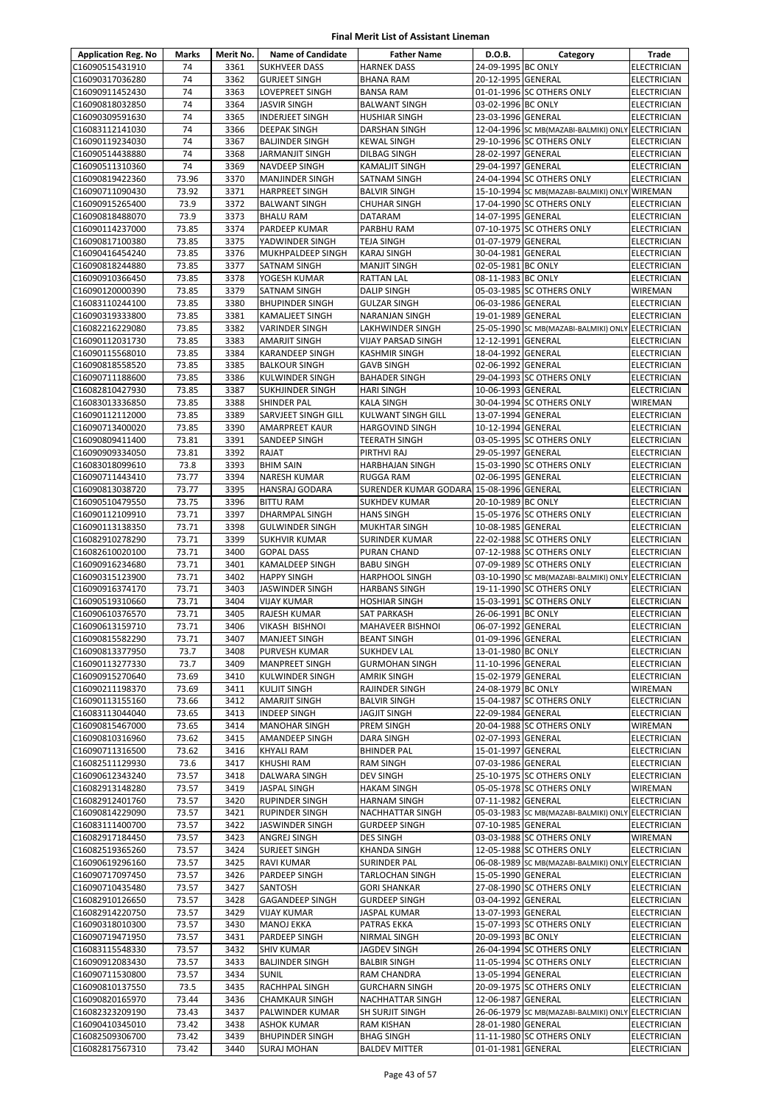| <b>Application Reg. No</b>         | Marks          | Merit No.    | <b>Name of Candidate</b>                        | <b>Father Name</b>                        | D.O.B.                                   | Category                                               | Trade                             |
|------------------------------------|----------------|--------------|-------------------------------------------------|-------------------------------------------|------------------------------------------|--------------------------------------------------------|-----------------------------------|
| C16090515431910                    | 74             | 3361         | <b>SUKHVEER DASS</b>                            | <b>HARNEK DASS</b>                        | 24-09-1995 BC ONLY                       |                                                        | ELECTRICIAN                       |
| C16090317036280                    | 74             | 3362         | <b>GURJEET SINGH</b>                            | <b>BHANA RAM</b>                          | 20-12-1995 GENERAL                       |                                                        | <b>ELECTRICIAN</b>                |
| C16090911452430                    | 74             | 3363         | LOVEPREET SINGH                                 | <b>BANSA RAM</b>                          |                                          | 01-01-1996 SC OTHERS ONLY                              | ELECTRICIAN                       |
| C16090818032850                    | 74             | 3364         | <b>JASVIR SINGH</b>                             | <b>BALWANT SINGH</b>                      | 03-02-1996 BC ONLY                       |                                                        | <b>ELECTRICIAN</b>                |
| C16090309591630                    | 74             | 3365         | <b>INDERJEET SINGH</b>                          | <b>HUSHIAR SINGH</b>                      | 23-03-1996 GENERAL                       |                                                        | <b>ELECTRICIAN</b>                |
| C16083112141030                    | 74             | 3366         | <b>DEEPAK SINGH</b>                             | DARSHAN SINGH                             |                                          | 12-04-1996 SC MB(MAZABI-BALMIKI) ONLY ELECTRICIAN      |                                   |
| C16090119234030                    | 74             | 3367         | <b>BALJINDER SINGH</b>                          | <b>KEWAL SINGH</b>                        |                                          | 29-10-1996 SC OTHERS ONLY                              | ELECTRICIAN                       |
| C16090514438880                    | 74             | 3368         | <b>JARMANJIT SINGH</b>                          | DILBAG SINGH                              | 28-02-1997 GENERAL                       |                                                        | ELECTRICIAN                       |
| C16090511310360                    | 74             | 3369         | <b>NAVDEEP SINGH</b>                            | <b>KAMALJIT SINGH</b>                     | 29-04-1997 GENERAL                       |                                                        | <b>ELECTRICIAN</b>                |
| C16090819422360                    | 73.96          | 3370         | <b>MANJINDER SINGH</b>                          | SATNAM SINGH                              |                                          | 24-04-1994 SC OTHERS ONLY                              | ELECTRICIAN                       |
| C16090711090430                    | 73.92          | 3371         | <b>HARPREET SINGH</b>                           | <b>BALVIR SINGH</b>                       |                                          | 15-10-1994 SC MB(MAZABI-BALMIKI) ONLY WIREMAN          |                                   |
| C16090915265400                    | 73.9           | 3372         | <b>BALWANT SINGH</b>                            | <b>CHUHAR SINGH</b>                       |                                          | 17-04-1990 SC OTHERS ONLY                              | <b>ELECTRICIAN</b>                |
| C16090818488070                    | 73.9           | 3373         | <b>BHALU RAM</b>                                | DATARAM                                   | 14-07-1995 GENERAL                       |                                                        | ELECTRICIAN                       |
| C16090114237000                    | 73.85          | 3374         | <b>PARDEEP KUMAR</b>                            | PARBHU RAM                                |                                          | 07-10-1975 SC OTHERS ONLY                              | ELECTRICIAN                       |
| C16090817100380                    | 73.85          | 3375         | YADWINDER SINGH                                 | <b>TEJA SINGH</b>                         | 01-07-1979 GENERAL                       |                                                        | ELECTRICIAN                       |
| C16090416454240                    | 73.85          | 3376         | MUKHPALDEEP SINGH                               | <b>KARAJ SINGH</b>                        | 30-04-1981 GENERAL                       |                                                        | <b>ELECTRICIAN</b>                |
| C16090818244880                    | 73.85          | 3377         | <b>SATNAM SINGH</b>                             | <b>MANJIT SINGH</b>                       | 02-05-1981 BC ONLY                       |                                                        | <b>ELECTRICIAN</b>                |
| C16090910366450                    | 73.85          | 3378         | YOGESH KUMAR                                    | <b>RATTAN LAL</b>                         | 08-11-1983 BC ONLY                       |                                                        | ELECTRICIAN                       |
| C16090120000390                    | 73.85          | 3379         | SATNAM SINGH                                    | <b>DALIP SINGH</b>                        |                                          | 05-03-1985 SC OTHERS ONLY                              | WIREMAN                           |
| C16083110244100                    | 73.85          | 3380         | <b>BHUPINDER SINGH</b>                          | <b>GULZAR SINGH</b>                       | 06-03-1986 GENERAL                       |                                                        | ELECTRICIAN                       |
| C16090319333800<br>C16082216229080 | 73.85<br>73.85 | 3381<br>3382 | <b>KAMALJEET SINGH</b><br><b>VARINDER SINGH</b> | <b>NARANJAN SINGH</b><br>LAKHWINDER SINGH | 19-01-1989 GENERAL                       | 25-05-1990 SC MB(MAZABI-BALMIKI) ONLY ELECTRICIAN      | <b>ELECTRICIAN</b>                |
| C16090112031730                    | 73.85          | 3383         | <b>AMARJIT SINGH</b>                            | <b>VIJAY PARSAD SINGH</b>                 | 12-12-1991 GENERAL                       |                                                        | <b>ELECTRICIAN</b>                |
| C16090115568010                    | 73.85          | 3384         | <b>KARANDEEP SINGH</b>                          | <b>KASHMIR SINGH</b>                      | 18-04-1992 GENERAL                       |                                                        | <b>ELECTRICIAN</b>                |
| C16090818558520                    | 73.85          | 3385         | <b>BALKOUR SINGH</b>                            | <b>GAVB SINGH</b>                         | 02-06-1992 GENERAL                       |                                                        | <b>ELECTRICIAN</b>                |
| C16090711188600                    | 73.85          | 3386         | <b>KULWINDER SINGH</b>                          | <b>BAHADER SINGH</b>                      |                                          | 29-04-1993 SC OTHERS ONLY                              | ELECTRICIAN                       |
| C16082810427930                    | 73.85          | 3387         | <b>SUKHJINDER SINGH</b>                         | <b>HARI SINGH</b>                         | 10-06-1993 GENERAL                       |                                                        | <b>ELECTRICIAN</b>                |
| C16083013336850                    | 73.85          | 3388         | <b>SHINDER PAL</b>                              | <b>KALA SINGH</b>                         |                                          | 30-04-1994 SC OTHERS ONLY                              | WIREMAN                           |
| C16090112112000                    | 73.85          | 3389         | SARVJEET SINGH GILL                             | <b>KULWANT SINGH GILL</b>                 | 13-07-1994 GENERAL                       |                                                        | ELECTRICIAN                       |
| C16090713400020                    | 73.85          | 3390         | AMARPREET KAUR                                  | <b>HARGOVIND SINGH</b>                    | 10-12-1994 GENERAL                       |                                                        | ELECTRICIAN                       |
| C16090809411400                    | 73.81          | 3391         | SANDEEP SINGH                                   | <b>TEERATH SINGH</b>                      |                                          | 03-05-1995 SC OTHERS ONLY                              | ELECTRICIAN                       |
| C16090909334050                    | 73.81          | 3392         | RAJAT                                           | PIRTHVI RAJ                               | 29-05-1997 GENERAL                       |                                                        | ELECTRICIAN                       |
| C16083018099610                    | 73.8           | 3393         | <b>BHIM SAIN</b>                                | <b>HARBHAJAN SINGH</b>                    |                                          | 15-03-1990 SC OTHERS ONLY                              | ELECTRICIAN                       |
| C16090711443410                    | 73.77          | 3394         | <b>NARESH KUMAR</b>                             | <b>RUGGA RAM</b>                          | 02-06-1995 GENERAL                       |                                                        | ELECTRICIAN                       |
| C16090813038720                    | 73.77          | 3395         | <b>HANSRAJ GODARA</b>                           | SURENDER KUMAR GODARA 15-08-1996 GENERAL  |                                          |                                                        | <b>ELECTRICIAN</b>                |
| C16090510479550                    | 73.75          | 3396         | <b>BITTU RAM</b>                                | <b>SUKHDEV KUMAR</b>                      | 20-10-1989 BC ONLY                       |                                                        | <b>ELECTRICIAN</b>                |
| C16090112109910                    | 73.71          | 3397         | <b>DHARMPAL SINGH</b>                           | <b>HANS SINGH</b>                         |                                          | 15-05-1976 SC OTHERS ONLY                              | ELECTRICIAN                       |
| C16090113138350                    | 73.71          | 3398         | <b>GULWINDER SINGH</b>                          | <b>MUKHTAR SINGH</b>                      | 10-08-1985 GENERAL                       |                                                        | ELECTRICIAN                       |
| C16082910278290<br>C16082610020100 | 73.71<br>73.71 | 3399<br>3400 | <b>SUKHVIR KUMAR</b><br><b>GOPAL DASS</b>       | SURINDER KUMAR<br><b>PURAN CHAND</b>      |                                          | 22-02-1988 SC OTHERS ONLY<br>07-12-1988 SC OTHERS ONLY | ELECTRICIAN<br><b>ELECTRICIAN</b> |
| C16090916234680                    | 73.71          | 3401         | <b>KAMALDEEP SINGH</b>                          | <b>BABU SINGH</b>                         |                                          | 07-09-1989 SC OTHERS ONLY                              | ELECTRICIAN                       |
| C16090315123900                    | 73.71          | 3402         | <b>HAPPY SINGH</b>                              | <b>HARPHOOL SINGH</b>                     |                                          | 03-10-1990 SC MB(MAZABI-BALMIKI) ONLY                  | ELECTRICIAN                       |
| C16090916374170                    | 73.71          | 3403         | <b>JASWINDER SINGH</b>                          | <b>HARBANS SINGH</b>                      |                                          | 19-11-1990 SC OTHERS ONLY                              | <b>ELECTRICIAN</b>                |
| C16090519310660                    | 73.71          | 3404         | <b>VIJAY KUMAR</b>                              | <b>HOSHIAR SINGH</b>                      |                                          | 15-03-1991 SC OTHERS ONLY                              | ELECTRICIAN                       |
| C16090610376570                    | 73.71          | 3405         | <b>RAJESH KUMAR</b>                             | <b>SAT PARKASH</b>                        | 26-06-1991 BC ONLY                       |                                                        | ELECTRICIAN                       |
| C16090613159710                    | 73.71          | 3406         | <b>VIKASH BISHNOI</b>                           | <b>MAHAVEER BISHNOI</b>                   | 06-07-1992 GENERAL                       |                                                        | <b>ELECTRICIAN</b>                |
| C16090815582290                    | 73.71          | 3407         | <b>MANJEET SINGH</b>                            | <b>BEANT SINGH</b>                        | 01-09-1996 GENERAL                       |                                                        | <b>ELECTRICIAN</b>                |
| C16090813377950                    | 73.7           | 3408         | PURVESH KUMAR                                   | <b>SUKHDEV LAL</b>                        | 13-01-1980 BC ONLY                       |                                                        | ELECTRICIAN                       |
| C16090113277330                    | 73.7           | 3409         | <b>MANPREET SINGH</b>                           | <b>GURMOHAN SINGH</b>                     | 11-10-1996 GENERAL                       |                                                        | <b>ELECTRICIAN</b>                |
| C16090915270640                    | 73.69          | 3410         | <b>KULWINDER SINGH</b>                          | <b>AMRIK SINGH</b>                        | 15-02-1979 GENERAL                       |                                                        | ELECTRICIAN                       |
| C16090211198370                    | 73.69          | 3411         | <b>KULJIT SINGH</b>                             | RAJINDER SINGH                            | 24-08-1979 BC ONLY                       |                                                        | WIREMAN                           |
| C16090113155160                    | 73.66          | 3412         | <b>AMARJIT SINGH</b>                            | <b>BALVIR SINGH</b>                       |                                          | 15-04-1987 SC OTHERS ONLY                              | ELECTRICIAN                       |
| C16083113044040                    | 73.65          | 3413         | <b>INDEEP SINGH</b>                             | <b>JAGJIT SINGH</b>                       | 22-09-1984 GENERAL                       |                                                        | ELECTRICIAN                       |
| C16090815467000                    | 73.65          | 3414         | <b>MANOHAR SINGH</b>                            | <b>PREM SINGH</b>                         |                                          | 20-04-1988 SC OTHERS ONLY                              | WIREMAN                           |
| C16090810316960<br>C16090711316500 | 73.62<br>73.62 | 3415<br>3416 | <b>AMANDEEP SINGH</b><br><b>KHYALI RAM</b>      | DARA SINGH<br><b>BHINDER PAL</b>          | 02-07-1993 GENERAL<br>15-01-1997 GENERAL |                                                        | ELECTRICIAN<br><b>ELECTRICIAN</b> |
| C16082511129930                    | 73.6           | 3417         | <b>KHUSHI RAM</b>                               | <b>RAM SINGH</b>                          | 07-03-1986 GENERAL                       |                                                        | ELECTRICIAN                       |
| C16090612343240                    | 73.57          | 3418         | DALWARA SINGH                                   | DEV SINGH                                 |                                          | 25-10-1975 SC OTHERS ONLY                              | ELECTRICIAN                       |
| C16082913148280                    | 73.57          | 3419         | <b>JASPAL SINGH</b>                             | <b>HAKAM SINGH</b>                        |                                          | 05-05-1978 SC OTHERS ONLY                              | WIREMAN                           |
| C16082912401760                    | 73.57          | 3420         | <b>RUPINDER SINGH</b>                           | <b>HARNAM SINGH</b>                       | 07-11-1982 GENERAL                       |                                                        | <b>ELECTRICIAN</b>                |
| C16090814229090                    | 73.57          | 3421         | <b>RUPINDER SINGH</b>                           | NACHHATTAR SINGH                          |                                          | 05-03-1983 SC MB(MAZABI-BALMIKI) ONLY                  | <b>ELECTRICIAN</b>                |
| C16083111400700                    | 73.57          | 3422         | <b>JASWINDER SINGH</b>                          | <b>GURDEEP SINGH</b>                      | 07-10-1985 GENERAL                       |                                                        | ELECTRICIAN                       |
| C16082917184450                    | 73.57          | 3423         | ANGREJ SINGH                                    | <b>DES SINGH</b>                          |                                          | 03-03-1988 SC OTHERS ONLY                              | WIREMAN                           |
| C16082519365260                    | 73.57          | 3424         | <b>SURJEET SINGH</b>                            | <b>KHANDA SINGH</b>                       |                                          | 12-05-1988 SC OTHERS ONLY                              | ELECTRICIAN                       |
| C16090619296160                    | 73.57          | 3425         | <b>RAVI KUMAR</b>                               | SURINDER PAL                              |                                          | 06-08-1989 SC MB(MAZABI-BALMIKI) ONLY ELECTRICIAN      |                                   |
| C16090717097450                    | 73.57          | 3426         | PARDEEP SINGH                                   | <b>TARLOCHAN SINGH</b>                    | 15-05-1990 GENERAL                       |                                                        | <b>ELECTRICIAN</b>                |
| C16090710435480                    | 73.57          | 3427         | SANTOSH                                         | <b>GORI SHANKAR</b>                       |                                          | 27-08-1990 SC OTHERS ONLY                              | ELECTRICIAN                       |
| C16082910126650                    | 73.57          | 3428         | <b>GAGANDEEP SINGH</b>                          | <b>GURDEEP SINGH</b>                      | 03-04-1992 GENERAL                       |                                                        | ELECTRICIAN                       |
| C16082914220750                    | 73.57<br>73.57 | 3429<br>3430 | <b>VIJAY KUMAR</b>                              | <b>JASPAL KUMAR</b>                       | 13-07-1993 GENERAL                       | 15-07-1993 SC OTHERS ONLY                              | ELECTRICIAN                       |
| C16090318010300<br>C16090719471950 | 73.57          | 3431         | <b>MANOJ EKKA</b><br>PARDEEP SINGH              | PATRAS EKKA<br><b>NIRMAL SINGH</b>        | 20-09-1993 BC ONLY                       |                                                        | ELECTRICIAN<br>ELECTRICIAN        |
| C16083115548330                    | 73.57          | 3432         | <b>SHIV KUMAR</b>                               | JAGDEV SINGH                              |                                          | 26-04-1994 SC OTHERS ONLY                              | ELECTRICIAN                       |
| C16090912083430                    | 73.57          | 3433         | <b>BALJINDER SINGH</b>                          | <b>BALBIR SINGH</b>                       |                                          | 11-05-1994 SC OTHERS ONLY                              | ELECTRICIAN                       |
| C16090711530800                    | 73.57          | 3434         | <b>SUNIL</b>                                    | RAM CHANDRA                               | 13-05-1994 GENERAL                       |                                                        | ELECTRICIAN                       |
| C16090810137550                    | 73.5           | 3435         | RACHHPAL SINGH                                  | <b>GURCHARN SINGH</b>                     |                                          | 20-09-1975 SC OTHERS ONLY                              | ELECTRICIAN                       |
| C16090820165970                    | 73.44          | 3436         | <b>CHAMKAUR SINGH</b>                           | <b>NACHHATTAR SINGH</b>                   | 12-06-1987 GENERAL                       |                                                        | ELECTRICIAN                       |
| C16082323209190                    | 73.43          | 3437         | PALWINDER KUMAR                                 | SH SURJIT SINGH                           |                                          | 26-06-1979 SC MB(MAZABI-BALMIKI) ONLY ELECTRICIAN      |                                   |
| C16090410345010                    | 73.42          | 3438         | <b>ASHOK KUMAR</b>                              | <b>RAM KISHAN</b>                         | 28-01-1980 GENERAL                       |                                                        | <b>ELECTRICIAN</b>                |
| C16082509306700                    | 73.42          | 3439         | <b>BHUPINDER SINGH</b>                          | <b>BHAG SINGH</b>                         |                                          | 11-11-1980 SC OTHERS ONLY                              | ELECTRICIAN                       |
| C16082817567310                    | 73.42          | 3440         | <b>SURAJ MOHAN</b>                              | <b>BALDEV MITTER</b>                      | 01-01-1981 GENERAL                       |                                                        | ELECTRICIAN                       |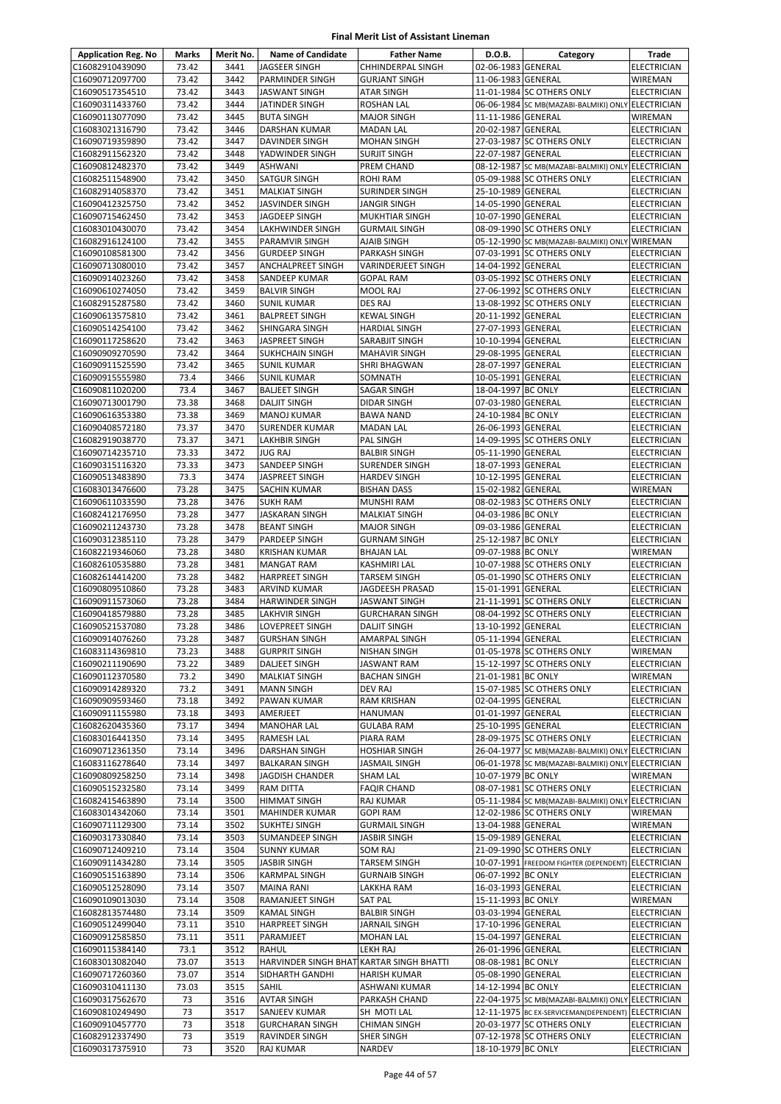| <b>Application Reg. No</b>         | Marks          | Merit No.    | <b>Name of Candidate</b>                         | <b>Father Name</b>                   | D.O.B.             | Category                                           | Trade                                    |
|------------------------------------|----------------|--------------|--------------------------------------------------|--------------------------------------|--------------------|----------------------------------------------------|------------------------------------------|
| C16082910439090                    | 73.42          | 3441         | JAGSEER SINGH                                    | CHHINDERPAL SINGH                    | 02-06-1983 GENERAL |                                                    | <b>ELECTRICIAN</b>                       |
| C16090712097700                    | 73.42          | 3442         | <b>PARMINDER SINGH</b>                           | <b>GURJANT SINGH</b>                 | 11-06-1983 GENERAL |                                                    | <b>WIREMAN</b>                           |
| C16090517354510                    | 73.42          | 3443         | <b>JASWANT SINGH</b>                             | <b>ATAR SINGH</b>                    |                    | 11-01-1984 SC OTHERS ONLY                          | ELECTRICIAN                              |
| C16090311433760                    | 73.42          | 3444         | JATINDER SINGH                                   | ROSHAN LAL                           |                    | 06-06-1984 SC MB(MAZABI-BALMIKI) ONLY ELECTRICIAN  |                                          |
| C16090113077090                    | 73.42          | 3445         | <b>BUTA SINGH</b>                                | <b>MAJOR SINGH</b>                   | 11-11-1986 GENERAL |                                                    | WIREMAN                                  |
| C16083021316790                    | 73.42          | 3446         | <b>DARSHAN KUMAR</b>                             | <b>MADAN LAL</b>                     | 20-02-1987 GENERAL |                                                    | <b>ELECTRICIAN</b>                       |
| C16090719359890                    | 73.42          | 3447         | <b>DAVINDER SINGH</b>                            | <b>MOHAN SINGH</b>                   |                    | 27-03-1987 SC OTHERS ONLY                          | <b>ELECTRICIAN</b>                       |
| C16082911562320                    | 73.42          | 3448         | YADWINDER SINGH                                  | <b>SURJIT SINGH</b>                  | 22-07-1987 GENERAL |                                                    | <b>ELECTRICIAN</b>                       |
| C16090812482370                    | 73.42          | 3449         | <b>ASHWANI</b>                                   | PREM CHAND                           |                    | 08-12-1987 SC MB(MAZABI-BALMIKI) ONLY ELECTRICIAN  |                                          |
| C16082511548900                    | 73.42          | 3450         | <b>SATGUR SINGH</b>                              | ROHI RAM                             |                    | 05-09-1988 SC OTHERS ONLY                          | <b>ELECTRICIAN</b>                       |
| C16082914058370                    | 73.42          | 3451         | <b>MALKIAT SINGH</b>                             | SURINDER SINGH                       | 25-10-1989 GENERAL |                                                    | <b>ELECTRICIAN</b>                       |
| C16090412325750                    | 73.42          | 3452         | <b>JASVINDER SINGH</b>                           | JANGIR SINGH                         | 14-05-1990 GENERAL |                                                    | <b>ELECTRICIAN</b>                       |
| C16090715462450                    | 73.42          | 3453         | JAGDEEP SINGH                                    | <b>MUKHTIAR SINGH</b>                | 10-07-1990 GENERAL |                                                    | <b>ELECTRICIAN</b>                       |
| C16083010430070                    | 73.42          | 3454         | LAKHWINDER SINGH                                 | <b>GURMAIL SINGH</b>                 |                    | 08-09-1990 SC OTHERS ONLY                          | <b>ELECTRICIAN</b>                       |
| C16082916124100                    | 73.42<br>73.42 | 3455<br>3456 | PARAMVIR SINGH                                   | AJAIB SINGH                          |                    | 05-12-1990 SC MB(MAZABI-BALMIKI) ONLY WIREMAN      |                                          |
| C16090108581300<br>C16090713080010 | 73.42          | 3457         | <b>GURDEEP SINGH</b><br><b>ANCHALPREET SINGH</b> | PARKASH SINGH<br>VARINDERJEET SINGH  | 14-04-1992 GENERAL | 07-03-1991 SC OTHERS ONLY                          | <b>ELECTRICIAN</b><br><b>ELECTRICIAN</b> |
| C16090914023260                    | 73.42          | 3458         | SANDEEP KUMAR                                    | <b>GOPAL RAM</b>                     |                    | 03-05-1992 SC OTHERS ONLY                          | <b>ELECTRICIAN</b>                       |
| C16090610274050                    | 73.42          | 3459         | <b>BALVIR SINGH</b>                              | MOOL RAJ                             |                    | 27-06-1992 SC OTHERS ONLY                          | <b>ELECTRICIAN</b>                       |
| C16082915287580                    | 73.42          | 3460         | <b>SUNIL KUMAR</b>                               | DES RAJ                              |                    | 13-08-1992 SC OTHERS ONLY                          | <b>ELECTRICIAN</b>                       |
| C16090613575810                    | 73.42          | 3461         | <b>BALPREET SINGH</b>                            | <b>KEWAL SINGH</b>                   | 20-11-1992 GENERAL |                                                    | ELECTRICIAN                              |
| C16090514254100                    | 73.42          | 3462         | SHINGARA SINGH                                   | HARDIAL SINGH                        | 27-07-1993 GENERAL |                                                    | <b>ELECTRICIAN</b>                       |
| C16090117258620                    | 73.42          | 3463         | JASPREET SINGH                                   | SARABJIT SINGH                       | 10-10-1994 GENERAL |                                                    | <b>ELECTRICIAN</b>                       |
| C16090909270590                    | 73.42          | 3464         | <b>SUKHCHAIN SINGH</b>                           | <b>MAHAVIR SINGH</b>                 | 29-08-1995 GENERAL |                                                    | <b>ELECTRICIAN</b>                       |
| C16090911525590                    | 73.42          | 3465         | <b>SUNIL KUMAR</b>                               | SHRI BHAGWAN                         | 28-07-1997 GENERAL |                                                    | <b>ELECTRICIAN</b>                       |
| C16090915555980                    | 73.4           | 3466         | <b>SUNIL KUMAR</b>                               | SOMNATH                              | 10-05-1991 GENERAL |                                                    | <b>ELECTRICIAN</b>                       |
| C16090811020200                    | 73.4           | 3467         | <b>BALJEET SINGH</b>                             | SAGAR SINGH                          | 18-04-1997 BC ONLY |                                                    | <b>ELECTRICIAN</b>                       |
| C16090713001790                    | 73.38          | 3468         | <b>DALJIT SINGH</b>                              | <b>DIDAR SINGH</b>                   | 07-03-1980 GENERAL |                                                    | ELECTRICIAN                              |
| C16090616353380                    | 73.38          | 3469         | MANOJ KUMAR                                      | BAWA NAND                            | 24-10-1984 BC ONLY |                                                    | ELECTRICIAN                              |
| C16090408572180                    | 73.37          | 3470         | <b>SURENDER KUMAR</b>                            | <b>MADAN LAL</b>                     | 26-06-1993 GENERAL |                                                    | <b>ELECTRICIAN</b>                       |
| C16082919038770                    | 73.37          | 3471         | <b>LAKHBIR SINGH</b>                             | PAL SINGH                            |                    | 14-09-1995 SC OTHERS ONLY                          | ELECTRICIAN                              |
| C16090714235710                    | 73.33          | 3472         | JUG RAJ                                          | <b>BALBIR SINGH</b>                  | 05-11-1990 GENERAL |                                                    | ELECTRICIAN                              |
| C16090315116320                    | 73.33          | 3473         | SANDEEP SINGH                                    | <b>SURENDER SINGH</b>                | 18-07-1993 GENERAL |                                                    | <b>ELECTRICIAN</b>                       |
| C16090513483890                    | 73.3           | 3474         | JASPREET SINGH                                   | <b>HARDEV SINGH</b>                  | 10-12-1995 GENERAL |                                                    | ELECTRICIAN                              |
| C16083013476600                    | 73.28          | 3475         | SACHIN KUMAR                                     | <b>BISHAN DASS</b>                   | 15-02-1982 GENERAL |                                                    | WIREMAN                                  |
| C16090611033590                    | 73.28          | 3476         | <b>SUKH RAM</b>                                  | MUNSHI RAM                           |                    | 08-02-1983 SC OTHERS ONLY                          | ELECTRICIAN                              |
| C16082412176950                    | 73.28          | 3477         | <b>JASKARAN SINGH</b>                            | <b>MALKIAT SINGH</b>                 | 04-03-1986 BC ONLY |                                                    | <b>ELECTRICIAN</b>                       |
| C16090211243730                    | 73.28          | 3478         | <b>BEANT SINGH</b>                               | <b>MAJOR SINGH</b>                   | 09-03-1986 GENERAL |                                                    | <b>ELECTRICIAN</b>                       |
| C16090312385110                    | 73.28          | 3479         | PARDEEP SINGH                                    | GURNAM SINGH                         | 25-12-1987 BC ONLY |                                                    | ELECTRICIAN                              |
| C16082219346060                    | 73.28          | 3480         | <b>KRISHAN KUMAR</b>                             | <b>BHAJAN LAL</b>                    | 09-07-1988 BC ONLY |                                                    | WIREMAN                                  |
| C16082610535880                    | 73.28          | 3481         | <b>MANGAT RAM</b>                                | KASHMIRI LAL                         |                    | 10-07-1988 SC OTHERS ONLY                          | ELECTRICIAN                              |
| C16082614414200                    | 73.28          | 3482         | <b>HARPREET SINGH</b>                            | TARSEM SINGH                         |                    | 05-01-1990 SC OTHERS ONLY                          | ELECTRICIAN                              |
| C16090809510860                    | 73.28          | 3483         | <b>ARVIND KUMAR</b>                              | JAGDEESH PRASAD                      | 15-01-1991 GENERAL |                                                    | <b>ELECTRICIAN</b>                       |
| C16090911573060                    | 73.28          | 3484         | <b>HARWINDER SINGH</b>                           | JASWANT SINGH                        |                    | 21-11-1991 SC OTHERS ONLY                          | <b>ELECTRICIAN</b>                       |
| C16090418579880                    | 73.28<br>73.28 | 3485<br>3486 | <b>LAKHVIR SINGH</b>                             | <b>GURCHARAN SINGH</b>               | 13-10-1992 GENERAL | 08-04-1992 SC OTHERS ONLY                          | <b>ELECTRICIAN</b>                       |
| C16090521537080<br>C16090914076260 | 73.28          | 3487         | LOVEPREET SINGH<br><b>GURSHAN SINGH</b>          | <b>DALJIT SINGH</b><br>AMARPAL SINGH | 05-11-1994 GENERAL |                                                    | <b>ELECTRICIAN</b><br><b>ELECTRICIAN</b> |
| C16083114369810                    | 73.23          | 3488         | <b>GURPRIT SINGH</b>                             | NISHAN SINGH                         |                    | 01-05-1978 SC OTHERS ONLY                          | WIREMAN                                  |
| C16090211190690                    | 73.22          | 3489         | DALJEET SINGH                                    | JASWANT RAM                          |                    | 15-12-1997 SC OTHERS ONLY                          | <b>ELECTRICIAN</b>                       |
| C16090112370580                    | 73.2           | 3490         | <b>MALKIAT SINGH</b>                             | <b>BACHAN SINGH</b>                  | 21-01-1981 BC ONLY |                                                    | WIREMAN                                  |
| C16090914289320                    | 73.2           | 3491         | <b>MANN SINGH</b>                                | <b>DEV RAJ</b>                       |                    | 15-07-1985 SC OTHERS ONLY                          | ELECTRICIAN                              |
| C16090909593460                    | 73.18          | 3492         | PAWAN KUMAR                                      | RAM KRISHAN                          | 02-04-1995 GENERAL |                                                    | ELECTRICIAN                              |
| C16090911155980                    | 73.18          | 3493         | AMERJEET                                         | HANUMAN                              | 01-01-1997 GENERAL |                                                    | ELECTRICIAN                              |
| C16082620435360                    | 73.17          | 3494         | <b>MANOHAR LAL</b>                               | <b>GULABA RAM</b>                    | 25-10-1995 GENERAL |                                                    | <b>ELECTRICIAN</b>                       |
| C16083016441350                    | 73.14          | 3495         | <b>RAMESH LAL</b>                                | PIARA RAM                            |                    | 28-09-1975 SC OTHERS ONLY                          | <b>ELECTRICIAN</b>                       |
| C16090712361350                    | 73.14          | 3496         | <b>DARSHAN SINGH</b>                             | <b>HOSHIAR SINGH</b>                 |                    | 26-04-1977 SC MB(MAZABI-BALMIKI) ONLY ELECTRICIAN  |                                          |
| C16083116278640                    | 73.14          | 3497         | <b>BALKARAN SINGH</b>                            | JASMAIL SINGH                        |                    | 06-01-1978 SC MB(MAZABI-BALMIKI) ONLY              | <b>ELECTRICIAN</b>                       |
| C16090809258250                    | 73.14          | 3498         | <b>JAGDISH CHANDER</b>                           | SHAM LAL                             | 10-07-1979 BC ONLY |                                                    | <b>WIREMAN</b>                           |
| C16090515232580                    | 73.14          | 3499         | RAM DITTA                                        | <b>FAQIR CHAND</b>                   |                    | 08-07-1981 SC OTHERS ONLY                          | <b>ELECTRICIAN</b>                       |
| C16082415463890                    | 73.14          | 3500         | <b>HIMMAT SINGH</b>                              | RAJ KUMAR                            |                    | 05-11-1984 SC MB(MAZABI-BALMIKI) ONLY ELECTRICIAN  |                                          |
| C16083014342060                    | 73.14          | 3501         | <b>MAHINDER KUMAR</b>                            | <b>GOPI RAM</b>                      |                    | 12-02-1986 SC OTHERS ONLY                          | WIREMAN                                  |
| C16090711129300                    | 73.14          | 3502         | <b>SUKHTEJ SINGH</b>                             | <b>GURMAIL SINGH</b>                 | 13-04-1988 GENERAL |                                                    | WIREMAN                                  |
| C16090317330840                    | 73.14          | 3503         | SUMANDEEP SINGH                                  | <b>JASBIR SINGH</b>                  | 15-09-1989 GENERAL |                                                    | ELECTRICIAN                              |
| C16090712409210                    | 73.14          | 3504         | <b>SUNNY KUMAR</b>                               | SOM RAJ                              |                    | 21-09-1990 SC OTHERS ONLY                          | ELECTRICIAN                              |
| C16090911434280                    | 73.14          | 3505         | <b>JASBIR SINGH</b>                              | TARSEM SINGH                         |                    | 10-07-1991 FREEDOM FIGHTER (DEPENDENT) ELECTRICIAN |                                          |
| C16090515163890                    | 73.14          | 3506         | <b>KARMPAL SINGH</b>                             | <b>GURNAIB SINGH</b>                 | 06-07-1992 BC ONLY |                                                    | ELECTRICIAN                              |
| C16090512528090                    | 73.14          | 3507         | <b>MAINA RANI</b>                                | LAKKHA RAM                           | 16-03-1993 GENERAL |                                                    | ELECTRICIAN                              |
| C16090109013030                    | 73.14          | 3508         | RAMANJEET SINGH                                  | <b>SAT PAL</b>                       | 15-11-1993 BC ONLY |                                                    | WIREMAN                                  |
| C16082813574480                    | 73.14          | 3509         | <b>KAMAL SINGH</b>                               | <b>BALBIR SINGH</b>                  | 03-03-1994 GENERAL |                                                    | ELECTRICIAN                              |
| C16090512499040                    | 73.11          | 3510         | <b>HARPREET SINGH</b>                            | JARNAIL SINGH                        | 17-10-1996 GENERAL |                                                    | ELECTRICIAN                              |
| C16090912585850                    | 73.11          | 3511         | PARAMJEET                                        | <b>MOHAN LAL</b>                     | 15-04-1997 GENERAL |                                                    | ELECTRICIAN                              |
| C16090115384140                    | 73.1           | 3512         | RAHUL                                            | LEKH RAJ                             | 26-01-1996 GENERAL |                                                    | ELECTRICIAN                              |
| C16083013082040                    | 73.07          | 3513         | HARVINDER SINGH BHAT KARTAR SINGH BHATTI         |                                      | 08-08-1981 BC ONLY |                                                    | <b>ELECTRICIAN</b>                       |
| C16090717260360                    | 73.07          | 3514         | SIDHARTH GANDHI                                  | <b>HARISH KUMAR</b>                  | 05-08-1990 GENERAL |                                                    | ELECTRICIAN                              |
| C16090310411130                    | 73.03          | 3515         | SAHIL                                            | ASHWANI KUMAR                        | 14-12-1994 BC ONLY |                                                    | <b>ELECTRICIAN</b>                       |
| C16090317562670                    | 73             | 3516         | <b>AVTAR SINGH</b>                               | PARKASH CHAND                        |                    | 22-04-1975 SC MB(MAZABI-BALMIKI) ONLY ELECTRICIAN  |                                          |
| C16090810249490                    | 73             | 3517         | SANJEEV KUMAR                                    | SH MOTI LAL                          |                    | 12-11-1975 BC EX-SERVICEMAN(DEPENDENT) ELECTRICIAN |                                          |
| C16090910457770<br>C16082912337490 | 73<br>73       | 3518<br>3519 | <b>GURCHARAN SINGH</b><br>RAVINDER SINGH         | <b>CHIMAN SINGH</b><br>SHER SINGH    |                    | 20-03-1977 SC OTHERS ONLY                          | <b>ELECTRICIAN</b>                       |
| C16090317375910                    | 73             | 3520         | RAJ KUMAR                                        | NARDEV                               | 18-10-1979 BC ONLY | 07-12-1978 SC OTHERS ONLY                          | ELECTRICIAN<br>ELECTRICIAN               |
|                                    |                |              |                                                  |                                      |                    |                                                    |                                          |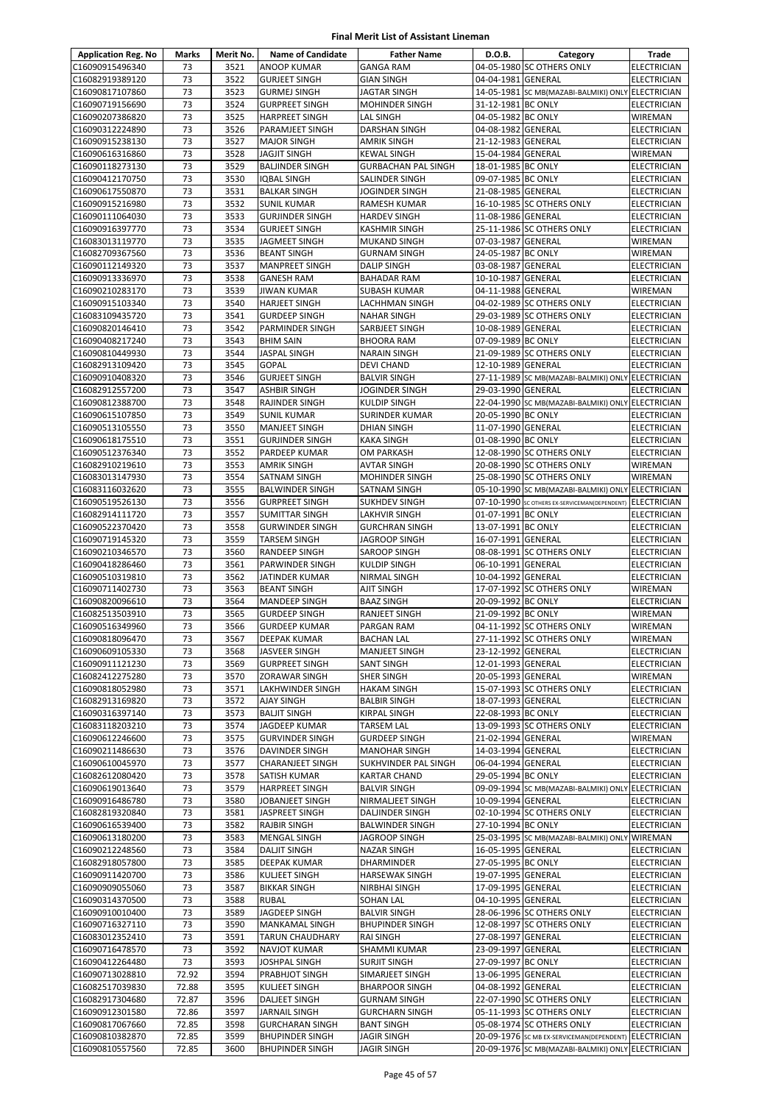| <b>Application Reg. No</b>         | Marks    | Merit No.    | <b>Name of Candidate</b>                     | <b>Father Name</b>                         | D.O.B.                                   | Category                                                  | Trade                                    |
|------------------------------------|----------|--------------|----------------------------------------------|--------------------------------------------|------------------------------------------|-----------------------------------------------------------|------------------------------------------|
| C16090915496340                    | 73       | 3521         | ANOOP KUMAR                                  | <b>GANGA RAM</b>                           |                                          | 04-05-1980 SC OTHERS ONLY                                 | <b>ELECTRICIAN</b>                       |
| C16082919389120                    | 73       | 3522         | <b>GURJEET SINGH</b>                         | <b>GIAN SINGH</b>                          | 04-04-1981 GENERAL                       |                                                           | <b>ELECTRICIAN</b>                       |
| C16090817107860                    | 73       | 3523         | <b>GURMEJ SINGH</b>                          | <b>JAGTAR SINGH</b>                        |                                          | 14-05-1981 SC MB(MAZABI-BALMIKI) ONLY ELECTRICIAN         |                                          |
| C16090719156690                    | 73       | 3524         | <b>GURPREET SINGH</b>                        | <b>MOHINDER SINGH</b>                      | 31-12-1981 BC ONLY                       |                                                           | <b>ELECTRICIAN</b>                       |
| C16090207386820                    | 73       | 3525         | <b>HARPREET SINGH</b>                        | <b>LAL SINGH</b>                           | 04-05-1982 BC ONLY                       |                                                           | WIREMAN                                  |
| C16090312224890                    | 73       | 3526         | PARAMJEET SINGH                              | <b>DARSHAN SINGH</b>                       | 04-08-1982 GENERAL                       |                                                           | <b>ELECTRICIAN</b>                       |
| C16090915238130                    | 73       | 3527         | <b>MAJOR SINGH</b>                           | <b>AMRIK SINGH</b>                         | 21-12-1983 GENERAL                       |                                                           | <b>ELECTRICIAN</b>                       |
| C16090616316860                    | 73       | 3528         | JAGJIT SINGH                                 | <b>KEWAL SINGH</b>                         | 15-04-1984 GENERAL                       |                                                           | WIREMAN                                  |
| C16090118273130                    | 73       | 3529         | <b>BALJINDER SINGH</b>                       | <b>GURBACHAN PAL SINGH</b>                 | 18-01-1985 BC ONLY                       |                                                           | <b>ELECTRICIAN</b>                       |
| C16090412170750                    | 73       | 3530         | <b>IQBAL SINGH</b>                           | SALINDER SINGH                             | 09-07-1985 BC ONLY                       |                                                           | ELECTRICIAN                              |
| C16090617550870                    | 73<br>73 | 3531<br>3532 | <b>BALKAR SINGH</b>                          | <b>JOGINDER SINGH</b>                      | 21-08-1985 GENERAL                       | 16-10-1985 SC OTHERS ONLY                                 | <b>ELECTRICIAN</b>                       |
| C16090915216980<br>C16090111064030 | 73       | 3533         | <b>SUNIL KUMAR</b><br><b>GURJINDER SINGH</b> | <b>RAMESH KUMAR</b><br><b>HARDEV SINGH</b> | 11-08-1986 GENERAL                       |                                                           | <b>ELECTRICIAN</b><br><b>ELECTRICIAN</b> |
| C16090916397770                    | 73       | 3534         | <b>GURJEET SINGH</b>                         | <b>KASHMIR SINGH</b>                       |                                          | 25-11-1986 SC OTHERS ONLY                                 | <b>ELECTRICIAN</b>                       |
| C16083013119770                    | 73       | 3535         | JAGMEET SINGH                                | <b>MUKAND SINGH</b>                        | 07-03-1987 GENERAL                       |                                                           | WIREMAN                                  |
| C16082709367560                    | 73       | 3536         | <b>BEANT SINGH</b>                           | <b>GURNAM SINGH</b>                        | 24-05-1987 BC ONLY                       |                                                           | WIREMAN                                  |
| C16090112149320                    | 73       | 3537         | <b>MANPREET SINGH</b>                        | <b>DALIP SINGH</b>                         | 03-08-1987 GENERAL                       |                                                           | <b>ELECTRICIAN</b>                       |
| C16090913336970                    | 73       | 3538         | <b>GANESH RAM</b>                            | <b>BAHADAR RAM</b>                         | 10-10-1987 GENERAL                       |                                                           | ELECTRICIAN                              |
| C16090210283170                    | 73       | 3539         | <b>JIWAN KUMAR</b>                           | <b>SUBASH KUMAR</b>                        | 04-11-1988 GENERAL                       |                                                           | WIREMAN                                  |
| C16090915103340                    | 73       | 3540         | <b>HARJEET SINGH</b>                         | LACHHMAN SINGH                             |                                          | 04-02-1989 SC OTHERS ONLY                                 | <b>ELECTRICIAN</b>                       |
| C16083109435720                    | 73       | 3541         | <b>GURDEEP SINGH</b>                         | <b>NAHAR SINGH</b>                         |                                          | 29-03-1989 SC OTHERS ONLY                                 | ELECTRICIAN                              |
| C16090820146410                    | 73       | 3542         | PARMINDER SINGH                              | SARBJEET SINGH                             | 10-08-1989 GENERAL                       |                                                           | <b>ELECTRICIAN</b>                       |
| C16090408217240                    | 73       | 3543         | <b>BHIM SAIN</b>                             | <b>BHOORA RAM</b>                          | 07-09-1989 BC ONLY                       |                                                           | <b>ELECTRICIAN</b>                       |
| C16090810449930                    | 73       | 3544         | <b>JASPAL SINGH</b>                          | <b>NARAIN SINGH</b>                        |                                          | 21-09-1989 SC OTHERS ONLY                                 | <b>ELECTRICIAN</b>                       |
| C16082913109420                    | 73       | 3545         | <b>GOPAL</b>                                 | <b>DEVI CHAND</b>                          | 12-10-1989 GENERAL                       |                                                           | ELECTRICIAN                              |
| C16090910408320                    | 73       | 3546         | <b>GURJEET SINGH</b>                         | <b>BALVIR SINGH</b>                        |                                          | 27-11-1989 SC MB(MAZABI-BALMIKI) ONLY                     | <b>ELECTRICIAN</b>                       |
| C16082912557200                    | 73       | 3547         | <b>ASHBIR SINGH</b>                          | <b>JOGINDER SINGH</b>                      | 29-03-1990 GENERAL                       |                                                           | <b>ELECTRICIAN</b>                       |
| C16090812388700                    | 73       | 3548         | RAJINDER SINGH                               | <b>KULDIP SINGH</b>                        |                                          | 22-04-1990 SC MB(MAZABI-BALMIKI) ONLY ELECTRICIAN         |                                          |
| C16090615107850                    | 73       | 3549         | <b>SUNIL KUMAR</b>                           | SURINDER KUMAR                             | 20-05-1990 BC ONLY                       |                                                           | ELECTRICIAN                              |
| C16090513105550                    | 73       | 3550         | <b>MANJEET SINGH</b>                         | <b>DHIAN SINGH</b>                         | 11-07-1990 GENERAL                       |                                                           | <b>ELECTRICIAN</b>                       |
| C16090618175510                    | 73       | 3551         | <b>GURJINDER SINGH</b>                       | <b>KAKA SINGH</b>                          | 01-08-1990 BC ONLY                       |                                                           | <b>ELECTRICIAN</b>                       |
| C16090512376340                    | 73       | 3552         | PARDEEP KUMAR                                | OM PARKASH                                 |                                          | 12-08-1990 SC OTHERS ONLY                                 | <b>ELECTRICIAN</b>                       |
| C16082910219610                    | 73       | 3553         | <b>AMRIK SINGH</b>                           | <b>AVTAR SINGH</b>                         |                                          | 20-08-1990 SC OTHERS ONLY                                 | WIREMAN                                  |
| C16083013147930                    | 73       | 3554         | SATNAM SINGH                                 | <b>MOHINDER SINGH</b>                      |                                          | 25-08-1990 SC OTHERS ONLY                                 | WIREMAN                                  |
| C16083116032620                    | 73       | 3555         | <b>BALWINDER SINGH</b>                       | SATNAM SINGH                               |                                          | 05-10-1990 SC MB(MAZABI-BALMIKI) ONLY ELECTRICIAN         |                                          |
| C16090519526130                    | 73       | 3556         | <b>GURPREET SINGH</b>                        | <b>SUKHDEV SINGH</b>                       |                                          | 07-10-1990 SC OTHERS EX-SERVICEMAN(DEPENDENT) ELECTRICIAN |                                          |
| C16082914111720                    | 73       | 3557         | <b>SUMITTAR SINGH</b>                        | <b>LAKHVIR SINGH</b>                       | 01-07-1991 BC ONLY                       |                                                           | <b>ELECTRICIAN</b>                       |
| C16090522370420                    | 73       | 3558         | <b>GURWINDER SINGH</b>                       | <b>GURCHRAN SINGH</b>                      | 13-07-1991 BC ONLY                       |                                                           | <b>ELECTRICIAN</b>                       |
| C16090719145320                    | 73<br>73 | 3559         | TARSEM SINGH                                 | <b>JAGROOP SINGH</b>                       | 16-07-1991 GENERAL                       | 08-08-1991 SC OTHERS ONLY                                 | <b>ELECTRICIAN</b>                       |
| C16090210346570                    | 73       | 3560         | RANDEEP SINGH                                | <b>SAROOP SINGH</b>                        |                                          |                                                           | <b>ELECTRICIAN</b>                       |
| C16090418286460                    | 73       | 3561<br>3562 | PARWINDER SINGH                              | <b>KULDIP SINGH</b>                        | 06-10-1991 GENERAL<br>10-04-1992 GENERAL |                                                           | <b>ELECTRICIAN</b>                       |
| C16090510319810<br>C16090711402730 | 73       | 3563         | JATINDER KUMAR<br><b>BEANT SINGH</b>         | NIRMAL SINGH<br><b>AJIT SINGH</b>          |                                          | 17-07-1992 SC OTHERS ONLY                                 | <b>ELECTRICIAN</b><br>WIREMAN            |
| C16090820096610                    | 73       | 3564         | MANDEEP SINGH                                | <b>BAAZ SINGH</b>                          | 20-09-1992 BC ONLY                       |                                                           | <b>ELECTRICIAN</b>                       |
| C16082513503910                    | 73       | 3565         | <b>GURDEEP SINGH</b>                         | RANJEET SINGH                              | 21-09-1992 BC ONLY                       |                                                           | WIREMAN                                  |
| C16090516349960                    | 73       | 3566         | <b>GURDEEP KUMAR</b>                         | PARGAN RAM                                 |                                          | 04-11-1992 SC OTHERS ONLY                                 | WIREMAN                                  |
| C16090818096470                    | 73       | 3567         | DEEPAK KUMAR                                 | <b>BACHAN LAL</b>                          |                                          | 27-11-1992 SC OTHERS ONLY                                 | <b>WIREMAN</b>                           |
| C16090609105330                    | 73       | 3568         | JASVEER SINGH                                | <b>MANJEET SINGH</b>                       | 23-12-1992 GENERAL                       |                                                           | <b>ELECTRICIAN</b>                       |
| C16090911121230                    | 73       | 3569         | <b>GURPREET SINGH</b>                        | <b>SANT SINGH</b>                          | 12-01-1993 GENERAL                       |                                                           | <b>ELECTRICIAN</b>                       |
| C16082412275280                    | 73       | 3570         | ZORAWAR SINGH                                | SHER SINGH                                 | 20-05-1993 GENERAL                       |                                                           | WIREMAN                                  |
| C16090818052980                    | 73       | 3571         | LAKHWINDER SINGH                             | <b>HAKAM SINGH</b>                         |                                          | 15-07-1993 SC OTHERS ONLY                                 | ELECTRICIAN                              |
| C16082913169820                    | 73       | 3572         | <b>AJAY SINGH</b>                            | <b>BALBIR SINGH</b>                        | 18-07-1993 GENERAL                       |                                                           | ELECTRICIAN                              |
| C16090316397140                    | 73       | 3573         | <b>BALJIT SINGH</b>                          | KIRPAL SINGH                               | 22-08-1993 BC ONLY                       |                                                           | ELECTRICIAN                              |
| C16083118203210                    | 73       | 3574         | JAGDEEP KUMAR                                | <b>TARSEM LAL</b>                          |                                          | 13-09-1993 SC OTHERS ONLY                                 | ELECTRICIAN                              |
| C16090612246600                    | 73       | 3575         | <b>GURVINDER SINGH</b>                       | <b>GURDEEP SINGH</b>                       | 21-02-1994 GENERAL                       |                                                           | WIREMAN                                  |
| C16090211486630                    | 73       | 3576         | DAVINDER SINGH                               | <b>MANOHAR SINGH</b>                       | 14-03-1994 GENERAL                       |                                                           | ELECTRICIAN                              |
| C16090610045970                    | 73       | 3577         | <b>CHARANJEET SINGH</b>                      | SUKHVINDER PAL SINGH                       | 06-04-1994 GENERAL                       |                                                           | ELECTRICIAN                              |
| C16082612080420                    | 73       | 3578         | SATISH KUMAR                                 | <b>KARTAR CHAND</b>                        | 29-05-1994 BC ONLY                       |                                                           | <b>ELECTRICIAN</b>                       |
| C16090619013640                    | 73       | 3579         | <b>HARPREET SINGH</b>                        | <b>BALVIR SINGH</b>                        |                                          | 09-09-1994 SC MB(MAZABI-BALMIKI) ONLY ELECTRICIAN         |                                          |
| C16090916486780                    | 73       | 3580         | JOBANJEET SINGH                              | NIRMALJEET SINGH                           | 10-09-1994 GENERAL                       |                                                           | ELECTRICIAN                              |
| C16082819320840                    | 73       | 3581         | JASPREET SINGH                               | <b>DALJINDER SINGH</b>                     |                                          | 02-10-1994 SC OTHERS ONLY                                 | <b>ELECTRICIAN</b>                       |
| C16090616539400                    | 73       | 3582         | <b>RAJBIR SINGH</b>                          | <b>BALWINDER SINGH</b>                     | 27-10-1994 BC ONLY                       |                                                           | <b>ELECTRICIAN</b>                       |
| C16090613180200                    | 73       | 3583         | MENGAL SINGH                                 | <b>JAGROOP SINGH</b>                       |                                          | 25-03-1995 SC MB(MAZABI-BALMIKI) ONLY                     | <b>WIREMAN</b>                           |
| C16090212248560                    | 73       | 3584         | <b>DALJIT SINGH</b>                          | <b>NAZAR SINGH</b>                         | 16-05-1995 GENERAL                       |                                                           | <b>ELECTRICIAN</b>                       |
| C16082918057800                    | 73       | 3585         | DEEPAK KUMAR                                 | DHARMINDER                                 | 27-05-1995 BC ONLY                       |                                                           | ELECTRICIAN                              |
| C16090911420700                    | 73       | 3586         | KULJEET SINGH                                | <b>HARSEWAK SINGH</b>                      | 19-07-1995 GENERAL                       |                                                           | ELECTRICIAN                              |
| C16090909055060                    | 73<br>73 | 3587         | <b>BIKKAR SINGH</b>                          | <b>NIRBHAI SINGH</b>                       | 17-09-1995 GENERAL                       |                                                           | ELECTRICIAN                              |
| C16090314370500<br>C16090910010400 | 73       | 3588<br>3589 | <b>RUBAL</b><br>JAGDEEP SINGH                | <b>SOHAN LAL</b><br><b>BALVIR SINGH</b>    | 04-10-1995 GENERAL                       | 28-06-1996 SC OTHERS ONLY                                 | <b>ELECTRICIAN</b><br>ELECTRICIAN        |
| C16090716327110                    | 73       | 3590         | <b>MANKAMAL SINGH</b>                        | <b>BHUPINDER SINGH</b>                     |                                          | 12-08-1997 SC OTHERS ONLY                                 | <b>ELECTRICIAN</b>                       |
| C16083012352410                    | 73       | 3591         | TARUN CHAUDHARY                              | <b>RAI SINGH</b>                           | 27-08-1997 GENERAL                       |                                                           | <b>ELECTRICIAN</b>                       |
| C16090716478570                    | 73       | 3592         | NAVJOT KUMAR                                 | SHAMMI KUMAR                               | 23-09-1997 GENERAL                       |                                                           | ELECTRICIAN                              |
| C16090412264480                    | 73       | 3593         | <b>JOSHPAL SINGH</b>                         | <b>SURJIT SINGH</b>                        | 27-09-1997 BC ONLY                       |                                                           | <b>ELECTRICIAN</b>                       |
| C16090713028810                    | 72.92    | 3594         | PRABHJOT SINGH                               | SIMARJEET SINGH                            | 13-06-1995 GENERAL                       |                                                           | <b>ELECTRICIAN</b>                       |
| C16082517039830                    | 72.88    | 3595         | KULJEET SINGH                                | <b>BHARPOOR SINGH</b>                      | 04-08-1992 GENERAL                       |                                                           | ELECTRICIAN                              |
| C16082917304680                    | 72.87    | 3596         | DALJEET SINGH                                | <b>GURNAM SINGH</b>                        |                                          | 22-07-1990 SC OTHERS ONLY                                 | ELECTRICIAN                              |
| C16090912301580                    | 72.86    | 3597         | JARNAIL SINGH                                | <b>GURCHARN SINGH</b>                      |                                          | 05-11-1993 SC OTHERS ONLY                                 | ELECTRICIAN                              |
| C16090817067660                    | 72.85    | 3598         | <b>GURCHARAN SINGH</b>                       | <b>BANT SINGH</b>                          |                                          | 05-08-1974 SC OTHERS ONLY                                 | ELECTRICIAN                              |
| C16090810382870                    | 72.85    | 3599         | <b>BHUPINDER SINGH</b>                       | <b>JAGIR SINGH</b>                         |                                          | 20-09-1976 SC MB EX-SERVICEMAN(DEPENDENT) ELECTRICIAN     |                                          |
| C16090810557560                    | 72.85    | 3600         | <b>BHUPINDER SINGH</b>                       | <b>JAGIR SINGH</b>                         |                                          | 20-09-1976 SC MB(MAZABI-BALMIKI) ONLY ELECTRICIAN         |                                          |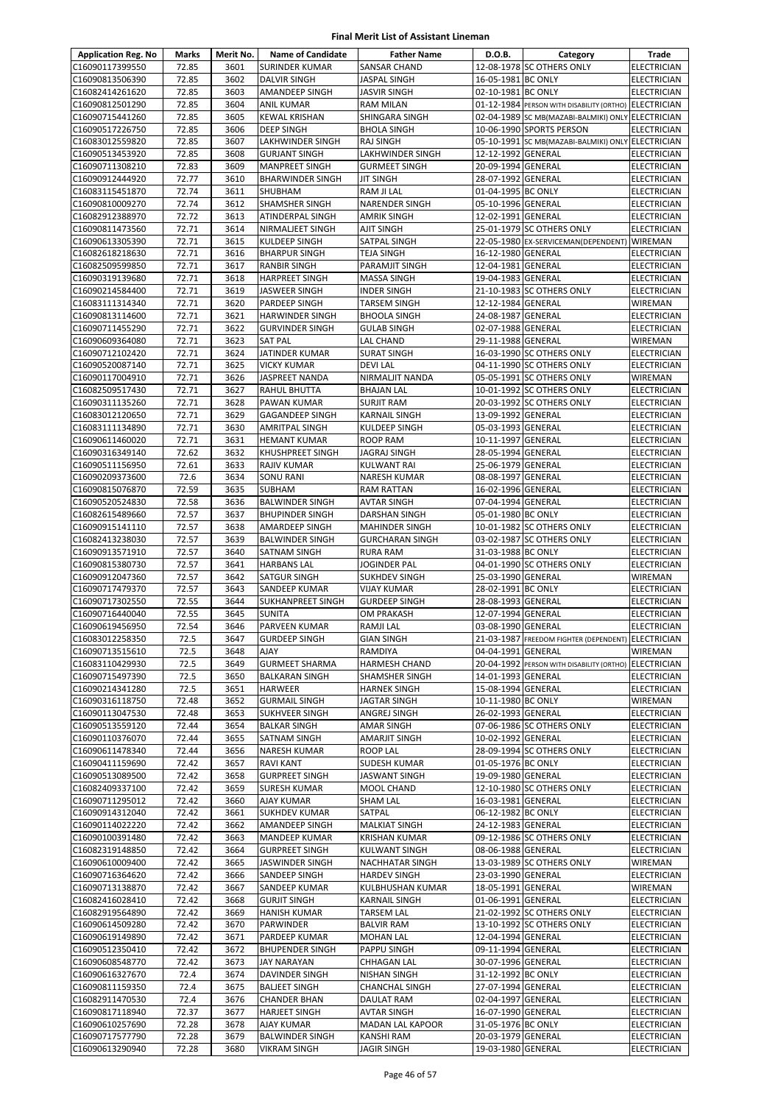| <b>Application Reg. No</b>         | Marks          | Merit No.    | <b>Name of Candidate</b>                   | <b>Father Name</b>                            | D.O.B.                                   | Category                                              | Trade                                    |
|------------------------------------|----------------|--------------|--------------------------------------------|-----------------------------------------------|------------------------------------------|-------------------------------------------------------|------------------------------------------|
| C16090117399550                    | 72.85          | 3601         | <b>SURINDER KUMAR</b>                      | <b>SANSAR CHAND</b>                           |                                          | 12-08-1978 SC OTHERS ONLY                             | <b>ELECTRICIAN</b>                       |
| C16090813506390                    | 72.85          | 3602         | <b>DALVIR SINGH</b>                        | <b>JASPAL SINGH</b>                           | 16-05-1981 BC ONLY                       |                                                       | <b>ELECTRICIAN</b>                       |
| C16082414261620                    | 72.85          | 3603         | AMANDEEP SINGH                             | <b>JASVIR SINGH</b>                           | 02-10-1981 BC ONLY                       |                                                       | <b>ELECTRICIAN</b>                       |
| C16090812501290                    | 72.85          | 3604         | <b>ANIL KUMAR</b>                          | <b>RAM MILAN</b>                              |                                          | 01-12-1984 PERSON WITH DISABILITY (ORTHO)             | <b>ELECTRICIAN</b>                       |
| C16090715441260                    | 72.85          | 3605         | <b>KEWAL KRISHAN</b>                       | SHINGARA SINGH                                |                                          | 02-04-1989 SC MB(MAZABI-BALMIKI) ONLY ELECTRICIAN     |                                          |
| C16090517226750                    | 72.85          | 3606         | <b>DEEP SINGH</b>                          | <b>BHOLA SINGH</b>                            |                                          | 10-06-1990 SPORTS PERSON                              | <b>ELECTRICIAN</b>                       |
| C16083012559820                    | 72.85          | 3607         | LAKHWINDER SINGH                           | <b>RAJ SINGH</b>                              |                                          | 05-10-1991 SC MB(MAZABI-BALMIKI) ONLY ELECTRICIAN     |                                          |
| C16090513453920                    | 72.85          | 3608         | <b>GURJANT SINGH</b>                       | LAKHWINDER SINGH                              | 12-12-1992 GENERAL                       |                                                       | <b>ELECTRICIAN</b>                       |
| C16090711308210                    | 72.83          | 3609         | <b>MANPREET SINGH</b>                      | <b>GURMEET SINGH</b>                          | 20-09-1994 GENERAL                       |                                                       | <b>ELECTRICIAN</b>                       |
| C16090912444920                    | 72.77          | 3610         | <b>BHARWINDER SINGH</b>                    | <b>JIT SINGH</b>                              | 28-07-1992 GENERAL                       |                                                       | ELECTRICIAN                              |
| C16083115451870                    | 72.74          | 3611         | SHUBHAM                                    | RAM JI LAL                                    | 01-04-1995 BC ONLY                       |                                                       | <b>ELECTRICIAN</b>                       |
| C16090810009270                    | 72.74          | 3612         | SHAMSHER SINGH                             | <b>NARENDER SINGH</b>                         | 05-10-1996 GENERAL                       |                                                       | <b>ELECTRICIAN</b>                       |
| C16082912388970                    | 72.72          | 3613         | ATINDERPAL SINGH                           | <b>AMRIK SINGH</b>                            | 12-02-1991 GENERAL                       |                                                       | <b>ELECTRICIAN</b>                       |
| C16090811473560                    | 72.71          | 3614         | NIRMALJEET SINGH                           | <b>AJIT SINGH</b>                             |                                          | 25-01-1979 SC OTHERS ONLY                             | <b>ELECTRICIAN</b>                       |
| C16090613305390                    | 72.71          | 3615         | KULDEEP SINGH                              | SATPAL SINGH                                  |                                          | 22-05-1980 EX-SERVICEMAN(DEPENDENT)                   | <b>WIREMAN</b>                           |
| C16082618218630                    | 72.71          | 3616         | <b>BHARPUR SINGH</b>                       | <b>TEJA SINGH</b>                             | 16-12-1980 GENERAL                       |                                                       | <b>ELECTRICIAN</b>                       |
| C16082509599850                    | 72.71          | 3617         | <b>RANBIR SINGH</b>                        | PARAMJIT SINGH                                | 12-04-1981 GENERAL                       |                                                       | <b>ELECTRICIAN</b>                       |
| C16090319139680                    | 72.71          | 3618         | <b>HARPREET SINGH</b>                      | <b>MASSA SINGH</b>                            | 19-04-1983 GENERAL                       |                                                       | <b>ELECTRICIAN</b>                       |
| C16090214584400                    | 72.71          | 3619         | <b>JASWEER SINGH</b>                       | <b>INDER SINGH</b>                            |                                          | 21-10-1983 SC OTHERS ONLY                             | ELECTRICIAN                              |
| C16083111314340                    | 72.71          | 3620         | PARDEEP SINGH                              | <b>TARSEM SINGH</b>                           | 12-12-1984 GENERAL                       |                                                       | WIREMAN                                  |
| C16090813114600                    | 72.71          | 3621         | <b>HARWINDER SINGH</b>                     | <b>BHOOLA SINGH</b>                           | 24-08-1987 GENERAL                       |                                                       | <b>ELECTRICIAN</b>                       |
| C16090711455290                    | 72.71          | 3622         | <b>GURVINDER SINGH</b>                     | <b>GULAB SINGH</b>                            | 02-07-1988 GENERAL                       |                                                       | <b>ELECTRICIAN</b>                       |
| C16090609364080                    | 72.71          | 3623         | <b>SAT PAL</b>                             | LAL CHAND                                     | 29-11-1988 GENERAL                       |                                                       | <b>WIREMAN</b>                           |
| C16090712102420                    | 72.71          | 3624         | JATINDER KUMAR                             | <b>SURAT SINGH</b>                            |                                          | 16-03-1990 SC OTHERS ONLY                             | <b>ELECTRICIAN</b>                       |
| C16090520087140                    | 72.71          | 3625         | <b>VICKY KUMAR</b>                         | <b>DEVILAL</b>                                |                                          | 04-11-1990 SC OTHERS ONLY                             | ELECTRICIAN                              |
| C16090117004910                    | 72.71          | 3626         | JASPREET NANDA                             | NIRMALJIT NANDA                               |                                          | 05-05-1991 SC OTHERS ONLY                             | WIREMAN                                  |
| C16082509517430                    | 72.71          | 3627         | RAHUL BHUTTA                               | <b>BHAJAN LAL</b>                             |                                          | 10-01-1992 SC OTHERS ONLY                             | ELECTRICIAN                              |
| C16090311135260                    | 72.71          | 3628         | PAWAN KUMAR                                | <b>SURJIT RAM</b>                             |                                          | 20-03-1992 SC OTHERS ONLY                             | ELECTRICIAN                              |
| C16083012120650                    | 72.71          | 3629         | <b>GAGANDEEP SINGH</b>                     | <b>KARNAIL SINGH</b>                          | 13-09-1992 GENERAL                       |                                                       | <b>ELECTRICIAN</b>                       |
| C16083111134890                    | 72.71          | 3630         | <b>AMRITPAL SINGH</b>                      | KULDEEP SINGH                                 | 05-03-1993 GENERAL                       |                                                       | <b>ELECTRICIAN</b>                       |
| C16090611460020                    | 72.71          | 3631         | <b>HEMANT KUMAR</b>                        | <b>ROOP RAM</b>                               | 10-11-1997 GENERAL                       |                                                       | <b>ELECTRICIAN</b>                       |
| C16090316349140                    | 72.62          | 3632         | KHUSHPREET SINGH                           | <b>JAGRAJ SINGH</b>                           | 28-05-1994 GENERAL                       |                                                       | ELECTRICIAN                              |
| C16090511156950                    | 72.61          | 3633         | RAJIV KUMAR                                | <b>KULWANT RAI</b>                            | 25-06-1979 GENERAL                       |                                                       | <b>ELECTRICIAN</b>                       |
| C16090209373600                    | 72.6           | 3634         | SONU RANI                                  | NARESH KUMAR                                  | 08-08-1997 GENERAL                       |                                                       | <b>ELECTRICIAN</b>                       |
| C16090815076870                    | 72.59          | 3635         | <b>SUBHAM</b>                              | RAM RATTAN                                    | 16-02-1996 GENERAL                       |                                                       | ELECTRICIAN                              |
| C16090520524830                    | 72.58          | 3636         | <b>BALWINDER SINGH</b>                     | <b>AVTAR SINGH</b>                            | 07-04-1994 GENERAL                       |                                                       | <b>ELECTRICIAN</b>                       |
| C16082615489660                    | 72.57          | 3637         | <b>BHUPINDER SINGH</b>                     | <b>DARSHAN SINGH</b>                          | 05-01-1980 BC ONLY                       |                                                       | <b>ELECTRICIAN</b>                       |
| C16090915141110                    | 72.57          | 3638         | AMARDEEP SINGH                             | <b>MAHINDER SINGH</b>                         |                                          | 10-01-1982 SC OTHERS ONLY                             | <b>ELECTRICIAN</b>                       |
| C16082413238030                    | 72.57          | 3639         | <b>BALWINDER SINGH</b>                     | <b>GURCHARAN SINGH</b>                        |                                          | 03-02-1987 SC OTHERS ONLY                             | <b>ELECTRICIAN</b>                       |
| C16090913571910                    | 72.57          | 3640         | SATNAM SINGH                               | <b>RURA RAM</b>                               | 31-03-1988 BC ONLY                       |                                                       | <b>ELECTRICIAN</b>                       |
| C16090815380730                    | 72.57          | 3641         |                                            | <b>JOGINDER PAL</b>                           |                                          | 04-01-1990 SC OTHERS ONLY                             | <b>ELECTRICIAN</b>                       |
| C16090912047360                    | 72.57          | 3642         | HARBANS LAL<br>SATGUR SINGH                | <b>SUKHDEV SINGH</b>                          | 25-03-1990 GENERAL                       |                                                       | WIREMAN                                  |
| C16090717479370                    | 72.57          | 3643         | SANDEEP KUMAR                              | <b>VIJAY KUMAR</b>                            | 28-02-1991 BC ONLY                       |                                                       | <b>ELECTRICIAN</b>                       |
| C16090717302550                    | 72.55          | 3644         | SUKHANPREET SINGH                          | <b>GURDEEP SINGH</b>                          | 28-08-1993 GENERAL                       |                                                       | <b>ELECTRICIAN</b>                       |
| C16090716440040                    | 72.55          | 3645         | <b>SUNITA</b>                              | <b>OM PRAKASH</b>                             | 12-07-1994 GENERAL                       |                                                       | <b>ELECTRICIAN</b>                       |
| C16090619456950                    | 72.54          | 3646         | PARVEEN KUMAR                              | RAMJI LAL                                     | 03-08-1990 GENERAL                       |                                                       | <b>ELECTRICIAN</b>                       |
| C16083012258350                    | 72.5           | 3647         | <b>GURDEEP SINGH</b>                       | <b>GIAN SINGH</b>                             |                                          | 21-03-1987 FREEDOM FIGHTER (DEPENDENT) ELECTRICIAN    |                                          |
| C16090713515610                    | 72.5           | 3648         | <b>AJAY</b>                                | RAMDIYA                                       | 04-04-1991 GENERAL                       |                                                       | WIREMAN                                  |
| C16083110429930                    | 72.5           | 3649         | <b>GURMEET SHARMA</b>                      | <b>HARMESH CHAND</b>                          |                                          | 20-04-1992 PERSON WITH DISABILITY (ORTHO) ELECTRICIAN |                                          |
| C16090715497390                    | 72.5           | 3650         | <b>BALKARAN SINGH</b>                      | SHAMSHER SINGH                                | 14-01-1993 GENERAL                       |                                                       | <b>ELECTRICIAN</b>                       |
| C16090214341280                    | 72.5           | 3651         | HARWEER                                    |                                               | 15-08-1994 GENERAL                       |                                                       | <b>ELECTRICIAN</b>                       |
| C16090316118750                    |                |              |                                            | <b>HARNEK SINGH</b>                           | 10-11-1980 BC ONLY                       |                                                       |                                          |
|                                    | 72.48          | 3652         | <b>GURMAIL SINGH</b>                       | <b>JAGTAR SINGH</b>                           |                                          |                                                       | WIREMAN                                  |
| C16090113047530                    | 72.48          | 3653<br>3654 | SUKHVEER SINGH                             | ANGREJ SINGH                                  | 26-02-1993 GENERAL                       | 07-06-1986 SC OTHERS ONLY                             | ELECTRICIAN                              |
| C16090513559120                    | 72.44          |              | <b>BALKAR SINGH</b>                        | AMAR SINGH<br><b>AMARJIT SINGH</b>            |                                          |                                                       | ELECTRICIAN                              |
| C16090110376070<br>C16090611478340 | 72.44<br>72.44 | 3655<br>3656 | SATNAM SINGH<br><b>NARESH KUMAR</b>        | <b>ROOP LAL</b>                               | 10-02-1992 GENERAL                       | 28-09-1994 SC OTHERS ONLY                             | <b>ELECTRICIAN</b><br><b>ELECTRICIAN</b> |
| C16090411159690                    | 72.42          | 3657         | <b>RAVI KANT</b>                           | SUDESH KUMAR                                  | 01-05-1976 BC ONLY                       |                                                       | ELECTRICIAN                              |
| C16090513089500                    | 72.42          | 3658         | <b>GURPREET SINGH</b>                      | <b>JASWANT SINGH</b>                          | 19-09-1980 GENERAL                       |                                                       | <b>ELECTRICIAN</b>                       |
| C16082409337100                    | 72.42          | 3659         | <b>SURESH KUMAR</b>                        | <b>MOOL CHAND</b>                             |                                          | 12-10-1980 SC OTHERS ONLY                             | ELECTRICIAN                              |
| C16090711295012                    | 72.42          | 3660         | AJAY KUMAR                                 | SHAM LAL                                      | 16-03-1981 GENERAL                       |                                                       | ELECTRICIAN                              |
| C16090914312040                    | 72.42          | 3661         | SUKHDEV KUMAR                              | SATPAL                                        | 06-12-1982 BC ONLY                       |                                                       | <b>ELECTRICIAN</b>                       |
| C16090114022220                    | 72.42          | 3662         | AMANDEEP SINGH                             | <b>MALKIAT SINGH</b>                          | 24-12-1983 GENERAL                       |                                                       | <b>ELECTRICIAN</b>                       |
| C16090100391480                    | 72.42          | 3663         | MANDEEP KUMAR                              | <b>KRISHAN KUMAR</b>                          |                                          | 09-12-1986 SC OTHERS ONLY                             | ELECTRICIAN                              |
| C16082319148850                    | 72.42          | 3664         | <b>GURPREET SINGH</b>                      | <b>KULWANT SINGH</b>                          | 08-06-1988 GENERAL                       |                                                       | ELECTRICIAN                              |
|                                    | 72.42          |              |                                            |                                               |                                          |                                                       |                                          |
| C16090610009400<br>C16090716364620 | 72.42          | 3665<br>3666 | JASWINDER SINGH<br>SANDEEP SINGH           | NACHHATAR SINGH<br><b>HARDEV SINGH</b>        | 23-03-1990 GENERAL                       | 13-03-1989 SC OTHERS ONLY                             | WIREMAN                                  |
|                                    | 72.42          | 3667         |                                            |                                               |                                          |                                                       | ELECTRICIAN                              |
| C16090713138870                    | 72.42          | 3668         | SANDEEP KUMAR                              | KULBHUSHAN KUMAR                              | 18-05-1991 GENERAL                       |                                                       | WIREMAN                                  |
| C16082416028410<br>C16082919564890 | 72.42          | 3669         | <b>GURJIT SINGH</b><br><b>HANISH KUMAR</b> | <b>KARNAIL SINGH</b><br><b>TARSEM LAL</b>     | 01-06-1991 GENERAL                       | 21-02-1992 SC OTHERS ONLY                             | <b>ELECTRICIAN</b><br>ELECTRICIAN        |
| C16090614509280                    | 72.42          | 3670         | PARWINDER                                  | <b>BALVIR RAM</b>                             |                                          | 13-10-1992 SC OTHERS ONLY                             | ELECTRICIAN                              |
| C16090619149890                    | 72.42          | 3671         | PARDEEP KUMAR                              | <b>MOHAN LAL</b>                              | 12-04-1994 GENERAL                       |                                                       | ELECTRICIAN                              |
|                                    |                | 3672         |                                            |                                               |                                          |                                                       |                                          |
| C16090512350410<br>C16090608548770 | 72.42<br>72.42 | 3673         | <b>BHUPENDER SINGH</b><br>JAY NARAYAN      | PAPPU SINGH<br>CHHAGAN LAL                    | 09-11-1994 GENERAL<br>30-07-1996 GENERAL |                                                       | ELECTRICIAN<br><b>ELECTRICIAN</b>        |
| C16090616327670                    | 72.4           | 3674         | DAVINDER SINGH                             | <b>NISHAN SINGH</b>                           | 31-12-1992 BC ONLY                       |                                                       | <b>ELECTRICIAN</b>                       |
|                                    | 72.4           |              |                                            |                                               |                                          |                                                       |                                          |
| C16090811159350<br>C16082911470530 | 72.4           | 3675<br>3676 | <b>BALJEET SINGH</b>                       | <b>CHANCHAL SINGH</b>                         | 27-07-1994 GENERAL<br>02-04-1997 GENERAL |                                                       | ELECTRICIAN                              |
|                                    |                |              | <b>CHANDER BHAN</b>                        | DAULAT RAM                                    | 16-07-1990 GENERAL                       |                                                       | ELECTRICIAN                              |
| C16090817118940<br>C16090610257690 | 72.37<br>72.28 | 3677<br>3678 | HARJEET SINGH<br>AJAY KUMAR                | <b>AVTAR SINGH</b><br><b>MADAN LAL KAPOOR</b> | 31-05-1976 BC ONLY                       |                                                       | <b>ELECTRICIAN</b><br><b>ELECTRICIAN</b> |
| C16090717577790                    | 72.28          | 3679         |                                            |                                               | 20-03-1979 GENERAL                       |                                                       |                                          |
| C16090613290940                    | 72.28          | 3680         | <b>BALWINDER SINGH</b><br>VIKRAM SINGH     | <b>KANSHI RAM</b>                             | 19-03-1980 GENERAL                       |                                                       | ELECTRICIAN<br>ELECTRICIAN               |
|                                    |                |              |                                            | <b>JAGIR SINGH</b>                            |                                          |                                                       |                                          |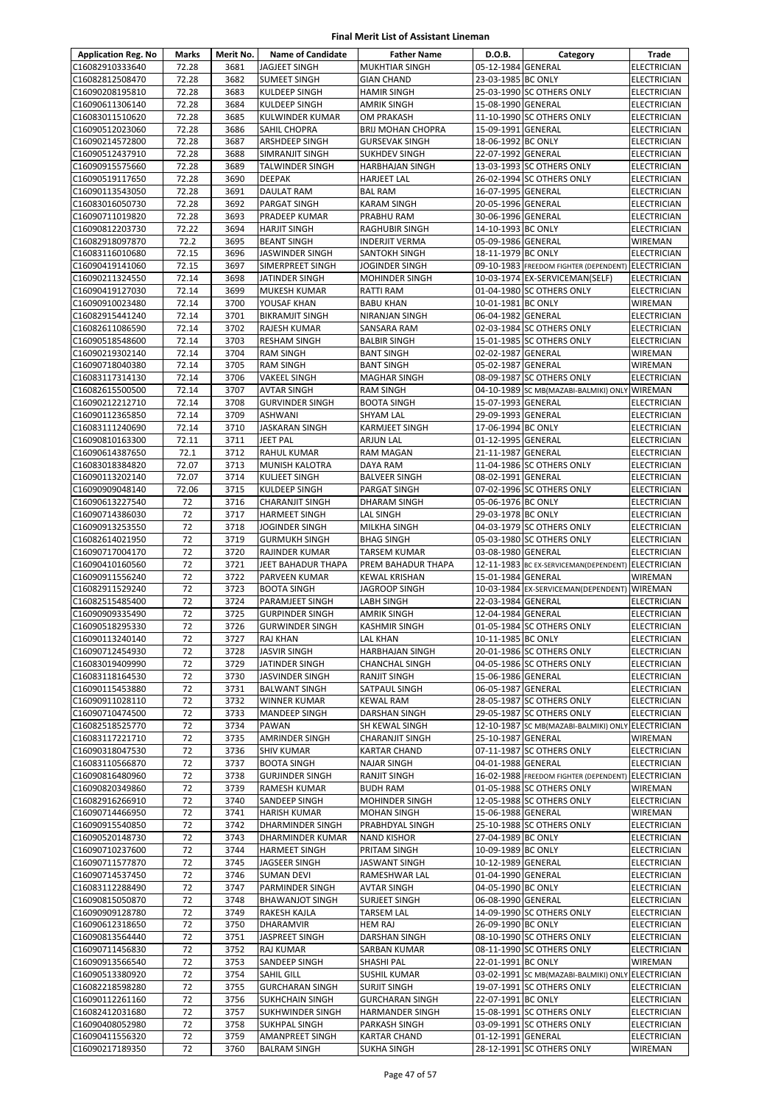| <b>Application Reg. No</b>         | Marks          | Merit No.    | <b>Name of Candidate</b>                  | <b>Father Name</b>                  | D.O.B.                                   | Category                                           | Trade                                    |
|------------------------------------|----------------|--------------|-------------------------------------------|-------------------------------------|------------------------------------------|----------------------------------------------------|------------------------------------------|
| C16082910333640                    | 72.28          | 3681         | <b>JAGJEET SINGH</b>                      | <b>MUKHTIAR SINGH</b>               | 05-12-1984 GENERAL                       |                                                    | <b>ELECTRICIAN</b>                       |
| C16082812508470                    | 72.28          | 3682         | <b>SUMEET SINGH</b>                       | <b>GIAN CHAND</b>                   | 23-03-1985 BC ONLY                       |                                                    | <b>ELECTRICIAN</b>                       |
| C16090208195810                    | 72.28          | 3683         | KULDEEP SINGH                             | <b>HAMIR SINGH</b>                  |                                          | 25-03-1990 SC OTHERS ONLY                          | <b>ELECTRICIAN</b>                       |
| C16090611306140                    | 72.28          | 3684         | KULDEEP SINGH                             | <b>AMRIK SINGH</b>                  | 15-08-1990 GENERAL                       |                                                    | ELECTRICIAN                              |
| C16083011510620                    | 72.28          | 3685         | KULWINDER KUMAR                           | OM PRAKASH                          |                                          | 11-10-1990 SC OTHERS ONLY                          | ELECTRICIAN                              |
| C16090512023060                    | 72.28          | 3686         | <b>SAHIL CHOPRA</b>                       | <b>BRIJ MOHAN CHOPRA</b>            | 15-09-1991 GENERAL                       |                                                    | <b>ELECTRICIAN</b>                       |
| C16090214572800                    | 72.28          | 3687         | ARSHDEEP SINGH                            | <b>GURSEVAK SINGH</b>               | 18-06-1992 BC ONLY                       |                                                    | <b>ELECTRICIAN</b>                       |
| C16090512437910                    | 72.28          | 3688         | SIMRANJIT SINGH                           | <b>SUKHDEV SINGH</b>                | 22-07-1992 GENERAL                       |                                                    | <b>ELECTRICIAN</b>                       |
| C16090915575660                    | 72.28          | 3689         | <b>TALWINDER SINGH</b>                    | <b>HARBHAJAN SINGH</b>              |                                          | 13-03-1993 SC OTHERS ONLY                          | ELECTRICIAN                              |
| C16090519117650                    | 72.28          | 3690         | <b>DEEPAK</b>                             | <b>HARJEET LAL</b>                  |                                          | 26-02-1994 SC OTHERS ONLY                          | ELECTRICIAN                              |
| C16090113543050                    | 72.28          | 3691         | <b>DAULAT RAM</b>                         | <b>BAL RAM</b>                      | 16-07-1995 GENERAL                       |                                                    | ELECTRICIAN                              |
| C16083016050730                    | 72.28          | 3692         | <b>PARGAT SINGH</b>                       | <b>KARAM SINGH</b>                  | 20-05-1996 GENERAL                       |                                                    | <b>ELECTRICIAN</b>                       |
| C16090711019820<br>C16090812203730 | 72.28<br>72.22 | 3693<br>3694 | PRADEEP KUMAR<br><b>HARJIT SINGH</b>      | PRABHU RAM<br><b>RAGHUBIR SINGH</b> | 30-06-1996 GENERAL<br>14-10-1993 BC ONLY |                                                    | <b>ELECTRICIAN</b><br><b>ELECTRICIAN</b> |
| C16082918097870                    | 72.2           | 3695         | <b>BEANT SINGH</b>                        | INDERJIT VERMA                      | 05-09-1986 GENERAL                       |                                                    | WIREMAN                                  |
| C16083116010680                    | 72.15          | 3696         | <b>JASWINDER SINGH</b>                    | SANTOKH SINGH                       | 18-11-1979 BC ONLY                       |                                                    | <b>ELECTRICIAN</b>                       |
| C16090419141060                    | 72.15          | 3697         | SIMERPREET SINGH                          | JOGINDER SINGH                      |                                          | 09-10-1983 FREEDOM FIGHTER (DEPENDENT) ELECTRICIAN |                                          |
| C16090211324550                    | 72.14          | 3698         | JATINDER SINGH                            | <b>MOHINDER SINGH</b>               |                                          | 10-03-1974 EX-SERVICEMAN(SELF)                     | <b>ELECTRICIAN</b>                       |
| C16090419127030                    | 72.14          | 3699         | <b>MUKESH KUMAR</b>                       | RATTI RAM                           |                                          | 01-04-1980 SC OTHERS ONLY                          | <b>ELECTRICIAN</b>                       |
| C16090910023480                    | 72.14          | 3700         | YOUSAF KHAN                               | <b>BABU KHAN</b>                    | 10-01-1981 BC ONLY                       |                                                    | WIREMAN                                  |
| C16082915441240                    | 72.14          | 3701         | <b>BIKRAMJIT SINGH</b>                    | NIRANJAN SINGH                      | 06-04-1982 GENERAL                       |                                                    | <b>ELECTRICIAN</b>                       |
| C16082611086590                    | 72.14          | 3702         | RAJESH KUMAR                              | SANSARA RAM                         |                                          | 02-03-1984 SC OTHERS ONLY                          | <b>ELECTRICIAN</b>                       |
| C16090518548600                    | 72.14          | 3703         | <b>RESHAM SINGH</b>                       | <b>BALBIR SINGH</b>                 |                                          | 15-01-1985 SC OTHERS ONLY                          | ELECTRICIAN                              |
| C16090219302140                    | 72.14          | 3704         | <b>RAM SINGH</b>                          | <b>BANT SINGH</b>                   | 02-02-1987 GENERAL                       |                                                    | WIREMAN                                  |
| C16090718040380                    | 72.14          | 3705         | <b>RAM SINGH</b>                          | <b>BANT SINGH</b>                   | 05-02-1987 GENERAL                       |                                                    | WIREMAN                                  |
| C16083117314130                    | 72.14          | 3706         | <b>VAKEEL SINGH</b>                       | <b>MAGHAR SINGH</b>                 |                                          | 08-09-1987 SC OTHERS ONLY                          | <b>ELECTRICIAN</b>                       |
| C16082615500500                    | 72.14          | 3707         | AVTAR SINGH                               | <b>RAM SINGH</b>                    |                                          | 04-10-1989 SC MB(MAZABI-BALMIKI) ONLY WIREMAN      |                                          |
| C16090212212710                    | 72.14          | 3708         | <b>GURVINDER SINGH</b>                    | <b>BOOTA SINGH</b>                  | 15-07-1993 GENERAL                       |                                                    | <b>ELECTRICIAN</b>                       |
| C16090112365850                    | 72.14          | 3709         | <b>ASHWANI</b>                            | <b>SHYAM LAL</b>                    | 29-09-1993 GENERAL                       |                                                    | <b>ELECTRICIAN</b>                       |
| C16083111240690                    | 72.14          | 3710         | <b>JASKARAN SINGH</b>                     | KARMJEET SINGH                      | 17-06-1994 BC ONLY                       |                                                    | <b>ELECTRICIAN</b>                       |
| C16090810163300                    | 72.11          | 3711         | JEET PAL                                  | <b>ARJUN LAL</b>                    | 01-12-1995 GENERAL                       |                                                    | <b>ELECTRICIAN</b>                       |
| C16090614387650                    | 72.1           | 3712         | RAHUL KUMAR                               | RAM MAGAN                           | 21-11-1987 GENERAL                       |                                                    | ELECTRICIAN                              |
| C16083018384820                    | 72.07          | 3713         | <b>MUNISH KALOTRA</b>                     | DAYA RAM                            |                                          | 11-04-1986 SC OTHERS ONLY                          | <b>ELECTRICIAN</b>                       |
| C16090113202140                    | 72.07          | 3714         | KULJEET SINGH                             | <b>BALVEER SINGH</b>                | 08-02-1991 GENERAL                       |                                                    | ELECTRICIAN                              |
| C16090909048140                    | 72.06          | 3715         | KULDEEP SINGH                             | PARGAT SINGH                        |                                          | 07-02-1996 SC OTHERS ONLY                          | ELECTRICIAN                              |
| C16090613227540                    | 72             | 3716         | <b>CHARANJIT SINGH</b>                    | DHARAM SINGH                        | 05-06-1976 BC ONLY                       |                                                    | <b>ELECTRICIAN</b>                       |
| C16090714386030                    | 72             | 3717         | <b>HARMEET SINGH</b>                      | LAL SINGH                           | 29-03-1978 BC ONLY                       |                                                    | <b>ELECTRICIAN</b>                       |
| C16090913253550                    | 72             | 3718         | JOGINDER SINGH                            | MILKHA SINGH                        |                                          | 04-03-1979 SC OTHERS ONLY                          | <b>ELECTRICIAN</b>                       |
| C16082614021950                    | 72             | 3719         | <b>GURMUKH SINGH</b>                      | <b>BHAG SINGH</b>                   |                                          | 05-03-1980 SC OTHERS ONLY                          | ELECTRICIAN                              |
| C16090717004170                    | 72             | 3720         | RAJINDER KUMAR                            | TARSEM KUMAR                        | 03-08-1980 GENERAL                       |                                                    | <b>ELECTRICIAN</b>                       |
| C16090410160560                    | 72             | 3721         | JEET BAHADUR THAPA                        | PREM BAHADUR THAPA                  |                                          | 12-11-1983 BC EX-SERVICEMAN(DEPENDENT)             | <b>ELECTRICIAN</b>                       |
| C16090911556240                    | 72<br>72       | 3722         | PARVEEN KUMAR                             | <b>KEWAL KRISHAN</b>                | 15-01-1984 GENERAL                       |                                                    | WIREMAN                                  |
| C16082911529240                    | 72             | 3723<br>3724 | <b>BOOTA SINGH</b>                        | JAGROOP SINGH                       |                                          | 10-03-1984 EX-SERVICEMAN(DEPENDENT) WIREMAN        |                                          |
| C16082515485400<br>C16090909335490 | 72             | 3725         | PARAMJEET SINGH<br><b>GURPINDER SINGH</b> | LABH SINGH<br><b>AMRIK SINGH</b>    | 22-03-1984 GENERAL<br>12-04-1984 GENERAL |                                                    | <b>ELECTRICIAN</b><br><b>ELECTRICIAN</b> |
| C16090518295330                    | 72             | 3726         | <b>GURWINDER SINGH</b>                    | <b>KASHMIR SINGH</b>                |                                          | 01-05-1984 SC OTHERS ONLY                          | <b>ELECTRICIAN</b>                       |
| C16090113240140                    | 72             | 3727         | <b>RAJ KHAN</b>                           | LAL KHAN                            | 10-11-1985 BC ONLY                       |                                                    | <b>ELECTRICIAN</b>                       |
| C16090712454930                    | 72             | 3728         | <b>JASVIR SINGH</b>                       | HARBHAJAN SINGH                     |                                          | 20-01-1986 SC OTHERS ONLY                          | <b>ELECTRICIAN</b>                       |
| C16083019409990                    | 72             | 3729         | JATINDER SINGH                            | <b>CHANCHAL SINGH</b>               |                                          | 04-05-1986 SC OTHERS ONLY                          | <b>ELECTRICIAN</b>                       |
| C16083118164530                    | 72             | 3730         | <b>JASVINDER SINGH</b>                    | RANJIT SINGH                        | 15-06-1986 GENERAL                       |                                                    | <b>ELECTRICIAN</b>                       |
| C16090115453880                    | 72             | 3731         | <b>BALWANT SINGH</b>                      | SATPAUL SINGH                       | 06-05-1987 GENERAL                       |                                                    | ELECTRICIAN                              |
| C16090911028110                    | 72             | 3732         | <b>WINNER KUMAR</b>                       | <b>KEWAL RAM</b>                    |                                          | 28-05-1987 SC OTHERS ONLY                          | ELECTRICIAN                              |
| C16090710474500                    | 72             | 3733         | MANDEEP SINGH                             | DARSHAN SINGH                       |                                          | 29-05-1987 SC OTHERS ONLY                          | ELECTRICIAN                              |
| C16082518525770                    | 72             | 3734         | PAWAN                                     | SH KEWAL SINGH                      |                                          | 12-10-1987 SC MB(MAZABI-BALMIKI) ONLY ELECTRICIAN  |                                          |
| C16083117221710                    | 72             | 3735         | <b>AMRINDER SINGH</b>                     | <b>CHARANJIT SINGH</b>              | 25-10-1987 GENERAL                       |                                                    | WIREMAN                                  |
| C16090318047530                    | 72             | 3736         | <b>SHIV KUMAR</b>                         | <b>KARTAR CHAND</b>                 |                                          | 07-11-1987 SC OTHERS ONLY                          | <b>ELECTRICIAN</b>                       |
| C16083110566870                    | 72             | 3737         | <b>BOOTA SINGH</b>                        | <b>NAJAR SINGH</b>                  | 04-01-1988 GENERAL                       |                                                    | <b>ELECTRICIAN</b>                       |
| C16090816480960                    | 72             | 3738         | <b>GURJINDER SINGH</b>                    | RANJIT SINGH                        |                                          | 16-02-1988 FREEDOM FIGHTER (DEPENDENT) ELECTRICIAN |                                          |
| C16090820349860                    | 72             | 3739         | RAMESH KUMAR                              | <b>BUDH RAM</b>                     |                                          | 01-05-1988 SC OTHERS ONLY                          | WIREMAN                                  |
| C16082916266910                    | 72             | 3740         | SANDEEP SINGH                             | MOHINDER SINGH                      |                                          | 12-05-1988 SC OTHERS ONLY                          | ELECTRICIAN                              |
| C16090714466950                    | 72             | 3741         | <b>HARISH KUMAR</b>                       | <b>MOHAN SINGH</b>                  | 15-06-1988 GENERAL                       |                                                    | WIREMAN                                  |
| C16090915540850                    | 72             | 3742         | DHARMINDER SINGH                          | PRABHDYAL SINGH                     |                                          | 25-10-1988 SC OTHERS ONLY                          | <b>ELECTRICIAN</b>                       |
| C16090520148730                    | 72             | 3743         | DHARMINDER KUMAR                          | <b>NAND KISHOR</b>                  | 27-04-1989 BC ONLY                       |                                                    | ELECTRICIAN                              |
| C16090710237600                    | 72             | 3744         | <b>HARMEET SINGH</b>                      | PRITAM SINGH                        | 10-09-1989 BC ONLY                       |                                                    | ELECTRICIAN                              |
| C16090711577870                    | 72             | 3745         | JAGSEER SINGH                             | JASWANT SINGH                       | 10-12-1989 GENERAL                       |                                                    | ELECTRICIAN                              |
| C16090714537450                    | 72             | 3746         | <b>SUMAN DEVI</b>                         | RAMESHWAR LAL                       | 01-04-1990 GENERAL                       |                                                    | ELECTRICIAN                              |
| C16083112288490                    | 72             | 3747         | PARMINDER SINGH                           | AVTAR SINGH                         | 04-05-1990 BC ONLY                       |                                                    | ELECTRICIAN                              |
| C16090815050870<br>C16090909128780 | 72<br>72       | 3748<br>3749 | <b>BHAWANJOT SINGH</b><br>RAKESH KAJLA    | SURJEET SINGH<br><b>TARSEM LAL</b>  | 06-08-1990 GENERAL                       | 14-09-1990 SC OTHERS ONLY                          | <b>ELECTRICIAN</b><br>ELECTRICIAN        |
| C16090612318650                    | 72             | 3750         | DHARAMVIR                                 | <b>HEM RAJ</b>                      | 26-09-1990 BC ONLY                       |                                                    | ELECTRICIAN                              |
| C16090813564440                    | 72             | 3751         | <b>JASPREET SINGH</b>                     | DARSHAN SINGH                       |                                          | 08-10-1990 SC OTHERS ONLY                          | ELECTRICIAN                              |
| C16090711456830                    | 72             | 3752         | <b>RAJ KUMAR</b>                          | SARBAN KUMAR                        |                                          | 08-11-1990 SC OTHERS ONLY                          | ELECTRICIAN                              |
| C16090913566540                    | 72             | 3753         | SANDEEP SINGH                             | SHASHI PAL                          | 22-01-1991 BC ONLY                       |                                                    | WIREMAN                                  |
| C16090513380920                    | 72             | 3754         | <b>SAHIL GILL</b>                         | <b>SUSHIL KUMAR</b>                 |                                          | 03-02-1991 SC MB(MAZABI-BALMIKI) ONLY ELECTRICIAN  |                                          |
| C16082218598280                    | 72             | 3755         | <b>GURCHARAN SINGH</b>                    | <b>SURJIT SINGH</b>                 |                                          | 19-07-1991 SC OTHERS ONLY                          | <b>ELECTRICIAN</b>                       |
| C16090112261160                    | 72             | 3756         | <b>SUKHCHAIN SINGH</b>                    | <b>GURCHARAN SINGH</b>              | 22-07-1991 BC ONLY                       |                                                    | ELECTRICIAN                              |
| C16082412031680                    | 72             | 3757         | SUKHWINDER SINGH                          | HARMANDER SINGH                     |                                          | 15-08-1991 SC OTHERS ONLY                          | ELECTRICIAN                              |
| C16090408052980                    | 72             | 3758         | <b>SUKHPAL SINGH</b>                      | PARKASH SINGH                       |                                          | 03-09-1991 SC OTHERS ONLY                          | <b>ELECTRICIAN</b>                       |
| C16090411556320                    | 72             | 3759         | <b>AMANPREET SINGH</b>                    | <b>KARTAR CHAND</b>                 | 01-12-1991 GENERAL                       |                                                    | ELECTRICIAN                              |
| C16090217189350                    | 72             | 3760         | <b>BALRAM SINGH</b>                       | SUKHA SINGH                         |                                          | 28-12-1991 SC OTHERS ONLY                          | WIREMAN                                  |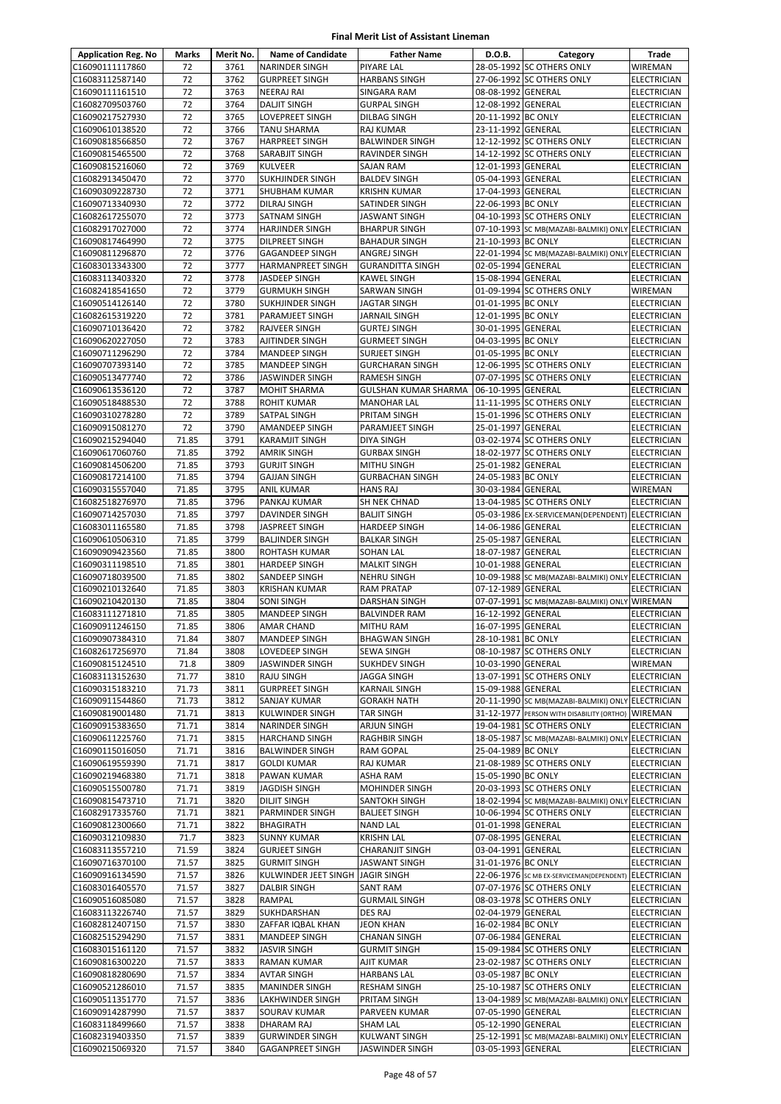| <b>Application Reg. No</b>         | Marks          | Merit No.    | <b>Name of Candidate</b>                  | <b>Father Name</b>                          | D.O.B.                                   | Category                                          | Trade                                    |
|------------------------------------|----------------|--------------|-------------------------------------------|---------------------------------------------|------------------------------------------|---------------------------------------------------|------------------------------------------|
| C16090111117860                    | 72             | 3761         | <b>NARINDER SINGH</b>                     | <b>PIYARE LAL</b>                           |                                          | 28-05-1992 SC OTHERS ONLY                         | <b>WIREMAN</b>                           |
| C16083112587140                    | 72             | 3762         | <b>GURPREET SINGH</b>                     | <b>HARBANS SINGH</b>                        |                                          | 27-06-1992 SC OTHERS ONLY                         | <b>ELECTRICIAN</b>                       |
| C16090111161510                    | 72             | 3763         | <b>NEERAJ RAI</b>                         | SINGARA RAM                                 | 08-08-1992 GENERAL                       |                                                   | ELECTRICIAN                              |
| C16082709503760                    | 72             | 3764         | <b>DALJIT SINGH</b>                       | <b>GURPAL SINGH</b>                         | 12-08-1992 GENERAL                       |                                                   | <b>ELECTRICIAN</b>                       |
| C16090217527930                    | 72             | 3765         | LOVEPREET SINGH                           | <b>DILBAG SINGH</b>                         | 20-11-1992 BC ONLY                       |                                                   | <b>ELECTRICIAN</b>                       |
| C16090610138520                    | 72             | 3766         | <b>TANU SHARMA</b>                        | <b>RAJ KUMAR</b>                            | 23-11-1992 GENERAL                       |                                                   | <b>ELECTRICIAN</b>                       |
| C16090818566850                    | 72             | 3767         | <b>HARPREET SINGH</b>                     | <b>BALWINDER SINGH</b>                      |                                          | 12-12-1992 SC OTHERS ONLY                         | <b>ELECTRICIAN</b>                       |
| C16090815465500                    | 72<br>72       | 3768<br>3769 | SARABJIT SINGH                            | RAVINDER SINGH                              | 12-01-1993 GENERAL                       | 14-12-1992 SC OTHERS ONLY                         | <b>ELECTRICIAN</b>                       |
| C16090815216060<br>C16082913450470 | 72             | 3770         | <b>KULVEER</b><br><b>SUKHJINDER SINGH</b> | <b>SAJAN RAM</b><br><b>BALDEV SINGH</b>     | 05-04-1993 GENERAL                       |                                                   | <b>ELECTRICIAN</b><br>ELECTRICIAN        |
| C16090309228730                    | 72             | 3771         | SHUBHAM KUMAR                             | <b>KRISHN KUMAR</b>                         | 17-04-1993 GENERAL                       |                                                   | <b>ELECTRICIAN</b>                       |
| C16090713340930                    | 72             | 3772         | <b>DILRAJ SINGH</b>                       | SATINDER SINGH                              | 22-06-1993 BC ONLY                       |                                                   | ELECTRICIAN                              |
| C16082617255070                    | 72             | 3773         | <b>SATNAM SINGH</b>                       | <b>JASWANT SINGH</b>                        |                                          | 04-10-1993 SC OTHERS ONLY                         | <b>ELECTRICIAN</b>                       |
| C16082917027000                    | 72             | 3774         | <b>HARJINDER SINGH</b>                    | <b>BHARPUR SINGH</b>                        |                                          | 07-10-1993 SC MB(MAZABI-BALMIKI) ONLY             | <b>ELECTRICIAN</b>                       |
| C16090817464990                    | 72             | 3775         | DILPREET SINGH                            | <b>BAHADUR SINGH</b>                        | 21-10-1993 BC ONLY                       |                                                   | ELECTRICIAN                              |
| C16090811296870                    | 72             | 3776         | <b>GAGANDEEP SINGH</b>                    | ANGREJ SINGH                                |                                          | 22-01-1994 SC MB(MAZABI-BALMIKI) ONLY ELECTRICIAN |                                          |
| C16083013343300                    | 72             | 3777         | HARMANPREET SINGH                         | <b>GURANDITTA SINGH</b>                     | 02-05-1994 GENERAL                       |                                                   | <b>ELECTRICIAN</b>                       |
| C16083113403320                    | 72             | 3778         | JASDEEP SINGH                             | <b>KAWEL SINGH</b>                          | 15-08-1994 GENERAL                       |                                                   | <b>ELECTRICIAN</b>                       |
| C16082418541650                    | 72             | 3779         | <b>GURMUKH SINGH</b>                      | SARWAN SINGH                                |                                          | 01-09-1994 SC OTHERS ONLY                         | <b>WIREMAN</b>                           |
| C16090514126140                    | 72             | 3780         | <b>SUKHJINDER SINGH</b>                   | <b>JAGTAR SINGH</b>                         | 01-01-1995 BC ONLY                       |                                                   | <b>ELECTRICIAN</b>                       |
| C16082615319220                    | 72             | 3781         | PARAMJEET SINGH                           | <b>JARNAIL SINGH</b>                        | 12-01-1995 BC ONLY                       |                                                   | ELECTRICIAN                              |
| C16090710136420<br>C16090620227050 | 72<br>72       | 3782<br>3783 | RAJVEER SINGH<br>AJITINDER SINGH          | <b>GURTEJ SINGH</b><br><b>GURMEET SINGH</b> | 30-01-1995 GENERAL<br>04-03-1995 BC ONLY |                                                   | ELECTRICIAN<br><b>ELECTRICIAN</b>        |
| C16090711296290                    | 72             | 3784         | MANDEEP SINGH                             | <b>SURJEET SINGH</b>                        | 01-05-1995 BC ONLY                       |                                                   | <b>ELECTRICIAN</b>                       |
| C16090707393140                    | 72             | 3785         | <b>MANDEEP SINGH</b>                      | <b>GURCHARAN SINGH</b>                      |                                          | 12-06-1995 SC OTHERS ONLY                         | ELECTRICIAN                              |
| C16090513477740                    | 72             | 3786         | <b>JASWINDER SINGH</b>                    | <b>RAMESH SINGH</b>                         |                                          | 07-07-1995 SC OTHERS ONLY                         | <b>ELECTRICIAN</b>                       |
| C16090613536120                    | 72             | 3787         | <b>MOHIT SHARMA</b>                       | GULSHAN KUMAR SHARMA                        | 06-10-1995 GENERAL                       |                                                   | <b>ELECTRICIAN</b>                       |
| C16090518488530                    | 72             | 3788         | <b>ROHIT KUMAR</b>                        | <b>MANOHAR LAL</b>                          |                                          | 11-11-1995 SC OTHERS ONLY                         | <b>ELECTRICIAN</b>                       |
| C16090310278280                    | 72             | 3789         | SATPAL SINGH                              | PRITAM SINGH                                |                                          | 15-01-1996 SC OTHERS ONLY                         | ELECTRICIAN                              |
| C16090915081270                    | 72             | 3790         | AMANDEEP SINGH                            | PARAMJEET SINGH                             | 25-01-1997 GENERAL                       |                                                   | <b>ELECTRICIAN</b>                       |
| C16090215294040                    | 71.85          | 3791         | <b>KARAMJIT SINGH</b>                     | <b>DIYA SINGH</b>                           |                                          | 03-02-1974 SC OTHERS ONLY                         | <b>ELECTRICIAN</b>                       |
| C16090617060760                    | 71.85          | 3792         | AMRIK SINGH                               | <b>GURBAX SINGH</b>                         |                                          | 18-02-1977 SC OTHERS ONLY                         | ELECTRICIAN                              |
| C16090814506200                    | 71.85          | 3793         | <b>GURJIT SINGH</b>                       | <b>MITHU SINGH</b>                          | 25-01-1982 GENERAL                       |                                                   | ELECTRICIAN                              |
| C16090817214100<br>C16090315557040 | 71.85<br>71.85 | 3794<br>3795 | <b>GAJJAN SINGH</b>                       | <b>GURBACHAN SINGH</b><br><b>HANS RAJ</b>   | 24-05-1983 BC ONLY<br>30-03-1984 GENERAL |                                                   | ELECTRICIAN<br><b>WIREMAN</b>            |
| C16082518276970                    | 71.85          | 3796         | <b>ANIL KUMAR</b><br>PANKAJ KUMAR         | SH NEK CHNAD                                |                                          | 13-04-1985 SC OTHERS ONLY                         | <b>ELECTRICIAN</b>                       |
| C16090714257030                    | 71.85          | 3797         | DAVINDER SINGH                            | <b>BALJIT SINGH</b>                         |                                          | 05-03-1986 EX-SERVICEMAN(DEPENDENT) ELECTRICIAN   |                                          |
| C16083011165580                    | 71.85          | 3798         | JASPREET SINGH                            | <b>HARDEEP SINGH</b>                        | 14-06-1986 GENERAL                       |                                                   | <b>ELECTRICIAN</b>                       |
| C16090610506310                    | 71.85          | 3799         | <b>BALJINDER SINGH</b>                    | <b>BALKAR SINGH</b>                         | 25-05-1987 GENERAL                       |                                                   | <b>ELECTRICIAN</b>                       |
| C16090909423560                    | 71.85          | 3800         | ROHTASH KUMAR                             | <b>SOHAN LAL</b>                            | 18-07-1987 GENERAL                       |                                                   | <b>ELECTRICIAN</b>                       |
| C16090311198510                    | 71.85          | 3801         | <b>HARDEEP SINGH</b>                      | <b>MALKIT SINGH</b>                         | 10-01-1988 GENERAL                       |                                                   | <b>ELECTRICIAN</b>                       |
| C16090718039500                    | 71.85          | 3802         | SANDEEP SINGH                             | <b>NEHRU SINGH</b>                          |                                          | 10-09-1988 SC MB(MAZABI-BALMIKI) ONLY ELECTRICIAN |                                          |
| C16090210132640                    | 71.85          | 3803         | <b>KRISHAN KUMAR</b>                      | <b>RAM PRATAP</b>                           | 07-12-1989 GENERAL                       |                                                   | ELECTRICIAN                              |
| C16090210420130                    | 71.85          | 3804         | SONI SINGH                                | <b>DARSHAN SINGH</b>                        |                                          | 07-07-1991 SC MB(MAZABI-BALMIKI) ONLY WIREMAN     |                                          |
| C16083111271810                    | 71.85          | 3805         | MANDEEP SINGH                             | <b>BALVINDER RAM</b>                        | 16-12-1992 GENERAL                       |                                                   | <b>ELECTRICIAN</b>                       |
| C16090911246150                    | 71.85          | 3806         | <b>AMAR CHAND</b>                         | <b>MITHU RAM</b>                            | 16-07-1995 GENERAL                       |                                                   | <b>ELECTRICIAN</b>                       |
| C16090907384310<br>C16082617256970 | 71.84<br>71.84 | 3807<br>3808 | MANDEEP SINGH<br>LOVEDEEP SINGH           | <b>BHAGWAN SINGH</b><br>SEWA SINGH          | 28-10-1981 BC ONLY                       | 08-10-1987 SC OTHERS ONLY                         | <b>ELECTRICIAN</b><br><b>ELECTRICIAN</b> |
| C16090815124510                    | 71.8           | 3809         | JASWINDER SINGH                           | <b>SUKHDEV SINGH</b>                        | 10-03-1990 GENERAL                       |                                                   | WIREMAN                                  |
| C16083113152630                    | 71.77          | 3810         | RAJU SINGH                                | <b>JAGGA SINGH</b>                          |                                          | 13-07-1991 SC OTHERS ONLY                         | ELECTRICIAN                              |
| C16090315183210                    | 71.73          | 3811         | <b>GURPREET SINGH</b>                     | <b>KARNAIL SINGH</b>                        | 15-09-1988 GENERAL                       |                                                   | <b>ELECTRICIAN</b>                       |
| C16090911544860                    | 71.73          | 3812         | SANJAY KUMAR                              | <b>GORAKH NATH</b>                          |                                          | 20-11-1990 SC MB(MAZABI-BALMIKI) ONLY ELECTRICIAN |                                          |
| C16090819001480                    | 71.71          | 3813         | KULWINDER SINGH                           | <b>TAR SINGH</b>                            |                                          | 31-12-1977 PERSON WITH DISABILITY (ORTHO) WIREMAN |                                          |
| C16090915383650                    | 71.71          | 3814         | NARINDER SINGH                            | <b>ARJUN SINGH</b>                          |                                          | 19-04-1981 SC OTHERS ONLY                         | <b>ELECTRICIAN</b>                       |
| C16090611225760                    | 71.71          | 3815         | <b>HARCHAND SINGH</b>                     | <b>RAGHBIR SINGH</b>                        |                                          | 18-05-1987 SC MB(MAZABI-BALMIKI) ONLY ELECTRICIAN |                                          |
| C16090115016050                    | 71.71          | 3816         | <b>BALWINDER SINGH</b>                    | <b>RAM GOPAL</b>                            | 25-04-1989 BC ONLY                       |                                                   | ELECTRICIAN                              |
| C16090619559390                    | 71.71          | 3817         | <b>GOLDI KUMAR</b>                        | RAJ KUMAR                                   |                                          | 21-08-1989 SC OTHERS ONLY                         | <b>ELECTRICIAN</b>                       |
| C16090219468380<br>C16090515500780 | 71.71<br>71.71 | 3818<br>3819 | PAWAN KUMAR<br><b>JAGDISH SINGH</b>       | ASHA RAM<br><b>MOHINDER SINGH</b>           | 15-05-1990 BC ONLY                       | 20-03-1993 SC OTHERS ONLY                         | ELECTRICIAN<br>ELECTRICIAN               |
| C16090815473710                    | 71.71          | 3820         | DILJIT SINGH                              | SANTOKH SINGH                               |                                          | 18-02-1994 SC MB(MAZABI-BALMIKI) ONLY ELECTRICIAN |                                          |
| C16082917335760                    | 71.71          | 3821         | PARMINDER SINGH                           | <b>BALJEET SINGH</b>                        |                                          | 10-06-1994 SC OTHERS ONLY                         | <b>ELECTRICIAN</b>                       |
| C16090812300660                    | 71.71          | 3822         | <b>BHAGIRATH</b>                          | <b>NAND LAL</b>                             | 01-01-1998 GENERAL                       |                                                   | <b>ELECTRICIAN</b>                       |
| C16090312109830                    | 71.7           | 3823         | <b>SUNNY KUMAR</b>                        | <b>KRISHN LAL</b>                           | 07-08-1995 GENERAL                       |                                                   | ELECTRICIAN                              |
| C16083113557210                    | 71.59          | 3824         | <b>GURJEET SINGH</b>                      | <b>CHARANJIT SINGH</b>                      | 03-04-1991 GENERAL                       |                                                   | <b>ELECTRICIAN</b>                       |
| C16090716370100                    | 71.57          | 3825         | <b>GURMIT SINGH</b>                       | <b>JASWANT SINGH</b>                        | 31-01-1976 BC ONLY                       |                                                   | ELECTRICIAN                              |
| C16090916134590                    | 71.57          | 3826         | KULWINDER JEET SINGH                      | <b>JAGIR SINGH</b>                          |                                          | 22-06-1976 SC MB EX-SERVICEMAN(DEPENDENT)         | <b>ELECTRICIAN</b>                       |
| C16083016405570                    | 71.57          | 3827         | DALBIR SINGH                              | <b>SANT RAM</b>                             |                                          | 07-07-1976 SC OTHERS ONLY                         | ELECTRICIAN                              |
| C16090516085080                    | 71.57          | 3828         | RAMPAL                                    | <b>GURMAIL SINGH</b>                        |                                          | 08-03-1978 SC OTHERS ONLY                         | <b>ELECTRICIAN</b>                       |
| C16083113226740<br>C16082812407150 | 71.57<br>71.57 | 3829<br>3830 | SUKHDARSHAN<br>ZAFFAR IQBAL KHAN          | DES RAJ<br><b>JEON KHAN</b>                 | 02-04-1979 GENERAL<br>16-02-1984 BC ONLY |                                                   | ELECTRICIAN<br><b>ELECTRICIAN</b>        |
| C16082515294290                    | 71.57          | 3831         | MANDEEP SINGH                             | <b>CHANAN SINGH</b>                         | 07-06-1984 GENERAL                       |                                                   | <b>ELECTRICIAN</b>                       |
| C16083015161120                    | 71.57          | 3832         | JASVIR SINGH                              | <b>GURMIT SINGH</b>                         |                                          | 15-09-1984 SC OTHERS ONLY                         | ELECTRICIAN                              |
| C16090816300220                    | 71.57          | 3833         | RAMAN KUMAR                               | AJIT KUMAR                                  |                                          | 23-02-1987 SC OTHERS ONLY                         | <b>ELECTRICIAN</b>                       |
| C16090818280690                    | 71.57          | 3834         | AVTAR SINGH                               | <b>HARBANS LAL</b>                          | 03-05-1987 BC ONLY                       |                                                   | <b>ELECTRICIAN</b>                       |
| C16090521286010                    | 71.57          | 3835         | <b>MANINDER SINGH</b>                     | <b>RESHAM SINGH</b>                         |                                          | 25-10-1987 SC OTHERS ONLY                         | ELECTRICIAN                              |
| C16090511351770                    | 71.57          | 3836         | LAKHWINDER SINGH                          | PRITAM SINGH                                |                                          | 13-04-1989 SC MB(MAZABI-BALMIKI) ONLY             | <b>ELECTRICIAN</b>                       |
| C16090914287990                    | 71.57          | 3837         | SOURAV KUMAR                              | PARVEEN KUMAR                               | 07-05-1990 GENERAL                       |                                                   | ELECTRICIAN                              |
| C16083118499660                    | 71.57          | 3838         | DHARAM RAJ                                | <b>SHAM LAL</b>                             | 05-12-1990 GENERAL                       |                                                   | ELECTRICIAN                              |
| C16082319403350                    | 71.57          | 3839         | <b>GURWINDER SINGH</b>                    | <b>KULWANT SINGH</b>                        |                                          | 25-12-1991 SC MB(MAZABI-BALMIKI) ONLY ELECTRICIAN |                                          |
| C16090215069320                    | 71.57          | 3840         | <b>GAGANPREET SINGH</b>                   | JASWINDER SINGH                             | 03-05-1993 GENERAL                       |                                                   | ELECTRICIAN                              |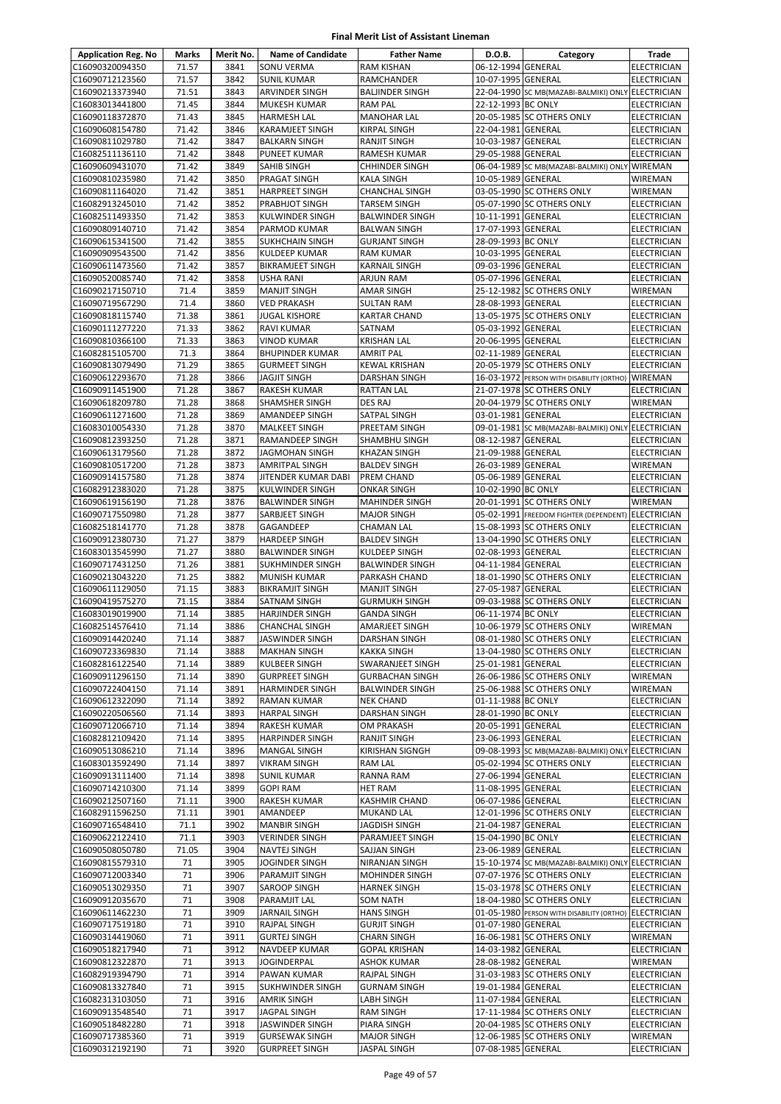| <b>Application Reg. No</b>         | Marks          | Merit No.    | <b>Name of Candidate</b>                         | <b>Father Name</b>                            | D.O.B.                                   | Category                                                                       | Trade                                |
|------------------------------------|----------------|--------------|--------------------------------------------------|-----------------------------------------------|------------------------------------------|--------------------------------------------------------------------------------|--------------------------------------|
| C16090320094350                    | 71.57          | 3841         | <b>SONU VERMA</b>                                | <b>RAM KISHAN</b>                             | 06-12-1994 GENERAL                       |                                                                                | <b>ELECTRICIAN</b>                   |
| C16090712123560                    | 71.57          | 3842         | <b>SUNIL KUMAR</b>                               | <b>RAMCHANDER</b>                             | 10-07-1995 GENERAL                       |                                                                                | <b>ELECTRICIAN</b>                   |
| C16090213373940                    | 71.51          | 3843         | ARVINDER SINGH                                   | <b>BALJINDER SINGH</b>                        |                                          | 22-04-1990 SC MB(MAZABI-BALMIKI) ONLY ELECTRICIAN                              |                                      |
| C16083013441800                    | 71.45          | 3844         | <b>MUKESH KUMAR</b>                              | <b>RAM PAL</b>                                | 22-12-1993 BC ONLY                       |                                                                                | ELECTRICIAN                          |
| C16090118372870<br>C16090608154780 | 71.43<br>71.42 | 3845<br>3846 | <b>HARMESH LAL</b><br><b>KARAMJEET SINGH</b>     | <b>MANOHAR LAL</b><br><b>KIRPAL SINGH</b>     | 22-04-1981 GENERAL                       | 20-05-1985 SC OTHERS ONLY                                                      | ELECTRICIAN<br><b>ELECTRICIAN</b>    |
| C16090811029780                    | 71.42          | 3847         | <b>BALKARN SINGH</b>                             | <b>RANJIT SINGH</b>                           | 10-03-1987 GENERAL                       |                                                                                | ELECTRICIAN                          |
| C16082511136110                    | 71.42          | 3848         | PUNEET KUMAR                                     | RAMESH KUMAR                                  | 29-05-1988 GENERAL                       |                                                                                | ELECTRICIAN                          |
| C16090609431070                    | 71.42          | 3849         | <b>SAHIB SINGH</b>                               | <b>CHHINDER SINGH</b>                         |                                          | 06-04-1989 SC MB(MAZABI-BALMIKI) ONLY                                          | <b>WIREMAN</b>                       |
| C16090810235980                    | 71.42          | 3850         | <b>PRAGAT SINGH</b>                              | <b>KALA SINGH</b>                             | 10-05-1989 GENERAL                       |                                                                                | WIREMAN                              |
| C16090811164020                    | 71.42          | 3851         | <b>HARPREET SINGH</b>                            | <b>CHANCHAL SINGH</b>                         |                                          | 03-05-1990 SC OTHERS ONLY                                                      | WIREMAN                              |
| C16082913245010                    | 71.42          | 3852         | PRABHJOT SINGH                                   | <b>TARSEM SINGH</b>                           |                                          | 05-07-1990 SC OTHERS ONLY                                                      | ELECTRICIAN                          |
| C16082511493350                    | 71.42          | 3853         | <b>KULWINDER SINGH</b>                           | <b>BALWINDER SINGH</b>                        | 10-11-1991 GENERAL                       |                                                                                | <b>ELECTRICIAN</b>                   |
| C16090809140710                    | 71.42          | 3854         | PARMOD KUMAR                                     | <b>BALWAN SINGH</b>                           | 17-07-1993 GENERAL                       |                                                                                | ELECTRICIAN                          |
| C16090615341500<br>C16090909543500 | 71.42<br>71.42 | 3855<br>3856 | <b>SUKHCHAIN SINGH</b><br><b>KULDEEP KUMAR</b>   | <b>GURJANT SINGH</b><br><b>RAM KUMAR</b>      | 28-09-1993 BC ONLY<br>10-03-1995 GENERAL |                                                                                | ELECTRICIAN<br>ELECTRICIAN           |
| C16090611473560                    | 71.42          | 3857         | <b>BIKRAMJEET SINGH</b>                          | <b>KARNAIL SINGH</b>                          | 09-03-1996 GENERAL                       |                                                                                | ELECTRICIAN                          |
| C16090520085740                    | 71.42          | 3858         | <b>USHA RANI</b>                                 | ARJUN RAM                                     | 05-07-1996 GENERAL                       |                                                                                | ELECTRICIAN                          |
| C16090217150710                    | 71.4           | 3859         | <b>MANJIT SINGH</b>                              | <b>AMAR SINGH</b>                             |                                          | 25-12-1982 SC OTHERS ONLY                                                      | <b>WIREMAN</b>                       |
| C16090719567290                    | 71.4           | 3860         | <b>VED PRAKASH</b>                               | <b>SULTAN RAM</b>                             | 28-08-1993 GENERAL                       |                                                                                | <b>ELECTRICIAN</b>                   |
| C16090818115740                    | 71.38          | 3861         | <b>JUGAL KISHORE</b>                             | <b>KARTAR CHAND</b>                           |                                          | 13-05-1975 SC OTHERS ONLY                                                      | ELECTRICIAN                          |
| C16090111277220                    | 71.33          | 3862         | RAVI KUMAR                                       | SATNAM                                        | 05-03-1992 GENERAL                       |                                                                                | ELECTRICIAN                          |
| C16090810366100                    | 71.33          | 3863         | <b>VINOD KUMAR</b>                               | <b>KRISHAN LAL</b>                            | 20-06-1995 GENERAL                       |                                                                                | <b>ELECTRICIAN</b>                   |
| C16082815105700                    | 71.3           | 3864         | <b>BHUPINDER KUMAR</b>                           | <b>AMRIT PAL</b>                              | 02-11-1989 GENERAL                       |                                                                                | ELECTRICIAN                          |
| C16090813079490<br>C16090612293670 | 71.29<br>71.28 | 3865<br>3866 | <b>GURMEET SINGH</b><br><b>JAGJIT SINGH</b>      | <b>KEWAL KRISHAN</b><br><b>DARSHAN SINGH</b>  |                                          | 20-05-1979 SC OTHERS ONLY<br>16-03-1972 PERSON WITH DISABILITY (ORTHO)         | <b>ELECTRICIAN</b><br><b>WIREMAN</b> |
| C16090911451900                    | 71.28          | 3867         | <b>RAKESH KUMAR</b>                              | <b>RATTAN LAL</b>                             |                                          | 21-07-1978 SC OTHERS ONLY                                                      | ELECTRICIAN                          |
| C16090618209780                    | 71.28          | 3868         | <b>SHAMSHER SINGH</b>                            | <b>DES RAJ</b>                                |                                          | 20-04-1979 SC OTHERS ONLY                                                      | WIREMAN                              |
| C16090611271600                    | 71.28          | 3869         | AMANDEEP SINGH                                   | SATPAL SINGH                                  | 03-01-1981 GENERAL                       |                                                                                | ELECTRICIAN                          |
| C16083010054330                    | 71.28          | 3870         | <b>MALKEET SINGH</b>                             | PREETAM SINGH                                 |                                          | 09-01-1981 SC MB(MAZABI-BALMIKI) ONLY ELECTRICIAN                              |                                      |
| C16090812393250                    | 71.28          | 3871         | <b>RAMANDEEP SINGH</b>                           | SHAMBHU SINGH                                 | 08-12-1987 GENERAL                       |                                                                                | <b>ELECTRICIAN</b>                   |
| C16090613179560                    | 71.28          | 3872         | <b>JAGMOHAN SINGH</b>                            | <b>KHAZAN SINGH</b>                           | 21-09-1988 GENERAL                       |                                                                                | ELECTRICIAN                          |
| C16090810517200                    | 71.28          | 3873         | <b>AMRITPAL SINGH</b>                            | <b>BALDEV SINGH</b>                           | 26-03-1989 GENERAL                       |                                                                                | WIREMAN                              |
| C16090914157580                    | 71.28          | 3874<br>3875 | JITENDER KUMAR DABI                              | PREM CHAND                                    | 05-06-1989 GENERAL                       |                                                                                | ELECTRICIAN                          |
| C16082912383020<br>C16090619156190 | 71.28<br>71.28 | 3876         | <b>KULWINDER SINGH</b><br><b>BALWINDER SINGH</b> | <b>ONKAR SINGH</b><br><b>MAHINDER SINGH</b>   | 10-02-1990 BC ONLY                       | 20-01-1991 SC OTHERS ONLY                                                      | ELECTRICIAN<br>WIREMAN               |
| C16090717550980                    | 71.28          | 3877         | SARBJEET SINGH                                   | <b>MAJOR SINGH</b>                            |                                          | 05-02-1991 FREEDOM FIGHTER (DEPENDENT)                                         | <b>ELECTRICIAN</b>                   |
| C16082518141770                    | 71.28          | 3878         | GAGANDEEP                                        | <b>CHAMAN LAL</b>                             |                                          | 15-08-1993 SC OTHERS ONLY                                                      | ELECTRICIAN                          |
| C16090912380730                    | 71.27          | 3879         | <b>HARDEEP SINGH</b>                             | <b>BALDEV SINGH</b>                           |                                          | 13-04-1990 SC OTHERS ONLY                                                      | ELECTRICIAN                          |
| C16083013545990                    | 71.27          | 3880         | <b>BALWINDER SINGH</b>                           | KULDEEP SINGH                                 | 02-08-1993 GENERAL                       |                                                                                | ELECTRICIAN                          |
| C16090717431250                    | 71.26          | 3881         | <b>SUKHMINDER SINGH</b>                          | <b>BALWINDER SINGH</b>                        | 04-11-1984 GENERAL                       |                                                                                | ELECTRICIAN                          |
| C16090213043220                    | 71.25          | 3882         | <b>MUNISH KUMAR</b>                              | PARKASH CHAND                                 |                                          | 18-01-1990 SC OTHERS ONLY                                                      | <b>ELECTRICIAN</b>                   |
| C16090611129050                    | 71.15          | 3883         | <b>BIKRAMJIT SINGH</b>                           | <b>MANJIT SINGH</b>                           | 27-05-1987 GENERAL                       |                                                                                | ELECTRICIAN                          |
| C16090419575270<br>C16083019019900 | 71.15<br>71.14 | 3884<br>3885 | <b>SATNAM SINGH</b>                              | <b>GURMUKH SINGH</b>                          | 06-11-1974 BC ONLY                       | 09-03-1988 SC OTHERS ONLY                                                      | ELECTRICIAN<br><b>ELECTRICIAN</b>    |
| C16082514576410                    | 71.14          | 3886         | <b>HARJINDER SINGH</b><br><b>CHANCHAL SINGH</b>  | <b>GANDA SINGH</b><br>AMARJEET SINGH          |                                          | 10-06-1979 SC OTHERS ONLY                                                      | WIREMAN                              |
| C16090914420240                    | 71.14          | 3887         | JASWINDER SINGH                                  | <b>DARSHAN SINGH</b>                          |                                          | 08-01-1980 SC OTHERS ONLY                                                      | <b>ELECTRICIAN</b>                   |
| C16090723369830                    | 71.14          | 3888         | <b>MAKHAN SINGH</b>                              | <b>KAKKA SINGH</b>                            |                                          | 13-04-1980 SC OTHERS ONLY                                                      | <b>ELECTRICIAN</b>                   |
| C16082816122540                    | 71.14          | 3889         | <b>KULBEER SINGH</b>                             | SWARANJEET SINGH                              | 25-01-1981 GENERAL                       |                                                                                | ELECTRICIAN                          |
| C16090911296150                    | 71.14          | 3890         | <b>GURPREET SINGH</b>                            | <b>GURBACHAN SINGH</b>                        |                                          | 26-06-1986 SC OTHERS ONLY                                                      | WIREMAN                              |
| C16090722404150                    | 71.14          | 3891         | <b>HARMINDER SINGH</b>                           | <b>BALWINDER SINGH</b>                        |                                          | 25-06-1988 SC OTHERS ONLY                                                      | WIREMAN                              |
| C16090612322090                    | 71.14          | 3892         | <b>RAMAN KUMAR</b>                               | <b>NEK CHAND</b>                              | 01-11-1988 BC ONLY                       |                                                                                | ELECTRICIAN                          |
| C16090220506560                    | 71.14          | 3893         | <b>HARPAL SINGH</b>                              | DARSHAN SINGH                                 | 28-01-1990 BC ONLY                       |                                                                                | ELECTRICIAN                          |
| C16090712066710                    | 71.14          | 3894         | <b>RAKESH KUMAR</b>                              | OM PRAKASH                                    | 20-05-1991 GENERAL                       |                                                                                | ELECTRICIAN                          |
| C16082812109420<br>C16090513086210 | 71.14<br>71.14 | 3895<br>3896 | <b>HARPINDER SINGH</b><br><b>MANGAL SINGH</b>    | <b>RANJIT SINGH</b><br><b>KIRISHAN SIGNGH</b> | 23-06-1993 GENERAL                       | 09-08-1993 SC MB(MAZABI-BALMIKI) ONLY ELECTRICIAN                              | <b>ELECTRICIAN</b>                   |
| C16083013592490                    | 71.14          | 3897         | <b>VIKRAM SINGH</b>                              | RAM LAL                                       |                                          | 05-02-1994 SC OTHERS ONLY                                                      | <b>ELECTRICIAN</b>                   |
| C16090913111400                    | 71.14          | 3898         | <b>SUNIL KUMAR</b>                               | RANNA RAM                                     | 27-06-1994 GENERAL                       |                                                                                | ELECTRICIAN                          |
| C16090714210300                    | 71.14          | 3899         | <b>GOPI RAM</b>                                  | <b>HET RAM</b>                                | 11-08-1995 GENERAL                       |                                                                                | ELECTRICIAN                          |
| C16090212507160                    | 71.11          | 3900         | RAKESH KUMAR                                     | <b>KASHMIR CHAND</b>                          | 06-07-1986 GENERAL                       |                                                                                | ELECTRICIAN                          |
| C16082911596250                    | 71.11          | 3901         | AMANDEEP                                         | <b>MUKAND LAL</b>                             |                                          | 12-01-1996 SC OTHERS ONLY                                                      | <b>ELECTRICIAN</b>                   |
| C16090716548410                    | 71.1           | 3902         | <b>MANBIR SINGH</b>                              | <b>JAGDISH SINGH</b>                          | 21-04-1987 GENERAL                       |                                                                                | ELECTRICIAN                          |
| C16090622122410                    | 71.1           | 3903         | <b>VERINDER SINGH</b>                            | PARAMJEET SINGH                               | 15-04-1990 BC ONLY                       |                                                                                | ELECTRICIAN                          |
| C16090508050780                    | 71.05          | 3904<br>3905 | <b>NAVTEJ SINGH</b>                              | SAJJAN SINGH                                  | 23-06-1989 GENERAL                       |                                                                                | ELECTRICIAN                          |
| C16090815579310<br>C16090712003340 | 71<br>71       | 3906         | JOGINDER SINGH<br><b>PARAMJIT SINGH</b>          | NIRANJAN SINGH<br><b>MOHINDER SINGH</b>       |                                          | 15-10-1974 SC MB(MAZABI-BALMIKI) ONLY ELECTRICIAN<br>07-07-1976 SC OTHERS ONLY | ELECTRICIAN                          |
| C16090513029350                    | 71             | 3907         | <b>SAROOP SINGH</b>                              | <b>HARNEK SINGH</b>                           |                                          | 15-03-1978 SC OTHERS ONLY                                                      | ELECTRICIAN                          |
| C16090912035670                    | 71             | 3908         | PARAMJIT LAL                                     | <b>SOM NATH</b>                               |                                          | 18-04-1980 SC OTHERS ONLY                                                      | ELECTRICIAN                          |
| C16090611462230                    | 71             | 3909         | <b>JARNAIL SINGH</b>                             | <b>HANS SINGH</b>                             |                                          | 01-05-1980 PERSON WITH DISABILITY (ORTHO)                                      | <b>ELECTRICIAN</b>                   |
| C16090717519180                    | 71             | 3910         | RAJPAL SINGH                                     | <b>GURJIT SINGH</b>                           | 01-07-1980 GENERAL                       |                                                                                | ELECTRICIAN                          |
| C16090314419060                    | 71             | 3911         | <b>GURTEJ SINGH</b>                              | <b>CHARN SINGH</b>                            |                                          | 16-06-1981 SC OTHERS ONLY                                                      | WIREMAN                              |
| C16090518217940                    | 71             | 3912         | NAVDEEP KUMAR                                    | <b>GOPAL KRISHAN</b>                          | 14-03-1982 GENERAL                       |                                                                                | ELECTRICIAN                          |
| C16090812322870                    | 71             | 3913         | <b>JOGINDERPAL</b>                               | <b>ASHOK KUMAR</b>                            | 28-08-1982 GENERAL                       |                                                                                | WIREMAN                              |
| C16082919394790                    | 71             | 3914         | PAWAN KUMAR                                      | <b>RAJPAL SINGH</b>                           |                                          | 31-03-1983 SC OTHERS ONLY                                                      | ELECTRICIAN                          |
| C16090813327840<br>C16082313103050 | 71<br>71       | 3915<br>3916 | <b>SUKHWINDER SINGH</b><br><b>AMRIK SINGH</b>    | <b>GURNAM SINGH</b><br>LABH SINGH             | 19-01-1984 GENERAL<br>11-07-1984 GENERAL |                                                                                | ELECTRICIAN<br>ELECTRICIAN           |
| C16090913548540                    | 71             | 3917         | JAGPAL SINGH                                     | <b>RAM SINGH</b>                              |                                          | 17-11-1984 SC OTHERS ONLY                                                      | ELECTRICIAN                          |
| C16090518482280                    | 71             | 3918         | JASWINDER SINGH                                  | PIARA SINGH                                   |                                          | 20-04-1985 SC OTHERS ONLY                                                      | ELECTRICIAN                          |
| C16090717385360                    | 71             | 3919         | <b>GURSEWAK SINGH</b>                            | <b>MAJOR SINGH</b>                            |                                          | 12-06-1985 SC OTHERS ONLY                                                      | WIREMAN                              |
| C16090312192190                    | 71             | 3920         | <b>GURPREET SINGH</b>                            | JASPAL SINGH                                  | 07-08-1985 GENERAL                       |                                                                                | ELECTRICIAN                          |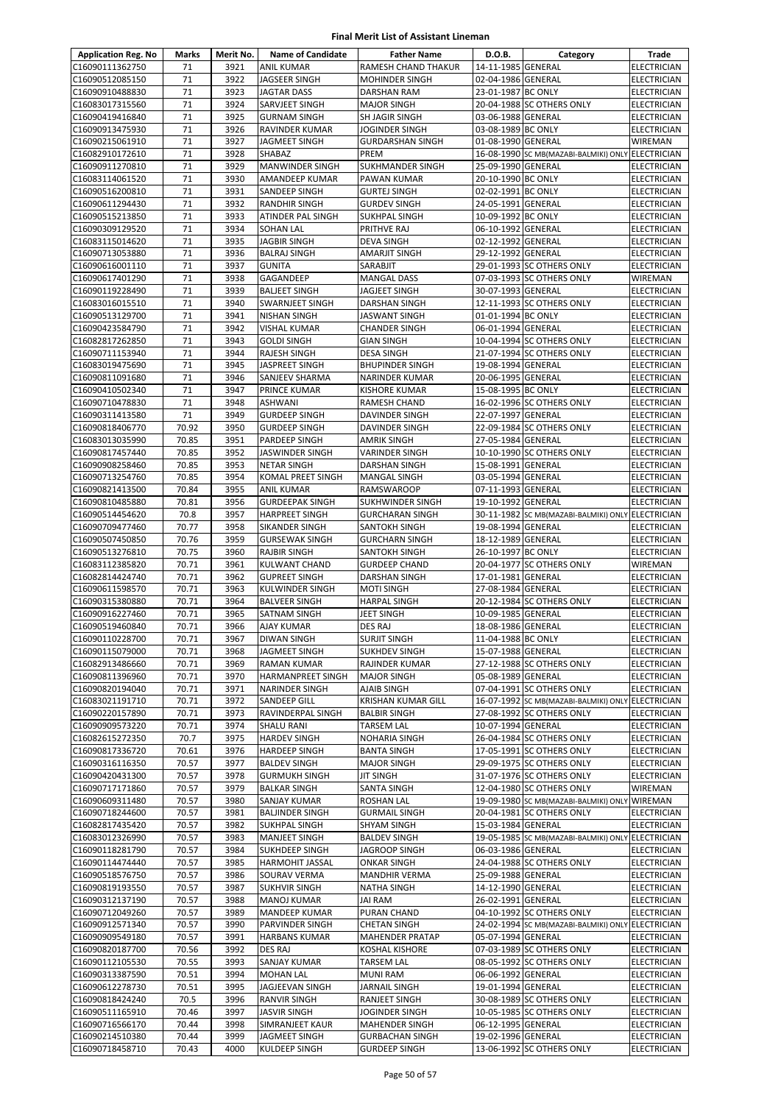| <b>Application Reg. No</b>         | Marks          | Merit No.    | <b>Name of Candidate</b>                 | <b>Father Name</b>                               | D.O.B.                                   | Category                                                                       | Trade                                    |
|------------------------------------|----------------|--------------|------------------------------------------|--------------------------------------------------|------------------------------------------|--------------------------------------------------------------------------------|------------------------------------------|
| C16090111362750                    | 71             | 3921         | <b>ANIL KUMAR</b>                        | RAMESH CHAND THAKUR                              | 14-11-1985 GENERAL                       |                                                                                | <b>ELECTRICIAN</b>                       |
| C16090512085150                    | 71             | 3922         | <b>JAGSEER SINGH</b>                     | <b>MOHINDER SINGH</b>                            | 02-04-1986 GENERAL                       |                                                                                | <b>ELECTRICIAN</b>                       |
| C16090910488830                    | 71             | 3923         | <b>JAGTAR DASS</b>                       | DARSHAN RAM                                      | 23-01-1987 BC ONLY                       |                                                                                | ELECTRICIAN                              |
| C16083017315560                    | 71             | 3924         | SARVJEET SINGH                           | <b>MAJOR SINGH</b>                               |                                          | 20-04-1988 SC OTHERS ONLY                                                      | ELECTRICIAN                              |
| C16090419416840                    | 71             | 3925         | <b>GURNAM SINGH</b>                      | SH JAGIR SINGH                                   | 03-06-1988 GENERAL                       |                                                                                | <b>ELECTRICIAN</b>                       |
| C16090913475930                    | 71             | 3926         | <b>RAVINDER KUMAR</b>                    | <b>JOGINDER SINGH</b>                            | 03-08-1989 BC ONLY                       |                                                                                | <b>ELECTRICIAN</b>                       |
| C16090215061910                    | 71             | 3927         | <b>JAGMEET SINGH</b>                     | <b>GURDARSHAN SINGH</b>                          | 01-08-1990 GENERAL                       |                                                                                | WIREMAN                                  |
| C16082910172610<br>C16090911270810 | 71<br>71       | 3928<br>3929 | SHABAZ<br><b>MANWINDER SINGH</b>         | PREM<br>SUKHMANDER SINGH                         | 25-09-1990 GENERAL                       | 16-08-1990 SC MB(MAZABI-BALMIKI) ONLY ELECTRICIAN                              | <b>ELECTRICIAN</b>                       |
| C16083114061520                    | 71             | 3930         | AMANDEEP KUMAR                           | PAWAN KUMAR                                      | 20-10-1990 BC ONLY                       |                                                                                | <b>ELECTRICIAN</b>                       |
| C16090516200810                    | 71             | 3931         | SANDEEP SINGH                            | <b>GURTEJ SINGH</b>                              | 02-02-1991 BC ONLY                       |                                                                                | <b>ELECTRICIAN</b>                       |
| C16090611294430                    | 71             | 3932         | <b>RANDHIR SINGH</b>                     | <b>GURDEV SINGH</b>                              | 24-05-1991 GENERAL                       |                                                                                | <b>ELECTRICIAN</b>                       |
| C16090515213850                    | 71             | 3933         | ATINDER PAL SINGH                        | SUKHPAL SINGH                                    | 10-09-1992 BC ONLY                       |                                                                                | <b>ELECTRICIAN</b>                       |
| C16090309129520                    | 71             | 3934         | <b>SOHAN LAL</b>                         | PRITHVE RAJ                                      | 06-10-1992 GENERAL                       |                                                                                | ELECTRICIAN                              |
| C16083115014620                    | 71             | 3935         | <b>JAGBIR SINGH</b>                      | DEVA SINGH                                       | 02-12-1992 GENERAL                       |                                                                                | ELECTRICIAN                              |
| C16090713053880                    | 71             | 3936         | <b>BALRAJ SINGH</b>                      | AMARJIT SINGH                                    | 29-12-1992 GENERAL                       |                                                                                | <b>ELECTRICIAN</b>                       |
| C16090616001110                    | 71             | 3937         | <b>GUNITA</b>                            | SARABJIT                                         |                                          | 29-01-1993 SC OTHERS ONLY                                                      | <b>ELECTRICIAN</b>                       |
| C16090617401290                    | 71             | 3938         | GAGANDEEP                                | <b>MANGAL DASS</b>                               |                                          | 07-03-1993 SC OTHERS ONLY                                                      | WIREMAN                                  |
| C16090119228490                    | 71<br>71       | 3939         | <b>BALJEET SINGH</b>                     | JAGJEET SINGH<br><b>DARSHAN SINGH</b>            | 30-07-1993 GENERAL                       | 12-11-1993 SC OTHERS ONLY                                                      | ELECTRICIAN                              |
| C16083016015510<br>C16090513129700 | 71             | 3940<br>3941 | SWARNJEET SINGH<br><b>NISHAN SINGH</b>   | JASWANT SINGH                                    | 01-01-1994 BC ONLY                       |                                                                                | ELECTRICIAN<br><b>ELECTRICIAN</b>        |
| C16090423584790                    | 71             | 3942         | <b>VISHAL KUMAR</b>                      | <b>CHANDER SINGH</b>                             | 06-01-1994 GENERAL                       |                                                                                | ELECTRICIAN                              |
| C16082817262850                    | 71             | 3943         | <b>GOLDI SINGH</b>                       | <b>GIAN SINGH</b>                                |                                          | 10-04-1994 SC OTHERS ONLY                                                      | ELECTRICIAN                              |
| C16090711153940                    | 71             | 3944         | <b>RAJESH SINGH</b>                      | <b>DESA SINGH</b>                                |                                          | 21-07-1994 SC OTHERS ONLY                                                      | <b>ELECTRICIAN</b>                       |
| C16083019475690                    | 71             | 3945         | <b>JASPREET SINGH</b>                    | <b>BHUPINDER SINGH</b>                           | 19-08-1994 GENERAL                       |                                                                                | <b>ELECTRICIAN</b>                       |
| C16090811091680                    | 71             | 3946         | SANJEEV SHARMA                           | NARINDER KUMAR                                   | 20-06-1995 GENERAL                       |                                                                                | <b>ELECTRICIAN</b>                       |
| C16090410502340                    | 71             | 3947         | PRINCE KUMAR                             | <b>KISHORE KUMAR</b>                             | 15-08-1995 BC ONLY                       |                                                                                | ELECTRICIAN                              |
| C16090710478830                    | 71             | 3948         | <b>ASHWANI</b>                           | RAMESH CHAND                                     |                                          | 16-02-1996 SC OTHERS ONLY                                                      | <b>ELECTRICIAN</b>                       |
| C16090311413580                    | 71             | 3949         | <b>GURDEEP SINGH</b>                     | DAVINDER SINGH                                   | 22-07-1997 GENERAL                       |                                                                                | ELECTRICIAN                              |
| C16090818406770                    | 70.92          | 3950         | <b>GURDEEP SINGH</b>                     | DAVINDER SINGH                                   |                                          | 22-09-1984 SC OTHERS ONLY                                                      | <b>ELECTRICIAN</b>                       |
| C16083013035990<br>C16090817457440 | 70.85<br>70.85 | 3951<br>3952 | PARDEEP SINGH<br><b>JASWINDER SINGH</b>  | <b>AMRIK SINGH</b><br>VARINDER SINGH             | 27-05-1984 GENERAL                       | 10-10-1990 SC OTHERS ONLY                                                      | <b>ELECTRICIAN</b><br><b>ELECTRICIAN</b> |
| C16090908258460                    | 70.85          | 3953         | <b>NETAR SINGH</b>                       | DARSHAN SINGH                                    | 15-08-1991 GENERAL                       |                                                                                | ELECTRICIAN                              |
| C16090713254760                    | 70.85          | 3954         | KOMAL PREET SINGH                        | MANGAL SINGH                                     | 03-05-1994 GENERAL                       |                                                                                | ELECTRICIAN                              |
| C16090821413500                    | 70.84          | 3955         | <b>ANIL KUMAR</b>                        | RAMSWAROOP                                       | 07-11-1993 GENERAL                       |                                                                                | ELECTRICIAN                              |
| C16090810485880                    | 70.81          | 3956         | <b>GURDEEPAK SINGH</b>                   | SUKHWINDER SINGH                                 | 19-10-1992 GENERAL                       |                                                                                | <b>ELECTRICIAN</b>                       |
| C16090514454620                    | 70.8           | 3957         | <b>HARPREET SINGH</b>                    | <b>GURCHARAN SINGH</b>                           |                                          | 30-11-1982 SC MB(MAZABI-BALMIKI) ONLY ELECTRICIAN                              |                                          |
| C16090709477460                    | 70.77          | 3958         | SIKANDER SINGH                           | SANTOKH SINGH                                    | 19-08-1994 GENERAL                       |                                                                                | <b>ELECTRICIAN</b>                       |
| C16090507450850                    | 70.76          | 3959         | <b>GURSEWAK SINGH</b>                    | <b>GURCHARN SINGH</b>                            | 18-12-1989 GENERAL                       |                                                                                | <b>ELECTRICIAN</b>                       |
| C16090513276810                    | 70.75          | 3960         | <b>RAJBIR SINGH</b>                      | SANTOKH SINGH                                    | 26-10-1997 BC ONLY                       |                                                                                | <b>ELECTRICIAN</b>                       |
| C16083112385820                    | 70.71          | 3961         | <b>KULWANT CHAND</b>                     | <b>GURDEEP CHAND</b>                             |                                          | 20-04-1977 SC OTHERS ONLY                                                      | <b>WIREMAN</b>                           |
| C16082814424740<br>C16090611598570 | 70.71<br>70.71 | 3962<br>3963 | <b>GUPREET SINGH</b><br>KULWINDER SINGH  | DARSHAN SINGH<br><b>MOTI SINGH</b>               | 17-01-1981 GENERAL<br>27-08-1984 GENERAL |                                                                                | <b>ELECTRICIAN</b><br><b>ELECTRICIAN</b> |
| C16090315380880                    | 70.71          | 3964         | <b>BALVEER SINGH</b>                     | <b>HARPAL SINGH</b>                              |                                          | 20-12-1984 SC OTHERS ONLY                                                      | <b>ELECTRICIAN</b>                       |
| C16090916227460                    | 70.71          | 3965         | SATNAM SINGH                             | JEET SINGH                                       | 10-09-1985 GENERAL                       |                                                                                | ELECTRICIAN                              |
| C16090519460840                    | 70.71          | 3966         | <b>AJAY KUMAR</b>                        | DES RAJ                                          | 18-08-1986 GENERAL                       |                                                                                | <b>ELECTRICIAN</b>                       |
| C16090110228700                    | 70.71          | 3967         | <b>DIWAN SINGH</b>                       | <b>SURJIT SINGH</b>                              | 11-04-1988 BC ONLY                       |                                                                                | <b>ELECTRICIAN</b>                       |
| C16090115079000                    | 70.71          | 3968         | <b>JAGMEET SINGH</b>                     | <b>SUKHDEV SINGH</b>                             | 15-07-1988 GENERAL                       |                                                                                | <b>ELECTRICIAN</b>                       |
| C16082913486660                    | 70.71          | 3969         | RAMAN KUMAR                              | RAJINDER KUMAR                                   |                                          | 27-12-1988 SC OTHERS ONLY                                                      | <b>ELECTRICIAN</b>                       |
| C16090811396960                    | 70.71          | 3970         | HARMANPREET SINGH                        | <b>MAJOR SINGH</b>                               | 05-08-1989 GENERAL                       |                                                                                | ELECTRICIAN                              |
| C16090820194040                    | 70.71          | 3971         | NARINDER SINGH                           | AJAIB SINGH                                      |                                          | 07-04-1991 SC OTHERS ONLY                                                      | <b>ELECTRICIAN</b>                       |
| C16083021191710<br>C16090220157890 | 70.71<br>70.71 | 3972<br>3973 | <b>SANDEEP GILL</b><br>RAVINDERPAL SINGH | <b>KRISHAN KUMAR GILL</b><br><b>BALBIR SINGH</b> |                                          | 16-07-1992 SC MB(MAZABI-BALMIKI) ONLY ELECTRICIAN<br>27-08-1992 SC OTHERS ONLY | ELECTRICIAN                              |
| C16090909573220                    | 70.71          | 3974         | <b>SHALU RANI</b>                        | <b>TARSEM LAL</b>                                | 10-07-1994 GENERAL                       |                                                                                | <b>ELECTRICIAN</b>                       |
| C16082615272350                    | 70.7           | 3975         | <b>HARDEV SINGH</b>                      | NOHARIA SINGH                                    |                                          | 26-04-1984 SC OTHERS ONLY                                                      | ELECTRICIAN                              |
| C16090817336720                    | 70.61          | 3976         | HARDEEP SINGH                            | <b>BANTA SINGH</b>                               |                                          | 17-05-1991 SC OTHERS ONLY                                                      | <b>ELECTRICIAN</b>                       |
| C16090316116350                    | 70.57          | 3977         | <b>BALDEV SINGH</b>                      | <b>MAJOR SINGH</b>                               |                                          | 29-09-1975 SC OTHERS ONLY                                                      | ELECTRICIAN                              |
| C16090420431300                    | 70.57          | 3978         | <b>GURMUKH SINGH</b>                     | JIT SINGH                                        |                                          | 31-07-1976 SC OTHERS ONLY                                                      | ELECTRICIAN                              |
| C16090717171860                    | 70.57          | 3979         | <b>BALKAR SINGH</b>                      | SANTA SINGH                                      |                                          | 12-04-1980 SC OTHERS ONLY                                                      | WIREMAN                                  |
| C16090609311480                    | 70.57          | 3980         | SANJAY KUMAR                             | ROSHAN LAL                                       |                                          | 19-09-1980 SC MB(MAZABI-BALMIKI) ONLY WIREMAN                                  |                                          |
| C16090718244600                    | 70.57          | 3981         | <b>BALJINDER SINGH</b>                   | <b>GURMAIL SINGH</b>                             |                                          | 20-04-1981 SC OTHERS ONLY                                                      | <b>ELECTRICIAN</b>                       |
| C16082817435420<br>C16083012326990 | 70.57<br>70.57 | 3982<br>3983 | SUKHPAL SINGH<br><b>MANJEET SINGH</b>    | <b>SHYAM SINGH</b><br><b>BALDEV SINGH</b>        | 15-03-1984 GENERAL                       | 19-05-1985 SC MB(MAZABI-BALMIKI) ONLY ELECTRICIAN                              | <b>ELECTRICIAN</b>                       |
| C16090118281790                    | 70.57          | 3984         | <b>SUKHDEEP SINGH</b>                    | JAGROOP SINGH                                    | 06-03-1986 GENERAL                       |                                                                                | <b>ELECTRICIAN</b>                       |
| C16090114474440                    | 70.57          | 3985         | HARMOHIT JASSAL                          | ONKAR SINGH                                      |                                          | 24-04-1988 SC OTHERS ONLY                                                      | ELECTRICIAN                              |
| C16090518576750                    | 70.57          | 3986         | SOURAV VERMA                             | <b>MANDHIR VERMA</b>                             | 25-09-1988 GENERAL                       |                                                                                | ELECTRICIAN                              |
| C16090819193550                    | 70.57          | 3987         | <b>SUKHVIR SINGH</b>                     | NATHA SINGH                                      | 14-12-1990 GENERAL                       |                                                                                | ELECTRICIAN                              |
| C16090312137190                    | 70.57          | 3988         | MANOJ KUMAR                              | JAI RAM                                          | 26-02-1991 GENERAL                       |                                                                                | ELECTRICIAN                              |
| C16090712049260                    | 70.57          | 3989         | <b>MANDEEP KUMAR</b>                     | PURAN CHAND                                      |                                          | 04-10-1992 SC OTHERS ONLY                                                      | ELECTRICIAN                              |
| C16090912571340                    | 70.57          | 3990         | PARVINDER SINGH                          | CHETAN SINGH                                     |                                          | 24-02-1994 SC MB(MAZABI-BALMIKI) ONLY ELECTRICIAN                              |                                          |
| C16090909549180                    | 70.57          | 3991         | <b>HARBANS KUMAR</b>                     | MAHENDER PRATAP                                  | 05-07-1994 GENERAL                       |                                                                                | <b>ELECTRICIAN</b>                       |
| C16090820187700<br>C16090112105530 | 70.56<br>70.55 | 3992<br>3993 | DES RAJ<br><b>SANJAY KUMAR</b>           | KOSHAL KISHORE<br><b>TARSEM LAL</b>              |                                          | 07-03-1989 SC OTHERS ONLY<br>08-05-1992 SC OTHERS ONLY                         | ELECTRICIAN<br><b>ELECTRICIAN</b>        |
| C16090313387590                    | 70.51          | 3994         | <b>MOHAN LAL</b>                         | <b>MUNI RAM</b>                                  | 06-06-1992 GENERAL                       |                                                                                | <b>ELECTRICIAN</b>                       |
| C16090612278730                    | 70.51          | 3995         | JAGJEEVAN SINGH                          | JARNAIL SINGH                                    | 19-01-1994 GENERAL                       |                                                                                | ELECTRICIAN                              |
| C16090818424240                    | 70.5           | 3996         | <b>RANVIR SINGH</b>                      | RANJEET SINGH                                    |                                          | 30-08-1989 SC OTHERS ONLY                                                      | ELECTRICIAN                              |
| C16090511165910                    | 70.46          | 3997         | <b>JASVIR SINGH</b>                      | JOGINDER SINGH                                   |                                          | 10-05-1985 SC OTHERS ONLY                                                      | ELECTRICIAN                              |
| C16090716566170                    | 70.44          | 3998         | SIMRANJEET KAUR                          | MAHENDER SINGH                                   | 06-12-1995 GENERAL                       |                                                                                | ELECTRICIAN                              |
| C16090214510380                    | 70.44          | 3999         | JAGMEET SINGH                            | <b>GURBACHAN SINGH</b>                           | 19-02-1996 GENERAL                       |                                                                                | ELECTRICIAN                              |
| C16090718458710                    | 70.43          | 4000         | KULDEEP SINGH                            | <b>GURDEEP SINGH</b>                             |                                          | 13-06-1992 SC OTHERS ONLY                                                      | ELECTRICIAN                              |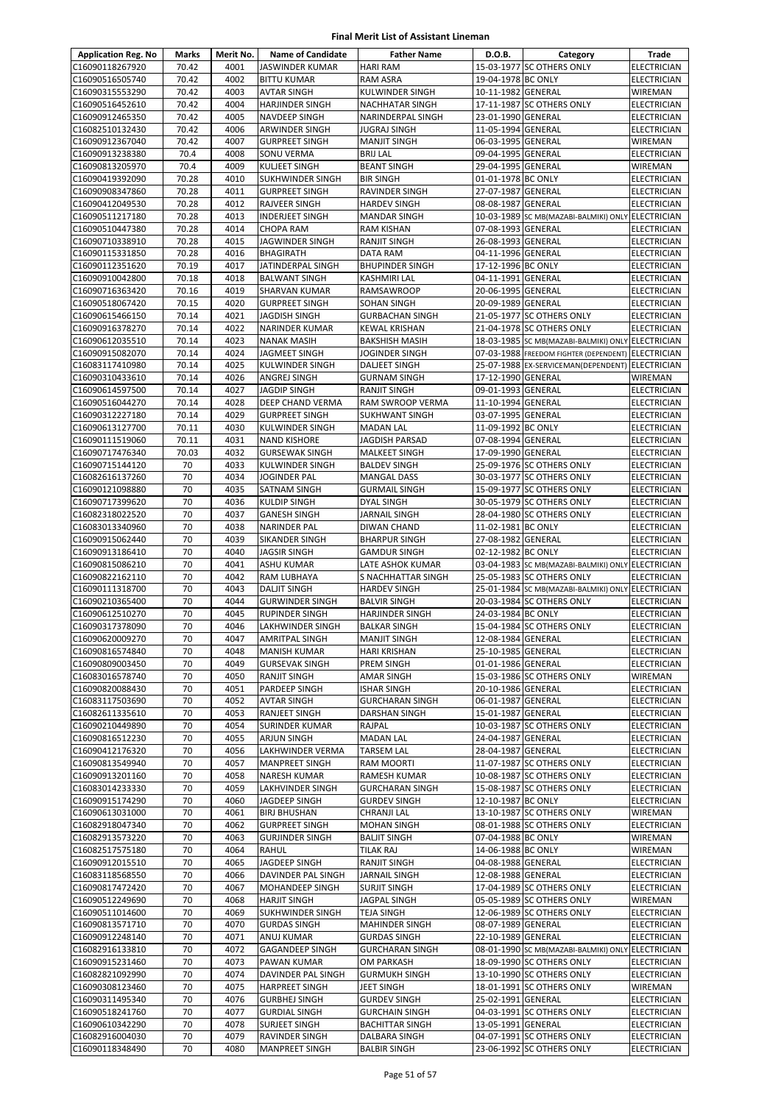| <b>Application Reg. No</b>         | Marks          | Merit No.    | <b>Name of Candidate</b>                       | <b>Father Name</b>                             | D.O.B.                                   | Category                                               | Trade                                    |
|------------------------------------|----------------|--------------|------------------------------------------------|------------------------------------------------|------------------------------------------|--------------------------------------------------------|------------------------------------------|
| C16090118267920                    | 70.42          | 4001         | JASWINDER KUMAR                                | <b>HARI RAM</b>                                |                                          | 15-03-1977 SC OTHERS ONLY                              | <b>ELECTRICIAN</b>                       |
| C16090516505740                    | 70.42          | 4002         | <b>BITTU KUMAR</b>                             | RAM ASRA                                       | 19-04-1978 BC ONLY                       |                                                        | <b>ELECTRICIAN</b>                       |
| C16090315553290                    | 70.42          | 4003         | <b>AVTAR SINGH</b>                             | KULWINDER SINGH                                | 10-11-1982 GENERAL                       |                                                        | <b>WIREMAN</b>                           |
| C16090516452610                    | 70.42          | 4004         | <b>HARJINDER SINGH</b>                         | NACHHATAR SINGH                                |                                          | 17-11-1987 SC OTHERS ONLY                              | <b>ELECTRICIAN</b>                       |
| C16090912465350                    | 70.42          | 4005         | <b>NAVDEEP SINGH</b>                           | NARINDERPAL SINGH                              | 23-01-1990 GENERAL                       |                                                        | ELECTRICIAN                              |
| C16082510132430                    | 70.42          | 4006         | ARWINDER SINGH                                 | JUGRAJ SINGH                                   | 11-05-1994 GENERAL                       |                                                        | <b>ELECTRICIAN</b>                       |
| C16090912367040                    | 70.42          | 4007         | <b>GURPREET SINGH</b>                          | <b>MANJIT SINGH</b>                            | 06-03-1995 GENERAL                       |                                                        | WIREMAN                                  |
| C16090913238380<br>C16090813205970 | 70.4<br>70.4   | 4008<br>4009 | SONU VERMA<br><b>KULJEET SINGH</b>             | <b>BRIJ LAL</b><br><b>BEANT SINGH</b>          | 09-04-1995 GENERAL<br>29-04-1995 GENERAL |                                                        | ELECTRICIAN<br>WIREMAN                   |
| C16090419392090                    | 70.28          | 4010         | SUKHWINDER SINGH                               | <b>BIR SINGH</b>                               | 01-01-1978 BC ONLY                       |                                                        | ELECTRICIAN                              |
| C16090908347860                    | 70.28          | 4011         | <b>GURPREET SINGH</b>                          | RAVINDER SINGH                                 | 27-07-1987 GENERAL                       |                                                        | <b>ELECTRICIAN</b>                       |
| C16090412049530                    | 70.28          | 4012         | <b>RAJVEER SINGH</b>                           | <b>HARDEV SINGH</b>                            | 08-08-1987 GENERAL                       |                                                        | <b>ELECTRICIAN</b>                       |
| C16090511217180                    | 70.28          | 4013         | <b>INDERJEET SINGH</b>                         | <b>MANDAR SINGH</b>                            |                                          | 10-03-1989 SC MB(MAZABI-BALMIKI) ONLY ELECTRICIAN      |                                          |
| C16090510447380                    | 70.28          | 4014         | <b>CHOPA RAM</b>                               | <b>RAM KISHAN</b>                              | 07-08-1993 GENERAL                       |                                                        | <b>ELECTRICIAN</b>                       |
| C16090710338910                    | 70.28          | 4015         | JAGWINDER SINGH                                | RANJIT SINGH                                   | 26-08-1993 GENERAL                       |                                                        | <b>ELECTRICIAN</b>                       |
| C16090115331850                    | 70.28          | 4016         | <b>BHAGIRATH</b>                               | DATA RAM                                       | 04-11-1996 GENERAL                       |                                                        | <b>ELECTRICIAN</b>                       |
| C16090112351620                    | 70.19          | 4017         | JATINDERPAL SINGH                              | <b>BHUPINDER SINGH</b>                         | 17-12-1996 BC ONLY                       |                                                        | ELECTRICIAN                              |
| C16090910042800                    | 70.18          | 4018         | <b>BALWANT SINGH</b>                           | KASHMIRI LAL                                   | 04-11-1991 GENERAL                       |                                                        | <b>ELECTRICIAN</b>                       |
| C16090716363420                    | 70.16          | 4019         | <b>SHARVAN KUMAR</b>                           | RAMSAWROOP                                     | 20-06-1995 GENERAL                       |                                                        | <b>ELECTRICIAN</b>                       |
| C16090518067420                    | 70.15          | 4020         | <b>GURPREET SINGH</b>                          | SOHAN SINGH                                    | 20-09-1989 GENERAL                       |                                                        | <b>ELECTRICIAN</b>                       |
| C16090615466150<br>C16090916378270 | 70.14<br>70.14 | 4021<br>4022 | <b>JAGDISH SINGH</b><br><b>NARINDER KUMAR</b>  | <b>GURBACHAN SINGH</b><br><b>KEWAL KRISHAN</b> |                                          | 21-05-1977 SC OTHERS ONLY<br>21-04-1978 SC OTHERS ONLY | ELECTRICIAN<br><b>ELECTRICIAN</b>        |
| C16090612035510                    | 70.14          | 4023         | <b>NANAK MASIH</b>                             | <b>BAKSHISH MASIH</b>                          |                                          | 18-03-1985 SC MB(MAZABI-BALMIKI) ONLY ELECTRICIAN      |                                          |
| C16090915082070                    | 70.14          | 4024         | <b>JAGMEET SINGH</b>                           | JOGINDER SINGH                                 |                                          | 07-03-1988 FREEDOM FIGHTER (DEPENDENT) ELECTRICIAN     |                                          |
| C16083117410980                    | 70.14          | 4025         | KULWINDER SINGH                                | DALJEET SINGH                                  |                                          | 25-07-1988 EX-SERVICEMAN(DEPENDENT) ELECTRICIAN        |                                          |
| C16090310433610                    | 70.14          | 4026         | ANGREJ SINGH                                   | <b>GURNAM SINGH</b>                            | 17-12-1990 GENERAL                       |                                                        | WIREMAN                                  |
| C16090614597500                    | 70.14          | 4027         | <b>JAGDIP SINGH</b>                            | RANJIT SINGH                                   | 09-01-1993 GENERAL                       |                                                        | <b>ELECTRICIAN</b>                       |
| C16090516044270                    | 70.14          | 4028         | DEEP CHAND VERMA                               | RAM SWROOP VERMA                               | 11-10-1994 GENERAL                       |                                                        | ELECTRICIAN                              |
| C16090312227180                    | 70.14          | 4029         | <b>GURPREET SINGH</b>                          | <b>SUKHWANT SINGH</b>                          | 03-07-1995 GENERAL                       |                                                        | <b>ELECTRICIAN</b>                       |
| C16090613127700                    | 70.11          | 4030         | <b>KULWINDER SINGH</b>                         | <b>MADAN LAL</b>                               | 11-09-1992 BC ONLY                       |                                                        | <b>ELECTRICIAN</b>                       |
| C16090111519060                    | 70.11          | 4031         | <b>NAND KISHORE</b>                            | JAGDISH PARSAD                                 | 07-08-1994 GENERAL                       |                                                        | <b>ELECTRICIAN</b>                       |
| C16090717476340                    | 70.03          | 4032         | <b>GURSEWAK SINGH</b>                          | MALKEET SINGH                                  | 17-09-1990 GENERAL                       |                                                        | ELECTRICIAN                              |
| C16090715144120                    | 70             | 4033         | KULWINDER SINGH                                | <b>BALDEV SINGH</b>                            |                                          | 25-09-1976 SC OTHERS ONLY                              | <b>ELECTRICIAN</b>                       |
| C16082616137260                    | 70<br>70       | 4034<br>4035 | JOGINDER PAL                                   | <b>MANGAL DASS</b>                             |                                          | 30-03-1977 SC OTHERS ONLY                              | ELECTRICIAN                              |
| C16090121098880<br>C16090717399620 | 70             | 4036         | SATNAM SINGH<br><b>KULDIP SINGH</b>            | <b>GURMAIL SINGH</b><br>DYAL SINGH             |                                          | 15-09-1977 SC OTHERS ONLY<br>30-05-1979 SC OTHERS ONLY | ELECTRICIAN<br>ELECTRICIAN               |
| C16082318022520                    | 70             | 4037         | <b>GANESH SINGH</b>                            | JARNAIL SINGH                                  |                                          | 28-04-1980 SC OTHERS ONLY                              | ELECTRICIAN                              |
| C16083013340960                    | 70             | 4038         | <b>NARINDER PAL</b>                            | DIWAN CHAND                                    | 11-02-1981 BC ONLY                       |                                                        | ELECTRICIAN                              |
| C16090915062440                    | 70             | 4039         | SIKANDER SINGH                                 | <b>BHARPUR SINGH</b>                           | 27-08-1982 GENERAL                       |                                                        | <b>ELECTRICIAN</b>                       |
| C16090913186410                    | 70             | 4040         | <b>JAGSIR SINGH</b>                            | <b>GAMDUR SINGH</b>                            | 02-12-1982 BC ONLY                       |                                                        | <b>ELECTRICIAN</b>                       |
| C16090815086210                    | 70             | 4041         | <b>ASHU KUMAR</b>                              | LATE ASHOK KUMAR                               |                                          | 03-04-1983 SC MB(MAZABI-BALMIKI) ONLY ELECTRICIAN      |                                          |
| C16090822162110                    | 70             | 4042         | RAM LUBHAYA                                    | <b>S NACHHATTAR SINGH</b>                      |                                          | 25-05-1983 SC OTHERS ONLY                              | <b>ELECTRICIAN</b>                       |
| C16090111318700                    | 70             | 4043         | <b>DALJIT SINGH</b>                            | <b>HARDEV SINGH</b>                            |                                          | 25-01-1984 SC MB(MAZABI-BALMIKI) ONLY ELECTRICIAN      |                                          |
| C16090210365400                    | 70             | 4044         | <b>GURWINDER SINGH</b>                         | <b>BALVIR SINGH</b>                            |                                          | 20-03-1984 SC OTHERS ONLY                              | <b>ELECTRICIAN</b>                       |
| C16090612510270                    | 70             | 4045         | <b>RUPINDER SINGH</b>                          | <b>HARJINDER SINGH</b>                         | 24-03-1984 BC ONLY                       |                                                        | <b>ELECTRICIAN</b>                       |
| C16090317378090                    | 70             | 4046         | LAKHWINDER SINGH                               | <b>BALKAR SINGH</b>                            |                                          | 15-04-1984 SC OTHERS ONLY                              | <b>ELECTRICIAN</b>                       |
| C16090620009270<br>C16090816574840 | 70<br>70       | 4047<br>4048 | <b>AMRITPAL SINGH</b><br><b>MANISH KUMAR</b>   | <b>MANJIT SINGH</b><br>HARI KRISHAN            | 12-08-1984 GENERAL<br>25-10-1985 GENERAL |                                                        | <b>ELECTRICIAN</b><br><b>ELECTRICIAN</b> |
| C16090809003450                    | 70             | 4049         | <b>GURSEVAK SINGH</b>                          | PREM SINGH                                     | 01-01-1986 GENERAL                       |                                                        | <b>ELECTRICIAN</b>                       |
| C16083016578740                    | 70             | 4050         | <b>RANJIT SINGH</b>                            | AMAR SINGH                                     |                                          | 15-03-1986 SC OTHERS ONLY                              | WIREMAN                                  |
| C16090820088430                    | 70             | 4051         | PARDEEP SINGH                                  | <b>ISHAR SINGH</b>                             | 20-10-1986 GENERAL                       |                                                        | ELECTRICIAN                              |
| C16083117503690                    | 70             | 4052         | <b>AVTAR SINGH</b>                             | <b>GURCHARAN SINGH</b>                         | 06-01-1987 GENERAL                       |                                                        | ELECTRICIAN                              |
| C16082611335610                    | 70             | 4053         | RANJEET SINGH                                  | DARSHAN SINGH                                  | 15-01-1987 GENERAL                       |                                                        | ELECTRICIAN                              |
| C16090210449890                    | 70             | 4054         | <b>SURINDER KUMAR</b>                          | RAJPAL                                         |                                          | 10-03-1987 SC OTHERS ONLY                              | <b>ELECTRICIAN</b>                       |
| C16090816512230                    | 70             | 4055         | ARJUN SINGH                                    | <b>MADAN LAL</b>                               | 24-04-1987 GENERAL                       |                                                        | <b>ELECTRICIAN</b>                       |
| C16090412176320                    | 70             | 4056         | LAKHWINDER VERMA                               | <b>TARSEM LAL</b>                              | 28-04-1987 GENERAL                       |                                                        | <b>ELECTRICIAN</b>                       |
| C16090813549940                    | 70             | 4057         | <b>MANPREET SINGH</b>                          | RAM MOORTI                                     |                                          | 11-07-1987 SC OTHERS ONLY                              | ELECTRICIAN                              |
| C16090913201160<br>C16083014233330 | 70<br>70       | 4058<br>4059 | <b>NARESH KUMAR</b><br><b>LAKHVINDER SINGH</b> | RAMESH KUMAR<br><b>GURCHARAN SINGH</b>         |                                          | 10-08-1987 SC OTHERS ONLY<br>15-08-1987 SC OTHERS ONLY | ELECTRICIAN                              |
| C16090915174290                    | 70             | 4060         | JAGDEEP SINGH                                  | <b>GURDEV SINGH</b>                            | 12-10-1987 BC ONLY                       |                                                        | ELECTRICIAN<br>ELECTRICIAN               |
| C16090613031000                    | 70             | 4061         | <b>BIRJ BHUSHAN</b>                            | CHRANJI LAL                                    |                                          | 13-10-1987 SC OTHERS ONLY                              | WIREMAN                                  |
| C16082918047340                    | 70             | 4062         | <b>GURPREET SINGH</b>                          | <b>MOHAN SINGH</b>                             |                                          | 08-01-1988 SC OTHERS ONLY                              | ELECTRICIAN                              |
| C16082913573220                    | 70             | 4063         | <b>GURJINDER SINGH</b>                         | <b>BALJIT SINGH</b>                            | 07-04-1988 BC ONLY                       |                                                        | WIREMAN                                  |
| C16082517575180                    | 70             | 4064         | <b>RAHUL</b>                                   | <b>TILAK RAJ</b>                               | 14-06-1988 BC ONLY                       |                                                        | WIREMAN                                  |
| C16090912015510                    | 70             | 4065         | JAGDEEP SINGH                                  | RANJIT SINGH                                   | 04-08-1988 GENERAL                       |                                                        | ELECTRICIAN                              |
| C16083118568550                    | 70             | 4066         | DAVINDER PAL SINGH                             | <b>JARNAIL SINGH</b>                           | 12-08-1988 GENERAL                       |                                                        | ELECTRICIAN                              |
| C16090817472420                    | 70             | 4067         | <b>MOHANDEEP SINGH</b>                         | <b>SURJIT SINGH</b>                            |                                          | 17-04-1989 SC OTHERS ONLY                              | ELECTRICIAN                              |
| C16090512249690                    | 70             | 4068         | <b>HARJIT SINGH</b>                            | JAGPAL SINGH                                   |                                          | 05-05-1989 SC OTHERS ONLY                              | WIREMAN                                  |
| C16090511014600                    | 70             | 4069         | SUKHWINDER SINGH                               | <b>TEJA SINGH</b>                              |                                          | 12-06-1989 SC OTHERS ONLY                              | ELECTRICIAN                              |
| C16090813571710<br>C16090912248140 | 70<br>70       | 4070<br>4071 | <b>GURDAS SINGH</b>                            | MAHINDER SINGH                                 | 08-07-1989 GENERAL                       |                                                        | ELECTRICIAN                              |
| C16082916133810                    | 70             | 4072         | ANUJ KUMAR<br><b>GAGANDEEP SINGH</b>           | <b>GURDAS SINGH</b><br><b>GURCHARAN SINGH</b>  | 22-10-1989 GENERAL                       | 08-01-1990 SC MB(MAZABI-BALMIKI) ONLY ELECTRICIAN      | <b>ELECTRICIAN</b>                       |
| C16090915231460                    | 70             | 4073         | PAWAN KUMAR                                    | OM PARKASH                                     |                                          | 18-09-1990 SC OTHERS ONLY                              | <b>ELECTRICIAN</b>                       |
| C16082821092990                    | 70             | 4074         | DAVINDER PAL SINGH                             | <b>GURMUKH SINGH</b>                           |                                          | 13-10-1990 SC OTHERS ONLY                              | ELECTRICIAN                              |
| C16090308123460                    | 70             | 4075         | <b>HARPREET SINGH</b>                          | <b>JEET SINGH</b>                              |                                          | 18-01-1991 SC OTHERS ONLY                              | WIREMAN                                  |
| C16090311495340                    | 70             | 4076         | <b>GURBHEJ SINGH</b>                           | <b>GURDEV SINGH</b>                            | 25-02-1991 GENERAL                       |                                                        | ELECTRICIAN                              |
| C16090518241760                    | 70             | 4077         | <b>GURDIAL SINGH</b>                           | <b>GURCHAIN SINGH</b>                          |                                          | 04-03-1991 SC OTHERS ONLY                              | ELECTRICIAN                              |
| C16090610342290                    | 70             | 4078         | <b>SURJEET SINGH</b>                           | <b>BACHITTAR SINGH</b>                         | 13-05-1991 GENERAL                       |                                                        | <b>ELECTRICIAN</b>                       |
| C16082916004030                    | 70             | 4079         | RAVINDER SINGH                                 | DALBARA SINGH                                  |                                          | 04-07-1991 SC OTHERS ONLY                              | ELECTRICIAN                              |
| C16090118348490                    | 70             | 4080         | <b>MANPREET SINGH</b>                          | <b>BALBIR SINGH</b>                            |                                          | 23-06-1992 SC OTHERS ONLY                              | ELECTRICIAN                              |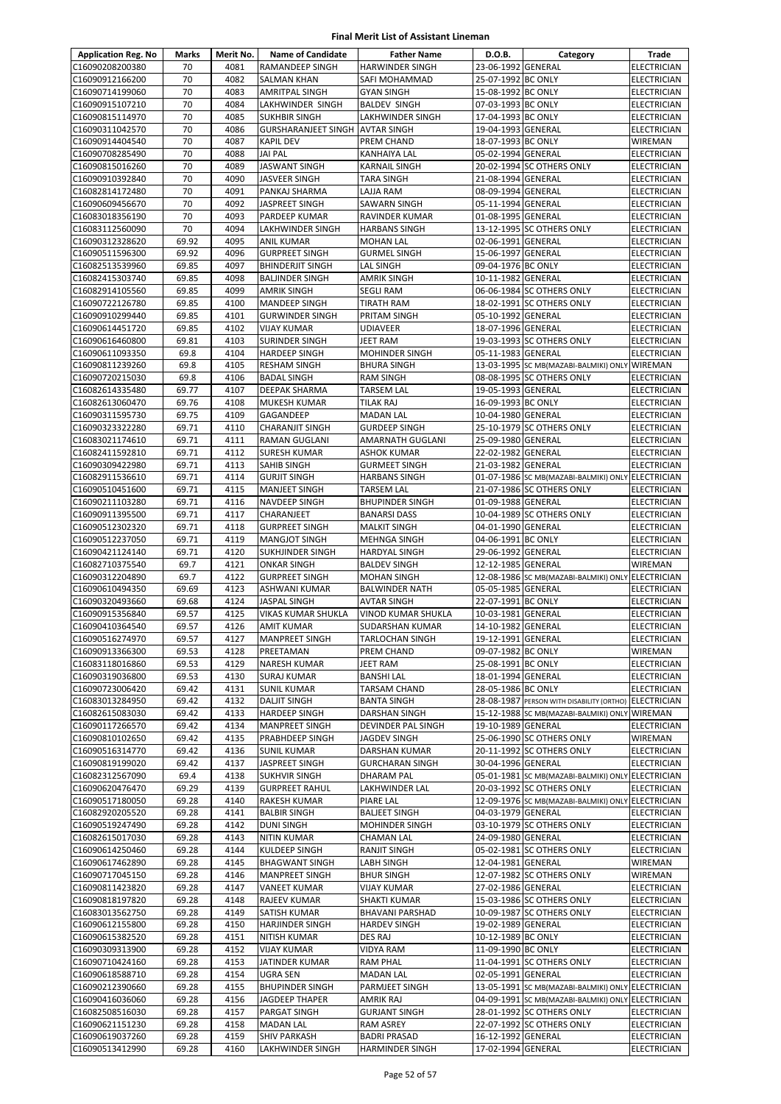| <b>Application Reg. No</b>         | Marks          | Merit No.    | <b>Name of Candidate</b>                      | <b>Father Name</b>                            | D.O.B.                                   | Category                                                                       | Trade                             |
|------------------------------------|----------------|--------------|-----------------------------------------------|-----------------------------------------------|------------------------------------------|--------------------------------------------------------------------------------|-----------------------------------|
| C16090208200380                    | 70             | 4081         | <b>RAMANDEEP SINGH</b>                        | <b>HARWINDER SINGH</b>                        | 23-06-1992 GENERAL                       |                                                                                | <b>ELECTRICIAN</b>                |
| C16090912166200                    | 70             | 4082         | <b>SALMAN KHAN</b>                            | SAFI MOHAMMAD                                 | 25-07-1992 BC ONLY                       |                                                                                | ELECTRICIAN                       |
| C16090714199060                    | 70             | 4083         | <b>AMRITPAL SINGH</b>                         | <b>GYAN SINGH</b>                             | 15-08-1992 BC ONLY                       |                                                                                | ELECTRICIAN                       |
| C16090915107210                    | 70             | 4084         | LAKHWINDER SINGH                              | <b>BALDEV SINGH</b>                           | 07-03-1993 BC ONLY                       |                                                                                | ELECTRICIAN                       |
| C16090815114970                    | 70             | 4085         | <b>SUKHBIR SINGH</b>                          | LAKHWINDER SINGH                              | 17-04-1993 BC ONLY                       |                                                                                | <b>ELECTRICIAN</b>                |
| C16090311042570                    | 70             | 4086         | <b>GURSHARANJEET SINGH AVTAR SINGH</b>        |                                               | 19-04-1993 GENERAL                       |                                                                                | ELECTRICIAN                       |
| C16090914404540                    | 70             | 4087         | <b>KAPIL DEV</b>                              | PREM CHAND                                    | 18-07-1993 BC ONLY                       |                                                                                | WIREMAN                           |
| C16090708285490                    | 70<br>70       | 4088<br>4089 | <b>JAI PAL</b>                                | <b>KANHAIYA LAL</b>                           | 05-02-1994 GENERAL                       |                                                                                | <b>ELECTRICIAN</b>                |
| C16090815016260<br>C16090910392840 | 70             | 4090         | <b>JASWANT SINGH</b><br><b>JASVEER SINGH</b>  | <b>KARNAIL SINGH</b><br><b>TARA SINGH</b>     | 21-08-1994 GENERAL                       | 20-02-1994 SC OTHERS ONLY                                                      | ELECTRICIAN<br><b>ELECTRICIAN</b> |
| C16082814172480                    | 70             | 4091         | PANKAJ SHARMA                                 | LAJJA RAM                                     | 08-09-1994 GENERAL                       |                                                                                | <b>ELECTRICIAN</b>                |
| C16090609456670                    | 70             | 4092         | <b>JASPREET SINGH</b>                         | <b>SAWARN SINGH</b>                           | 05-11-1994 GENERAL                       |                                                                                | ELECTRICIAN                       |
| C16083018356190                    | 70             | 4093         | <b>PARDEEP KUMAR</b>                          | RAVINDER KUMAR                                | 01-08-1995 GENERAL                       |                                                                                | <b>ELECTRICIAN</b>                |
| C16083112560090                    | 70             | 4094         | <b>LAKHWINDER SINGH</b>                       | <b>HARBANS SINGH</b>                          |                                          | 13-12-1995 SC OTHERS ONLY                                                      | ELECTRICIAN                       |
| C16090312328620                    | 69.92          | 4095         | ANIL KUMAR                                    | <b>MOHAN LAL</b>                              | 02-06-1991 GENERAL                       |                                                                                | ELECTRICIAN                       |
| C16090511596300                    | 69.92          | 4096         | <b>GURPREET SINGH</b>                         | <b>GURMEL SINGH</b>                           | 15-06-1997 GENERAL                       |                                                                                | ELECTRICIAN                       |
| C16082513539960                    | 69.85          | 4097         | <b>BHINDERJIT SINGH</b>                       | LAL SINGH                                     | 09-04-1976 BC ONLY                       |                                                                                | ELECTRICIAN                       |
| C16082415303740                    | 69.85          | 4098         | <b>BALJINDER SINGH</b>                        | AMRIK SINGH                                   | 10-11-1982 GENERAL                       |                                                                                | <b>ELECTRICIAN</b>                |
| C16082914105560                    | 69.85          | 4099         | <b>AMRIK SINGH</b>                            | <b>SEGLI RAM</b>                              |                                          | 06-06-1984 SC OTHERS ONLY                                                      | ELECTRICIAN                       |
| C16090722126780                    | 69.85          | 4100         | <b>MANDEEP SINGH</b>                          | <b>TIRATH RAM</b>                             |                                          | 18-02-1991 SC OTHERS ONLY                                                      | <b>ELECTRICIAN</b>                |
| C16090910299440                    | 69.85          | 4101<br>4102 | <b>GURWINDER SINGH</b>                        | PRITAM SINGH                                  | 05-10-1992 GENERAL<br>18-07-1996 GENERAL |                                                                                | ELECTRICIAN                       |
| C16090614451720<br>C16090616460800 | 69.85<br>69.81 | 4103         | VIJAY KUMAR<br><b>SURINDER SINGH</b>          | <b>UDIAVEER</b><br>JEET RAM                   |                                          | 19-03-1993 SC OTHERS ONLY                                                      | ELECTRICIAN<br><b>ELECTRICIAN</b> |
| C16090611093350                    | 69.8           | 4104         | <b>HARDEEP SINGH</b>                          | <b>MOHINDER SINGH</b>                         | 05-11-1983 GENERAL                       |                                                                                | <b>ELECTRICIAN</b>                |
| C16090811239260                    | 69.8           | 4105         | <b>RESHAM SINGH</b>                           | <b>BHURA SINGH</b>                            |                                          | 13-03-1995 SC MB(MAZABI-BALMIKI) ONLY WIREMAN                                  |                                   |
| C16090720215030                    | 69.8           | 4106         | <b>BADAL SINGH</b>                            | <b>RAM SINGH</b>                              |                                          | 08-08-1995 SC OTHERS ONLY                                                      | <b>ELECTRICIAN</b>                |
| C16082614335480                    | 69.77          | 4107         | <b>DEEPAK SHARMA</b>                          | <b>TARSEM LAL</b>                             | 19-05-1993 GENERAL                       |                                                                                | ELECTRICIAN                       |
| C16082613060470                    | 69.76          | 4108         | <b>MUKESH KUMAR</b>                           | <b>TILAK RAJ</b>                              | 16-09-1993 BC ONLY                       |                                                                                | <b>ELECTRICIAN</b>                |
| C16090311595730                    | 69.75          | 4109         | GAGANDEEP                                     | <b>MADAN LAL</b>                              | 10-04-1980 GENERAL                       |                                                                                | ELECTRICIAN                       |
| C16090323322280                    | 69.71          | 4110         | <b>CHARANJIT SINGH</b>                        | <b>GURDEEP SINGH</b>                          |                                          | 25-10-1979 SC OTHERS ONLY                                                      | <b>ELECTRICIAN</b>                |
| C16083021174610                    | 69.71          | 4111         | <b>RAMAN GUGLANI</b>                          | <b>AMARNATH GUGLANI</b>                       | 25-09-1980 GENERAL                       |                                                                                | <b>ELECTRICIAN</b>                |
| C16082411592810                    | 69.71          | 4112         | <b>SURESH KUMAR</b>                           | <b>ASHOK KUMAR</b>                            | 22-02-1982 GENERAL                       |                                                                                | <b>ELECTRICIAN</b>                |
| C16090309422980                    | 69.71          | 4113         | SAHIB SINGH                                   | <b>GURMEET SINGH</b>                          | 21-03-1982 GENERAL                       |                                                                                | ELECTRICIAN                       |
| C16082911536610<br>C16090510451600 | 69.71<br>69.71 | 4114<br>4115 | <b>GURJIT SINGH</b>                           | <b>HARBANS SINGH</b><br><b>TARSEM LAL</b>     |                                          | 01-07-1986 SC MB(MAZABI-BALMIKI) ONLY ELECTRICIAN                              |                                   |
| C16090211103280                    | 69.71          | 4116         | <b>MANJEET SINGH</b><br><b>NAVDEEP SINGH</b>  | <b>BHUPINDER SINGH</b>                        | 01-09-1988 GENERAL                       | 21-07-1986 SC OTHERS ONLY                                                      | ELECTRICIAN<br>ELECTRICIAN        |
| C16090911395500                    | 69.71          | 4117         | CHARANJEET                                    | <b>BANARSI DASS</b>                           |                                          | 10-04-1989 SC OTHERS ONLY                                                      | <b>ELECTRICIAN</b>                |
| C16090512302320                    | 69.71          | 4118         | <b>GURPREET SINGH</b>                         | <b>MALKIT SINGH</b>                           | 04-01-1990 GENERAL                       |                                                                                | ELECTRICIAN                       |
| C16090512237050                    | 69.71          | 4119         | <b>MANGJOT SINGH</b>                          | <b>MEHNGA SINGH</b>                           | 04-06-1991 BC ONLY                       |                                                                                | ELECTRICIAN                       |
| C16090421124140                    | 69.71          | 4120         | <b>SUKHJINDER SINGH</b>                       | <b>HARDYAL SINGH</b>                          | 29-06-1992 GENERAL                       |                                                                                | ELECTRICIAN                       |
| C16082710375540                    | 69.7           | 4121         | <b>ONKAR SINGH</b>                            | <b>BALDEV SINGH</b>                           | 12-12-1985 GENERAL                       |                                                                                | WIREMAN                           |
| C16090312204890                    | 69.7           | 4122         | <b>GURPREET SINGH</b>                         | <b>MOHAN SINGH</b>                            |                                          | 12-08-1986 SC MB(MAZABI-BALMIKI) ONLY ELECTRICIAN                              |                                   |
| C16090610494350                    | 69.69          | 4123         | ASHWANI KUMAR                                 | <b>BALWINDER NATH</b>                         | 05-05-1985 GENERAL                       |                                                                                | ELECTRICIAN                       |
| C16090320493660                    | 69.68          | 4124         | <b>JASPAL SINGH</b>                           | <b>AVTAR SINGH</b>                            | 22-07-1991 BC ONLY                       |                                                                                | <b>ELECTRICIAN</b>                |
| C16090915356840                    | 69.57          | 4125         | VIKAS KUMAR SHUKLA                            | VINOD KUMAR SHUKLA                            | 10-03-1981 GENERAL                       |                                                                                | ELECTRICIAN                       |
| C16090410364540<br>C16090516274970 | 69.57<br>69.57 | 4126<br>4127 | <b>AMIT KUMAR</b><br><b>MANPREET SINGH</b>    | SUDARSHAN KUMAR<br><b>TARLOCHAN SINGH</b>     | 14-10-1982 GENERAL<br>19-12-1991 GENERAL |                                                                                | ELECTRICIAN<br><b>ELECTRICIAN</b> |
| C16090913366300                    | 69.53          | 4128         | PREETAMAN                                     | PREM CHAND                                    | 09-07-1982 BC ONLY                       |                                                                                | WIREMAN                           |
| C16083118016860                    | 69.53          | 4129         | <b>NARESH KUMAR</b>                           | JEET RAM                                      | 25-08-1991 BC ONLY                       |                                                                                | <b>ELECTRICIAN</b>                |
| C16090319036800                    | 69.53          | 4130         | <b>SURAJ KUMAR</b>                            | <b>BANSHI LAL</b>                             | 18-01-1994 GENERAL                       |                                                                                | ELECTRICIAN                       |
| C16090723006420                    | 69.42          | 4131         | <b>SUNIL KUMAR</b>                            | <b>TARSAM CHAND</b>                           | 28-05-1986 BC ONLY                       |                                                                                | ELECTRICIAN                       |
| C16083013284950                    | 69.42          | 4132         | <b>DALJIT SINGH</b>                           | <b>BANTA SINGH</b>                            |                                          | 28-08-1987 PERSON WITH DISABILITY (ORTHO) ELECTRICIAN                          |                                   |
| C16082615083030                    | 69.42          | 4133         | <b>HARDEEP SINGH</b>                          | DARSHAN SINGH                                 |                                          | 15-12-1988 SC MB(MAZABI-BALMIKI) ONLY WIREMAN                                  |                                   |
| C16090117266570                    | 69.42          | 4134         | <b>MANPREET SINGH</b>                         | DEVINDER PAL SINGH                            | 19-10-1989 GENERAL                       |                                                                                | ELECTRICIAN                       |
| C16090810102650                    | 69.42          | 4135         | PRABHDEEP SINGH                               | JAGDEV SINGH                                  |                                          | 25-06-1990 SC OTHERS ONLY                                                      | WIREMAN                           |
| C16090516314770                    | 69.42          | 4136         | <b>SUNIL KUMAR</b>                            | <b>DARSHAN KUMAR</b>                          |                                          | 20-11-1992 SC OTHERS ONLY                                                      | ELECTRICIAN                       |
| C16090819199020                    | 69.42          | 4137         | JASPREET SINGH                                | <b>GURCHARAN SINGH</b>                        | 30-04-1996 GENERAL                       |                                                                                | ELECTRICIAN                       |
| C16082312567090<br>C16090620476470 | 69.4<br>69.29  | 4138<br>4139 | <b>SUKHVIR SINGH</b><br><b>GURPREET RAHUL</b> | <b>DHARAM PAL</b><br>LAKHWINDER LAL           |                                          | 05-01-1981 SC MB(MAZABI-BALMIKI) ONLY ELECTRICIAN<br>20-03-1992 SC OTHERS ONLY | ELECTRICIAN                       |
| C16090517180050                    | 69.28          | 4140         | RAKESH KUMAR                                  | PIARE LAL                                     |                                          | 12-09-1976 SC MB(MAZABI-BALMIKI) ONLY ELECTRICIAN                              |                                   |
| C16082920205520                    | 69.28          | 4141         | <b>BALBIR SINGH</b>                           | <b>BALJEET SINGH</b>                          | 04-03-1979 GENERAL                       |                                                                                | <b>ELECTRICIAN</b>                |
| C16090519247490                    | 69.28          | 4142         | <b>DUNI SINGH</b>                             | <b>MOHINDER SINGH</b>                         |                                          | 03-10-1979 SC OTHERS ONLY                                                      | ELECTRICIAN                       |
| C16082615017030                    | 69.28          | 4143         | <b>NITIN KUMAR</b>                            | <b>CHAMAN LAL</b>                             | 24-09-1980 GENERAL                       |                                                                                | ELECTRICIAN                       |
| C16090614250460                    | 69.28          | 4144         | KULDEEP SINGH                                 | <b>RANJIT SINGH</b>                           |                                          | 05-02-1981 SC OTHERS ONLY                                                      | ELECTRICIAN                       |
| C16090617462890                    | 69.28          | 4145         | <b>BHAGWANT SINGH</b>                         | LABH SINGH                                    | 12-04-1981 GENERAL                       |                                                                                | WIREMAN                           |
| C16090717045150                    | 69.28          | 4146         | <b>MANPREET SINGH</b>                         | <b>BHUR SINGH</b>                             |                                          | 12-07-1982 SC OTHERS ONLY                                                      | WIREMAN                           |
| C16090811423820                    | 69.28          | 4147         | <b>VANEET KUMAR</b>                           | <b>VIJAY KUMAR</b>                            | 27-02-1986 GENERAL                       |                                                                                | ELECTRICIAN                       |
| C16090818197820                    | 69.28          | 4148         | RAJEEV KUMAR                                  | SHAKTI KUMAR                                  |                                          | 15-03-1986 SC OTHERS ONLY                                                      | ELECTRICIAN                       |
| C16083013562750<br>C16090612155800 | 69.28<br>69.28 | 4149<br>4150 | <b>SATISH KUMAR</b>                           | <b>BHAVANI PARSHAD</b><br><b>HARDEV SINGH</b> | 19-02-1989 GENERAL                       | 10-09-1987 SC OTHERS ONLY                                                      | ELECTRICIAN<br>ELECTRICIAN        |
| C16090615382520                    | 69.28          | 4151         | HARJINDER SINGH<br><b>NITISH KUMAR</b>        | <b>DES RAJ</b>                                | 10-12-1989 BC ONLY                       |                                                                                | ELECTRICIAN                       |
| C16090309313900                    | 69.28          | 4152         | <b>VIJAY KUMAR</b>                            | VIDYA RAM                                     | 11-09-1990 BC ONLY                       |                                                                                | ELECTRICIAN                       |
| C16090710424160                    | 69.28          | 4153         | JATINDER KUMAR                                | <b>RAM PHAL</b>                               |                                          | 11-04-1991 SC OTHERS ONLY                                                      | ELECTRICIAN                       |
| C16090618588710                    | 69.28          | 4154         | <b>UGRA SEN</b>                               | <b>MADAN LAL</b>                              | 02-05-1991 GENERAL                       |                                                                                | ELECTRICIAN                       |
| C16090212390660                    | 69.28          | 4155         | <b>BHUPINDER SINGH</b>                        | PARMJEET SINGH                                |                                          | 13-05-1991 SC MB(MAZABI-BALMIKI) ONLY                                          | <b>ELECTRICIAN</b>                |
| C16090416036060                    | 69.28          | 4156         | <b>JAGDEEP THAPER</b>                         | AMRIK RAJ                                     |                                          | 04-09-1991 SC MB(MAZABI-BALMIKI) ONLY                                          | ELECTRICIAN                       |
| C16082508516030                    | 69.28          | 4157         | PARGAT SINGH                                  | <b>GURJANT SINGH</b>                          |                                          | 28-01-1992 SC OTHERS ONLY                                                      | <b>ELECTRICIAN</b>                |
| C16090621151230                    | 69.28          | 4158         | <b>MADAN LAL</b>                              | RAM ASREY                                     |                                          | 22-07-1992 SC OTHERS ONLY                                                      | <b>ELECTRICIAN</b>                |
| C16090619037260                    | 69.28          | 4159         | <b>SHIV PARKASH</b>                           | <b>BADRI PRASAD</b>                           | 16-12-1992 GENERAL                       |                                                                                | ELECTRICIAN                       |
| C16090513412990                    | 69.28          | 4160         | LAKHWINDER SINGH                              | <b>HARMINDER SINGH</b>                        | 17-02-1994 GENERAL                       |                                                                                | ELECTRICIAN                       |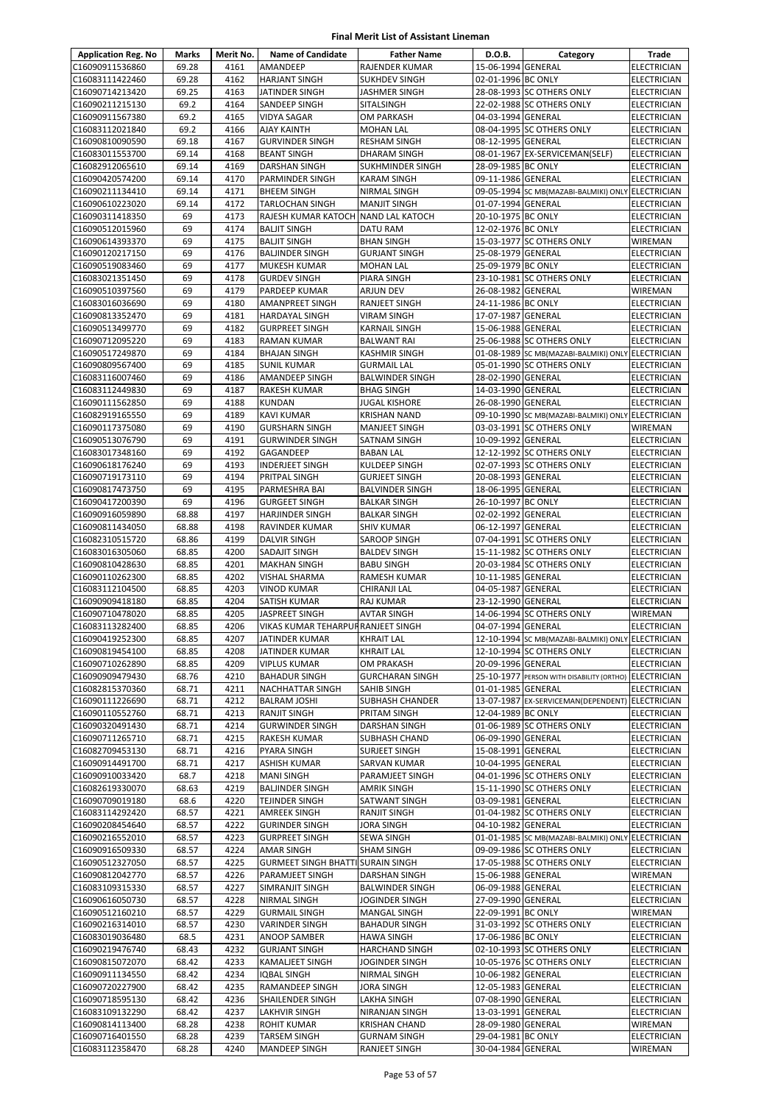| <b>Application Reg. No</b>         | Marks          | Merit No.    | <b>Name of Candidate</b>                   | <b>Father Name</b>                         | D.O.B.                                   | Category                                                                       | Trade                                    |
|------------------------------------|----------------|--------------|--------------------------------------------|--------------------------------------------|------------------------------------------|--------------------------------------------------------------------------------|------------------------------------------|
| C16090911536860                    | 69.28          | 4161         | <b>AMANDEEP</b>                            | RAJENDER KUMAR                             | 15-06-1994 GENERAL                       |                                                                                | <b>ELECTRICIAN</b>                       |
| C16083111422460                    | 69.28          | 4162         | <b>HARJANT SINGH</b>                       | <b>SUKHDEV SINGH</b>                       | 02-01-1996 BC ONLY                       |                                                                                | <b>ELECTRICIAN</b>                       |
| C16090714213420                    | 69.25          | 4163         | JATINDER SINGH                             | JASHMER SINGH                              |                                          | 28-08-1993 SC OTHERS ONLY                                                      | ELECTRICIAN                              |
| C16090211215130                    | 69.2           | 4164         | SANDEEP SINGH                              | SITALSINGH                                 |                                          | 22-02-1988 SC OTHERS ONLY                                                      | ELECTRICIAN                              |
| C16090911567380                    | 69.2           | 4165         | <b>VIDYA SAGAR</b>                         | OM PARKASH                                 | 04-03-1994 GENERAL                       |                                                                                | <b>ELECTRICIAN</b>                       |
| C16083112021840                    | 69.2           | 4166         | <b>AJAY KAINTH</b>                         | <b>MOHAN LAL</b>                           |                                          | 08-04-1995 SC OTHERS ONLY                                                      | <b>ELECTRICIAN</b>                       |
| C16090810090590                    | 69.18          | 4167         | <b>GURVINDER SINGH</b>                     | <b>RESHAM SINGH</b>                        | 08-12-1995 GENERAL                       |                                                                                | <b>ELECTRICIAN</b>                       |
| C16083011553700<br>C16082912065610 | 69.14<br>69.14 | 4168<br>4169 | <b>BEANT SINGH</b><br><b>DARSHAN SINGH</b> | DHARAM SINGH<br>SUKHMINDER SINGH           | 28-09-1985 BC ONLY                       | 08-01-1967 EX-SERVICEMAN(SELF)                                                 | <b>ELECTRICIAN</b><br><b>ELECTRICIAN</b> |
| C16090420574200                    | 69.14          | 4170         | <b>PARMINDER SINGH</b>                     | <b>KARAM SINGH</b>                         | 09-11-1986 GENERAL                       |                                                                                | <b>ELECTRICIAN</b>                       |
| C16090211134410                    | 69.14          | 4171         | <b>BHEEM SINGH</b>                         | NIRMAL SINGH                               |                                          | 09-05-1994 SC MB(MAZABI-BALMIKI) ONLY ELECTRICIAN                              |                                          |
| C16090610223020                    | 69.14          | 4172         | <b>TARLOCHAN SINGH</b>                     | <b>MANJIT SINGH</b>                        | 01-07-1994 GENERAL                       |                                                                                | <b>ELECTRICIAN</b>                       |
| C16090311418350                    | 69             | 4173         | RAJESH KUMAR KATOCH NAND LAL KATOCH        |                                            | 20-10-1975 BC ONLY                       |                                                                                | <b>ELECTRICIAN</b>                       |
| C16090512015960                    | 69             | 4174         | <b>BALJIT SINGH</b>                        | DATU RAM                                   | 12-02-1976 BC ONLY                       |                                                                                | <b>ELECTRICIAN</b>                       |
| C16090614393370                    | 69             | 4175         | <b>BALJIT SINGH</b>                        | <b>BHAN SINGH</b>                          |                                          | 15-03-1977 SC OTHERS ONLY                                                      | WIREMAN                                  |
| C16090120217150                    | 69             | 4176         | <b>BALJINDER SINGH</b>                     | <b>GURJANT SINGH</b>                       | 25-08-1979 GENERAL                       |                                                                                | <b>ELECTRICIAN</b>                       |
| C16090519083460                    | 69             | 4177         | <b>MUKESH KUMAR</b>                        | <b>MOHAN LAL</b>                           | 25-09-1979 BC ONLY                       |                                                                                | <b>ELECTRICIAN</b>                       |
| C16083021351450                    | 69             | 4178         | <b>GURDEV SINGH</b>                        | PIARA SINGH                                |                                          | 23-10-1981 SC OTHERS ONLY                                                      | <b>ELECTRICIAN</b>                       |
| C16090510397560                    | 69             | 4179         | PARDEEP KUMAR                              | <b>ARJUN DEV</b>                           | 26-08-1982 GENERAL                       |                                                                                | WIREMAN                                  |
| C16083016036690                    | 69             | 4180         | AMANPREET SINGH                            | RANJEET SINGH                              | 24-11-1986 BC ONLY                       |                                                                                | <b>ELECTRICIAN</b>                       |
| C16090813352470                    | 69             | 4181         | <b>HARDAYAL SINGH</b>                      | <b>VIRAM SINGH</b>                         | 17-07-1987 GENERAL                       |                                                                                | <b>ELECTRICIAN</b>                       |
| C16090513499770                    | 69             | 4182         | <b>GURPREET SINGH</b>                      | <b>KARNAIL SINGH</b>                       | 15-06-1988 GENERAL                       |                                                                                | ELECTRICIAN                              |
| C16090712095220                    | 69             | 4183         | RAMAN KUMAR                                | <b>BALWANT RAI</b>                         |                                          | 25-06-1988 SC OTHERS ONLY                                                      | <b>ELECTRICIAN</b>                       |
| C16090517249870                    | 69<br>69       | 4184<br>4185 | <b>BHAJAN SINGH</b>                        | <b>KASHMIR SINGH</b><br><b>GURMAIL LAL</b> |                                          | 01-08-1989 SC MB(MAZABI-BALMIKI) ONLY ELECTRICIAN<br>05-01-1990 SC OTHERS ONLY |                                          |
| C16090809567400<br>C16083116007460 | 69             | 4186         | <b>SUNIL KUMAR</b><br>AMANDEEP SINGH       | <b>BALWINDER SINGH</b>                     | 28-02-1990 GENERAL                       |                                                                                | <b>ELECTRICIAN</b><br><b>ELECTRICIAN</b> |
| C16083112449830                    | 69             | 4187         | RAKESH KUMAR                               | <b>BHAG SINGH</b>                          | 14-03-1990 GENERAL                       |                                                                                | <b>ELECTRICIAN</b>                       |
| C16090111562850                    | 69             | 4188         | <b>KUNDAN</b>                              | <b>JUGAL KISHORE</b>                       | 26-08-1990 GENERAL                       |                                                                                | ELECTRICIAN                              |
| C16082919165550                    | 69             | 4189         | <b>KAVI KUMAR</b>                          | <b>KRISHAN NAND</b>                        |                                          | 09-10-1990 SC MB(MAZABI-BALMIKI) ONLY ELECTRICIAN                              |                                          |
| C16090117375080                    | 69             | 4190         | <b>GURSHARN SINGH</b>                      | <b>MANJEET SINGH</b>                       |                                          | 03-03-1991 SC OTHERS ONLY                                                      | WIREMAN                                  |
| C16090513076790                    | 69             | 4191         | <b>GURWINDER SINGH</b>                     | SATNAM SINGH                               | 10-09-1992 GENERAL                       |                                                                                | <b>ELECTRICIAN</b>                       |
| C16083017348160                    | 69             | 4192         | GAGANDEEP                                  | <b>BABAN LAL</b>                           |                                          | 12-12-1992 SC OTHERS ONLY                                                      | <b>ELECTRICIAN</b>                       |
| C16090618176240                    | 69             | 4193         | <b>INDERJEET SINGH</b>                     | KULDEEP SINGH                              |                                          | 02-07-1993 SC OTHERS ONLY                                                      | ELECTRICIAN                              |
| C16090719173110                    | 69             | 4194         | PRITPAL SINGH                              | <b>GURJEET SINGH</b>                       | 20-08-1993 GENERAL                       |                                                                                | ELECTRICIAN                              |
| C16090817473750                    | 69             | 4195         | PARMESHRA BAI                              | <b>BALVINDER SINGH</b>                     | 18-06-1995 GENERAL                       |                                                                                | <b>ELECTRICIAN</b>                       |
| C16090417200390                    | 69             | 4196         | <b>GURGEET SINGH</b>                       | <b>BALKAR SINGH</b>                        | 26-10-1997 BC ONLY                       |                                                                                | <b>ELECTRICIAN</b>                       |
| C16090916059890                    | 68.88          | 4197         | <b>HARJINDER SINGH</b>                     | <b>BALKAR SINGH</b>                        | 02-02-1992 GENERAL                       |                                                                                | <b>ELECTRICIAN</b>                       |
| C16090811434050                    | 68.88          | 4198         | <b>RAVINDER KUMAR</b>                      | <b>SHIV KUMAR</b>                          | 06-12-1997 GENERAL                       |                                                                                | <b>ELECTRICIAN</b>                       |
| C16082310515720                    | 68.86          | 4199         | <b>DALVIR SINGH</b>                        | SAROOP SINGH                               |                                          | 07-04-1991 SC OTHERS ONLY                                                      | <b>ELECTRICIAN</b>                       |
| C16083016305060                    | 68.85          | 4200         | <b>SADAJIT SINGH</b>                       | <b>BALDEV SINGH</b>                        |                                          | 15-11-1982 SC OTHERS ONLY                                                      | <b>ELECTRICIAN</b>                       |
| C16090810428630<br>C16090110262300 | 68.85<br>68.85 | 4201<br>4202 | <b>MAKHAN SINGH</b>                        | <b>BABU SINGH</b><br>RAMESH KUMAR          | 10-11-1985 GENERAL                       | 20-03-1984 SC OTHERS ONLY                                                      | ELECTRICIAN<br><b>ELECTRICIAN</b>        |
| C16083112104500                    | 68.85          | 4203         | VISHAL SHARMA<br><b>VINOD KUMAR</b>        | CHIRANJI LAL                               | 04-05-1987 GENERAL                       |                                                                                | <b>ELECTRICIAN</b>                       |
| C16090909418180                    | 68.85          | 4204         | SATISH KUMAR                               | <b>RAJ KUMAR</b>                           | 23-12-1990 GENERAL                       |                                                                                | <b>ELECTRICIAN</b>                       |
| C16090710478020                    | 68.85          | 4205         | JASPREET SINGH                             | <b>AVTAR SINGH</b>                         |                                          | 14-06-1994 SC OTHERS ONLY                                                      | WIREMAN                                  |
| C16083113282400                    | 68.85          | 4206         | VIKAS KUMAR TEHARPUR RANJEET SINGH         |                                            | 04-07-1994 GENERAL                       |                                                                                | <b>ELECTRICIAN</b>                       |
| C16090419252300                    | 68.85          | 4207         | JATINDER KUMAR                             | <b>KHRAIT LAL</b>                          |                                          | 12-10-1994 SC MB(MAZABI-BALMIKI) ONLY ELECTRICIAN                              |                                          |
| C16090819454100                    | 68.85          | 4208         | JATINDER KUMAR                             | <b>KHRAIT LAL</b>                          |                                          | 12-10-1994 SC OTHERS ONLY                                                      | <b>ELECTRICIAN</b>                       |
| C16090710262890                    | 68.85          | 4209         | <b>VIPLUS KUMAR</b>                        | OM PRAKASH                                 | 20-09-1996 GENERAL                       |                                                                                | <b>ELECTRICIAN</b>                       |
| C16090909479430                    | 68.76          | 4210         | <b>BAHADUR SINGH</b>                       | <b>GURCHARAN SINGH</b>                     |                                          | 25-10-1977 PERSON WITH DISABILITY (ORTHO) ELECTRICIAN                          |                                          |
| C16082815370360                    | 68.71          | 4211         | NACHHATTAR SINGH                           | SAHIB SINGH                                | 01-01-1985 GENERAL                       |                                                                                | <b>ELECTRICIAN</b>                       |
| C16090111226690                    | 68.71          | 4212         | <b>BALRAM JOSHI</b>                        | SUBHASH CHANDER                            |                                          | 13-07-1987 EX-SERVICEMAN(DEPENDENT) ELECTRICIAN                                |                                          |
| C16090110552760                    | 68.71          | 4213         | RANJIT SINGH                               | PRITAM SINGH                               | 12-04-1989 BC ONLY                       |                                                                                | ELECTRICIAN                              |
| C16090320491430                    | 68.71          | 4214         | <b>GURWINDER SINGH</b>                     | DARSHAN SINGH                              |                                          | 01-06-1989 SC OTHERS ONLY                                                      | <b>ELECTRICIAN</b>                       |
| C16090711265710                    | 68.71          | 4215         | RAKESH KUMAR                               | SUBHASH CHAND                              | 06-09-1990 GENERAL                       |                                                                                | <b>ELECTRICIAN</b>                       |
| C16082709453130<br>C16090914491700 | 68.71<br>68.71 | 4216<br>4217 | PYARA SINGH<br><b>ASHISH KUMAR</b>         | <b>SURJEET SINGH</b><br>SARVAN KUMAR       | 15-08-1991 GENERAL<br>10-04-1995 GENERAL |                                                                                | ELECTRICIAN<br>ELECTRICIAN               |
| C16090910033420                    | 68.7           | 4218         | <b>MANI SINGH</b>                          | PARAMJEET SINGH                            |                                          | 04-01-1996 SC OTHERS ONLY                                                      | ELECTRICIAN                              |
| C16082619330070                    | 68.63          | 4219         | <b>BALJINDER SINGH</b>                     | <b>AMRIK SINGH</b>                         |                                          | 15-11-1990 SC OTHERS ONLY                                                      | ELECTRICIAN                              |
| C16090709019180                    | 68.6           | 4220         | TEJINDER SINGH                             | SATWANT SINGH                              | 03-09-1981 GENERAL                       |                                                                                | ELECTRICIAN                              |
| C16083114292420                    | 68.57          | 4221         | <b>AMREEK SINGH</b>                        | RANJIT SINGH                               |                                          | 01-04-1982 SC OTHERS ONLY                                                      | <b>ELECTRICIAN</b>                       |
| C16090208454640                    | 68.57          | 4222         | <b>GURINDER SINGH</b>                      | JORA SINGH                                 | 04-10-1982 GENERAL                       |                                                                                | <b>ELECTRICIAN</b>                       |
| C16090216552010                    | 68.57          | 4223         | <b>GURPREET SINGH</b>                      | SEWA SINGH                                 |                                          | 01-01-1985 SC MB(MAZABI-BALMIKI) ONLY ELECTRICIAN                              |                                          |
| C16090916509330                    | 68.57          | 4224         | <b>AMAR SINGH</b>                          | SHAM SINGH                                 |                                          | 09-09-1986 SC OTHERS ONLY                                                      | ELECTRICIAN                              |
| C16090512327050                    | 68.57          | 4225         | <b>GURMEET SINGH BHATTI SURAIN SINGH</b>   |                                            |                                          | 17-05-1988 SC OTHERS ONLY                                                      | ELECTRICIAN                              |
| C16090812042770                    | 68.57          | 4226         | PARAMJEET SINGH                            | DARSHAN SINGH                              | 15-06-1988 GENERAL                       |                                                                                | WIREMAN                                  |
| C16083109315330                    | 68.57          | 4227         | SIMRANJIT SINGH                            | <b>BALWINDER SINGH</b>                     | 06-09-1988 GENERAL                       |                                                                                | ELECTRICIAN                              |
| C16090616050730                    | 68.57          | 4228         | NIRMAL SINGH                               | JOGINDER SINGH                             | 27-09-1990 GENERAL                       |                                                                                | ELECTRICIAN                              |
| C16090512160210                    | 68.57          | 4229         | <b>GURMAIL SINGH</b>                       | MANGAL SINGH                               | 22-09-1991 BC ONLY                       |                                                                                | WIREMAN                                  |
| C16090216314010                    | 68.57          | 4230         | <b>VARINDER SINGH</b>                      | <b>BAHADUR SINGH</b>                       |                                          | 31-03-1992 SC OTHERS ONLY                                                      | ELECTRICIAN                              |
| C16083019036480                    | 68.5           | 4231         | ANOOP SAMBER                               | <b>HAWA SINGH</b>                          | 17-06-1986 BC ONLY                       |                                                                                | ELECTRICIAN                              |
| C16090219476740<br>C16090815072070 | 68.43<br>68.42 | 4232<br>4233 | <b>GURJANT SINGH</b><br>KAMALJEET SINGH    | HARCHAND SINGH<br>JOGINDER SINGH           |                                          | 02-10-1993 SC OTHERS ONLY<br>10-05-1976 SC OTHERS ONLY                         | ELECTRICIAN<br><b>ELECTRICIAN</b>        |
| C16090911134550                    | 68.42          | 4234         | <b>IQBAL SINGH</b>                         | NIRMAL SINGH                               | 10-06-1982 GENERAL                       |                                                                                | <b>ELECTRICIAN</b>                       |
| C16090720227900                    | 68.42          | 4235         | RAMANDEEP SINGH                            | JORA SINGH                                 | 12-05-1983 GENERAL                       |                                                                                | ELECTRICIAN                              |
| C16090718595130                    | 68.42          | 4236         | SHAILENDER SINGH                           | LAKHA SINGH                                | 07-08-1990 GENERAL                       |                                                                                | ELECTRICIAN                              |
| C16083109132290                    | 68.42          | 4237         | <b>LAKHVIR SINGH</b>                       | NIRANJAN SINGH                             | 13-03-1991 GENERAL                       |                                                                                | ELECTRICIAN                              |
| C16090814113400                    | 68.28          | 4238         | <b>ROHIT KUMAR</b>                         | KRISHAN CHAND                              | 28-09-1980 GENERAL                       |                                                                                | WIREMAN                                  |
| C16090716401550                    | 68.28          | 4239         | <b>TARSEM SINGH</b>                        | <b>GURNAM SINGH</b>                        | 29-04-1981 BC ONLY                       |                                                                                | ELECTRICIAN                              |
| C16083112358470                    | 68.28          | 4240         | <b>MANDEEP SINGH</b>                       | RANJEET SINGH                              | 30-04-1984 GENERAL                       |                                                                                | WIREMAN                                  |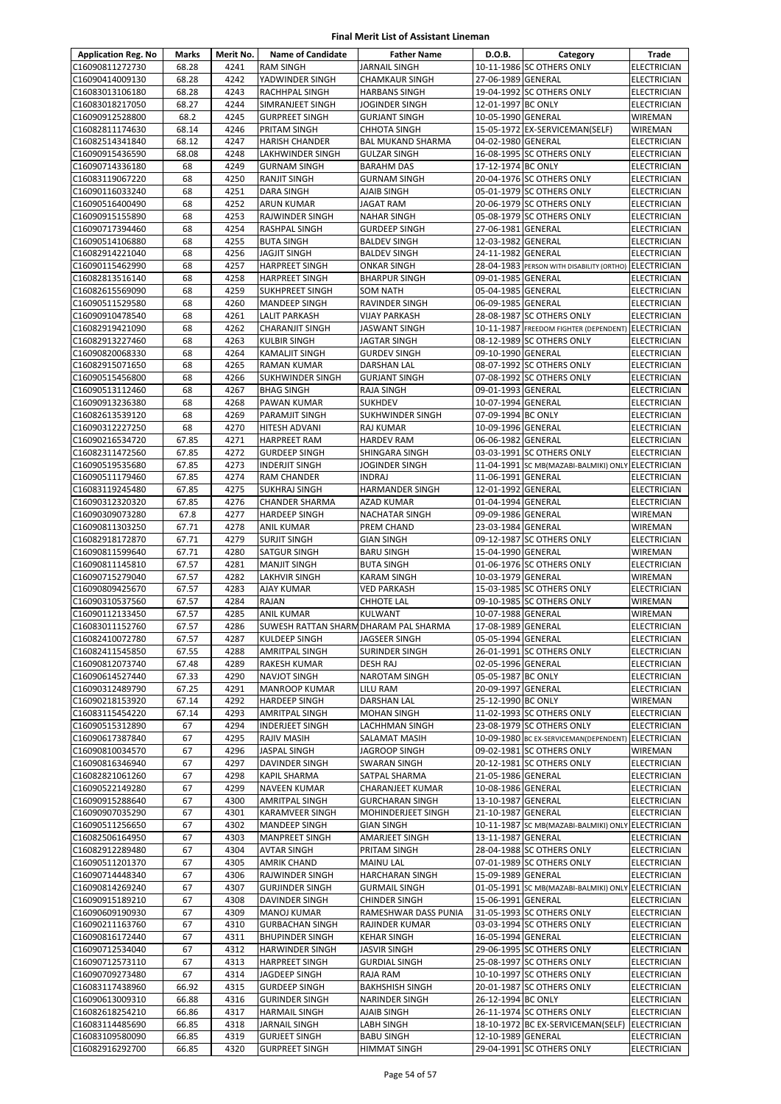| <b>Application Reg. No</b>         | Marks          | Merit No.    | <b>Name of Candidate</b>                         | <b>Father Name</b>                         | D.O.B.                                   | Category                                                                        | Trade                                    |
|------------------------------------|----------------|--------------|--------------------------------------------------|--------------------------------------------|------------------------------------------|---------------------------------------------------------------------------------|------------------------------------------|
| C16090811272730                    | 68.28          | 4241         | <b>RAM SINGH</b>                                 | <b>JARNAIL SINGH</b>                       |                                          | 10-11-1986 SC OTHERS ONLY                                                       | <b>ELECTRICIAN</b>                       |
| C16090414009130                    | 68.28          | 4242         | YADWINDER SINGH                                  | <b>CHAMKAUR SINGH</b>                      | 27-06-1989 GENERAL                       |                                                                                 | <b>ELECTRICIAN</b>                       |
| C16083013106180                    | 68.28          | 4243         | <b>RACHHPAL SINGH</b>                            | <b>HARBANS SINGH</b>                       |                                          | 19-04-1992 SC OTHERS ONLY                                                       | ELECTRICIAN                              |
| C16083018217050                    | 68.27          | 4244         | SIMRANJEET SINGH                                 | JOGINDER SINGH                             | 12-01-1997 BC ONLY                       |                                                                                 | ELECTRICIAN                              |
| C16090912528800                    | 68.2           | 4245         | <b>GURPREET SINGH</b>                            | <b>GURJANT SINGH</b>                       | 10-05-1990 GENERAL                       |                                                                                 | WIREMAN                                  |
| C16082811174630                    | 68.14          | 4246         | PRITAM SINGH                                     | <b>CHHOTA SINGH</b>                        |                                          | 15-05-1972 EX-SERVICEMAN(SELF)                                                  | <b>WIREMAN</b>                           |
| C16082514341840                    | 68.12          | 4247         | <b>HARISH CHANDER</b>                            | <b>BAL MUKAND SHARMA</b>                   | 04-02-1980 GENERAL                       |                                                                                 | <b>ELECTRICIAN</b>                       |
| C16090915436590                    | 68.08          | 4248<br>4249 | LAKHWINDER SINGH                                 | <b>GULZAR SINGH</b>                        |                                          | 16-08-1995 SC OTHERS ONLY                                                       | <b>ELECTRICIAN</b>                       |
| C16090714336180<br>C16083119067220 | 68<br>68       | 4250         | <b>GURNAM SINGH</b><br><b>RANJIT SINGH</b>       | <b>BARAHM DAS</b><br><b>GURNAM SINGH</b>   | 17-12-1974 BC ONLY                       | 20-04-1976 SC OTHERS ONLY                                                       | <b>ELECTRICIAN</b><br><b>ELECTRICIAN</b> |
| C16090116033240                    | 68             | 4251         | <b>DARA SINGH</b>                                | AJAIB SINGH                                |                                          | 05-01-1979 SC OTHERS ONLY                                                       | <b>ELECTRICIAN</b>                       |
| C16090516400490                    | 68             | 4252         | <b>ARUN KUMAR</b>                                | <b>JAGAT RAM</b>                           |                                          | 20-06-1979 SC OTHERS ONLY                                                       | <b>ELECTRICIAN</b>                       |
| C16090915155890                    | 68             | 4253         | <b>RAJWINDER SINGH</b>                           | <b>NAHAR SINGH</b>                         |                                          | 05-08-1979 SC OTHERS ONLY                                                       | <b>ELECTRICIAN</b>                       |
| C16090717394460                    | 68             | 4254         | <b>RASHPAL SINGH</b>                             | <b>GURDEEP SINGH</b>                       | 27-06-1981 GENERAL                       |                                                                                 | ELECTRICIAN                              |
| C16090514106880                    | 68             | 4255         | <b>BUTA SINGH</b>                                | <b>BALDEV SINGH</b>                        | 12-03-1982 GENERAL                       |                                                                                 | ELECTRICIAN                              |
| C16082914221040                    | 68             | 4256         | <b>JAGJIT SINGH</b>                              | <b>BALDEV SINGH</b>                        | 24-11-1982 GENERAL                       |                                                                                 | <b>ELECTRICIAN</b>                       |
| C16090115462990                    | 68             | 4257         | <b>HARPREET SINGH</b>                            | <b>ONKAR SINGH</b>                         |                                          | 28-04-1983 PERSON WITH DISABILITY (ORTHO) ELECTRICIAN                           |                                          |
| C16082813516140                    | 68             | 4258         | <b>HARPREET SINGH</b>                            | <b>BHARPUR SINGH</b>                       | 09-01-1985 GENERAL                       |                                                                                 | <b>ELECTRICIAN</b>                       |
| C16082615569090                    | 68             | 4259         | <b>SUKHPREET SINGH</b>                           | <b>SOM NATH</b>                            | 05-04-1985 GENERAL                       |                                                                                 | ELECTRICIAN                              |
| C16090511529580                    | 68             | 4260         | <b>MANDEEP SINGH</b>                             | RAVINDER SINGH                             | 06-09-1985 GENERAL                       |                                                                                 | <b>ELECTRICIAN</b>                       |
| C16090910478540                    | 68             | 4261<br>4262 | <b>LALIT PARKASH</b>                             | <b>VIJAY PARKASH</b>                       |                                          | 28-08-1987 SC OTHERS ONLY                                                       | <b>ELECTRICIAN</b>                       |
| C16082919421090<br>C16082913227460 | 68<br>68       | 4263         | <b>CHARANJIT SINGH</b><br><b>KULBIR SINGH</b>    | JASWANT SINGH<br>JAGTAR SINGH              |                                          | 10-11-1987 FREEDOM FIGHTER (DEPENDENT) ELECTRICIAN<br>08-12-1989 SC OTHERS ONLY |                                          |
| C16090820068330                    | 68             | 4264         | <b>KAMALJIT SINGH</b>                            | <b>GURDEV SINGH</b>                        | 09-10-1990 GENERAL                       |                                                                                 | <b>ELECTRICIAN</b><br><b>ELECTRICIAN</b> |
| C16082915071650                    | 68             | 4265         | <b>RAMAN KUMAR</b>                               | DARSHAN LAL                                |                                          | 08-07-1992 SC OTHERS ONLY                                                       | <b>ELECTRICIAN</b>                       |
| C16090515456800                    | 68             | 4266         | <b>SUKHWINDER SINGH</b>                          | <b>GURJANT SINGH</b>                       |                                          | 07-08-1992 SC OTHERS ONLY                                                       | <b>ELECTRICIAN</b>                       |
| C16090513112460                    | 68             | 4267         | <b>BHAG SINGH</b>                                | RAJA SINGH                                 | 09-01-1993 GENERAL                       |                                                                                 | <b>ELECTRICIAN</b>                       |
| C16090913236380                    | 68             | 4268         | PAWAN KUMAR                                      | <b>SUKHDEV</b>                             | 10-07-1994 GENERAL                       |                                                                                 | <b>ELECTRICIAN</b>                       |
| C16082613539120                    | 68             | 4269         | <b>PARAMJIT SINGH</b>                            | <b>SUKHWINDER SINGH</b>                    | 07-09-1994 BC ONLY                       |                                                                                 | <b>ELECTRICIAN</b>                       |
| C16090312227250                    | 68             | 4270         | HITESH ADVANI                                    | RAJ KUMAR                                  | 10-09-1996 GENERAL                       |                                                                                 | <b>ELECTRICIAN</b>                       |
| C16090216534720                    | 67.85          | 4271         | <b>HARPREET RAM</b>                              | <b>HARDEV RAM</b>                          | 06-06-1982 GENERAL                       |                                                                                 | <b>ELECTRICIAN</b>                       |
| C16082311472560                    | 67.85          | 4272         | <b>GURDEEP SINGH</b>                             | SHINGARA SINGH                             |                                          | 03-03-1991 SC OTHERS ONLY                                                       | <b>ELECTRICIAN</b>                       |
| C16090519535680                    | 67.85          | 4273         | <b>INDERJIT SINGH</b>                            | JOGINDER SINGH                             |                                          | 11-04-1991 SC MB(MAZABI-BALMIKI) ONLY ELECTRICIAN                               |                                          |
| C16090511179460                    | 67.85          | 4274         | RAM CHANDER                                      | <b>INDRAJ</b>                              | 11-06-1991 GENERAL                       |                                                                                 | ELECTRICIAN                              |
| C16083119245480<br>C16090312320320 | 67.85<br>67.85 | 4275<br>4276 | <b>SUKHRAJ SINGH</b><br><b>CHANDER SHARMA</b>    | HARMANDER SINGH<br>AZAD KUMAR              | 12-01-1992 GENERAL<br>01-04-1994 GENERAL |                                                                                 | <b>ELECTRICIAN</b><br><b>ELECTRICIAN</b> |
| C16090309073280                    | 67.8           | 4277         | <b>HARDEEP SINGH</b>                             | <b>NACHATAR SINGH</b>                      | 09-09-1986 GENERAL                       |                                                                                 | WIREMAN                                  |
| C16090811303250                    | 67.71          | 4278         | <b>ANIL KUMAR</b>                                | PREM CHAND                                 | 23-03-1984 GENERAL                       |                                                                                 | WIREMAN                                  |
| C16082918172870                    | 67.71          | 4279         | <b>SURJIT SINGH</b>                              | <b>GIAN SINGH</b>                          |                                          | 09-12-1987 SC OTHERS ONLY                                                       | ELECTRICIAN                              |
| C16090811599640                    | 67.71          | 4280         | <b>SATGUR SINGH</b>                              | <b>BARU SINGH</b>                          | 15-04-1990 GENERAL                       |                                                                                 | <b>WIREMAN</b>                           |
| C16090811145810                    | 67.57          | 4281         | <b>MANJIT SINGH</b>                              | <b>BUTA SINGH</b>                          |                                          | 01-06-1976 SC OTHERS ONLY                                                       | <b>ELECTRICIAN</b>                       |
| C16090715279040                    | 67.57          | 4282         | LAKHVIR SINGH                                    | KARAM SINGH                                | 10-03-1979 GENERAL                       |                                                                                 | WIREMAN                                  |
| C16090809425670                    | 67.57          | 4283         | <b>AJAY KUMAR</b>                                | VED PARKASH                                |                                          | 15-03-1985 SC OTHERS ONLY                                                       | <b>ELECTRICIAN</b>                       |
| C16090310537560                    | 67.57          | 4284         | RAJAN                                            | CHHOTE LAL                                 |                                          | 09-10-1985 SC OTHERS ONLY                                                       | WIREMAN                                  |
| C16090112133450                    | 67.57          | 4285         | <b>ANIL KUMAR</b>                                | <b>KULWANT</b>                             | 10-07-1988 GENERAL                       |                                                                                 | WIREMAN                                  |
| C16083011152760                    | 67.57          | 4286         | SUWESH RATTAN SHARM DHARAM PAL SHARMA            |                                            | 17-08-1989 GENERAL                       |                                                                                 | <b>ELECTRICIAN</b>                       |
| C16082410072780                    | 67.57          | 4287<br>4288 | <b>KULDEEP SINGH</b>                             | JAGSEER SINGH                              | 05-05-1994 GENERAL                       |                                                                                 | <b>ELECTRICIAN</b>                       |
| C16082411545850<br>C16090812073740 | 67.55<br>67.48 | 4289         | <b>AMRITPAL SINGH</b><br>RAKESH KUMAR            | SURINDER SINGH<br>DESH RAJ                 | 02-05-1996 GENERAL                       | 26-01-1991 SC OTHERS ONLY                                                       | <b>ELECTRICIAN</b><br><b>ELECTRICIAN</b> |
| C16090614527440                    | 67.33          | 4290         | NAVJOT SINGH                                     | <b>NAROTAM SINGH</b>                       | 05-05-1987 BC ONLY                       |                                                                                 | ELECTRICIAN                              |
| C16090312489790                    | 67.25          | 4291         | <b>MANROOP KUMAR</b>                             | LILU RAM                                   | 20-09-1997 GENERAL                       |                                                                                 | <b>ELECTRICIAN</b>                       |
| C16090218153920                    | 67.14          | 4292         | <b>HARDEEP SINGH</b>                             | DARSHAN LAL                                | 25-12-1990 BC ONLY                       |                                                                                 | WIREMAN                                  |
| C16083115454220                    | 67.14          | 4293         | <b>AMRITPAL SINGH</b>                            | <b>MOHAN SINGH</b>                         |                                          | 11-02-1993 SC OTHERS ONLY                                                       | ELECTRICIAN                              |
| C16090515312890                    | 67             | 4294         | <b>INDERJEET SINGH</b>                           | LACHHMAN SINGH                             |                                          | 23-08-1979 SC OTHERS ONLY                                                       | ELECTRICIAN                              |
| C16090617387840                    | 67             | 4295         | RAJIV MASIH                                      | SALAMAT MASIH                              |                                          | 10-09-1980 BC EX-SERVICEMAN(DEPENDENT)                                          | <b>ELECTRICIAN</b>                       |
| C16090810034570                    | 67             | 4296         | <b>JASPAL SINGH</b>                              | JAGROOP SINGH                              |                                          | 09-02-1981 SC OTHERS ONLY                                                       | WIREMAN                                  |
| C16090816346940                    | 67             | 4297         | DAVINDER SINGH                                   | SWARAN SINGH                               |                                          | 20-12-1981 SC OTHERS ONLY                                                       | ELECTRICIAN                              |
| C16082821061260<br>C16090522149280 | 67<br>67       | 4298<br>4299 | <b>KAPIL SHARMA</b><br><b>NAVEEN KUMAR</b>       | SATPAL SHARMA                              | 21-05-1986 GENERAL<br>10-08-1986 GENERAL |                                                                                 | ELECTRICIAN                              |
| C16090915288640                    | 67             | 4300         | <b>AMRITPAL SINGH</b>                            | CHARANJEET KUMAR<br><b>GURCHARAN SINGH</b> | 13-10-1987 GENERAL                       |                                                                                 | <b>ELECTRICIAN</b><br><b>ELECTRICIAN</b> |
| C16090907035290                    | 67             | 4301         | KARAMVEER SINGH                                  | MOHINDERJEET SINGH                         | 21-10-1987 GENERAL                       |                                                                                 | <b>ELECTRICIAN</b>                       |
| C16090511256650                    | 67             | 4302         | MANDEEP SINGH                                    | <b>GIAN SINGH</b>                          |                                          | 10-11-1987 SC MB(MAZABI-BALMIKI) ONLY ELECTRICIAN                               |                                          |
| C16082506164950                    | 67             | 4303         | MANPREET SINGH                                   | AMARJEET SINGH                             | 13-11-1987 GENERAL                       |                                                                                 | ELECTRICIAN                              |
| C16082912289480                    | 67             | 4304         | <b>AVTAR SINGH</b>                               | PRITAM SINGH                               |                                          | 28-04-1988 SC OTHERS ONLY                                                       | <b>ELECTRICIAN</b>                       |
| C16090511201370                    | 67             | 4305         | <b>AMRIK CHAND</b>                               | MAINU LAL                                  |                                          | 07-01-1989 SC OTHERS ONLY                                                       | ELECTRICIAN                              |
| C16090714448340                    | 67             | 4306         | RAJWINDER SINGH                                  | HARCHARAN SINGH                            | 15-09-1989 GENERAL                       |                                                                                 | ELECTRICIAN                              |
| C16090814269240                    | 67             | 4307         | <b>GURJINDER SINGH</b>                           | <b>GURMAIL SINGH</b>                       |                                          | 01-05-1991 SC MB(MAZABI-BALMIKI) ONLY ELECTRICIAN                               |                                          |
| C16090915189210                    | 67             | 4308         | DAVINDER SINGH                                   | <b>CHINDER SINGH</b>                       | 15-06-1991 GENERAL                       |                                                                                 | <b>ELECTRICIAN</b>                       |
| C16090609190930                    | 67             | 4309         | <b>MANOJ KUMAR</b>                               | RAMESHWAR DASS PUNIA                       |                                          | 31-05-1993 SC OTHERS ONLY                                                       | ELECTRICIAN                              |
| C16090211163760<br>C16090816172440 | 67<br>67       | 4310<br>4311 | <b>GURBACHAN SINGH</b><br><b>BHUPINDER SINGH</b> | RAJINDER KUMAR                             | 16-05-1994 GENERAL                       | 03-03-1994 SC OTHERS ONLY                                                       | ELECTRICIAN<br><b>ELECTRICIAN</b>        |
| C16090712534040                    | 67             | 4312         | <b>HARWINDER SINGH</b>                           | <b>KEHAR SINGH</b><br>JASVIR SINGH         |                                          | 29-06-1995 SC OTHERS ONLY                                                       | ELECTRICIAN                              |
| C16090712573110                    | 67             | 4313         | <b>HARPREET SINGH</b>                            | <b>GURDIAL SINGH</b>                       |                                          | 25-08-1997 SC OTHERS ONLY                                                       | <b>ELECTRICIAN</b>                       |
| C16090709273480                    | 67             | 4314         | JAGDEEP SINGH                                    | RAJA RAM                                   |                                          | 10-10-1997 SC OTHERS ONLY                                                       | <b>ELECTRICIAN</b>                       |
| C16083117438960                    | 66.92          | 4315         | <b>GURDEEP SINGH</b>                             | <b>BAKHSHISH SINGH</b>                     |                                          | 20-01-1987 SC OTHERS ONLY                                                       | ELECTRICIAN                              |
| C16090613009310                    | 66.88          | 4316         | <b>GURINDER SINGH</b>                            | NARINDER SINGH                             | 26-12-1994 BC ONLY                       |                                                                                 | ELECTRICIAN                              |
| C16082618254210                    | 66.86          | 4317         | <b>HARMAIL SINGH</b>                             | AJAIB SINGH                                |                                          | 26-11-1974 SC OTHERS ONLY                                                       | ELECTRICIAN                              |
| C16083114485690                    | 66.85          | 4318         | JARNAIL SINGH                                    | LABH SINGH                                 |                                          | 18-10-1972 BC EX-SERVICEMAN(SELF)                                               | <b>ELECTRICIAN</b>                       |
| C16083109580090                    | 66.85          | 4319         | <b>GURJEET SINGH</b>                             | <b>BABU SINGH</b>                          | 12-10-1989 GENERAL                       |                                                                                 | ELECTRICIAN                              |
| C16082916292700                    | 66.85          | 4320         | <b>GURPREET SINGH</b>                            | HIMMAT SINGH                               |                                          | 29-04-1991 SC OTHERS ONLY                                                       | ELECTRICIAN                              |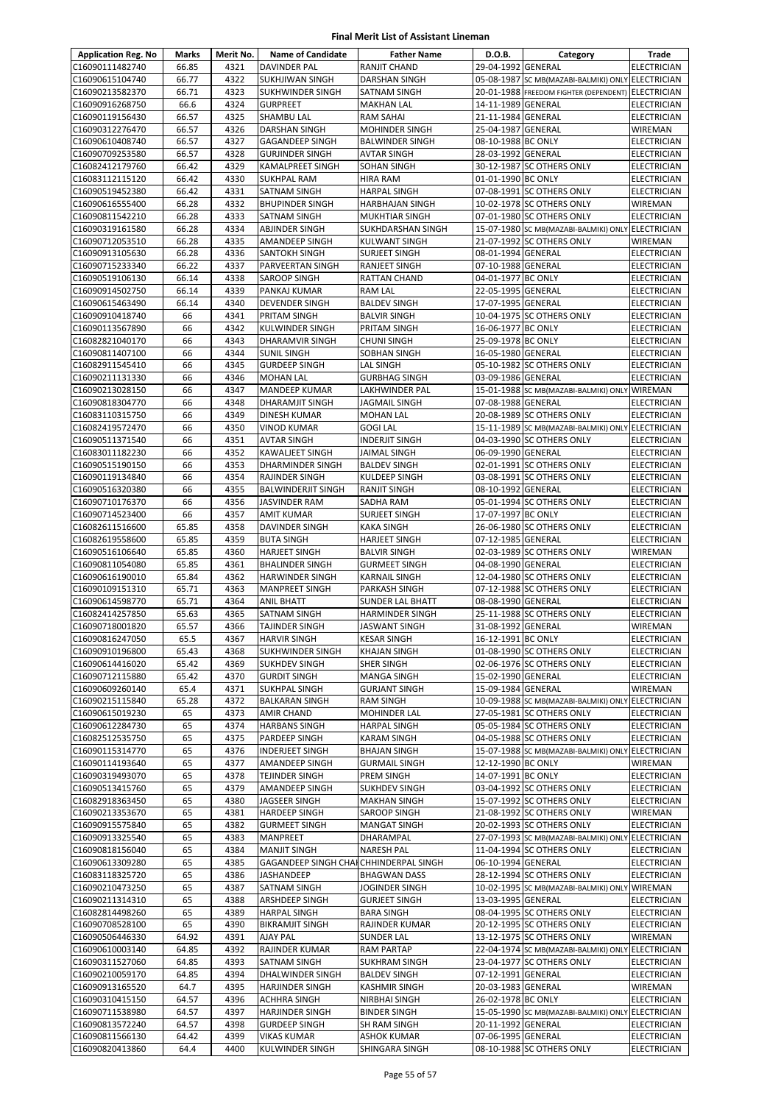| <b>Application Reg. No</b>         | Marks          | Merit No.    | <b>Name of Candidate</b>                         | <b>Father Name</b>                        | D.O.B.             | Category                                               | Trade                                    |
|------------------------------------|----------------|--------------|--------------------------------------------------|-------------------------------------------|--------------------|--------------------------------------------------------|------------------------------------------|
| C16090111482740                    | 66.85          | 4321         | DAVINDER PAL                                     | RANJIT CHAND                              | 29-04-1992 GENERAL |                                                        | <b>ELECTRICIAN</b>                       |
| C16090615104740                    | 66.77          | 4322         | <b>SUKHJIWAN SINGH</b>                           | <b>DARSHAN SINGH</b>                      |                    | 05-08-1987 SC MB(MAZABI-BALMIKI) ONLY ELECTRICIAN      |                                          |
| C16090213582370                    | 66.71          | 4323         | SUKHWINDER SINGH                                 | SATNAM SINGH                              |                    | 20-01-1988 FREEDOM FIGHTER (DEPENDENT) ELECTRICIAN     |                                          |
| C16090916268750                    | 66.6           | 4324         | <b>GURPREET</b>                                  | <b>MAKHAN LAL</b>                         | 14-11-1989 GENERAL |                                                        | <b>ELECTRICIAN</b>                       |
| C16090119156430                    | 66.57          | 4325         | SHAMBU LAL                                       | RAM SAHAI                                 | 21-11-1984 GENERAL |                                                        | ELECTRICIAN                              |
| C16090312276470                    | 66.57          | 4326         | <b>DARSHAN SINGH</b>                             | <b>MOHINDER SINGH</b>                     | 25-04-1987 GENERAL |                                                        | <b>WIREMAN</b>                           |
| C16090610408740                    | 66.57<br>66.57 | 4327<br>4328 | <b>GAGANDEEP SINGH</b><br><b>GURJINDER SINGH</b> | <b>BALWINDER SINGH</b>                    | 08-10-1988 BC ONLY |                                                        | <b>ELECTRICIAN</b>                       |
| C16090709253580<br>C16082412179760 | 66.42          | 4329         | KAMALPREET SINGH                                 | AVTAR SINGH<br>SOHAN SINGH                | 28-03-1992 GENERAL | 30-12-1987 SC OTHERS ONLY                              | <b>ELECTRICIAN</b><br>ELECTRICIAN        |
| C16083112115120                    | 66.42          | 4330         | <b>SUKHPAL RAM</b>                               | <b>HIRA RAM</b>                           | 01-01-1990 BC ONLY |                                                        | ELECTRICIAN                              |
| C16090519452380                    | 66.42          | 4331         | <b>SATNAM SINGH</b>                              | <b>HARPAL SINGH</b>                       |                    | 07-08-1991 SC OTHERS ONLY                              | ELECTRICIAN                              |
| C16090616555400                    | 66.28          | 4332         | <b>BHUPINDER SINGH</b>                           | <b>HARBHAJAN SINGH</b>                    |                    | 10-02-1978 SC OTHERS ONLY                              | WIREMAN                                  |
| C16090811542210                    | 66.28          | 4333         | SATNAM SINGH                                     | MUKHTIAR SINGH                            |                    | 07-01-1980 SC OTHERS ONLY                              | <b>ELECTRICIAN</b>                       |
| C16090319161580                    | 66.28          | 4334         | <b>ABJINDER SINGH</b>                            | SUKHDARSHAN SINGH                         |                    | 15-07-1980 SC MB(MAZABI-BALMIKI) ONLY                  | <b>ELECTRICIAN</b>                       |
| C16090712053510                    | 66.28          | 4335         | AMANDEEP SINGH                                   | KULWANT SINGH                             |                    | 21-07-1992 SC OTHERS ONLY                              | WIREMAN                                  |
| C16090913105630                    | 66.28          | 4336         | <b>SANTOKH SINGH</b>                             | SURJEET SINGH                             | 08-01-1994 GENERAL |                                                        | <b>ELECTRICIAN</b>                       |
| C16090715233340                    | 66.22          | 4337         | PARVEERTAN SINGH                                 | RANJEET SINGH                             | 07-10-1988 GENERAL |                                                        | <b>ELECTRICIAN</b>                       |
| C16090519106130                    | 66.14          | 4338         | <b>SAROOP SINGH</b>                              | RATTAN CHAND                              | 04-01-1977 BC ONLY |                                                        | <b>ELECTRICIAN</b>                       |
| C16090914502750                    | 66.14          | 4339         | PANKAJ KUMAR                                     | RAM LAL                                   | 22-05-1995 GENERAL |                                                        | <b>ELECTRICIAN</b>                       |
| C16090615463490                    | 66.14          | 4340         | <b>DEVENDER SINGH</b>                            | <b>BALDEV SINGH</b>                       | 17-07-1995 GENERAL |                                                        | <b>ELECTRICIAN</b>                       |
| C16090910418740                    | 66             | 4341         | PRITAM SINGH                                     | <b>BALVIR SINGH</b>                       |                    | 10-04-1975 SC OTHERS ONLY                              | ELECTRICIAN                              |
| C16090113567890                    | 66             | 4342         | KULWINDER SINGH                                  | PRITAM SINGH                              | 16-06-1977 BC ONLY |                                                        | ELECTRICIAN                              |
| C16082821040170<br>C16090811407100 | 66<br>66       | 4343<br>4344 | DHARAMVIR SINGH                                  | <b>CHUNI SINGH</b><br><b>SOBHAN SINGH</b> | 25-09-1978 BC ONLY |                                                        | <b>ELECTRICIAN</b>                       |
| C16082911545410                    | 66             | 4345         | <b>SUNIL SINGH</b><br><b>GURDEEP SINGH</b>       | LAL SINGH                                 | 16-05-1980 GENERAL | 05-10-1982 SC OTHERS ONLY                              | <b>ELECTRICIAN</b><br><b>ELECTRICIAN</b> |
| C16090211131330                    | 66             | 4346         | <b>MOHAN LAL</b>                                 | <b>GURBHAG SINGH</b>                      | 03-09-1986 GENERAL |                                                        | <b>ELECTRICIAN</b>                       |
| C16090213028150                    | 66             | 4347         | MANDEEP KUMAR                                    | LAKHWINDER PAL                            |                    | 15-01-1988 SC MB(MAZABI-BALMIKI) ONLY WIREMAN          |                                          |
| C16090818304770                    | 66             | 4348         | <b>DHARAMJIT SINGH</b>                           | JAGMAIL SINGH                             | 07-08-1988 GENERAL |                                                        | ELECTRICIAN                              |
| C16083110315750                    | 66             | 4349         | <b>DINESH KUMAR</b>                              | <b>MOHAN LAL</b>                          |                    | 20-08-1989 SC OTHERS ONLY                              | <b>ELECTRICIAN</b>                       |
| C16082419572470                    | 66             | 4350         | <b>VINOD KUMAR</b>                               | <b>GOGI LAL</b>                           |                    | 15-11-1989 SC MB(MAZABI-BALMIKI) ONLY ELECTRICIAN      |                                          |
| C16090511371540                    | 66             | 4351         | <b>AVTAR SINGH</b>                               | <b>INDERJIT SINGH</b>                     |                    | 04-03-1990 SC OTHERS ONLY                              | ELECTRICIAN                              |
| C16083011182230                    | 66             | 4352         | KAWALJEET SINGH                                  | JAIMAL SINGH                              | 06-09-1990 GENERAL |                                                        | ELECTRICIAN                              |
| C16090515190150                    | 66             | 4353         | <b>DHARMINDER SINGH</b>                          | <b>BALDEV SINGH</b>                       |                    | 02-01-1991 SC OTHERS ONLY                              | <b>ELECTRICIAN</b>                       |
| C16090119134840                    | 66             | 4354         | RAJINDER SINGH                                   | KULDEEP SINGH                             |                    | 03-08-1991 SC OTHERS ONLY                              | ELECTRICIAN                              |
| C16090516320380                    | 66             | 4355         | <b>BALWINDERJIT SINGH</b>                        | RANJIT SINGH                              | 08-10-1992 GENERAL |                                                        | ELECTRICIAN                              |
| C16090710176370                    | 66             | 4356         | JASVINDER RAM                                    | SADHA RAM                                 |                    | 05-01-1994 SC OTHERS ONLY                              | ELECTRICIAN                              |
| C16090714523400                    | 66             | 4357         | AMIT KUMAR                                       | SURJEET SINGH                             | 17-07-1997 BC ONLY |                                                        | <b>ELECTRICIAN</b>                       |
| C16082611516600                    | 65.85          | 4358         | <b>DAVINDER SINGH</b>                            | <b>KAKA SINGH</b>                         |                    | 26-06-1980 SC OTHERS ONLY                              | <b>ELECTRICIAN</b>                       |
| C16082619558600<br>C16090516106640 | 65.85<br>65.85 | 4359<br>4360 | <b>BUTA SINGH</b><br><b>HARJEET SINGH</b>        | HARJEET SINGH<br><b>BALVIR SINGH</b>      | 07-12-1985 GENERAL | 02-03-1989 SC OTHERS ONLY                              | ELECTRICIAN<br><b>WIREMAN</b>            |
| C16090811054080                    | 65.85          | 4361         | <b>BHALINDER SINGH</b>                           | <b>GURMEET SINGH</b>                      | 04-08-1990 GENERAL |                                                        | ELECTRICIAN                              |
| C16090616190010                    | 65.84          | 4362         | <b>HARWINDER SINGH</b>                           | <b>KARNAIL SINGH</b>                      |                    | 12-04-1980 SC OTHERS ONLY                              | ELECTRICIAN                              |
| C16090109151310                    | 65.71          | 4363         | <b>MANPREET SINGH</b>                            | PARKASH SINGH                             |                    | 07-12-1988 SC OTHERS ONLY                              | <b>ELECTRICIAN</b>                       |
| C16090614598770                    | 65.71          | 4364         | <b>ANIL BHATT</b>                                | <b>SUNDER LAL BHATT</b>                   | 08-08-1990 GENERAL |                                                        | <b>ELECTRICIAN</b>                       |
| C16082414257850                    | 65.63          | 4365         | SATNAM SINGH                                     | <b>HARMINDER SINGH</b>                    |                    | 25-11-1988 SC OTHERS ONLY                              | ELECTRICIAN                              |
| C16090718001820                    | 65.57          | 4366         | <b>TAJINDER SINGH</b>                            | JASWANT SINGH                             | 31-08-1992 GENERAL |                                                        | WIREMAN                                  |
| C16090816247050                    | 65.5           | 4367         | <b>HARVIR SINGH</b>                              | <b>KESAR SINGH</b>                        | 16-12-1991 BC ONLY |                                                        | <b>ELECTRICIAN</b>                       |
| C16090910196800                    | 65.43          | 4368         | <b>SUKHWINDER SINGH</b>                          | <b>KHAJAN SINGH</b>                       |                    | 01-08-1990 SC OTHERS ONLY                              | <b>ELECTRICIAN</b>                       |
| C16090614416020                    | 65.42          | 4369         | <b>SUKHDEV SINGH</b>                             | <b>SHER SINGH</b>                         |                    | 02-06-1976 SC OTHERS ONLY                              | <b>ELECTRICIAN</b>                       |
| C16090712115880                    | 65.42          | 4370         | <b>GURDIT SINGH</b>                              | <b>MANGA SINGH</b>                        | 15-02-1990 GENERAL |                                                        | <b>ELECTRICIAN</b>                       |
| C16090609260140                    | 65.4           | 4371         | <b>SUKHPAL SINGH</b>                             | <b>GURJANT SINGH</b>                      | 15-09-1984 GENERAL |                                                        | <b>WIREMAN</b>                           |
| C16090215115840                    | 65.28          | 4372         | <b>BALKARAN SINGH</b>                            | <b>RAM SINGH</b>                          |                    | 10-09-1988 SC MB(MAZABI-BALMIKI) ONLY ELECTRICIAN      |                                          |
| C16090615019230<br>C16090612284730 | 65<br>65       | 4373<br>4374 | <b>AMIR CHAND</b><br><b>HARBANS SINGH</b>        | MOHINDER LAL<br>HARPAL SINGH              |                    | 27-05-1981 SC OTHERS ONLY<br>05-05-1984 SC OTHERS ONLY | ELECTRICIAN<br><b>ELECTRICIAN</b>        |
| C16082512535750                    | 65             | 4375         | PARDEEP SINGH                                    | <b>KARAM SINGH</b>                        |                    | 04-05-1988 SC OTHERS ONLY                              | <b>ELECTRICIAN</b>                       |
| C16090115314770                    | 65             | 4376         | <b>INDERJEET SINGH</b>                           | <b>BHAJAN SINGH</b>                       |                    | 15-07-1988 SC MB(MAZABI-BALMIKI) ONLY ELECTRICIAN      |                                          |
| C16090114193640                    | 65             | 4377         | <b>AMANDEEP SINGH</b>                            | <b>GURMAIL SINGH</b>                      | 12-12-1990 BC ONLY |                                                        | WIREMAN                                  |
| C16090319493070                    | 65             | 4378         | TEJINDER SINGH                                   | PREM SINGH                                | 14-07-1991 BC ONLY |                                                        | <b>ELECTRICIAN</b>                       |
| C16090513415760                    | 65             | 4379         | <b>AMANDEEP SINGH</b>                            | SUKHDEV SINGH                             |                    | 03-04-1992 SC OTHERS ONLY                              | <b>ELECTRICIAN</b>                       |
| C16082918363450                    | 65             | 4380         | JAGSEER SINGH                                    | <b>MAKHAN SINGH</b>                       |                    | 15-07-1992 SC OTHERS ONLY                              | ELECTRICIAN                              |
| C16090213353670                    | 65             | 4381         | <b>HARDEEP SINGH</b>                             | SAROOP SINGH                              |                    | 21-08-1992 SC OTHERS ONLY                              | WIREMAN                                  |
| C16090915575840                    | 65             | 4382         | <b>GURMEET SINGH</b>                             | <b>MANGAT SINGH</b>                       |                    | 20-02-1993 SC OTHERS ONLY                              | <b>ELECTRICIAN</b>                       |
| C16090913325540                    | 65             | 4383         | MANPREET                                         | DHARAMPAL                                 |                    | 27-07-1993 SC MB(MAZABI-BALMIKI) ONLY ELECTRICIAN      |                                          |
| C16090818156040                    | 65             | 4384         | <b>MANJIT SINGH</b>                              | <b>NARESH PAL</b>                         |                    | 11-04-1994 SC OTHERS ONLY                              | ELECTRICIAN                              |
| C16090613309280                    | 65             | 4385         | GAGANDEEP SINGH CHAHCHHINDERPAL SINGH            |                                           | 06-10-1994 GENERAL |                                                        | ELECTRICIAN                              |
| C16083118325720                    | 65<br>65       | 4386<br>4387 | <b>JASHANDEEP</b>                                | <b>BHAGWAN DASS</b>                       |                    | 28-12-1994 SC OTHERS ONLY                              | ELECTRICIAN                              |
| C16090210473250<br>C16090211314310 | 65             | 4388         | SATNAM SINGH<br>ARSHDEEP SINGH                   | JOGINDER SINGH<br><b>GURJEET SINGH</b>    | 13-03-1995 GENERAL | 10-02-1995 SC MB(MAZABI-BALMIKI) ONLY WIREMAN          | <b>ELECTRICIAN</b>                       |
| C16082814498260                    | 65             | 4389         | <b>HARPAL SINGH</b>                              | <b>BARA SINGH</b>                         |                    | 08-04-1995 SC OTHERS ONLY                              | <b>ELECTRICIAN</b>                       |
| C16090708528100                    | 65             | 4390         | <b>BIKRAMJIT SINGH</b>                           | RAJINDER KUMAR                            |                    | 20-12-1995 SC OTHERS ONLY                              | ELECTRICIAN                              |
| C16090506446330                    | 64.92          | 4391         | <b>AJAY PAL</b>                                  | <b>SUNDER LAL</b>                         |                    | 13-12-1975 SC OTHERS ONLY                              | WIREMAN                                  |
| C16090610003140                    | 64.85          | 4392         | RAJINDER KUMAR                                   | <b>RAM PARTAP</b>                         |                    | 22-04-1974 SC MB(MAZABI-BALMIKI) ONLY ELECTRICIAN      |                                          |
| C16090311527060                    | 64.85          | 4393         | <b>SATNAM SINGH</b>                              | <b>SUKHRAM SINGH</b>                      |                    | 23-04-1977 SC OTHERS ONLY                              | <b>ELECTRICIAN</b>                       |
| C16090210059170                    | 64.85          | 4394         | DHALWINDER SINGH                                 | <b>BALDEV SINGH</b>                       | 07-12-1991 GENERAL |                                                        | <b>ELECTRICIAN</b>                       |
| C16090913165520                    | 64.7           | 4395         | HARJINDER SINGH                                  | KASHMIR SINGH                             | 20-03-1983 GENERAL |                                                        | WIREMAN                                  |
| C16090310415150                    | 64.57          | 4396         | <b>ACHHRA SINGH</b>                              | NIRBHAI SINGH                             | 26-02-1978 BC ONLY |                                                        | ELECTRICIAN                              |
| C16090711538980                    | 64.57          | 4397         | <b>HARJINDER SINGH</b>                           | <b>BINDER SINGH</b>                       |                    | 15-05-1990 SC MB(MAZABI-BALMIKI) ONLY ELECTRICIAN      |                                          |
| C16090813572240                    | 64.57          | 4398         | <b>GURDEEP SINGH</b>                             | SH RAM SINGH                              | 20-11-1992 GENERAL |                                                        | <b>ELECTRICIAN</b>                       |
| C16090811566130                    | 64.42          | 4399         | <b>VIKAS KUMAR</b>                               | ASHOK KUMAR                               | 07-06-1995 GENERAL |                                                        | ELECTRICIAN                              |
| C16090820413860                    | 64.4           | 4400         | KULWINDER SINGH                                  | SHINGARA SINGH                            |                    | 08-10-1988 SC OTHERS ONLY                              | ELECTRICIAN                              |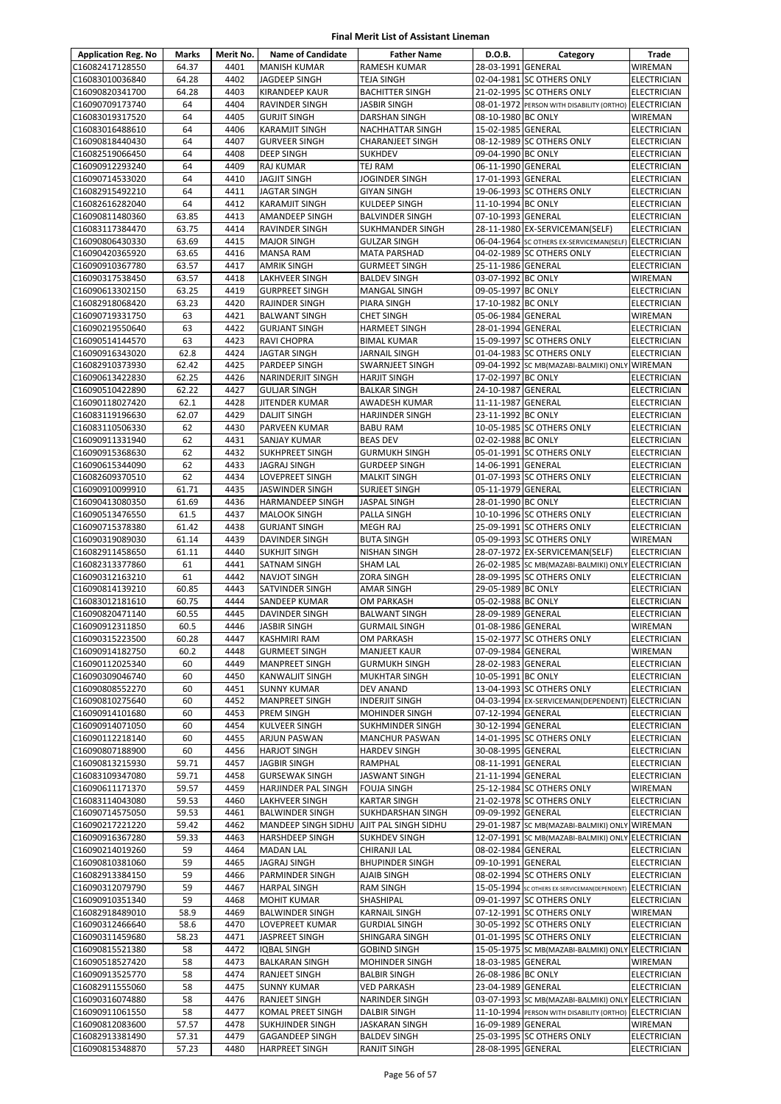| <b>Application Reg. No</b>         | <b>Marks</b> | Merit No.    | <b>Name of Candidate</b>                   | <b>Father Name</b>                           | D.O.B.                                   | Category                                              | Trade                             |
|------------------------------------|--------------|--------------|--------------------------------------------|----------------------------------------------|------------------------------------------|-------------------------------------------------------|-----------------------------------|
| C16082417128550                    | 64.37        | 4401         | <b>MANISH KUMAR</b>                        | RAMESH KUMAR                                 | 28-03-1991 GENERAL                       |                                                       | WIREMAN                           |
| C16083010036840                    | 64.28        | 4402         | JAGDEEP SINGH                              | TEJA SINGH                                   |                                          | 02-04-1981 SC OTHERS ONLY                             | <b>ELECTRICIAN</b>                |
| C16090820341700                    | 64.28        | 4403         | <b>KIRANDEEP KAUR</b>                      | <b>BACHITTER SINGH</b>                       |                                          | 21-02-1995 SC OTHERS ONLY                             | <b>ELECTRICIAN</b>                |
| C16090709173740                    | 64           | 4404         | RAVINDER SINGH                             | JASBIR SINGH                                 |                                          | 08-01-1972 PERSON WITH DISABILITY (ORTHO) ELECTRICIAN |                                   |
| C16083019317520                    | 64           | 4405         | <b>GURJIT SINGH</b>                        | DARSHAN SINGH                                | 08-10-1980 BC ONLY                       |                                                       | WIREMAN                           |
| C16083016488610                    | 64           | 4406         | KARAMJIT SINGH                             | <b>NACHHATTAR SINGH</b>                      | 15-02-1985 GENERAL                       |                                                       | <b>ELECTRICIAN</b>                |
| C16090818440430                    | 64           | 4407         | <b>GURVEER SINGH</b>                       | <b>CHARANJEET SINGH</b>                      |                                          | 08-12-1989 SC OTHERS ONLY                             | ELECTRICIAN                       |
| C16082519066450                    | 64           | 4408         | <b>DEEP SINGH</b>                          | <b>SUKHDEV</b>                               | 09-04-1990 BC ONLY                       |                                                       | ELECTRICIAN                       |
| C16090912293240                    | 64           | 4409         | <b>RAJ KUMAR</b>                           | TEJ RAM                                      | 06-11-1990 GENERAL                       |                                                       | <b>ELECTRICIAN</b>                |
| C16090714533020                    | 64           | 4410         | <b>JAGJIT SINGH</b>                        | JOGINDER SINGH                               | 17-01-1993 GENERAL                       |                                                       | <b>ELECTRICIAN</b>                |
| C16082915492210                    | 64           | 4411         | <b>JAGTAR SINGH</b>                        | GIYAN SINGH                                  | 11-10-1994 BC ONLY                       | 19-06-1993 SC OTHERS ONLY                             | <b>ELECTRICIAN</b>                |
| C16082616282040<br>C16090811480360 | 64<br>63.85  | 4412<br>4413 | <b>KARAMJIT SINGH</b><br>AMANDEEP SINGH    | KULDEEP SINGH<br><b>BALVINDER SINGH</b>      | 07-10-1993 GENERAL                       |                                                       | ELECTRICIAN<br><b>ELECTRICIAN</b> |
| C16083117384470                    | 63.75        | 4414         | RAVINDER SINGH                             | SUKHMANDER SINGH                             |                                          | 28-11-1980 EX-SERVICEMAN(SELF)                        | <b>ELECTRICIAN</b>                |
| C16090806430330                    | 63.69        | 4415         | <b>MAJOR SINGH</b>                         | <b>GULZAR SINGH</b>                          |                                          | 06-04-1964 SC OTHERS EX-SERVICEMAN(SELF) ELECTRICIAN  |                                   |
| C16090420365920                    | 63.65        | 4416         | MANSA RAM                                  | <b>MATA PARSHAD</b>                          |                                          | 04-02-1989 SC OTHERS ONLY                             | <b>ELECTRICIAN</b>                |
| C16090910367780                    | 63.57        | 4417         | <b>AMRIK SINGH</b>                         | <b>GURMEET SINGH</b>                         | 25-11-1986 GENERAL                       |                                                       | ELECTRICIAN                       |
| C16090317538450                    | 63.57        | 4418         | LAKHVEER SINGH                             | <b>BALDEV SINGH</b>                          | 03-07-1992 BC ONLY                       |                                                       | WIREMAN                           |
| C16090613302150                    | 63.25        | 4419         | <b>GURPREET SINGH</b>                      | <b>MANGAL SINGH</b>                          | 09-05-1997 BC ONLY                       |                                                       | <b>ELECTRICIAN</b>                |
| C16082918068420                    | 63.23        | 4420         | RAJINDER SINGH                             | PIARA SINGH                                  | 17-10-1982 BC ONLY                       |                                                       | ELECTRICIAN                       |
| C16090719331750                    | 63           | 4421         | <b>BALWANT SINGH</b>                       | <b>CHET SINGH</b>                            | 05-06-1984 GENERAL                       |                                                       | WIREMAN                           |
| C16090219550640                    | 63           | 4422         | <b>GURJANT SINGH</b>                       | <b>HARMEET SINGH</b>                         | 28-01-1994 GENERAL                       |                                                       | ELECTRICIAN                       |
| C16090514144570                    | 63           | 4423         | RAVI CHOPRA                                | <b>BIMAL KUMAR</b>                           |                                          | 15-09-1997 SC OTHERS ONLY                             | <b>ELECTRICIAN</b>                |
| C16090916343020                    | 62.8         | 4424         | <b>JAGTAR SINGH</b>                        | JARNAIL SINGH                                |                                          | 01-04-1983 SC OTHERS ONLY                             | <b>ELECTRICIAN</b>                |
| C16082910373930                    | 62.42        | 4425         | <b>PARDEEP SINGH</b>                       | <b>SWARNJEET SINGH</b>                       |                                          | 09-04-1992 SC MB(MAZABI-BALMIKI) ONLY WIREMAN         |                                   |
| C16090613422830                    | 62.25        | 4426         | <b>NARINDERJIT SINGH</b>                   | <b>HARJIT SINGH</b>                          | 17-02-1997 BC ONLY                       |                                                       | <b>ELECTRICIAN</b>                |
| C16090510422890                    | 62.22        | 4427         | <b>GULJAR SINGH</b>                        | <b>BALKAR SINGH</b>                          | 24-10-1987 GENERAL                       |                                                       | ELECTRICIAN                       |
| C16090118027420                    | 62.1         | 4428         | JITENDER KUMAR                             | AWADESH KUMAR                                | 11-11-1987 GENERAL                       |                                                       | <b>ELECTRICIAN</b>                |
| C16083119196630                    | 62.07        | 4429         | <b>DALJIT SINGH</b>                        | <b>HARJINDER SINGH</b>                       | 23-11-1992 BC ONLY                       |                                                       | <b>ELECTRICIAN</b>                |
| C16083110506330                    | 62           | 4430         | <b>PARVEEN KUMAR</b>                       | <b>BABU RAM</b>                              |                                          | 10-05-1985 SC OTHERS ONLY                             | ELECTRICIAN                       |
| C16090911331940                    | 62           | 4431         | <b>SANJAY KUMAR</b>                        | <b>BEAS DEV</b>                              | 02-02-1988 BC ONLY                       |                                                       | <b>ELECTRICIAN</b>                |
| C16090915368630                    | 62           | 4432         | <b>SUKHPREET SINGH</b>                     | <b>GURMUKH SINGH</b>                         |                                          | 05-01-1991 SC OTHERS ONLY                             | <b>ELECTRICIAN</b>                |
| C16090615344090                    | 62<br>62     | 4433<br>4434 | <b>JAGRAJ SINGH</b>                        | <b>GURDEEP SINGH</b>                         | 14-06-1991 GENERAL                       |                                                       | <b>ELECTRICIAN</b>                |
| C16082609370510<br>C16090910099910 | 61.71        | 4435         | LOVEPREET SINGH<br><b>JASWINDER SINGH</b>  | <b>MALKIT SINGH</b><br>SURJEET SINGH         | 05-11-1979 GENERAL                       | 01-07-1993 SC OTHERS ONLY                             | ELECTRICIAN<br><b>ELECTRICIAN</b> |
| C16090413080350                    | 61.69        | 4436         | <b>HARMANDEEP SINGH</b>                    | JASPAL SINGH                                 | 28-01-1990 BC ONLY                       |                                                       | <b>ELECTRICIAN</b>                |
| C16090513476550                    | 61.5         | 4437         | <b>MALOOK SINGH</b>                        | PALLA SINGH                                  |                                          | 10-10-1996 SC OTHERS ONLY                             | <b>ELECTRICIAN</b>                |
| C16090715378380                    | 61.42        | 4438         | <b>GURJANT SINGH</b>                       | MEGH RAJ                                     |                                          | 25-09-1991 SC OTHERS ONLY                             | ELECTRICIAN                       |
| C16090319089030                    | 61.14        | 4439         | DAVINDER SINGH                             | <b>BUTA SINGH</b>                            |                                          | 05-09-1993 SC OTHERS ONLY                             | WIREMAN                           |
| C16082911458650                    | 61.11        | 4440         | <b>SUKHJIT SINGH</b>                       | <b>NISHAN SINGH</b>                          |                                          | 28-07-1972 EX-SERVICEMAN(SELF)                        | <b>ELECTRICIAN</b>                |
| C16082313377860                    | 61           | 4441         | <b>SATNAM SINGH</b>                        | SHAM LAL                                     |                                          | 26-02-1985 SC MB(MAZABI-BALMIKI) ONLY ELECTRICIAN     |                                   |
| C16090312163210                    | 61           | 4442         | <b>NAVJOT SINGH</b>                        | ZORA SINGH                                   |                                          | 28-09-1995 SC OTHERS ONLY                             | <b>ELECTRICIAN</b>                |
| C16090814139210                    | 60.85        | 4443         | SATVINDER SINGH                            | <b>AMAR SINGH</b>                            | 29-05-1989 BC ONLY                       |                                                       | ELECTRICIAN                       |
| C16083012181610                    | 60.75        | 4444         | SANDEEP KUMAR                              | OM PARKASH                                   | 05-02-1988 BC ONLY                       |                                                       | ELECTRICIAN                       |
| C16090820471140                    | 60.55        | 4445         | DAVINDER SINGH                             | <b>BALWANT SINGH</b>                         | 28-09-1989 GENERAL                       |                                                       | <b>ELECTRICIAN</b>                |
| C16090912311850                    | 60.5         | 4446         | <b>JASBIR SINGH</b>                        | <b>GURMAIL SINGH</b>                         | 01-08-1986 GENERAL                       |                                                       | WIREMAN                           |
| C16090315223500                    | 60.28        | 4447         | <b>KASHMIRI RAM</b>                        | OM PARKASH                                   |                                          | 15-02-1977 SC OTHERS ONLY                             | <b>ELECTRICIAN</b>                |
| C16090914182750                    | 60.2         | 4448         | <b>GURMEET SINGH</b>                       | <b>MANJEET KAUR</b>                          | 07-09-1984 GENERAL                       |                                                       | <b>WIREMAN</b>                    |
| C16090112025340                    | 60           | 4449         | MANPREET SINGH                             | <b>GURMUKH SINGH</b>                         | 28-02-1983 GENERAL                       |                                                       | <b>ELECTRICIAN</b>                |
| C16090309046740                    | 60           | 4450         | <b>KANWALJIT SINGH</b>                     | <b>MUKHTAR SINGH</b>                         | 10-05-1991 BC ONLY                       |                                                       | ELECTRICIAN                       |
| C16090808552270                    | 60           | 4451         | <b>SUNNY KUMAR</b>                         | DEV ANAND                                    |                                          | 13-04-1993 SC OTHERS ONLY                             | <b>ELECTRICIAN</b>                |
| C16090810275640                    | 60           | 4452         | <b>MANPREET SINGH</b>                      | <b>INDERJIT SINGH</b>                        |                                          | 04-03-1994 EX-SERVICEMAN(DEPENDENT)                   | <b>ELECTRICIAN</b>                |
| C16090914101680                    | 60           | 4453         | PREM SINGH                                 | MOHINDER SINGH                               | 07-12-1994 GENERAL                       |                                                       | ELECTRICIAN                       |
| C16090914071050                    | 60           | 4454         | <b>KULVEER SINGH</b>                       | <b>SUKHMINDER SINGH</b>                      | 30-12-1994 GENERAL                       |                                                       | <b>ELECTRICIAN</b>                |
| C16090112218140<br>C16090807188900 | 60<br>60     | 4455<br>4456 | ARJUN PASWAN<br><b>HARJOT SINGH</b>        | <b>MANCHUR PASWAN</b><br><b>HARDEV SINGH</b> | 30-08-1995 GENERAL                       | 14-01-1995 SC OTHERS ONLY                             | <b>ELECTRICIAN</b><br>ELECTRICIAN |
| C16090813215930                    | 59.71        | 4457         | <b>JAGBIR SINGH</b>                        | RAMPHAL                                      | 08-11-1991 GENERAL                       |                                                       | ELECTRICIAN                       |
| C16083109347080                    | 59.71        | 4458         | <b>GURSEWAK SINGH</b>                      | JASWANT SINGH                                | 21-11-1994 GENERAL                       |                                                       | ELECTRICIAN                       |
| C16090611171370                    | 59.57        | 4459         | HARJINDER PAL SINGH                        | <b>FOUJA SINGH</b>                           |                                          | 25-12-1984 SC OTHERS ONLY                             | WIREMAN                           |
| C16083114043080                    | 59.53        | 4460         | LAKHVEER SINGH                             | <b>KARTAR SINGH</b>                          |                                          | 21-02-1978 SC OTHERS ONLY                             | <b>ELECTRICIAN</b>                |
| C16090714575050                    | 59.53        | 4461         | <b>BALWINDER SINGH</b>                     | SUKHDARSHAN SINGH                            | 09-09-1992 GENERAL                       |                                                       | ELECTRICIAN                       |
| C16090217221220                    | 59.42        | 4462         | <b>MANDEEP SINGH SIDHU</b>                 | AJIT PAL SINGH SIDHU                         |                                          | 29-01-1987 SC MB(MAZABI-BALMIKI) ONLY                 | <b>WIREMAN</b>                    |
| C16090916367280                    | 59.33        | 4463         | <b>HARSHDEEP SINGH</b>                     | SUKHDEV SINGH                                |                                          | 12-07-1991 SC MB(MAZABI-BALMIKI) ONLY ELECTRICIAN     |                                   |
| C16090214019260                    | 59           | 4464         | <b>MADAN LAL</b>                           | CHIRANJI LAL                                 | 08-02-1984 GENERAL                       |                                                       | <b>ELECTRICIAN</b>                |
| C16090810381060                    | 59           | 4465         | JAGRAJ SINGH                               | <b>BHUPINDER SINGH</b>                       | 09-10-1991 GENERAL                       |                                                       | ELECTRICIAN                       |
| C16082913384150                    | 59           | 4466         | PARMINDER SINGH                            | AJAIB SINGH                                  |                                          | 08-02-1994 SC OTHERS ONLY                             | <b>ELECTRICIAN</b>                |
| C16090312079790                    | 59           | 4467         | <b>HARPAL SINGH</b>                        | RAM SINGH                                    |                                          | 15-05-1994 SC OTHERS EX-SERVICEMAN(DEPENDENT)         | <b>ELECTRICIAN</b>                |
| C16090910351340                    | 59           | 4468         | <b>MOHIT KUMAR</b>                         | SHASHIPAL                                    |                                          | 09-01-1997 SC OTHERS ONLY                             | ELECTRICIAN                       |
| C16082918489010                    | 58.9         | 4469         | <b>BALWINDER SINGH</b>                     | <b>KARNAIL SINGH</b>                         |                                          | 07-12-1991 SC OTHERS ONLY                             | WIREMAN                           |
| C16090312466640                    | 58.6         | 4470         | LOVEPREET KUMAR                            | <b>GURDIAL SINGH</b>                         |                                          | 30-05-1992 SC OTHERS ONLY                             | ELECTRICIAN                       |
| C16090311459680                    | 58.23        | 4471         | JASPREET SINGH                             | SHINGARA SINGH                               |                                          | 01-01-1995 SC OTHERS ONLY                             | ELECTRICIAN                       |
| C16090815521380                    | 58           | 4472         | <b>IQBAL SINGH</b>                         | <b>GOBIND SINGH</b>                          |                                          | 15-05-1975 SC MB(MAZABI-BALMIKI) ONLY ELECTRICIAN     |                                   |
| C16090518527420                    | 58           | 4473         | <b>BALKARAN SINGH</b>                      | MOHINDER SINGH                               | 18-03-1985 GENERAL                       |                                                       | WIREMAN                           |
| C16090913525770                    | 58<br>58     | 4474         | <b>RANJEET SINGH</b>                       | <b>BALBIR SINGH</b>                          | 26-08-1986 BC ONLY<br>23-04-1989 GENERAL |                                                       | <b>ELECTRICIAN</b>                |
| C16082911555060<br>C16090316074880 | 58           | 4475<br>4476 | <b>SUNNY KUMAR</b><br><b>RANJEET SINGH</b> | <b>VED PARKASH</b><br>NARINDER SINGH         |                                          | 03-07-1993 SC MB(MAZABI-BALMIKI) ONLY ELECTRICIAN     | <b>ELECTRICIAN</b>                |
| C16090911061550                    | 58           | 4477         | KOMAL PREET SINGH                          | DALBIR SINGH                                 |                                          | 11-10-1994 PERSON WITH DISABILITY (ORTHO) ELECTRICIAN |                                   |
| C16090812083600                    | 57.57        | 4478         | <b>SUKHJINDER SINGH</b>                    | JASKARAN SINGH                               | 16-09-1989 GENERAL                       |                                                       | WIREMAN                           |
| C16082913381490                    | 57.31        | 4479         | <b>GAGANDEEP SINGH</b>                     | <b>BALDEV SINGH</b>                          |                                          | 25-03-1995 SC OTHERS ONLY                             | ELECTRICIAN                       |
| C16090815348870                    | 57.23        | 4480         | <b>HARPREET SINGH</b>                      | RANJIT SINGH                                 | 28-08-1995 GENERAL                       |                                                       | ELECTRICIAN                       |